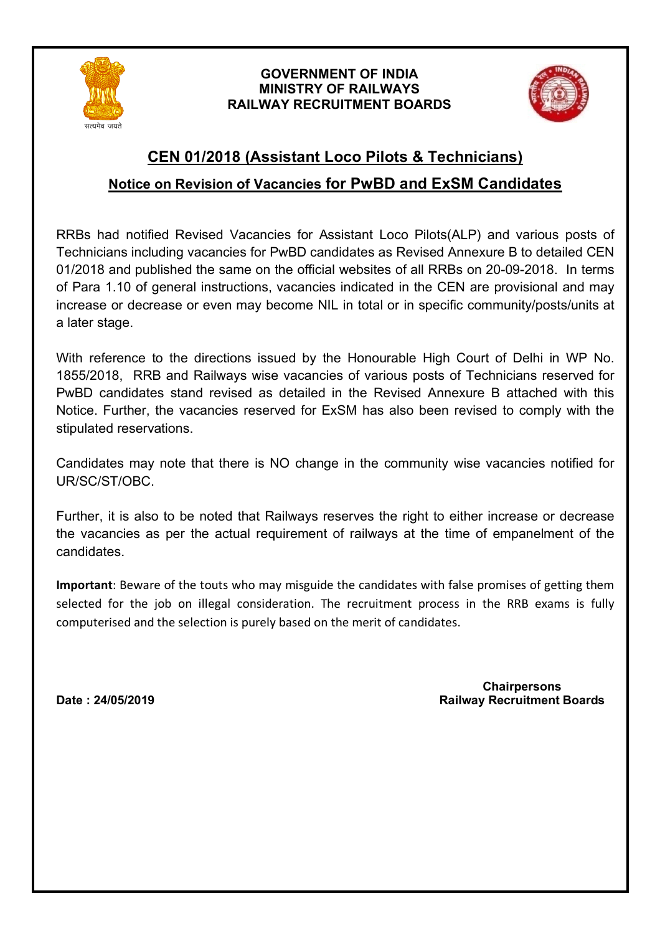

## **GOVERNMENT OF INDIA MINISTRY OF RAILWAYS RAILWAY RECRUITMENT BOARDS**



# **CEN 01/2018 (Assistant Loco Pilots & Technicians)**

## **Notice on Revision of Vacancies for PwBD and ExSM Candidates**

RRBs had notified Revised Vacancies for Assistant Loco Pilots(ALP) and various posts of Technicians including vacancies for PwBD candidates as Revised Annexure B to detailed CEN 01/2018 and published the same on the official websites of all RRBs on 20-09-2018. In terms of Para 1.10 of general instructions, vacancies indicated in the CEN are provisional and may increase or decrease or even may become NIL in total or in specific community/posts/units at a later stage.

With reference to the directions issued by the Honourable High Court of Delhi in WP No. 1855/2018, RRB and Railways wise vacancies of various posts of Technicians reserved for PwBD candidates stand revised as detailed in the Revised Annexure B attached with this Notice. Further, the vacancies reserved for ExSM has also been revised to comply with the stipulated reservations.

Candidates may note that there is NO change in the community wise vacancies notified for UR/SC/ST/OBC.

Further, it is also to be noted that Railways reserves the right to either increase or decrease the vacancies as per the actual requirement of railways at the time of empanelment of the candidates.

**Important**: Beware of the touts who may misguide the candidates with false promises of getting them selected for the job on illegal consideration. The recruitment process in the RRB exams is fully computerised and the selection is purely based on the merit of candidates.

 **Chairpersons Date : 24/05/2019 Railway Recruitment Boards**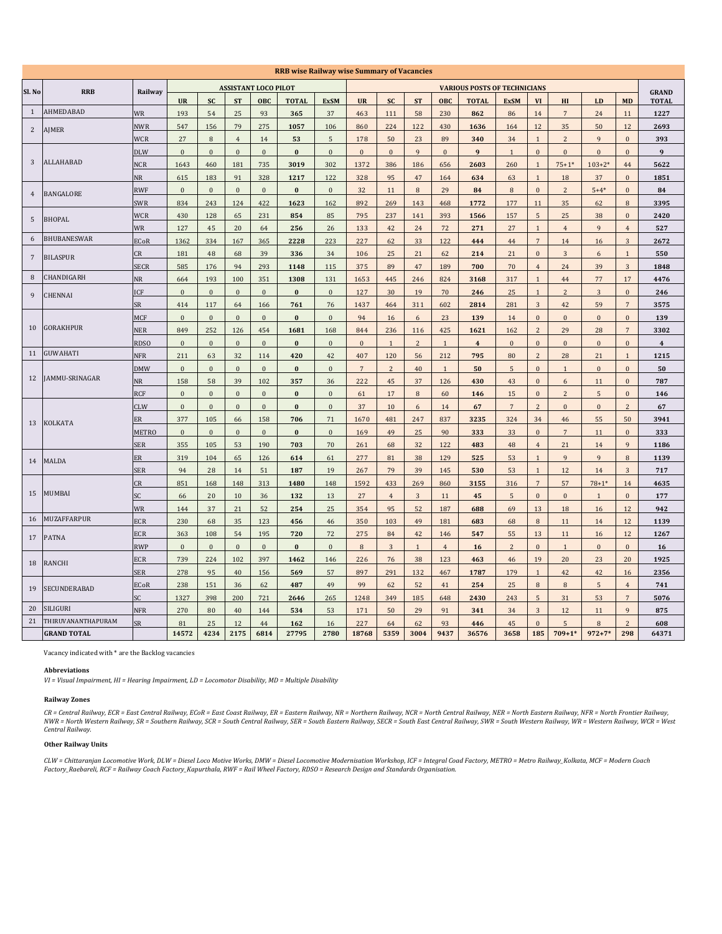|                |                    |              |                  |                  |                  |                             | <b>RRB wise Railway wise Summary of Vacancies</b> |                  |                  |                |                |                |                                     |                 |                  |                |                |                  |                         |
|----------------|--------------------|--------------|------------------|------------------|------------------|-----------------------------|---------------------------------------------------|------------------|------------------|----------------|----------------|----------------|-------------------------------------|-----------------|------------------|----------------|----------------|------------------|-------------------------|
| Sl. No         | <b>RRB</b>         | Railway      |                  |                  |                  | <b>ASSISTANT LOCO PILOT</b> |                                                   |                  |                  |                |                |                | <b>VARIOUS POSTS OF TECHNICIANS</b> |                 |                  |                |                |                  | <b>GRAND</b>            |
|                |                    |              | <b>UR</b>        | <b>SC</b>        | <b>ST</b>        | OBC                         | <b>TOTAL</b>                                      | <b>ExSM</b>      | <b>UR</b>        | <b>SC</b>      | <b>ST</b>      | OBC            | <b>TOTAL</b>                        | <b>ExSM</b>     | VI               | HI             | LD             | <b>MD</b>        | <b>TOTAL</b>            |
| 1              | AHMEDABAD          | <b>WR</b>    | 193              | 54               | 25               | 93                          | 365                                               | 37               | 463              | 111            | 58             | 230            | 862                                 | 86              | 14               | $\overline{7}$ | 24             | 11               | 1227                    |
| $\overline{2}$ | <b>AJMER</b>       | <b>NWR</b>   | 547              | 156              | 79               | 275                         | 1057                                              | 106              | 860              | 224            | 122            | 430            | 1636                                | 164             | $12\,$           | 35             | 50             | $12\,$           | 2693                    |
|                |                    | <b>WCR</b>   | 27               | $\, 8$           | $\overline{4}$   | 14                          | 53                                                | 5                | 178              | 50             | 23             | 89             | 340                                 | 34              | $\mathbf{1}$     | $\overline{c}$ | 9              | $\mathbf{0}$     | 393                     |
|                |                    | <b>DLW</b>   | $\bf{0}$         | $\bf{0}$         | $\mathbf{0}$     | $\mathbf{0}$                | $\bf{0}$                                          | $\mathbf{0}$     | $\boldsymbol{0}$ | $\mathbf{0}$   | $\overline{9}$ | $\bf{0}$       | $\boldsymbol{9}$                    | $\mathbf{1}$    | $\mathbf{0}$     | $\bf{0}$       | $\bf{0}$       | $\mathbf{0}$     | 9                       |
| 3              | ALLAHABAD          | <b>NCR</b>   | 1643             | 460              | 181              | 735                         | 3019                                              | 302              | 1372             | 386            | 186            | 656            | 2603                                | 260             | $\mathbf{1}$     | $75 + 1*$      | $103 + 2*$     | 44               | 5622                    |
|                |                    | <b>NR</b>    | 615              | 183              | 91               | 328                         | 1217                                              | 122              | 328              | 95             | 47             | 164            | 634                                 | 63              | $\mathbf{1}$     | 18             | 37             | $\mathbf{0}$     | 1851                    |
| $\overline{4}$ | <b>BANGALORE</b>   | <b>RWF</b>   | $\bf{0}$         | $\mathbf{0}$     | $\mathbf{0}$     | $\mathbf{0}$                | $\bf{0}$                                          | $\boldsymbol{0}$ | 32               | 11             | $\,$ 8 $\,$    | 29             | 84                                  | $\,$ 8 $\,$     | $\boldsymbol{0}$ | $\overline{c}$ | $5 + 4*$       | $\mathbf{0}$     | 84                      |
|                |                    | <b>SWR</b>   | 834              | 243              | 124              | 422                         | 1623                                              | 162              | 892              | 269            | 143            | 468            | 1772                                | 177             | 11               | 35             | 62             | 8                | 3395                    |
| $\sqrt{5}$     | <b>BHOPAL</b>      | <b>WCR</b>   | 430              | 128              | 65               | 231                         | 854                                               | 85               | 795              | 237            | 141            | 393            | 1566                                | 157             | $5\phantom{.0}$  | 25             | 38             | $\boldsymbol{0}$ | 2420                    |
|                |                    | WR           | 127              | $\bf 45$         | $20\,$           | 64                          | 256                                               | 26               | 133              | $42\,$         | $\sqrt{24}$    | 72             | 271                                 | $27\,$          | $\mathbf{1}$     | $\overline{4}$ | 9              | $\sqrt{4}$       | 527                     |
| 6              | BHUBANESWAR        | <b>ECoR</b>  | 1362             | 334              | 167              | 365                         | 2228                                              | 223              | 227              | 62             | 33             | 122            | 444                                 | 44              | $\overline{7}$   | 14             | 16             | 3                | 2672                    |
| $\sqrt{7}$     | <b>BILASPUR</b>    | CR           | 181              | 48               | 68               | 39                          | 336                                               | 34               | 106              | 25             | 21             | 62             | 214                                 | 21              | $\bf{0}$         | $\overline{3}$ | 6              | $\mathbf{1}$     | 550                     |
|                |                    | SECR         | 585              | 176              | 94               | 293                         | 1148                                              | 115              | 375              | 89             | 47             | 189            | 700                                 | 70              | $\overline{4}$   | 24             | 39             | 3                | 1848                    |
| 8              | CHANDIGARH         | <b>NR</b>    | 664              | 193              | 100              | 351                         | 1308                                              | 131              | 1653             | 445            | 246            | 824            | 3168                                | 317             | $\mathbf{1}$     | 44             | 77             | 17               | 4476                    |
| 9              | CHENNAI            | ICF          | $\boldsymbol{0}$ | $\boldsymbol{0}$ | $\boldsymbol{0}$ | $\boldsymbol{0}$            | $\pmb{0}$                                         | $\boldsymbol{0}$ | 127              | 30             | 19             | $70\,$         | 246                                 | 25              | $\mathbf{1}$     | $\overline{c}$ | 3              | $\boldsymbol{0}$ | 246                     |
|                |                    | SR           | 414              | 117              | 64               | 166                         | 761                                               | 76               | 1437             | 464            | 311            | 602            | 2814                                | 281             | $\sqrt{3}$       | 42             | 59             | $\overline{7}$   | 3575                    |
|                |                    | <b>MCF</b>   | $\mathbf{0}$     | $\mathbf{0}$     | $\mathbf{0}$     | $\mathbf{0}$                | $\bf{0}$                                          | $\overline{0}$   | 94               | 16             | 6              | 23             | 139                                 | 14              | $\mathbf{0}$     | $\mathbf{0}$   | $\mathbf{0}$   | $\mathbf{0}$     | 139                     |
| 10             | GORAKHPUR          | <b>NER</b>   | 849              | 252              | 126              | 454                         | 1681                                              | 168              | 844              | 236            | 116            | 425            | 1621                                | 162             | 2                | 29             | 28             | $\overline{7}$   | 3302                    |
|                |                    | <b>RDSO</b>  | $\bf{0}$         | $\bf{0}$         | $\mathbf{0}$     | $\mathbf{0}$                | $\bf{0}$                                          | $\bf{0}$         | $\bf{0}$         | $\mathbf{1}$   | $\overline{c}$ | $\mathbf{1}$   | $\overline{\mathbf{4}}$             | $\bf{0}$        | $\boldsymbol{0}$ | $\bf{0}$       | $\bf{0}$       | $\bf{0}$         | $\overline{\mathbf{4}}$ |
| 11             | GUWAHATI           | <b>NFR</b>   | 211              | 63               | 32               | 114                         | 420                                               | 42               | 407              | 120            | 56             | 212            | 795                                 | 80              | $\overline{c}$   | 28             | 21             | $\mathbf{1}$     | 1215                    |
|                |                    | <b>DMW</b>   | $\boldsymbol{0}$ | $\bf{0}$         | $\mathbf{0}$     | $\mathbf{0}$                | $\bf{0}$                                          | $\bf{0}$         | $7\phantom{.0}$  | $\overline{2}$ | $40\,$         | $\mathbf{1}$   | 50                                  | $\overline{5}$  | $\mathbf{0}$     | $\mathbf{1}$   | $\bf{0}$       | $\bf{0}$         | 50                      |
| 12             | AMMU-SRINAGAR      | <b>NR</b>    | 158              | 58               | 39               | 102                         | 357                                               | 36               | 222              | 45             | 37             | 126            | 430                                 | 43              | $\mathbf{0}$     | 6              | 11             | $\mathbf{0}$     | 787                     |
|                |                    | <b>RCF</b>   | $\mathbf{0}$     | $\mathbf{0}$     | $\mathbf{0}$     | $\mathbf{0}$                | $\bf{0}$                                          | $\mathbf{0}$     | 61               | 17             | $\, 8$         | 60             | 146                                 | 15              | $\mathbf{0}$     | $\overline{c}$ | $\overline{5}$ | $\mathbf{0}$     | 146                     |
|                |                    | <b>CLW</b>   | $\mathbf{0}$     | $\mathbf{0}$     | $\mathbf{0}$     | $\mathbf{0}$                | $\bf{0}$                                          | $\mathbf{0}$     | 37               | 10             | 6              | 14             | 67                                  | $7\overline{ }$ | 2                | $\mathbf{0}$   | $\mathbf{0}$   | $\overline{c}$   | 67                      |
| 13             | KOLKATA            | ER           | 377              | 105              | 66               | 158                         | 706                                               | 71               | 1670             | 481            | 247            | 837            | 3235                                | 324             | 34               | 46             | 55             | 50               | 3941                    |
|                |                    | <b>METRO</b> | $\mathbf{0}$     | $\mathbf{0}$     | $\mathbf{0}$     | $\mathbf{0}$                | $\bf{0}$                                          | $\mathbf{0}$     | 169              | 49             | 25             | 90             | 333                                 | 33              | $\mathbf{0}$     | $\overline{7}$ | 11             | $\mathbf{0}$     | 333                     |
|                |                    | <b>SER</b>   | 355              | 105              | 53               | 190                         | 703                                               | 70               | 261              | 68             | 32             | 122            | 483                                 | 48              | $\overline{4}$   | 21             | 14             | $\mathbf{q}$     | 1186                    |
| 14             | MALDA              | ER           | 319              | 104              | 65               | 126                         | 614                                               | 61               | 277              | 81             | 38             | 129            | 525                                 | 53              | $\mathbf{1}$     | 9              | 9              | $\,8\,$          | 1139                    |
|                |                    | <b>SER</b>   | 94               | 28               | 14               | 51                          | 187                                               | 19               | 267              | 79             | 39             | 145            | 530                                 | 53              | $\mathbf{1}$     | 12             | 14             | 3                | 717                     |
|                |                    | CR           | 851              | 168              | 148              | 313                         | 1480                                              | 148              | 1592             | 433            | 269            | 860            | 3155                                | 316             | $7\overline{ }$  | 57             | $78 + 1*$      | 14               | 4635                    |
| 15             | MUMBAI             | SC           | 66               | 20               | 10               | 36                          | 132                                               | 13               | 27               | $\overline{4}$ | 3              | 11             | 45                                  | 5               | $\bf{0}$         | $\bf{0}$       | $\mathbf{1}$   | $\mathbf{0}$     | 177                     |
|                |                    | WR           | 144              | 37               | 21               | 52                          | 254                                               | 25               | 354              | 95             | 52             | 187            | 688                                 | 69              | 13               | 18             | 16             | 12               | 942                     |
| 16             | <b>MUZAFFARPUR</b> | ECR          | 230              | 68               | 35               | 123                         | 456                                               | 46               | 350              | 103            | 49             | 181            | 683                                 | 68              | 8                | 11             | 14             | 12               | 1139                    |
| 17             | <b>PATNA</b>       | ECR          | 363              | 108              | 54               | 195                         | 720                                               | 72               | 275              | 84             | 42             | 146            | 547                                 | 55              | 13               | 11             | 16             | 12               | 1267                    |
|                |                    | <b>RWP</b>   | $\mathbf{0}$     | $\mathbf{0}$     | $\mathbf{0}$     | $\mathbf{0}$                | $\bf{0}$                                          | $\mathbf{0}$     | $\,$ 8 $\,$      | $\sqrt{3}$     | $\mathbf{1}$   | $\overline{4}$ | 16                                  | $\overline{2}$  | $\mathbf{0}$     | $\mathbf{1}$   | $\mathbf{0}$   | $\mathbf{0}$     | 16                      |
| 18             | RANCHI             | <b>ECR</b>   | 739              | 224              | 102              | 397                         | 1462                                              | 146              | 226              | 76             | 38             | 123            | 463                                 | 46              | 19               | 20             | 23             | 20               | 1925                    |
|                |                    | <b>SER</b>   | 278              | 95               | 40               | 156                         | 569                                               | 57               | 897              | 291            | 132            | 467            | 1787                                | 179             | $\mathbf{1}$     | 42             | 42             | 16               | 2356                    |
| 19             | SECUNDERABAD       | <b>ECoR</b>  | 238              | 151              | 36               | 62                          | 487                                               | 49               | 99               | 62             | 52             | 41             | 254                                 | 25              | 8                | 8              | 5              | $\overline{4}$   | 741                     |
|                |                    | SC.          | 1327             | 398              | 200              | 721                         | 2646                                              | 265              | 1248             | 349            | 185            | 648            | 2430                                | 243             | 5                | 31             | 53             | $\overline{7}$   | 5076                    |
| 20             | SILIGURI           | <b>NFR</b>   | 270              | 80               | 40               | 144                         | 534                                               | 53               | 171              | 50             | 29             | 91             | 341                                 | 34              | $\sqrt{3}$       | 12             | 11             | 9                | 875                     |
| 21             | THIRUVANANTHAPURAM | SR           | 81               | 25               | 12               | 44                          | 162                                               | 16               | 227              | 64             | 62             | 93             | 446                                 | 45              | $\mathbf{0}$     | 5              | $\, 8$         | $\overline{c}$   | 608                     |
|                | <b>GRAND TOTAL</b> |              | 14572            | 4234             | 2175             | 6814                        | 27795                                             | 2780             | 18768            | 5359           | 3004           | 9437           | 36576                               | 3658            | 185              | $709 + 1*$     | $972 + 7*$     | 298              | 64371                   |

Vacancy indicated with \* are the Backlog vacancies

#### **Abbreviations**

*VI = Visual Impairment, HI = Hearing Impairment, LD = Locomotor Disability, MD = Multiple Disability* 

#### **Railway Zones**

CR = Central Railway, ECR = East Central Railway, ECoR = East Coast Railway, BR = Eastern Railway, NR = Northern Railway, NCR = North Central Railway, NER = North Eastern Railway, NFR = North Frontier Railway,<br>NWR = North *Central Railway.*

#### **Other Railway Units**

CLW = Chittaranjan Locomotive Work, DLW = Diesel Loco Motive Works, DMW = Diesel Locomotive Modernisation Workshop, ICF = Integral Coad Factory, METRO = Metro Railway\_Kolkata, MCF = Modern Coach<br>Factory\_Raebareli, RCF = Ra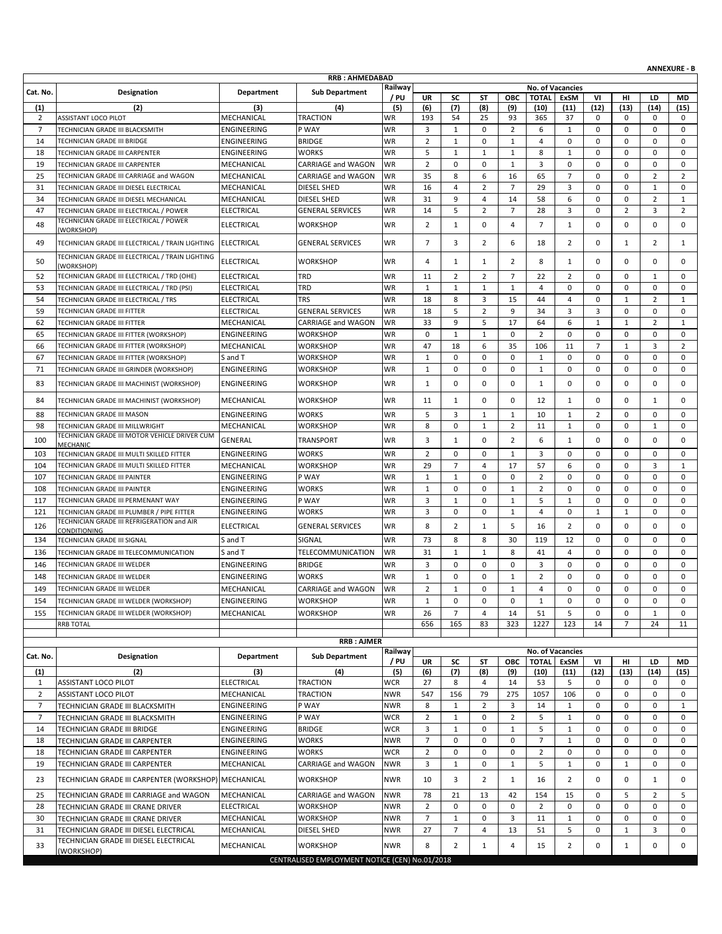| <b>RRB: AHMEDABAD</b><br>Railway<br><b>No. of Vacancies</b><br>Cat. No.<br>Designation<br>Department<br><b>Sub Department</b><br>/ PU<br><b>UR</b><br><b>TOTAL</b><br>VI<br><b>SC</b><br>SΤ<br><b>OBC</b><br>ExSM<br>HI<br>LD<br>MD<br>(12)<br>(1)<br>(2)<br>(3)<br>(4)<br>(5)<br>(6)<br>(7)<br>(8)<br>(9)<br>(10)<br>(11)<br>(13)<br>(14)<br>(15)<br>MECHANICAL<br><b>TRACTION</b><br>WR<br>193<br>2<br>ASSISTANT LOCO PILOT<br>54<br>25<br>93<br>365<br>37<br>0<br>0<br>0<br>0<br>$\overline{7}$<br><b>WR</b><br>3<br>$\overline{2}$<br>ENGINEERING<br>P WAY<br>$\mathbf{1}$<br>0<br>6<br>$\mathbf{1}$<br>0<br>0<br>0<br>0<br>TECHNICIAN GRADE III BLACKSMITH<br>$\overline{2}$<br>14<br><b>BRIDGE</b><br><b>WR</b><br>$\mathbf{1}$<br>0<br>$\mathbf{1}$<br>$\overline{4}$<br>$\mathbf 0$<br>0<br>0<br>0<br>ENGINEERING<br>0<br>TECHNICIAN GRADE III BRIDGE<br>5<br>$\mathbf{1}$<br>8<br>0<br>TECHNICIAN GRADE III CARPENTER<br>ENGINEERING<br><b>WORKS</b><br><b>WR</b><br>$\mathbf{1}$<br>$\mathbf{1}$<br>$\mathbf 0$<br>$\mathbf 0$<br>0<br>18<br>1<br>$\overline{2}$<br>3<br>19<br>MECHANICAL<br><b>CARRIAGE and WAGON</b><br>WR<br>0<br>$\mathbf 0$<br>$\mathbf{1}$<br>0<br>0<br>0<br>0<br>0<br>TECHNICIAN GRADE III CARPENTER<br>35<br>8<br>6<br>16<br>65<br>$\overline{7}$<br>0<br>$\overline{2}$<br>$\overline{2}$<br>25<br>WR<br>0<br>TECHNICIAN GRADE III CARRIAGE and WAGON<br>MECHANICAL<br><b>CARRIAGE and WAGON</b><br>16<br>$\overline{4}$<br>$\overline{7}$<br>29<br>3<br>0<br>$\mathbf{1}$<br>31<br>MECHANICAL<br><b>DIESEL SHED</b><br>WR<br>2<br>$\mathbf 0$<br>0<br>TECHNICIAN GRADE III DIESEL ELECTRICAL<br>34<br>TECHNICIAN GRADE III DIESEL MECHANICAL<br><b>WR</b><br>31<br>9<br>58<br>6<br>0<br>0<br>$\overline{2}$<br>MECHANICAL<br>DIESEL SHED<br>4<br>14<br>1<br>5<br>$\overline{2}$<br>$\overline{7}$<br>28<br>3<br>$\overline{2}$<br>3<br>$\overline{2}$<br>47<br><b>ELECTRICAL</b><br><b>GENERAL SERVICES</b><br>WR<br>14<br>0<br>TECHNICIAN GRADE III ELECTRICAL / POWER<br>TECHNICIAN GRADE III ELECTRICAL / POWER<br>$\overline{2}$<br>$\mathbf 0$<br>$\overline{7}$<br>0<br>$\mathbf 0$<br>48<br><b>WORKSHOP</b><br>WR<br>$\mathbf{1}$<br>$\overline{4}$<br>$\mathbf{1}$<br>0<br>0<br><b>ELECTRICAL</b><br>(WORKSHOP)<br>$\overline{7}$<br>3<br>$\overline{2}$<br>49<br>WR<br>2<br>6<br>$\overline{2}$<br>0<br>$\mathbf{1}$<br>TECHNICIAN GRADE III ELECTRICAL / TRAIN LIGHTING<br><b>ELECTRICAL</b><br><b>GENERAL SERVICES</b><br>18<br>1<br>TECHNICIAN GRADE III ELECTRICAL / TRAIN LIGHTING<br>50<br><b>ELECTRICAL</b><br><b>WORKSHOP</b><br>WR<br>4<br>$\overline{2}$<br>8<br>0<br>0<br>0<br>0<br>1<br>1<br>1<br>(WORKSHOP)<br>$\overline{2}$<br>$\overline{2}$<br>$\overline{7}$<br>$\overline{2}$<br>52<br>TRD<br>11<br>22<br>$\mathbf 0$<br>0<br>$\mathbf{1}$<br>$\mathbf 0$<br>TECHNICIAN GRADE III ELECTRICAL / TRD (OHE)<br>ELECTRICAL<br>WR<br>53<br><b>ELECTRICAL</b><br>TRD<br><b>WR</b><br>0<br>0<br>0<br>0<br>0<br>TECHNICIAN GRADE III ELECTRICAL / TRD (PSI)<br>1<br>1<br>1<br>1<br>$\overline{4}$<br>54<br>8<br>3<br>15<br>$\overline{2}$<br>TECHNICIAN GRADE III ELECTRICAL / TRS<br><b>TRS</b><br><b>WR</b><br>18<br>44<br>4<br>0<br>$\mathbf{1}$<br>$\mathbf{1}$<br><b>ELECTRICAL</b><br>5<br>3<br>$\pmb{0}$<br>59<br><b>GENERAL SERVICES</b><br><b>WR</b><br>18<br>$\overline{2}$<br>9<br>34<br>3<br>0<br>0<br>TECHNICIAN GRADE III FITTER<br><b>ELECTRICAL</b><br>33<br>9<br>5<br>17<br>64<br>$\overline{2}$<br>62<br>MECHANICAL<br><b>WR</b><br>6<br>$\mathbf{1}$<br>$\mathbf{1}$<br>$\mathbf{1}$<br>TECHNICIAN GRADE III FITTER<br><b>CARRIAGE and WAGON</b><br>0<br>$\mathbf{1}$<br>$\mathbf 0$<br>$\overline{2}$<br>0<br>65<br>ENGINEERING<br><b>WORKSHOP</b><br>WR<br>$\mathbf{1}$<br>0<br>0<br>0<br>0<br>TECHNICIAN GRADE III FITTER (WORKSHOP)<br>66<br>WR<br>47<br>18<br>35<br>106<br>11<br>$\overline{7}$<br>$\mathbf{1}$<br>3<br>2<br>TECHNICIAN GRADE III FITTER (WORKSHOP)<br>MECHANICAL<br>WORKSHOP<br>6<br>0<br>$\mathbf 0$<br>$\mathbf 0$<br>0<br>$\pmb{0}$<br>67<br><b>WORKSHOP</b><br><b>WR</b><br>$\mathbf{1}$<br>$\mathbf 0$<br>$\mathbf{1}$<br>$\mathbf 0$<br>$\mathbf 0$<br>S and T<br>TECHNICIAN GRADE III FITTER (WORKSHOP)<br>71<br><b>WR</b><br>0<br>0<br>$\mathbf 0$<br>0<br>0<br>0<br>TECHNICIAN GRADE III GRINDER (WORKSHOP)<br><b>ENGINEERING</b><br><b>WORKSHOP</b><br>1<br>1<br>0<br>0<br>83<br>WR<br>$\mathbf{1}$<br>0<br>$\mathbf 0$<br>0<br>0<br>0<br>0<br>TECHNICIAN GRADE III MACHINIST (WORKSHOP)<br>ENGINEERING<br><b>WORKSHOP</b><br>0<br>1<br>0<br><b>WORKSHOP</b><br>WR<br>$\mathbf{1}$<br>0<br>0<br>0<br>0<br>$\mathbf{1}$<br>0<br>84<br>MECHANICAL<br>11<br>12<br>1<br>TECHNICIAN GRADE III MACHINIST (WORKSHOP)<br>5<br>3<br>$\overline{2}$<br>88<br>ENGINEERING<br><b>WORKS</b><br>WR<br>$\mathbf{1}$<br>$\mathbf{1}$<br>10<br>$\mathbf{1}$<br>0<br>$\mathbf 0$<br>$\mathbf 0$<br>TECHNICIAN GRADE III MASON<br><b>WR</b><br>8<br>98<br>TECHNICIAN GRADE III MILLWRIGHT<br>MECHANICAL<br><b>WORKSHOP</b><br>0<br>$\overline{2}$<br>11<br>$\mathbf{1}$<br>0<br>0<br>$\mathbf{1}$<br>0<br>1<br>TECHNICIAN GRADE III MOTOR VEHICLE DRIVER CUM<br>100<br><b>TRANSPORT</b><br>WR<br>3<br>0<br>$\overline{2}$<br>6<br>0<br>0<br>0<br>0<br>GENERAL<br>1<br>1<br><b>MECHANIC</b><br>TECHNICIAN GRADE III MULTI SKILLED FITTER<br>WR<br>$\overline{2}$<br>0<br>103<br>ENGINEERING<br><b>WORKS</b><br>0<br>1<br>3<br>0<br>0<br>0<br>0<br>0<br><b>WR</b><br>29<br>$\overline{7}$<br>3<br>104<br>MECHANICAL<br>WORKSHOP<br>$\overline{4}$<br>17<br>57<br>6<br>0<br>0<br>$\mathbf{1}$<br>TECHNICIAN GRADE III MULTI SKILLED FITTER<br>107<br>P WAY<br><b>WR</b><br>$\mathbf{1}$<br>$\mathbf{1}$<br>0<br>0<br>2<br>0<br>0<br>0<br>0<br>0<br>TECHNICIAN GRADE III PAINTER<br>ENGINEERING<br>$\mathbf 0$<br>$\mathbf 0$<br>108<br><b>WR</b><br>$\mathbf{1}$<br>$\mathbf 0$<br>2<br>$\mathbf 0$<br>0<br>$\mathbf 0$<br>0<br>TECHNICIAN GRADE III PAINTER<br>ENGINEERING<br><b>WORKS</b><br>1<br>P WAY<br><b>WR</b><br>3<br>$\mathbf{1}$<br>5<br>0<br>0<br>117<br>TECHNICIAN GRADE III PERMENANT WAY<br>ENGINEERING<br>0<br>$\mathbf{1}$<br>$\mathbf{1}$<br>0<br>0<br>3<br>$\mathbf 0$<br>$\mathbf{1}$<br>121<br>ENGINEERING<br><b>WR</b><br>0<br>$\overline{4}$<br>0<br>$\mathbf{1}$<br>$\mathbf{1}$<br>0<br>0<br>TECHNICIAN GRADE III PLUMBER / PIPE FITTER<br>WORKS<br>TECHNICIAN GRADE III REFRIGERATION and AIR<br>8<br>$\overline{2}$<br>5<br>0<br><b>ELECTRICAL</b><br><b>GENERAL SERVICES</b><br>WR<br>$\overline{2}$<br>0<br>0<br>0<br>126<br>$\mathbf{1}$<br>16<br>CONDITIONING<br>73<br>SIGNAL<br><b>WR</b><br>8<br>8<br>30<br>119<br>0<br>0<br>134<br>TECHNICIAN GRADE III SIGNAL<br>S and T<br>12<br>0<br>0<br>8<br>$\mathbf 0$<br>$\mathbf 0$<br><b>WR</b><br>31<br>$\mathbf{1}$<br>41<br>$\overline{4}$<br>$\mathbf 0$<br>$\mathbf 0$<br>136<br>TELECOMMUNICATION<br>1<br>TECHNICIAN GRADE III TELECOMMUNICATION<br>S and T<br><b>WR</b><br>3<br>$\mathbf 0$<br>$\mathbf 0$<br>$\overline{3}$<br>$\mathbf 0$<br>0<br>146<br>TECHNICIAN GRADE III WELDER<br><b>BRIDGE</b><br>0<br>0<br>0<br>0<br>ENGINEERING<br>$\mathbf{1}$<br>0<br>$\mathbf 0$<br>$\mathbf{1}$<br>$\overline{2}$<br>$\mathbf 0$<br>0<br>0<br>$\mathbf 0$<br>148<br>ENGINEERING<br><b>WORKS</b><br>WR<br>0<br>TECHNICIAN GRADE III WELDER<br>$\overline{2}$<br>149<br>TECHNICIAN GRADE III WELDER<br>MECHANICAL<br><b>CARRIAGE and WAGON</b><br><b>WR</b><br>$\mathbf{1}$<br>$\Omega$<br>$\mathbf{1}$<br>$\overline{a}$<br>$\Omega$<br>0<br>0<br>$\Omega$<br>$\Omega$<br><b>WR</b><br>TECHNICIAN GRADE III WELDER (WORKSHOP)<br>ENGINEERING<br><b>WORKSHOP</b><br>$\mathbf{1}$<br>0<br>0<br>0<br>0<br>0<br>0<br>154<br>0<br>1<br>0<br>$\overline{7}$<br>26<br><b>WORKSHOP</b><br><b>WR</b><br>51<br>5<br>0<br>0<br>$\mathbf 1$<br>155<br>TECHNICIAN GRADE III WELDER (WORKSHOP)<br>MECHANICAL<br>4<br>14<br>0<br>165<br>323<br>123<br>14<br>RRB TOTAL<br>656<br>83<br>1227<br>$\overline{7}$<br>24<br>11<br><b>RRB: AJMER</b><br>Railway<br>No. of Vacancies<br>Cat. No.<br>Designation<br>Department<br><b>Sub Department</b><br>/ PU<br><b>UR</b><br><b>TOTAL</b><br>VI<br>SC<br>ST<br>ОВС<br>ExSM<br>HI<br>LD<br>MD<br>(5)<br>(6)<br>(7)<br>(12)<br>(1)<br>(2)<br>(3)<br>(4)<br>(8)<br>(9)<br>(10)<br>(11)<br>(13)<br>(14)<br>(15)<br>ELECTRICAL<br><b>WCR</b><br>ASSISTANT LOCO PILOT<br><b>TRACTION</b><br>27<br>8<br>14<br>53<br>5<br>0<br>$\mathbf{1}$<br>4<br>0<br>0<br>0<br>$\overline{2}$<br>547<br>156<br>1057<br>106<br>0<br>MECHANICAL<br>TRACTION<br><b>NWR</b><br>79<br>275<br>0<br>0<br>0<br>ASSISTANT LOCO PILOT<br>$\overline{7}$<br>ENGINEERING<br>P WAY<br><b>NWR</b><br>8<br>3<br>0<br>0<br>$\mathbf{1}$<br>$\overline{2}$<br>14<br>$\mathbf{1}$<br>0<br>$\mathbf{1}$<br>TECHNICIAN GRADE III BLACKSMITH<br>$\overline{2}$<br>$\overline{7}$<br>P WAY<br><b>WCR</b><br>$\overline{2}$<br>$\mathbf{1}$<br>$\mathsf 0$<br>5<br>$\mathbf{1}$<br>ENGINEERING<br>0<br>0<br>0<br>0<br>TECHNICIAN GRADE III BLACKSMITH<br><b>BRIDGE</b><br>3<br>$\mathbf{1}$<br>5<br>0<br>14<br>TECHNICIAN GRADE III BRIDGE<br>ENGINEERING<br><b>WCR</b><br>$\mathbf 0$<br>$\mathbf{1}$<br>$\mathbf{1}$<br>0<br>$\mathbf 0$<br>0<br><b>NWR</b><br>$\overline{7}$<br>$\mathsf 0$<br>$\overline{7}$<br>TECHNICIAN GRADE III CARPENTER<br>ENGINEERING<br><b>WORKS</b><br>0<br>0<br>$\mathbf{1}$<br>0<br>0<br>0<br>18<br>0<br>ENGINEERING<br><b>WORKS</b><br><b>WCR</b><br>$\overline{2}$<br>0<br>0<br>18<br>0<br>2<br>0<br>0<br>0<br>0<br>0<br>TECHNICIAN GRADE III CARPENTER<br>19<br>MECHANICAL<br>CARRIAGE and WAGON<br><b>NWR</b><br>3<br>$\mathbf{1}$<br>0<br>$\mathbf{1}$<br>5<br>$\mathbf{1}$<br>0<br>$\mathbf{1}$<br>0<br>TECHNICIAN GRADE III CARPENTER<br>0<br>23<br>TECHNICIAN GRADE III CARPENTER (WORKSHOP) MECHANICAL<br><b>WORKSHOP</b><br><b>NWR</b><br>10<br>3<br>$\overline{2}$<br>$\mathbf{1}$<br>$\overline{2}$<br>0<br>0<br>0<br>16<br>1<br>MECHANICAL<br><b>NWR</b><br>78<br>21<br>154<br>15<br>5<br>$\overline{2}$<br>25<br>CARRIAGE and WAGON<br>13<br>42<br>0<br>5<br>TECHNICIAN GRADE III CARRIAGE and WAGON<br>$\overline{2}$<br>0<br>$\overline{2}$<br>$\mathbf 0$<br>$\mathbf 0$<br>0<br>28<br>ELECTRICAL<br><b>WORKSHOP</b><br><b>NWR</b><br>$\mathbf 0$<br>0<br>$\mathbf 0$<br>0<br>TECHNICIAN GRADE III CRANE DRIVER<br><b>NWR</b><br>$\overline{7}$<br>30<br>TECHNICIAN GRADE III CRANE DRIVER<br>MECHANICAL<br><b>WORKSHOP</b><br>$\mathbf{1}$<br>0<br>3<br>0<br>0<br>0<br>11<br>$\mathbf{1}$<br>0<br>TECHNICIAN GRADE III DIESEL ELECTRICAL<br>MECHANICAL<br>DIESEL SHED<br>27<br>$\overline{7}$<br>5<br>3<br>31<br><b>NWR</b><br>4<br>13<br>51<br>0<br>$\mathbf{1}$<br>0<br>TECHNICIAN GRADE III DIESEL ELECTRICAL<br>MECHANICAL<br><b>WORKSHOP</b><br>8<br>$\overline{2}$<br>$\overline{4}$<br>$\overline{2}$<br>0<br>0<br>33<br><b>NWR</b><br>15<br>$\mathbf{1}$<br>0<br>1<br>(WORKSHOP)<br>CENTRALISED EMPLOYMENT NOTICE (CEN) No.01/2018 |  |  |  |  |  |  |  | <b>ANNEXURE - B</b> |
|----------------------------------------------------------------------------------------------------------------------------------------------------------------------------------------------------------------------------------------------------------------------------------------------------------------------------------------------------------------------------------------------------------------------------------------------------------------------------------------------------------------------------------------------------------------------------------------------------------------------------------------------------------------------------------------------------------------------------------------------------------------------------------------------------------------------------------------------------------------------------------------------------------------------------------------------------------------------------------------------------------------------------------------------------------------------------------------------------------------------------------------------------------------------------------------------------------------------------------------------------------------------------------------------------------------------------------------------------------------------------------------------------------------------------------------------------------------------------------------------------------------------------------------------------------------------------------------------------------------------------------------------------------------------------------------------------------------------------------------------------------------------------------------------------------------------------------------------------------------------------------------------------------------------------------------------------------------------------------------------------------------------------------------------------------------------------------------------------------------------------------------------------------------------------------------------------------------------------------------------------------------------------------------------------------------------------------------------------------------------------------------------------------------------------------------------------------------------------------------------------------------------------------------------------------------------------------------------------------------------------------------------------------------------------------------------------------------------------------------------------------------------------------------------------------------------------------------------------------------------------------------------------------------------------------------------------------------------------------------------------------------------------------------------------------------------------------------------------------------------------------------------------------------------------------------------------------------------------------------------------------------------------------------------------------------------------------------------------------------------------------------------------------------------------------------------------------------------------------------------------------------------------------------------------------------------------------------------------------------------------------------------------------------------------------------------------------------------------------------------------------------------------------------------------------------------------------------------------------------------------------------------------------------------------------------------------------------------------------------------------------------------------------------------------------------------------------------------------------------------------------------------------------------------------------------------------------------------------------------------------------------------------------------------------------------------------------------------------------------------------------------------------------------------------------------------------------------------------------------------------------------------------------------------------------------------------------------------------------------------------------------------------------------------------------------------------------------------------------------------------------------------------------------------------------------------------------------------------------------------------------------------------------------------------------------------------------------------------------------------------------------------------------------------------------------------------------------------------------------------------------------------------------------------------------------------------------------------------------------------------------------------------------------------------------------------------------------------------------------------------------------------------------------------------------------------------------------------------------------------------------------------------------------------------------------------------------------------------------------------------------------------------------------------------------------------------------------------------------------------------------------------------------------------------------------------------------------------------------------------------------------------------------------------------------------------------------------------------------------------------------------------------------------------------------------------------------------------------------------------------------------------------------------------------------------------------------------------------------------------------------------------------------------------------------------------------------------------------------------------------------------------------------------------------------------------------------------------------------------------------------------------------------------------------------------------------------------------------------------------------------------------------------------------------------------------------------------------------------------------------------------------------------------------------------------------------------------------------------------------------------------------------------------------------------------------------------------------------------------------------------------------------------------------------------------------------------------------------------------------------------------------------------------------------------------------------------------------------------------------------------------------------------------------------------------------------------------------------------------------------------------------------------------------------------------------------------------------------------------------------------------------------------------------------------------------------------------------------------------------------------------------------------------------------------------------------------------------------------------------------------------------------------------------------------------------------------------------------------------------------------------------------------------------------------------------------------------------------------------------------------------------------------------------------------------------------------------------------------------------------------------------------------------------------------------------------------------------------------------------------------------------------------------------------------------------------------------------------------------------------------------------------------------------------------------------------------------------------------------------------------------------------------------------------------------------------------------------------------------------------------------------------------------------------------------------------------------------------------------------------------------------------------------------------------------------------------------------------------------------------------------------------------------------------------------------------------------------------------------------------------------------------------------------------------------------------------------------------------------------------------------------------------------------------------------------------------------------------------------------------------------------------------------------------------------------------------------------------------------------------------------------------------------------------------------------------------------------------------------------------------------------------------------------------------------------------------------------------------------------------------------------------------------------------------------------------------------------------------------------------------------------------------------------------------------------------------------------------------------------------------------------------------------------------------------------------------------------------------------------------------------------------------------------------------------------------------------------------------------------------------------------------------------------------------------------------------------------------------------------------------------------------------------------------------------------------------------------------------------------------------------------------------------------------------------------------------------------------------------------------------------------------------------------------------------------------------------------------------------------------------------------------------------------------------------------------------------------------------------------------------------------------------------------------------------------------------------------------------------------------------------------------------------------------------------------------|--|--|--|--|--|--|--|---------------------|
|                                                                                                                                                                                                                                                                                                                                                                                                                                                                                                                                                                                                                                                                                                                                                                                                                                                                                                                                                                                                                                                                                                                                                                                                                                                                                                                                                                                                                                                                                                                                                                                                                                                                                                                                                                                                                                                                                                                                                                                                                                                                                                                                                                                                                                                                                                                                                                                                                                                                                                                                                                                                                                                                                                                                                                                                                                                                                                                                                                                                                                                                                                                                                                                                                                                                                                                                                                                                                                                                                                                                                                                                                                                                                                                                                                                                                                                                                                                                                                                                                                                                                                                                                                                                                                                                                                                                                                                                                                                                                                                                                                                                                                                                                                                                                                                                                                                                                                                                                                                                                                                                                                                                                                                                                                                                                                                                                                                                                                                                                                                                                                                                                                                                                                                                                                                                                                                                                                                                                                                                                                                                                                                                                                                                                                                                                                                                                                                                                                                                                                                                                                                                                                                                                                                                                                                                                                                                                                                                                                                                                                                                                                                                                                                                                                                                                                                                                                                                                                                                                                                                                                                                                                                                                                                                                                                                                                                                                                                                                                                                                                                                                                                                                                                                                                                                                                                                                                                                                                                                                                                                                                                                                                                                                                                                                                                                                                                                                                                                                                                                                                                                                                                                                                                                                                                                                                                                                                                                                                                                                                                                                                                                                                                                                                                                                                                                                                                                                                                                                                                                                                                                                                                                                                                                                                                                                                                                                                                                                                                                                                                                                                                                                                                                                                                                                                                                                                                                                                                                                    |  |  |  |  |  |  |  |                     |
|                                                                                                                                                                                                                                                                                                                                                                                                                                                                                                                                                                                                                                                                                                                                                                                                                                                                                                                                                                                                                                                                                                                                                                                                                                                                                                                                                                                                                                                                                                                                                                                                                                                                                                                                                                                                                                                                                                                                                                                                                                                                                                                                                                                                                                                                                                                                                                                                                                                                                                                                                                                                                                                                                                                                                                                                                                                                                                                                                                                                                                                                                                                                                                                                                                                                                                                                                                                                                                                                                                                                                                                                                                                                                                                                                                                                                                                                                                                                                                                                                                                                                                                                                                                                                                                                                                                                                                                                                                                                                                                                                                                                                                                                                                                                                                                                                                                                                                                                                                                                                                                                                                                                                                                                                                                                                                                                                                                                                                                                                                                                                                                                                                                                                                                                                                                                                                                                                                                                                                                                                                                                                                                                                                                                                                                                                                                                                                                                                                                                                                                                                                                                                                                                                                                                                                                                                                                                                                                                                                                                                                                                                                                                                                                                                                                                                                                                                                                                                                                                                                                                                                                                                                                                                                                                                                                                                                                                                                                                                                                                                                                                                                                                                                                                                                                                                                                                                                                                                                                                                                                                                                                                                                                                                                                                                                                                                                                                                                                                                                                                                                                                                                                                                                                                                                                                                                                                                                                                                                                                                                                                                                                                                                                                                                                                                                                                                                                                                                                                                                                                                                                                                                                                                                                                                                                                                                                                                                                                                                                                                                                                                                                                                                                                                                                                                                                                                                                                                                                                                    |  |  |  |  |  |  |  |                     |
|                                                                                                                                                                                                                                                                                                                                                                                                                                                                                                                                                                                                                                                                                                                                                                                                                                                                                                                                                                                                                                                                                                                                                                                                                                                                                                                                                                                                                                                                                                                                                                                                                                                                                                                                                                                                                                                                                                                                                                                                                                                                                                                                                                                                                                                                                                                                                                                                                                                                                                                                                                                                                                                                                                                                                                                                                                                                                                                                                                                                                                                                                                                                                                                                                                                                                                                                                                                                                                                                                                                                                                                                                                                                                                                                                                                                                                                                                                                                                                                                                                                                                                                                                                                                                                                                                                                                                                                                                                                                                                                                                                                                                                                                                                                                                                                                                                                                                                                                                                                                                                                                                                                                                                                                                                                                                                                                                                                                                                                                                                                                                                                                                                                                                                                                                                                                                                                                                                                                                                                                                                                                                                                                                                                                                                                                                                                                                                                                                                                                                                                                                                                                                                                                                                                                                                                                                                                                                                                                                                                                                                                                                                                                                                                                                                                                                                                                                                                                                                                                                                                                                                                                                                                                                                                                                                                                                                                                                                                                                                                                                                                                                                                                                                                                                                                                                                                                                                                                                                                                                                                                                                                                                                                                                                                                                                                                                                                                                                                                                                                                                                                                                                                                                                                                                                                                                                                                                                                                                                                                                                                                                                                                                                                                                                                                                                                                                                                                                                                                                                                                                                                                                                                                                                                                                                                                                                                                                                                                                                                                                                                                                                                                                                                                                                                                                                                                                                                                                                                                                    |  |  |  |  |  |  |  |                     |
|                                                                                                                                                                                                                                                                                                                                                                                                                                                                                                                                                                                                                                                                                                                                                                                                                                                                                                                                                                                                                                                                                                                                                                                                                                                                                                                                                                                                                                                                                                                                                                                                                                                                                                                                                                                                                                                                                                                                                                                                                                                                                                                                                                                                                                                                                                                                                                                                                                                                                                                                                                                                                                                                                                                                                                                                                                                                                                                                                                                                                                                                                                                                                                                                                                                                                                                                                                                                                                                                                                                                                                                                                                                                                                                                                                                                                                                                                                                                                                                                                                                                                                                                                                                                                                                                                                                                                                                                                                                                                                                                                                                                                                                                                                                                                                                                                                                                                                                                                                                                                                                                                                                                                                                                                                                                                                                                                                                                                                                                                                                                                                                                                                                                                                                                                                                                                                                                                                                                                                                                                                                                                                                                                                                                                                                                                                                                                                                                                                                                                                                                                                                                                                                                                                                                                                                                                                                                                                                                                                                                                                                                                                                                                                                                                                                                                                                                                                                                                                                                                                                                                                                                                                                                                                                                                                                                                                                                                                                                                                                                                                                                                                                                                                                                                                                                                                                                                                                                                                                                                                                                                                                                                                                                                                                                                                                                                                                                                                                                                                                                                                                                                                                                                                                                                                                                                                                                                                                                                                                                                                                                                                                                                                                                                                                                                                                                                                                                                                                                                                                                                                                                                                                                                                                                                                                                                                                                                                                                                                                                                                                                                                                                                                                                                                                                                                                                                                                                                                                                                    |  |  |  |  |  |  |  |                     |
|                                                                                                                                                                                                                                                                                                                                                                                                                                                                                                                                                                                                                                                                                                                                                                                                                                                                                                                                                                                                                                                                                                                                                                                                                                                                                                                                                                                                                                                                                                                                                                                                                                                                                                                                                                                                                                                                                                                                                                                                                                                                                                                                                                                                                                                                                                                                                                                                                                                                                                                                                                                                                                                                                                                                                                                                                                                                                                                                                                                                                                                                                                                                                                                                                                                                                                                                                                                                                                                                                                                                                                                                                                                                                                                                                                                                                                                                                                                                                                                                                                                                                                                                                                                                                                                                                                                                                                                                                                                                                                                                                                                                                                                                                                                                                                                                                                                                                                                                                                                                                                                                                                                                                                                                                                                                                                                                                                                                                                                                                                                                                                                                                                                                                                                                                                                                                                                                                                                                                                                                                                                                                                                                                                                                                                                                                                                                                                                                                                                                                                                                                                                                                                                                                                                                                                                                                                                                                                                                                                                                                                                                                                                                                                                                                                                                                                                                                                                                                                                                                                                                                                                                                                                                                                                                                                                                                                                                                                                                                                                                                                                                                                                                                                                                                                                                                                                                                                                                                                                                                                                                                                                                                                                                                                                                                                                                                                                                                                                                                                                                                                                                                                                                                                                                                                                                                                                                                                                                                                                                                                                                                                                                                                                                                                                                                                                                                                                                                                                                                                                                                                                                                                                                                                                                                                                                                                                                                                                                                                                                                                                                                                                                                                                                                                                                                                                                                                                                                                                                                    |  |  |  |  |  |  |  |                     |
|                                                                                                                                                                                                                                                                                                                                                                                                                                                                                                                                                                                                                                                                                                                                                                                                                                                                                                                                                                                                                                                                                                                                                                                                                                                                                                                                                                                                                                                                                                                                                                                                                                                                                                                                                                                                                                                                                                                                                                                                                                                                                                                                                                                                                                                                                                                                                                                                                                                                                                                                                                                                                                                                                                                                                                                                                                                                                                                                                                                                                                                                                                                                                                                                                                                                                                                                                                                                                                                                                                                                                                                                                                                                                                                                                                                                                                                                                                                                                                                                                                                                                                                                                                                                                                                                                                                                                                                                                                                                                                                                                                                                                                                                                                                                                                                                                                                                                                                                                                                                                                                                                                                                                                                                                                                                                                                                                                                                                                                                                                                                                                                                                                                                                                                                                                                                                                                                                                                                                                                                                                                                                                                                                                                                                                                                                                                                                                                                                                                                                                                                                                                                                                                                                                                                                                                                                                                                                                                                                                                                                                                                                                                                                                                                                                                                                                                                                                                                                                                                                                                                                                                                                                                                                                                                                                                                                                                                                                                                                                                                                                                                                                                                                                                                                                                                                                                                                                                                                                                                                                                                                                                                                                                                                                                                                                                                                                                                                                                                                                                                                                                                                                                                                                                                                                                                                                                                                                                                                                                                                                                                                                                                                                                                                                                                                                                                                                                                                                                                                                                                                                                                                                                                                                                                                                                                                                                                                                                                                                                                                                                                                                                                                                                                                                                                                                                                                                                                                                                                                    |  |  |  |  |  |  |  |                     |
|                                                                                                                                                                                                                                                                                                                                                                                                                                                                                                                                                                                                                                                                                                                                                                                                                                                                                                                                                                                                                                                                                                                                                                                                                                                                                                                                                                                                                                                                                                                                                                                                                                                                                                                                                                                                                                                                                                                                                                                                                                                                                                                                                                                                                                                                                                                                                                                                                                                                                                                                                                                                                                                                                                                                                                                                                                                                                                                                                                                                                                                                                                                                                                                                                                                                                                                                                                                                                                                                                                                                                                                                                                                                                                                                                                                                                                                                                                                                                                                                                                                                                                                                                                                                                                                                                                                                                                                                                                                                                                                                                                                                                                                                                                                                                                                                                                                                                                                                                                                                                                                                                                                                                                                                                                                                                                                                                                                                                                                                                                                                                                                                                                                                                                                                                                                                                                                                                                                                                                                                                                                                                                                                                                                                                                                                                                                                                                                                                                                                                                                                                                                                                                                                                                                                                                                                                                                                                                                                                                                                                                                                                                                                                                                                                                                                                                                                                                                                                                                                                                                                                                                                                                                                                                                                                                                                                                                                                                                                                                                                                                                                                                                                                                                                                                                                                                                                                                                                                                                                                                                                                                                                                                                                                                                                                                                                                                                                                                                                                                                                                                                                                                                                                                                                                                                                                                                                                                                                                                                                                                                                                                                                                                                                                                                                                                                                                                                                                                                                                                                                                                                                                                                                                                                                                                                                                                                                                                                                                                                                                                                                                                                                                                                                                                                                                                                                                                                                                                                                                    |  |  |  |  |  |  |  |                     |
|                                                                                                                                                                                                                                                                                                                                                                                                                                                                                                                                                                                                                                                                                                                                                                                                                                                                                                                                                                                                                                                                                                                                                                                                                                                                                                                                                                                                                                                                                                                                                                                                                                                                                                                                                                                                                                                                                                                                                                                                                                                                                                                                                                                                                                                                                                                                                                                                                                                                                                                                                                                                                                                                                                                                                                                                                                                                                                                                                                                                                                                                                                                                                                                                                                                                                                                                                                                                                                                                                                                                                                                                                                                                                                                                                                                                                                                                                                                                                                                                                                                                                                                                                                                                                                                                                                                                                                                                                                                                                                                                                                                                                                                                                                                                                                                                                                                                                                                                                                                                                                                                                                                                                                                                                                                                                                                                                                                                                                                                                                                                                                                                                                                                                                                                                                                                                                                                                                                                                                                                                                                                                                                                                                                                                                                                                                                                                                                                                                                                                                                                                                                                                                                                                                                                                                                                                                                                                                                                                                                                                                                                                                                                                                                                                                                                                                                                                                                                                                                                                                                                                                                                                                                                                                                                                                                                                                                                                                                                                                                                                                                                                                                                                                                                                                                                                                                                                                                                                                                                                                                                                                                                                                                                                                                                                                                                                                                                                                                                                                                                                                                                                                                                                                                                                                                                                                                                                                                                                                                                                                                                                                                                                                                                                                                                                                                                                                                                                                                                                                                                                                                                                                                                                                                                                                                                                                                                                                                                                                                                                                                                                                                                                                                                                                                                                                                                                                                                                                                                                    |  |  |  |  |  |  |  |                     |
|                                                                                                                                                                                                                                                                                                                                                                                                                                                                                                                                                                                                                                                                                                                                                                                                                                                                                                                                                                                                                                                                                                                                                                                                                                                                                                                                                                                                                                                                                                                                                                                                                                                                                                                                                                                                                                                                                                                                                                                                                                                                                                                                                                                                                                                                                                                                                                                                                                                                                                                                                                                                                                                                                                                                                                                                                                                                                                                                                                                                                                                                                                                                                                                                                                                                                                                                                                                                                                                                                                                                                                                                                                                                                                                                                                                                                                                                                                                                                                                                                                                                                                                                                                                                                                                                                                                                                                                                                                                                                                                                                                                                                                                                                                                                                                                                                                                                                                                                                                                                                                                                                                                                                                                                                                                                                                                                                                                                                                                                                                                                                                                                                                                                                                                                                                                                                                                                                                                                                                                                                                                                                                                                                                                                                                                                                                                                                                                                                                                                                                                                                                                                                                                                                                                                                                                                                                                                                                                                                                                                                                                                                                                                                                                                                                                                                                                                                                                                                                                                                                                                                                                                                                                                                                                                                                                                                                                                                                                                                                                                                                                                                                                                                                                                                                                                                                                                                                                                                                                                                                                                                                                                                                                                                                                                                                                                                                                                                                                                                                                                                                                                                                                                                                                                                                                                                                                                                                                                                                                                                                                                                                                                                                                                                                                                                                                                                                                                                                                                                                                                                                                                                                                                                                                                                                                                                                                                                                                                                                                                                                                                                                                                                                                                                                                                                                                                                                                                                                                                                    |  |  |  |  |  |  |  |                     |
|                                                                                                                                                                                                                                                                                                                                                                                                                                                                                                                                                                                                                                                                                                                                                                                                                                                                                                                                                                                                                                                                                                                                                                                                                                                                                                                                                                                                                                                                                                                                                                                                                                                                                                                                                                                                                                                                                                                                                                                                                                                                                                                                                                                                                                                                                                                                                                                                                                                                                                                                                                                                                                                                                                                                                                                                                                                                                                                                                                                                                                                                                                                                                                                                                                                                                                                                                                                                                                                                                                                                                                                                                                                                                                                                                                                                                                                                                                                                                                                                                                                                                                                                                                                                                                                                                                                                                                                                                                                                                                                                                                                                                                                                                                                                                                                                                                                                                                                                                                                                                                                                                                                                                                                                                                                                                                                                                                                                                                                                                                                                                                                                                                                                                                                                                                                                                                                                                                                                                                                                                                                                                                                                                                                                                                                                                                                                                                                                                                                                                                                                                                                                                                                                                                                                                                                                                                                                                                                                                                                                                                                                                                                                                                                                                                                                                                                                                                                                                                                                                                                                                                                                                                                                                                                                                                                                                                                                                                                                                                                                                                                                                                                                                                                                                                                                                                                                                                                                                                                                                                                                                                                                                                                                                                                                                                                                                                                                                                                                                                                                                                                                                                                                                                                                                                                                                                                                                                                                                                                                                                                                                                                                                                                                                                                                                                                                                                                                                                                                                                                                                                                                                                                                                                                                                                                                                                                                                                                                                                                                                                                                                                                                                                                                                                                                                                                                                                                                                                                                                    |  |  |  |  |  |  |  |                     |
|                                                                                                                                                                                                                                                                                                                                                                                                                                                                                                                                                                                                                                                                                                                                                                                                                                                                                                                                                                                                                                                                                                                                                                                                                                                                                                                                                                                                                                                                                                                                                                                                                                                                                                                                                                                                                                                                                                                                                                                                                                                                                                                                                                                                                                                                                                                                                                                                                                                                                                                                                                                                                                                                                                                                                                                                                                                                                                                                                                                                                                                                                                                                                                                                                                                                                                                                                                                                                                                                                                                                                                                                                                                                                                                                                                                                                                                                                                                                                                                                                                                                                                                                                                                                                                                                                                                                                                                                                                                                                                                                                                                                                                                                                                                                                                                                                                                                                                                                                                                                                                                                                                                                                                                                                                                                                                                                                                                                                                                                                                                                                                                                                                                                                                                                                                                                                                                                                                                                                                                                                                                                                                                                                                                                                                                                                                                                                                                                                                                                                                                                                                                                                                                                                                                                                                                                                                                                                                                                                                                                                                                                                                                                                                                                                                                                                                                                                                                                                                                                                                                                                                                                                                                                                                                                                                                                                                                                                                                                                                                                                                                                                                                                                                                                                                                                                                                                                                                                                                                                                                                                                                                                                                                                                                                                                                                                                                                                                                                                                                                                                                                                                                                                                                                                                                                                                                                                                                                                                                                                                                                                                                                                                                                                                                                                                                                                                                                                                                                                                                                                                                                                                                                                                                                                                                                                                                                                                                                                                                                                                                                                                                                                                                                                                                                                                                                                                                                                                                                                                    |  |  |  |  |  |  |  |                     |
|                                                                                                                                                                                                                                                                                                                                                                                                                                                                                                                                                                                                                                                                                                                                                                                                                                                                                                                                                                                                                                                                                                                                                                                                                                                                                                                                                                                                                                                                                                                                                                                                                                                                                                                                                                                                                                                                                                                                                                                                                                                                                                                                                                                                                                                                                                                                                                                                                                                                                                                                                                                                                                                                                                                                                                                                                                                                                                                                                                                                                                                                                                                                                                                                                                                                                                                                                                                                                                                                                                                                                                                                                                                                                                                                                                                                                                                                                                                                                                                                                                                                                                                                                                                                                                                                                                                                                                                                                                                                                                                                                                                                                                                                                                                                                                                                                                                                                                                                                                                                                                                                                                                                                                                                                                                                                                                                                                                                                                                                                                                                                                                                                                                                                                                                                                                                                                                                                                                                                                                                                                                                                                                                                                                                                                                                                                                                                                                                                                                                                                                                                                                                                                                                                                                                                                                                                                                                                                                                                                                                                                                                                                                                                                                                                                                                                                                                                                                                                                                                                                                                                                                                                                                                                                                                                                                                                                                                                                                                                                                                                                                                                                                                                                                                                                                                                                                                                                                                                                                                                                                                                                                                                                                                                                                                                                                                                                                                                                                                                                                                                                                                                                                                                                                                                                                                                                                                                                                                                                                                                                                                                                                                                                                                                                                                                                                                                                                                                                                                                                                                                                                                                                                                                                                                                                                                                                                                                                                                                                                                                                                                                                                                                                                                                                                                                                                                                                                                                                                                                    |  |  |  |  |  |  |  |                     |
|                                                                                                                                                                                                                                                                                                                                                                                                                                                                                                                                                                                                                                                                                                                                                                                                                                                                                                                                                                                                                                                                                                                                                                                                                                                                                                                                                                                                                                                                                                                                                                                                                                                                                                                                                                                                                                                                                                                                                                                                                                                                                                                                                                                                                                                                                                                                                                                                                                                                                                                                                                                                                                                                                                                                                                                                                                                                                                                                                                                                                                                                                                                                                                                                                                                                                                                                                                                                                                                                                                                                                                                                                                                                                                                                                                                                                                                                                                                                                                                                                                                                                                                                                                                                                                                                                                                                                                                                                                                                                                                                                                                                                                                                                                                                                                                                                                                                                                                                                                                                                                                                                                                                                                                                                                                                                                                                                                                                                                                                                                                                                                                                                                                                                                                                                                                                                                                                                                                                                                                                                                                                                                                                                                                                                                                                                                                                                                                                                                                                                                                                                                                                                                                                                                                                                                                                                                                                                                                                                                                                                                                                                                                                                                                                                                                                                                                                                                                                                                                                                                                                                                                                                                                                                                                                                                                                                                                                                                                                                                                                                                                                                                                                                                                                                                                                                                                                                                                                                                                                                                                                                                                                                                                                                                                                                                                                                                                                                                                                                                                                                                                                                                                                                                                                                                                                                                                                                                                                                                                                                                                                                                                                                                                                                                                                                                                                                                                                                                                                                                                                                                                                                                                                                                                                                                                                                                                                                                                                                                                                                                                                                                                                                                                                                                                                                                                                                                                                                                                                                    |  |  |  |  |  |  |  |                     |
|                                                                                                                                                                                                                                                                                                                                                                                                                                                                                                                                                                                                                                                                                                                                                                                                                                                                                                                                                                                                                                                                                                                                                                                                                                                                                                                                                                                                                                                                                                                                                                                                                                                                                                                                                                                                                                                                                                                                                                                                                                                                                                                                                                                                                                                                                                                                                                                                                                                                                                                                                                                                                                                                                                                                                                                                                                                                                                                                                                                                                                                                                                                                                                                                                                                                                                                                                                                                                                                                                                                                                                                                                                                                                                                                                                                                                                                                                                                                                                                                                                                                                                                                                                                                                                                                                                                                                                                                                                                                                                                                                                                                                                                                                                                                                                                                                                                                                                                                                                                                                                                                                                                                                                                                                                                                                                                                                                                                                                                                                                                                                                                                                                                                                                                                                                                                                                                                                                                                                                                                                                                                                                                                                                                                                                                                                                                                                                                                                                                                                                                                                                                                                                                                                                                                                                                                                                                                                                                                                                                                                                                                                                                                                                                                                                                                                                                                                                                                                                                                                                                                                                                                                                                                                                                                                                                                                                                                                                                                                                                                                                                                                                                                                                                                                                                                                                                                                                                                                                                                                                                                                                                                                                                                                                                                                                                                                                                                                                                                                                                                                                                                                                                                                                                                                                                                                                                                                                                                                                                                                                                                                                                                                                                                                                                                                                                                                                                                                                                                                                                                                                                                                                                                                                                                                                                                                                                                                                                                                                                                                                                                                                                                                                                                                                                                                                                                                                                                                                                                                    |  |  |  |  |  |  |  |                     |
|                                                                                                                                                                                                                                                                                                                                                                                                                                                                                                                                                                                                                                                                                                                                                                                                                                                                                                                                                                                                                                                                                                                                                                                                                                                                                                                                                                                                                                                                                                                                                                                                                                                                                                                                                                                                                                                                                                                                                                                                                                                                                                                                                                                                                                                                                                                                                                                                                                                                                                                                                                                                                                                                                                                                                                                                                                                                                                                                                                                                                                                                                                                                                                                                                                                                                                                                                                                                                                                                                                                                                                                                                                                                                                                                                                                                                                                                                                                                                                                                                                                                                                                                                                                                                                                                                                                                                                                                                                                                                                                                                                                                                                                                                                                                                                                                                                                                                                                                                                                                                                                                                                                                                                                                                                                                                                                                                                                                                                                                                                                                                                                                                                                                                                                                                                                                                                                                                                                                                                                                                                                                                                                                                                                                                                                                                                                                                                                                                                                                                                                                                                                                                                                                                                                                                                                                                                                                                                                                                                                                                                                                                                                                                                                                                                                                                                                                                                                                                                                                                                                                                                                                                                                                                                                                                                                                                                                                                                                                                                                                                                                                                                                                                                                                                                                                                                                                                                                                                                                                                                                                                                                                                                                                                                                                                                                                                                                                                                                                                                                                                                                                                                                                                                                                                                                                                                                                                                                                                                                                                                                                                                                                                                                                                                                                                                                                                                                                                                                                                                                                                                                                                                                                                                                                                                                                                                                                                                                                                                                                                                                                                                                                                                                                                                                                                                                                                                                                                                                                                    |  |  |  |  |  |  |  |                     |
|                                                                                                                                                                                                                                                                                                                                                                                                                                                                                                                                                                                                                                                                                                                                                                                                                                                                                                                                                                                                                                                                                                                                                                                                                                                                                                                                                                                                                                                                                                                                                                                                                                                                                                                                                                                                                                                                                                                                                                                                                                                                                                                                                                                                                                                                                                                                                                                                                                                                                                                                                                                                                                                                                                                                                                                                                                                                                                                                                                                                                                                                                                                                                                                                                                                                                                                                                                                                                                                                                                                                                                                                                                                                                                                                                                                                                                                                                                                                                                                                                                                                                                                                                                                                                                                                                                                                                                                                                                                                                                                                                                                                                                                                                                                                                                                                                                                                                                                                                                                                                                                                                                                                                                                                                                                                                                                                                                                                                                                                                                                                                                                                                                                                                                                                                                                                                                                                                                                                                                                                                                                                                                                                                                                                                                                                                                                                                                                                                                                                                                                                                                                                                                                                                                                                                                                                                                                                                                                                                                                                                                                                                                                                                                                                                                                                                                                                                                                                                                                                                                                                                                                                                                                                                                                                                                                                                                                                                                                                                                                                                                                                                                                                                                                                                                                                                                                                                                                                                                                                                                                                                                                                                                                                                                                                                                                                                                                                                                                                                                                                                                                                                                                                                                                                                                                                                                                                                                                                                                                                                                                                                                                                                                                                                                                                                                                                                                                                                                                                                                                                                                                                                                                                                                                                                                                                                                                                                                                                                                                                                                                                                                                                                                                                                                                                                                                                                                                                                                                                                    |  |  |  |  |  |  |  |                     |
|                                                                                                                                                                                                                                                                                                                                                                                                                                                                                                                                                                                                                                                                                                                                                                                                                                                                                                                                                                                                                                                                                                                                                                                                                                                                                                                                                                                                                                                                                                                                                                                                                                                                                                                                                                                                                                                                                                                                                                                                                                                                                                                                                                                                                                                                                                                                                                                                                                                                                                                                                                                                                                                                                                                                                                                                                                                                                                                                                                                                                                                                                                                                                                                                                                                                                                                                                                                                                                                                                                                                                                                                                                                                                                                                                                                                                                                                                                                                                                                                                                                                                                                                                                                                                                                                                                                                                                                                                                                                                                                                                                                                                                                                                                                                                                                                                                                                                                                                                                                                                                                                                                                                                                                                                                                                                                                                                                                                                                                                                                                                                                                                                                                                                                                                                                                                                                                                                                                                                                                                                                                                                                                                                                                                                                                                                                                                                                                                                                                                                                                                                                                                                                                                                                                                                                                                                                                                                                                                                                                                                                                                                                                                                                                                                                                                                                                                                                                                                                                                                                                                                                                                                                                                                                                                                                                                                                                                                                                                                                                                                                                                                                                                                                                                                                                                                                                                                                                                                                                                                                                                                                                                                                                                                                                                                                                                                                                                                                                                                                                                                                                                                                                                                                                                                                                                                                                                                                                                                                                                                                                                                                                                                                                                                                                                                                                                                                                                                                                                                                                                                                                                                                                                                                                                                                                                                                                                                                                                                                                                                                                                                                                                                                                                                                                                                                                                                                                                                                                                                    |  |  |  |  |  |  |  |                     |
|                                                                                                                                                                                                                                                                                                                                                                                                                                                                                                                                                                                                                                                                                                                                                                                                                                                                                                                                                                                                                                                                                                                                                                                                                                                                                                                                                                                                                                                                                                                                                                                                                                                                                                                                                                                                                                                                                                                                                                                                                                                                                                                                                                                                                                                                                                                                                                                                                                                                                                                                                                                                                                                                                                                                                                                                                                                                                                                                                                                                                                                                                                                                                                                                                                                                                                                                                                                                                                                                                                                                                                                                                                                                                                                                                                                                                                                                                                                                                                                                                                                                                                                                                                                                                                                                                                                                                                                                                                                                                                                                                                                                                                                                                                                                                                                                                                                                                                                                                                                                                                                                                                                                                                                                                                                                                                                                                                                                                                                                                                                                                                                                                                                                                                                                                                                                                                                                                                                                                                                                                                                                                                                                                                                                                                                                                                                                                                                                                                                                                                                                                                                                                                                                                                                                                                                                                                                                                                                                                                                                                                                                                                                                                                                                                                                                                                                                                                                                                                                                                                                                                                                                                                                                                                                                                                                                                                                                                                                                                                                                                                                                                                                                                                                                                                                                                                                                                                                                                                                                                                                                                                                                                                                                                                                                                                                                                                                                                                                                                                                                                                                                                                                                                                                                                                                                                                                                                                                                                                                                                                                                                                                                                                                                                                                                                                                                                                                                                                                                                                                                                                                                                                                                                                                                                                                                                                                                                                                                                                                                                                                                                                                                                                                                                                                                                                                                                                                                                                                                                    |  |  |  |  |  |  |  |                     |
|                                                                                                                                                                                                                                                                                                                                                                                                                                                                                                                                                                                                                                                                                                                                                                                                                                                                                                                                                                                                                                                                                                                                                                                                                                                                                                                                                                                                                                                                                                                                                                                                                                                                                                                                                                                                                                                                                                                                                                                                                                                                                                                                                                                                                                                                                                                                                                                                                                                                                                                                                                                                                                                                                                                                                                                                                                                                                                                                                                                                                                                                                                                                                                                                                                                                                                                                                                                                                                                                                                                                                                                                                                                                                                                                                                                                                                                                                                                                                                                                                                                                                                                                                                                                                                                                                                                                                                                                                                                                                                                                                                                                                                                                                                                                                                                                                                                                                                                                                                                                                                                                                                                                                                                                                                                                                                                                                                                                                                                                                                                                                                                                                                                                                                                                                                                                                                                                                                                                                                                                                                                                                                                                                                                                                                                                                                                                                                                                                                                                                                                                                                                                                                                                                                                                                                                                                                                                                                                                                                                                                                                                                                                                                                                                                                                                                                                                                                                                                                                                                                                                                                                                                                                                                                                                                                                                                                                                                                                                                                                                                                                                                                                                                                                                                                                                                                                                                                                                                                                                                                                                                                                                                                                                                                                                                                                                                                                                                                                                                                                                                                                                                                                                                                                                                                                                                                                                                                                                                                                                                                                                                                                                                                                                                                                                                                                                                                                                                                                                                                                                                                                                                                                                                                                                                                                                                                                                                                                                                                                                                                                                                                                                                                                                                                                                                                                                                                                                                                                                                    |  |  |  |  |  |  |  |                     |
|                                                                                                                                                                                                                                                                                                                                                                                                                                                                                                                                                                                                                                                                                                                                                                                                                                                                                                                                                                                                                                                                                                                                                                                                                                                                                                                                                                                                                                                                                                                                                                                                                                                                                                                                                                                                                                                                                                                                                                                                                                                                                                                                                                                                                                                                                                                                                                                                                                                                                                                                                                                                                                                                                                                                                                                                                                                                                                                                                                                                                                                                                                                                                                                                                                                                                                                                                                                                                                                                                                                                                                                                                                                                                                                                                                                                                                                                                                                                                                                                                                                                                                                                                                                                                                                                                                                                                                                                                                                                                                                                                                                                                                                                                                                                                                                                                                                                                                                                                                                                                                                                                                                                                                                                                                                                                                                                                                                                                                                                                                                                                                                                                                                                                                                                                                                                                                                                                                                                                                                                                                                                                                                                                                                                                                                                                                                                                                                                                                                                                                                                                                                                                                                                                                                                                                                                                                                                                                                                                                                                                                                                                                                                                                                                                                                                                                                                                                                                                                                                                                                                                                                                                                                                                                                                                                                                                                                                                                                                                                                                                                                                                                                                                                                                                                                                                                                                                                                                                                                                                                                                                                                                                                                                                                                                                                                                                                                                                                                                                                                                                                                                                                                                                                                                                                                                                                                                                                                                                                                                                                                                                                                                                                                                                                                                                                                                                                                                                                                                                                                                                                                                                                                                                                                                                                                                                                                                                                                                                                                                                                                                                                                                                                                                                                                                                                                                                                                                                                                                                    |  |  |  |  |  |  |  |                     |
|                                                                                                                                                                                                                                                                                                                                                                                                                                                                                                                                                                                                                                                                                                                                                                                                                                                                                                                                                                                                                                                                                                                                                                                                                                                                                                                                                                                                                                                                                                                                                                                                                                                                                                                                                                                                                                                                                                                                                                                                                                                                                                                                                                                                                                                                                                                                                                                                                                                                                                                                                                                                                                                                                                                                                                                                                                                                                                                                                                                                                                                                                                                                                                                                                                                                                                                                                                                                                                                                                                                                                                                                                                                                                                                                                                                                                                                                                                                                                                                                                                                                                                                                                                                                                                                                                                                                                                                                                                                                                                                                                                                                                                                                                                                                                                                                                                                                                                                                                                                                                                                                                                                                                                                                                                                                                                                                                                                                                                                                                                                                                                                                                                                                                                                                                                                                                                                                                                                                                                                                                                                                                                                                                                                                                                                                                                                                                                                                                                                                                                                                                                                                                                                                                                                                                                                                                                                                                                                                                                                                                                                                                                                                                                                                                                                                                                                                                                                                                                                                                                                                                                                                                                                                                                                                                                                                                                                                                                                                                                                                                                                                                                                                                                                                                                                                                                                                                                                                                                                                                                                                                                                                                                                                                                                                                                                                                                                                                                                                                                                                                                                                                                                                                                                                                                                                                                                                                                                                                                                                                                                                                                                                                                                                                                                                                                                                                                                                                                                                                                                                                                                                                                                                                                                                                                                                                                                                                                                                                                                                                                                                                                                                                                                                                                                                                                                                                                                                                                                                                    |  |  |  |  |  |  |  |                     |
|                                                                                                                                                                                                                                                                                                                                                                                                                                                                                                                                                                                                                                                                                                                                                                                                                                                                                                                                                                                                                                                                                                                                                                                                                                                                                                                                                                                                                                                                                                                                                                                                                                                                                                                                                                                                                                                                                                                                                                                                                                                                                                                                                                                                                                                                                                                                                                                                                                                                                                                                                                                                                                                                                                                                                                                                                                                                                                                                                                                                                                                                                                                                                                                                                                                                                                                                                                                                                                                                                                                                                                                                                                                                                                                                                                                                                                                                                                                                                                                                                                                                                                                                                                                                                                                                                                                                                                                                                                                                                                                                                                                                                                                                                                                                                                                                                                                                                                                                                                                                                                                                                                                                                                                                                                                                                                                                                                                                                                                                                                                                                                                                                                                                                                                                                                                                                                                                                                                                                                                                                                                                                                                                                                                                                                                                                                                                                                                                                                                                                                                                                                                                                                                                                                                                                                                                                                                                                                                                                                                                                                                                                                                                                                                                                                                                                                                                                                                                                                                                                                                                                                                                                                                                                                                                                                                                                                                                                                                                                                                                                                                                                                                                                                                                                                                                                                                                                                                                                                                                                                                                                                                                                                                                                                                                                                                                                                                                                                                                                                                                                                                                                                                                                                                                                                                                                                                                                                                                                                                                                                                                                                                                                                                                                                                                                                                                                                                                                                                                                                                                                                                                                                                                                                                                                                                                                                                                                                                                                                                                                                                                                                                                                                                                                                                                                                                                                                                                                                                                                    |  |  |  |  |  |  |  |                     |
|                                                                                                                                                                                                                                                                                                                                                                                                                                                                                                                                                                                                                                                                                                                                                                                                                                                                                                                                                                                                                                                                                                                                                                                                                                                                                                                                                                                                                                                                                                                                                                                                                                                                                                                                                                                                                                                                                                                                                                                                                                                                                                                                                                                                                                                                                                                                                                                                                                                                                                                                                                                                                                                                                                                                                                                                                                                                                                                                                                                                                                                                                                                                                                                                                                                                                                                                                                                                                                                                                                                                                                                                                                                                                                                                                                                                                                                                                                                                                                                                                                                                                                                                                                                                                                                                                                                                                                                                                                                                                                                                                                                                                                                                                                                                                                                                                                                                                                                                                                                                                                                                                                                                                                                                                                                                                                                                                                                                                                                                                                                                                                                                                                                                                                                                                                                                                                                                                                                                                                                                                                                                                                                                                                                                                                                                                                                                                                                                                                                                                                                                                                                                                                                                                                                                                                                                                                                                                                                                                                                                                                                                                                                                                                                                                                                                                                                                                                                                                                                                                                                                                                                                                                                                                                                                                                                                                                                                                                                                                                                                                                                                                                                                                                                                                                                                                                                                                                                                                                                                                                                                                                                                                                                                                                                                                                                                                                                                                                                                                                                                                                                                                                                                                                                                                                                                                                                                                                                                                                                                                                                                                                                                                                                                                                                                                                                                                                                                                                                                                                                                                                                                                                                                                                                                                                                                                                                                                                                                                                                                                                                                                                                                                                                                                                                                                                                                                                                                                                                                                    |  |  |  |  |  |  |  |                     |
|                                                                                                                                                                                                                                                                                                                                                                                                                                                                                                                                                                                                                                                                                                                                                                                                                                                                                                                                                                                                                                                                                                                                                                                                                                                                                                                                                                                                                                                                                                                                                                                                                                                                                                                                                                                                                                                                                                                                                                                                                                                                                                                                                                                                                                                                                                                                                                                                                                                                                                                                                                                                                                                                                                                                                                                                                                                                                                                                                                                                                                                                                                                                                                                                                                                                                                                                                                                                                                                                                                                                                                                                                                                                                                                                                                                                                                                                                                                                                                                                                                                                                                                                                                                                                                                                                                                                                                                                                                                                                                                                                                                                                                                                                                                                                                                                                                                                                                                                                                                                                                                                                                                                                                                                                                                                                                                                                                                                                                                                                                                                                                                                                                                                                                                                                                                                                                                                                                                                                                                                                                                                                                                                                                                                                                                                                                                                                                                                                                                                                                                                                                                                                                                                                                                                                                                                                                                                                                                                                                                                                                                                                                                                                                                                                                                                                                                                                                                                                                                                                                                                                                                                                                                                                                                                                                                                                                                                                                                                                                                                                                                                                                                                                                                                                                                                                                                                                                                                                                                                                                                                                                                                                                                                                                                                                                                                                                                                                                                                                                                                                                                                                                                                                                                                                                                                                                                                                                                                                                                                                                                                                                                                                                                                                                                                                                                                                                                                                                                                                                                                                                                                                                                                                                                                                                                                                                                                                                                                                                                                                                                                                                                                                                                                                                                                                                                                                                                                                                                                                    |  |  |  |  |  |  |  |                     |
|                                                                                                                                                                                                                                                                                                                                                                                                                                                                                                                                                                                                                                                                                                                                                                                                                                                                                                                                                                                                                                                                                                                                                                                                                                                                                                                                                                                                                                                                                                                                                                                                                                                                                                                                                                                                                                                                                                                                                                                                                                                                                                                                                                                                                                                                                                                                                                                                                                                                                                                                                                                                                                                                                                                                                                                                                                                                                                                                                                                                                                                                                                                                                                                                                                                                                                                                                                                                                                                                                                                                                                                                                                                                                                                                                                                                                                                                                                                                                                                                                                                                                                                                                                                                                                                                                                                                                                                                                                                                                                                                                                                                                                                                                                                                                                                                                                                                                                                                                                                                                                                                                                                                                                                                                                                                                                                                                                                                                                                                                                                                                                                                                                                                                                                                                                                                                                                                                                                                                                                                                                                                                                                                                                                                                                                                                                                                                                                                                                                                                                                                                                                                                                                                                                                                                                                                                                                                                                                                                                                                                                                                                                                                                                                                                                                                                                                                                                                                                                                                                                                                                                                                                                                                                                                                                                                                                                                                                                                                                                                                                                                                                                                                                                                                                                                                                                                                                                                                                                                                                                                                                                                                                                                                                                                                                                                                                                                                                                                                                                                                                                                                                                                                                                                                                                                                                                                                                                                                                                                                                                                                                                                                                                                                                                                                                                                                                                                                                                                                                                                                                                                                                                                                                                                                                                                                                                                                                                                                                                                                                                                                                                                                                                                                                                                                                                                                                                                                                                                                                    |  |  |  |  |  |  |  |                     |
|                                                                                                                                                                                                                                                                                                                                                                                                                                                                                                                                                                                                                                                                                                                                                                                                                                                                                                                                                                                                                                                                                                                                                                                                                                                                                                                                                                                                                                                                                                                                                                                                                                                                                                                                                                                                                                                                                                                                                                                                                                                                                                                                                                                                                                                                                                                                                                                                                                                                                                                                                                                                                                                                                                                                                                                                                                                                                                                                                                                                                                                                                                                                                                                                                                                                                                                                                                                                                                                                                                                                                                                                                                                                                                                                                                                                                                                                                                                                                                                                                                                                                                                                                                                                                                                                                                                                                                                                                                                                                                                                                                                                                                                                                                                                                                                                                                                                                                                                                                                                                                                                                                                                                                                                                                                                                                                                                                                                                                                                                                                                                                                                                                                                                                                                                                                                                                                                                                                                                                                                                                                                                                                                                                                                                                                                                                                                                                                                                                                                                                                                                                                                                                                                                                                                                                                                                                                                                                                                                                                                                                                                                                                                                                                                                                                                                                                                                                                                                                                                                                                                                                                                                                                                                                                                                                                                                                                                                                                                                                                                                                                                                                                                                                                                                                                                                                                                                                                                                                                                                                                                                                                                                                                                                                                                                                                                                                                                                                                                                                                                                                                                                                                                                                                                                                                                                                                                                                                                                                                                                                                                                                                                                                                                                                                                                                                                                                                                                                                                                                                                                                                                                                                                                                                                                                                                                                                                                                                                                                                                                                                                                                                                                                                                                                                                                                                                                                                                                                                                                    |  |  |  |  |  |  |  |                     |
|                                                                                                                                                                                                                                                                                                                                                                                                                                                                                                                                                                                                                                                                                                                                                                                                                                                                                                                                                                                                                                                                                                                                                                                                                                                                                                                                                                                                                                                                                                                                                                                                                                                                                                                                                                                                                                                                                                                                                                                                                                                                                                                                                                                                                                                                                                                                                                                                                                                                                                                                                                                                                                                                                                                                                                                                                                                                                                                                                                                                                                                                                                                                                                                                                                                                                                                                                                                                                                                                                                                                                                                                                                                                                                                                                                                                                                                                                                                                                                                                                                                                                                                                                                                                                                                                                                                                                                                                                                                                                                                                                                                                                                                                                                                                                                                                                                                                                                                                                                                                                                                                                                                                                                                                                                                                                                                                                                                                                                                                                                                                                                                                                                                                                                                                                                                                                                                                                                                                                                                                                                                                                                                                                                                                                                                                                                                                                                                                                                                                                                                                                                                                                                                                                                                                                                                                                                                                                                                                                                                                                                                                                                                                                                                                                                                                                                                                                                                                                                                                                                                                                                                                                                                                                                                                                                                                                                                                                                                                                                                                                                                                                                                                                                                                                                                                                                                                                                                                                                                                                                                                                                                                                                                                                                                                                                                                                                                                                                                                                                                                                                                                                                                                                                                                                                                                                                                                                                                                                                                                                                                                                                                                                                                                                                                                                                                                                                                                                                                                                                                                                                                                                                                                                                                                                                                                                                                                                                                                                                                                                                                                                                                                                                                                                                                                                                                                                                                                                                                                                    |  |  |  |  |  |  |  |                     |
|                                                                                                                                                                                                                                                                                                                                                                                                                                                                                                                                                                                                                                                                                                                                                                                                                                                                                                                                                                                                                                                                                                                                                                                                                                                                                                                                                                                                                                                                                                                                                                                                                                                                                                                                                                                                                                                                                                                                                                                                                                                                                                                                                                                                                                                                                                                                                                                                                                                                                                                                                                                                                                                                                                                                                                                                                                                                                                                                                                                                                                                                                                                                                                                                                                                                                                                                                                                                                                                                                                                                                                                                                                                                                                                                                                                                                                                                                                                                                                                                                                                                                                                                                                                                                                                                                                                                                                                                                                                                                                                                                                                                                                                                                                                                                                                                                                                                                                                                                                                                                                                                                                                                                                                                                                                                                                                                                                                                                                                                                                                                                                                                                                                                                                                                                                                                                                                                                                                                                                                                                                                                                                                                                                                                                                                                                                                                                                                                                                                                                                                                                                                                                                                                                                                                                                                                                                                                                                                                                                                                                                                                                                                                                                                                                                                                                                                                                                                                                                                                                                                                                                                                                                                                                                                                                                                                                                                                                                                                                                                                                                                                                                                                                                                                                                                                                                                                                                                                                                                                                                                                                                                                                                                                                                                                                                                                                                                                                                                                                                                                                                                                                                                                                                                                                                                                                                                                                                                                                                                                                                                                                                                                                                                                                                                                                                                                                                                                                                                                                                                                                                                                                                                                                                                                                                                                                                                                                                                                                                                                                                                                                                                                                                                                                                                                                                                                                                                                                                                                                    |  |  |  |  |  |  |  |                     |
|                                                                                                                                                                                                                                                                                                                                                                                                                                                                                                                                                                                                                                                                                                                                                                                                                                                                                                                                                                                                                                                                                                                                                                                                                                                                                                                                                                                                                                                                                                                                                                                                                                                                                                                                                                                                                                                                                                                                                                                                                                                                                                                                                                                                                                                                                                                                                                                                                                                                                                                                                                                                                                                                                                                                                                                                                                                                                                                                                                                                                                                                                                                                                                                                                                                                                                                                                                                                                                                                                                                                                                                                                                                                                                                                                                                                                                                                                                                                                                                                                                                                                                                                                                                                                                                                                                                                                                                                                                                                                                                                                                                                                                                                                                                                                                                                                                                                                                                                                                                                                                                                                                                                                                                                                                                                                                                                                                                                                                                                                                                                                                                                                                                                                                                                                                                                                                                                                                                                                                                                                                                                                                                                                                                                                                                                                                                                                                                                                                                                                                                                                                                                                                                                                                                                                                                                                                                                                                                                                                                                                                                                                                                                                                                                                                                                                                                                                                                                                                                                                                                                                                                                                                                                                                                                                                                                                                                                                                                                                                                                                                                                                                                                                                                                                                                                                                                                                                                                                                                                                                                                                                                                                                                                                                                                                                                                                                                                                                                                                                                                                                                                                                                                                                                                                                                                                                                                                                                                                                                                                                                                                                                                                                                                                                                                                                                                                                                                                                                                                                                                                                                                                                                                                                                                                                                                                                                                                                                                                                                                                                                                                                                                                                                                                                                                                                                                                                                                                                                                                    |  |  |  |  |  |  |  |                     |
|                                                                                                                                                                                                                                                                                                                                                                                                                                                                                                                                                                                                                                                                                                                                                                                                                                                                                                                                                                                                                                                                                                                                                                                                                                                                                                                                                                                                                                                                                                                                                                                                                                                                                                                                                                                                                                                                                                                                                                                                                                                                                                                                                                                                                                                                                                                                                                                                                                                                                                                                                                                                                                                                                                                                                                                                                                                                                                                                                                                                                                                                                                                                                                                                                                                                                                                                                                                                                                                                                                                                                                                                                                                                                                                                                                                                                                                                                                                                                                                                                                                                                                                                                                                                                                                                                                                                                                                                                                                                                                                                                                                                                                                                                                                                                                                                                                                                                                                                                                                                                                                                                                                                                                                                                                                                                                                                                                                                                                                                                                                                                                                                                                                                                                                                                                                                                                                                                                                                                                                                                                                                                                                                                                                                                                                                                                                                                                                                                                                                                                                                                                                                                                                                                                                                                                                                                                                                                                                                                                                                                                                                                                                                                                                                                                                                                                                                                                                                                                                                                                                                                                                                                                                                                                                                                                                                                                                                                                                                                                                                                                                                                                                                                                                                                                                                                                                                                                                                                                                                                                                                                                                                                                                                                                                                                                                                                                                                                                                                                                                                                                                                                                                                                                                                                                                                                                                                                                                                                                                                                                                                                                                                                                                                                                                                                                                                                                                                                                                                                                                                                                                                                                                                                                                                                                                                                                                                                                                                                                                                                                                                                                                                                                                                                                                                                                                                                                                                                                                                                    |  |  |  |  |  |  |  |                     |
|                                                                                                                                                                                                                                                                                                                                                                                                                                                                                                                                                                                                                                                                                                                                                                                                                                                                                                                                                                                                                                                                                                                                                                                                                                                                                                                                                                                                                                                                                                                                                                                                                                                                                                                                                                                                                                                                                                                                                                                                                                                                                                                                                                                                                                                                                                                                                                                                                                                                                                                                                                                                                                                                                                                                                                                                                                                                                                                                                                                                                                                                                                                                                                                                                                                                                                                                                                                                                                                                                                                                                                                                                                                                                                                                                                                                                                                                                                                                                                                                                                                                                                                                                                                                                                                                                                                                                                                                                                                                                                                                                                                                                                                                                                                                                                                                                                                                                                                                                                                                                                                                                                                                                                                                                                                                                                                                                                                                                                                                                                                                                                                                                                                                                                                                                                                                                                                                                                                                                                                                                                                                                                                                                                                                                                                                                                                                                                                                                                                                                                                                                                                                                                                                                                                                                                                                                                                                                                                                                                                                                                                                                                                                                                                                                                                                                                                                                                                                                                                                                                                                                                                                                                                                                                                                                                                                                                                                                                                                                                                                                                                                                                                                                                                                                                                                                                                                                                                                                                                                                                                                                                                                                                                                                                                                                                                                                                                                                                                                                                                                                                                                                                                                                                                                                                                                                                                                                                                                                                                                                                                                                                                                                                                                                                                                                                                                                                                                                                                                                                                                                                                                                                                                                                                                                                                                                                                                                                                                                                                                                                                                                                                                                                                                                                                                                                                                                                                                                                                                                    |  |  |  |  |  |  |  |                     |
|                                                                                                                                                                                                                                                                                                                                                                                                                                                                                                                                                                                                                                                                                                                                                                                                                                                                                                                                                                                                                                                                                                                                                                                                                                                                                                                                                                                                                                                                                                                                                                                                                                                                                                                                                                                                                                                                                                                                                                                                                                                                                                                                                                                                                                                                                                                                                                                                                                                                                                                                                                                                                                                                                                                                                                                                                                                                                                                                                                                                                                                                                                                                                                                                                                                                                                                                                                                                                                                                                                                                                                                                                                                                                                                                                                                                                                                                                                                                                                                                                                                                                                                                                                                                                                                                                                                                                                                                                                                                                                                                                                                                                                                                                                                                                                                                                                                                                                                                                                                                                                                                                                                                                                                                                                                                                                                                                                                                                                                                                                                                                                                                                                                                                                                                                                                                                                                                                                                                                                                                                                                                                                                                                                                                                                                                                                                                                                                                                                                                                                                                                                                                                                                                                                                                                                                                                                                                                                                                                                                                                                                                                                                                                                                                                                                                                                                                                                                                                                                                                                                                                                                                                                                                                                                                                                                                                                                                                                                                                                                                                                                                                                                                                                                                                                                                                                                                                                                                                                                                                                                                                                                                                                                                                                                                                                                                                                                                                                                                                                                                                                                                                                                                                                                                                                                                                                                                                                                                                                                                                                                                                                                                                                                                                                                                                                                                                                                                                                                                                                                                                                                                                                                                                                                                                                                                                                                                                                                                                                                                                                                                                                                                                                                                                                                                                                                                                                                                                                                                                    |  |  |  |  |  |  |  |                     |
|                                                                                                                                                                                                                                                                                                                                                                                                                                                                                                                                                                                                                                                                                                                                                                                                                                                                                                                                                                                                                                                                                                                                                                                                                                                                                                                                                                                                                                                                                                                                                                                                                                                                                                                                                                                                                                                                                                                                                                                                                                                                                                                                                                                                                                                                                                                                                                                                                                                                                                                                                                                                                                                                                                                                                                                                                                                                                                                                                                                                                                                                                                                                                                                                                                                                                                                                                                                                                                                                                                                                                                                                                                                                                                                                                                                                                                                                                                                                                                                                                                                                                                                                                                                                                                                                                                                                                                                                                                                                                                                                                                                                                                                                                                                                                                                                                                                                                                                                                                                                                                                                                                                                                                                                                                                                                                                                                                                                                                                                                                                                                                                                                                                                                                                                                                                                                                                                                                                                                                                                                                                                                                                                                                                                                                                                                                                                                                                                                                                                                                                                                                                                                                                                                                                                                                                                                                                                                                                                                                                                                                                                                                                                                                                                                                                                                                                                                                                                                                                                                                                                                                                                                                                                                                                                                                                                                                                                                                                                                                                                                                                                                                                                                                                                                                                                                                                                                                                                                                                                                                                                                                                                                                                                                                                                                                                                                                                                                                                                                                                                                                                                                                                                                                                                                                                                                                                                                                                                                                                                                                                                                                                                                                                                                                                                                                                                                                                                                                                                                                                                                                                                                                                                                                                                                                                                                                                                                                                                                                                                                                                                                                                                                                                                                                                                                                                                                                                                                                                                                    |  |  |  |  |  |  |  |                     |
|                                                                                                                                                                                                                                                                                                                                                                                                                                                                                                                                                                                                                                                                                                                                                                                                                                                                                                                                                                                                                                                                                                                                                                                                                                                                                                                                                                                                                                                                                                                                                                                                                                                                                                                                                                                                                                                                                                                                                                                                                                                                                                                                                                                                                                                                                                                                                                                                                                                                                                                                                                                                                                                                                                                                                                                                                                                                                                                                                                                                                                                                                                                                                                                                                                                                                                                                                                                                                                                                                                                                                                                                                                                                                                                                                                                                                                                                                                                                                                                                                                                                                                                                                                                                                                                                                                                                                                                                                                                                                                                                                                                                                                                                                                                                                                                                                                                                                                                                                                                                                                                                                                                                                                                                                                                                                                                                                                                                                                                                                                                                                                                                                                                                                                                                                                                                                                                                                                                                                                                                                                                                                                                                                                                                                                                                                                                                                                                                                                                                                                                                                                                                                                                                                                                                                                                                                                                                                                                                                                                                                                                                                                                                                                                                                                                                                                                                                                                                                                                                                                                                                                                                                                                                                                                                                                                                                                                                                                                                                                                                                                                                                                                                                                                                                                                                                                                                                                                                                                                                                                                                                                                                                                                                                                                                                                                                                                                                                                                                                                                                                                                                                                                                                                                                                                                                                                                                                                                                                                                                                                                                                                                                                                                                                                                                                                                                                                                                                                                                                                                                                                                                                                                                                                                                                                                                                                                                                                                                                                                                                                                                                                                                                                                                                                                                                                                                                                                                                                                                                    |  |  |  |  |  |  |  |                     |
|                                                                                                                                                                                                                                                                                                                                                                                                                                                                                                                                                                                                                                                                                                                                                                                                                                                                                                                                                                                                                                                                                                                                                                                                                                                                                                                                                                                                                                                                                                                                                                                                                                                                                                                                                                                                                                                                                                                                                                                                                                                                                                                                                                                                                                                                                                                                                                                                                                                                                                                                                                                                                                                                                                                                                                                                                                                                                                                                                                                                                                                                                                                                                                                                                                                                                                                                                                                                                                                                                                                                                                                                                                                                                                                                                                                                                                                                                                                                                                                                                                                                                                                                                                                                                                                                                                                                                                                                                                                                                                                                                                                                                                                                                                                                                                                                                                                                                                                                                                                                                                                                                                                                                                                                                                                                                                                                                                                                                                                                                                                                                                                                                                                                                                                                                                                                                                                                                                                                                                                                                                                                                                                                                                                                                                                                                                                                                                                                                                                                                                                                                                                                                                                                                                                                                                                                                                                                                                                                                                                                                                                                                                                                                                                                                                                                                                                                                                                                                                                                                                                                                                                                                                                                                                                                                                                                                                                                                                                                                                                                                                                                                                                                                                                                                                                                                                                                                                                                                                                                                                                                                                                                                                                                                                                                                                                                                                                                                                                                                                                                                                                                                                                                                                                                                                                                                                                                                                                                                                                                                                                                                                                                                                                                                                                                                                                                                                                                                                                                                                                                                                                                                                                                                                                                                                                                                                                                                                                                                                                                                                                                                                                                                                                                                                                                                                                                                                                                                                                                                    |  |  |  |  |  |  |  |                     |
|                                                                                                                                                                                                                                                                                                                                                                                                                                                                                                                                                                                                                                                                                                                                                                                                                                                                                                                                                                                                                                                                                                                                                                                                                                                                                                                                                                                                                                                                                                                                                                                                                                                                                                                                                                                                                                                                                                                                                                                                                                                                                                                                                                                                                                                                                                                                                                                                                                                                                                                                                                                                                                                                                                                                                                                                                                                                                                                                                                                                                                                                                                                                                                                                                                                                                                                                                                                                                                                                                                                                                                                                                                                                                                                                                                                                                                                                                                                                                                                                                                                                                                                                                                                                                                                                                                                                                                                                                                                                                                                                                                                                                                                                                                                                                                                                                                                                                                                                                                                                                                                                                                                                                                                                                                                                                                                                                                                                                                                                                                                                                                                                                                                                                                                                                                                                                                                                                                                                                                                                                                                                                                                                                                                                                                                                                                                                                                                                                                                                                                                                                                                                                                                                                                                                                                                                                                                                                                                                                                                                                                                                                                                                                                                                                                                                                                                                                                                                                                                                                                                                                                                                                                                                                                                                                                                                                                                                                                                                                                                                                                                                                                                                                                                                                                                                                                                                                                                                                                                                                                                                                                                                                                                                                                                                                                                                                                                                                                                                                                                                                                                                                                                                                                                                                                                                                                                                                                                                                                                                                                                                                                                                                                                                                                                                                                                                                                                                                                                                                                                                                                                                                                                                                                                                                                                                                                                                                                                                                                                                                                                                                                                                                                                                                                                                                                                                                                                                                                                                                    |  |  |  |  |  |  |  |                     |
|                                                                                                                                                                                                                                                                                                                                                                                                                                                                                                                                                                                                                                                                                                                                                                                                                                                                                                                                                                                                                                                                                                                                                                                                                                                                                                                                                                                                                                                                                                                                                                                                                                                                                                                                                                                                                                                                                                                                                                                                                                                                                                                                                                                                                                                                                                                                                                                                                                                                                                                                                                                                                                                                                                                                                                                                                                                                                                                                                                                                                                                                                                                                                                                                                                                                                                                                                                                                                                                                                                                                                                                                                                                                                                                                                                                                                                                                                                                                                                                                                                                                                                                                                                                                                                                                                                                                                                                                                                                                                                                                                                                                                                                                                                                                                                                                                                                                                                                                                                                                                                                                                                                                                                                                                                                                                                                                                                                                                                                                                                                                                                                                                                                                                                                                                                                                                                                                                                                                                                                                                                                                                                                                                                                                                                                                                                                                                                                                                                                                                                                                                                                                                                                                                                                                                                                                                                                                                                                                                                                                                                                                                                                                                                                                                                                                                                                                                                                                                                                                                                                                                                                                                                                                                                                                                                                                                                                                                                                                                                                                                                                                                                                                                                                                                                                                                                                                                                                                                                                                                                                                                                                                                                                                                                                                                                                                                                                                                                                                                                                                                                                                                                                                                                                                                                                                                                                                                                                                                                                                                                                                                                                                                                                                                                                                                                                                                                                                                                                                                                                                                                                                                                                                                                                                                                                                                                                                                                                                                                                                                                                                                                                                                                                                                                                                                                                                                                                                                                                                                    |  |  |  |  |  |  |  |                     |
|                                                                                                                                                                                                                                                                                                                                                                                                                                                                                                                                                                                                                                                                                                                                                                                                                                                                                                                                                                                                                                                                                                                                                                                                                                                                                                                                                                                                                                                                                                                                                                                                                                                                                                                                                                                                                                                                                                                                                                                                                                                                                                                                                                                                                                                                                                                                                                                                                                                                                                                                                                                                                                                                                                                                                                                                                                                                                                                                                                                                                                                                                                                                                                                                                                                                                                                                                                                                                                                                                                                                                                                                                                                                                                                                                                                                                                                                                                                                                                                                                                                                                                                                                                                                                                                                                                                                                                                                                                                                                                                                                                                                                                                                                                                                                                                                                                                                                                                                                                                                                                                                                                                                                                                                                                                                                                                                                                                                                                                                                                                                                                                                                                                                                                                                                                                                                                                                                                                                                                                                                                                                                                                                                                                                                                                                                                                                                                                                                                                                                                                                                                                                                                                                                                                                                                                                                                                                                                                                                                                                                                                                                                                                                                                                                                                                                                                                                                                                                                                                                                                                                                                                                                                                                                                                                                                                                                                                                                                                                                                                                                                                                                                                                                                                                                                                                                                                                                                                                                                                                                                                                                                                                                                                                                                                                                                                                                                                                                                                                                                                                                                                                                                                                                                                                                                                                                                                                                                                                                                                                                                                                                                                                                                                                                                                                                                                                                                                                                                                                                                                                                                                                                                                                                                                                                                                                                                                                                                                                                                                                                                                                                                                                                                                                                                                                                                                                                                                                                                                                    |  |  |  |  |  |  |  |                     |
|                                                                                                                                                                                                                                                                                                                                                                                                                                                                                                                                                                                                                                                                                                                                                                                                                                                                                                                                                                                                                                                                                                                                                                                                                                                                                                                                                                                                                                                                                                                                                                                                                                                                                                                                                                                                                                                                                                                                                                                                                                                                                                                                                                                                                                                                                                                                                                                                                                                                                                                                                                                                                                                                                                                                                                                                                                                                                                                                                                                                                                                                                                                                                                                                                                                                                                                                                                                                                                                                                                                                                                                                                                                                                                                                                                                                                                                                                                                                                                                                                                                                                                                                                                                                                                                                                                                                                                                                                                                                                                                                                                                                                                                                                                                                                                                                                                                                                                                                                                                                                                                                                                                                                                                                                                                                                                                                                                                                                                                                                                                                                                                                                                                                                                                                                                                                                                                                                                                                                                                                                                                                                                                                                                                                                                                                                                                                                                                                                                                                                                                                                                                                                                                                                                                                                                                                                                                                                                                                                                                                                                                                                                                                                                                                                                                                                                                                                                                                                                                                                                                                                                                                                                                                                                                                                                                                                                                                                                                                                                                                                                                                                                                                                                                                                                                                                                                                                                                                                                                                                                                                                                                                                                                                                                                                                                                                                                                                                                                                                                                                                                                                                                                                                                                                                                                                                                                                                                                                                                                                                                                                                                                                                                                                                                                                                                                                                                                                                                                                                                                                                                                                                                                                                                                                                                                                                                                                                                                                                                                                                                                                                                                                                                                                                                                                                                                                                                                                                                                                                    |  |  |  |  |  |  |  |                     |
|                                                                                                                                                                                                                                                                                                                                                                                                                                                                                                                                                                                                                                                                                                                                                                                                                                                                                                                                                                                                                                                                                                                                                                                                                                                                                                                                                                                                                                                                                                                                                                                                                                                                                                                                                                                                                                                                                                                                                                                                                                                                                                                                                                                                                                                                                                                                                                                                                                                                                                                                                                                                                                                                                                                                                                                                                                                                                                                                                                                                                                                                                                                                                                                                                                                                                                                                                                                                                                                                                                                                                                                                                                                                                                                                                                                                                                                                                                                                                                                                                                                                                                                                                                                                                                                                                                                                                                                                                                                                                                                                                                                                                                                                                                                                                                                                                                                                                                                                                                                                                                                                                                                                                                                                                                                                                                                                                                                                                                                                                                                                                                                                                                                                                                                                                                                                                                                                                                                                                                                                                                                                                                                                                                                                                                                                                                                                                                                                                                                                                                                                                                                                                                                                                                                                                                                                                                                                                                                                                                                                                                                                                                                                                                                                                                                                                                                                                                                                                                                                                                                                                                                                                                                                                                                                                                                                                                                                                                                                                                                                                                                                                                                                                                                                                                                                                                                                                                                                                                                                                                                                                                                                                                                                                                                                                                                                                                                                                                                                                                                                                                                                                                                                                                                                                                                                                                                                                                                                                                                                                                                                                                                                                                                                                                                                                                                                                                                                                                                                                                                                                                                                                                                                                                                                                                                                                                                                                                                                                                                                                                                                                                                                                                                                                                                                                                                                                                                                                                                                                    |  |  |  |  |  |  |  |                     |
|                                                                                                                                                                                                                                                                                                                                                                                                                                                                                                                                                                                                                                                                                                                                                                                                                                                                                                                                                                                                                                                                                                                                                                                                                                                                                                                                                                                                                                                                                                                                                                                                                                                                                                                                                                                                                                                                                                                                                                                                                                                                                                                                                                                                                                                                                                                                                                                                                                                                                                                                                                                                                                                                                                                                                                                                                                                                                                                                                                                                                                                                                                                                                                                                                                                                                                                                                                                                                                                                                                                                                                                                                                                                                                                                                                                                                                                                                                                                                                                                                                                                                                                                                                                                                                                                                                                                                                                                                                                                                                                                                                                                                                                                                                                                                                                                                                                                                                                                                                                                                                                                                                                                                                                                                                                                                                                                                                                                                                                                                                                                                                                                                                                                                                                                                                                                                                                                                                                                                                                                                                                                                                                                                                                                                                                                                                                                                                                                                                                                                                                                                                                                                                                                                                                                                                                                                                                                                                                                                                                                                                                                                                                                                                                                                                                                                                                                                                                                                                                                                                                                                                                                                                                                                                                                                                                                                                                                                                                                                                                                                                                                                                                                                                                                                                                                                                                                                                                                                                                                                                                                                                                                                                                                                                                                                                                                                                                                                                                                                                                                                                                                                                                                                                                                                                                                                                                                                                                                                                                                                                                                                                                                                                                                                                                                                                                                                                                                                                                                                                                                                                                                                                                                                                                                                                                                                                                                                                                                                                                                                                                                                                                                                                                                                                                                                                                                                                                                                                                                                    |  |  |  |  |  |  |  |                     |
|                                                                                                                                                                                                                                                                                                                                                                                                                                                                                                                                                                                                                                                                                                                                                                                                                                                                                                                                                                                                                                                                                                                                                                                                                                                                                                                                                                                                                                                                                                                                                                                                                                                                                                                                                                                                                                                                                                                                                                                                                                                                                                                                                                                                                                                                                                                                                                                                                                                                                                                                                                                                                                                                                                                                                                                                                                                                                                                                                                                                                                                                                                                                                                                                                                                                                                                                                                                                                                                                                                                                                                                                                                                                                                                                                                                                                                                                                                                                                                                                                                                                                                                                                                                                                                                                                                                                                                                                                                                                                                                                                                                                                                                                                                                                                                                                                                                                                                                                                                                                                                                                                                                                                                                                                                                                                                                                                                                                                                                                                                                                                                                                                                                                                                                                                                                                                                                                                                                                                                                                                                                                                                                                                                                                                                                                                                                                                                                                                                                                                                                                                                                                                                                                                                                                                                                                                                                                                                                                                                                                                                                                                                                                                                                                                                                                                                                                                                                                                                                                                                                                                                                                                                                                                                                                                                                                                                                                                                                                                                                                                                                                                                                                                                                                                                                                                                                                                                                                                                                                                                                                                                                                                                                                                                                                                                                                                                                                                                                                                                                                                                                                                                                                                                                                                                                                                                                                                                                                                                                                                                                                                                                                                                                                                                                                                                                                                                                                                                                                                                                                                                                                                                                                                                                                                                                                                                                                                                                                                                                                                                                                                                                                                                                                                                                                                                                                                                                                                                                                                    |  |  |  |  |  |  |  |                     |
|                                                                                                                                                                                                                                                                                                                                                                                                                                                                                                                                                                                                                                                                                                                                                                                                                                                                                                                                                                                                                                                                                                                                                                                                                                                                                                                                                                                                                                                                                                                                                                                                                                                                                                                                                                                                                                                                                                                                                                                                                                                                                                                                                                                                                                                                                                                                                                                                                                                                                                                                                                                                                                                                                                                                                                                                                                                                                                                                                                                                                                                                                                                                                                                                                                                                                                                                                                                                                                                                                                                                                                                                                                                                                                                                                                                                                                                                                                                                                                                                                                                                                                                                                                                                                                                                                                                                                                                                                                                                                                                                                                                                                                                                                                                                                                                                                                                                                                                                                                                                                                                                                                                                                                                                                                                                                                                                                                                                                                                                                                                                                                                                                                                                                                                                                                                                                                                                                                                                                                                                                                                                                                                                                                                                                                                                                                                                                                                                                                                                                                                                                                                                                                                                                                                                                                                                                                                                                                                                                                                                                                                                                                                                                                                                                                                                                                                                                                                                                                                                                                                                                                                                                                                                                                                                                                                                                                                                                                                                                                                                                                                                                                                                                                                                                                                                                                                                                                                                                                                                                                                                                                                                                                                                                                                                                                                                                                                                                                                                                                                                                                                                                                                                                                                                                                                                                                                                                                                                                                                                                                                                                                                                                                                                                                                                                                                                                                                                                                                                                                                                                                                                                                                                                                                                                                                                                                                                                                                                                                                                                                                                                                                                                                                                                                                                                                                                                                                                                                                                                    |  |  |  |  |  |  |  |                     |
|                                                                                                                                                                                                                                                                                                                                                                                                                                                                                                                                                                                                                                                                                                                                                                                                                                                                                                                                                                                                                                                                                                                                                                                                                                                                                                                                                                                                                                                                                                                                                                                                                                                                                                                                                                                                                                                                                                                                                                                                                                                                                                                                                                                                                                                                                                                                                                                                                                                                                                                                                                                                                                                                                                                                                                                                                                                                                                                                                                                                                                                                                                                                                                                                                                                                                                                                                                                                                                                                                                                                                                                                                                                                                                                                                                                                                                                                                                                                                                                                                                                                                                                                                                                                                                                                                                                                                                                                                                                                                                                                                                                                                                                                                                                                                                                                                                                                                                                                                                                                                                                                                                                                                                                                                                                                                                                                                                                                                                                                                                                                                                                                                                                                                                                                                                                                                                                                                                                                                                                                                                                                                                                                                                                                                                                                                                                                                                                                                                                                                                                                                                                                                                                                                                                                                                                                                                                                                                                                                                                                                                                                                                                                                                                                                                                                                                                                                                                                                                                                                                                                                                                                                                                                                                                                                                                                                                                                                                                                                                                                                                                                                                                                                                                                                                                                                                                                                                                                                                                                                                                                                                                                                                                                                                                                                                                                                                                                                                                                                                                                                                                                                                                                                                                                                                                                                                                                                                                                                                                                                                                                                                                                                                                                                                                                                                                                                                                                                                                                                                                                                                                                                                                                                                                                                                                                                                                                                                                                                                                                                                                                                                                                                                                                                                                                                                                                                                                                                                                                                    |  |  |  |  |  |  |  |                     |
|                                                                                                                                                                                                                                                                                                                                                                                                                                                                                                                                                                                                                                                                                                                                                                                                                                                                                                                                                                                                                                                                                                                                                                                                                                                                                                                                                                                                                                                                                                                                                                                                                                                                                                                                                                                                                                                                                                                                                                                                                                                                                                                                                                                                                                                                                                                                                                                                                                                                                                                                                                                                                                                                                                                                                                                                                                                                                                                                                                                                                                                                                                                                                                                                                                                                                                                                                                                                                                                                                                                                                                                                                                                                                                                                                                                                                                                                                                                                                                                                                                                                                                                                                                                                                                                                                                                                                                                                                                                                                                                                                                                                                                                                                                                                                                                                                                                                                                                                                                                                                                                                                                                                                                                                                                                                                                                                                                                                                                                                                                                                                                                                                                                                                                                                                                                                                                                                                                                                                                                                                                                                                                                                                                                                                                                                                                                                                                                                                                                                                                                                                                                                                                                                                                                                                                                                                                                                                                                                                                                                                                                                                                                                                                                                                                                                                                                                                                                                                                                                                                                                                                                                                                                                                                                                                                                                                                                                                                                                                                                                                                                                                                                                                                                                                                                                                                                                                                                                                                                                                                                                                                                                                                                                                                                                                                                                                                                                                                                                                                                                                                                                                                                                                                                                                                                                                                                                                                                                                                                                                                                                                                                                                                                                                                                                                                                                                                                                                                                                                                                                                                                                                                                                                                                                                                                                                                                                                                                                                                                                                                                                                                                                                                                                                                                                                                                                                                                                                                                                                    |  |  |  |  |  |  |  |                     |
|                                                                                                                                                                                                                                                                                                                                                                                                                                                                                                                                                                                                                                                                                                                                                                                                                                                                                                                                                                                                                                                                                                                                                                                                                                                                                                                                                                                                                                                                                                                                                                                                                                                                                                                                                                                                                                                                                                                                                                                                                                                                                                                                                                                                                                                                                                                                                                                                                                                                                                                                                                                                                                                                                                                                                                                                                                                                                                                                                                                                                                                                                                                                                                                                                                                                                                                                                                                                                                                                                                                                                                                                                                                                                                                                                                                                                                                                                                                                                                                                                                                                                                                                                                                                                                                                                                                                                                                                                                                                                                                                                                                                                                                                                                                                                                                                                                                                                                                                                                                                                                                                                                                                                                                                                                                                                                                                                                                                                                                                                                                                                                                                                                                                                                                                                                                                                                                                                                                                                                                                                                                                                                                                                                                                                                                                                                                                                                                                                                                                                                                                                                                                                                                                                                                                                                                                                                                                                                                                                                                                                                                                                                                                                                                                                                                                                                                                                                                                                                                                                                                                                                                                                                                                                                                                                                                                                                                                                                                                                                                                                                                                                                                                                                                                                                                                                                                                                                                                                                                                                                                                                                                                                                                                                                                                                                                                                                                                                                                                                                                                                                                                                                                                                                                                                                                                                                                                                                                                                                                                                                                                                                                                                                                                                                                                                                                                                                                                                                                                                                                                                                                                                                                                                                                                                                                                                                                                                                                                                                                                                                                                                                                                                                                                                                                                                                                                                                                                                                                                                    |  |  |  |  |  |  |  |                     |
|                                                                                                                                                                                                                                                                                                                                                                                                                                                                                                                                                                                                                                                                                                                                                                                                                                                                                                                                                                                                                                                                                                                                                                                                                                                                                                                                                                                                                                                                                                                                                                                                                                                                                                                                                                                                                                                                                                                                                                                                                                                                                                                                                                                                                                                                                                                                                                                                                                                                                                                                                                                                                                                                                                                                                                                                                                                                                                                                                                                                                                                                                                                                                                                                                                                                                                                                                                                                                                                                                                                                                                                                                                                                                                                                                                                                                                                                                                                                                                                                                                                                                                                                                                                                                                                                                                                                                                                                                                                                                                                                                                                                                                                                                                                                                                                                                                                                                                                                                                                                                                                                                                                                                                                                                                                                                                                                                                                                                                                                                                                                                                                                                                                                                                                                                                                                                                                                                                                                                                                                                                                                                                                                                                                                                                                                                                                                                                                                                                                                                                                                                                                                                                                                                                                                                                                                                                                                                                                                                                                                                                                                                                                                                                                                                                                                                                                                                                                                                                                                                                                                                                                                                                                                                                                                                                                                                                                                                                                                                                                                                                                                                                                                                                                                                                                                                                                                                                                                                                                                                                                                                                                                                                                                                                                                                                                                                                                                                                                                                                                                                                                                                                                                                                                                                                                                                                                                                                                                                                                                                                                                                                                                                                                                                                                                                                                                                                                                                                                                                                                                                                                                                                                                                                                                                                                                                                                                                                                                                                                                                                                                                                                                                                                                                                                                                                                                                                                                                                                                                    |  |  |  |  |  |  |  |                     |
|                                                                                                                                                                                                                                                                                                                                                                                                                                                                                                                                                                                                                                                                                                                                                                                                                                                                                                                                                                                                                                                                                                                                                                                                                                                                                                                                                                                                                                                                                                                                                                                                                                                                                                                                                                                                                                                                                                                                                                                                                                                                                                                                                                                                                                                                                                                                                                                                                                                                                                                                                                                                                                                                                                                                                                                                                                                                                                                                                                                                                                                                                                                                                                                                                                                                                                                                                                                                                                                                                                                                                                                                                                                                                                                                                                                                                                                                                                                                                                                                                                                                                                                                                                                                                                                                                                                                                                                                                                                                                                                                                                                                                                                                                                                                                                                                                                                                                                                                                                                                                                                                                                                                                                                                                                                                                                                                                                                                                                                                                                                                                                                                                                                                                                                                                                                                                                                                                                                                                                                                                                                                                                                                                                                                                                                                                                                                                                                                                                                                                                                                                                                                                                                                                                                                                                                                                                                                                                                                                                                                                                                                                                                                                                                                                                                                                                                                                                                                                                                                                                                                                                                                                                                                                                                                                                                                                                                                                                                                                                                                                                                                                                                                                                                                                                                                                                                                                                                                                                                                                                                                                                                                                                                                                                                                                                                                                                                                                                                                                                                                                                                                                                                                                                                                                                                                                                                                                                                                                                                                                                                                                                                                                                                                                                                                                                                                                                                                                                                                                                                                                                                                                                                                                                                                                                                                                                                                                                                                                                                                                                                                                                                                                                                                                                                                                                                                                                                                                                                                                    |  |  |  |  |  |  |  |                     |
|                                                                                                                                                                                                                                                                                                                                                                                                                                                                                                                                                                                                                                                                                                                                                                                                                                                                                                                                                                                                                                                                                                                                                                                                                                                                                                                                                                                                                                                                                                                                                                                                                                                                                                                                                                                                                                                                                                                                                                                                                                                                                                                                                                                                                                                                                                                                                                                                                                                                                                                                                                                                                                                                                                                                                                                                                                                                                                                                                                                                                                                                                                                                                                                                                                                                                                                                                                                                                                                                                                                                                                                                                                                                                                                                                                                                                                                                                                                                                                                                                                                                                                                                                                                                                                                                                                                                                                                                                                                                                                                                                                                                                                                                                                                                                                                                                                                                                                                                                                                                                                                                                                                                                                                                                                                                                                                                                                                                                                                                                                                                                                                                                                                                                                                                                                                                                                                                                                                                                                                                                                                                                                                                                                                                                                                                                                                                                                                                                                                                                                                                                                                                                                                                                                                                                                                                                                                                                                                                                                                                                                                                                                                                                                                                                                                                                                                                                                                                                                                                                                                                                                                                                                                                                                                                                                                                                                                                                                                                                                                                                                                                                                                                                                                                                                                                                                                                                                                                                                                                                                                                                                                                                                                                                                                                                                                                                                                                                                                                                                                                                                                                                                                                                                                                                                                                                                                                                                                                                                                                                                                                                                                                                                                                                                                                                                                                                                                                                                                                                                                                                                                                                                                                                                                                                                                                                                                                                                                                                                                                                                                                                                                                                                                                                                                                                                                                                                                                                                                                                    |  |  |  |  |  |  |  |                     |
|                                                                                                                                                                                                                                                                                                                                                                                                                                                                                                                                                                                                                                                                                                                                                                                                                                                                                                                                                                                                                                                                                                                                                                                                                                                                                                                                                                                                                                                                                                                                                                                                                                                                                                                                                                                                                                                                                                                                                                                                                                                                                                                                                                                                                                                                                                                                                                                                                                                                                                                                                                                                                                                                                                                                                                                                                                                                                                                                                                                                                                                                                                                                                                                                                                                                                                                                                                                                                                                                                                                                                                                                                                                                                                                                                                                                                                                                                                                                                                                                                                                                                                                                                                                                                                                                                                                                                                                                                                                                                                                                                                                                                                                                                                                                                                                                                                                                                                                                                                                                                                                                                                                                                                                                                                                                                                                                                                                                                                                                                                                                                                                                                                                                                                                                                                                                                                                                                                                                                                                                                                                                                                                                                                                                                                                                                                                                                                                                                                                                                                                                                                                                                                                                                                                                                                                                                                                                                                                                                                                                                                                                                                                                                                                                                                                                                                                                                                                                                                                                                                                                                                                                                                                                                                                                                                                                                                                                                                                                                                                                                                                                                                                                                                                                                                                                                                                                                                                                                                                                                                                                                                                                                                                                                                                                                                                                                                                                                                                                                                                                                                                                                                                                                                                                                                                                                                                                                                                                                                                                                                                                                                                                                                                                                                                                                                                                                                                                                                                                                                                                                                                                                                                                                                                                                                                                                                                                                                                                                                                                                                                                                                                                                                                                                                                                                                                                                                                                                                                                                    |  |  |  |  |  |  |  |                     |
|                                                                                                                                                                                                                                                                                                                                                                                                                                                                                                                                                                                                                                                                                                                                                                                                                                                                                                                                                                                                                                                                                                                                                                                                                                                                                                                                                                                                                                                                                                                                                                                                                                                                                                                                                                                                                                                                                                                                                                                                                                                                                                                                                                                                                                                                                                                                                                                                                                                                                                                                                                                                                                                                                                                                                                                                                                                                                                                                                                                                                                                                                                                                                                                                                                                                                                                                                                                                                                                                                                                                                                                                                                                                                                                                                                                                                                                                                                                                                                                                                                                                                                                                                                                                                                                                                                                                                                                                                                                                                                                                                                                                                                                                                                                                                                                                                                                                                                                                                                                                                                                                                                                                                                                                                                                                                                                                                                                                                                                                                                                                                                                                                                                                                                                                                                                                                                                                                                                                                                                                                                                                                                                                                                                                                                                                                                                                                                                                                                                                                                                                                                                                                                                                                                                                                                                                                                                                                                                                                                                                                                                                                                                                                                                                                                                                                                                                                                                                                                                                                                                                                                                                                                                                                                                                                                                                                                                                                                                                                                                                                                                                                                                                                                                                                                                                                                                                                                                                                                                                                                                                                                                                                                                                                                                                                                                                                                                                                                                                                                                                                                                                                                                                                                                                                                                                                                                                                                                                                                                                                                                                                                                                                                                                                                                                                                                                                                                                                                                                                                                                                                                                                                                                                                                                                                                                                                                                                                                                                                                                                                                                                                                                                                                                                                                                                                                                                                                                                                                                                    |  |  |  |  |  |  |  |                     |
|                                                                                                                                                                                                                                                                                                                                                                                                                                                                                                                                                                                                                                                                                                                                                                                                                                                                                                                                                                                                                                                                                                                                                                                                                                                                                                                                                                                                                                                                                                                                                                                                                                                                                                                                                                                                                                                                                                                                                                                                                                                                                                                                                                                                                                                                                                                                                                                                                                                                                                                                                                                                                                                                                                                                                                                                                                                                                                                                                                                                                                                                                                                                                                                                                                                                                                                                                                                                                                                                                                                                                                                                                                                                                                                                                                                                                                                                                                                                                                                                                                                                                                                                                                                                                                                                                                                                                                                                                                                                                                                                                                                                                                                                                                                                                                                                                                                                                                                                                                                                                                                                                                                                                                                                                                                                                                                                                                                                                                                                                                                                                                                                                                                                                                                                                                                                                                                                                                                                                                                                                                                                                                                                                                                                                                                                                                                                                                                                                                                                                                                                                                                                                                                                                                                                                                                                                                                                                                                                                                                                                                                                                                                                                                                                                                                                                                                                                                                                                                                                                                                                                                                                                                                                                                                                                                                                                                                                                                                                                                                                                                                                                                                                                                                                                                                                                                                                                                                                                                                                                                                                                                                                                                                                                                                                                                                                                                                                                                                                                                                                                                                                                                                                                                                                                                                                                                                                                                                                                                                                                                                                                                                                                                                                                                                                                                                                                                                                                                                                                                                                                                                                                                                                                                                                                                                                                                                                                                                                                                                                                                                                                                                                                                                                                                                                                                                                                                                                                                                                                    |  |  |  |  |  |  |  |                     |
|                                                                                                                                                                                                                                                                                                                                                                                                                                                                                                                                                                                                                                                                                                                                                                                                                                                                                                                                                                                                                                                                                                                                                                                                                                                                                                                                                                                                                                                                                                                                                                                                                                                                                                                                                                                                                                                                                                                                                                                                                                                                                                                                                                                                                                                                                                                                                                                                                                                                                                                                                                                                                                                                                                                                                                                                                                                                                                                                                                                                                                                                                                                                                                                                                                                                                                                                                                                                                                                                                                                                                                                                                                                                                                                                                                                                                                                                                                                                                                                                                                                                                                                                                                                                                                                                                                                                                                                                                                                                                                                                                                                                                                                                                                                                                                                                                                                                                                                                                                                                                                                                                                                                                                                                                                                                                                                                                                                                                                                                                                                                                                                                                                                                                                                                                                                                                                                                                                                                                                                                                                                                                                                                                                                                                                                                                                                                                                                                                                                                                                                                                                                                                                                                                                                                                                                                                                                                                                                                                                                                                                                                                                                                                                                                                                                                                                                                                                                                                                                                                                                                                                                                                                                                                                                                                                                                                                                                                                                                                                                                                                                                                                                                                                                                                                                                                                                                                                                                                                                                                                                                                                                                                                                                                                                                                                                                                                                                                                                                                                                                                                                                                                                                                                                                                                                                                                                                                                                                                                                                                                                                                                                                                                                                                                                                                                                                                                                                                                                                                                                                                                                                                                                                                                                                                                                                                                                                                                                                                                                                                                                                                                                                                                                                                                                                                                                                                                                                                                                                                    |  |  |  |  |  |  |  |                     |
|                                                                                                                                                                                                                                                                                                                                                                                                                                                                                                                                                                                                                                                                                                                                                                                                                                                                                                                                                                                                                                                                                                                                                                                                                                                                                                                                                                                                                                                                                                                                                                                                                                                                                                                                                                                                                                                                                                                                                                                                                                                                                                                                                                                                                                                                                                                                                                                                                                                                                                                                                                                                                                                                                                                                                                                                                                                                                                                                                                                                                                                                                                                                                                                                                                                                                                                                                                                                                                                                                                                                                                                                                                                                                                                                                                                                                                                                                                                                                                                                                                                                                                                                                                                                                                                                                                                                                                                                                                                                                                                                                                                                                                                                                                                                                                                                                                                                                                                                                                                                                                                                                                                                                                                                                                                                                                                                                                                                                                                                                                                                                                                                                                                                                                                                                                                                                                                                                                                                                                                                                                                                                                                                                                                                                                                                                                                                                                                                                                                                                                                                                                                                                                                                                                                                                                                                                                                                                                                                                                                                                                                                                                                                                                                                                                                                                                                                                                                                                                                                                                                                                                                                                                                                                                                                                                                                                                                                                                                                                                                                                                                                                                                                                                                                                                                                                                                                                                                                                                                                                                                                                                                                                                                                                                                                                                                                                                                                                                                                                                                                                                                                                                                                                                                                                                                                                                                                                                                                                                                                                                                                                                                                                                                                                                                                                                                                                                                                                                                                                                                                                                                                                                                                                                                                                                                                                                                                                                                                                                                                                                                                                                                                                                                                                                                                                                                                                                                                                                                                                    |  |  |  |  |  |  |  |                     |
|                                                                                                                                                                                                                                                                                                                                                                                                                                                                                                                                                                                                                                                                                                                                                                                                                                                                                                                                                                                                                                                                                                                                                                                                                                                                                                                                                                                                                                                                                                                                                                                                                                                                                                                                                                                                                                                                                                                                                                                                                                                                                                                                                                                                                                                                                                                                                                                                                                                                                                                                                                                                                                                                                                                                                                                                                                                                                                                                                                                                                                                                                                                                                                                                                                                                                                                                                                                                                                                                                                                                                                                                                                                                                                                                                                                                                                                                                                                                                                                                                                                                                                                                                                                                                                                                                                                                                                                                                                                                                                                                                                                                                                                                                                                                                                                                                                                                                                                                                                                                                                                                                                                                                                                                                                                                                                                                                                                                                                                                                                                                                                                                                                                                                                                                                                                                                                                                                                                                                                                                                                                                                                                                                                                                                                                                                                                                                                                                                                                                                                                                                                                                                                                                                                                                                                                                                                                                                                                                                                                                                                                                                                                                                                                                                                                                                                                                                                                                                                                                                                                                                                                                                                                                                                                                                                                                                                                                                                                                                                                                                                                                                                                                                                                                                                                                                                                                                                                                                                                                                                                                                                                                                                                                                                                                                                                                                                                                                                                                                                                                                                                                                                                                                                                                                                                                                                                                                                                                                                                                                                                                                                                                                                                                                                                                                                                                                                                                                                                                                                                                                                                                                                                                                                                                                                                                                                                                                                                                                                                                                                                                                                                                                                                                                                                                                                                                                                                                                                                                                    |  |  |  |  |  |  |  |                     |
|                                                                                                                                                                                                                                                                                                                                                                                                                                                                                                                                                                                                                                                                                                                                                                                                                                                                                                                                                                                                                                                                                                                                                                                                                                                                                                                                                                                                                                                                                                                                                                                                                                                                                                                                                                                                                                                                                                                                                                                                                                                                                                                                                                                                                                                                                                                                                                                                                                                                                                                                                                                                                                                                                                                                                                                                                                                                                                                                                                                                                                                                                                                                                                                                                                                                                                                                                                                                                                                                                                                                                                                                                                                                                                                                                                                                                                                                                                                                                                                                                                                                                                                                                                                                                                                                                                                                                                                                                                                                                                                                                                                                                                                                                                                                                                                                                                                                                                                                                                                                                                                                                                                                                                                                                                                                                                                                                                                                                                                                                                                                                                                                                                                                                                                                                                                                                                                                                                                                                                                                                                                                                                                                                                                                                                                                                                                                                                                                                                                                                                                                                                                                                                                                                                                                                                                                                                                                                                                                                                                                                                                                                                                                                                                                                                                                                                                                                                                                                                                                                                                                                                                                                                                                                                                                                                                                                                                                                                                                                                                                                                                                                                                                                                                                                                                                                                                                                                                                                                                                                                                                                                                                                                                                                                                                                                                                                                                                                                                                                                                                                                                                                                                                                                                                                                                                                                                                                                                                                                                                                                                                                                                                                                                                                                                                                                                                                                                                                                                                                                                                                                                                                                                                                                                                                                                                                                                                                                                                                                                                                                                                                                                                                                                                                                                                                                                                                                                                                                                                                    |  |  |  |  |  |  |  |                     |
|                                                                                                                                                                                                                                                                                                                                                                                                                                                                                                                                                                                                                                                                                                                                                                                                                                                                                                                                                                                                                                                                                                                                                                                                                                                                                                                                                                                                                                                                                                                                                                                                                                                                                                                                                                                                                                                                                                                                                                                                                                                                                                                                                                                                                                                                                                                                                                                                                                                                                                                                                                                                                                                                                                                                                                                                                                                                                                                                                                                                                                                                                                                                                                                                                                                                                                                                                                                                                                                                                                                                                                                                                                                                                                                                                                                                                                                                                                                                                                                                                                                                                                                                                                                                                                                                                                                                                                                                                                                                                                                                                                                                                                                                                                                                                                                                                                                                                                                                                                                                                                                                                                                                                                                                                                                                                                                                                                                                                                                                                                                                                                                                                                                                                                                                                                                                                                                                                                                                                                                                                                                                                                                                                                                                                                                                                                                                                                                                                                                                                                                                                                                                                                                                                                                                                                                                                                                                                                                                                                                                                                                                                                                                                                                                                                                                                                                                                                                                                                                                                                                                                                                                                                                                                                                                                                                                                                                                                                                                                                                                                                                                                                                                                                                                                                                                                                                                                                                                                                                                                                                                                                                                                                                                                                                                                                                                                                                                                                                                                                                                                                                                                                                                                                                                                                                                                                                                                                                                                                                                                                                                                                                                                                                                                                                                                                                                                                                                                                                                                                                                                                                                                                                                                                                                                                                                                                                                                                                                                                                                                                                                                                                                                                                                                                                                                                                                                                                                                                                                                    |  |  |  |  |  |  |  |                     |
|                                                                                                                                                                                                                                                                                                                                                                                                                                                                                                                                                                                                                                                                                                                                                                                                                                                                                                                                                                                                                                                                                                                                                                                                                                                                                                                                                                                                                                                                                                                                                                                                                                                                                                                                                                                                                                                                                                                                                                                                                                                                                                                                                                                                                                                                                                                                                                                                                                                                                                                                                                                                                                                                                                                                                                                                                                                                                                                                                                                                                                                                                                                                                                                                                                                                                                                                                                                                                                                                                                                                                                                                                                                                                                                                                                                                                                                                                                                                                                                                                                                                                                                                                                                                                                                                                                                                                                                                                                                                                                                                                                                                                                                                                                                                                                                                                                                                                                                                                                                                                                                                                                                                                                                                                                                                                                                                                                                                                                                                                                                                                                                                                                                                                                                                                                                                                                                                                                                                                                                                                                                                                                                                                                                                                                                                                                                                                                                                                                                                                                                                                                                                                                                                                                                                                                                                                                                                                                                                                                                                                                                                                                                                                                                                                                                                                                                                                                                                                                                                                                                                                                                                                                                                                                                                                                                                                                                                                                                                                                                                                                                                                                                                                                                                                                                                                                                                                                                                                                                                                                                                                                                                                                                                                                                                                                                                                                                                                                                                                                                                                                                                                                                                                                                                                                                                                                                                                                                                                                                                                                                                                                                                                                                                                                                                                                                                                                                                                                                                                                                                                                                                                                                                                                                                                                                                                                                                                                                                                                                                                                                                                                                                                                                                                                                                                                                                                                                                                                                                                    |  |  |  |  |  |  |  |                     |
|                                                                                                                                                                                                                                                                                                                                                                                                                                                                                                                                                                                                                                                                                                                                                                                                                                                                                                                                                                                                                                                                                                                                                                                                                                                                                                                                                                                                                                                                                                                                                                                                                                                                                                                                                                                                                                                                                                                                                                                                                                                                                                                                                                                                                                                                                                                                                                                                                                                                                                                                                                                                                                                                                                                                                                                                                                                                                                                                                                                                                                                                                                                                                                                                                                                                                                                                                                                                                                                                                                                                                                                                                                                                                                                                                                                                                                                                                                                                                                                                                                                                                                                                                                                                                                                                                                                                                                                                                                                                                                                                                                                                                                                                                                                                                                                                                                                                                                                                                                                                                                                                                                                                                                                                                                                                                                                                                                                                                                                                                                                                                                                                                                                                                                                                                                                                                                                                                                                                                                                                                                                                                                                                                                                                                                                                                                                                                                                                                                                                                                                                                                                                                                                                                                                                                                                                                                                                                                                                                                                                                                                                                                                                                                                                                                                                                                                                                                                                                                                                                                                                                                                                                                                                                                                                                                                                                                                                                                                                                                                                                                                                                                                                                                                                                                                                                                                                                                                                                                                                                                                                                                                                                                                                                                                                                                                                                                                                                                                                                                                                                                                                                                                                                                                                                                                                                                                                                                                                                                                                                                                                                                                                                                                                                                                                                                                                                                                                                                                                                                                                                                                                                                                                                                                                                                                                                                                                                                                                                                                                                                                                                                                                                                                                                                                                                                                                                                                                                                                                                    |  |  |  |  |  |  |  |                     |
|                                                                                                                                                                                                                                                                                                                                                                                                                                                                                                                                                                                                                                                                                                                                                                                                                                                                                                                                                                                                                                                                                                                                                                                                                                                                                                                                                                                                                                                                                                                                                                                                                                                                                                                                                                                                                                                                                                                                                                                                                                                                                                                                                                                                                                                                                                                                                                                                                                                                                                                                                                                                                                                                                                                                                                                                                                                                                                                                                                                                                                                                                                                                                                                                                                                                                                                                                                                                                                                                                                                                                                                                                                                                                                                                                                                                                                                                                                                                                                                                                                                                                                                                                                                                                                                                                                                                                                                                                                                                                                                                                                                                                                                                                                                                                                                                                                                                                                                                                                                                                                                                                                                                                                                                                                                                                                                                                                                                                                                                                                                                                                                                                                                                                                                                                                                                                                                                                                                                                                                                                                                                                                                                                                                                                                                                                                                                                                                                                                                                                                                                                                                                                                                                                                                                                                                                                                                                                                                                                                                                                                                                                                                                                                                                                                                                                                                                                                                                                                                                                                                                                                                                                                                                                                                                                                                                                                                                                                                                                                                                                                                                                                                                                                                                                                                                                                                                                                                                                                                                                                                                                                                                                                                                                                                                                                                                                                                                                                                                                                                                                                                                                                                                                                                                                                                                                                                                                                                                                                                                                                                                                                                                                                                                                                                                                                                                                                                                                                                                                                                                                                                                                                                                                                                                                                                                                                                                                                                                                                                                                                                                                                                                                                                                                                                                                                                                                                                                                                                                                    |  |  |  |  |  |  |  |                     |
|                                                                                                                                                                                                                                                                                                                                                                                                                                                                                                                                                                                                                                                                                                                                                                                                                                                                                                                                                                                                                                                                                                                                                                                                                                                                                                                                                                                                                                                                                                                                                                                                                                                                                                                                                                                                                                                                                                                                                                                                                                                                                                                                                                                                                                                                                                                                                                                                                                                                                                                                                                                                                                                                                                                                                                                                                                                                                                                                                                                                                                                                                                                                                                                                                                                                                                                                                                                                                                                                                                                                                                                                                                                                                                                                                                                                                                                                                                                                                                                                                                                                                                                                                                                                                                                                                                                                                                                                                                                                                                                                                                                                                                                                                                                                                                                                                                                                                                                                                                                                                                                                                                                                                                                                                                                                                                                                                                                                                                                                                                                                                                                                                                                                                                                                                                                                                                                                                                                                                                                                                                                                                                                                                                                                                                                                                                                                                                                                                                                                                                                                                                                                                                                                                                                                                                                                                                                                                                                                                                                                                                                                                                                                                                                                                                                                                                                                                                                                                                                                                                                                                                                                                                                                                                                                                                                                                                                                                                                                                                                                                                                                                                                                                                                                                                                                                                                                                                                                                                                                                                                                                                                                                                                                                                                                                                                                                                                                                                                                                                                                                                                                                                                                                                                                                                                                                                                                                                                                                                                                                                                                                                                                                                                                                                                                                                                                                                                                                                                                                                                                                                                                                                                                                                                                                                                                                                                                                                                                                                                                                                                                                                                                                                                                                                                                                                                                                                                                                                                                                    |  |  |  |  |  |  |  |                     |
|                                                                                                                                                                                                                                                                                                                                                                                                                                                                                                                                                                                                                                                                                                                                                                                                                                                                                                                                                                                                                                                                                                                                                                                                                                                                                                                                                                                                                                                                                                                                                                                                                                                                                                                                                                                                                                                                                                                                                                                                                                                                                                                                                                                                                                                                                                                                                                                                                                                                                                                                                                                                                                                                                                                                                                                                                                                                                                                                                                                                                                                                                                                                                                                                                                                                                                                                                                                                                                                                                                                                                                                                                                                                                                                                                                                                                                                                                                                                                                                                                                                                                                                                                                                                                                                                                                                                                                                                                                                                                                                                                                                                                                                                                                                                                                                                                                                                                                                                                                                                                                                                                                                                                                                                                                                                                                                                                                                                                                                                                                                                                                                                                                                                                                                                                                                                                                                                                                                                                                                                                                                                                                                                                                                                                                                                                                                                                                                                                                                                                                                                                                                                                                                                                                                                                                                                                                                                                                                                                                                                                                                                                                                                                                                                                                                                                                                                                                                                                                                                                                                                                                                                                                                                                                                                                                                                                                                                                                                                                                                                                                                                                                                                                                                                                                                                                                                                                                                                                                                                                                                                                                                                                                                                                                                                                                                                                                                                                                                                                                                                                                                                                                                                                                                                                                                                                                                                                                                                                                                                                                                                                                                                                                                                                                                                                                                                                                                                                                                                                                                                                                                                                                                                                                                                                                                                                                                                                                                                                                                                                                                                                                                                                                                                                                                                                                                                                                                                                                                                                    |  |  |  |  |  |  |  |                     |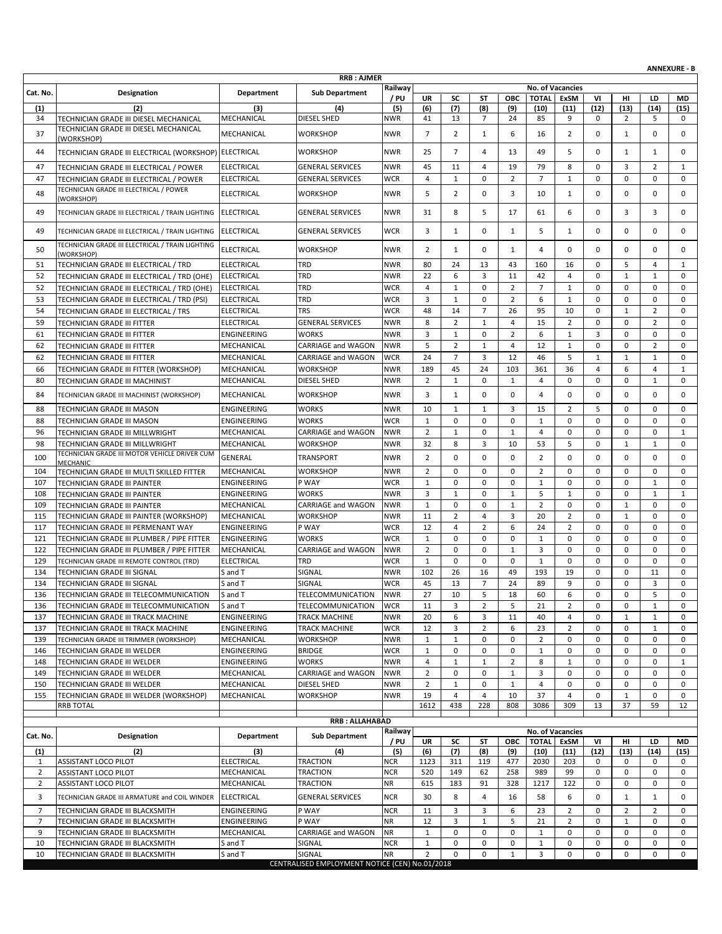| <b>RRB: AJMER</b><br>Railway<br>No. of Vacancies<br>Department<br><b>Sub Department</b><br>Cat. No.<br><b>Designation</b><br>/ PU<br><b>TOTAL</b><br><b>ExSM</b><br>UR<br>SC<br>ST<br><b>OBC</b><br>VI<br>нг<br>LD<br>MD<br>(2)<br>(6)<br>(7)<br>(12)<br>(13)<br>(1)<br>(5)<br>(8)<br>(10)<br>(11)<br>(14)<br>(15)<br>(3)<br>(4)<br>(9)<br>MECHANICAL<br><b>DIESEL SHED</b><br>41<br>13<br>24<br>85<br>9<br>2<br>34<br>TECHNICIAN GRADE III DIESEL MECHANICAL<br>NWR<br>7<br>0<br>5<br>$\mathbf 0$<br>TECHNICIAN GRADE III DIESEL MECHANICAL<br>$\overline{7}$<br>37<br>MECHANICAL<br><b>WORKSHOP</b><br><b>NWR</b><br>$\overline{2}$<br>6<br>$\overline{2}$<br>$\mathbf 0$<br>$\mathbf{1}$<br>$\mathbf 0$<br>0<br>1<br>16<br>(WORKSHOP)<br>$\overline{7}$<br>44<br>TECHNICIAN GRADE III ELECTRICAL (WORKSHOP) ELECTRICAL<br><b>WORKSHOP</b><br><b>NWR</b><br>25<br>$\overline{4}$<br>13<br>49<br>5<br>$\mathbf 0$<br>$\mathbf{1}$<br>$\mathbf{1}$<br>0<br>45<br>79<br>8<br>3<br>$\overline{2}$<br>$\mathbf{1}$<br>47<br><b>ELECTRICAL</b><br><b>GENERAL SERVICES</b><br><b>NWR</b><br>11<br>$\overline{4}$<br>19<br>$\mathbf 0$<br>TECHNICIAN GRADE III ELECTRICAL / POWER<br>$\overline{4}$<br>$\mathbf{1}$<br>$\mathbf 0$<br>$\overline{2}$<br>$\overline{7}$<br>$\mathbf 0$<br>$\mathbf 0$<br>$\mathbf 0$<br>$\mathbf 0$<br>47<br>TECHNICIAN GRADE III ELECTRICAL / POWER<br><b>ELECTRICAL</b><br><b>GENERAL SERVICES</b><br><b>WCR</b><br>$\mathbf{1}$<br>TECHNICIAN GRADE III ELECTRICAL / POWER<br>5<br>$\overline{2}$<br>48<br><b>ELECTRICAL</b><br><b>WORKSHOP</b><br><b>NWR</b><br>0<br>3<br>10<br>$\mathbf 0$<br>0<br>$\mathbf 0$<br>$\mathbf 0$<br>1<br>(WORKSHOP)<br>8<br>5<br>3<br>$\mathbf 0$<br>49<br>TECHNICIAN GRADE III ELECTRICAL / TRAIN LIGHTING ELECTRICAL<br><b>GENERAL SERVICES</b><br><b>NWR</b><br>31<br>17<br>6<br>$\mathbf 0$<br>3<br>61<br>TECHNICIAN GRADE III ELECTRICAL / TRAIN LIGHTING<br><b>ELECTRICAL</b><br><b>GENERAL SERVICES</b><br><b>WCR</b><br>3<br>$\mathbf{1}$<br>0<br>5<br>$\mathbf 0$<br>0<br>$\mathbf 0$<br>$\mathbf 0$<br>49<br>1<br>1<br>TECHNICIAN GRADE III ELECTRICAL / TRAIN LIGHTING<br><b>WORKSHOP</b><br><b>NWR</b><br>2<br>$\mathbf{1}$<br>0<br>0<br>$\mathbf 0$<br>0<br>$\mathbf 0$<br>0<br>50<br>ELECTRICAL<br>1<br>4<br>(WORKSHOP)<br><b>TRD</b><br>TECHNICIAN GRADE III ELECTRICAL / TRD<br><b>ELECTRICAL</b><br><b>NWR</b><br>80<br>24<br>13<br>43<br>160<br>16<br>$\mathbf 0$<br>5<br>$\overline{4}$<br>51<br>1<br>TRD<br>22<br>6<br>3<br>$\mathbf 0$<br>52<br>TECHNICIAN GRADE III ELECTRICAL / TRD (OHE)<br><b>ELECTRICAL</b><br><b>NWR</b><br>11<br>42<br>4<br>$\mathbf 0$<br>$\mathbf{1}$<br>$\mathbf{1}$<br>$\overline{4}$<br>$\mathbf{1}$<br>$\mathbf 0$<br>52<br><b>ELECTRICAL</b><br>TRD<br>WCR<br>0<br>2<br>$\overline{7}$<br>$\mathbf{1}$<br>$\mathbf 0$<br>$\mathbf 0$<br>$\mathbf 0$<br>TECHNICIAN GRADE III ELECTRICAL / TRD (OHE)<br>TRD<br>3<br>$\mathbf{1}$<br>$\mathbf 0$<br>$\overline{2}$<br>6<br>$\mathbf{1}$<br>$\mathbf 0$<br>$\mathbf 0$<br>$\mathbf 0$<br>$\mathbf 0$<br>53<br><b>ELECTRICAL</b><br><b>WCR</b><br>TECHNICIAN GRADE III ELECTRICAL / TRD (PSI)<br><b>WCR</b><br>48<br>54<br>TECHNICIAN GRADE III ELECTRICAL / TRS<br><b>ELECTRICAL</b><br><b>TRS</b><br>14<br>$\overline{7}$<br>26<br>95<br>10<br>$\mathbf 0$<br>$\mathbf{1}$<br>$\overline{2}$<br>$\mathbf 0$<br>$\overline{2}$<br>8<br>15<br>$\overline{2}$<br>$\mathbf 0$<br>$\mathbf 0$<br>$\overline{2}$<br>$\mathbf 0$<br>59<br><b>TECHNICIAN GRADE III FITTER</b><br><b>ELECTRICAL</b><br><b>GENERAL SERVICES</b><br><b>NWR</b><br>$\mathbf{1}$<br>$\overline{4}$<br>3<br>$\mathbf{1}$<br>$\overline{2}$<br>6<br>$\mathbf{1}$<br>3<br>$\mathbf 0$<br>$\mathbf 0$<br>61<br>ENGINEERING<br><b>WORKS</b><br><b>NWR</b><br>$\mathbf 0$<br>$\mathbf 0$<br>TECHNICIAN GRADE III FITTER<br>5<br>$\overline{2}$<br>12<br>$\mathbf 0$<br>$\mathbf 0$<br>62<br>MECHANICAL<br>CARRIAGE and WAGON<br><b>NWR</b><br>$\overline{4}$<br>$\mathbf{1}$<br>$\overline{2}$<br>$\mathbf 0$<br>TECHNICIAN GRADE III FITTER<br>1<br>$\overline{7}$<br><b>WCR</b><br>24<br>3<br>12<br>46<br>5<br>$\mathbf 0$<br>62<br>TECHNICIAN GRADE III FITTER<br>MECHANICAL<br>CARRIAGE and WAGON<br>$\mathbf{1}$<br>$\mathbf{1}$<br>$\mathbf{1}$<br>6<br>66<br>TECHNICIAN GRADE III FITTER (WORKSHOP)<br>MECHANICAL<br><b>WORKSHOP</b><br><b>NWR</b><br>189<br>45<br>24<br>103<br>361<br>36<br>4<br>4<br>$\mathbf{1}$<br>$\overline{2}$<br>$\mathbf{1}$<br>$\mathbf 0$<br>$\mathbf 0$<br>$\mathbf 0$<br>80<br>$\mathbf 0$<br>$\mathbf{1}$<br>4<br>$\mathbf 0$<br>MECHANICAL<br><b>DIESEL SHED</b><br>NWR<br>1<br>TECHNICIAN GRADE III MACHINIST<br>3<br><b>WORKSHOP</b><br>NWR<br>$\mathbf{1}$<br>0<br>$\mathbf 0$<br>0<br>$\mathbf 0$<br>0<br>$\mathbf 0$<br>0<br>84<br>MECHANICAL<br>4<br>TECHNICIAN GRADE III MACHINIST (WORKSHOP)<br>10<br>3<br>15<br>$\overline{2}$<br>5<br>$\mathbf 0$<br>$\mathbf 0$<br>88<br>ENGINEERING<br><b>WORKS</b><br><b>NWR</b><br>$\mathbf{1}$<br>$\mathbf{1}$<br>$\mathbf 0$<br>TECHNICIAN GRADE III MASON<br><b>WCR</b><br>$\mathbf{1}$<br>$\mathbf 0$<br>$\mathbf 0$<br>$\mathbf 0$<br>$\mathbf 0$<br>88<br>TECHNICIAN GRADE III MASON<br>ENGINEERING<br><b>WORKS</b><br>0<br>$\mathbf{1}$<br>$\mathbf 0$<br>$\mathbf 0$<br>0<br>$\overline{2}$<br>$\mathbf{1}$<br>$\mathbf 0$<br>$\mathbf{1}$<br>$\mathbf 0$<br>$\mathbf{1}$<br>96<br>TECHNICIAN GRADE III MILLWRIGHT<br>MECHANICAL<br>CARRIAGE and WAGON<br><b>NWR</b><br>$\overline{4}$<br>0<br>0<br>$\mathbf 0$<br>32<br>$\mathbf 0$<br>$\mathbf{1}$<br>98<br>MECHANICAL<br><b>WORKSHOP</b><br>NWR<br>8<br>3<br>10<br>53<br>5<br>$\mathbf{1}$<br>0<br>TECHNICIAN GRADE III MILLWRIGHT<br>TECHNICIAN GRADE III MOTOR VEHICLE DRIVER CUM<br>$\overline{2}$<br>$\mathbf 0$<br>$\overline{2}$<br>$\mathbf 0$<br>100<br>GENERAL<br><b>TRANSPORT</b><br><b>NWR</b><br>0<br>$\mathbf 0$<br>$\mathbf 0$<br>$\mathbf 0$<br>$\mathbf 0$<br>0<br>MECHANIC<br>$\overline{2}$<br>TECHNICIAN GRADE III MULTI SKILLED FITTER<br>MECHANICAL<br><b>WORKSHOP</b><br><b>NWR</b><br>$\mathbf 0$<br>0<br>$\mathbf 0$<br>$\overline{2}$<br>0<br>$\mathbf 0$<br>0<br>$\mathbf 0$<br>0<br>104<br>P WAY<br><b>WCR</b><br>$\mathbf{1}$<br>$\mathbf 0$<br>$\mathbf 0$<br>$\mathbf 0$<br>$\mathbf 0$<br>107<br>TECHNICIAN GRADE III PAINTER<br>ENGINEERING<br>$\mathbf 0$<br>$1\,$<br>$\mathbf 0$<br>$\mathbf{1}$<br>0<br>3<br>5<br>$\mathbf 0$<br>$\mathbf 0$<br>108<br>ENGINEERING<br><b>WORKS</b><br><b>NWR</b><br>$\mathbf{1}$<br>$\mathbf 0$<br>$\mathbf{1}$<br>$\mathbf{1}$<br>$\mathbf{1}$<br>TECHNICIAN GRADE III PAINTER<br>1<br>$\overline{2}$<br>TECHNICIAN GRADE III PAINTER<br>MECHANICAL<br><b>CARRIAGE and WAGON</b><br><b>NWR</b><br>$\mathbf{1}$<br>$\mathbf 0$<br>0<br>$\mathbf{1}$<br>0<br>$\mathbf 0$<br>$\mathbf{1}$<br>$\mathbf 0$<br>$\mathbf 0$<br>109<br>11<br>$\overline{2}$<br>$\mathbf 0$<br>115<br>TECHNICIAN GRADE III PAINTER (WORKSHOP)<br>MECHANICAL<br><b>WORKSHOP</b><br><b>NWR</b><br>$\overline{4}$<br>3<br>20<br>$\overline{2}$<br>$\mathbf{1}$<br>$\mathbf 0$<br>$\mathbf 0$<br>P WAY<br><b>WCR</b><br>12<br>$\overline{4}$<br>$\overline{2}$<br>6<br>$\overline{2}$<br>$\mathbf 0$<br>$\mathbf 0$<br>$\mathbf 0$<br>117<br><b>ENGINEERING</b><br>24<br>$\mathbf 0$<br>TECHNICIAN GRADE III PERMENANT WAY<br>121<br><b>ENGINEERING</b><br><b>WORKS</b><br><b>WCR</b><br>$\mathbf{1}$<br>$\mathbf 0$<br>0<br>0<br>$1\,$<br>0<br>0<br>0<br>$\mathbf 0$<br>0<br>TECHNICIAN GRADE III PLUMBER / PIPE FITTER<br>$\overline{2}$<br>$\mathbf 0$<br>$\mathbf 0$<br>122<br>TECHNICIAN GRADE III PLUMBER / PIPE FITTER<br>MECHANICAL<br><b>CARRIAGE and WAGON</b><br><b>NWR</b><br>$\mathbf 0$<br>$\mathbf 0$<br>3<br>$\mathbf 0$<br>$\mathbf 0$<br>0<br>1<br>$\mathbf{1}$<br>$\mathbf 0$<br>$\mathbf 0$<br>$\mathbf 0$<br>$\mathbf 0$<br>$\mathbf 0$<br>129<br><b>ELECTRICAL</b><br>TRD<br><b>WCR</b><br>$\mathbf 0$<br>$\mathbf{1}$<br>$\mathbf 0$<br>$\mathbf 0$<br>TECHNICIAN GRADE III REMOTE CONTROL (TRD)<br>SIGNAL<br>102<br>26<br>49<br>193<br>19<br>$\mathbf 0$<br>0<br>11<br>$\mathbf 0$<br>134<br>S and T<br><b>NWR</b><br>16<br>TECHNICIAN GRADE III SIGNAL<br>13<br>$\overline{7}$<br>$\mathbf 0$<br>$\mathbf 0$<br>3<br><b>WCR</b><br>45<br>24<br>89<br>9<br>$\mathbf 0$<br>134<br>TECHNICIAN GRADE III SIGNAL<br>S and T<br>SIGNAL<br>5<br>TECHNICIAN GRADE III TELECOMMUNICATION<br>TELECOMMUNICATION<br><b>NWR</b><br>27<br>5<br>18<br>0<br>0<br>136<br>S and T<br>10<br>60<br>6<br>0<br>3<br>$\overline{2}$<br>$\overline{2}$<br>0<br>$\mathbf 0$<br>TELECOMMUNICATION<br><b>WCR</b><br>11<br>5<br>21<br>$\mathbf{1}$<br>0<br>136<br>TECHNICIAN GRADE III TELECOMMUNICATION<br>S and T<br>20<br>6<br>3<br>11<br>40<br>$\mathbf{1}$<br>137<br>TECHNICIAN GRADE III TRACK MACHINE<br>ENGINEERING<br>TRACK MACHINE<br><b>NWR</b><br>4<br>0<br>$\mathbf{1}$<br>$\mathbf 0$<br>12<br>3<br>6<br>0<br>137<br>TECHNICIAN GRADE III TRACK MACHINE<br>ENGINEERING<br>TRACK MACHINE<br><b>WCR</b><br>2<br>23<br>2<br>0<br>0<br>$\mathbf{1}$<br>MECHANICAL<br><b>NWR</b><br>$\mathbf{1}$<br>$\mathbf{1}$<br>0<br>$\mathbf 0$<br>$\overline{2}$<br>0<br>$\pmb{0}$<br>TECHNICIAN GRADE III TRIMMER (WORKSHOP)<br><b>WORKSHOP</b><br>$\mathbf 0$<br>0<br>$\mathbf 0$<br>139<br>0<br>$\mathsf 0$<br>$\mathbf 0$<br>0<br>0<br>0<br>146<br>ENGINEERING<br><b>BRIDGE</b><br><b>WCR</b><br>$\mathbf{1}$<br>$1\,$<br>0<br>0<br>TECHNICIAN GRADE III WELDER<br>TECHNICIAN GRADE III WELDER<br>ENGINEERING<br><b>WORKS</b><br><b>NWR</b><br>4<br>$\mathbf{1}$<br>$\overline{2}$<br>8<br>$\pmb{0}$<br>148<br>$\mathbf{1}$<br>$\mathbf{1}$<br>0<br>0<br>$\mathbf{1}$<br>$\overline{2}$<br>0<br>149<br>TECHNICIAN GRADE III WELDER<br>MECHANICAL<br>CARRIAGE and WAGON<br><b>NWR</b><br>$\mathbf 0$<br>$\mathbf{1}$<br>3<br>0<br>0<br>0<br>0<br>$\mathbf 0$<br>$\overline{2}$<br>$\mathbf{1}$<br>$\mathbf 0$<br>150<br>MECHANICAL<br><b>DIESEL SHED</b><br><b>NWR</b><br>0<br>$\mathbf{1}$<br>4<br>0<br>0<br>$\mathbf 0$<br>0<br>TECHNICIAN GRADE III WELDER<br><b>WORKSHOP</b><br>19<br>$\overline{4}$<br>$\overline{4}$<br>10<br>37<br>$\mathsf{O}\xspace$<br>$\mathbf 1$<br>0<br>155<br>TECHNICIAN GRADE III WELDER (WORKSHOP)<br>MECHANICAL<br><b>NWR</b><br>4<br>0<br>1612<br>438<br>228<br>3086<br>309<br>13<br>37<br><b>RRB TOTAL</b><br>808<br>59<br>12<br><b>RRB: ALLAHABAD</b><br>Railway<br>No. of Vacancies<br>Designation<br>Department<br><b>Sub Department</b><br>Cat. No.<br><b>TOTAL</b><br>/ PU<br>UR<br>SC<br>ST<br>ОВС<br>ExSM<br>VI<br>HI<br>LD<br>MD<br>(7)<br>(12)<br>(1)<br>(2)<br>(3)<br>(4)<br>(5)<br>(6)<br>(8)<br>(9)<br>(10)<br>(11)<br>(13)<br>(14)<br>(15)<br><b>TRACTION</b><br>ELECTRICAL<br><b>NCR</b><br>2030<br>$\mathbf{1}$<br>ASSISTANT LOCO PILOT<br>1123<br>311<br>119<br>477<br>203<br>0<br>0<br>0<br>0<br>$\overline{2}$<br>62<br>0<br>0<br>ASSISTANT LOCO PILOT<br>MECHANICAL<br>TRACTION<br><b>NCR</b><br>520<br>149<br>258<br>989<br>99<br>0<br>0<br>$\overline{2}$<br>ASSISTANT LOCO PILOT<br>MECHANICAL<br>TRACTION<br>NR<br>615<br>183<br>91<br>328<br>1217<br>122<br>0<br>0<br>0<br>0<br>3<br>8<br>0<br><b>ELECTRICAL</b><br><b>GENERAL SERVICES</b><br><b>NCR</b><br>30<br>$\overline{4}$<br>16<br>58<br>6<br>$\mathbf{1}$<br>$\mathbf{1}$<br>$\mathbf 0$<br>TECHNICIAN GRADE III ARMATURE and COIL WINDER<br>$\overline{7}$<br>TECHNICIAN GRADE III BLACKSMITH<br><b>ENGINEERING</b><br>P WAY<br><b>NCR</b><br>3<br>23<br>$\overline{2}$<br>$\overline{2}$<br>$\overline{2}$<br>11<br>3<br>6<br>0<br>0<br>$\overline{7}$<br>P WAY<br><b>NR</b><br>12<br>3<br>5<br>$\overline{2}$<br>TECHNICIAN GRADE III BLACKSMITH<br>ENGINEERING<br>$\mathbf{1}$<br>21<br>0<br>$\mathbf{1}$<br>0<br>$\mathbf 0$<br>$\mathbf{1}$<br>0<br>0<br>9<br>MECHANICAL<br>CARRIAGE and WAGON<br>NR<br>0<br>0<br>0<br>$1\,$<br>0<br>$\mathbf 0$<br>0<br>TECHNICIAN GRADE III BLACKSMITH<br>$\mathbf{1}$<br>0<br>0<br>10<br>TECHNICIAN GRADE III BLACKSMITH<br>SIGNAL<br>0<br>0<br>$1\,$<br>0<br>0<br>0<br>0<br>S and T<br><b>NCR</b><br>SIGNAL<br>3<br>0<br>0<br>10<br>TECHNICIAN GRADE III BLACKSMITH<br><b>NR</b><br>2<br>$\mathbf 0$<br>0<br>$\mathbf{1}$<br>0<br>0<br>0<br>S and T<br>CENTRALISED EMPLOYMENT NOTICE (CEN) No.01/2018 |  |  |  |  |  |  |  | <b>ANNEXURE - B</b> |
|----------------------------------------------------------------------------------------------------------------------------------------------------------------------------------------------------------------------------------------------------------------------------------------------------------------------------------------------------------------------------------------------------------------------------------------------------------------------------------------------------------------------------------------------------------------------------------------------------------------------------------------------------------------------------------------------------------------------------------------------------------------------------------------------------------------------------------------------------------------------------------------------------------------------------------------------------------------------------------------------------------------------------------------------------------------------------------------------------------------------------------------------------------------------------------------------------------------------------------------------------------------------------------------------------------------------------------------------------------------------------------------------------------------------------------------------------------------------------------------------------------------------------------------------------------------------------------------------------------------------------------------------------------------------------------------------------------------------------------------------------------------------------------------------------------------------------------------------------------------------------------------------------------------------------------------------------------------------------------------------------------------------------------------------------------------------------------------------------------------------------------------------------------------------------------------------------------------------------------------------------------------------------------------------------------------------------------------------------------------------------------------------------------------------------------------------------------------------------------------------------------------------------------------------------------------------------------------------------------------------------------------------------------------------------------------------------------------------------------------------------------------------------------------------------------------------------------------------------------------------------------------------------------------------------------------------------------------------------------------------------------------------------------------------------------------------------------------------------------------------------------------------------------------------------------------------------------------------------------------------------------------------------------------------------------------------------------------------------------------------------------------------------------------------------------------------------------------------------------------------------------------------------------------------------------------------------------------------------------------------------------------------------------------------------------------------------------------------------------------------------------------------------------------------------------------------------------------------------------------------------------------------------------------------------------------------------------------------------------------------------------------------------------------------------------------------------------------------------------------------------------------------------------------------------------------------------------------------------------------------------------------------------------------------------------------------------------------------------------------------------------------------------------------------------------------------------------------------------------------------------------------------------------------------------------------------------------------------------------------------------------------------------------------------------------------------------------------------------------------------------------------------------------------------------------------------------------------------------------------------------------------------------------------------------------------------------------------------------------------------------------------------------------------------------------------------------------------------------------------------------------------------------------------------------------------------------------------------------------------------------------------------------------------------------------------------------------------------------------------------------------------------------------------------------------------------------------------------------------------------------------------------------------------------------------------------------------------------------------------------------------------------------------------------------------------------------------------------------------------------------------------------------------------------------------------------------------------------------------------------------------------------------------------------------------------------------------------------------------------------------------------------------------------------------------------------------------------------------------------------------------------------------------------------------------------------------------------------------------------------------------------------------------------------------------------------------------------------------------------------------------------------------------------------------------------------------------------------------------------------------------------------------------------------------------------------------------------------------------------------------------------------------------------------------------------------------------------------------------------------------------------------------------------------------------------------------------------------------------------------------------------------------------------------------------------------------------------------------------------------------------------------------------------------------------------------------------------------------------------------------------------------------------------------------------------------------------------------------------------------------------------------------------------------------------------------------------------------------------------------------------------------------------------------------------------------------------------------------------------------------------------------------------------------------------------------------------------------------------------------------------------------------------------------------------------------------------------------------------------------------------------------------------------------------------------------------------------------------------------------------------------------------------------------------------------------------------------------------------------------------------------------------------------------------------------------------------------------------------------------------------------------------------------------------------------------------------------------------------------------------------------------------------------------------------------------------------------------------------------------------------------------------------------------------------------------------------------------------------------------------------------------------------------------------------------------------------------------------------------------------------------------------------------------------------------------------------------------------------------------------------------------------------------------------------------------------------------------------------------------------------------------------------------------------------------------------------------------------------------------------------------------------------------------------------------------------------------------------------------------------------------------------------------------------------------------------------------------------------------------------------------------------------------------------------------------------------------------------------------------------------------------------------------------------------------------------------------------------------------------------------------------------------------------------------------------------------------------------------------------------------------------------------------------------------------------------------------------------------------------------------------------------------------------------------------------------------------------------------------------------------------------------------------------------------------------------------------------------------------------------------------------------------------------------------------------------------------------------------------------------------------------------------------------------------------------------------------------------------------------------------------------------------------------------------------------------------------------------------------------------------------------------------------------------------------------------------------------------------------------------------------------------------------------------------------------------------------------------------------------------------------------------------------------------------------------------------------------------------------------------------------------------------------------------------------------------------------------------------------------------------------------------------------------------------------------------------------------------------------------------------------------------------------------------------------------------------------------------------------------------------------------------------------------------------------------------------------------------------------------------------------------------------------------------------------------------------------------------------------------------------------------------------------------------------------------------------------------------------------------------------------------------------------------------------------------------------------------------------------------------------------------------------------------------------------------------------------------------------------------------------------------------------------------------------------------------------------------------------------------------------------------------------------------------------------------------------------------------------------------------------------------------------------------------------------------------------------------------------------------------------------------------------------------------------------------------------------------------------------------------------------------------------|--|--|--|--|--|--|--|---------------------|
|                                                                                                                                                                                                                                                                                                                                                                                                                                                                                                                                                                                                                                                                                                                                                                                                                                                                                                                                                                                                                                                                                                                                                                                                                                                                                                                                                                                                                                                                                                                                                                                                                                                                                                                                                                                                                                                                                                                                                                                                                                                                                                                                                                                                                                                                                                                                                                                                                                                                                                                                                                                                                                                                                                                                                                                                                                                                                                                                                                                                                                                                                                                                                                                                                                                                                                                                                                                                                                                                                                                                                                                                                                                                                                                                                                                                                                                                                                                                                                                                                                                                                                                                                                                                                                                                                                                                                                                                                                                                                                                                                                                                                                                                                                                                                                                                                                                                                                                                                                                                                                                                                                                                                                                                                                                                                                                                                                                                                                                                                                                                                                                                                                                                                                                                                                                                                                                                                                                                                                                                                                                                                                                                                                                                                                                                                                                                                                                                                                                                                                                                                                                                                                                                                                                                                                                                                                                                                                                                                                                                                                                                                                                                                                                                                                                                                                                                                                                                                                                                                                                                                                                                                                                                                                                                                                                                                                                                                                                                                                                                                                                                                                                                                                                                                                                                                                                                                                                                                                                                                                                                                                                                                                                                                                                                                                                                                                                                                                                                                                                                                                                                                                                                                                                                                                                                                                                                                                                                                                                                                                                                                                                                                                                                                                                                                                                                                                                                                                                                                                                                                                                                                                                                                                                                                                                                                                                                                                                                                                                                                                                                                                                                                                                                                                                                                                                                                                                                                                                                                                                                                                                                                                                                                                                                                                                                                                                                                                                                                                                                                                                                                                                                                                                                                                                                                                                                                                                                                                                                                                                                                                                                                                                                                                                                                                                                                  |  |  |  |  |  |  |  |                     |
|                                                                                                                                                                                                                                                                                                                                                                                                                                                                                                                                                                                                                                                                                                                                                                                                                                                                                                                                                                                                                                                                                                                                                                                                                                                                                                                                                                                                                                                                                                                                                                                                                                                                                                                                                                                                                                                                                                                                                                                                                                                                                                                                                                                                                                                                                                                                                                                                                                                                                                                                                                                                                                                                                                                                                                                                                                                                                                                                                                                                                                                                                                                                                                                                                                                                                                                                                                                                                                                                                                                                                                                                                                                                                                                                                                                                                                                                                                                                                                                                                                                                                                                                                                                                                                                                                                                                                                                                                                                                                                                                                                                                                                                                                                                                                                                                                                                                                                                                                                                                                                                                                                                                                                                                                                                                                                                                                                                                                                                                                                                                                                                                                                                                                                                                                                                                                                                                                                                                                                                                                                                                                                                                                                                                                                                                                                                                                                                                                                                                                                                                                                                                                                                                                                                                                                                                                                                                                                                                                                                                                                                                                                                                                                                                                                                                                                                                                                                                                                                                                                                                                                                                                                                                                                                                                                                                                                                                                                                                                                                                                                                                                                                                                                                                                                                                                                                                                                                                                                                                                                                                                                                                                                                                                                                                                                                                                                                                                                                                                                                                                                                                                                                                                                                                                                                                                                                                                                                                                                                                                                                                                                                                                                                                                                                                                                                                                                                                                                                                                                                                                                                                                                                                                                                                                                                                                                                                                                                                                                                                                                                                                                                                                                                                                                                                                                                                                                                                                                                                                                                                                                                                                                                                                                                                                                                                                                                                                                                                                                                                                                                                                                                                                                                                                                                                                                                                                                                                                                                                                                                                                                                                                                                                                                                                                                                                                  |  |  |  |  |  |  |  |                     |
|                                                                                                                                                                                                                                                                                                                                                                                                                                                                                                                                                                                                                                                                                                                                                                                                                                                                                                                                                                                                                                                                                                                                                                                                                                                                                                                                                                                                                                                                                                                                                                                                                                                                                                                                                                                                                                                                                                                                                                                                                                                                                                                                                                                                                                                                                                                                                                                                                                                                                                                                                                                                                                                                                                                                                                                                                                                                                                                                                                                                                                                                                                                                                                                                                                                                                                                                                                                                                                                                                                                                                                                                                                                                                                                                                                                                                                                                                                                                                                                                                                                                                                                                                                                                                                                                                                                                                                                                                                                                                                                                                                                                                                                                                                                                                                                                                                                                                                                                                                                                                                                                                                                                                                                                                                                                                                                                                                                                                                                                                                                                                                                                                                                                                                                                                                                                                                                                                                                                                                                                                                                                                                                                                                                                                                                                                                                                                                                                                                                                                                                                                                                                                                                                                                                                                                                                                                                                                                                                                                                                                                                                                                                                                                                                                                                                                                                                                                                                                                                                                                                                                                                                                                                                                                                                                                                                                                                                                                                                                                                                                                                                                                                                                                                                                                                                                                                                                                                                                                                                                                                                                                                                                                                                                                                                                                                                                                                                                                                                                                                                                                                                                                                                                                                                                                                                                                                                                                                                                                                                                                                                                                                                                                                                                                                                                                                                                                                                                                                                                                                                                                                                                                                                                                                                                                                                                                                                                                                                                                                                                                                                                                                                                                                                                                                                                                                                                                                                                                                                                                                                                                                                                                                                                                                                                                                                                                                                                                                                                                                                                                                                                                                                                                                                                                                                                                                                                                                                                                                                                                                                                                                                                                                                                                                                                                                                                  |  |  |  |  |  |  |  |                     |
|                                                                                                                                                                                                                                                                                                                                                                                                                                                                                                                                                                                                                                                                                                                                                                                                                                                                                                                                                                                                                                                                                                                                                                                                                                                                                                                                                                                                                                                                                                                                                                                                                                                                                                                                                                                                                                                                                                                                                                                                                                                                                                                                                                                                                                                                                                                                                                                                                                                                                                                                                                                                                                                                                                                                                                                                                                                                                                                                                                                                                                                                                                                                                                                                                                                                                                                                                                                                                                                                                                                                                                                                                                                                                                                                                                                                                                                                                                                                                                                                                                                                                                                                                                                                                                                                                                                                                                                                                                                                                                                                                                                                                                                                                                                                                                                                                                                                                                                                                                                                                                                                                                                                                                                                                                                                                                                                                                                                                                                                                                                                                                                                                                                                                                                                                                                                                                                                                                                                                                                                                                                                                                                                                                                                                                                                                                                                                                                                                                                                                                                                                                                                                                                                                                                                                                                                                                                                                                                                                                                                                                                                                                                                                                                                                                                                                                                                                                                                                                                                                                                                                                                                                                                                                                                                                                                                                                                                                                                                                                                                                                                                                                                                                                                                                                                                                                                                                                                                                                                                                                                                                                                                                                                                                                                                                                                                                                                                                                                                                                                                                                                                                                                                                                                                                                                                                                                                                                                                                                                                                                                                                                                                                                                                                                                                                                                                                                                                                                                                                                                                                                                                                                                                                                                                                                                                                                                                                                                                                                                                                                                                                                                                                                                                                                                                                                                                                                                                                                                                                                                                                                                                                                                                                                                                                                                                                                                                                                                                                                                                                                                                                                                                                                                                                                                                                                                                                                                                                                                                                                                                                                                                                                                                                                                                                                                                                  |  |  |  |  |  |  |  |                     |
|                                                                                                                                                                                                                                                                                                                                                                                                                                                                                                                                                                                                                                                                                                                                                                                                                                                                                                                                                                                                                                                                                                                                                                                                                                                                                                                                                                                                                                                                                                                                                                                                                                                                                                                                                                                                                                                                                                                                                                                                                                                                                                                                                                                                                                                                                                                                                                                                                                                                                                                                                                                                                                                                                                                                                                                                                                                                                                                                                                                                                                                                                                                                                                                                                                                                                                                                                                                                                                                                                                                                                                                                                                                                                                                                                                                                                                                                                                                                                                                                                                                                                                                                                                                                                                                                                                                                                                                                                                                                                                                                                                                                                                                                                                                                                                                                                                                                                                                                                                                                                                                                                                                                                                                                                                                                                                                                                                                                                                                                                                                                                                                                                                                                                                                                                                                                                                                                                                                                                                                                                                                                                                                                                                                                                                                                                                                                                                                                                                                                                                                                                                                                                                                                                                                                                                                                                                                                                                                                                                                                                                                                                                                                                                                                                                                                                                                                                                                                                                                                                                                                                                                                                                                                                                                                                                                                                                                                                                                                                                                                                                                                                                                                                                                                                                                                                                                                                                                                                                                                                                                                                                                                                                                                                                                                                                                                                                                                                                                                                                                                                                                                                                                                                                                                                                                                                                                                                                                                                                                                                                                                                                                                                                                                                                                                                                                                                                                                                                                                                                                                                                                                                                                                                                                                                                                                                                                                                                                                                                                                                                                                                                                                                                                                                                                                                                                                                                                                                                                                                                                                                                                                                                                                                                                                                                                                                                                                                                                                                                                                                                                                                                                                                                                                                                                                                                                                                                                                                                                                                                                                                                                                                                                                                                                                                                                                                  |  |  |  |  |  |  |  |                     |
|                                                                                                                                                                                                                                                                                                                                                                                                                                                                                                                                                                                                                                                                                                                                                                                                                                                                                                                                                                                                                                                                                                                                                                                                                                                                                                                                                                                                                                                                                                                                                                                                                                                                                                                                                                                                                                                                                                                                                                                                                                                                                                                                                                                                                                                                                                                                                                                                                                                                                                                                                                                                                                                                                                                                                                                                                                                                                                                                                                                                                                                                                                                                                                                                                                                                                                                                                                                                                                                                                                                                                                                                                                                                                                                                                                                                                                                                                                                                                                                                                                                                                                                                                                                                                                                                                                                                                                                                                                                                                                                                                                                                                                                                                                                                                                                                                                                                                                                                                                                                                                                                                                                                                                                                                                                                                                                                                                                                                                                                                                                                                                                                                                                                                                                                                                                                                                                                                                                                                                                                                                                                                                                                                                                                                                                                                                                                                                                                                                                                                                                                                                                                                                                                                                                                                                                                                                                                                                                                                                                                                                                                                                                                                                                                                                                                                                                                                                                                                                                                                                                                                                                                                                                                                                                                                                                                                                                                                                                                                                                                                                                                                                                                                                                                                                                                                                                                                                                                                                                                                                                                                                                                                                                                                                                                                                                                                                                                                                                                                                                                                                                                                                                                                                                                                                                                                                                                                                                                                                                                                                                                                                                                                                                                                                                                                                                                                                                                                                                                                                                                                                                                                                                                                                                                                                                                                                                                                                                                                                                                                                                                                                                                                                                                                                                                                                                                                                                                                                                                                                                                                                                                                                                                                                                                                                                                                                                                                                                                                                                                                                                                                                                                                                                                                                                                                                                                                                                                                                                                                                                                                                                                                                                                                                                                                                                                                  |  |  |  |  |  |  |  |                     |
|                                                                                                                                                                                                                                                                                                                                                                                                                                                                                                                                                                                                                                                                                                                                                                                                                                                                                                                                                                                                                                                                                                                                                                                                                                                                                                                                                                                                                                                                                                                                                                                                                                                                                                                                                                                                                                                                                                                                                                                                                                                                                                                                                                                                                                                                                                                                                                                                                                                                                                                                                                                                                                                                                                                                                                                                                                                                                                                                                                                                                                                                                                                                                                                                                                                                                                                                                                                                                                                                                                                                                                                                                                                                                                                                                                                                                                                                                                                                                                                                                                                                                                                                                                                                                                                                                                                                                                                                                                                                                                                                                                                                                                                                                                                                                                                                                                                                                                                                                                                                                                                                                                                                                                                                                                                                                                                                                                                                                                                                                                                                                                                                                                                                                                                                                                                                                                                                                                                                                                                                                                                                                                                                                                                                                                                                                                                                                                                                                                                                                                                                                                                                                                                                                                                                                                                                                                                                                                                                                                                                                                                                                                                                                                                                                                                                                                                                                                                                                                                                                                                                                                                                                                                                                                                                                                                                                                                                                                                                                                                                                                                                                                                                                                                                                                                                                                                                                                                                                                                                                                                                                                                                                                                                                                                                                                                                                                                                                                                                                                                                                                                                                                                                                                                                                                                                                                                                                                                                                                                                                                                                                                                                                                                                                                                                                                                                                                                                                                                                                                                                                                                                                                                                                                                                                                                                                                                                                                                                                                                                                                                                                                                                                                                                                                                                                                                                                                                                                                                                                                                                                                                                                                                                                                                                                                                                                                                                                                                                                                                                                                                                                                                                                                                                                                                                                                                                                                                                                                                                                                                                                                                                                                                                                                                                                                                                                  |  |  |  |  |  |  |  |                     |
|                                                                                                                                                                                                                                                                                                                                                                                                                                                                                                                                                                                                                                                                                                                                                                                                                                                                                                                                                                                                                                                                                                                                                                                                                                                                                                                                                                                                                                                                                                                                                                                                                                                                                                                                                                                                                                                                                                                                                                                                                                                                                                                                                                                                                                                                                                                                                                                                                                                                                                                                                                                                                                                                                                                                                                                                                                                                                                                                                                                                                                                                                                                                                                                                                                                                                                                                                                                                                                                                                                                                                                                                                                                                                                                                                                                                                                                                                                                                                                                                                                                                                                                                                                                                                                                                                                                                                                                                                                                                                                                                                                                                                                                                                                                                                                                                                                                                                                                                                                                                                                                                                                                                                                                                                                                                                                                                                                                                                                                                                                                                                                                                                                                                                                                                                                                                                                                                                                                                                                                                                                                                                                                                                                                                                                                                                                                                                                                                                                                                                                                                                                                                                                                                                                                                                                                                                                                                                                                                                                                                                                                                                                                                                                                                                                                                                                                                                                                                                                                                                                                                                                                                                                                                                                                                                                                                                                                                                                                                                                                                                                                                                                                                                                                                                                                                                                                                                                                                                                                                                                                                                                                                                                                                                                                                                                                                                                                                                                                                                                                                                                                                                                                                                                                                                                                                                                                                                                                                                                                                                                                                                                                                                                                                                                                                                                                                                                                                                                                                                                                                                                                                                                                                                                                                                                                                                                                                                                                                                                                                                                                                                                                                                                                                                                                                                                                                                                                                                                                                                                                                                                                                                                                                                                                                                                                                                                                                                                                                                                                                                                                                                                                                                                                                                                                                                                                                                                                                                                                                                                                                                                                                                                                                                                                                                                                                                  |  |  |  |  |  |  |  |                     |
|                                                                                                                                                                                                                                                                                                                                                                                                                                                                                                                                                                                                                                                                                                                                                                                                                                                                                                                                                                                                                                                                                                                                                                                                                                                                                                                                                                                                                                                                                                                                                                                                                                                                                                                                                                                                                                                                                                                                                                                                                                                                                                                                                                                                                                                                                                                                                                                                                                                                                                                                                                                                                                                                                                                                                                                                                                                                                                                                                                                                                                                                                                                                                                                                                                                                                                                                                                                                                                                                                                                                                                                                                                                                                                                                                                                                                                                                                                                                                                                                                                                                                                                                                                                                                                                                                                                                                                                                                                                                                                                                                                                                                                                                                                                                                                                                                                                                                                                                                                                                                                                                                                                                                                                                                                                                                                                                                                                                                                                                                                                                                                                                                                                                                                                                                                                                                                                                                                                                                                                                                                                                                                                                                                                                                                                                                                                                                                                                                                                                                                                                                                                                                                                                                                                                                                                                                                                                                                                                                                                                                                                                                                                                                                                                                                                                                                                                                                                                                                                                                                                                                                                                                                                                                                                                                                                                                                                                                                                                                                                                                                                                                                                                                                                                                                                                                                                                                                                                                                                                                                                                                                                                                                                                                                                                                                                                                                                                                                                                                                                                                                                                                                                                                                                                                                                                                                                                                                                                                                                                                                                                                                                                                                                                                                                                                                                                                                                                                                                                                                                                                                                                                                                                                                                                                                                                                                                                                                                                                                                                                                                                                                                                                                                                                                                                                                                                                                                                                                                                                                                                                                                                                                                                                                                                                                                                                                                                                                                                                                                                                                                                                                                                                                                                                                                                                                                                                                                                                                                                                                                                                                                                                                                                                                                                                                                                                  |  |  |  |  |  |  |  |                     |
|                                                                                                                                                                                                                                                                                                                                                                                                                                                                                                                                                                                                                                                                                                                                                                                                                                                                                                                                                                                                                                                                                                                                                                                                                                                                                                                                                                                                                                                                                                                                                                                                                                                                                                                                                                                                                                                                                                                                                                                                                                                                                                                                                                                                                                                                                                                                                                                                                                                                                                                                                                                                                                                                                                                                                                                                                                                                                                                                                                                                                                                                                                                                                                                                                                                                                                                                                                                                                                                                                                                                                                                                                                                                                                                                                                                                                                                                                                                                                                                                                                                                                                                                                                                                                                                                                                                                                                                                                                                                                                                                                                                                                                                                                                                                                                                                                                                                                                                                                                                                                                                                                                                                                                                                                                                                                                                                                                                                                                                                                                                                                                                                                                                                                                                                                                                                                                                                                                                                                                                                                                                                                                                                                                                                                                                                                                                                                                                                                                                                                                                                                                                                                                                                                                                                                                                                                                                                                                                                                                                                                                                                                                                                                                                                                                                                                                                                                                                                                                                                                                                                                                                                                                                                                                                                                                                                                                                                                                                                                                                                                                                                                                                                                                                                                                                                                                                                                                                                                                                                                                                                                                                                                                                                                                                                                                                                                                                                                                                                                                                                                                                                                                                                                                                                                                                                                                                                                                                                                                                                                                                                                                                                                                                                                                                                                                                                                                                                                                                                                                                                                                                                                                                                                                                                                                                                                                                                                                                                                                                                                                                                                                                                                                                                                                                                                                                                                                                                                                                                                                                                                                                                                                                                                                                                                                                                                                                                                                                                                                                                                                                                                                                                                                                                                                                                                                                                                                                                                                                                                                                                                                                                                                                                                                                                                                                                                  |  |  |  |  |  |  |  |                     |
|                                                                                                                                                                                                                                                                                                                                                                                                                                                                                                                                                                                                                                                                                                                                                                                                                                                                                                                                                                                                                                                                                                                                                                                                                                                                                                                                                                                                                                                                                                                                                                                                                                                                                                                                                                                                                                                                                                                                                                                                                                                                                                                                                                                                                                                                                                                                                                                                                                                                                                                                                                                                                                                                                                                                                                                                                                                                                                                                                                                                                                                                                                                                                                                                                                                                                                                                                                                                                                                                                                                                                                                                                                                                                                                                                                                                                                                                                                                                                                                                                                                                                                                                                                                                                                                                                                                                                                                                                                                                                                                                                                                                                                                                                                                                                                                                                                                                                                                                                                                                                                                                                                                                                                                                                                                                                                                                                                                                                                                                                                                                                                                                                                                                                                                                                                                                                                                                                                                                                                                                                                                                                                                                                                                                                                                                                                                                                                                                                                                                                                                                                                                                                                                                                                                                                                                                                                                                                                                                                                                                                                                                                                                                                                                                                                                                                                                                                                                                                                                                                                                                                                                                                                                                                                                                                                                                                                                                                                                                                                                                                                                                                                                                                                                                                                                                                                                                                                                                                                                                                                                                                                                                                                                                                                                                                                                                                                                                                                                                                                                                                                                                                                                                                                                                                                                                                                                                                                                                                                                                                                                                                                                                                                                                                                                                                                                                                                                                                                                                                                                                                                                                                                                                                                                                                                                                                                                                                                                                                                                                                                                                                                                                                                                                                                                                                                                                                                                                                                                                                                                                                                                                                                                                                                                                                                                                                                                                                                                                                                                                                                                                                                                                                                                                                                                                                                                                                                                                                                                                                                                                                                                                                                                                                                                                                                                                                  |  |  |  |  |  |  |  |                     |
|                                                                                                                                                                                                                                                                                                                                                                                                                                                                                                                                                                                                                                                                                                                                                                                                                                                                                                                                                                                                                                                                                                                                                                                                                                                                                                                                                                                                                                                                                                                                                                                                                                                                                                                                                                                                                                                                                                                                                                                                                                                                                                                                                                                                                                                                                                                                                                                                                                                                                                                                                                                                                                                                                                                                                                                                                                                                                                                                                                                                                                                                                                                                                                                                                                                                                                                                                                                                                                                                                                                                                                                                                                                                                                                                                                                                                                                                                                                                                                                                                                                                                                                                                                                                                                                                                                                                                                                                                                                                                                                                                                                                                                                                                                                                                                                                                                                                                                                                                                                                                                                                                                                                                                                                                                                                                                                                                                                                                                                                                                                                                                                                                                                                                                                                                                                                                                                                                                                                                                                                                                                                                                                                                                                                                                                                                                                                                                                                                                                                                                                                                                                                                                                                                                                                                                                                                                                                                                                                                                                                                                                                                                                                                                                                                                                                                                                                                                                                                                                                                                                                                                                                                                                                                                                                                                                                                                                                                                                                                                                                                                                                                                                                                                                                                                                                                                                                                                                                                                                                                                                                                                                                                                                                                                                                                                                                                                                                                                                                                                                                                                                                                                                                                                                                                                                                                                                                                                                                                                                                                                                                                                                                                                                                                                                                                                                                                                                                                                                                                                                                                                                                                                                                                                                                                                                                                                                                                                                                                                                                                                                                                                                                                                                                                                                                                                                                                                                                                                                                                                                                                                                                                                                                                                                                                                                                                                                                                                                                                                                                                                                                                                                                                                                                                                                                                                                                                                                                                                                                                                                                                                                                                                                                                                                                                                                                                  |  |  |  |  |  |  |  |                     |
|                                                                                                                                                                                                                                                                                                                                                                                                                                                                                                                                                                                                                                                                                                                                                                                                                                                                                                                                                                                                                                                                                                                                                                                                                                                                                                                                                                                                                                                                                                                                                                                                                                                                                                                                                                                                                                                                                                                                                                                                                                                                                                                                                                                                                                                                                                                                                                                                                                                                                                                                                                                                                                                                                                                                                                                                                                                                                                                                                                                                                                                                                                                                                                                                                                                                                                                                                                                                                                                                                                                                                                                                                                                                                                                                                                                                                                                                                                                                                                                                                                                                                                                                                                                                                                                                                                                                                                                                                                                                                                                                                                                                                                                                                                                                                                                                                                                                                                                                                                                                                                                                                                                                                                                                                                                                                                                                                                                                                                                                                                                                                                                                                                                                                                                                                                                                                                                                                                                                                                                                                                                                                                                                                                                                                                                                                                                                                                                                                                                                                                                                                                                                                                                                                                                                                                                                                                                                                                                                                                                                                                                                                                                                                                                                                                                                                                                                                                                                                                                                                                                                                                                                                                                                                                                                                                                                                                                                                                                                                                                                                                                                                                                                                                                                                                                                                                                                                                                                                                                                                                                                                                                                                                                                                                                                                                                                                                                                                                                                                                                                                                                                                                                                                                                                                                                                                                                                                                                                                                                                                                                                                                                                                                                                                                                                                                                                                                                                                                                                                                                                                                                                                                                                                                                                                                                                                                                                                                                                                                                                                                                                                                                                                                                                                                                                                                                                                                                                                                                                                                                                                                                                                                                                                                                                                                                                                                                                                                                                                                                                                                                                                                                                                                                                                                                                                                                                                                                                                                                                                                                                                                                                                                                                                                                                                                                                                  |  |  |  |  |  |  |  |                     |
|                                                                                                                                                                                                                                                                                                                                                                                                                                                                                                                                                                                                                                                                                                                                                                                                                                                                                                                                                                                                                                                                                                                                                                                                                                                                                                                                                                                                                                                                                                                                                                                                                                                                                                                                                                                                                                                                                                                                                                                                                                                                                                                                                                                                                                                                                                                                                                                                                                                                                                                                                                                                                                                                                                                                                                                                                                                                                                                                                                                                                                                                                                                                                                                                                                                                                                                                                                                                                                                                                                                                                                                                                                                                                                                                                                                                                                                                                                                                                                                                                                                                                                                                                                                                                                                                                                                                                                                                                                                                                                                                                                                                                                                                                                                                                                                                                                                                                                                                                                                                                                                                                                                                                                                                                                                                                                                                                                                                                                                                                                                                                                                                                                                                                                                                                                                                                                                                                                                                                                                                                                                                                                                                                                                                                                                                                                                                                                                                                                                                                                                                                                                                                                                                                                                                                                                                                                                                                                                                                                                                                                                                                                                                                                                                                                                                                                                                                                                                                                                                                                                                                                                                                                                                                                                                                                                                                                                                                                                                                                                                                                                                                                                                                                                                                                                                                                                                                                                                                                                                                                                                                                                                                                                                                                                                                                                                                                                                                                                                                                                                                                                                                                                                                                                                                                                                                                                                                                                                                                                                                                                                                                                                                                                                                                                                                                                                                                                                                                                                                                                                                                                                                                                                                                                                                                                                                                                                                                                                                                                                                                                                                                                                                                                                                                                                                                                                                                                                                                                                                                                                                                                                                                                                                                                                                                                                                                                                                                                                                                                                                                                                                                                                                                                                                                                                                                                                                                                                                                                                                                                                                                                                                                                                                                                                                                                                                  |  |  |  |  |  |  |  |                     |
|                                                                                                                                                                                                                                                                                                                                                                                                                                                                                                                                                                                                                                                                                                                                                                                                                                                                                                                                                                                                                                                                                                                                                                                                                                                                                                                                                                                                                                                                                                                                                                                                                                                                                                                                                                                                                                                                                                                                                                                                                                                                                                                                                                                                                                                                                                                                                                                                                                                                                                                                                                                                                                                                                                                                                                                                                                                                                                                                                                                                                                                                                                                                                                                                                                                                                                                                                                                                                                                                                                                                                                                                                                                                                                                                                                                                                                                                                                                                                                                                                                                                                                                                                                                                                                                                                                                                                                                                                                                                                                                                                                                                                                                                                                                                                                                                                                                                                                                                                                                                                                                                                                                                                                                                                                                                                                                                                                                                                                                                                                                                                                                                                                                                                                                                                                                                                                                                                                                                                                                                                                                                                                                                                                                                                                                                                                                                                                                                                                                                                                                                                                                                                                                                                                                                                                                                                                                                                                                                                                                                                                                                                                                                                                                                                                                                                                                                                                                                                                                                                                                                                                                                                                                                                                                                                                                                                                                                                                                                                                                                                                                                                                                                                                                                                                                                                                                                                                                                                                                                                                                                                                                                                                                                                                                                                                                                                                                                                                                                                                                                                                                                                                                                                                                                                                                                                                                                                                                                                                                                                                                                                                                                                                                                                                                                                                                                                                                                                                                                                                                                                                                                                                                                                                                                                                                                                                                                                                                                                                                                                                                                                                                                                                                                                                                                                                                                                                                                                                                                                                                                                                                                                                                                                                                                                                                                                                                                                                                                                                                                                                                                                                                                                                                                                                                                                                                                                                                                                                                                                                                                                                                                                                                                                                                                                                                                                  |  |  |  |  |  |  |  |                     |
|                                                                                                                                                                                                                                                                                                                                                                                                                                                                                                                                                                                                                                                                                                                                                                                                                                                                                                                                                                                                                                                                                                                                                                                                                                                                                                                                                                                                                                                                                                                                                                                                                                                                                                                                                                                                                                                                                                                                                                                                                                                                                                                                                                                                                                                                                                                                                                                                                                                                                                                                                                                                                                                                                                                                                                                                                                                                                                                                                                                                                                                                                                                                                                                                                                                                                                                                                                                                                                                                                                                                                                                                                                                                                                                                                                                                                                                                                                                                                                                                                                                                                                                                                                                                                                                                                                                                                                                                                                                                                                                                                                                                                                                                                                                                                                                                                                                                                                                                                                                                                                                                                                                                                                                                                                                                                                                                                                                                                                                                                                                                                                                                                                                                                                                                                                                                                                                                                                                                                                                                                                                                                                                                                                                                                                                                                                                                                                                                                                                                                                                                                                                                                                                                                                                                                                                                                                                                                                                                                                                                                                                                                                                                                                                                                                                                                                                                                                                                                                                                                                                                                                                                                                                                                                                                                                                                                                                                                                                                                                                                                                                                                                                                                                                                                                                                                                                                                                                                                                                                                                                                                                                                                                                                                                                                                                                                                                                                                                                                                                                                                                                                                                                                                                                                                                                                                                                                                                                                                                                                                                                                                                                                                                                                                                                                                                                                                                                                                                                                                                                                                                                                                                                                                                                                                                                                                                                                                                                                                                                                                                                                                                                                                                                                                                                                                                                                                                                                                                                                                                                                                                                                                                                                                                                                                                                                                                                                                                                                                                                                                                                                                                                                                                                                                                                                                                                                                                                                                                                                                                                                                                                                                                                                                                                                                                                                                  |  |  |  |  |  |  |  |                     |
|                                                                                                                                                                                                                                                                                                                                                                                                                                                                                                                                                                                                                                                                                                                                                                                                                                                                                                                                                                                                                                                                                                                                                                                                                                                                                                                                                                                                                                                                                                                                                                                                                                                                                                                                                                                                                                                                                                                                                                                                                                                                                                                                                                                                                                                                                                                                                                                                                                                                                                                                                                                                                                                                                                                                                                                                                                                                                                                                                                                                                                                                                                                                                                                                                                                                                                                                                                                                                                                                                                                                                                                                                                                                                                                                                                                                                                                                                                                                                                                                                                                                                                                                                                                                                                                                                                                                                                                                                                                                                                                                                                                                                                                                                                                                                                                                                                                                                                                                                                                                                                                                                                                                                                                                                                                                                                                                                                                                                                                                                                                                                                                                                                                                                                                                                                                                                                                                                                                                                                                                                                                                                                                                                                                                                                                                                                                                                                                                                                                                                                                                                                                                                                                                                                                                                                                                                                                                                                                                                                                                                                                                                                                                                                                                                                                                                                                                                                                                                                                                                                                                                                                                                                                                                                                                                                                                                                                                                                                                                                                                                                                                                                                                                                                                                                                                                                                                                                                                                                                                                                                                                                                                                                                                                                                                                                                                                                                                                                                                                                                                                                                                                                                                                                                                                                                                                                                                                                                                                                                                                                                                                                                                                                                                                                                                                                                                                                                                                                                                                                                                                                                                                                                                                                                                                                                                                                                                                                                                                                                                                                                                                                                                                                                                                                                                                                                                                                                                                                                                                                                                                                                                                                                                                                                                                                                                                                                                                                                                                                                                                                                                                                                                                                                                                                                                                                                                                                                                                                                                                                                                                                                                                                                                                                                                                                                                                  |  |  |  |  |  |  |  |                     |
|                                                                                                                                                                                                                                                                                                                                                                                                                                                                                                                                                                                                                                                                                                                                                                                                                                                                                                                                                                                                                                                                                                                                                                                                                                                                                                                                                                                                                                                                                                                                                                                                                                                                                                                                                                                                                                                                                                                                                                                                                                                                                                                                                                                                                                                                                                                                                                                                                                                                                                                                                                                                                                                                                                                                                                                                                                                                                                                                                                                                                                                                                                                                                                                                                                                                                                                                                                                                                                                                                                                                                                                                                                                                                                                                                                                                                                                                                                                                                                                                                                                                                                                                                                                                                                                                                                                                                                                                                                                                                                                                                                                                                                                                                                                                                                                                                                                                                                                                                                                                                                                                                                                                                                                                                                                                                                                                                                                                                                                                                                                                                                                                                                                                                                                                                                                                                                                                                                                                                                                                                                                                                                                                                                                                                                                                                                                                                                                                                                                                                                                                                                                                                                                                                                                                                                                                                                                                                                                                                                                                                                                                                                                                                                                                                                                                                                                                                                                                                                                                                                                                                                                                                                                                                                                                                                                                                                                                                                                                                                                                                                                                                                                                                                                                                                                                                                                                                                                                                                                                                                                                                                                                                                                                                                                                                                                                                                                                                                                                                                                                                                                                                                                                                                                                                                                                                                                                                                                                                                                                                                                                                                                                                                                                                                                                                                                                                                                                                                                                                                                                                                                                                                                                                                                                                                                                                                                                                                                                                                                                                                                                                                                                                                                                                                                                                                                                                                                                                                                                                                                                                                                                                                                                                                                                                                                                                                                                                                                                                                                                                                                                                                                                                                                                                                                                                                                                                                                                                                                                                                                                                                                                                                                                                                                                                                                                                  |  |  |  |  |  |  |  |                     |
|                                                                                                                                                                                                                                                                                                                                                                                                                                                                                                                                                                                                                                                                                                                                                                                                                                                                                                                                                                                                                                                                                                                                                                                                                                                                                                                                                                                                                                                                                                                                                                                                                                                                                                                                                                                                                                                                                                                                                                                                                                                                                                                                                                                                                                                                                                                                                                                                                                                                                                                                                                                                                                                                                                                                                                                                                                                                                                                                                                                                                                                                                                                                                                                                                                                                                                                                                                                                                                                                                                                                                                                                                                                                                                                                                                                                                                                                                                                                                                                                                                                                                                                                                                                                                                                                                                                                                                                                                                                                                                                                                                                                                                                                                                                                                                                                                                                                                                                                                                                                                                                                                                                                                                                                                                                                                                                                                                                                                                                                                                                                                                                                                                                                                                                                                                                                                                                                                                                                                                                                                                                                                                                                                                                                                                                                                                                                                                                                                                                                                                                                                                                                                                                                                                                                                                                                                                                                                                                                                                                                                                                                                                                                                                                                                                                                                                                                                                                                                                                                                                                                                                                                                                                                                                                                                                                                                                                                                                                                                                                                                                                                                                                                                                                                                                                                                                                                                                                                                                                                                                                                                                                                                                                                                                                                                                                                                                                                                                                                                                                                                                                                                                                                                                                                                                                                                                                                                                                                                                                                                                                                                                                                                                                                                                                                                                                                                                                                                                                                                                                                                                                                                                                                                                                                                                                                                                                                                                                                                                                                                                                                                                                                                                                                                                                                                                                                                                                                                                                                                                                                                                                                                                                                                                                                                                                                                                                                                                                                                                                                                                                                                                                                                                                                                                                                                                                                                                                                                                                                                                                                                                                                                                                                                                                                                                                                                  |  |  |  |  |  |  |  |                     |
|                                                                                                                                                                                                                                                                                                                                                                                                                                                                                                                                                                                                                                                                                                                                                                                                                                                                                                                                                                                                                                                                                                                                                                                                                                                                                                                                                                                                                                                                                                                                                                                                                                                                                                                                                                                                                                                                                                                                                                                                                                                                                                                                                                                                                                                                                                                                                                                                                                                                                                                                                                                                                                                                                                                                                                                                                                                                                                                                                                                                                                                                                                                                                                                                                                                                                                                                                                                                                                                                                                                                                                                                                                                                                                                                                                                                                                                                                                                                                                                                                                                                                                                                                                                                                                                                                                                                                                                                                                                                                                                                                                                                                                                                                                                                                                                                                                                                                                                                                                                                                                                                                                                                                                                                                                                                                                                                                                                                                                                                                                                                                                                                                                                                                                                                                                                                                                                                                                                                                                                                                                                                                                                                                                                                                                                                                                                                                                                                                                                                                                                                                                                                                                                                                                                                                                                                                                                                                                                                                                                                                                                                                                                                                                                                                                                                                                                                                                                                                                                                                                                                                                                                                                                                                                                                                                                                                                                                                                                                                                                                                                                                                                                                                                                                                                                                                                                                                                                                                                                                                                                                                                                                                                                                                                                                                                                                                                                                                                                                                                                                                                                                                                                                                                                                                                                                                                                                                                                                                                                                                                                                                                                                                                                                                                                                                                                                                                                                                                                                                                                                                                                                                                                                                                                                                                                                                                                                                                                                                                                                                                                                                                                                                                                                                                                                                                                                                                                                                                                                                                                                                                                                                                                                                                                                                                                                                                                                                                                                                                                                                                                                                                                                                                                                                                                                                                                                                                                                                                                                                                                                                                                                                                                                                                                                                                                                                  |  |  |  |  |  |  |  |                     |
|                                                                                                                                                                                                                                                                                                                                                                                                                                                                                                                                                                                                                                                                                                                                                                                                                                                                                                                                                                                                                                                                                                                                                                                                                                                                                                                                                                                                                                                                                                                                                                                                                                                                                                                                                                                                                                                                                                                                                                                                                                                                                                                                                                                                                                                                                                                                                                                                                                                                                                                                                                                                                                                                                                                                                                                                                                                                                                                                                                                                                                                                                                                                                                                                                                                                                                                                                                                                                                                                                                                                                                                                                                                                                                                                                                                                                                                                                                                                                                                                                                                                                                                                                                                                                                                                                                                                                                                                                                                                                                                                                                                                                                                                                                                                                                                                                                                                                                                                                                                                                                                                                                                                                                                                                                                                                                                                                                                                                                                                                                                                                                                                                                                                                                                                                                                                                                                                                                                                                                                                                                                                                                                                                                                                                                                                                                                                                                                                                                                                                                                                                                                                                                                                                                                                                                                                                                                                                                                                                                                                                                                                                                                                                                                                                                                                                                                                                                                                                                                                                                                                                                                                                                                                                                                                                                                                                                                                                                                                                                                                                                                                                                                                                                                                                                                                                                                                                                                                                                                                                                                                                                                                                                                                                                                                                                                                                                                                                                                                                                                                                                                                                                                                                                                                                                                                                                                                                                                                                                                                                                                                                                                                                                                                                                                                                                                                                                                                                                                                                                                                                                                                                                                                                                                                                                                                                                                                                                                                                                                                                                                                                                                                                                                                                                                                                                                                                                                                                                                                                                                                                                                                                                                                                                                                                                                                                                                                                                                                                                                                                                                                                                                                                                                                                                                                                                                                                                                                                                                                                                                                                                                                                                                                                                                                                                                                                  |  |  |  |  |  |  |  |                     |
|                                                                                                                                                                                                                                                                                                                                                                                                                                                                                                                                                                                                                                                                                                                                                                                                                                                                                                                                                                                                                                                                                                                                                                                                                                                                                                                                                                                                                                                                                                                                                                                                                                                                                                                                                                                                                                                                                                                                                                                                                                                                                                                                                                                                                                                                                                                                                                                                                                                                                                                                                                                                                                                                                                                                                                                                                                                                                                                                                                                                                                                                                                                                                                                                                                                                                                                                                                                                                                                                                                                                                                                                                                                                                                                                                                                                                                                                                                                                                                                                                                                                                                                                                                                                                                                                                                                                                                                                                                                                                                                                                                                                                                                                                                                                                                                                                                                                                                                                                                                                                                                                                                                                                                                                                                                                                                                                                                                                                                                                                                                                                                                                                                                                                                                                                                                                                                                                                                                                                                                                                                                                                                                                                                                                                                                                                                                                                                                                                                                                                                                                                                                                                                                                                                                                                                                                                                                                                                                                                                                                                                                                                                                                                                                                                                                                                                                                                                                                                                                                                                                                                                                                                                                                                                                                                                                                                                                                                                                                                                                                                                                                                                                                                                                                                                                                                                                                                                                                                                                                                                                                                                                                                                                                                                                                                                                                                                                                                                                                                                                                                                                                                                                                                                                                                                                                                                                                                                                                                                                                                                                                                                                                                                                                                                                                                                                                                                                                                                                                                                                                                                                                                                                                                                                                                                                                                                                                                                                                                                                                                                                                                                                                                                                                                                                                                                                                                                                                                                                                                                                                                                                                                                                                                                                                                                                                                                                                                                                                                                                                                                                                                                                                                                                                                                                                                                                                                                                                                                                                                                                                                                                                                                                                                                                                                                                                                  |  |  |  |  |  |  |  |                     |
|                                                                                                                                                                                                                                                                                                                                                                                                                                                                                                                                                                                                                                                                                                                                                                                                                                                                                                                                                                                                                                                                                                                                                                                                                                                                                                                                                                                                                                                                                                                                                                                                                                                                                                                                                                                                                                                                                                                                                                                                                                                                                                                                                                                                                                                                                                                                                                                                                                                                                                                                                                                                                                                                                                                                                                                                                                                                                                                                                                                                                                                                                                                                                                                                                                                                                                                                                                                                                                                                                                                                                                                                                                                                                                                                                                                                                                                                                                                                                                                                                                                                                                                                                                                                                                                                                                                                                                                                                                                                                                                                                                                                                                                                                                                                                                                                                                                                                                                                                                                                                                                                                                                                                                                                                                                                                                                                                                                                                                                                                                                                                                                                                                                                                                                                                                                                                                                                                                                                                                                                                                                                                                                                                                                                                                                                                                                                                                                                                                                                                                                                                                                                                                                                                                                                                                                                                                                                                                                                                                                                                                                                                                                                                                                                                                                                                                                                                                                                                                                                                                                                                                                                                                                                                                                                                                                                                                                                                                                                                                                                                                                                                                                                                                                                                                                                                                                                                                                                                                                                                                                                                                                                                                                                                                                                                                                                                                                                                                                                                                                                                                                                                                                                                                                                                                                                                                                                                                                                                                                                                                                                                                                                                                                                                                                                                                                                                                                                                                                                                                                                                                                                                                                                                                                                                                                                                                                                                                                                                                                                                                                                                                                                                                                                                                                                                                                                                                                                                                                                                                                                                                                                                                                                                                                                                                                                                                                                                                                                                                                                                                                                                                                                                                                                                                                                                                                                                                                                                                                                                                                                                                                                                                                                                                                                                                                                                  |  |  |  |  |  |  |  |                     |
|                                                                                                                                                                                                                                                                                                                                                                                                                                                                                                                                                                                                                                                                                                                                                                                                                                                                                                                                                                                                                                                                                                                                                                                                                                                                                                                                                                                                                                                                                                                                                                                                                                                                                                                                                                                                                                                                                                                                                                                                                                                                                                                                                                                                                                                                                                                                                                                                                                                                                                                                                                                                                                                                                                                                                                                                                                                                                                                                                                                                                                                                                                                                                                                                                                                                                                                                                                                                                                                                                                                                                                                                                                                                                                                                                                                                                                                                                                                                                                                                                                                                                                                                                                                                                                                                                                                                                                                                                                                                                                                                                                                                                                                                                                                                                                                                                                                                                                                                                                                                                                                                                                                                                                                                                                                                                                                                                                                                                                                                                                                                                                                                                                                                                                                                                                                                                                                                                                                                                                                                                                                                                                                                                                                                                                                                                                                                                                                                                                                                                                                                                                                                                                                                                                                                                                                                                                                                                                                                                                                                                                                                                                                                                                                                                                                                                                                                                                                                                                                                                                                                                                                                                                                                                                                                                                                                                                                                                                                                                                                                                                                                                                                                                                                                                                                                                                                                                                                                                                                                                                                                                                                                                                                                                                                                                                                                                                                                                                                                                                                                                                                                                                                                                                                                                                                                                                                                                                                                                                                                                                                                                                                                                                                                                                                                                                                                                                                                                                                                                                                                                                                                                                                                                                                                                                                                                                                                                                                                                                                                                                                                                                                                                                                                                                                                                                                                                                                                                                                                                                                                                                                                                                                                                                                                                                                                                                                                                                                                                                                                                                                                                                                                                                                                                                                                                                                                                                                                                                                                                                                                                                                                                                                                                                                                                                                                                  |  |  |  |  |  |  |  |                     |
|                                                                                                                                                                                                                                                                                                                                                                                                                                                                                                                                                                                                                                                                                                                                                                                                                                                                                                                                                                                                                                                                                                                                                                                                                                                                                                                                                                                                                                                                                                                                                                                                                                                                                                                                                                                                                                                                                                                                                                                                                                                                                                                                                                                                                                                                                                                                                                                                                                                                                                                                                                                                                                                                                                                                                                                                                                                                                                                                                                                                                                                                                                                                                                                                                                                                                                                                                                                                                                                                                                                                                                                                                                                                                                                                                                                                                                                                                                                                                                                                                                                                                                                                                                                                                                                                                                                                                                                                                                                                                                                                                                                                                                                                                                                                                                                                                                                                                                                                                                                                                                                                                                                                                                                                                                                                                                                                                                                                                                                                                                                                                                                                                                                                                                                                                                                                                                                                                                                                                                                                                                                                                                                                                                                                                                                                                                                                                                                                                                                                                                                                                                                                                                                                                                                                                                                                                                                                                                                                                                                                                                                                                                                                                                                                                                                                                                                                                                                                                                                                                                                                                                                                                                                                                                                                                                                                                                                                                                                                                                                                                                                                                                                                                                                                                                                                                                                                                                                                                                                                                                                                                                                                                                                                                                                                                                                                                                                                                                                                                                                                                                                                                                                                                                                                                                                                                                                                                                                                                                                                                                                                                                                                                                                                                                                                                                                                                                                                                                                                                                                                                                                                                                                                                                                                                                                                                                                                                                                                                                                                                                                                                                                                                                                                                                                                                                                                                                                                                                                                                                                                                                                                                                                                                                                                                                                                                                                                                                                                                                                                                                                                                                                                                                                                                                                                                                                                                                                                                                                                                                                                                                                                                                                                                                                                                                                                                  |  |  |  |  |  |  |  |                     |
|                                                                                                                                                                                                                                                                                                                                                                                                                                                                                                                                                                                                                                                                                                                                                                                                                                                                                                                                                                                                                                                                                                                                                                                                                                                                                                                                                                                                                                                                                                                                                                                                                                                                                                                                                                                                                                                                                                                                                                                                                                                                                                                                                                                                                                                                                                                                                                                                                                                                                                                                                                                                                                                                                                                                                                                                                                                                                                                                                                                                                                                                                                                                                                                                                                                                                                                                                                                                                                                                                                                                                                                                                                                                                                                                                                                                                                                                                                                                                                                                                                                                                                                                                                                                                                                                                                                                                                                                                                                                                                                                                                                                                                                                                                                                                                                                                                                                                                                                                                                                                                                                                                                                                                                                                                                                                                                                                                                                                                                                                                                                                                                                                                                                                                                                                                                                                                                                                                                                                                                                                                                                                                                                                                                                                                                                                                                                                                                                                                                                                                                                                                                                                                                                                                                                                                                                                                                                                                                                                                                                                                                                                                                                                                                                                                                                                                                                                                                                                                                                                                                                                                                                                                                                                                                                                                                                                                                                                                                                                                                                                                                                                                                                                                                                                                                                                                                                                                                                                                                                                                                                                                                                                                                                                                                                                                                                                                                                                                                                                                                                                                                                                                                                                                                                                                                                                                                                                                                                                                                                                                                                                                                                                                                                                                                                                                                                                                                                                                                                                                                                                                                                                                                                                                                                                                                                                                                                                                                                                                                                                                                                                                                                                                                                                                                                                                                                                                                                                                                                                                                                                                                                                                                                                                                                                                                                                                                                                                                                                                                                                                                                                                                                                                                                                                                                                                                                                                                                                                                                                                                                                                                                                                                                                                                                                                                                                  |  |  |  |  |  |  |  |                     |
|                                                                                                                                                                                                                                                                                                                                                                                                                                                                                                                                                                                                                                                                                                                                                                                                                                                                                                                                                                                                                                                                                                                                                                                                                                                                                                                                                                                                                                                                                                                                                                                                                                                                                                                                                                                                                                                                                                                                                                                                                                                                                                                                                                                                                                                                                                                                                                                                                                                                                                                                                                                                                                                                                                                                                                                                                                                                                                                                                                                                                                                                                                                                                                                                                                                                                                                                                                                                                                                                                                                                                                                                                                                                                                                                                                                                                                                                                                                                                                                                                                                                                                                                                                                                                                                                                                                                                                                                                                                                                                                                                                                                                                                                                                                                                                                                                                                                                                                                                                                                                                                                                                                                                                                                                                                                                                                                                                                                                                                                                                                                                                                                                                                                                                                                                                                                                                                                                                                                                                                                                                                                                                                                                                                                                                                                                                                                                                                                                                                                                                                                                                                                                                                                                                                                                                                                                                                                                                                                                                                                                                                                                                                                                                                                                                                                                                                                                                                                                                                                                                                                                                                                                                                                                                                                                                                                                                                                                                                                                                                                                                                                                                                                                                                                                                                                                                                                                                                                                                                                                                                                                                                                                                                                                                                                                                                                                                                                                                                                                                                                                                                                                                                                                                                                                                                                                                                                                                                                                                                                                                                                                                                                                                                                                                                                                                                                                                                                                                                                                                                                                                                                                                                                                                                                                                                                                                                                                                                                                                                                                                                                                                                                                                                                                                                                                                                                                                                                                                                                                                                                                                                                                                                                                                                                                                                                                                                                                                                                                                                                                                                                                                                                                                                                                                                                                                                                                                                                                                                                                                                                                                                                                                                                                                                                                                                                                  |  |  |  |  |  |  |  |                     |
|                                                                                                                                                                                                                                                                                                                                                                                                                                                                                                                                                                                                                                                                                                                                                                                                                                                                                                                                                                                                                                                                                                                                                                                                                                                                                                                                                                                                                                                                                                                                                                                                                                                                                                                                                                                                                                                                                                                                                                                                                                                                                                                                                                                                                                                                                                                                                                                                                                                                                                                                                                                                                                                                                                                                                                                                                                                                                                                                                                                                                                                                                                                                                                                                                                                                                                                                                                                                                                                                                                                                                                                                                                                                                                                                                                                                                                                                                                                                                                                                                                                                                                                                                                                                                                                                                                                                                                                                                                                                                                                                                                                                                                                                                                                                                                                                                                                                                                                                                                                                                                                                                                                                                                                                                                                                                                                                                                                                                                                                                                                                                                                                                                                                                                                                                                                                                                                                                                                                                                                                                                                                                                                                                                                                                                                                                                                                                                                                                                                                                                                                                                                                                                                                                                                                                                                                                                                                                                                                                                                                                                                                                                                                                                                                                                                                                                                                                                                                                                                                                                                                                                                                                                                                                                                                                                                                                                                                                                                                                                                                                                                                                                                                                                                                                                                                                                                                                                                                                                                                                                                                                                                                                                                                                                                                                                                                                                                                                                                                                                                                                                                                                                                                                                                                                                                                                                                                                                                                                                                                                                                                                                                                                                                                                                                                                                                                                                                                                                                                                                                                                                                                                                                                                                                                                                                                                                                                                                                                                                                                                                                                                                                                                                                                                                                                                                                                                                                                                                                                                                                                                                                                                                                                                                                                                                                                                                                                                                                                                                                                                                                                                                                                                                                                                                                                                                                                                                                                                                                                                                                                                                                                                                                                                                                                                                                                                  |  |  |  |  |  |  |  |                     |
|                                                                                                                                                                                                                                                                                                                                                                                                                                                                                                                                                                                                                                                                                                                                                                                                                                                                                                                                                                                                                                                                                                                                                                                                                                                                                                                                                                                                                                                                                                                                                                                                                                                                                                                                                                                                                                                                                                                                                                                                                                                                                                                                                                                                                                                                                                                                                                                                                                                                                                                                                                                                                                                                                                                                                                                                                                                                                                                                                                                                                                                                                                                                                                                                                                                                                                                                                                                                                                                                                                                                                                                                                                                                                                                                                                                                                                                                                                                                                                                                                                                                                                                                                                                                                                                                                                                                                                                                                                                                                                                                                                                                                                                                                                                                                                                                                                                                                                                                                                                                                                                                                                                                                                                                                                                                                                                                                                                                                                                                                                                                                                                                                                                                                                                                                                                                                                                                                                                                                                                                                                                                                                                                                                                                                                                                                                                                                                                                                                                                                                                                                                                                                                                                                                                                                                                                                                                                                                                                                                                                                                                                                                                                                                                                                                                                                                                                                                                                                                                                                                                                                                                                                                                                                                                                                                                                                                                                                                                                                                                                                                                                                                                                                                                                                                                                                                                                                                                                                                                                                                                                                                                                                                                                                                                                                                                                                                                                                                                                                                                                                                                                                                                                                                                                                                                                                                                                                                                                                                                                                                                                                                                                                                                                                                                                                                                                                                                                                                                                                                                                                                                                                                                                                                                                                                                                                                                                                                                                                                                                                                                                                                                                                                                                                                                                                                                                                                                                                                                                                                                                                                                                                                                                                                                                                                                                                                                                                                                                                                                                                                                                                                                                                                                                                                                                                                                                                                                                                                                                                                                                                                                                                                                                                                                                                                                                                  |  |  |  |  |  |  |  |                     |
|                                                                                                                                                                                                                                                                                                                                                                                                                                                                                                                                                                                                                                                                                                                                                                                                                                                                                                                                                                                                                                                                                                                                                                                                                                                                                                                                                                                                                                                                                                                                                                                                                                                                                                                                                                                                                                                                                                                                                                                                                                                                                                                                                                                                                                                                                                                                                                                                                                                                                                                                                                                                                                                                                                                                                                                                                                                                                                                                                                                                                                                                                                                                                                                                                                                                                                                                                                                                                                                                                                                                                                                                                                                                                                                                                                                                                                                                                                                                                                                                                                                                                                                                                                                                                                                                                                                                                                                                                                                                                                                                                                                                                                                                                                                                                                                                                                                                                                                                                                                                                                                                                                                                                                                                                                                                                                                                                                                                                                                                                                                                                                                                                                                                                                                                                                                                                                                                                                                                                                                                                                                                                                                                                                                                                                                                                                                                                                                                                                                                                                                                                                                                                                                                                                                                                                                                                                                                                                                                                                                                                                                                                                                                                                                                                                                                                                                                                                                                                                                                                                                                                                                                                                                                                                                                                                                                                                                                                                                                                                                                                                                                                                                                                                                                                                                                                                                                                                                                                                                                                                                                                                                                                                                                                                                                                                                                                                                                                                                                                                                                                                                                                                                                                                                                                                                                                                                                                                                                                                                                                                                                                                                                                                                                                                                                                                                                                                                                                                                                                                                                                                                                                                                                                                                                                                                                                                                                                                                                                                                                                                                                                                                                                                                                                                                                                                                                                                                                                                                                                                                                                                                                                                                                                                                                                                                                                                                                                                                                                                                                                                                                                                                                                                                                                                                                                                                                                                                                                                                                                                                                                                                                                                                                                                                                                                                                                  |  |  |  |  |  |  |  |                     |
|                                                                                                                                                                                                                                                                                                                                                                                                                                                                                                                                                                                                                                                                                                                                                                                                                                                                                                                                                                                                                                                                                                                                                                                                                                                                                                                                                                                                                                                                                                                                                                                                                                                                                                                                                                                                                                                                                                                                                                                                                                                                                                                                                                                                                                                                                                                                                                                                                                                                                                                                                                                                                                                                                                                                                                                                                                                                                                                                                                                                                                                                                                                                                                                                                                                                                                                                                                                                                                                                                                                                                                                                                                                                                                                                                                                                                                                                                                                                                                                                                                                                                                                                                                                                                                                                                                                                                                                                                                                                                                                                                                                                                                                                                                                                                                                                                                                                                                                                                                                                                                                                                                                                                                                                                                                                                                                                                                                                                                                                                                                                                                                                                                                                                                                                                                                                                                                                                                                                                                                                                                                                                                                                                                                                                                                                                                                                                                                                                                                                                                                                                                                                                                                                                                                                                                                                                                                                                                                                                                                                                                                                                                                                                                                                                                                                                                                                                                                                                                                                                                                                                                                                                                                                                                                                                                                                                                                                                                                                                                                                                                                                                                                                                                                                                                                                                                                                                                                                                                                                                                                                                                                                                                                                                                                                                                                                                                                                                                                                                                                                                                                                                                                                                                                                                                                                                                                                                                                                                                                                                                                                                                                                                                                                                                                                                                                                                                                                                                                                                                                                                                                                                                                                                                                                                                                                                                                                                                                                                                                                                                                                                                                                                                                                                                                                                                                                                                                                                                                                                                                                                                                                                                                                                                                                                                                                                                                                                                                                                                                                                                                                                                                                                                                                                                                                                                                                                                                                                                                                                                                                                                                                                                                                                                                                                                                                                  |  |  |  |  |  |  |  |                     |
|                                                                                                                                                                                                                                                                                                                                                                                                                                                                                                                                                                                                                                                                                                                                                                                                                                                                                                                                                                                                                                                                                                                                                                                                                                                                                                                                                                                                                                                                                                                                                                                                                                                                                                                                                                                                                                                                                                                                                                                                                                                                                                                                                                                                                                                                                                                                                                                                                                                                                                                                                                                                                                                                                                                                                                                                                                                                                                                                                                                                                                                                                                                                                                                                                                                                                                                                                                                                                                                                                                                                                                                                                                                                                                                                                                                                                                                                                                                                                                                                                                                                                                                                                                                                                                                                                                                                                                                                                                                                                                                                                                                                                                                                                                                                                                                                                                                                                                                                                                                                                                                                                                                                                                                                                                                                                                                                                                                                                                                                                                                                                                                                                                                                                                                                                                                                                                                                                                                                                                                                                                                                                                                                                                                                                                                                                                                                                                                                                                                                                                                                                                                                                                                                                                                                                                                                                                                                                                                                                                                                                                                                                                                                                                                                                                                                                                                                                                                                                                                                                                                                                                                                                                                                                                                                                                                                                                                                                                                                                                                                                                                                                                                                                                                                                                                                                                                                                                                                                                                                                                                                                                                                                                                                                                                                                                                                                                                                                                                                                                                                                                                                                                                                                                                                                                                                                                                                                                                                                                                                                                                                                                                                                                                                                                                                                                                                                                                                                                                                                                                                                                                                                                                                                                                                                                                                                                                                                                                                                                                                                                                                                                                                                                                                                                                                                                                                                                                                                                                                                                                                                                                                                                                                                                                                                                                                                                                                                                                                                                                                                                                                                                                                                                                                                                                                                                                                                                                                                                                                                                                                                                                                                                                                                                                                                                                                                  |  |  |  |  |  |  |  |                     |
|                                                                                                                                                                                                                                                                                                                                                                                                                                                                                                                                                                                                                                                                                                                                                                                                                                                                                                                                                                                                                                                                                                                                                                                                                                                                                                                                                                                                                                                                                                                                                                                                                                                                                                                                                                                                                                                                                                                                                                                                                                                                                                                                                                                                                                                                                                                                                                                                                                                                                                                                                                                                                                                                                                                                                                                                                                                                                                                                                                                                                                                                                                                                                                                                                                                                                                                                                                                                                                                                                                                                                                                                                                                                                                                                                                                                                                                                                                                                                                                                                                                                                                                                                                                                                                                                                                                                                                                                                                                                                                                                                                                                                                                                                                                                                                                                                                                                                                                                                                                                                                                                                                                                                                                                                                                                                                                                                                                                                                                                                                                                                                                                                                                                                                                                                                                                                                                                                                                                                                                                                                                                                                                                                                                                                                                                                                                                                                                                                                                                                                                                                                                                                                                                                                                                                                                                                                                                                                                                                                                                                                                                                                                                                                                                                                                                                                                                                                                                                                                                                                                                                                                                                                                                                                                                                                                                                                                                                                                                                                                                                                                                                                                                                                                                                                                                                                                                                                                                                                                                                                                                                                                                                                                                                                                                                                                                                                                                                                                                                                                                                                                                                                                                                                                                                                                                                                                                                                                                                                                                                                                                                                                                                                                                                                                                                                                                                                                                                                                                                                                                                                                                                                                                                                                                                                                                                                                                                                                                                                                                                                                                                                                                                                                                                                                                                                                                                                                                                                                                                                                                                                                                                                                                                                                                                                                                                                                                                                                                                                                                                                                                                                                                                                                                                                                                                                                                                                                                                                                                                                                                                                                                                                                                                                                                                                                                                  |  |  |  |  |  |  |  |                     |
|                                                                                                                                                                                                                                                                                                                                                                                                                                                                                                                                                                                                                                                                                                                                                                                                                                                                                                                                                                                                                                                                                                                                                                                                                                                                                                                                                                                                                                                                                                                                                                                                                                                                                                                                                                                                                                                                                                                                                                                                                                                                                                                                                                                                                                                                                                                                                                                                                                                                                                                                                                                                                                                                                                                                                                                                                                                                                                                                                                                                                                                                                                                                                                                                                                                                                                                                                                                                                                                                                                                                                                                                                                                                                                                                                                                                                                                                                                                                                                                                                                                                                                                                                                                                                                                                                                                                                                                                                                                                                                                                                                                                                                                                                                                                                                                                                                                                                                                                                                                                                                                                                                                                                                                                                                                                                                                                                                                                                                                                                                                                                                                                                                                                                                                                                                                                                                                                                                                                                                                                                                                                                                                                                                                                                                                                                                                                                                                                                                                                                                                                                                                                                                                                                                                                                                                                                                                                                                                                                                                                                                                                                                                                                                                                                                                                                                                                                                                                                                                                                                                                                                                                                                                                                                                                                                                                                                                                                                                                                                                                                                                                                                                                                                                                                                                                                                                                                                                                                                                                                                                                                                                                                                                                                                                                                                                                                                                                                                                                                                                                                                                                                                                                                                                                                                                                                                                                                                                                                                                                                                                                                                                                                                                                                                                                                                                                                                                                                                                                                                                                                                                                                                                                                                                                                                                                                                                                                                                                                                                                                                                                                                                                                                                                                                                                                                                                                                                                                                                                                                                                                                                                                                                                                                                                                                                                                                                                                                                                                                                                                                                                                                                                                                                                                                                                                                                                                                                                                                                                                                                                                                                                                                                                                                                                                                                                                  |  |  |  |  |  |  |  |                     |
|                                                                                                                                                                                                                                                                                                                                                                                                                                                                                                                                                                                                                                                                                                                                                                                                                                                                                                                                                                                                                                                                                                                                                                                                                                                                                                                                                                                                                                                                                                                                                                                                                                                                                                                                                                                                                                                                                                                                                                                                                                                                                                                                                                                                                                                                                                                                                                                                                                                                                                                                                                                                                                                                                                                                                                                                                                                                                                                                                                                                                                                                                                                                                                                                                                                                                                                                                                                                                                                                                                                                                                                                                                                                                                                                                                                                                                                                                                                                                                                                                                                                                                                                                                                                                                                                                                                                                                                                                                                                                                                                                                                                                                                                                                                                                                                                                                                                                                                                                                                                                                                                                                                                                                                                                                                                                                                                                                                                                                                                                                                                                                                                                                                                                                                                                                                                                                                                                                                                                                                                                                                                                                                                                                                                                                                                                                                                                                                                                                                                                                                                                                                                                                                                                                                                                                                                                                                                                                                                                                                                                                                                                                                                                                                                                                                                                                                                                                                                                                                                                                                                                                                                                                                                                                                                                                                                                                                                                                                                                                                                                                                                                                                                                                                                                                                                                                                                                                                                                                                                                                                                                                                                                                                                                                                                                                                                                                                                                                                                                                                                                                                                                                                                                                                                                                                                                                                                                                                                                                                                                                                                                                                                                                                                                                                                                                                                                                                                                                                                                                                                                                                                                                                                                                                                                                                                                                                                                                                                                                                                                                                                                                                                                                                                                                                                                                                                                                                                                                                                                                                                                                                                                                                                                                                                                                                                                                                                                                                                                                                                                                                                                                                                                                                                                                                                                                                                                                                                                                                                                                                                                                                                                                                                                                                                                                                                                  |  |  |  |  |  |  |  |                     |
|                                                                                                                                                                                                                                                                                                                                                                                                                                                                                                                                                                                                                                                                                                                                                                                                                                                                                                                                                                                                                                                                                                                                                                                                                                                                                                                                                                                                                                                                                                                                                                                                                                                                                                                                                                                                                                                                                                                                                                                                                                                                                                                                                                                                                                                                                                                                                                                                                                                                                                                                                                                                                                                                                                                                                                                                                                                                                                                                                                                                                                                                                                                                                                                                                                                                                                                                                                                                                                                                                                                                                                                                                                                                                                                                                                                                                                                                                                                                                                                                                                                                                                                                                                                                                                                                                                                                                                                                                                                                                                                                                                                                                                                                                                                                                                                                                                                                                                                                                                                                                                                                                                                                                                                                                                                                                                                                                                                                                                                                                                                                                                                                                                                                                                                                                                                                                                                                                                                                                                                                                                                                                                                                                                                                                                                                                                                                                                                                                                                                                                                                                                                                                                                                                                                                                                                                                                                                                                                                                                                                                                                                                                                                                                                                                                                                                                                                                                                                                                                                                                                                                                                                                                                                                                                                                                                                                                                                                                                                                                                                                                                                                                                                                                                                                                                                                                                                                                                                                                                                                                                                                                                                                                                                                                                                                                                                                                                                                                                                                                                                                                                                                                                                                                                                                                                                                                                                                                                                                                                                                                                                                                                                                                                                                                                                                                                                                                                                                                                                                                                                                                                                                                                                                                                                                                                                                                                                                                                                                                                                                                                                                                                                                                                                                                                                                                                                                                                                                                                                                                                                                                                                                                                                                                                                                                                                                                                                                                                                                                                                                                                                                                                                                                                                                                                                                                                                                                                                                                                                                                                                                                                                                                                                                                                                                                                                                  |  |  |  |  |  |  |  |                     |
|                                                                                                                                                                                                                                                                                                                                                                                                                                                                                                                                                                                                                                                                                                                                                                                                                                                                                                                                                                                                                                                                                                                                                                                                                                                                                                                                                                                                                                                                                                                                                                                                                                                                                                                                                                                                                                                                                                                                                                                                                                                                                                                                                                                                                                                                                                                                                                                                                                                                                                                                                                                                                                                                                                                                                                                                                                                                                                                                                                                                                                                                                                                                                                                                                                                                                                                                                                                                                                                                                                                                                                                                                                                                                                                                                                                                                                                                                                                                                                                                                                                                                                                                                                                                                                                                                                                                                                                                                                                                                                                                                                                                                                                                                                                                                                                                                                                                                                                                                                                                                                                                                                                                                                                                                                                                                                                                                                                                                                                                                                                                                                                                                                                                                                                                                                                                                                                                                                                                                                                                                                                                                                                                                                                                                                                                                                                                                                                                                                                                                                                                                                                                                                                                                                                                                                                                                                                                                                                                                                                                                                                                                                                                                                                                                                                                                                                                                                                                                                                                                                                                                                                                                                                                                                                                                                                                                                                                                                                                                                                                                                                                                                                                                                                                                                                                                                                                                                                                                                                                                                                                                                                                                                                                                                                                                                                                                                                                                                                                                                                                                                                                                                                                                                                                                                                                                                                                                                                                                                                                                                                                                                                                                                                                                                                                                                                                                                                                                                                                                                                                                                                                                                                                                                                                                                                                                                                                                                                                                                                                                                                                                                                                                                                                                                                                                                                                                                                                                                                                                                                                                                                                                                                                                                                                                                                                                                                                                                                                                                                                                                                                                                                                                                                                                                                                                                                                                                                                                                                                                                                                                                                                                                                                                                                                                                                                                  |  |  |  |  |  |  |  |                     |
|                                                                                                                                                                                                                                                                                                                                                                                                                                                                                                                                                                                                                                                                                                                                                                                                                                                                                                                                                                                                                                                                                                                                                                                                                                                                                                                                                                                                                                                                                                                                                                                                                                                                                                                                                                                                                                                                                                                                                                                                                                                                                                                                                                                                                                                                                                                                                                                                                                                                                                                                                                                                                                                                                                                                                                                                                                                                                                                                                                                                                                                                                                                                                                                                                                                                                                                                                                                                                                                                                                                                                                                                                                                                                                                                                                                                                                                                                                                                                                                                                                                                                                                                                                                                                                                                                                                                                                                                                                                                                                                                                                                                                                                                                                                                                                                                                                                                                                                                                                                                                                                                                                                                                                                                                                                                                                                                                                                                                                                                                                                                                                                                                                                                                                                                                                                                                                                                                                                                                                                                                                                                                                                                                                                                                                                                                                                                                                                                                                                                                                                                                                                                                                                                                                                                                                                                                                                                                                                                                                                                                                                                                                                                                                                                                                                                                                                                                                                                                                                                                                                                                                                                                                                                                                                                                                                                                                                                                                                                                                                                                                                                                                                                                                                                                                                                                                                                                                                                                                                                                                                                                                                                                                                                                                                                                                                                                                                                                                                                                                                                                                                                                                                                                                                                                                                                                                                                                                                                                                                                                                                                                                                                                                                                                                                                                                                                                                                                                                                                                                                                                                                                                                                                                                                                                                                                                                                                                                                                                                                                                                                                                                                                                                                                                                                                                                                                                                                                                                                                                                                                                                                                                                                                                                                                                                                                                                                                                                                                                                                                                                                                                                                                                                                                                                                                                                                                                                                                                                                                                                                                                                                                                                                                                                                                                                                                                  |  |  |  |  |  |  |  |                     |
|                                                                                                                                                                                                                                                                                                                                                                                                                                                                                                                                                                                                                                                                                                                                                                                                                                                                                                                                                                                                                                                                                                                                                                                                                                                                                                                                                                                                                                                                                                                                                                                                                                                                                                                                                                                                                                                                                                                                                                                                                                                                                                                                                                                                                                                                                                                                                                                                                                                                                                                                                                                                                                                                                                                                                                                                                                                                                                                                                                                                                                                                                                                                                                                                                                                                                                                                                                                                                                                                                                                                                                                                                                                                                                                                                                                                                                                                                                                                                                                                                                                                                                                                                                                                                                                                                                                                                                                                                                                                                                                                                                                                                                                                                                                                                                                                                                                                                                                                                                                                                                                                                                                                                                                                                                                                                                                                                                                                                                                                                                                                                                                                                                                                                                                                                                                                                                                                                                                                                                                                                                                                                                                                                                                                                                                                                                                                                                                                                                                                                                                                                                                                                                                                                                                                                                                                                                                                                                                                                                                                                                                                                                                                                                                                                                                                                                                                                                                                                                                                                                                                                                                                                                                                                                                                                                                                                                                                                                                                                                                                                                                                                                                                                                                                                                                                                                                                                                                                                                                                                                                                                                                                                                                                                                                                                                                                                                                                                                                                                                                                                                                                                                                                                                                                                                                                                                                                                                                                                                                                                                                                                                                                                                                                                                                                                                                                                                                                                                                                                                                                                                                                                                                                                                                                                                                                                                                                                                                                                                                                                                                                                                                                                                                                                                                                                                                                                                                                                                                                                                                                                                                                                                                                                                                                                                                                                                                                                                                                                                                                                                                                                                                                                                                                                                                                                                                                                                                                                                                                                                                                                                                                                                                                                                                                                                                                                  |  |  |  |  |  |  |  |                     |
|                                                                                                                                                                                                                                                                                                                                                                                                                                                                                                                                                                                                                                                                                                                                                                                                                                                                                                                                                                                                                                                                                                                                                                                                                                                                                                                                                                                                                                                                                                                                                                                                                                                                                                                                                                                                                                                                                                                                                                                                                                                                                                                                                                                                                                                                                                                                                                                                                                                                                                                                                                                                                                                                                                                                                                                                                                                                                                                                                                                                                                                                                                                                                                                                                                                                                                                                                                                                                                                                                                                                                                                                                                                                                                                                                                                                                                                                                                                                                                                                                                                                                                                                                                                                                                                                                                                                                                                                                                                                                                                                                                                                                                                                                                                                                                                                                                                                                                                                                                                                                                                                                                                                                                                                                                                                                                                                                                                                                                                                                                                                                                                                                                                                                                                                                                                                                                                                                                                                                                                                                                                                                                                                                                                                                                                                                                                                                                                                                                                                                                                                                                                                                                                                                                                                                                                                                                                                                                                                                                                                                                                                                                                                                                                                                                                                                                                                                                                                                                                                                                                                                                                                                                                                                                                                                                                                                                                                                                                                                                                                                                                                                                                                                                                                                                                                                                                                                                                                                                                                                                                                                                                                                                                                                                                                                                                                                                                                                                                                                                                                                                                                                                                                                                                                                                                                                                                                                                                                                                                                                                                                                                                                                                                                                                                                                                                                                                                                                                                                                                                                                                                                                                                                                                                                                                                                                                                                                                                                                                                                                                                                                                                                                                                                                                                                                                                                                                                                                                                                                                                                                                                                                                                                                                                                                                                                                                                                                                                                                                                                                                                                                                                                                                                                                                                                                                                                                                                                                                                                                                                                                                                                                                                                                                                                                                                                                  |  |  |  |  |  |  |  |                     |
|                                                                                                                                                                                                                                                                                                                                                                                                                                                                                                                                                                                                                                                                                                                                                                                                                                                                                                                                                                                                                                                                                                                                                                                                                                                                                                                                                                                                                                                                                                                                                                                                                                                                                                                                                                                                                                                                                                                                                                                                                                                                                                                                                                                                                                                                                                                                                                                                                                                                                                                                                                                                                                                                                                                                                                                                                                                                                                                                                                                                                                                                                                                                                                                                                                                                                                                                                                                                                                                                                                                                                                                                                                                                                                                                                                                                                                                                                                                                                                                                                                                                                                                                                                                                                                                                                                                                                                                                                                                                                                                                                                                                                                                                                                                                                                                                                                                                                                                                                                                                                                                                                                                                                                                                                                                                                                                                                                                                                                                                                                                                                                                                                                                                                                                                                                                                                                                                                                                                                                                                                                                                                                                                                                                                                                                                                                                                                                                                                                                                                                                                                                                                                                                                                                                                                                                                                                                                                                                                                                                                                                                                                                                                                                                                                                                                                                                                                                                                                                                                                                                                                                                                                                                                                                                                                                                                                                                                                                                                                                                                                                                                                                                                                                                                                                                                                                                                                                                                                                                                                                                                                                                                                                                                                                                                                                                                                                                                                                                                                                                                                                                                                                                                                                                                                                                                                                                                                                                                                                                                                                                                                                                                                                                                                                                                                                                                                                                                                                                                                                                                                                                                                                                                                                                                                                                                                                                                                                                                                                                                                                                                                                                                                                                                                                                                                                                                                                                                                                                                                                                                                                                                                                                                                                                                                                                                                                                                                                                                                                                                                                                                                                                                                                                                                                                                                                                                                                                                                                                                                                                                                                                                                                                                                                                                                                                                                  |  |  |  |  |  |  |  |                     |
|                                                                                                                                                                                                                                                                                                                                                                                                                                                                                                                                                                                                                                                                                                                                                                                                                                                                                                                                                                                                                                                                                                                                                                                                                                                                                                                                                                                                                                                                                                                                                                                                                                                                                                                                                                                                                                                                                                                                                                                                                                                                                                                                                                                                                                                                                                                                                                                                                                                                                                                                                                                                                                                                                                                                                                                                                                                                                                                                                                                                                                                                                                                                                                                                                                                                                                                                                                                                                                                                                                                                                                                                                                                                                                                                                                                                                                                                                                                                                                                                                                                                                                                                                                                                                                                                                                                                                                                                                                                                                                                                                                                                                                                                                                                                                                                                                                                                                                                                                                                                                                                                                                                                                                                                                                                                                                                                                                                                                                                                                                                                                                                                                                                                                                                                                                                                                                                                                                                                                                                                                                                                                                                                                                                                                                                                                                                                                                                                                                                                                                                                                                                                                                                                                                                                                                                                                                                                                                                                                                                                                                                                                                                                                                                                                                                                                                                                                                                                                                                                                                                                                                                                                                                                                                                                                                                                                                                                                                                                                                                                                                                                                                                                                                                                                                                                                                                                                                                                                                                                                                                                                                                                                                                                                                                                                                                                                                                                                                                                                                                                                                                                                                                                                                                                                                                                                                                                                                                                                                                                                                                                                                                                                                                                                                                                                                                                                                                                                                                                                                                                                                                                                                                                                                                                                                                                                                                                                                                                                                                                                                                                                                                                                                                                                                                                                                                                                                                                                                                                                                                                                                                                                                                                                                                                                                                                                                                                                                                                                                                                                                                                                                                                                                                                                                                                                                                                                                                                                                                                                                                                                                                                                                                                                                                                                                                                                  |  |  |  |  |  |  |  |                     |
|                                                                                                                                                                                                                                                                                                                                                                                                                                                                                                                                                                                                                                                                                                                                                                                                                                                                                                                                                                                                                                                                                                                                                                                                                                                                                                                                                                                                                                                                                                                                                                                                                                                                                                                                                                                                                                                                                                                                                                                                                                                                                                                                                                                                                                                                                                                                                                                                                                                                                                                                                                                                                                                                                                                                                                                                                                                                                                                                                                                                                                                                                                                                                                                                                                                                                                                                                                                                                                                                                                                                                                                                                                                                                                                                                                                                                                                                                                                                                                                                                                                                                                                                                                                                                                                                                                                                                                                                                                                                                                                                                                                                                                                                                                                                                                                                                                                                                                                                                                                                                                                                                                                                                                                                                                                                                                                                                                                                                                                                                                                                                                                                                                                                                                                                                                                                                                                                                                                                                                                                                                                                                                                                                                                                                                                                                                                                                                                                                                                                                                                                                                                                                                                                                                                                                                                                                                                                                                                                                                                                                                                                                                                                                                                                                                                                                                                                                                                                                                                                                                                                                                                                                                                                                                                                                                                                                                                                                                                                                                                                                                                                                                                                                                                                                                                                                                                                                                                                                                                                                                                                                                                                                                                                                                                                                                                                                                                                                                                                                                                                                                                                                                                                                                                                                                                                                                                                                                                                                                                                                                                                                                                                                                                                                                                                                                                                                                                                                                                                                                                                                                                                                                                                                                                                                                                                                                                                                                                                                                                                                                                                                                                                                                                                                                                                                                                                                                                                                                                                                                                                                                                                                                                                                                                                                                                                                                                                                                                                                                                                                                                                                                                                                                                                                                                                                                                                                                                                                                                                                                                                                                                                                                                                                                                                                                                                                  |  |  |  |  |  |  |  |                     |
|                                                                                                                                                                                                                                                                                                                                                                                                                                                                                                                                                                                                                                                                                                                                                                                                                                                                                                                                                                                                                                                                                                                                                                                                                                                                                                                                                                                                                                                                                                                                                                                                                                                                                                                                                                                                                                                                                                                                                                                                                                                                                                                                                                                                                                                                                                                                                                                                                                                                                                                                                                                                                                                                                                                                                                                                                                                                                                                                                                                                                                                                                                                                                                                                                                                                                                                                                                                                                                                                                                                                                                                                                                                                                                                                                                                                                                                                                                                                                                                                                                                                                                                                                                                                                                                                                                                                                                                                                                                                                                                                                                                                                                                                                                                                                                                                                                                                                                                                                                                                                                                                                                                                                                                                                                                                                                                                                                                                                                                                                                                                                                                                                                                                                                                                                                                                                                                                                                                                                                                                                                                                                                                                                                                                                                                                                                                                                                                                                                                                                                                                                                                                                                                                                                                                                                                                                                                                                                                                                                                                                                                                                                                                                                                                                                                                                                                                                                                                                                                                                                                                                                                                                                                                                                                                                                                                                                                                                                                                                                                                                                                                                                                                                                                                                                                                                                                                                                                                                                                                                                                                                                                                                                                                                                                                                                                                                                                                                                                                                                                                                                                                                                                                                                                                                                                                                                                                                                                                                                                                                                                                                                                                                                                                                                                                                                                                                                                                                                                                                                                                                                                                                                                                                                                                                                                                                                                                                                                                                                                                                                                                                                                                                                                                                                                                                                                                                                                                                                                                                                                                                                                                                                                                                                                                                                                                                                                                                                                                                                                                                                                                                                                                                                                                                                                                                                                                                                                                                                                                                                                                                                                                                                                                                                                                                                                                                  |  |  |  |  |  |  |  |                     |
|                                                                                                                                                                                                                                                                                                                                                                                                                                                                                                                                                                                                                                                                                                                                                                                                                                                                                                                                                                                                                                                                                                                                                                                                                                                                                                                                                                                                                                                                                                                                                                                                                                                                                                                                                                                                                                                                                                                                                                                                                                                                                                                                                                                                                                                                                                                                                                                                                                                                                                                                                                                                                                                                                                                                                                                                                                                                                                                                                                                                                                                                                                                                                                                                                                                                                                                                                                                                                                                                                                                                                                                                                                                                                                                                                                                                                                                                                                                                                                                                                                                                                                                                                                                                                                                                                                                                                                                                                                                                                                                                                                                                                                                                                                                                                                                                                                                                                                                                                                                                                                                                                                                                                                                                                                                                                                                                                                                                                                                                                                                                                                                                                                                                                                                                                                                                                                                                                                                                                                                                                                                                                                                                                                                                                                                                                                                                                                                                                                                                                                                                                                                                                                                                                                                                                                                                                                                                                                                                                                                                                                                                                                                                                                                                                                                                                                                                                                                                                                                                                                                                                                                                                                                                                                                                                                                                                                                                                                                                                                                                                                                                                                                                                                                                                                                                                                                                                                                                                                                                                                                                                                                                                                                                                                                                                                                                                                                                                                                                                                                                                                                                                                                                                                                                                                                                                                                                                                                                                                                                                                                                                                                                                                                                                                                                                                                                                                                                                                                                                                                                                                                                                                                                                                                                                                                                                                                                                                                                                                                                                                                                                                                                                                                                                                                                                                                                                                                                                                                                                                                                                                                                                                                                                                                                                                                                                                                                                                                                                                                                                                                                                                                                                                                                                                                                                                                                                                                                                                                                                                                                                                                                                                                                                                                                                                                                                  |  |  |  |  |  |  |  |                     |
|                                                                                                                                                                                                                                                                                                                                                                                                                                                                                                                                                                                                                                                                                                                                                                                                                                                                                                                                                                                                                                                                                                                                                                                                                                                                                                                                                                                                                                                                                                                                                                                                                                                                                                                                                                                                                                                                                                                                                                                                                                                                                                                                                                                                                                                                                                                                                                                                                                                                                                                                                                                                                                                                                                                                                                                                                                                                                                                                                                                                                                                                                                                                                                                                                                                                                                                                                                                                                                                                                                                                                                                                                                                                                                                                                                                                                                                                                                                                                                                                                                                                                                                                                                                                                                                                                                                                                                                                                                                                                                                                                                                                                                                                                                                                                                                                                                                                                                                                                                                                                                                                                                                                                                                                                                                                                                                                                                                                                                                                                                                                                                                                                                                                                                                                                                                                                                                                                                                                                                                                                                                                                                                                                                                                                                                                                                                                                                                                                                                                                                                                                                                                                                                                                                                                                                                                                                                                                                                                                                                                                                                                                                                                                                                                                                                                                                                                                                                                                                                                                                                                                                                                                                                                                                                                                                                                                                                                                                                                                                                                                                                                                                                                                                                                                                                                                                                                                                                                                                                                                                                                                                                                                                                                                                                                                                                                                                                                                                                                                                                                                                                                                                                                                                                                                                                                                                                                                                                                                                                                                                                                                                                                                                                                                                                                                                                                                                                                                                                                                                                                                                                                                                                                                                                                                                                                                                                                                                                                                                                                                                                                                                                                                                                                                                                                                                                                                                                                                                                                                                                                                                                                                                                                                                                                                                                                                                                                                                                                                                                                                                                                                                                                                                                                                                                                                                                                                                                                                                                                                                                                                                                                                                                                                                                                                                                                                  |  |  |  |  |  |  |  |                     |
|                                                                                                                                                                                                                                                                                                                                                                                                                                                                                                                                                                                                                                                                                                                                                                                                                                                                                                                                                                                                                                                                                                                                                                                                                                                                                                                                                                                                                                                                                                                                                                                                                                                                                                                                                                                                                                                                                                                                                                                                                                                                                                                                                                                                                                                                                                                                                                                                                                                                                                                                                                                                                                                                                                                                                                                                                                                                                                                                                                                                                                                                                                                                                                                                                                                                                                                                                                                                                                                                                                                                                                                                                                                                                                                                                                                                                                                                                                                                                                                                                                                                                                                                                                                                                                                                                                                                                                                                                                                                                                                                                                                                                                                                                                                                                                                                                                                                                                                                                                                                                                                                                                                                                                                                                                                                                                                                                                                                                                                                                                                                                                                                                                                                                                                                                                                                                                                                                                                                                                                                                                                                                                                                                                                                                                                                                                                                                                                                                                                                                                                                                                                                                                                                                                                                                                                                                                                                                                                                                                                                                                                                                                                                                                                                                                                                                                                                                                                                                                                                                                                                                                                                                                                                                                                                                                                                                                                                                                                                                                                                                                                                                                                                                                                                                                                                                                                                                                                                                                                                                                                                                                                                                                                                                                                                                                                                                                                                                                                                                                                                                                                                                                                                                                                                                                                                                                                                                                                                                                                                                                                                                                                                                                                                                                                                                                                                                                                                                                                                                                                                                                                                                                                                                                                                                                                                                                                                                                                                                                                                                                                                                                                                                                                                                                                                                                                                                                                                                                                                                                                                                                                                                                                                                                                                                                                                                                                                                                                                                                                                                                                                                                                                                                                                                                                                                                                                                                                                                                                                                                                                                                                                                                                                                                                                                                                                                  |  |  |  |  |  |  |  |                     |
|                                                                                                                                                                                                                                                                                                                                                                                                                                                                                                                                                                                                                                                                                                                                                                                                                                                                                                                                                                                                                                                                                                                                                                                                                                                                                                                                                                                                                                                                                                                                                                                                                                                                                                                                                                                                                                                                                                                                                                                                                                                                                                                                                                                                                                                                                                                                                                                                                                                                                                                                                                                                                                                                                                                                                                                                                                                                                                                                                                                                                                                                                                                                                                                                                                                                                                                                                                                                                                                                                                                                                                                                                                                                                                                                                                                                                                                                                                                                                                                                                                                                                                                                                                                                                                                                                                                                                                                                                                                                                                                                                                                                                                                                                                                                                                                                                                                                                                                                                                                                                                                                                                                                                                                                                                                                                                                                                                                                                                                                                                                                                                                                                                                                                                                                                                                                                                                                                                                                                                                                                                                                                                                                                                                                                                                                                                                                                                                                                                                                                                                                                                                                                                                                                                                                                                                                                                                                                                                                                                                                                                                                                                                                                                                                                                                                                                                                                                                                                                                                                                                                                                                                                                                                                                                                                                                                                                                                                                                                                                                                                                                                                                                                                                                                                                                                                                                                                                                                                                                                                                                                                                                                                                                                                                                                                                                                                                                                                                                                                                                                                                                                                                                                                                                                                                                                                                                                                                                                                                                                                                                                                                                                                                                                                                                                                                                                                                                                                                                                                                                                                                                                                                                                                                                                                                                                                                                                                                                                                                                                                                                                                                                                                                                                                                                                                                                                                                                                                                                                                                                                                                                                                                                                                                                                                                                                                                                                                                                                                                                                                                                                                                                                                                                                                                                                                                                                                                                                                                                                                                                                                                                                                                                                                                                                                                                                                  |  |  |  |  |  |  |  |                     |
|                                                                                                                                                                                                                                                                                                                                                                                                                                                                                                                                                                                                                                                                                                                                                                                                                                                                                                                                                                                                                                                                                                                                                                                                                                                                                                                                                                                                                                                                                                                                                                                                                                                                                                                                                                                                                                                                                                                                                                                                                                                                                                                                                                                                                                                                                                                                                                                                                                                                                                                                                                                                                                                                                                                                                                                                                                                                                                                                                                                                                                                                                                                                                                                                                                                                                                                                                                                                                                                                                                                                                                                                                                                                                                                                                                                                                                                                                                                                                                                                                                                                                                                                                                                                                                                                                                                                                                                                                                                                                                                                                                                                                                                                                                                                                                                                                                                                                                                                                                                                                                                                                                                                                                                                                                                                                                                                                                                                                                                                                                                                                                                                                                                                                                                                                                                                                                                                                                                                                                                                                                                                                                                                                                                                                                                                                                                                                                                                                                                                                                                                                                                                                                                                                                                                                                                                                                                                                                                                                                                                                                                                                                                                                                                                                                                                                                                                                                                                                                                                                                                                                                                                                                                                                                                                                                                                                                                                                                                                                                                                                                                                                                                                                                                                                                                                                                                                                                                                                                                                                                                                                                                                                                                                                                                                                                                                                                                                                                                                                                                                                                                                                                                                                                                                                                                                                                                                                                                                                                                                                                                                                                                                                                                                                                                                                                                                                                                                                                                                                                                                                                                                                                                                                                                                                                                                                                                                                                                                                                                                                                                                                                                                                                                                                                                                                                                                                                                                                                                                                                                                                                                                                                                                                                                                                                                                                                                                                                                                                                                                                                                                                                                                                                                                                                                                                                                                                                                                                                                                                                                                                                                                                                                                                                                                                                                                                  |  |  |  |  |  |  |  |                     |
|                                                                                                                                                                                                                                                                                                                                                                                                                                                                                                                                                                                                                                                                                                                                                                                                                                                                                                                                                                                                                                                                                                                                                                                                                                                                                                                                                                                                                                                                                                                                                                                                                                                                                                                                                                                                                                                                                                                                                                                                                                                                                                                                                                                                                                                                                                                                                                                                                                                                                                                                                                                                                                                                                                                                                                                                                                                                                                                                                                                                                                                                                                                                                                                                                                                                                                                                                                                                                                                                                                                                                                                                                                                                                                                                                                                                                                                                                                                                                                                                                                                                                                                                                                                                                                                                                                                                                                                                                                                                                                                                                                                                                                                                                                                                                                                                                                                                                                                                                                                                                                                                                                                                                                                                                                                                                                                                                                                                                                                                                                                                                                                                                                                                                                                                                                                                                                                                                                                                                                                                                                                                                                                                                                                                                                                                                                                                                                                                                                                                                                                                                                                                                                                                                                                                                                                                                                                                                                                                                                                                                                                                                                                                                                                                                                                                                                                                                                                                                                                                                                                                                                                                                                                                                                                                                                                                                                                                                                                                                                                                                                                                                                                                                                                                                                                                                                                                                                                                                                                                                                                                                                                                                                                                                                                                                                                                                                                                                                                                                                                                                                                                                                                                                                                                                                                                                                                                                                                                                                                                                                                                                                                                                                                                                                                                                                                                                                                                                                                                                                                                                                                                                                                                                                                                                                                                                                                                                                                                                                                                                                                                                                                                                                                                                                                                                                                                                                                                                                                                                                                                                                                                                                                                                                                                                                                                                                                                                                                                                                                                                                                                                                                                                                                                                                                                                                                                                                                                                                                                                                                                                                                                                                                                                                                                                                                                                  |  |  |  |  |  |  |  |                     |
|                                                                                                                                                                                                                                                                                                                                                                                                                                                                                                                                                                                                                                                                                                                                                                                                                                                                                                                                                                                                                                                                                                                                                                                                                                                                                                                                                                                                                                                                                                                                                                                                                                                                                                                                                                                                                                                                                                                                                                                                                                                                                                                                                                                                                                                                                                                                                                                                                                                                                                                                                                                                                                                                                                                                                                                                                                                                                                                                                                                                                                                                                                                                                                                                                                                                                                                                                                                                                                                                                                                                                                                                                                                                                                                                                                                                                                                                                                                                                                                                                                                                                                                                                                                                                                                                                                                                                                                                                                                                                                                                                                                                                                                                                                                                                                                                                                                                                                                                                                                                                                                                                                                                                                                                                                                                                                                                                                                                                                                                                                                                                                                                                                                                                                                                                                                                                                                                                                                                                                                                                                                                                                                                                                                                                                                                                                                                                                                                                                                                                                                                                                                                                                                                                                                                                                                                                                                                                                                                                                                                                                                                                                                                                                                                                                                                                                                                                                                                                                                                                                                                                                                                                                                                                                                                                                                                                                                                                                                                                                                                                                                                                                                                                                                                                                                                                                                                                                                                                                                                                                                                                                                                                                                                                                                                                                                                                                                                                                                                                                                                                                                                                                                                                                                                                                                                                                                                                                                                                                                                                                                                                                                                                                                                                                                                                                                                                                                                                                                                                                                                                                                                                                                                                                                                                                                                                                                                                                                                                                                                                                                                                                                                                                                                                                                                                                                                                                                                                                                                                                                                                                                                                                                                                                                                                                                                                                                                                                                                                                                                                                                                                                                                                                                                                                                                                                                                                                                                                                                                                                                                                                                                                                                                                                                                                                                                                  |  |  |  |  |  |  |  |                     |
|                                                                                                                                                                                                                                                                                                                                                                                                                                                                                                                                                                                                                                                                                                                                                                                                                                                                                                                                                                                                                                                                                                                                                                                                                                                                                                                                                                                                                                                                                                                                                                                                                                                                                                                                                                                                                                                                                                                                                                                                                                                                                                                                                                                                                                                                                                                                                                                                                                                                                                                                                                                                                                                                                                                                                                                                                                                                                                                                                                                                                                                                                                                                                                                                                                                                                                                                                                                                                                                                                                                                                                                                                                                                                                                                                                                                                                                                                                                                                                                                                                                                                                                                                                                                                                                                                                                                                                                                                                                                                                                                                                                                                                                                                                                                                                                                                                                                                                                                                                                                                                                                                                                                                                                                                                                                                                                                                                                                                                                                                                                                                                                                                                                                                                                                                                                                                                                                                                                                                                                                                                                                                                                                                                                                                                                                                                                                                                                                                                                                                                                                                                                                                                                                                                                                                                                                                                                                                                                                                                                                                                                                                                                                                                                                                                                                                                                                                                                                                                                                                                                                                                                                                                                                                                                                                                                                                                                                                                                                                                                                                                                                                                                                                                                                                                                                                                                                                                                                                                                                                                                                                                                                                                                                                                                                                                                                                                                                                                                                                                                                                                                                                                                                                                                                                                                                                                                                                                                                                                                                                                                                                                                                                                                                                                                                                                                                                                                                                                                                                                                                                                                                                                                                                                                                                                                                                                                                                                                                                                                                                                                                                                                                                                                                                                                                                                                                                                                                                                                                                                                                                                                                                                                                                                                                                                                                                                                                                                                                                                                                                                                                                                                                                                                                                                                                                                                                                                                                                                                                                                                                                                                                                                                                                                                                                                                                                  |  |  |  |  |  |  |  |                     |
|                                                                                                                                                                                                                                                                                                                                                                                                                                                                                                                                                                                                                                                                                                                                                                                                                                                                                                                                                                                                                                                                                                                                                                                                                                                                                                                                                                                                                                                                                                                                                                                                                                                                                                                                                                                                                                                                                                                                                                                                                                                                                                                                                                                                                                                                                                                                                                                                                                                                                                                                                                                                                                                                                                                                                                                                                                                                                                                                                                                                                                                                                                                                                                                                                                                                                                                                                                                                                                                                                                                                                                                                                                                                                                                                                                                                                                                                                                                                                                                                                                                                                                                                                                                                                                                                                                                                                                                                                                                                                                                                                                                                                                                                                                                                                                                                                                                                                                                                                                                                                                                                                                                                                                                                                                                                                                                                                                                                                                                                                                                                                                                                                                                                                                                                                                                                                                                                                                                                                                                                                                                                                                                                                                                                                                                                                                                                                                                                                                                                                                                                                                                                                                                                                                                                                                                                                                                                                                                                                                                                                                                                                                                                                                                                                                                                                                                                                                                                                                                                                                                                                                                                                                                                                                                                                                                                                                                                                                                                                                                                                                                                                                                                                                                                                                                                                                                                                                                                                                                                                                                                                                                                                                                                                                                                                                                                                                                                                                                                                                                                                                                                                                                                                                                                                                                                                                                                                                                                                                                                                                                                                                                                                                                                                                                                                                                                                                                                                                                                                                                                                                                                                                                                                                                                                                                                                                                                                                                                                                                                                                                                                                                                                                                                                                                                                                                                                                                                                                                                                                                                                                                                                                                                                                                                                                                                                                                                                                                                                                                                                                                                                                                                                                                                                                                                                                                                                                                                                                                                                                                                                                                                                                                                                                                                                                                                                  |  |  |  |  |  |  |  |                     |
|                                                                                                                                                                                                                                                                                                                                                                                                                                                                                                                                                                                                                                                                                                                                                                                                                                                                                                                                                                                                                                                                                                                                                                                                                                                                                                                                                                                                                                                                                                                                                                                                                                                                                                                                                                                                                                                                                                                                                                                                                                                                                                                                                                                                                                                                                                                                                                                                                                                                                                                                                                                                                                                                                                                                                                                                                                                                                                                                                                                                                                                                                                                                                                                                                                                                                                                                                                                                                                                                                                                                                                                                                                                                                                                                                                                                                                                                                                                                                                                                                                                                                                                                                                                                                                                                                                                                                                                                                                                                                                                                                                                                                                                                                                                                                                                                                                                                                                                                                                                                                                                                                                                                                                                                                                                                                                                                                                                                                                                                                                                                                                                                                                                                                                                                                                                                                                                                                                                                                                                                                                                                                                                                                                                                                                                                                                                                                                                                                                                                                                                                                                                                                                                                                                                                                                                                                                                                                                                                                                                                                                                                                                                                                                                                                                                                                                                                                                                                                                                                                                                                                                                                                                                                                                                                                                                                                                                                                                                                                                                                                                                                                                                                                                                                                                                                                                                                                                                                                                                                                                                                                                                                                                                                                                                                                                                                                                                                                                                                                                                                                                                                                                                                                                                                                                                                                                                                                                                                                                                                                                                                                                                                                                                                                                                                                                                                                                                                                                                                                                                                                                                                                                                                                                                                                                                                                                                                                                                                                                                                                                                                                                                                                                                                                                                                                                                                                                                                                                                                                                                                                                                                                                                                                                                                                                                                                                                                                                                                                                                                                                                                                                                                                                                                                                                                                                                                                                                                                                                                                                                                                                                                                                                                                                                                                                                                                  |  |  |  |  |  |  |  |                     |
|                                                                                                                                                                                                                                                                                                                                                                                                                                                                                                                                                                                                                                                                                                                                                                                                                                                                                                                                                                                                                                                                                                                                                                                                                                                                                                                                                                                                                                                                                                                                                                                                                                                                                                                                                                                                                                                                                                                                                                                                                                                                                                                                                                                                                                                                                                                                                                                                                                                                                                                                                                                                                                                                                                                                                                                                                                                                                                                                                                                                                                                                                                                                                                                                                                                                                                                                                                                                                                                                                                                                                                                                                                                                                                                                                                                                                                                                                                                                                                                                                                                                                                                                                                                                                                                                                                                                                                                                                                                                                                                                                                                                                                                                                                                                                                                                                                                                                                                                                                                                                                                                                                                                                                                                                                                                                                                                                                                                                                                                                                                                                                                                                                                                                                                                                                                                                                                                                                                                                                                                                                                                                                                                                                                                                                                                                                                                                                                                                                                                                                                                                                                                                                                                                                                                                                                                                                                                                                                                                                                                                                                                                                                                                                                                                                                                                                                                                                                                                                                                                                                                                                                                                                                                                                                                                                                                                                                                                                                                                                                                                                                                                                                                                                                                                                                                                                                                                                                                                                                                                                                                                                                                                                                                                                                                                                                                                                                                                                                                                                                                                                                                                                                                                                                                                                                                                                                                                                                                                                                                                                                                                                                                                                                                                                                                                                                                                                                                                                                                                                                                                                                                                                                                                                                                                                                                                                                                                                                                                                                                                                                                                                                                                                                                                                                                                                                                                                                                                                                                                                                                                                                                                                                                                                                                                                                                                                                                                                                                                                                                                                                                                                                                                                                                                                                                                                                                                                                                                                                                                                                                                                                                                                                                                                                                                                                                                  |  |  |  |  |  |  |  |                     |
|                                                                                                                                                                                                                                                                                                                                                                                                                                                                                                                                                                                                                                                                                                                                                                                                                                                                                                                                                                                                                                                                                                                                                                                                                                                                                                                                                                                                                                                                                                                                                                                                                                                                                                                                                                                                                                                                                                                                                                                                                                                                                                                                                                                                                                                                                                                                                                                                                                                                                                                                                                                                                                                                                                                                                                                                                                                                                                                                                                                                                                                                                                                                                                                                                                                                                                                                                                                                                                                                                                                                                                                                                                                                                                                                                                                                                                                                                                                                                                                                                                                                                                                                                                                                                                                                                                                                                                                                                                                                                                                                                                                                                                                                                                                                                                                                                                                                                                                                                                                                                                                                                                                                                                                                                                                                                                                                                                                                                                                                                                                                                                                                                                                                                                                                                                                                                                                                                                                                                                                                                                                                                                                                                                                                                                                                                                                                                                                                                                                                                                                                                                                                                                                                                                                                                                                                                                                                                                                                                                                                                                                                                                                                                                                                                                                                                                                                                                                                                                                                                                                                                                                                                                                                                                                                                                                                                                                                                                                                                                                                                                                                                                                                                                                                                                                                                                                                                                                                                                                                                                                                                                                                                                                                                                                                                                                                                                                                                                                                                                                                                                                                                                                                                                                                                                                                                                                                                                                                                                                                                                                                                                                                                                                                                                                                                                                                                                                                                                                                                                                                                                                                                                                                                                                                                                                                                                                                                                                                                                                                                                                                                                                                                                                                                                                                                                                                                                                                                                                                                                                                                                                                                                                                                                                                                                                                                                                                                                                                                                                                                                                                                                                                                                                                                                                                                                                                                                                                                                                                                                                                                                                                                                                                                                                                                                                                                  |  |  |  |  |  |  |  |                     |
|                                                                                                                                                                                                                                                                                                                                                                                                                                                                                                                                                                                                                                                                                                                                                                                                                                                                                                                                                                                                                                                                                                                                                                                                                                                                                                                                                                                                                                                                                                                                                                                                                                                                                                                                                                                                                                                                                                                                                                                                                                                                                                                                                                                                                                                                                                                                                                                                                                                                                                                                                                                                                                                                                                                                                                                                                                                                                                                                                                                                                                                                                                                                                                                                                                                                                                                                                                                                                                                                                                                                                                                                                                                                                                                                                                                                                                                                                                                                                                                                                                                                                                                                                                                                                                                                                                                                                                                                                                                                                                                                                                                                                                                                                                                                                                                                                                                                                                                                                                                                                                                                                                                                                                                                                                                                                                                                                                                                                                                                                                                                                                                                                                                                                                                                                                                                                                                                                                                                                                                                                                                                                                                                                                                                                                                                                                                                                                                                                                                                                                                                                                                                                                                                                                                                                                                                                                                                                                                                                                                                                                                                                                                                                                                                                                                                                                                                                                                                                                                                                                                                                                                                                                                                                                                                                                                                                                                                                                                                                                                                                                                                                                                                                                                                                                                                                                                                                                                                                                                                                                                                                                                                                                                                                                                                                                                                                                                                                                                                                                                                                                                                                                                                                                                                                                                                                                                                                                                                                                                                                                                                                                                                                                                                                                                                                                                                                                                                                                                                                                                                                                                                                                                                                                                                                                                                                                                                                                                                                                                                                                                                                                                                                                                                                                                                                                                                                                                                                                                                                                                                                                                                                                                                                                                                                                                                                                                                                                                                                                                                                                                                                                                                                                                                                                                                                                                                                                                                                                                                                                                                                                                                                                                                                                                                                                                                                  |  |  |  |  |  |  |  |                     |
|                                                                                                                                                                                                                                                                                                                                                                                                                                                                                                                                                                                                                                                                                                                                                                                                                                                                                                                                                                                                                                                                                                                                                                                                                                                                                                                                                                                                                                                                                                                                                                                                                                                                                                                                                                                                                                                                                                                                                                                                                                                                                                                                                                                                                                                                                                                                                                                                                                                                                                                                                                                                                                                                                                                                                                                                                                                                                                                                                                                                                                                                                                                                                                                                                                                                                                                                                                                                                                                                                                                                                                                                                                                                                                                                                                                                                                                                                                                                                                                                                                                                                                                                                                                                                                                                                                                                                                                                                                                                                                                                                                                                                                                                                                                                                                                                                                                                                                                                                                                                                                                                                                                                                                                                                                                                                                                                                                                                                                                                                                                                                                                                                                                                                                                                                                                                                                                                                                                                                                                                                                                                                                                                                                                                                                                                                                                                                                                                                                                                                                                                                                                                                                                                                                                                                                                                                                                                                                                                                                                                                                                                                                                                                                                                                                                                                                                                                                                                                                                                                                                                                                                                                                                                                                                                                                                                                                                                                                                                                                                                                                                                                                                                                                                                                                                                                                                                                                                                                                                                                                                                                                                                                                                                                                                                                                                                                                                                                                                                                                                                                                                                                                                                                                                                                                                                                                                                                                                                                                                                                                                                                                                                                                                                                                                                                                                                                                                                                                                                                                                                                                                                                                                                                                                                                                                                                                                                                                                                                                                                                                                                                                                                                                                                                                                                                                                                                                                                                                                                                                                                                                                                                                                                                                                                                                                                                                                                                                                                                                                                                                                                                                                                                                                                                                                                                                                                                                                                                                                                                                                                                                                                                                                                                                                                                                                                                  |  |  |  |  |  |  |  |                     |
|                                                                                                                                                                                                                                                                                                                                                                                                                                                                                                                                                                                                                                                                                                                                                                                                                                                                                                                                                                                                                                                                                                                                                                                                                                                                                                                                                                                                                                                                                                                                                                                                                                                                                                                                                                                                                                                                                                                                                                                                                                                                                                                                                                                                                                                                                                                                                                                                                                                                                                                                                                                                                                                                                                                                                                                                                                                                                                                                                                                                                                                                                                                                                                                                                                                                                                                                                                                                                                                                                                                                                                                                                                                                                                                                                                                                                                                                                                                                                                                                                                                                                                                                                                                                                                                                                                                                                                                                                                                                                                                                                                                                                                                                                                                                                                                                                                                                                                                                                                                                                                                                                                                                                                                                                                                                                                                                                                                                                                                                                                                                                                                                                                                                                                                                                                                                                                                                                                                                                                                                                                                                                                                                                                                                                                                                                                                                                                                                                                                                                                                                                                                                                                                                                                                                                                                                                                                                                                                                                                                                                                                                                                                                                                                                                                                                                                                                                                                                                                                                                                                                                                                                                                                                                                                                                                                                                                                                                                                                                                                                                                                                                                                                                                                                                                                                                                                                                                                                                                                                                                                                                                                                                                                                                                                                                                                                                                                                                                                                                                                                                                                                                                                                                                                                                                                                                                                                                                                                                                                                                                                                                                                                                                                                                                                                                                                                                                                                                                                                                                                                                                                                                                                                                                                                                                                                                                                                                                                                                                                                                                                                                                                                                                                                                                                                                                                                                                                                                                                                                                                                                                                                                                                                                                                                                                                                                                                                                                                                                                                                                                                                                                                                                                                                                                                                                                                                                                                                                                                                                                                                                                                                                                                                                                                                                                                                                  |  |  |  |  |  |  |  |                     |
|                                                                                                                                                                                                                                                                                                                                                                                                                                                                                                                                                                                                                                                                                                                                                                                                                                                                                                                                                                                                                                                                                                                                                                                                                                                                                                                                                                                                                                                                                                                                                                                                                                                                                                                                                                                                                                                                                                                                                                                                                                                                                                                                                                                                                                                                                                                                                                                                                                                                                                                                                                                                                                                                                                                                                                                                                                                                                                                                                                                                                                                                                                                                                                                                                                                                                                                                                                                                                                                                                                                                                                                                                                                                                                                                                                                                                                                                                                                                                                                                                                                                                                                                                                                                                                                                                                                                                                                                                                                                                                                                                                                                                                                                                                                                                                                                                                                                                                                                                                                                                                                                                                                                                                                                                                                                                                                                                                                                                                                                                                                                                                                                                                                                                                                                                                                                                                                                                                                                                                                                                                                                                                                                                                                                                                                                                                                                                                                                                                                                                                                                                                                                                                                                                                                                                                                                                                                                                                                                                                                                                                                                                                                                                                                                                                                                                                                                                                                                                                                                                                                                                                                                                                                                                                                                                                                                                                                                                                                                                                                                                                                                                                                                                                                                                                                                                                                                                                                                                                                                                                                                                                                                                                                                                                                                                                                                                                                                                                                                                                                                                                                                                                                                                                                                                                                                                                                                                                                                                                                                                                                                                                                                                                                                                                                                                                                                                                                                                                                                                                                                                                                                                                                                                                                                                                                                                                                                                                                                                                                                                                                                                                                                                                                                                                                                                                                                                                                                                                                                                                                                                                                                                                                                                                                                                                                                                                                                                                                                                                                                                                                                                                                                                                                                                                                                                                                                                                                                                                                                                                                                                                                                                                                                                                                                                                                                                  |  |  |  |  |  |  |  |                     |
|                                                                                                                                                                                                                                                                                                                                                                                                                                                                                                                                                                                                                                                                                                                                                                                                                                                                                                                                                                                                                                                                                                                                                                                                                                                                                                                                                                                                                                                                                                                                                                                                                                                                                                                                                                                                                                                                                                                                                                                                                                                                                                                                                                                                                                                                                                                                                                                                                                                                                                                                                                                                                                                                                                                                                                                                                                                                                                                                                                                                                                                                                                                                                                                                                                                                                                                                                                                                                                                                                                                                                                                                                                                                                                                                                                                                                                                                                                                                                                                                                                                                                                                                                                                                                                                                                                                                                                                                                                                                                                                                                                                                                                                                                                                                                                                                                                                                                                                                                                                                                                                                                                                                                                                                                                                                                                                                                                                                                                                                                                                                                                                                                                                                                                                                                                                                                                                                                                                                                                                                                                                                                                                                                                                                                                                                                                                                                                                                                                                                                                                                                                                                                                                                                                                                                                                                                                                                                                                                                                                                                                                                                                                                                                                                                                                                                                                                                                                                                                                                                                                                                                                                                                                                                                                                                                                                                                                                                                                                                                                                                                                                                                                                                                                                                                                                                                                                                                                                                                                                                                                                                                                                                                                                                                                                                                                                                                                                                                                                                                                                                                                                                                                                                                                                                                                                                                                                                                                                                                                                                                                                                                                                                                                                                                                                                                                                                                                                                                                                                                                                                                                                                                                                                                                                                                                                                                                                                                                                                                                                                                                                                                                                                                                                                                                                                                                                                                                                                                                                                                                                                                                                                                                                                                                                                                                                                                                                                                                                                                                                                                                                                                                                                                                                                                                                                                                                                                                                                                                                                                                                                                                                                                                                                                                                                                                                                  |  |  |  |  |  |  |  |                     |
|                                                                                                                                                                                                                                                                                                                                                                                                                                                                                                                                                                                                                                                                                                                                                                                                                                                                                                                                                                                                                                                                                                                                                                                                                                                                                                                                                                                                                                                                                                                                                                                                                                                                                                                                                                                                                                                                                                                                                                                                                                                                                                                                                                                                                                                                                                                                                                                                                                                                                                                                                                                                                                                                                                                                                                                                                                                                                                                                                                                                                                                                                                                                                                                                                                                                                                                                                                                                                                                                                                                                                                                                                                                                                                                                                                                                                                                                                                                                                                                                                                                                                                                                                                                                                                                                                                                                                                                                                                                                                                                                                                                                                                                                                                                                                                                                                                                                                                                                                                                                                                                                                                                                                                                                                                                                                                                                                                                                                                                                                                                                                                                                                                                                                                                                                                                                                                                                                                                                                                                                                                                                                                                                                                                                                                                                                                                                                                                                                                                                                                                                                                                                                                                                                                                                                                                                                                                                                                                                                                                                                                                                                                                                                                                                                                                                                                                                                                                                                                                                                                                                                                                                                                                                                                                                                                                                                                                                                                                                                                                                                                                                                                                                                                                                                                                                                                                                                                                                                                                                                                                                                                                                                                                                                                                                                                                                                                                                                                                                                                                                                                                                                                                                                                                                                                                                                                                                                                                                                                                                                                                                                                                                                                                                                                                                                                                                                                                                                                                                                                                                                                                                                                                                                                                                                                                                                                                                                                                                                                                                                                                                                                                                                                                                                                                                                                                                                                                                                                                                                                                                                                                                                                                                                                                                                                                                                                                                                                                                                                                                                                                                                                                                                                                                                                                                                                                                                                                                                                                                                                                                                                                                                                                                                                                                                                                                                  |  |  |  |  |  |  |  |                     |
|                                                                                                                                                                                                                                                                                                                                                                                                                                                                                                                                                                                                                                                                                                                                                                                                                                                                                                                                                                                                                                                                                                                                                                                                                                                                                                                                                                                                                                                                                                                                                                                                                                                                                                                                                                                                                                                                                                                                                                                                                                                                                                                                                                                                                                                                                                                                                                                                                                                                                                                                                                                                                                                                                                                                                                                                                                                                                                                                                                                                                                                                                                                                                                                                                                                                                                                                                                                                                                                                                                                                                                                                                                                                                                                                                                                                                                                                                                                                                                                                                                                                                                                                                                                                                                                                                                                                                                                                                                                                                                                                                                                                                                                                                                                                                                                                                                                                                                                                                                                                                                                                                                                                                                                                                                                                                                                                                                                                                                                                                                                                                                                                                                                                                                                                                                                                                                                                                                                                                                                                                                                                                                                                                                                                                                                                                                                                                                                                                                                                                                                                                                                                                                                                                                                                                                                                                                                                                                                                                                                                                                                                                                                                                                                                                                                                                                                                                                                                                                                                                                                                                                                                                                                                                                                                                                                                                                                                                                                                                                                                                                                                                                                                                                                                                                                                                                                                                                                                                                                                                                                                                                                                                                                                                                                                                                                                                                                                                                                                                                                                                                                                                                                                                                                                                                                                                                                                                                                                                                                                                                                                                                                                                                                                                                                                                                                                                                                                                                                                                                                                                                                                                                                                                                                                                                                                                                                                                                                                                                                                                                                                                                                                                                                                                                                                                                                                                                                                                                                                                                                                                                                                                                                                                                                                                                                                                                                                                                                                                                                                                                                                                                                                                                                                                                                                                                                                                                                                                                                                                                                                                                                                                                                                                                                                                                                                                  |  |  |  |  |  |  |  |                     |
|                                                                                                                                                                                                                                                                                                                                                                                                                                                                                                                                                                                                                                                                                                                                                                                                                                                                                                                                                                                                                                                                                                                                                                                                                                                                                                                                                                                                                                                                                                                                                                                                                                                                                                                                                                                                                                                                                                                                                                                                                                                                                                                                                                                                                                                                                                                                                                                                                                                                                                                                                                                                                                                                                                                                                                                                                                                                                                                                                                                                                                                                                                                                                                                                                                                                                                                                                                                                                                                                                                                                                                                                                                                                                                                                                                                                                                                                                                                                                                                                                                                                                                                                                                                                                                                                                                                                                                                                                                                                                                                                                                                                                                                                                                                                                                                                                                                                                                                                                                                                                                                                                                                                                                                                                                                                                                                                                                                                                                                                                                                                                                                                                                                                                                                                                                                                                                                                                                                                                                                                                                                                                                                                                                                                                                                                                                                                                                                                                                                                                                                                                                                                                                                                                                                                                                                                                                                                                                                                                                                                                                                                                                                                                                                                                                                                                                                                                                                                                                                                                                                                                                                                                                                                                                                                                                                                                                                                                                                                                                                                                                                                                                                                                                                                                                                                                                                                                                                                                                                                                                                                                                                                                                                                                                                                                                                                                                                                                                                                                                                                                                                                                                                                                                                                                                                                                                                                                                                                                                                                                                                                                                                                                                                                                                                                                                                                                                                                                                                                                                                                                                                                                                                                                                                                                                                                                                                                                                                                                                                                                                                                                                                                                                                                                                                                                                                                                                                                                                                                                                                                                                                                                                                                                                                                                                                                                                                                                                                                                                                                                                                                                                                                                                                                                                                                                                                                                                                                                                                                                                                                                                                                                                                                                                                                                                                                                  |  |  |  |  |  |  |  |                     |
|                                                                                                                                                                                                                                                                                                                                                                                                                                                                                                                                                                                                                                                                                                                                                                                                                                                                                                                                                                                                                                                                                                                                                                                                                                                                                                                                                                                                                                                                                                                                                                                                                                                                                                                                                                                                                                                                                                                                                                                                                                                                                                                                                                                                                                                                                                                                                                                                                                                                                                                                                                                                                                                                                                                                                                                                                                                                                                                                                                                                                                                                                                                                                                                                                                                                                                                                                                                                                                                                                                                                                                                                                                                                                                                                                                                                                                                                                                                                                                                                                                                                                                                                                                                                                                                                                                                                                                                                                                                                                                                                                                                                                                                                                                                                                                                                                                                                                                                                                                                                                                                                                                                                                                                                                                                                                                                                                                                                                                                                                                                                                                                                                                                                                                                                                                                                                                                                                                                                                                                                                                                                                                                                                                                                                                                                                                                                                                                                                                                                                                                                                                                                                                                                                                                                                                                                                                                                                                                                                                                                                                                                                                                                                                                                                                                                                                                                                                                                                                                                                                                                                                                                                                                                                                                                                                                                                                                                                                                                                                                                                                                                                                                                                                                                                                                                                                                                                                                                                                                                                                                                                                                                                                                                                                                                                                                                                                                                                                                                                                                                                                                                                                                                                                                                                                                                                                                                                                                                                                                                                                                                                                                                                                                                                                                                                                                                                                                                                                                                                                                                                                                                                                                                                                                                                                                                                                                                                                                                                                                                                                                                                                                                                                                                                                                                                                                                                                                                                                                                                                                                                                                                                                                                                                                                                                                                                                                                                                                                                                                                                                                                                                                                                                                                                                                                                                                                                                                                                                                                                                                                                                                                                                                                                                                                                                                                                  |  |  |  |  |  |  |  |                     |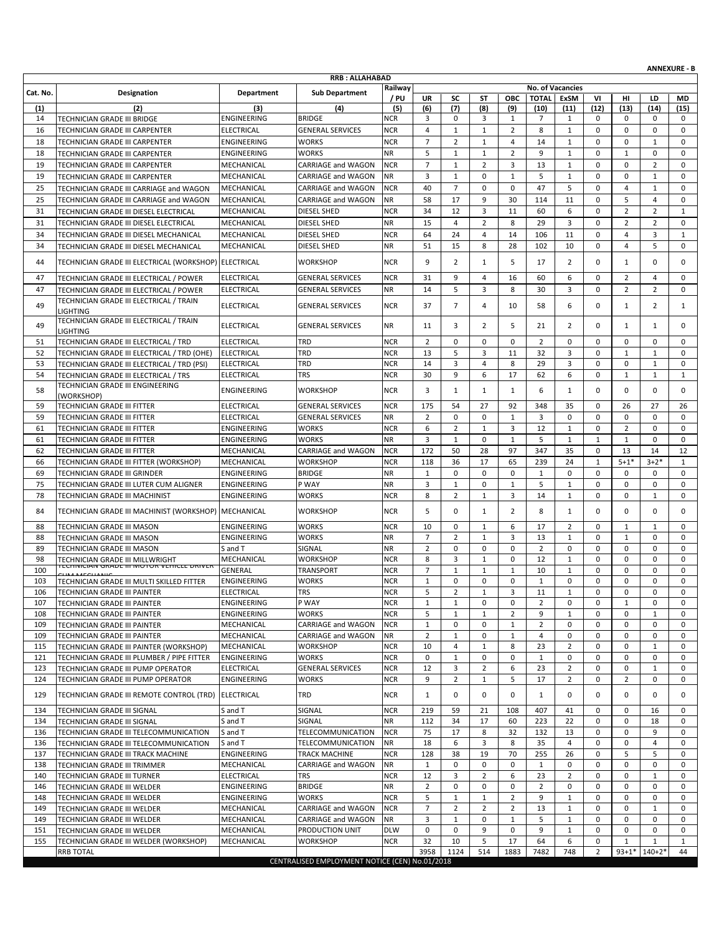|            |                                                                                       |                                        |                                                |                          |                               |                   |                          |                    |                         |                     |                             |                   |                         | <b>ANNEXURE - B</b>        |
|------------|---------------------------------------------------------------------------------------|----------------------------------------|------------------------------------------------|--------------------------|-------------------------------|-------------------|--------------------------|--------------------|-------------------------|---------------------|-----------------------------|-------------------|-------------------------|----------------------------|
|            |                                                                                       |                                        | <b>RRB: ALLAHABAD</b>                          | Railway                  |                               |                   |                          |                    | <b>No. of Vacancies</b> |                     |                             |                   |                         |                            |
| Cat. No.   | Designation                                                                           | Department                             | <b>Sub Department</b>                          | / PU                     | <b>UR</b>                     | SC                | ST                       | <b>OBC</b>         | <b>TOTAL</b>            | <b>ExSM</b>         | V <sub>1</sub>              | нг                | LD                      | MD                         |
| (1)        | (2)                                                                                   | (3)                                    | (4)                                            | (5)                      | (6)                           | (7)               | (8)                      | (9)                | (10)                    | (11)                | (12)                        | (13)              | (14)                    | (15)                       |
| 14         | TECHNICIAN GRADE III BRIDGE                                                           | ENGINEERING                            | <b>BRIDGE</b>                                  | <b>NCR</b>               | 3                             | 0                 | 3                        | 1                  | 7                       | 1                   | 0                           | 0                 | 0                       | 0                          |
| 16         | TECHNICIAN GRADE III CARPENTER                                                        | <b>ELECTRICAL</b>                      | <b>GENERAL SERVICES</b>                        | <b>NCR</b>               | $\overline{4}$                | $\mathbf{1}$      | $\mathbf{1}$             | $\overline{2}$     | 8                       | $\mathbf{1}$        | $\mathbf 0$                 | 0                 | $\mathbf 0$             | $\mathbf 0$                |
| 18         | TECHNICIAN GRADE III CARPENTER                                                        | ENGINEERING                            | <b>WORKS</b>                                   | <b>NCR</b>               | $\overline{7}$                | $\overline{2}$    | $\mathbf{1}$             | $\overline{4}$     | 14                      | $\mathbf{1}$        | $\mathbf 0$                 | 0                 | 1                       | $\mathbf 0$                |
| 18         | TECHNICIAN GRADE III CARPENTER                                                        | ENGINEERING                            | <b>WORKS</b>                                   | <b>NR</b>                | 5<br>$\overline{7}$           | $\mathbf{1}$      | $\mathbf{1}$             | 2                  | 9                       | $\mathbf{1}$        | $\mathbf 0$<br>$\mathbf 0$  | $\mathbf{1}$<br>0 | $\mathbf 0$             | $\mathbf 0$<br>$\mathbf 0$ |
| 19<br>19   | TECHNICIAN GRADE III CARPENTER<br>TECHNICIAN GRADE III CARPENTER                      | MECHANICAL<br>MECHANICAL               | CARRIAGE and WAGON<br>CARRIAGE and WAGON       | <b>NCR</b><br><b>NR</b>  | 3                             | $\mathbf{1}$<br>1 | $\overline{2}$<br>0      | 3<br>1             | 13<br>5                 | $\mathbf{1}$<br>1   | $\mathbf 0$                 | 0                 | $\overline{2}$<br>1     | $\mathbf 0$                |
| 25         | TECHNICIAN GRADE III CARRIAGE and WAGON                                               | MECHANICAL                             | CARRIAGE and WAGON                             | <b>NCR</b>               | 40                            | $\overline{7}$    | $\Omega$                 | 0                  | 47                      | 5                   | $\mathbf 0$                 | $\overline{4}$    | $\mathbf{1}$            | $\mathbf 0$                |
| 25         | TECHNICIAN GRADE III CARRIAGE and WAGON                                               | MECHANICAL                             | <b>CARRIAGE and WAGON</b>                      | <b>NR</b>                | 58                            | 17                | 9                        | 30                 | 114                     | 11                  | $\mathbf 0$                 | 5                 | $\overline{4}$          | 0                          |
| 31         | TECHNICIAN GRADE III DIESEL ELECTRICAL                                                | MECHANICAL                             | <b>DIESEL SHED</b>                             | <b>NCR</b>               | 34                            | 12                | 3                        | 11                 | 60                      | 6                   | $\mathbf 0$                 | $\overline{2}$    | $\overline{2}$          | $\mathbf{1}$               |
| 31         | TECHNICIAN GRADE III DIESEL ELECTRICAL                                                | MECHANICAL                             | <b>DIESEL SHED</b>                             | <b>NR</b>                | 15                            | $\overline{4}$    | $\overline{2}$           | 8                  | 29                      | 3                   | $\mathbf 0$                 | $\overline{2}$    | $\overline{2}$          | $\mathbf 0$                |
| 34         | TECHNICIAN GRADE III DIESEL MECHANICAL                                                | MECHANICAL                             | DIESEL SHED                                    | <b>NCR</b>               | 64                            | 24                | 4                        | 14                 | 106                     | 11                  | 0                           | 4                 | 3                       | $\mathbf{1}$               |
| 34         | TECHNICIAN GRADE III DIESEL MECHANICAL                                                | MECHANICAL                             | DIESEL SHED                                    | <b>NR</b>                | 51                            | 15                | 8                        | 28                 | 102                     | 10                  | $\mathbf 0$                 | $\overline{4}$    | 5                       | $\mathbf 0$                |
| 44         | TECHNICIAN GRADE III ELECTRICAL (WORKSHOP) ELECTRICAL                                 |                                        | <b>WORKSHOP</b>                                | <b>NCR</b>               | 9                             | $\overline{2}$    | 1                        | 5                  | 17                      | $\overline{2}$      | 0                           | 1                 | $\mathbf 0$             | $\mathbf 0$                |
| 47         | TECHNICIAN GRADE III ELECTRICAL / POWER                                               | ELECTRICAL                             | <b>GENERAL SERVICES</b>                        | <b>NCR</b>               | 31                            | 9                 | 4                        | 16                 | 60                      | 6                   | $\mathbf 0$                 | $\overline{2}$    | $\overline{4}$          | 0                          |
| 47         | TECHNICIAN GRADE III ELECTRICAL / POWER                                               | <b>ELECTRICAL</b>                      | <b>GENERAL SERVICES</b>                        | <b>NR</b>                | 14                            | 5                 | 3                        | 8                  | 30                      | 3                   | 0                           | $\overline{2}$    | $\overline{2}$          | $\mathbf 0$                |
| 49         | TECHNICIAN GRADE III ELECTRICAL / TRAIN<br><b>LIGHTING</b>                            | <b>ELECTRICAL</b>                      | <b>GENERAL SERVICES</b>                        | <b>NCR</b>               | 37                            | $\overline{7}$    | 4                        | 10                 | 58                      | 6                   | $\Omega$                    | $\mathbf{1}$      | $\overline{2}$          | 1                          |
| 49         | TECHNICIAN GRADE III ELECTRICAL / TRAIN<br>LIGHTING                                   | <b>ELECTRICAL</b>                      | <b>GENERAL SERVICES</b>                        | <b>NR</b>                | 11                            | 3                 | $\overline{2}$           | 5                  | 21                      | $\overline{2}$      | 0                           | $\mathbf{1}$      | 1                       | $\mathbf 0$                |
| 51         | TECHNICIAN GRADE III ELECTRICAL / TRD                                                 | <b>ELECTRICAL</b>                      | TRD                                            | <b>NCR</b>               | $\overline{2}$                | 0                 | 0                        | $\mathbf 0$        | $\overline{2}$          | 0                   | $\mathbf 0$                 | 0                 | $\mathbf 0$             | $\mathbf 0$                |
| 52         | TECHNICIAN GRADE III ELECTRICAL / TRD (OHE)                                           | <b>ELECTRICAL</b>                      | TRD<br>TRD                                     | <b>NCR</b><br><b>NCR</b> | 13<br>14                      | 5<br>3            | 3<br>$\overline{4}$      | 11                 | 32<br>29                | 3<br>3              | $\mathbf 0$<br>$\mathbf 0$  | 1<br>0            | 1<br>$\mathbf{1}$       | $\mathbf 0$<br>$\mathbf 0$ |
| 53<br>54   | TECHNICIAN GRADE III ELECTRICAL / TRD (PSI)<br>TECHNICIAN GRADE III ELECTRICAL / TRS  | <b>ELECTRICAL</b><br><b>ELECTRICAL</b> | <b>TRS</b>                                     | <b>NCR</b>               | 30                            | 9                 | 6                        | 8<br>17            | 62                      | 6                   | $\mathbf 0$                 | $\mathbf{1}$      | $\mathbf{1}$            | $\mathbf{1}$               |
| 58         | TECHNICIAN GRADE III ENGINEERING<br>(WORKSHOP)                                        | <b>ENGINEERING</b>                     | <b>WORKSHOP</b>                                | <b>NCR</b>               | 3                             | $\mathbf{1}$      | 1                        | 1                  | 6                       | 1                   | $\Omega$                    | 0                 | $\mathbf 0$             | $\mathbf 0$                |
| 59         | TECHNICIAN GRADE III FITTER                                                           | <b>ELECTRICAL</b>                      | <b>GENERAL SERVICES</b>                        | <b>NCR</b>               | 175                           | 54                | 27                       | 92                 | 348                     | 35                  | $\mathbf 0$                 | 26                | 27                      | 26                         |
| 59         | TECHNICIAN GRADE III FITTER                                                           | <b>ELECTRICAL</b>                      | <b>GENERAL SERVICES</b>                        | <b>NR</b>                | $\overline{2}$                | $\mathbf 0$       | $\mathbf 0$              | $\mathbf{1}$       | 3                       | $\mathbf 0$         | $\mathbf 0$                 | 0                 | $\mathbf 0$             | $\mathbf 0$                |
| 61         | TECHNICIAN GRADE III FITTER                                                           | ENGINEERING                            | WORKS                                          | <b>NCR</b>               | 6                             | $\overline{2}$    | $\mathbf{1}$             | 3                  | 12                      | $\mathbf{1}$        | $\mathbf 0$                 | $\overline{2}$    | $\mathbf 0$             | $\mathbf 0$                |
| 61         | TECHNICIAN GRADE III FITTER                                                           | <b>ENGINEERING</b>                     | <b>WORKS</b>                                   | <b>NR</b>                | 3                             | $\mathbf{1}$      | $\mathbf 0$              | $\mathbf{1}$       | 5                       | $\mathbf{1}$        | $\mathbf{1}$                | $\mathbf{1}$      | $\mathbf 0$             | $\mathbf 0$                |
| 62         | TECHNICIAN GRADE III FITTER                                                           | MECHANICAL                             | CARRIAGE and WAGON                             | <b>NCR</b>               | 172                           | 50                | 28                       | 97                 | 347                     | 35                  | $\mathbf 0$                 | 13                | 14                      | 12                         |
| 66<br>69   | TECHNICIAN GRADE III FITTER (WORKSHOP)<br>TECHNICIAN GRADE III GRINDER                | MECHANICAL<br>ENGINEERING              | WORKSHOP<br><b>BRIDGE</b>                      | <b>NCR</b><br><b>NR</b>  | 118<br>$\mathbf{1}$           | 36<br>0           | 17<br>$\mathbf 0$        | 65<br>$\mathbf{0}$ | 239<br>1                | 24<br>$\mathbf 0$   | $\mathbf{1}$<br>$\mathbf 0$ | $5 + 1*$<br>0     | $3+2*$<br>$\mathbf 0$   | 1<br>$\mathbf 0$           |
| 75         | TECHNICIAN GRADE III LUTER CUM ALIGNER                                                | ENGINEERING                            | P WAY                                          | <b>NR</b>                | 3                             | $\mathbf{1}$      | $\mathbf 0$              | $\mathbf{1}$       | 5                       | $\mathbf{1}$        | $\mathbf 0$                 | 0                 | $\mathbf 0$             | $\mathbf 0$                |
| 78         | TECHNICIAN GRADE III MACHINIST                                                        | ENGINEERING                            | WORKS                                          | <b>NCR</b>               | 8                             | $\overline{2}$    | $\mathbf{1}$             | 3                  | 14                      | $\mathbf{1}$        | $\mathbf 0$                 | 0                 | $\mathbf{1}$            | $\mathbf 0$                |
| 84         | TECHNICIAN GRADE III MACHINIST (WORKSHOP)                                             | MECHANICAL                             | <b>WORKSHOP</b>                                | <b>NCR</b>               | 5                             | 0                 | $\mathbf{1}$             | 2                  | 8                       | $\mathbf{1}$        | $\Omega$                    | 0                 | $\mathbf 0$             | $\mathbf 0$                |
| 88         | TECHNICIAN GRADE III MASON                                                            | ENGINEERING                            | <b>WORKS</b>                                   | <b>NCR</b>               | 10                            | 0                 | $\mathbf{1}$             | 6                  | 17                      | 2                   | $\mathbf 0$                 | $\mathbf{1}$      | $\mathbf{1}$            | $\mathbf 0$                |
| 88         | TECHNICIAN GRADE III MASON                                                            | ENGINEERING                            | <b>WORKS</b>                                   | <b>NR</b>                | $\overline{7}$                | $\overline{2}$    | $\mathbf{1}$             | 3                  | 13                      | $\mathbf{1}$        | $\mathbf 0$                 | $\mathbf{1}$      | $\mathbf 0$             | $\mathbf 0$                |
| 89         | TECHNICIAN GRADE III MASON                                                            | S and T                                | SIGNAL                                         | <b>NR</b>                | $\overline{2}$                | 0                 | $\mathbf 0$              | 0                  | $\overline{2}$          | 0                   | $\mathbf 0$                 | 0                 | $\mathbf 0$             | $\mathbf 0$                |
| 98         | TECHNICIAN GRADE III MILLWRIGHT<br>I EUNIUIAIN GRADE III IVIUTUR VENIULE DRIVER       | MECHANICAL                             | WORKSHOP                                       | <b>NCR</b>               | 8                             | 3                 | $\mathbf{1}$             | 0                  | 12                      | $\mathbf{1}$        | $\mathbf 0$                 | 0                 | 0                       | $\mathbf 0$                |
| 100<br>103 | TECHNICIAN GRADE III MULTI SKILLED FITTER                                             | GENERAL<br>ENGINEERING                 | <b>TRANSPORT</b><br>WORKS                      | <b>NCR</b><br><b>NCR</b> | $\overline{7}$<br>$\mathbf 1$ | $\mathbf{1}$<br>0 | $\mathbf{1}$<br>$\Omega$ | $\mathbf{1}$<br>O  | 10<br>$\mathbf{1}$      | $\mathbf{1}$<br>0   | 0<br>0                      | 0<br>0            | $\mathbf 0$<br>$\Omega$ | $\mathbf 0$<br>0           |
| 106        | <b>TECHNICIAN GRADE III PAINTER</b>                                                   | ELECTRICAL                             | 1 K.S                                          | NCR                      | 5                             | $\mathbf 2$       |                          | 3                  | 11                      | 1                   | 0                           | 0                 | U                       |                            |
| 107        | TECHNICIAN GRADE III PAINTER                                                          | ENGINEERING                            | P WAY                                          | <b>NCR</b>               | $\mathbf{1}$                  | $\mathbf{1}$      | 0                        | 0                  | $\overline{2}$          | 0                   | $\mathbf 0$                 | $\mathbf{1}$      | $\mathbf 0$             | 0                          |
| 108        | TECHNICIAN GRADE III PAINTER                                                          | ENGINEERING                            | WORKS                                          | <b>NCR</b>               | 5                             | $\mathbf{1}$      | 1                        | 2                  | 9                       | $\mathbf{1}$        | 0                           | 0                 | $\mathbf{1}$            | 0                          |
| 109        | TECHNICIAN GRADE III PAINTER                                                          | MECHANICAL                             | CARRIAGE and WAGON                             | <b>NCR</b>               | $\mathbf{1}$                  | 0                 | 0                        | $\mathbf{1}$       | $\overline{2}$          | 0                   | 0                           | 0                 | 0                       | 0                          |
| 109        | TECHNICIAN GRADE III PAINTER                                                          | MECHANICAL                             | CARRIAGE and WAGON                             | <b>NR</b>                | $\overline{2}$                | $\mathbf{1}$      | $\mathbf 0$              | $\mathbf{1}$       | $\overline{4}$          | $\mathbf 0$         | 0                           | 0                 | 0                       | $\mathbf 0$                |
| 115<br>121 | TECHNICIAN GRADE III PAINTER (WORKSHOP)<br>TECHNICIAN GRADE III PLUMBER / PIPE FITTER | MECHANICAL<br>ENGINEERING              | <b>WORKSHOP</b><br><b>WORKS</b>                | <b>NCR</b><br><b>NCR</b> | 10<br>0                       | 4<br>$\mathbf{1}$ | $\mathbf{1}$<br>0        | 8<br>0             | 23<br>$\mathbf{1}$      | $\overline{2}$<br>0 | 0<br>0                      | 0<br>0            | $\mathbf{1}$<br>0       | 0<br>0                     |
| 123        | TECHNICIAN GRADE III PUMP OPERATOR                                                    | <b>ELECTRICAL</b>                      | <b>GENERAL SERVICES</b>                        | <b>NCR</b>               | 12                            | 3                 | $\overline{2}$           | 6                  | 23                      | $\overline{2}$      | 0                           | 0                 | $\mathbf{1}$            | $\mathbf 0$                |
| 124        | TECHNICIAN GRADE III PUMP OPERATOR                                                    | ENGINEERING                            | WORKS                                          | <b>NCR</b>               | 9                             | $\overline{2}$    | $\mathbf{1}$             | 5                  | 17                      | $\overline{2}$      | 0                           | $\overline{2}$    | 0                       | 0                          |
| 129        | TECHNICIAN GRADE III REMOTE CONTROL (TRD)                                             | <b>ELECTRICAL</b>                      | TRD                                            | <b>NCR</b>               | $\mathbf{1}$                  | 0                 | 0                        | 0                  | 1                       | 0                   | $\mathbf 0$                 | 0                 | 0                       | $\mathbf 0$                |
| 134        | TECHNICIAN GRADE III SIGNAL                                                           | S and T                                | SIGNAL                                         | <b>NCR</b>               | 219                           | 59                | 21                       | 108                | 407                     | 41                  | 0                           | 0                 | 16                      | 0                          |
| 134        | TECHNICIAN GRADE III SIGNAL                                                           | S and T                                | SIGNAL                                         | <b>NR</b>                | 112                           | 34                | 17                       | 60                 | 223                     | 22                  | 0                           | 0                 | 18                      | $\mathbf 0$                |
| 136        | TECHNICIAN GRADE III TELECOMMUNICATION                                                | S and T                                | TELECOMMUNICATION                              | <b>NCR</b>               | 75                            | 17                | 8                        | 32                 | 132                     | 13                  | 0                           | 0                 | 9                       | $\mathbf 0$                |
| 136<br>137 | TECHNICIAN GRADE III TELECOMMUNICATION                                                | S and T<br>ENGINEERING                 | <b>TELECOMMUNICATION</b><br>TRACK MACHINE      | <b>NR</b><br><b>NCR</b>  | 18<br>128                     | 6<br>38           | 3<br>19                  | 8<br>70            | 35<br>255               | 4<br>26             | 0<br>0                      | 0<br>5            | 4<br>5                  | 0<br>$\mathbf 0$           |
| 138        | TECHNICIAN GRADE III TRACK MACHINE<br>TECHNICIAN GRADE III TRIMMER                    | MECHANICAL                             | CARRIAGE and WAGON                             | <b>NR</b>                | $\mathbf{1}$                  | 0                 | $\mathbf 0$              | 0                  | $\mathbf{1}$            | 0                   | 0                           | 0                 | 0                       | 0                          |
| 140        | TECHNICIAN GRADE III TURNER                                                           | ELECTRICAL                             | TRS                                            | <b>NCR</b>               | 12                            | 3                 | $\overline{2}$           | 6                  | 23                      | 2                   | 0                           | 0                 | 1                       | 0                          |
| 146        | TECHNICIAN GRADE III WELDER                                                           | ENGINEERING                            | <b>BRIDGE</b>                                  | <b>NR</b>                | $\overline{2}$                | 0                 | 0                        | 0                  | $\overline{2}$          | 0                   | 0                           | 0                 | 0                       | $\mathbf 0$                |
| 148        | TECHNICIAN GRADE III WELDER                                                           | ENGINEERING                            | <b>WORKS</b>                                   | <b>NCR</b>               | 5                             | $\mathbf{1}$      | 1                        | 2                  | 9                       | $\mathbf{1}$        | 0                           | 0                 | 0                       | 0                          |
| 149        | TECHNICIAN GRADE III WELDER                                                           | MECHANICAL                             | CARRIAGE and WAGON                             | <b>NCR</b>               | $\overline{7}$                | $\overline{2}$    | $\overline{2}$           | $\overline{2}$     | 13                      | $\mathbf{1}$        | 0                           | 0                 | $\mathbf{1}$            | $\mathbf 0$                |
| 149        | TECHNICIAN GRADE III WELDER                                                           | MECHANICAL                             | CARRIAGE and WAGON                             | <b>NR</b>                | 3<br>$\mathbf 0$              | $\mathbf{1}$      | 0<br>9                   | 1                  | 5                       | $\mathbf{1}$        | 0                           | 0                 | 0                       | 0                          |
| 151<br>155 | TECHNICIAN GRADE III WELDER<br>TECHNICIAN GRADE III WELDER (WORKSHOP)                 | MECHANICAL<br>MECHANICAL               | PRODUCTION UNIT<br>WORKSHOP                    | <b>DLW</b><br><b>NCR</b> | 32                            | 0<br>10           | 5                        | 0<br>17            | 9<br>64                 | $\mathbf{1}$<br>6   | 0<br>0                      | 0<br>1            | 0<br>1                  | 0<br>1                     |
|            | <b>RRB TOTAL</b>                                                                      |                                        |                                                |                          | 3958                          | 1124              | 514                      | 1883               | 7482                    | 748                 | 2                           |                   | 93+1* 140+2*            | 44                         |
|            |                                                                                       |                                        | CENTRALISED EMPLOYMENT NOTICE (CEN) No.01/2018 |                          |                               |                   |                          |                    |                         |                     |                             |                   |                         |                            |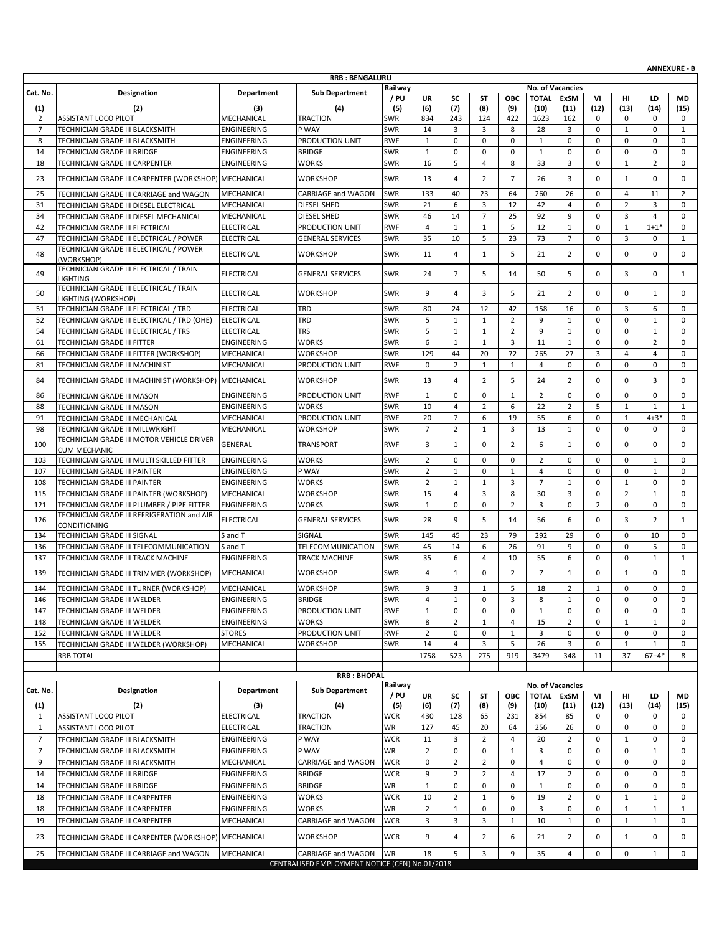|                |                                                                              |                                 |                                                |                          |                              |                                |                             |                            |                              |                              |                            |                   |                            | <b>ANNEXURE - B</b>        |
|----------------|------------------------------------------------------------------------------|---------------------------------|------------------------------------------------|--------------------------|------------------------------|--------------------------------|-----------------------------|----------------------------|------------------------------|------------------------------|----------------------------|-------------------|----------------------------|----------------------------|
|                |                                                                              |                                 | <b>RRB: BENGALURU</b>                          | Railway                  |                              |                                |                             |                            |                              | No. of Vacancies             |                            |                   |                            |                            |
| Cat. No.       | Designation                                                                  | <b>Department</b>               | <b>Sub Department</b>                          | / PU                     | <b>UR</b>                    | SC                             | ST                          | ОВС                        | <b>TOTAL</b>                 | ExSM                         | VI                         | HI                | LD                         | <b>MD</b>                  |
| (1)            | (2)                                                                          | (3)                             | (4)                                            | (5)                      | (6)                          | (7)                            | (8)                         | (9)                        | (10)                         | (11)                         | (12)                       | (13)              | (14)                       | (15)                       |
| 2              | ASSISTANT LOCO PILOT                                                         | MECHANICAL                      | <b>TRACTION</b>                                | <b>SWR</b>               | 834                          | 243                            | 124                         | 422                        | 1623                         | 162                          | 0                          | 0                 | 0                          | 0                          |
| $\overline{7}$ | TECHNICIAN GRADE III BLACKSMITH                                              | ENGINEERING                     | P WAY                                          | SWR                      | 14                           | 3                              | 3                           | 8                          | 28                           | 3                            | $\mathbf 0$                | $\mathbf{1}$      | $\mathbf 0$                | $\mathbf{1}$               |
| 8<br>14        | TECHNICIAN GRADE III BLACKSMITH<br>TECHNICIAN GRADE III BRIDGE               | ENGINEERING<br>ENGINEERING      | PRODUCTION UNIT<br><b>BRIDGE</b>               | <b>RWF</b><br>SWR        | $\mathbf{1}$<br>$\mathbf{1}$ | 0<br>0                         | $\mathbf 0$<br>$\mathbf 0$  | $\mathbf 0$<br>$\mathbf 0$ | $\mathbf{1}$<br>$\mathbf{1}$ | $\mathbf 0$<br>$\mathbf 0$   | $\mathbf 0$<br>$\mathbf 0$ | 0<br>0            | $\mathbf 0$<br>$\mathbf 0$ | $\mathbf 0$<br>$\mathbf 0$ |
| 18             | TECHNICIAN GRADE III CARPENTER                                               | ENGINEERING                     | <b>WORKS</b>                                   | <b>SWR</b>               | 16                           | 5                              | 4                           | 8                          | 33                           | 3                            | 0                          | 1                 | $\overline{2}$             | 0                          |
|                | TECHNICIAN GRADE III CARPENTER (WORKSHOP) MECHANICAL                         |                                 |                                                |                          |                              |                                |                             | $\overline{7}$             |                              |                              |                            |                   |                            |                            |
| 23             |                                                                              |                                 | <b>WORKSHOP</b>                                | SWR                      | 13                           | $\overline{4}$                 | 2                           |                            | 26                           | 3                            | 0                          | $\mathbf{1}$      | $\mathbf 0$                | 0                          |
| 25             | TECHNICIAN GRADE III CARRIAGE and WAGON                                      | MECHANICAL                      | <b>CARRIAGE and WAGON</b>                      | SWR                      | 133                          | 40                             | 23                          | 64                         | 260                          | 26                           | 0                          | $\overline{4}$    | 11                         | $\overline{2}$             |
| 31             | TECHNICIAN GRADE III DIESEL ELECTRICAL                                       | MECHANICAL                      | <b>DIESEL SHED</b>                             | <b>SWR</b>               | 21                           | 6                              | 3<br>$\overline{7}$         | 12                         | 42                           | 4<br>9                       | $\mathbf 0$<br>$\mathbf 0$ | $\overline{2}$    | 3                          | $\mathbf 0$                |
| 34<br>42       | TECHNICIAN GRADE III DIESEL MECHANICAL<br>TECHNICIAN GRADE III ELECTRICAL    | MECHANICAL<br><b>ELECTRICAL</b> | <b>DIESEL SHED</b><br>PRODUCTION UNIT          | SWR<br><b>RWF</b>        | 46<br>4                      | 14<br>$\mathbf{1}$             | $\mathbf{1}$                | 25<br>5                    | 92<br>12                     | $\mathbf{1}$                 | 0                          | 3<br>$\mathbf{1}$ | $\overline{4}$<br>$1 + 1*$ | $\mathbf 0$<br>0           |
| 47             | TECHNICIAN GRADE III ELECTRICAL / POWER                                      | <b>ELECTRICAL</b>               | <b>GENERAL SERVICES</b>                        | <b>SWR</b>               | 35                           | 10                             | 5                           | 23                         | 73                           | $\overline{7}$               | $\mathbf 0$                | 3                 | $\mathbf 0$                | $\mathbf{1}$               |
|                | TECHNICIAN GRADE III ELECTRICAL / POWER                                      |                                 |                                                |                          |                              |                                |                             |                            |                              |                              |                            |                   |                            |                            |
| 48             | (WORKSHOP)                                                                   | <b>ELECTRICAL</b>               | WORKSHOP                                       | SWR                      | 11                           | $\overline{4}$                 | $\mathbf{1}$                | 5                          | 21                           | $\overline{2}$               | $\mathbf 0$                | 0                 | 0                          | 0                          |
| 49             | TECHNICIAN GRADE III ELECTRICAL / TRAIN<br><b>LIGHTING</b>                   | <b>ELECTRICAL</b>               | <b>GENERAL SERVICES</b>                        | SWR                      | 24                           | $\overline{7}$                 | 5                           | 14                         | 50                           | 5                            | 0                          | 3                 | $\mathbf 0$                | $\mathbf{1}$               |
| 50             | TECHNICIAN GRADE III ELECTRICAL / TRAIN<br>LIGHTING (WORKSHOP)               | <b>ELECTRICAL</b>               | <b>WORKSHOP</b>                                | SWR                      | 9                            | $\overline{4}$                 | 3                           | 5                          | 21                           | $\overline{2}$               | 0                          | 0                 | $\mathbf{1}$               | 0                          |
| 51             | TECHNICIAN GRADE III ELECTRICAL / TRD                                        | <b>ELECTRICAL</b>               | TRD                                            | SWR                      | 80                           | 24                             | 12                          | 42                         | 158                          | 16                           | 0                          | 3                 | 6                          | 0                          |
| 52             | TECHNICIAN GRADE III ELECTRICAL / TRD (OHE)                                  | <b>ELECTRICAL</b>               | TRD                                            | SWR                      | 5                            | $\mathbf{1}$                   | $\mathbf{1}$                | $\overline{2}$             | 9                            | $1\,$                        | 0                          | 0                 | $\mathbf{1}$               | 0                          |
| 54             | TECHNICIAN GRADE III ELECTRICAL / TRS                                        | <b>ELECTRICAL</b>               | <b>TRS</b>                                     | SWR                      | 5                            | $\mathbf{1}$                   | $\mathbf{1}$                | $\overline{2}$             | 9                            | $\mathbf{1}$                 | $\mathbf 0$                | 0                 | 1                          | 0                          |
| 61             | TECHNICIAN GRADE III FITTER                                                  | ENGINEERING                     | WORKS                                          | SWR                      | 6                            | $\mathbf{1}$                   | $\mathbf{1}$                | 3                          | 11                           | $\mathbf{1}$                 | 0                          | 0                 | $\overline{2}$             | $\mathbf 0$                |
| 66             | TECHNICIAN GRADE III FITTER (WORKSHOP)                                       | MECHANICAL                      | WORKSHOP                                       | <b>SWR</b>               | 129                          | 44                             | 20                          | 72                         | 265                          | 27                           | 3                          | $\overline{4}$    | $\overline{4}$             | 0                          |
| 81             | TECHNICIAN GRADE III MACHINIST                                               | MECHANICAL                      | PRODUCTION UNIT                                | <b>RWF</b>               | 0                            | $\overline{2}$                 | $\mathbf{1}$                | $\mathbf{1}$               | 4                            | $\mathbf 0$                  | 0                          | 0                 | 0                          | 0                          |
| 84             | TECHNICIAN GRADE III MACHINIST (WORKSHOP) MECHANICAL                         |                                 | <b>WORKSHOP</b>                                | SWR                      | 13                           | $\overline{4}$                 | $\overline{2}$              | 5                          | 24                           | $\overline{2}$               | 0                          | 0                 | 3                          | $\mathbf 0$                |
| 86             | TECHNICIAN GRADE III MASON                                                   | ENGINEERING                     | PRODUCTION UNIT                                | <b>RWF</b>               | $\mathbf{1}$                 | 0                              | $\mathbf 0$                 | $\mathbf{1}$               | $\overline{2}$               | $\mathbf 0$                  | 0                          | 0                 | $\mathbf 0$                | 0                          |
| 88             | TECHNICIAN GRADE III MASON                                                   | ENGINEERING                     | <b>WORKS</b>                                   | SWR                      | 10                           | $\overline{4}$                 | $\overline{2}$              | 6                          | 22                           | $\overline{2}$               | 5                          | $\mathbf{1}$      | $\mathbf{1}$               | $\mathbf{1}$               |
| 91             | TECHNICIAN GRADE III MECHANICAL                                              | MECHANICAL                      | PRODUCTION UNIT                                | <b>RWF</b>               | 20                           | $\overline{7}$                 | 6                           | 19                         | 55                           | 6                            | $\mathbf 0$                | $\mathbf{1}$      | $4 + 3*$                   | 0                          |
| 98<br>100      | TECHNICIAN GRADE III MILLWRIGHT<br>TECHNICIAN GRADE III MOTOR VEHICLE DRIVER | MECHANICAL<br>GENERAL           | WORKSHOP<br><b>TRANSPORT</b>                   | <b>SWR</b><br><b>RWF</b> | $\overline{7}$<br>3          | $\overline{2}$<br>$\mathbf{1}$ | $\mathbf{1}$<br>$\mathbf 0$ | 3<br>2                     | 13<br>6                      | $\mathbf{1}$<br>$\mathbf{1}$ | 0<br>0                     | 0<br>0            | $\mathbf 0$<br>0           | 0<br>0                     |
| 103            | <b>CUM MECHANIC</b><br>TECHNICIAN GRADE III MULTI SKILLED FITTER             | ENGINEERING                     | <b>WORKS</b>                                   | SWR                      | $\overline{2}$               | $\mathbf 0$                    | $\mathbf 0$                 | 0                          | $\overline{2}$               | 0                            | 0                          | 0                 | 1                          | 0                          |
| 107            | TECHNICIAN GRADE III PAINTER                                                 | ENGINEERING                     | P WAY                                          | SWR                      | $\overline{2}$               | $\mathbf{1}$                   | $\mathbf 0$                 | $\mathbf{1}$               | $\overline{4}$               | $\mathbf 0$                  | 0                          | 0                 | $\mathbf{1}$               | 0                          |
| 108            | TECHNICIAN GRADE III PAINTER                                                 | ENGINEERING                     | WORKS                                          | <b>SWR</b>               | $\overline{2}$               | $\mathbf{1}$                   | $\mathbf{1}$                | 3                          | $\overline{7}$               | $\mathbf{1}$                 | 0                          | $\mathbf{1}$      | $\mathbf 0$                | 0                          |
| 115            | TECHNICIAN GRADE III PAINTER (WORKSHOP)                                      | MECHANICAL                      | WORKSHOP                                       | SWR                      | 15                           | $\overline{4}$                 | 3                           | 8                          | 30                           | 3                            | $\mathbf 0$                | $\overline{2}$    | $\mathbf{1}$               | 0                          |
| 121            | TECHNICIAN GRADE III PLUMBER / PIPE FITTER                                   | <b>ENGINEERING</b>              | <b>WORKS</b>                                   | <b>SWR</b>               | $\mathbf{1}$                 | 0                              | 0                           | $\overline{2}$             | 3                            | 0                            | $\overline{2}$             | 0                 | 0                          | 0                          |
| 126            | TECHNICIAN GRADE III REFRIGERATION and AIR<br><b>CONDITIONING</b>            | <b>ELECTRICAL</b>               | <b>GENERAL SERVICES</b>                        | SWR                      | 28                           | 9                              | 5                           | 14                         | 56                           | 6                            | 0                          | 3                 | $\overline{2}$             | 1                          |
| 134            | TECHNICIAN GRADE III SIGNAL                                                  | S and T                         | SIGNAL                                         | SWR                      | 145                          | 45                             | 23                          | 79                         | 292                          | 29                           | 0                          | 0                 | 10                         | 0                          |
| 136            | TECHNICIAN GRADE III TELECOMMUNICATION                                       | S and T                         | TELECOMMUNICATION                              | <b>SWR</b>               | 45                           | 14                             | 6                           | 26                         | 91                           | 9                            | 0                          | 0                 | 5                          | 0                          |
| 137            | TECHNICIAN GRADE III TRACK MACHINE                                           | ENGINEERING                     | TRACK MACHINE                                  | SWR                      | 35                           | 6                              | 4                           | 10                         | 55                           | 6                            | $\mathbf 0$                | 0                 | $\mathbf{1}$               | $\mathbf{1}$               |
| 139            | TECHNICIAN GRADE III TRIMMER (WORKSHOP)                                      | MECHANICAL                      | WORKSHOP                                       | <b>SWR</b>               | $\overline{4}$               | $\mathbf{1}$                   | 0                           | $\overline{2}$             | $\overline{7}$               | $\mathbf{1}$                 | 0                          | $\mathbf{1}$      | 0                          | 0                          |
| 144            | TECHNICIAN GRADE III TURNER (WORKSHOP)                                       | MECHANICAL                      | <b>WORKSHOP</b>                                | SWR                      | 9                            | 3                              | 1                           | 5                          | 18                           | $\overline{2}$               | 1                          | $\Omega$          | 0                          | 0                          |
| 146            | TECHNICIAN GRADE III WELDER                                                  | ENGINEERING                     | <b>BRIDGE</b>                                  | <b>SWR</b>               | 4                            | $\mathbf{1}$                   | 0                           | 3                          | 8                            | $\mathbf{1}$                 | 0                          | 0                 | 0                          | 0                          |
| 147<br>148     | TECHNICIAN GRADE III WELDER<br>TECHNICIAN GRADE III WELDER                   | ENGINEERING<br>ENGINEERING      | PRODUCTION UNIT<br>WORKS                       | <b>RWF</b><br>SWR        | $\mathbf{1}$<br>8            | 0<br>$\overline{2}$            | 0<br>$\mathbf{1}$           | 0<br>4                     | $\mathbf{1}$<br>15           | 0<br>2                       | 0<br>0                     | 0<br>$\mathbf{1}$ | 0<br>1                     | 0<br>$\mathbf 0$           |
| 152            | TECHNICIAN GRADE III WELDER                                                  | <b>STORES</b>                   | PRODUCTION UNIT                                | <b>RWF</b>               | $\overline{2}$               | 0                              | 0                           | $\mathbf{1}$               | 3                            | 0                            | 0                          | 0                 | 0                          | 0                          |
| 155            | TECHNICIAN GRADE III WELDER (WORKSHOP)                                       | MECHANICAL                      | WORKSHOP                                       | SWR                      | 14                           | 4                              | 3                           | 5                          | 26                           | 3                            | 0                          | 1                 | 1                          | 0                          |
|                | <b>RRB TOTAL</b>                                                             |                                 |                                                |                          | 1758                         | 523                            | 275                         | 919                        | 3479                         | 348                          | 11                         | 37                | $67 + 4*$                  | 8                          |
|                |                                                                              |                                 |                                                |                          |                              |                                |                             |                            |                              |                              |                            |                   |                            |                            |
|                |                                                                              |                                 | <b>RRB: BHOPAL</b>                             | Railway                  |                              |                                |                             |                            |                              | No. of Vacancies             |                            |                   |                            |                            |
| Cat. No.       | Designation                                                                  | Department                      | <b>Sub Department</b>                          | / PU                     | UR                           | SC                             | ST                          | ОВС                        | <b>TOTAL</b>                 | ExSM                         | VI                         | HI                | LD                         | MD                         |
| (1)            | (2)                                                                          | (3)                             | (4)                                            | (5)                      | (6)                          | (7)                            | (8)                         | (9)                        | (10)                         | (11)                         | (12)                       | (13)              | (14)                       | (15)                       |
| $\mathbf{1}$   | ASSISTANT LOCO PILOT                                                         | ELECTRICAL                      | <b>TRACTION</b>                                | <b>WCR</b>               | 430                          | 128                            | 65                          | 231                        | 854                          | 85                           | 0                          | 0                 | 0                          | 0                          |
| $\mathbf{1}$   | ASSISTANT LOCO PILOT                                                         | ELECTRICAL                      | TRACTION                                       | WR                       | 127                          | 45                             | 20                          | 64                         | 256                          | 26                           | 0                          | 0                 | 0                          | 0                          |
| $\overline{7}$ | TECHNICIAN GRADE III BLACKSMITH                                              | ENGINEERING                     | P WAY                                          | <b>WCR</b>               | 11                           | 3                              | $\overline{2}$              | 4                          | 20                           | $\overline{2}$               | 0                          | $\mathbf{1}$      | 0                          | 0                          |
| $\overline{7}$ | TECHNICIAN GRADE III BLACKSMITH                                              | ENGINEERING                     | P WAY                                          | <b>WR</b>                | $\overline{2}$               | 0                              | 0                           | $\mathbf{1}$               | 3                            | 0                            | 0                          | 0                 | $\mathbf{1}$               | 0                          |
| 9              | TECHNICIAN GRADE III BLACKSMITH                                              | MECHANICAL                      | CARRIAGE and WAGON                             | <b>WCR</b>               | 0                            | $\overline{2}$                 | $\overline{2}$              | $\mathbf 0$                | 4                            | 0                            | 0                          | 0                 | $\mathbf 0$                | 0                          |
| 14             | TECHNICIAN GRADE III BRIDGE                                                  | ENGINEERING                     | <b>BRIDGE</b>                                  | <b>WCR</b>               | 9                            | $\overline{2}$                 | $\overline{2}$              | $\overline{4}$             | 17                           | $\overline{2}$               | 0                          | 0                 | 0                          | 0                          |
| 14<br>18       | TECHNICIAN GRADE III BRIDGE                                                  | ENGINEERING<br>ENGINEERING      | <b>BRIDGE</b><br><b>WORKS</b>                  | WR<br><b>WCR</b>         | $\mathbf{1}$<br>10           | 0<br>$\overline{2}$            | 0<br>$\mathbf{1}$           | 0<br>6                     | 1<br>19                      | 0<br>$\overline{2}$          | 0<br>0                     | 0<br>$\mathbf{1}$ | 0<br>$\mathbf{1}$          | 0<br>0                     |
| 18             | TECHNICIAN GRADE III CARPENTER<br>TECHNICIAN GRADE III CARPENTER             | ENGINEERING                     | <b>WORKS</b>                                   | WR                       | $\overline{2}$               | $\mathbf{1}$                   | 0                           | 0                          | 3                            | 0                            | 0                          | $\mathbf{1}$      | $\mathbf{1}$               | 1                          |
| 19             | TECHNICIAN GRADE III CARPENTER                                               | MECHANICAL                      | CARRIAGE and WAGON                             | <b>WCR</b>               | 3                            | 3                              | 3                           | $\mathbf{1}$               | 10                           | $\mathbf{1}$                 | 0                          | $\mathbf{1}$      | $\mathbf{1}$               | $\mathbf 0$                |
| 23             | TECHNICIAN GRADE III CARPENTER (WORKSHOP) MECHANICAL                         |                                 | <b>WORKSHOP</b>                                | <b>WCR</b>               | 9                            | 4                              | $\overline{2}$              | 6                          | 21                           | 2                            | 0                          | $\mathbf{1}$      | 0                          | 0                          |
| 25             | TECHNICIAN GRADE III CARRIAGE and WAGON                                      | MECHANICAL                      | CARRIAGE and WAGON                             | <b>WR</b>                | 18                           | 5                              | 3                           | 9                          | 35                           | 4                            | 0                          | 0                 | $\mathbf{1}$               | $\mathbf 0$                |
|                |                                                                              |                                 | CENTRALISED EMPLOYMENT NOTICE (CEN) No.01/2018 |                          |                              |                                |                             |                            |                              |                              |                            |                   |                            |                            |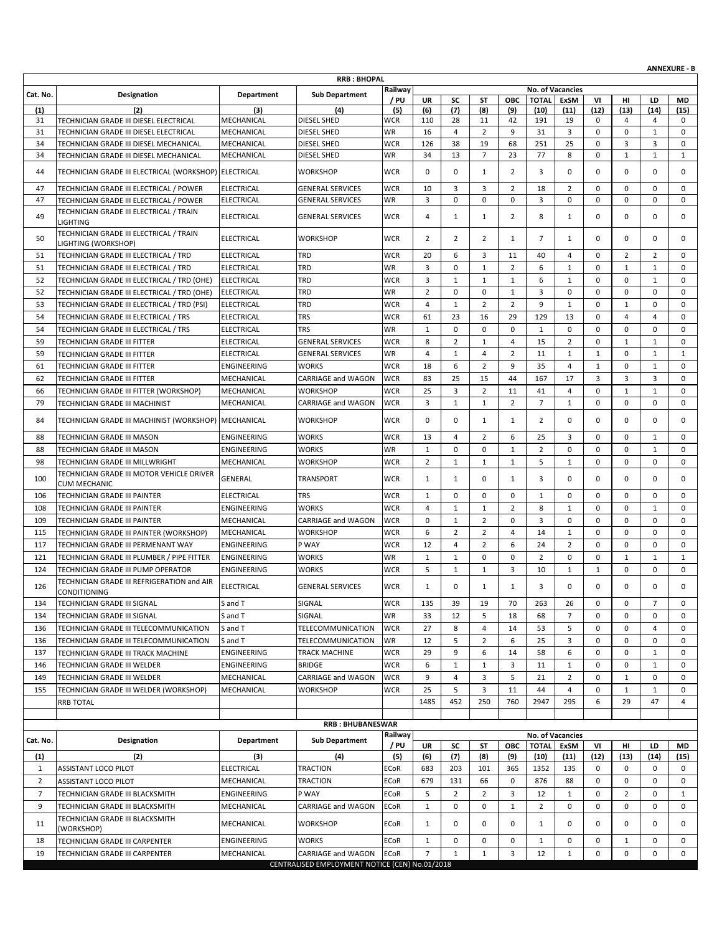|                                   |                                                                                        |                          | <b>RRB: BHOPAL</b>                                                   |                          |                     |                              |                      |                     |                                  |                         |                            |                  |                            | <b>ANNEXURE - B</b>        |
|-----------------------------------|----------------------------------------------------------------------------------------|--------------------------|----------------------------------------------------------------------|--------------------------|---------------------|------------------------------|----------------------|---------------------|----------------------------------|-------------------------|----------------------------|------------------|----------------------------|----------------------------|
|                                   |                                                                                        |                          |                                                                      | Railway                  |                     |                              |                      |                     |                                  | <b>No. of Vacancies</b> |                            |                  |                            |                            |
| Cat. No.                          | <b>Designation</b>                                                                     | Department               | <b>Sub Department</b>                                                | / PU                     | UR                  | SC                           | ST                   | ОВС                 | <b>TOTAL</b>                     | ExSM                    | VI                         | нı               | LD                         | MD                         |
| (1)                               | (2)                                                                                    | (3)                      | (4)                                                                  | (5)                      | (6)                 | (7)                          | (8)                  | (9)                 | (10)                             | (11)                    | (12)                       | (13)             | (14)                       | (15)                       |
| 31                                | TECHNICIAN GRADE III DIESEL ELECTRICAL                                                 | MECHANICAL               | DIESEL SHED                                                          | <b>WCR</b>               | 110                 | 28                           | 11                   | 42                  | 191                              | 19                      | 0                          | 4                | 4                          | 0                          |
| 31<br>34                          | TECHNICIAN GRADE III DIESEL ELECTRICAL                                                 | MECHANICAL<br>MECHANICAL | DIESEL SHED<br>DIESEL SHED                                           | WR<br><b>WCR</b>         | 16<br>126           | $\overline{4}$<br>38         | $\overline{2}$<br>19 | 9<br>68             | 31<br>251                        | 3<br>25                 | $\mathbf 0$<br>0           | $\mathbf 0$<br>3 | 1<br>3                     | $\mathbf 0$<br>0           |
| 34                                | TECHNICIAN GRADE III DIESEL MECHANICAL<br>TECHNICIAN GRADE III DIESEL MECHANICAL       | MECHANICAL               | DIESEL SHED                                                          | <b>WR</b>                | 34                  | 13                           | $\overline{7}$       | 23                  | 77                               | 8                       | $\mathbf 0$                | $\mathbf{1}$     | $\mathbf{1}$               | $\mathbf{1}$               |
| 44                                | TECHNICIAN GRADE III ELECTRICAL (WORKSHOP) ELECTRICAL                                  |                          | <b>WORKSHOP</b>                                                      | <b>WCR</b>               | 0                   | 0                            | 1                    | 2                   | 3                                | 0                       | 0                          | 0                | $\mathbf 0$                | 0                          |
| 47                                | TECHNICIAN GRADE III ELECTRICAL / POWER                                                | <b>ELECTRICAL</b>        | <b>GENERAL SERVICES</b>                                              | <b>WCR</b>               | 10                  | 3                            | 3                    | 2                   | 18                               | $\overline{2}$          | $\mathbf 0$                | 0                | $\mathbf 0$                | 0                          |
| 47                                | TECHNICIAN GRADE III ELECTRICAL / POWER                                                | <b>ELECTRICAL</b>        | <b>GENERAL SERVICES</b>                                              | <b>WR</b>                | 3                   | $\mathbf 0$                  | 0                    | 0                   | 3                                | 0                       | $\mathbf 0$                | 0                | $\mathbf 0$                | 0                          |
| 49                                | TECHNICIAN GRADE III ELECTRICAL / TRAIN<br><b>LIGHTING</b>                             | <b>ELECTRICAL</b>        | <b>GENERAL SERVICES</b>                                              | <b>WCR</b>               | 4                   | $\mathbf{1}$                 | $\mathbf{1}$         | 2                   | 8                                | $\mathbf{1}$            | $\mathbf 0$                | 0                | $\mathbf 0$                | 0                          |
| 50                                | TECHNICIAN GRADE III ELECTRICAL / TRAIN<br>LIGHTING (WORKSHOP)                         | <b>ELECTRICAL</b>        | <b>WORKSHOP</b>                                                      | <b>WCR</b>               | $\overline{2}$      | $\overline{2}$               | 2                    | 1                   | 7                                | 1                       | 0                          | 0                | $\mathbf 0$                | $\mathbf 0$                |
| 51                                | TECHNICIAN GRADE III ELECTRICAL / TRD                                                  | <b>ELECTRICAL</b>        | TRD                                                                  | <b>WCR</b>               | 20                  | 6                            | 3                    | 11                  | 40                               | 4                       | $\mathbf 0$                | 2                | $\overline{2}$             | 0                          |
| 51                                | TECHNICIAN GRADE III ELECTRICAL / TRD                                                  | <b>ELECTRICAL</b>        | TRD                                                                  | WR                       | 3                   | 0                            | 1                    | 2                   | 6                                | 1                       | $\mathbf 0$                | $\mathbf{1}$     | 1                          | 0                          |
| 52                                | TECHNICIAN GRADE III ELECTRICAL / TRD (OHE)                                            | <b>ELECTRICAL</b>        | TRD                                                                  | <b>WCR</b>               | 3                   | $\mathbf{1}$                 | $\mathbf{1}$         | $\mathbf{1}$        | 6                                | $\mathbf{1}$            | $\mathbf 0$                | 0                | $\mathbf{1}$               | $\mathbf 0$                |
| 52                                | TECHNICIAN GRADE III ELECTRICAL / TRD (OHE)                                            | <b>ELECTRICAL</b>        | TRD                                                                  | <b>WR</b>                | $\overline{2}$      | 0                            | 0                    | $\mathbf{1}$        | 3                                | 0                       | $\mathbf 0$                | 0                | $\mathbf 0$                | 0                          |
| 53                                | TECHNICIAN GRADE III ELECTRICAL / TRD (PSI)                                            | <b>ELECTRICAL</b>        | TRD                                                                  | <b>WCR</b>               | $\overline{4}$      | $\mathbf{1}$                 | $\overline{2}$       | $\overline{2}$      | 9                                | $\mathbf{1}$            | 0                          | $\mathbf{1}$     | $\mathbf 0$                | $\mathbf 0$                |
| 54                                | TECHNICIAN GRADE III ELECTRICAL / TRS                                                  | <b>ELECTRICAL</b>        | TRS                                                                  | <b>WCR</b>               | 61                  | 23                           | 16                   | 29                  | 129                              | 13                      | $\mathbf 0$                | 4                | 4                          | $\mathbf 0$                |
| 54                                | TECHNICIAN GRADE III ELECTRICAL / TRS                                                  | <b>ELECTRICAL</b>        | TRS                                                                  | WR                       | $\mathbf{1}$        | 0                            | 0                    | $\mathbf 0$         | $\mathbf{1}$                     | $\mathbf 0$             | $\mathbf 0$                | 0                | $\mathbf 0$                | $\mathbf 0$                |
| 59                                | TECHNICIAN GRADE III FITTER                                                            | <b>ELECTRICAL</b>        | <b>GENERAL SERVICES</b>                                              | <b>WCR</b>               | 8                   | $\overline{2}$               | 1                    | 4                   | 15                               | 2                       | 0                          | $\mathbf{1}$     | $\mathbf{1}$               | 0                          |
| 59                                | TECHNICIAN GRADE III FITTER                                                            | <b>ELECTRICAL</b>        | <b>GENERAL SERVICES</b>                                              | WR                       | 4                   | $\mathbf{1}$                 | 4                    | $\overline{2}$      | 11                               | $\mathbf{1}$            | $\mathbf{1}$               | 0                | $\mathbf{1}$               | 1                          |
| 61                                | TECHNICIAN GRADE III FITTER                                                            | ENGINEERING              | <b>WORKS</b>                                                         | <b>WCR</b>               | 18                  | 6                            | $\overline{2}$       | 9                   | 35                               | $\overline{4}$          | 1                          | 0                | 1                          | $\mathbf 0$                |
| 62                                | TECHNICIAN GRADE III FITTER                                                            | MECHANICAL               | <b>CARRIAGE and WAGON</b>                                            | <b>WCR</b>               | 83                  | 25                           | 15                   | 44                  | 167                              | 17                      | 3                          | 3                | 3                          | $\mathbf 0$                |
| 66                                | TECHNICIAN GRADE III FITTER (WORKSHOP)                                                 | MECHANICAL               | <b>WORKSHOP</b>                                                      | <b>WCR</b>               | 25                  | 3                            | $\overline{2}$       | 11                  | 41                               | $\overline{4}$          | 0                          | $\mathbf{1}$     | $\mathbf{1}$               | $\mathbf 0$                |
| 79<br>84                          | TECHNICIAN GRADE III MACHINIST<br>TECHNICIAN GRADE III MACHINIST (WORKSHOP) MECHANICAL | MECHANICAL               | CARRIAGE and WAGON<br><b>WORKSHOP</b>                                | <b>WCR</b><br><b>WCR</b> | 3<br>0              | $\mathbf{1}$<br>0            | $\mathbf{1}$<br>1    | $\overline{2}$<br>1 | $\overline{7}$<br>$\overline{2}$ | $\mathbf{1}$<br>0       | 0<br>0                     | 0<br>0           | $\mathbf 0$<br>$\mathbf 0$ | 0<br>$\mathbf 0$           |
|                                   |                                                                                        |                          |                                                                      |                          |                     |                              |                      |                     |                                  |                         |                            |                  |                            |                            |
| 88                                | TECHNICIAN GRADE III MASON                                                             | ENGINEERING              | <b>WORKS</b>                                                         | <b>WCR</b>               | 13                  | $\overline{4}$               | $\overline{2}$       | 6                   | 25                               | 3                       | $\mathbf 0$                | 0                | 1                          | 0                          |
| 88                                | TECHNICIAN GRADE III MASON                                                             | ENGINEERING              | WORKS                                                                | WR                       | $\mathbf{1}$        | 0                            | 0                    | $\mathbf{1}$        | $\overline{2}$                   | 0                       | $\mathbf 0$                | 0                | $\mathbf{1}$               | 0                          |
| 98<br>100                         | TECHNICIAN GRADE III MILLWRIGHT<br>TECHNICIAN GRADE III MOTOR VEHICLE DRIVER           | MECHANICAL<br>GENERAL    | WORKSHOP<br>TRANSPORT                                                | <b>WCR</b><br><b>WCR</b> | $\overline{2}$<br>1 | $\mathbf{1}$<br>$\mathbf{1}$ | 1<br>0               | $\mathbf{1}$<br>1   | 5<br>3                           | $\mathbf{1}$<br>0       | $\mathbf 0$<br>$\mathbf 0$ | 0<br>0           | $\mathbf 0$<br>$\mathbf 0$ | $\mathbf 0$<br>$\mathbf 0$ |
| 106                               | <b>CUM MECHANIC</b>                                                                    | <b>ELECTRICAL</b>        | <b>TRS</b>                                                           | <b>WCR</b>               | $\mathbf{1}$        | 0                            | 0                    | 0                   | $\mathbf{1}$                     | 0                       | 0                          | 0                | $\mathbf 0$                | 0                          |
| 108                               | TECHNICIAN GRADE III PAINTER<br>TECHNICIAN GRADE III PAINTER                           | ENGINEERING              | <b>WORKS</b>                                                         | <b>WCR</b>               | $\overline{4}$      | $\mathbf{1}$                 | 1                    | 2                   | 8                                | $\mathbf{1}$            | $\mathbf 0$                | 0                | 1                          | $\mathbf 0$                |
| 109                               | TECHNICIAN GRADE III PAINTER                                                           | MECHANICAL               | <b>CARRIAGE and WAGON</b>                                            | <b>WCR</b>               | 0                   | $\mathbf{1}$                 | $\overline{2}$       | 0                   | 3                                | 0                       | $\mathbf 0$                | 0                | $\mathbf 0$                | $\mathbf 0$                |
| 115                               | TECHNICIAN GRADE III PAINTER (WORKSHOP)                                                | MECHANICAL               | <b>WORKSHOP</b>                                                      | <b>WCR</b>               | 6                   | $\overline{2}$               | 2                    | $\overline{4}$      | 14                               | $\mathbf{1}$            | $\mathbf 0$                | 0                | $\mathbf 0$                | $\mathbf 0$                |
| 117                               | TECHNICIAN GRADE III PERMENANT WAY                                                     | ENGINEERING              | P WAY                                                                | <b>WCR</b>               | 12                  | $\overline{4}$               | $\overline{2}$       | 6                   | 24                               | $\overline{2}$          | 0                          | 0                | $\mathbf 0$                | $\mathbf 0$                |
| 121                               | TECHNICIAN GRADE III PLUMBER / PIPE FITTER                                             | ENGINEERING              | WORKS                                                                | <b>WR</b>                | $\mathbf{1}$        | $\mathbf{1}$                 | $\mathbf 0$          | $\mathbf 0$         | $\overline{2}$                   | $\mathbf 0$             | $\mathbf 0$                | $\mathbf{1}$     | 1                          | 1                          |
| 124                               | TECHNICIAN GRADE III PUMP OPERATOR                                                     | <b>ENGINEERING</b>       | WORKS                                                                | <b>WCR</b>               | 5                   | $\mathbf{1}$                 | $\mathbf{1}$         | 3                   | 10                               | $\mathbf{1}$            | 1                          | 0                | 0                          | $\mathbf 0$                |
| 126                               | TECHNICIAN GRADE III REFRIGERATION and AIR<br><b>CONDITIONING</b>                      | <b>ELECTRICAL</b>        | <b>GENERAL SERVICES</b>                                              | <b>WCR</b>               | $\mathbf{1}$        | $\mathbf 0$                  | 1                    | 1                   | 3                                | 0                       | 0                          | 0                | 0                          | $\Omega$                   |
| 134                               | TECHNICIAN GRADE III SIGNAL                                                            | S and T                  | SIGNAL                                                               | <b>WCR</b>               | 135                 | 39                           | 19                   | 70                  | 263                              | 26                      | 0                          | 0                | $\overline{7}$             | 0                          |
| 134                               | TECHNICIAN GRADE III SIGNAL                                                            | S and T                  | SIGNAL                                                               | WR                       | 33                  | 12                           | 5                    | 18                  | 68                               | 7                       | 0                          | 0                | 0                          | 0                          |
| 136                               | TECHNICIAN GRADE III TELECOMMUNICATION                                                 | S and T                  | TELECOMMUNICATION                                                    | <b>WCR</b>               | 27                  | 8                            | 4                    | 14                  | 53                               | 5                       | 0                          | 0                | 4                          | 0                          |
| 136                               | TECHNICIAN GRADE III TELECOMMUNICATION                                                 | S and T                  | TELECOMMUNICATION                                                    | WR                       | 12                  | 5                            | $\overline{2}$       | 6                   | 25                               | 3                       | 0                          | 0                | 0                          | 0                          |
| 137                               | TECHNICIAN GRADE III TRACK MACHINE                                                     | ENGINEERING              | TRACK MACHINE                                                        | <b>WCR</b>               | 29                  | 9                            | 6                    | 14                  | 58                               | 6                       | 0                          | 0                | $\mathbf{1}$               | 0                          |
| 146                               | TECHNICIAN GRADE III WELDER                                                            | ENGINEERING              | <b>BRIDGE</b>                                                        | <b>WCR</b>               | 6                   | $\mathbf{1}$                 | $\mathbf{1}$         | 3                   | 11                               | $\mathbf{1}$            | 0                          | 0                | $\mathbf{1}$               | 0                          |
| 149                               | TECHNICIAN GRADE III WELDER                                                            | MECHANICAL               | CARRIAGE and WAGON                                                   | <b>WCR</b>               | 9                   | 4                            | 3                    | 5                   | 21                               | $\overline{2}$          | 0                          | $\mathbf{1}$     | 0                          | 0                          |
| 155                               | TECHNICIAN GRADE III WELDER (WORKSHOP)                                                 | MECHANICAL               | WORKSHOP                                                             | <b>WCR</b>               | 25                  | 5                            | 3                    | 11                  | 44                               | 4                       | 0                          | $\mathbf{1}$     | $\mathbf{1}$               | 0                          |
|                                   | <b>RRB TOTAL</b>                                                                       |                          |                                                                      |                          | 1485                | 452                          | 250                  | 760                 | 2947                             | 295                     | 6                          | 29               | 47                         | $\overline{4}$             |
|                                   |                                                                                        |                          | <b>RRB: BHUBANESWAR</b>                                              |                          |                     |                              |                      |                     |                                  |                         |                            |                  |                            |                            |
| Cat. No.                          | Designation                                                                            | <b>Department</b>        | <b>Sub Department</b>                                                | Railway                  |                     |                              |                      |                     |                                  | <b>No. of Vacancies</b> |                            |                  |                            |                            |
|                                   |                                                                                        |                          |                                                                      | / PU                     | <b>UR</b>           | SC                           | SΤ                   | ОВС                 | <b>TOTAL</b>                     | ExSM                    | VI                         | нг               | LD                         | MD                         |
| $\left( 1\right)$<br>$\mathbf{1}$ | (2)<br>ASSISTANT LOCO PILOT                                                            | (3)<br>ELECTRICAL        | (4)<br><b>TRACTION</b>                                               | (5)<br>ECoR              | (6)<br>683          | (7)<br>203                   | (8)<br>101           | (9)<br>365          | (10)<br>1352                     | (11)<br>135             | (12)<br>0                  | (13)<br>0        | (14)<br>0                  | (15)<br>0                  |
| $\overline{2}$                    | ASSISTANT LOCO PILOT                                                                   | MECHANICAL               | TRACTION                                                             | <b>ECoR</b>              | 679                 | 131                          | 66                   | 0                   | 876                              | 88                      | 0                          | 0                | 0                          | 0                          |
| $\overline{7}$                    |                                                                                        | ENGINEERING              | P WAY                                                                | <b>ECoR</b>              | 5                   | $\overline{2}$               | $\overline{2}$       | 3                   | 12                               | $\mathbf{1}$            | 0                          | $\overline{2}$   | 0                          | $\mathbf{1}$               |
| 9                                 | TECHNICIAN GRADE III BLACKSMITH<br>TECHNICIAN GRADE III BLACKSMITH                     | MECHANICAL               | CARRIAGE and WAGON                                                   | <b>ECoR</b>              | $\mathbf{1}$        | 0                            | 0                    | $\mathbf{1}$        | $\overline{2}$                   | 0                       | 0                          | 0                | 0                          | 0                          |
| 11                                | TECHNICIAN GRADE III BLACKSMITH                                                        | MECHANICAL               | <b>WORKSHOP</b>                                                      | ECoR                     | $\mathbf{1}$        | 0                            | 0                    | 0                   | 1                                | 0                       | 0                          | 0                | 0                          | 0                          |
|                                   | (WORKSHOP)                                                                             |                          |                                                                      |                          |                     |                              |                      |                     |                                  |                         |                            |                  |                            |                            |
| 18                                | TECHNICIAN GRADE III CARPENTER                                                         | ENGINEERING              | <b>WORKS</b>                                                         | ECoR                     | $\mathbf{1}$        | 0                            | 0                    | 0                   | 1                                | 0                       | 0                          | $\mathbf{1}$     | 0                          | 0                          |
| 19                                | TECHNICIAN GRADE III CARPENTER                                                         | MECHANICAL               | CARRIAGE and WAGON<br>CENTRALISED EMPLOYMENT NOTICE (CEN) No.01/2018 | <b>ECoR</b>              | $\overline{7}$      | $\mathbf{1}$                 | $\mathbf{1}$         | 3                   | 12                               | $\mathbf{1}$            | 0                          | 0                | $\mathbf 0$                | 0                          |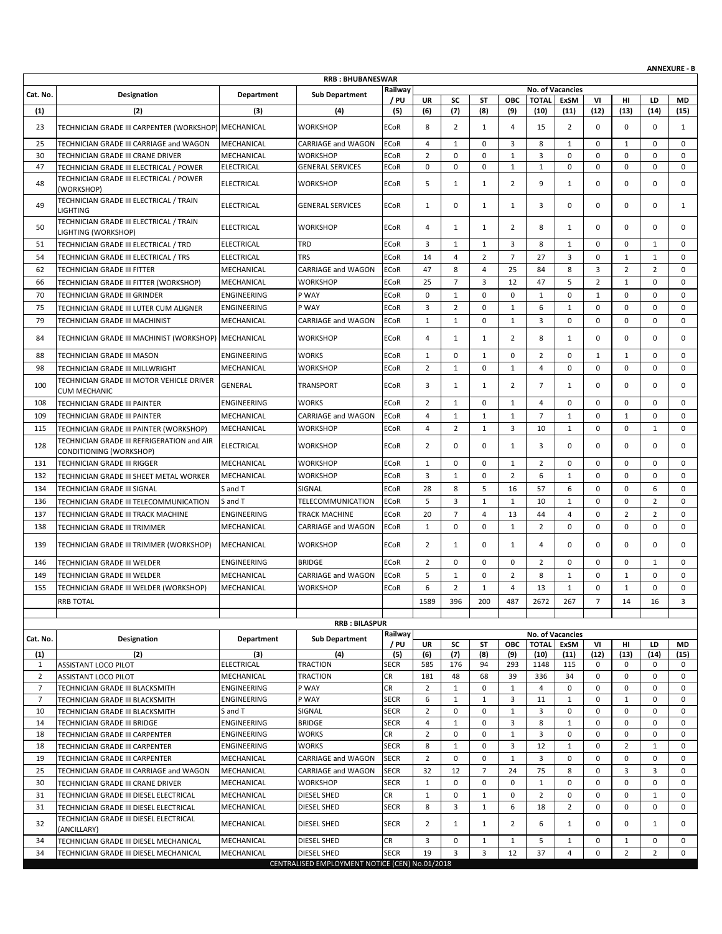|                |                                                                                  |                          | <b>RRB: BHUBANESWAR</b>                        |                            |                     |                   |                              |                    |                      |                         |                |                                |                     | <b>ANNEXURE - B</b> |
|----------------|----------------------------------------------------------------------------------|--------------------------|------------------------------------------------|----------------------------|---------------------|-------------------|------------------------------|--------------------|----------------------|-------------------------|----------------|--------------------------------|---------------------|---------------------|
|                |                                                                                  |                          |                                                | Railway                    |                     |                   |                              |                    |                      | <b>No. of Vacancies</b> |                |                                |                     |                     |
| Cat. No.       | Designation                                                                      | Department               | <b>Sub Department</b>                          | / PU                       | UR                  | SC                | ST                           | ОВС                | <b>TOTAL</b>         | ExSM                    | VI             | нı                             | LD                  | <b>MD</b>           |
| (1)            | (2)                                                                              | (3)                      | (4)                                            | (5)                        | (6)                 | (7)               | (8)                          | (9)                | (10)                 | (11)                    | (12)           | (13)                           | (14)                | (15)                |
| 23             | TECHNICIAN GRADE III CARPENTER (WORKSHOP) MECHANICAL                             |                          | <b>WORKSHOP</b>                                | <b>ECoR</b>                | 8                   | $\overline{2}$    | $\mathbf{1}$                 | 4                  | 15                   | 2                       | 0              | 0                              | $\mathbf 0$         | 1                   |
| 25             | TECHNICIAN GRADE III CARRIAGE and WAGON                                          | MECHANICAL               | <b>CARRIAGE and WAGON</b>                      | <b>ECoR</b>                | $\overline{4}$      | $\mathbf{1}$      | $\mathbf 0$                  | 3                  | 8                    | $\mathbf{1}$            | $\mathbf 0$    | $\mathbf{1}$                   | $\mathbf 0$         | $\mathbf 0$         |
| 30             | TECHNICIAN GRADE III CRANE DRIVER                                                | MECHANICAL               | <b>WORKSHOP</b>                                | <b>ECoR</b>                | $\overline{2}$      | 0                 | $\mathbf 0$                  | $\mathbf{1}$       | 3                    | 0                       | 0              | 0                              | $\mathbf 0$         | $\mathbf 0$         |
| 47             | TECHNICIAN GRADE III ELECTRICAL / POWER                                          | <b>ELECTRICAL</b>        | <b>GENERAL SERVICES</b>                        | <b>ECoR</b>                | $\mathbf 0$         | $\mathbf 0$       | $\mathbf 0$                  | $\mathbf{1}$       | $\mathbf{1}$         | 0                       | 0              | 0                              | $\mathbf 0$         | $\mathbf 0$         |
| 48             | TECHNICIAN GRADE III ELECTRICAL / POWER<br>(WORKSHOP)                            | <b>ELECTRICAL</b>        | <b>WORKSHOP</b>                                | <b>ECoR</b>                | 5                   | $\mathbf{1}$      | $\mathbf{1}$                 | 2                  | 9                    | $\mathbf{1}$            | 0              | 0                              | 0                   | 0                   |
| 49             | TECHNICIAN GRADE III ELECTRICAL / TRAIN<br><b>LIGHTING</b>                       | <b>ELECTRICAL</b>        | <b>GENERAL SERVICES</b>                        | <b>ECoR</b>                | $\mathbf{1}$        | 0                 | 1                            | 1                  | 3                    | 0                       | 0              | 0                              | $\mathbf 0$         | $\mathbf{1}$        |
| 50             | TECHNICIAN GRADE III ELECTRICAL / TRAIN<br>LIGHTING (WORKSHOP)                   | <b>ELECTRICAL</b>        | <b>WORKSHOP</b>                                | <b>ECoR</b>                | 4                   | $\mathbf{1}$      | 1                            | 2                  | 8                    | 1                       | 0              | 0                              | $\mathbf 0$         | 0                   |
| 51             | TECHNICIAN GRADE III ELECTRICAL / TRD                                            | <b>ELECTRICAL</b>        | <b>TRD</b>                                     | <b>ECoR</b>                | 3                   | $\mathbf{1}$      | $\mathbf{1}$                 | 3                  | 8                    | $\mathbf{1}$            | 0              | 0                              | 1                   | $\mathbf 0$         |
| 54             | TECHNICIAN GRADE III ELECTRICAL / TRS                                            | <b>ELECTRICAL</b>        | <b>TRS</b>                                     | <b>ECoR</b>                | 14                  | $\overline{4}$    | $\overline{2}$               | $\overline{7}$     | 27                   | 3                       | 0              | $\mathbf{1}$                   | $\mathbf{1}$        | $\mathbf 0$         |
| 62             | TECHNICIAN GRADE III FITTER                                                      | MECHANICAL               | CARRIAGE and WAGON                             | <b>ECoR</b>                | 47                  | 8                 | 4                            | 25                 | 84                   | 8                       | 3              | $\overline{2}$                 | $\overline{2}$      | 0                   |
| 66             | TECHNICIAN GRADE III FITTER (WORKSHOP)                                           | MECHANICAL               | <b>WORKSHOP</b>                                | <b>ECoR</b>                | 25                  | $\overline{7}$    | 3                            | 12                 | 47                   | 5                       | 2              | $\mathbf{1}$                   | $\mathbf 0$         | $\mathbf 0$         |
| 70             | TECHNICIAN GRADE III GRINDER                                                     | ENGINEERING              | P WAY                                          | <b>ECoR</b>                | $\mathbf 0$         | $\mathbf{1}$      | $\mathbf 0$                  | $\mathbf 0$        | $\mathbf{1}$         | $\mathbf 0$             | $\mathbf{1}$   | 0                              | $\mathbf 0$         | 0                   |
| 75             | TECHNICIAN GRADE III LUTER CUM ALIGNER                                           | <b>ENGINEERING</b>       | P WAY                                          | <b>ECoR</b>                | 3                   | $\overline{2}$    | 0                            | 1                  | 6                    | $\mathbf{1}$            | 0              | 0                              | $\mathbf 0$         | $\mathbf 0$         |
| 79             | TECHNICIAN GRADE III MACHINIST                                                   | MECHANICAL               | CARRIAGE and WAGON                             | <b>ECoR</b>                | $\mathbf{1}$        | $\mathbf{1}$      | $\mathbf 0$                  | $\mathbf{1}$       | 3                    | $\mathbf 0$             | $\mathbf 0$    | 0                              | $\mathbf 0$         | $\mathbf 0$         |
| 84             | TECHNICIAN GRADE III MACHINIST (WORKSHOP)   MECHANICAL                           |                          | <b>WORKSHOP</b>                                | <b>ECoR</b>                | 4                   | $\mathbf{1}$      | 1                            | 2                  | 8                    | 1                       | 0              | 0                              | $\mathbf 0$         | $\mathbf 0$         |
| 88             | TECHNICIAN GRADE III MASON                                                       | ENGINEERING              | <b>WORKS</b>                                   | <b>ECoR</b>                | $\mathbf{1}$        | 0                 | $\mathbf{1}$                 | $\mathbf 0$        | $\overline{2}$       | 0                       | $\mathbf{1}$   | $\mathbf{1}$                   | $\mathbf 0$         | 0                   |
| 98             | TECHNICIAN GRADE III MILLWRIGHT                                                  | MECHANICAL               | <b>WORKSHOP</b>                                | <b>ECoR</b>                | $\overline{2}$      | $\mathbf{1}$      | $\mathbf 0$                  | $\mathbf{1}$       | $\overline{4}$       | $\mathbf 0$             | 0              | 0                              | $\mathbf 0$         | $\mathbf 0$         |
| 100            | TECHNICIAN GRADE III MOTOR VEHICLE DRIVER<br><b>CUM MECHANIC</b>                 | GENERAL                  | <b>TRANSPORT</b>                               | <b>ECoR</b>                | 3                   | $\mathbf{1}$      | $\mathbf{1}$                 | 2                  | $\overline{7}$       | $\mathbf{1}$            | 0              | 0                              | $\mathbf 0$         | 0                   |
| 108            | TECHNICIAN GRADE III PAINTER                                                     | ENGINEERING              | <b>WORKS</b>                                   | <b>ECoR</b>                | $\overline{2}$      | $\mathbf{1}$      | 0                            | $\mathbf{1}$       | 4                    | 0                       | 0              | 0                              | $\mathbf 0$         | $\mathbf 0$         |
| 109            | TECHNICIAN GRADE III PAINTER                                                     | MECHANICAL               | CARRIAGE and WAGON                             | <b>ECoR</b>                | $\overline{4}$      | $\mathbf{1}$      | $\mathbf{1}$                 | $\mathbf{1}$       | $\overline{7}$       | $\mathbf{1}$            | 0              | $\mathbf{1}$                   | $\mathbf 0$         | $\mathbf 0$         |
| 115            | TECHNICIAN GRADE III PAINTER (WORKSHOP)                                          | MECHANICAL               | <b>WORKSHOP</b>                                | <b>ECoR</b>                | $\overline{4}$      | $\overline{2}$    | $\mathbf{1}$                 | 3                  | 10                   | $\mathbf{1}$            | 0              | 0                              | $\mathbf{1}$        | $\mathbf 0$         |
| 128            | TECHNICIAN GRADE III REFRIGERATION and AIR<br>CONDITIONING (WORKSHOP)            | <b>ELECTRICAL</b>        | <b>WORKSHOP</b>                                | <b>ECoR</b>                | 2                   | 0                 | 0                            | 1                  | 3                    | 0                       | 0              | 0                              | $\mathbf 0$         | 0                   |
| 131            | TECHNICIAN GRADE III RIGGER                                                      | MECHANICAL               | <b>WORKSHOP</b>                                | <b>ECoR</b>                | $\mathbf{1}$        | 0                 | $\mathbf 0$                  | 1                  | $\overline{2}$       | 0                       | 0              | 0                              | $\mathbf 0$         | 0                   |
| 132            | TECHNICIAN GRADE III SHEET METAL WORKER                                          | MECHANICAL               | <b>WORKSHOP</b>                                | <b>ECoR</b>                | 3                   | $\mathbf{1}$      | 0                            | $\overline{2}$     | 6                    | $\mathbf{1}$            | 0              | 0                              | $\mathbf 0$         | $\mathbf 0$         |
| 134            | TECHNICIAN GRADE III SIGNAL                                                      | S and T                  | SIGNAL                                         | <b>ECoR</b>                | 28                  | 8                 | 5                            | 16                 | 57                   | 6                       | 0              | 0                              | 6                   | $\mathbf 0$         |
| 136            | TECHNICIAN GRADE III TELECOMMUNICATION                                           | S and T                  | TELECOMMUNICATION                              | <b>ECoR</b>                | 5                   | 3                 | $\mathbf{1}$                 | $\mathbf{1}$       | 10                   | $\mathbf{1}$            | 0              | 0                              | $\overline{2}$      | $\mathbf 0$         |
| 137            | TECHNICIAN GRADE III TRACK MACHINE                                               | ENGINEERING              | <b>TRACK MACHINE</b>                           | <b>ECoR</b>                | 20                  | $\overline{7}$    | $\overline{4}$               | 13                 | 44                   | 4                       | 0              | $\overline{2}$                 | $\overline{2}$      | $\mathbf 0$         |
| 138            | TECHNICIAN GRADE III TRIMMER                                                     | MECHANICAL               | <b>CARRIAGE and WAGON</b>                      | <b>ECoR</b>                | $\mathbf{1}$        | 0                 | 0                            | $\mathbf{1}$       | $\overline{2}$       | 0                       | 0              | 0                              | $\mathbf 0$         | $\mathbf 0$         |
| 139            | TECHNICIAN GRADE III TRIMMER (WORKSHOP)                                          | MECHANICAL               | <b>WORKSHOP</b>                                | <b>ECoR</b>                | 2                   | $\mathbf{1}$      | 0                            | 1                  | 4                    | 0                       | 0              | 0                              | $\mathbf 0$         | 0                   |
| 146            | <b>TECHNICIAN GRADE III WELDER</b>                                               | ENGINEERING              | <b>BRIDGE</b>                                  | <b>ECoR</b>                | 2                   | 0                 | 0                            | 0                  | $\overline{2}$       | 0                       | 0              | 0                              | 1                   | 0                   |
| 149            | TECHNICIAN GRADE III WELDER                                                      | MECHANICAL               | CARRIAGE and WAGON                             | <b>ECoR</b>                | 5                   | $\mathbf{1}$      | $\mathbf 0$                  | $\overline{2}$     | 8                    | $\mathbf{1}$            | 0              | $\mathbf{1}$                   | $\mathbf 0$         | $\mathbf 0$         |
| 155            | TECHNICIAN GRADE III WELDER (WORKSHOP)                                           | MECHANICAL               | <b>WORKSHOP</b>                                | <b>ECoR</b>                | 6                   | $\overline{2}$    | $\mathbf{1}$                 | $\overline{4}$     | 13                   | $\mathbf{1}$            | $\mathbf 0$    | $\mathbf{1}$                   | $\mathbf 0$         | $\Omega$            |
|                | <b>RRB TOTAL</b>                                                                 |                          |                                                |                            | 1589                | 396               | 200                          | 487                | 2672                 | 267                     | $\overline{7}$ | 14                             | 16                  | 3                   |
|                |                                                                                  |                          |                                                |                            |                     |                   |                              |                    |                      |                         |                |                                |                     |                     |
|                |                                                                                  |                          | <b>RRB: BILASPUR</b>                           |                            |                     |                   |                              |                    |                      |                         |                |                                |                     |                     |
| Cat. No.       | <b>Designation</b>                                                               | Department               | <b>Sub Department</b>                          | Railway                    |                     |                   |                              |                    |                      | <b>No. of Vacancies</b> |                |                                |                     |                     |
| (1)            | (2)                                                                              | (3)                      | (4)                                            | / PU<br>(5)                | UR<br>(6)           | SC<br>(7)         | ST<br>(8)                    | ОВС<br>(9)         | <b>TOTAL</b><br>(10) | ExSM<br>(11)            | VI<br>(12)     | HI<br>(13)                     | LD<br>(14)          | MD<br>(15)          |
| 1              | ASSISTANT LOCO PILOT                                                             | <b>ELECTRICAL</b>        | <b>TRACTION</b>                                | <b>SECR</b>                | 585                 | 176               | 94                           | 293                | 1148                 | 115                     | 0              | 0                              | 0                   | 0                   |
| $\overline{2}$ | <b>ASSISTANT LOCO PILOT</b>                                                      | MECHANICAL               | <b>TRACTION</b>                                | CR                         | 181                 | 48                | 68                           | 39                 | 336                  | 34                      | 0              | 0                              | $\mathbf 0$         | $\mathbf 0$         |
| $\overline{7}$ | TECHNICIAN GRADE III BLACKSMITH                                                  | ENGINEERING              | P WAY                                          | CR                         | $\overline{2}$      | $\mathbf{1}$      | 0                            | $\mathbf{1}$       | $\overline{4}$       | 0                       | 0              | 0                              | 0                   | 0                   |
| $\overline{7}$ | TECHNICIAN GRADE III BLACKSMITH                                                  | ENGINEERING              | P WAY                                          | <b>SECR</b>                | 6                   | $\mathbf{1}$      | $\mathbf{1}$                 | 3                  | 11                   | $\mathbf{1}$            | 0              | $\mathbf{1}$                   | $\mathbf 0$         | 0                   |
| 10             | TECHNICIAN GRADE III BLACKSMITH                                                  | S and T                  | SIGNAL                                         | <b>SECR</b>                | $\overline{2}$      | 0                 | 0                            | $\mathbf{1}$       | 3                    | $\mathbf 0$             | 0              | 0                              | 0                   | 0                   |
| 14             | TECHNICIAN GRADE III BRIDGE                                                      | ENGINEERING              | <b>BRIDGE</b>                                  | <b>SECR</b>                | 4                   | $\mathbf{1}$      | 0                            | 3                  | 8                    | $\mathbf{1}$            | 0              | 0                              | 0                   | 0                   |
| 18             | TECHNICIAN GRADE III CARPENTER                                                   | ENGINEERING              | <b>WORKS</b>                                   | CR                         | $\overline{2}$      | 0                 | $\mathbf 0$                  | $\mathbf{1}$       | 3                    | $\mathbf 0$             | 0              | 0                              | $\mathbf 0$         | $\mathbf 0$         |
| 18             | TECHNICIAN GRADE III CARPENTER                                                   | ENGINEERING              | <b>WORKS</b>                                   | <b>SECR</b>                | 8                   | $\mathbf{1}$      | 0                            | 3                  | 12                   | $\mathbf{1}$            | 0              | 2                              | 1                   | 0                   |
| 19             | TECHNICIAN GRADE III CARPENTER                                                   | MECHANICAL               | CARRIAGE and WAGON                             | <b>SECR</b>                | $\overline{2}$      | 0                 | 0                            | $\mathbf{1}$       | 3                    | 0                       | 0              | 0                              | 0                   | 0                   |
| 25             | TECHNICIAN GRADE III CARRIAGE and WAGON                                          | MECHANICAL               | CARRIAGE and WAGON                             | <b>SECR</b>                | 32                  | 12                | $\overline{7}$               | 24                 | 75                   | 8                       | 0              | 3                              | 3                   | 0                   |
| 30             | TECHNICIAN GRADE III CRANE DRIVER                                                | MECHANICAL               | <b>WORKSHOP</b>                                | <b>SECR</b>                | $\mathbf{1}$        | 0                 | $\mathbf 0$                  | 0                  | $\mathbf{1}$         | $\mathbf 0$             | 0              | 0                              | $\mathbf 0$         | 0                   |
| 31             | TECHNICIAN GRADE III DIESEL ELECTRICAL                                           | MECHANICAL               | DIESEL SHED                                    | CR                         | $\mathbf{1}$        | 0                 | $\mathbf{1}$                 | 0                  | $\overline{2}$       | 0                       | 0              | 0                              | $\mathbf{1}$        | 0                   |
| 31<br>32       | TECHNICIAN GRADE III DIESEL ELECTRICAL<br>TECHNICIAN GRADE III DIESEL ELECTRICAL | MECHANICAL<br>MECHANICAL | DIESEL SHED<br><b>DIESEL SHED</b>              | <b>SECR</b><br><b>SECR</b> | 8<br>$\overline{2}$ | 3<br>$\mathbf{1}$ | $\mathbf{1}$<br>$\mathbf{1}$ | 6<br>2             | 18<br>6              | $\overline{2}$<br>1     | 0<br>0         | 0<br>0                         | 0<br>$\mathbf{1}$   | 0<br>0              |
|                | (ANCILLARY)                                                                      |                          |                                                |                            |                     |                   |                              |                    |                      |                         |                |                                |                     |                     |
| 34<br>34       | TECHNICIAN GRADE III DIESEL MECHANICAL<br>TECHNICIAN GRADE III DIESEL MECHANICAL | MECHANICAL<br>MECHANICAL | DIESEL SHED<br>DIESEL SHED                     | CR<br><b>SECR</b>          | 3<br>19             | 0<br>3            | $\mathbf{1}$<br>3            | $\mathbf{1}$<br>12 | 5<br>37              | $\mathbf{1}$<br>4       | 0<br>0         | $\mathbf{1}$<br>$\overline{2}$ | 0<br>$\overline{2}$ | 0<br>$\mathbf 0$    |
|                |                                                                                  |                          | CENTRALISED EMPLOYMENT NOTICE (CEN) No.01/2018 |                            |                     |                   |                              |                    |                      |                         |                |                                |                     |                     |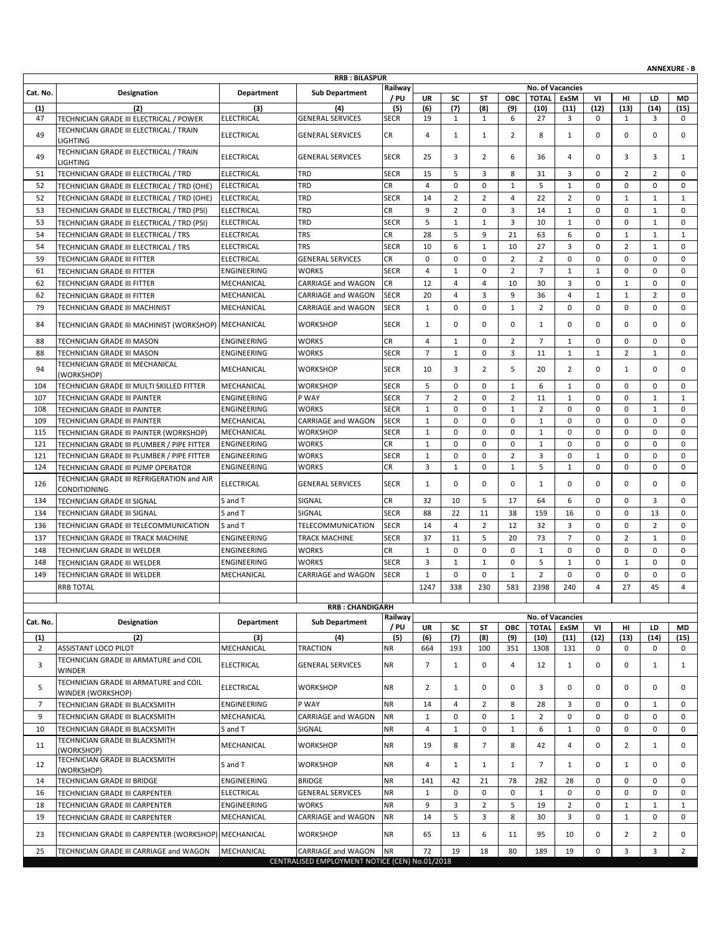|                |                                                            |                   |                                                |             |                |                |                |                     |                |                  |              |                |                | <b>ANNEXURE - B</b> |
|----------------|------------------------------------------------------------|-------------------|------------------------------------------------|-------------|----------------|----------------|----------------|---------------------|----------------|------------------|--------------|----------------|----------------|---------------------|
|                |                                                            |                   | <b>RRB: BILASPUR</b>                           | Railway     |                |                |                |                     |                | No. of Vacancies |              |                |                |                     |
| Cat. No.       | Designation                                                | Department        | <b>Sub Department</b>                          | / PU        | UR             | SC             | <b>ST</b>      | ОВС                 | <b>TOTAL</b>   | ExSM             | VI           | HI.            | LD             | MD                  |
| (1)            | (2)                                                        | (3)               | (4)                                            | (5)         | (6)            | (7)            | (8)            | (9)                 | (10)           | (11)             | (12)         | (13)           | (14)           | (15)                |
| 47             | TECHNICIAN GRADE III ELECTRICAL / POWER                    | <b>ELECTRICAL</b> | <b>GENERAL SERVICES</b>                        | <b>SECR</b> | 19             | $\mathbf{1}$   | 1              | 6                   | 27             | 3                | 0            | 1              | 3              | $^{\circ}$          |
| 49             | TECHNICIAN GRADE III ELECTRICAL / TRAIN<br><b>LIGHTING</b> | <b>ELECTRICAL</b> | <b>GENERAL SERVICES</b>                        | CR          | 4              | $\mathbf{1}$   | $\mathbf{1}$   | 2                   | 8              | $\mathbf{1}$     | 0            | 0              | $\mathbf 0$    | 0                   |
| 49             | TECHNICIAN GRADE III ELECTRICAL / TRAIN<br><b>LIGHTING</b> | <b>ELECTRICAL</b> | <b>GENERAL SERVICES</b>                        | <b>SECR</b> | 25             | 3              | $\overline{2}$ | 6                   | 36             | 4                | 0            | 3              | 3              | $\mathbf{1}$        |
| 51             | TECHNICIAN GRADE III ELECTRICAL / TRD                      | <b>ELECTRICAL</b> | TRD                                            | <b>SECR</b> | 15             | 5              | 3              | 8                   | 31             | 3                | 0            | $\overline{2}$ | $\overline{2}$ | 0                   |
| 52             | TECHNICIAN GRADE III ELECTRICAL / TRD (OHE)                | <b>ELECTRICAL</b> | TRD                                            | <b>CR</b>   | $\overline{4}$ | $\mathbf 0$    | $\mathbf 0$    | $\mathbf{1}$        | 5              | $\mathbf{1}$     | $\mathbf 0$  | 0              | $\mathbf 0$    | $\mathbf 0$         |
| 52             | TECHNICIAN GRADE III ELECTRICAL / TRD (OHE)                | <b>ELECTRICAL</b> | TRD                                            | <b>SECR</b> | 14             | $\overline{2}$ | $\overline{2}$ | 4                   | 22             | $\overline{2}$   | 0            | $\mathbf 1$    | $\mathbf{1}$   | $\mathbf{1}$        |
| 53             | TECHNICIAN GRADE III ELECTRICAL / TRD (PSI)                | <b>ELECTRICAL</b> | TRD                                            | CR          | 9              | $\overline{2}$ | $\mathbf 0$    | 3                   | 14             | $\mathbf{1}$     | 0            | $\mathbf 0$    | $\mathbf{1}$   | $\mathbf 0$         |
| 53             | TECHNICIAN GRADE III ELECTRICAL / TRD (PSI)                | <b>ELECTRICAL</b> | TRD                                            | <b>SECR</b> | 5              | $\mathbf{1}$   | $1\,$          | 3                   | 10             | $\mathbf{1}$     | 0            | 0              | $\mathbf{1}$   | $\mathbf 0$         |
| 54             | TECHNICIAN GRADE III ELECTRICAL / TRS                      | <b>ELECTRICAL</b> | <b>TRS</b>                                     | CR          | 28             | 5              | 9              | 21                  | 63             | 6                | 0            | $\mathbf{1}$   | $\mathbf{1}$   | $\mathbf{1}$        |
| 54             | TECHNICIAN GRADE III ELECTRICAL / TRS                      | <b>ELECTRICAL</b> | <b>TRS</b>                                     | <b>SECR</b> | 10             | 6              | $\mathbf{1}$   | 10                  | 27             | 3                | 0            | $\overline{2}$ | $\mathbf{1}$   | $\mathbf 0$         |
| 59             | TECHNICIAN GRADE III FITTER                                | <b>ELECTRICAL</b> | <b>GENERAL SERVICES</b>                        | CR          | $\mathbf 0$    | $\mathbf 0$    | $\mathbf 0$    | 2                   | $\overline{2}$ | $\mathbf 0$      | 0            | 0              | $\mathbf 0$    | $\mathbf 0$         |
| 61             | TECHNICIAN GRADE III FITTER                                | ENGINEERING       | <b>WORKS</b>                                   | <b>SECR</b> | 4              | $\mathbf{1}$   | $\mathbf 0$    | 2                   | $\overline{7}$ | 1                | 1            | 0              | $\mathbf 0$    | 0                   |
| 62             | TECHNICIAN GRADE III FITTER                                | MECHANICAL        | <b>CARRIAGE and WAGON</b>                      | CR          | 12             | 4              | 4              | 10                  | 30             | 3                | 0            | $\mathbf{1}$   | $\mathbf 0$    | $\mathbf 0$         |
| 62             | TECHNICIAN GRADE III FITTER                                | MECHANICAL        | <b>CARRIAGE and WAGON</b>                      | <b>SECR</b> | 20             | $\overline{4}$ | 3              | 9                   | 36             | $\overline{4}$   | $\mathbf{1}$ | $\mathbf{1}$   | $\overline{2}$ | $\mathbf 0$         |
| 79             | TECHNICIAN GRADE III MACHINIST                             | MECHANICAL        | <b>CARRIAGE and WAGON</b>                      | <b>SECR</b> | $\mathbf{1}$   | $\mathbf 0$    | $\mathbf 0$    | $\mathbf{1}$        | $\overline{2}$ | $\mathbf 0$      | 0            | 0              | $\mathbf 0$    | $\mathbf 0$         |
| 84             | TECHNICIAN GRADE III MACHINIST (WORKSHOP) MECHANICAL       |                   | <b>WORKSHOP</b>                                | <b>SECR</b> | 1              | 0              | $\mathbf 0$    | $\mathbf 0$         | 1              | $\mathbf 0$      | 0            | 0              | $\mathbf 0$    | 0                   |
| 88             | TECHNICIAN GRADE III MASON                                 | ENGINEERING       | <b>WORKS</b>                                   | CR          | $\overline{4}$ | $\mathbf{1}$   | $\mathbf 0$    | $\overline{2}$      | $\overline{7}$ | $\mathbf{1}$     | $\mathbf 0$  | 0              | $\mathbf 0$    | $\mathbf 0$         |
| 88             | TECHNICIAN GRADE III MASON                                 | ENGINEERING       | <b>WORKS</b>                                   | <b>SECR</b> | $\overline{7}$ | $\mathbf{1}$   | $\mathbf 0$    | 3                   | 11             | $\mathbf{1}$     | $\mathbf{1}$ | $\overline{2}$ | $\mathbf{1}$   | $\mathbf 0$         |
| 94             | TECHNICIAN GRADE III MECHANICAL                            | MECHANICAL        | <b>WORKSHOP</b>                                | <b>SECR</b> | 10             | 3              | $\overline{2}$ | 5                   | 20             | $\overline{2}$   | 0            | $\mathbf{1}$   | $\mathbf 0$    | $\mathbf 0$         |
| 104            | (WORKSHOP)<br>TECHNICIAN GRADE III MULTI SKILLED FITTER    | MECHANICAL        | <b>WORKSHOP</b>                                | <b>SECR</b> | 5              | 0              | $\mathbf 0$    |                     | 6              | $\mathbf{1}$     | 0            | 0              | $\mathbf 0$    | 0                   |
| 107            | TECHNICIAN GRADE III PAINTER                               | ENGINEERING       | P WAY                                          | <b>SECR</b> | $\overline{7}$ | $\overline{2}$ | $\mathbf 0$    | 1<br>$\overline{2}$ | 11             | $\mathbf{1}$     | $\mathbf 0$  | $\mathbf 0$    | $\mathbf{1}$   | 1                   |
| 108            | TECHNICIAN GRADE III PAINTER                               | ENGINEERING       | <b>WORKS</b>                                   | <b>SECR</b> | $\mathbf{1}$   | 0              | $\mathbf 0$    | $\mathbf{1}$        | $\overline{2}$ | $\mathbf 0$      | 0            | 0              | $\mathbf{1}$   | $\mathbf 0$         |
| 109            | TECHNICIAN GRADE III PAINTER                               | MECHANICAL        | <b>CARRIAGE and WAGON</b>                      | <b>SECR</b> | $\mathbf{1}$   | $\mathbf 0$    | $\mathbf 0$    | $\mathbf 0$         | $\mathbf 1$    | $\mathbf 0$      | $\mathbf 0$  | 0              | $\mathbf 0$    | $\mathbf 0$         |
| 115            | TECHNICIAN GRADE III PAINTER (WORKSHOP)                    | MECHANICAL        | <b>WORKSHOP</b>                                | <b>SECR</b> | $\mathbf{1}$   | $\mathbf 0$    | $\mathbf 0$    | $\mathbf 0$         | $\mathbf 1$    | $\mathbf 0$      | 0            | 0              | $\mathbf 0$    | $\mathbf 0$         |
| 121            | TECHNICIAN GRADE III PLUMBER / PIPE FITTER                 | ENGINEERING       | <b>WORKS</b>                                   | CR          | $\mathbf{1}$   | $\mathbf 0$    | $\mathbf 0$    | $\mathbf 0$         | $\mathbf{1}$   | $\mathbf 0$      | $\mathbf 0$  | 0              | $\mathbf 0$    | $\mathbf 0$         |
| 121            | TECHNICIAN GRADE III PLUMBER / PIPE FITTER                 | ENGINEERING       | <b>WORKS</b>                                   | <b>SECR</b> | $\mathbf{1}$   | $\mathbf 0$    | $\mathbf 0$    | $\overline{2}$      | 3              | $\mathbf 0$      | $\mathbf{1}$ | 0              | $\mathbf 0$    | $\mathbf 0$         |
| 124            | TECHNICIAN GRADE III PUMP OPERATOR                         | ENGINEERING       | <b>WORKS</b>                                   | CR          | 3              | $\mathbf{1}$   | 0              | $\mathbf{1}$        | 5              | $\mathbf{1}$     | 0            | 0              | 0              | 0                   |
| 126            | TECHNICIAN GRADE III REFRIGERATION and AIR<br>CONDITIONING | <b>ELECTRICAL</b> | <b>GENERAL SERVICES</b>                        | <b>SECR</b> | $\mathbf{1}$   | $\mathbf 0$    | $\mathbf 0$    | $\mathbf 0$         | 1              | $\mathbf 0$      | 0            | 0              | $\mathbf 0$    | $\mathbf 0$         |
| 134            | TECHNICIAN GRADE III SIGNAL                                | S and T           | SIGNAL                                         | CR          | 32             | 10             | 5              | 17                  | 64             | 6                | 0            | 0              | 3              | 0                   |
| 134            | TECHNICIAN GRADE III SIGNAL                                | S and T           | SIGNAL                                         | <b>SECR</b> | 88             | 22             | 11             | 38                  | 159            | 16               | 0            | 0              | 13             | $\mathbf 0$         |
| 136            | TECHNICIAN GRADE III TELECOMMUNICATION                     | S and T           | <b>TELECOMMUNICATION</b>                       | <b>SECR</b> | 14             | 4              | $\overline{2}$ | 12                  | 32             | 3                | $\mathbf 0$  | 0              | $\overline{2}$ | 0                   |
| 137            | TECHNICIAN GRADE III TRACK MACHINE                         | ENGINEERING       | TRACK MACHINE                                  | <b>SECR</b> | 37             | 11             | 5              | 20                  | 73             | $\overline{7}$   | 0            | $\overline{2}$ | $\mathbf{1}$   | $\mathbf 0$         |
| 148            | TECHNICIAN GRADE III WELDER                                | ENGINEERING       | <b>WORKS</b>                                   | CR          | $\mathbf{1}$   | 0              | $\mathbf 0$    | $\mathbf 0$         | 1              | $\mathbf 0$      | 0            | $\mathbf 0$    | $\mathbf 0$    | $\mathbf 0$         |
| 148            | TECHNICIAN GRADE III WELDER                                | ENGINEERING       | <b>WORKS</b>                                   | <b>SECR</b> | 3              | $\mathbf{1}$   | $\mathbf{1}$   | $\mathbf 0$         | 5              | $\mathbf{1}$     | 0            | $\mathbf 1$    | $\mathbf 0$    | $\mathbf 0$         |
| 149            | TECHNICIAN GRADE III WELDER                                | MECHANICAL        | <b>CARRIAGE and WAGON</b>                      | <b>SECR</b> | $\mathbf{1}$   | 0              | $\mathbf 0$    | $\mathbf{1}$        | $\overline{2}$ | $\mathbf 0$      | $\mathbf 0$  | 0              | $\mathbf 0$    | $\mathbf 0$         |
|                |                                                            |                   |                                                |             | 1247           | 338            | 230            | 583                 | 2398           | 240              | 4            | 27             | 45             | 4                   |
|                | <b>RRB TOTAL</b>                                           |                   |                                                |             |                |                |                |                     |                |                  |              |                |                |                     |
|                |                                                            |                   | <b>RRB: CHANDIGARH</b>                         |             |                |                |                |                     |                |                  |              |                |                |                     |
| Cat. No.       | Designation                                                | Department        | <b>Sub Department</b>                          | Railway     |                |                |                |                     |                | No. of Vacancies |              |                |                |                     |
|                |                                                            |                   |                                                | / PU        | UR             | SC             | ST             | ОВС                 | <b>TOTAL</b>   | ExSM             | VI           | HI             | LD             | MD                  |
| (1)<br>2       | (2)<br><b>ASSISTANT LOCO PILOT</b>                         | (3)<br>MECHANICAL | (4)<br><b>TRACTION</b>                         | (5)<br>NR   | (6)<br>664     | (7)<br>193     | (8)<br>100     | (9)<br>351          | (10)<br>1308   | (11)<br>131      | (12)<br>0    | (13)<br>0      | (14)<br>0      | (15)<br>0           |
| 3              | TECHNICIAN GRADE III ARMATURE and COIL                     | <b>ELECTRICAL</b> | <b>GENERAL SERVICES</b>                        | NR          | $\overline{7}$ | $\mathbf{1}$   | $\mathbf 0$    | 4                   | 12             | 1                | 0            | 0              | 1              | $\mathbf{1}$        |
| 5              | <b>WINDER</b><br>TECHNICIAN GRADE III ARMATURE and COIL    | <b>ELECTRICAL</b> | <b>WORKSHOP</b>                                | <b>NR</b>   | 2              | $\mathbf{1}$   | 0              | 0                   | 3              | 0                | 0            | 0              | 0              | 0                   |
|                | WINDER (WORKSHOP)                                          |                   | P WAY                                          |             |                |                |                |                     |                |                  |              |                |                |                     |
| $\overline{7}$ | TECHNICIAN GRADE III BLACKSMITH                            | ENGINEERING       |                                                | <b>NR</b>   | 14             | 4              | $\overline{2}$ | 8                   | 28             | 3                | 0            | 0              | 1              | 0                   |
| 9              | TECHNICIAN GRADE III BLACKSMITH                            | MECHANICAL        | CARRIAGE and WAGON                             | <b>NR</b>   | $\mathbf{1}$   | 0              | $\mathbf 0$    | $\mathbf{1}$        | $\overline{2}$ | $\mathbf 0$      | $\mathbf 0$  | 0              | $\mathbf 0$    | 0                   |
| 10             | TECHNICIAN GRADE III BLACKSMITH                            | S and T           | SIGNAL                                         | <b>NR</b>   | 4              | $\mathbf{1}$   | 0              | $\mathbf{1}$        | 6              | $\mathbf{1}$     | 0            | 0              | 0              | 0                   |
| 11             | TECHNICIAN GRADE III BLACKSMITH<br>(WORKSHOP)              | MECHANICAL        | <b>WORKSHOP</b>                                | <b>NR</b>   | 19             | 8              | $\overline{7}$ | 8                   | 42             | 4                | 0            | $\overline{2}$ | $\mathbf{1}$   | 0                   |
| 12             | TECHNICIAN GRADE III BLACKSMITH<br>(WORKSHOP)              | S and T           | <b>WORKSHOP</b>                                | <b>NR</b>   | 4              | $\mathbf{1}$   | $\mathbf{1}$   | 1                   | 7              | $\mathbf{1}$     | 0            | $\mathbf{1}$   | 0              | 0                   |
| 14             | TECHNICIAN GRADE III BRIDGE                                | ENGINEERING       | <b>BRIDGE</b>                                  | <b>NR</b>   | 141            | 42             | 21             | 78                  | 282            | 28               | 0            | 0              | 0              | 0                   |
| 16             | TECHNICIAN GRADE III CARPENTER                             | <b>ELECTRICAL</b> | <b>GENERAL SERVICES</b>                        | <b>NR</b>   | $\mathbf{1}$   | 0              | 0              | $\mathbf 0$         | $\mathbf{1}$   | 0                | 0            | 0              | $\mathbf 0$    | $\mathbf 0$         |
| 18             | TECHNICIAN GRADE III CARPENTER                             | ENGINEERING       | <b>WORKS</b>                                   | <b>NR</b>   | 9              | 3              | $\overline{2}$ | 5                   | 19             | 2                | 0            | $\mathbf{1}$   | $\mathbf{1}$   | 1                   |
| 19             | TECHNICIAN GRADE III CARPENTER                             | MECHANICAL        | CARRIAGE and WAGON                             | NR          | 14             | 5              | 3              | 8                   | 30             | 3                | 0            | $\mathbf{1}$   | $\mathbf 0$    | $\mathbf 0$         |
| 23             | TECHNICIAN GRADE III CARPENTER (WORKSHOP) MECHANICAL       |                   | <b>WORKSHOP</b>                                | <b>NR</b>   | 65             | 13             | 6              | 11                  | 95             | 10               | 0            | $\overline{2}$ | $\overline{2}$ | 0                   |
| 25             | TECHNICIAN GRADE III CARRIAGE and WAGON                    | MECHANICAL        | CARRIAGE and WAGON                             | <b>NR</b>   | 72             | 19             | 18             | 80                  | 189            | 19               | 0            | 3              | 3              | $\overline{2}$      |
|                |                                                            |                   | CENTRALISED EMPLOYMENT NOTICE (CEN) No.01/2018 |             |                |                |                |                     |                |                  |              |                |                |                     |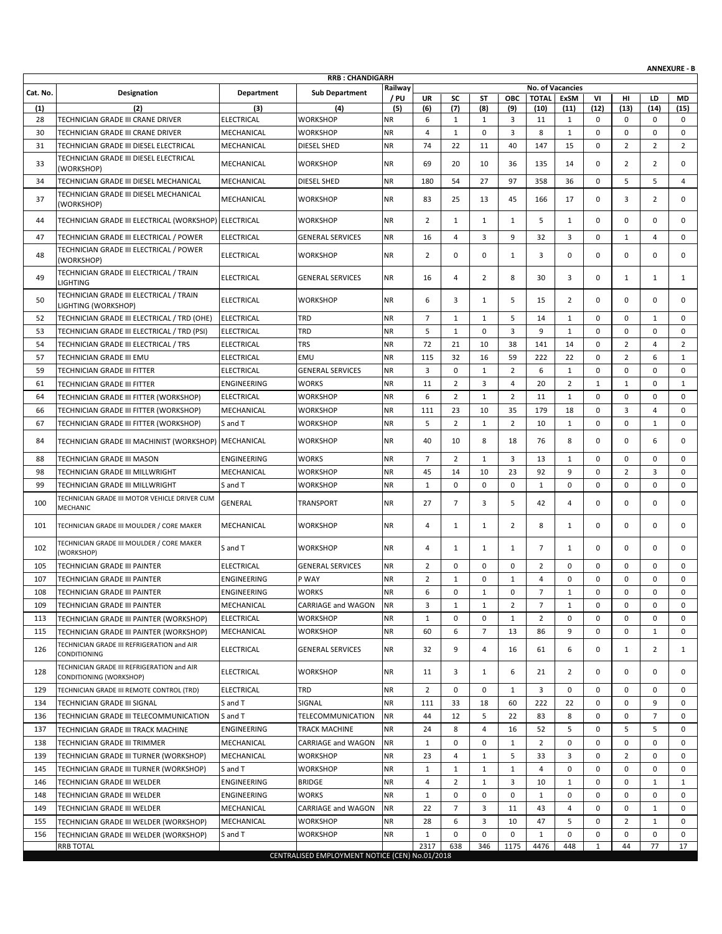|            | <b>ANNEXURE - B</b><br><b>RRB: CHANDIGARH</b>                         |                          |                                                |                        |                |                     |                |                |                |                  |              |                     |                              |                |
|------------|-----------------------------------------------------------------------|--------------------------|------------------------------------------------|------------------------|----------------|---------------------|----------------|----------------|----------------|------------------|--------------|---------------------|------------------------------|----------------|
|            |                                                                       |                          |                                                | Railway                |                |                     |                |                |                | No. of Vacancies |              |                     |                              |                |
| Cat. No.   | <b>Designation</b>                                                    | <b>Department</b>        | <b>Sub Department</b>                          | / PU                   | <b>UR</b>      | SC                  | ST             | <b>OBC</b>     | <b>TOTAL</b>   | ExSM             | VI           | нı                  | LD                           | <b>MD</b>      |
| (1)        | (2)                                                                   | (3)                      | (4)                                            | (5)                    | (6)            | (7)                 | (8)            | (9)            | (10)           | (11)             | (12)         | (13)                | (14)                         | (15)           |
| 28         | TECHNICIAN GRADE III CRANE DRIVER                                     | <b>ELECTRICAL</b>        | <b>WORKSHOP</b>                                | <b>NR</b>              | 6              | $\mathbf{1}$        | 1              | 3              | 11             | 1                | 0            | 0                   | 0                            | 0              |
| 30         | TECHNICIAN GRADE III CRANE DRIVER                                     | MECHANICAL               | <b>WORKSHOP</b>                                | <b>NR</b>              | $\overline{4}$ | $\mathbf{1}$        | 0              | 3              | 8              | $\mathbf{1}$     | $\mathbf 0$  | 0                   | 0                            | 0              |
| 31         | TECHNICIAN GRADE III DIESEL ELECTRICAL                                | MECHANICAL               | DIESEL SHED                                    | <b>NR</b>              | 74             | 22                  | 11             | 40             | 147            | 15               | $\mathbf 0$  | $\overline{2}$      | $\overline{2}$               | $\overline{2}$ |
| 33         | TECHNICIAN GRADE III DIESEL ELECTRICAL<br>(WORKSHOP)                  | MECHANICAL               | <b>WORKSHOP</b>                                | <b>NR</b>              | 69             | 20                  | 10             | 36             | 135            | 14               | 0            | $\overline{2}$      | 2                            | 0              |
| 34         | TECHNICIAN GRADE III DIESEL MECHANICAL                                | MECHANICAL               | DIESEL SHED                                    | <b>NR</b>              | 180            | 54                  | 27             | 97             | 358            | 36               | $\mathbf 0$  | 5                   | 5                            | 4              |
| 37         | TECHNICIAN GRADE III DIESEL MECHANICAL<br>(WORKSHOP)                  | MECHANICAL               | <b>WORKSHOP</b>                                | <b>NR</b>              | 83             | 25                  | 13             | 45             | 166            | 17               | $\mathbf 0$  | 3                   | $\overline{2}$               | 0              |
| 44         | TECHNICIAN GRADE III ELECTRICAL (WORKSHOP) ELECTRICAL                 |                          | <b>WORKSHOP</b>                                | <b>NR</b>              | $\overline{2}$ | $\mathbf{1}$        | 1              | 1              | 5              | 1                | 0            | 0                   | $\mathbf 0$                  | 0              |
| 47         | TECHNICIAN GRADE III ELECTRICAL / POWER                               | <b>ELECTRICAL</b>        | <b>GENERAL SERVICES</b>                        | <b>NR</b>              | 16             | 4                   | 3              | 9              | 32             | 3                | $\mathbf 0$  | $\mathbf{1}$        | $\overline{4}$               | 0              |
| 48         | TECHNICIAN GRADE III ELECTRICAL / POWER<br>(WORKSHOP)                 | <b>ELECTRICAL</b>        | <b>WORKSHOP</b>                                | <b>NR</b>              | $\overline{2}$ | 0                   | $\mathbf 0$    | 1              | 3              | 0                | $\mathbf 0$  | 0                   | $\mathbf 0$                  | 0              |
| 49         | TECHNICIAN GRADE III ELECTRICAL / TRAIN<br><b>LIGHTING</b>            | <b>ELECTRICAL</b>        | <b>GENERAL SERVICES</b>                        | <b>NR</b>              | 16             | 4                   | $\overline{2}$ | 8              | 30             | 3                | 0            | $\mathbf{1}$        | 1                            | $\mathbf{1}$   |
| 50         | TECHNICIAN GRADE III ELECTRICAL / TRAIN<br>LIGHTING (WORKSHOP)        | <b>ELECTRICAL</b>        | <b>WORKSHOP</b>                                | <b>NR</b>              | 6              | 3                   | 1              | 5              | 15             | 2                | $\Omega$     | 0                   | $\mathbf 0$                  | 0              |
| 52         | TECHNICIAN GRADE III ELECTRICAL / TRD (OHE)                           | <b>ELECTRICAL</b>        | TRD                                            | <b>NR</b>              | $\overline{7}$ | $\mathbf{1}$        | 1              | 5              | 14             | 1                | 0            | 0                   | 1                            | 0              |
| 53         | TECHNICIAN GRADE III ELECTRICAL / TRD (PSI)                           | <b>ELECTRICAL</b>        | TRD                                            | <b>NR</b>              | 5              | $\mathbf{1}$        | $\mathbf 0$    | 3              | 9              | 1                | 0            | 0                   | 0                            | 0              |
| 54         | TECHNICIAN GRADE III ELECTRICAL / TRS                                 | <b>ELECTRICAL</b>        | <b>TRS</b>                                     | <b>NR</b>              | 72             | 21                  | 10             | 38             | 141            | 14               | $\mathbf 0$  | $\overline{2}$      | 4                            | 2              |
|            |                                                                       | <b>ELECTRICAL</b>        |                                                |                        |                |                     |                |                |                |                  |              | $\overline{2}$      |                              |                |
| 57         | <b>TECHNICIAN GRADE III EMU</b>                                       |                          | EMU                                            | <b>NR</b>              | 115            | 32                  | 16             | 59             | 222            | 22               | $\mathbf 0$  |                     | 6                            | 1              |
| 59         | TECHNICIAN GRADE III FITTER                                           | <b>ELECTRICAL</b>        | <b>GENERAL SERVICES</b>                        | <b>NR</b>              | 3              | $\mathbf 0$         | $\mathbf{1}$   | $\overline{2}$ | 6              | $\mathbf{1}$     | $\mathbf 0$  | 0                   | $\mathbf 0$                  | $\mathbf 0$    |
| 61         | TECHNICIAN GRADE III FITTER                                           | <b>ENGINEERING</b>       | <b>WORKS</b>                                   | <b>NR</b>              | 11             | $\overline{2}$      | 3              | $\overline{4}$ | 20             | $\overline{2}$   | $\mathbf{1}$ | $\mathbf{1}$        | $\mathbf 0$                  | $\mathbf{1}$   |
| 64         | TECHNICIAN GRADE III FITTER (WORKSHOP)                                | <b>ELECTRICAL</b>        | <b>WORKSHOP</b>                                | <b>NR</b>              | 6              | $\overline{2}$      | $\mathbf{1}$   | $\overline{2}$ | 11             | $\mathbf{1}$     | $\mathbf 0$  | 0                   | $\mathbf 0$                  | 0              |
| 66         | TECHNICIAN GRADE III FITTER (WORKSHOP)                                | MECHANICAL               | <b>WORKSHOP</b>                                | <b>NR</b>              | 111            | 23                  | 10             | 35             | 179            | 18               | $\mathbf 0$  | 3                   | $\overline{4}$               | 0              |
| 67         | TECHNICIAN GRADE III FITTER (WORKSHOP)                                | S and T                  | <b>WORKSHOP</b>                                | <b>NR</b>              | 5              | $\overline{2}$      | 1              | 2              | 10             | 1                | 0            | 0                   | 1                            | 0              |
| 84         | TECHNICIAN GRADE III MACHINIST (WORKSHOP)                             | MECHANICAL               | <b>WORKSHOP</b>                                | <b>NR</b>              | 40             | 10                  | 8              | 18             | 76             | 8                | 0            | 0                   | 6                            | 0              |
| 88         | TECHNICIAN GRADE III MASON                                            | <b>ENGINEERING</b>       | <b>WORKS</b>                                   | <b>NR</b>              | $\overline{7}$ | $\overline{2}$      | 1              | 3              | 13             | 1                | $\mathbf 0$  | 0                   | $\mathbf 0$                  | 0              |
| 98         | TECHNICIAN GRADE III MILLWRIGHT                                       | MECHANICAL               | <b>WORKSHOP</b>                                | <b>NR</b>              | 45             | 14                  | 10             | 23             | 92             | 9                | $\mathbf 0$  | $\overline{2}$      | 3                            | 0              |
| 99         | TECHNICIAN GRADE III MILLWRIGHT                                       | S and T                  | WORKSHOP                                       | <b>NR</b>              | $\mathbf{1}$   | 0                   | $\mathbf 0$    | $\mathbf{0}$   | 1              | $\mathbf 0$      | $\mathbf 0$  | 0                   | $\mathbf 0$                  | 0              |
| 100        | TECHNICIAN GRADE III MOTOR VEHICLE DRIVER CUM<br>MECHANIC             | <b>GENERAL</b>           | TRANSPORT                                      | <b>NR</b>              | 27             | $\overline{7}$      | 3              | 5              | 42             | 4                | $\mathbf 0$  | 0                   | $\mathbf 0$                  | 0              |
| 101        | TECHNICIAN GRADE III MOULDER / CORE MAKER                             | MECHANICAL               | <b>WORKSHOP</b>                                | <b>NR</b>              | 4              | $\mathbf{1}$        | 1              | 2              | 8              | 1                | 0            | 0                   | $\mathbf 0$                  | 0              |
| 102        | TECHNICIAN GRADE III MOULDER / CORE MAKER<br>(WORKSHOP)               | S and T                  | <b>WORKSHOP</b>                                | <b>NR</b>              | 4              | $\mathbf{1}$        | 1              | 1              | 7              | 1                | $\mathbf 0$  | 0                   | $\mathbf 0$                  | 0              |
| 105        | <b>TECHNICIAN GRADE III PAINTER</b>                                   | <b>ELECTRICAL</b>        | <b>GENERAL SERVICES</b>                        | <b>NR</b>              | $\overline{2}$ | 0                   | 0              | 0              | $\overline{2}$ | 0                | $\mathbf 0$  | 0                   | $\mathbf 0$                  | 0              |
| 107        | TECHNICIAN GRADE III PAINTER                                          | <b>ENGINEERING</b>       | P WAY                                          | <b>NR</b>              | $\overline{2}$ | $\mathbf{1}$        | $\Omega$       | $\mathbf{1}$   | $\overline{4}$ | 0                | 0            | 0                   | $\mathbf 0$                  | $\mathbf 0$    |
| 108        | TECHNICIAN GRADE III PAINTER                                          | ENGINEERING              | <b>WORKS</b>                                   | <b>NR</b>              | 6              | 0                   | $\mathbf{1}$   | 0              | 7              | 1                | 0            | 0                   | 0                            | 0              |
| 109        | TECHNICIAN GRADE III PAINTER                                          | MECHANICAL               | CARRIAGE and WAGON                             | <b>NR</b>              | 3              | $\mathbf{1}$        | 1              | 2              | 7              | 1                | 0            | 0                   | 0                            | 0              |
| 113        | TECHNICIAN GRADE III PAINTER (WORKSHOP)                               | <b>ELECTRICAL</b>        | <b>WORKSHOP</b>                                | <b>NR</b>              | $\mathbf{1}$   | 0                   | 0              | 1              | 2              | 0                | $\mathbf 0$  | 0                   | $\mathbf 0$                  | 0              |
| 115        | TECHNICIAN GRADE III PAINTER (WORKSHOP)                               | MECHANICAL               | WORKSHOP                                       | <b>NR</b>              | 60             | 6                   | $\overline{7}$ | 13             | 86             | 9                | 0            | 0                   | 1                            | 0              |
| 126        | TECHNICIAN GRADE III REFRIGERATION and AIR<br><b>CONDITIONING</b>     | <b>ELECTRICAL</b>        | <b>GENERAL SERVICES</b>                        | <b>NR</b>              | 32             | 9                   | 4              | 16             | 61             | 6                | 0            | $\mathbf{1}$        | $\overline{2}$               | 1              |
| 128        | TECHNICIAN GRADE III REFRIGERATION and AIR                            | <b>ELECTRICAL</b>        | WORKSHOP                                       | <b>NR</b>              | 11             | 3                   | 1              | 6              | 21             | $\overline{2}$   | 0            | 0                   | 0                            | 0              |
| 129        | CONDITIONING (WORKSHOP)<br>TECHNICIAN GRADE III REMOTE CONTROL (TRD)  | <b>ELECTRICAL</b>        | TRD                                            | <b>NR</b>              | $\overline{2}$ | 0                   | 0              | 1              | 3              | 0                | 0            | 0                   | 0                            | 0              |
| 134        | <b>TECHNICIAN GRADE III SIGNAL</b>                                    | S and T                  | SIGNAL                                         | <b>NR</b>              | 111            | 33                  | 18             | 60             | 222            | 22               | 0            | 0                   | 9                            | 0              |
| 136        | TECHNICIAN GRADE III TELECOMMUNICATION                                | S and T                  | TELECOMMUNICATION                              | <b>NR</b>              | 44             | 12                  | 5              | 22             | 83             | 8                | 0            | 0                   | $\overline{7}$               | 0              |
|            | TECHNICIAN GRADE III TRACK MACHINE                                    | ENGINEERING              | TRACK MACHINE                                  | <b>NR</b>              | 24             | 8                   | 4              | 16             | 52             | 5                | 0            | 5                   | 5                            | 0              |
| 137        |                                                                       |                          |                                                |                        |                |                     |                |                |                |                  |              | 0                   |                              |                |
| 138        | TECHNICIAN GRADE III TRIMMER                                          | MECHANICAL               | CARRIAGE and WAGON                             | <b>NR</b>              | $\mathbf{1}$   | 0                   | 0              | $\mathbf{1}$   | $\overline{2}$ | 0                | 0            |                     | 0                            | 0              |
| 139        | TECHNICIAN GRADE III TURNER (WORKSHOP)                                | MECHANICAL               | WORKSHOP                                       | <b>NR</b>              | 23             | 4                   | 1              | 5              | 33             | 3                | 0            | $\overline{2}$      | 0                            | 0              |
| 145        | TECHNICIAN GRADE III TURNER (WORKSHOP)                                | S and T                  | <b>WORKSHOP</b>                                | <b>NR</b>              | $\mathbf{1}$   | $\mathbf{1}$        | $\mathbf{1}$   | $\mathbf{1}$   | 4              | 0                | 0            | 0                   | 0                            | 0              |
| 146        | TECHNICIAN GRADE III WELDER                                           | ENGINEERING              | <b>BRIDGE</b>                                  | <b>NR</b>              | 4              | $\overline{2}$      | 1              | 3              | 10             | 1                | 0            | 0                   | 1                            | 1              |
| 148        | TECHNICIAN GRADE III WELDER                                           | ENGINEERING              | <b>WORKS</b>                                   | <b>NR</b>              | $\mathbf{1}$   | 0                   | 0              | 0              | $\mathbf{1}$   | 0                | 0            | 0                   | 0                            | 0              |
| 149<br>155 | TECHNICIAN GRADE III WELDER<br>TECHNICIAN GRADE III WELDER (WORKSHOP) | MECHANICAL<br>MECHANICAL | CARRIAGE and WAGON<br><b>WORKSHOP</b>          | <b>NR</b><br><b>NR</b> | 22<br>28       | $\overline{7}$<br>6 | 3<br>3         | 11<br>10       | 43<br>47       | 4<br>5           | 0<br>0       | 0<br>$\overline{2}$ | $\mathbf{1}$<br>$\mathbf{1}$ | 0<br>0         |
| 156        | TECHNICIAN GRADE III WELDER (WORKSHOP)                                | S and T                  | <b>WORKSHOP</b>                                | <b>NR</b>              | $\mathbf{1}$   | 0                   | 0              | 0              | $\mathbf{1}$   | 0                | 0            | 0                   | $\mathsf 0$                  | 0              |
|            | <b>RRB TOTAL</b>                                                      |                          |                                                |                        | 2317           | 638                 | 346            | 1175           | 4476           | 448              | 1            | 44                  | 77                           | 17             |
|            |                                                                       |                          | CENTRALISED EMPLOYMENT NOTICE (CEN) No.01/2018 |                        |                |                     |                |                |                |                  |              |                     |                              |                |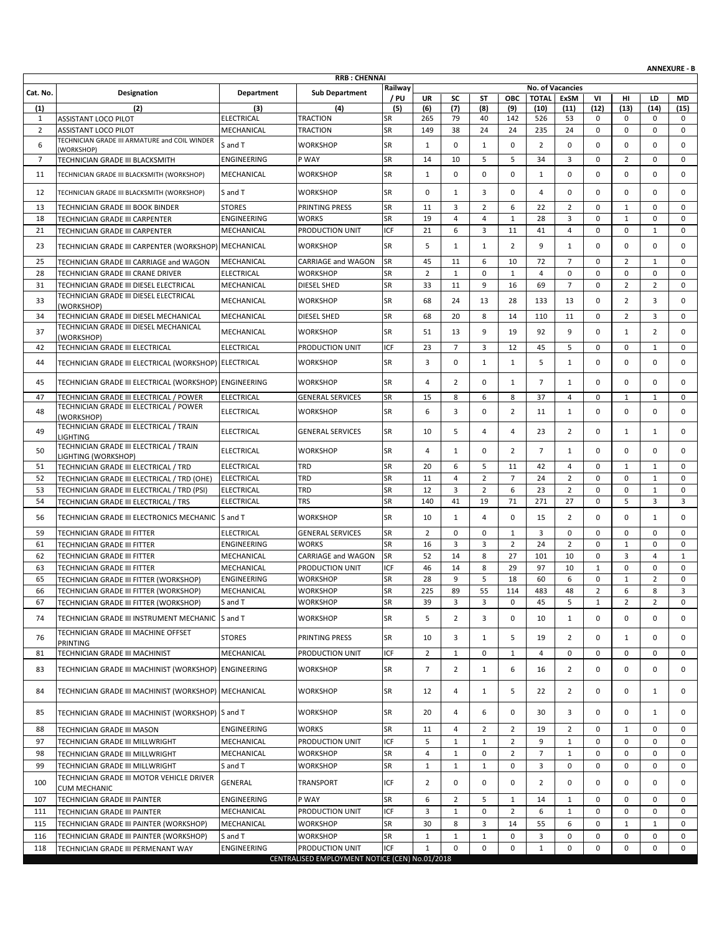| Railway<br>No. of Vacancies<br>Cat. No.<br>Department<br><b>Sub Department</b><br>Designation<br>/ PU<br><b>UR</b><br>SC<br><b>TOTAL</b><br>VI<br>ST<br><b>OBC</b><br>ExSM<br>нı<br>LD<br><b>MD</b><br>(2)<br>(5)<br>(6)<br>(7)<br>(8)<br>(9)<br>(12)<br>(13)<br>(14)<br>(15)<br>(1)<br>(3)<br>(4)<br>(10)<br>(11)<br>$\mathbf{1}$<br><b>ELECTRICAL</b><br><b>TRACTION</b><br>SR<br>265<br>79<br>40<br>142<br>526<br>53<br>0<br>0<br>0<br><b>ASSISTANT LOCO PILOT</b><br>0<br>SR<br>$\overline{2}$<br>$\mathbf 0$<br>0<br><b>ASSISTANT LOCO PILOT</b><br>MECHANICAL<br>TRACTION<br>149<br>38<br>24<br>24<br>235<br>24<br>$\mathbf 0$<br>$\mathbf 0$<br>TECHNICIAN GRADE III ARMATURE and COIL WINDER<br><b>SR</b><br>6<br>$\pmb{0}$<br>$\overline{2}$<br>0<br>WORKSHOP<br>$\mathbf{1}$<br>0<br>0<br>$\mathbf 0$<br>$\mathbf 0$<br>0<br>S and T<br>1<br>(WORKSHOP)<br>$\overline{7}$<br>SR<br>5<br>5<br>34<br>3<br>$\overline{2}$<br>$\mathbf 0$<br>ENGINEERING<br>P WAY<br>14<br>10<br>$\mathbf 0$<br>$\mathbf 0$<br>TECHNICIAN GRADE III BLACKSMITH<br>$\mathbf 0$<br>0<br>11<br>MECHANICAL<br><b>WORKSHOP</b><br>SR<br>$\mathbf{1}$<br>0<br>0<br>$\Omega$<br>$\Omega$<br>$\mathbf 0$<br>$\mathbf 0$<br>TECHNICIAN GRADE III BLACKSMITH (WORKSHOP)<br>1<br><b>SR</b><br>0<br>0<br>12<br>TECHNICIAN GRADE III BLACKSMITH (WORKSHOP)<br>S and T<br><b>WORKSHOP</b><br>$\mathbf{1}$<br>3<br>0<br>$\overline{4}$<br>0<br>$\mathbf 0$<br>$\mathbf 0$<br>0<br>SR<br>3<br>$\overline{2}$<br>22<br>$\overline{2}$<br><b>STORES</b><br>PRINTING PRESS<br>11<br>6<br>$\mathbf 0$<br>$\mathbf{1}$<br>$\mathbf 0$<br>$\mathbf 0$<br>13<br>TECHNICIAN GRADE III BOOK BINDER<br>SR<br>$\overline{4}$<br>$\mathbf{1}$<br>18<br>ENGINEERING<br>WORKS<br>19<br>4<br>$\mathbf{1}$<br>28<br>3<br>$\mathbf 0$<br>$\mathbf 0$<br>$\mathbf 0$<br>TECHNICIAN GRADE III CARPENTER<br>ICF<br>21<br>6<br>3<br>$\mathbf 0$<br>$\mathbf 0$<br>$\mathbf 0$<br>21<br>PRODUCTION UNIT<br>11<br>41<br>$\overline{4}$<br>$\mathbf{1}$<br>TECHNICIAN GRADE III CARPENTER<br>MECHANICAL<br>SR<br>5<br>0<br>$\mathbf 0$<br>23<br>TECHNICIAN GRADE III CARPENTER (WORKSHOP) MECHANICAL<br><b>WORKSHOP</b><br>$\mathbf{1}$<br>2<br>9<br>$\mathbf 0$<br>$\mathbf 0$<br>1<br>1<br><b>SR</b><br>45<br>11<br>$\overline{7}$<br>$\overline{2}$<br>25<br>MECHANICAL<br>CARRIAGE and WAGON<br>6<br>10<br>72<br>$\mathbf 0$<br>$\mathbf{1}$<br>0<br>TECHNICIAN GRADE III CARRIAGE and WAGON<br>SR<br>$\overline{2}$<br>$\mathbf 0$<br>0<br>28<br><b>ELECTRICAL</b><br>WORKSHOP<br>$\mathbf{1}$<br>$\mathbf 0$<br>$\mathbf{1}$<br>$\overline{4}$<br>$\mathbf 0$<br>$\mathbf 0$<br>$\mathbf 0$<br>TECHNICIAN GRADE III CRANE DRIVER<br>SR<br>33<br>11<br>9<br>$\overline{7}$<br>$\overline{2}$<br>$\overline{2}$<br>$\mathbf 0$<br>31<br>TECHNICIAN GRADE III DIESEL ELECTRICAL<br>MECHANICAL<br>DIESEL SHED<br>16<br>69<br>$\mathbf 0$<br>TECHNICIAN GRADE III DIESEL ELECTRICAL<br><b>SR</b><br>$\overline{2}$<br>33<br>MECHANICAL<br><b>WORKSHOP</b><br>68<br>24<br>13<br>28<br>133<br>13<br>$\mathbf 0$<br>3<br>0<br>(WORKSHOP)<br>SR<br>34<br>MECHANICAL<br>68<br>20<br>8<br>110<br>$\mathbf 0$<br>$\overline{2}$<br>3<br>0<br>TECHNICIAN GRADE III DIESEL MECHANICAL<br>DIESEL SHED<br>14<br>11<br>TECHNICIAN GRADE III DIESEL MECHANICAL<br>37<br>MECHANICAL<br><b>WORKSHOP</b><br><b>SR</b><br>51<br>13<br>9<br>19<br>92<br>9<br>$\mathbf 0$<br>$\mathbf{1}$<br>2<br>0<br>(WORKSHOP)<br><b>ICF</b><br>23<br>$\overline{7}$<br>3<br>12<br>45<br>5<br>$\mathbf 0$<br>0<br>$\mathbf 0$<br>42<br>TECHNICIAN GRADE III ELECTRICAL<br><b>ELECTRICAL</b><br>PRODUCTION UNIT<br>$\mathbf{1}$<br><b>SR</b><br>3<br>0<br><b>WORKSHOP</b><br>0<br>$\mathbf{1}$<br>$\mathbf{1}$<br>5<br>$\mathbf{1}$<br>$\mathbf 0$<br>$\mathbf 0$<br>$\mathbf 0$<br>44<br>TECHNICIAN GRADE III ELECTRICAL (WORKSHOP) ELECTRICAL<br><b>SR</b><br>$\overline{2}$<br>$\overline{7}$<br>0<br>0<br>45<br>TECHNICIAN GRADE III ELECTRICAL (WORKSHOP) ENGINEERING<br>WORKSHOP<br>4<br>0<br>$\mathbf{1}$<br>$\mathbf 0$<br>$\mathbf 0$<br>1<br><b>SR</b><br>8<br>47<br><b>ELECTRICAL</b><br><b>GENERAL SERVICES</b><br>15<br>6<br>8<br>37<br>$\overline{4}$<br>0<br>$\mathbf{1}$<br>$\mathbf{1}$<br>0<br>TECHNICIAN GRADE III ELECTRICAL / POWER<br>TECHNICIAN GRADE III ELECTRICAL / POWER<br><b>SR</b><br>$\mathbf 0$<br>0<br>48<br><b>ELECTRICAL</b><br><b>WORKSHOP</b><br>6<br>3<br>2<br>$\mathbf{1}$<br>$\mathbf 0$<br>$\mathbf 0$<br>0<br>11<br>(WORKSHOP)<br>TECHNICIAN GRADE III ELECTRICAL / TRAIN<br><b>SR</b><br>49<br><b>ELECTRICAL</b><br><b>GENERAL SERVICES</b><br>10<br>5<br>4<br>4<br>23<br>2<br>$\mathbf 0$<br>$\mathbf{1}$<br>0<br>$\mathbf{1}$<br><b>LIGHTING</b><br>TECHNICIAN GRADE III ELECTRICAL / TRAIN<br><b>SR</b><br>50<br><b>ELECTRICAL</b><br><b>WORKSHOP</b><br>4<br>$\mathbf{1}$<br>0<br>2<br>$\overline{7}$<br>$\mathbf 0$<br>0<br>$\mathbf 0$<br>0<br>1<br>LIGHTING (WORKSHOP)<br><b>SR</b><br>5<br>51<br>TECHNICIAN GRADE III ELECTRICAL / TRD<br><b>ELECTRICAL</b><br>TRD<br>20<br>6<br>11<br>42<br>$\overline{4}$<br>$\mathbf 0$<br>$\mathbf{1}$<br>$\mathbf{1}$<br>0<br>SR<br>TRD<br>11<br>$\overline{4}$<br>$\overline{2}$<br>$\overline{7}$<br>24<br>$\overline{2}$<br>$\mathbf 0$<br>0<br>$\mathbf 0$<br>52<br>TECHNICIAN GRADE III ELECTRICAL / TRD (OHE)<br><b>ELECTRICAL</b><br>$\mathbf{1}$<br>SR<br>TRD<br>12<br>3<br>$\overline{2}$<br>6<br>23<br>$\overline{2}$<br>0<br>0<br>53<br><b>ELECTRICAL</b><br>$\mathbf{1}$<br>0<br>TECHNICIAN GRADE III ELECTRICAL / TRD (PSI)<br>SR<br>54<br><b>TRS</b><br>140<br>41<br>19<br>71<br>27<br>5<br>3<br>3<br><b>ELECTRICAL</b><br>271<br>$\mathbf 0$<br>TECHNICIAN GRADE III ELECTRICAL / TRS<br><b>SR</b><br>TECHNICIAN GRADE III ELECTRONICS MECHANIC<br>S and T<br><b>WORKSHOP</b><br>$\overline{2}$<br>0<br>56<br>10<br>$\mathbf{1}$<br>4<br>0<br>15<br>0<br>1<br>0<br>SR<br>$\overline{2}$<br>59<br><b>ELECTRICAL</b><br><b>GENERAL SERVICES</b><br>0<br>0<br>3<br>0<br>$\mathbf 0$<br>0<br>$\mathbf 0$<br>$\mathbf 0$<br>1<br>TECHNICIAN GRADE III FITTER<br>SR<br>16<br>3<br>$\overline{2}$<br>$\mathbf{1}$<br>61<br><b>ENGINEERING</b><br><b>WORKS</b><br>3<br>24<br>2<br>$\mathbf 0$<br>$\mathbf 0$<br>$\mathbf 0$<br>TECHNICIAN GRADE III FITTER<br><b>SR</b><br>52<br>27<br>$\mathbf 0$<br>3<br>62<br>TECHNICIAN GRADE III FITTER<br>MECHANICAL<br><b>CARRIAGE and WAGON</b><br>14<br>8<br>101<br>10<br>$\overline{4}$<br>$\mathbf{1}$<br>0<br>ICF<br>46<br>14<br>8<br>29<br>97<br>10<br>$\mathbf{1}$<br>$\mathsf 0$<br>63<br><b>TECHNICIAN GRADE III FITTER</b><br>MECHANICAL<br>PRODUCTION UNIT<br>0<br>SR<br>28<br>9<br>5<br>6<br>0<br>$\mathbf{1}$<br>$\overline{2}$<br>$\mathbf 0$<br>65<br>WORKSHOP<br>18<br>60<br>TECHNICIAN GRADE III FITTER (WORKSHOP)<br><b>ENGINEERING</b><br>89<br>114<br>66<br>225<br>55<br>48<br>MECHANICAL<br><b>WORKSHOP</b><br>483<br>$\overline{2}$<br>6<br>8<br>TECHNICIAN GRADE III FITTER (WORKSHOP)<br><b>SR</b><br>з<br>SR<br>3<br>5<br>$\overline{2}$<br>$\overline{2}$<br>67<br>TECHNICIAN GRADE III FITTER (WORKSHOP)<br>WORKSHOP<br>39<br>3<br>0<br>45<br>$\mathbf{1}$<br>$\mathbf 0$<br>S and T<br>SR<br>5<br>$\overline{2}$<br>0<br>0<br>$\mathbf 0$<br>TECHNICIAN GRADE III INSTRUMENT MECHANIC S and T<br><b>WORKSHOP</b><br>3<br>0<br>0<br>74<br>10<br>1<br>TECHNICIAN GRADE III MACHINE OFFSET<br>76<br><b>STORES</b><br>PRINTING PRESS<br><b>SR</b><br>10<br>3<br>$\mathbf{1}$<br>5<br>2<br>0<br>0<br>19<br>$\mathbf{1}$<br>0<br>PRINTING<br>ICF<br>$\overline{2}$<br>81<br>TECHNICIAN GRADE III MACHINIST<br>MECHANICAL<br>PRODUCTION UNIT<br>$\mathbf{1}$<br>0<br>$\mathbf{1}$<br>4<br>$\mathbf 0$<br>0<br>0<br>0<br>$\mathbf 0$<br><b>ENGINEERING</b><br>WORKSHOP<br>SR<br>$\overline{7}$<br>$\overline{2}$<br>$\mathbf 0$<br>0<br>0<br>83<br>TECHNICIAN GRADE III MACHINIST (WORKSHOP)<br>1<br>6<br>16<br>2<br>0<br>TECHNICIAN GRADE III MACHINIST (WORKSHOP) MECHANICAL<br><b>WORKSHOP</b><br><b>SR</b><br>4<br>5<br>0<br>84<br>12<br>1<br>22<br>2<br>0<br>1<br>0<br><b>WORKSHOP</b><br><b>SR</b><br>0<br>85<br>TECHNICIAN GRADE III MACHINIST (WORKSHOP) S and T<br>20<br>4<br>6<br>0<br>30<br>3<br>0<br>1<br>0<br><b>WORKS</b><br>SR<br>$\overline{2}$<br>$\overline{2}$<br>88<br>ENGINEERING<br>11<br>4<br>19<br>$\overline{2}$<br>0<br>$\mathbf{1}$<br>0<br>0<br>TECHNICIAN GRADE III MASON<br>ICF<br>97<br>PRODUCTION UNIT<br>5<br>$\overline{2}$<br>9<br>TECHNICIAN GRADE III MILLWRIGHT<br>MECHANICAL<br>$\mathbf{1}$<br>$\mathbf{1}$<br>$\mathbf{1}$<br>0<br>0<br>0<br>$\mathbf 0$<br>SR<br>$\overline{4}$<br>$\mathbf{1}$<br>$\mathbf{1}$<br>0<br>98<br>MECHANICAL<br>WORKSHOP<br>0<br>2<br>7<br>0<br>$\mathbf 0$<br>TECHNICIAN GRADE III MILLWRIGHT<br>0<br>SR<br>99<br>TECHNICIAN GRADE III MILLWRIGHT<br>S and T<br>WORKSHOP<br>$\mathbf{1}$<br>$\mathbf{1}$<br>0<br>0<br>0<br>0<br>1<br>0<br>3<br>0<br>TECHNICIAN GRADE III MOTOR VEHICLE DRIVER<br>ICF<br>GENERAL<br><b>TRANSPORT</b><br>2<br>0<br>0<br>100<br>0<br>0<br>2<br>0<br>0<br>0<br>0<br><b>CUM MECHANIC</b><br><b>SR</b><br>$\overline{2}$<br>ENGINEERING<br>P WAY<br>6<br>5<br>$\mathbf{1}$<br>0<br>0<br>0<br>107<br>TECHNICIAN GRADE III PAINTER<br>1<br>14<br>0<br>ICF<br>TECHNICIAN GRADE III PAINTER<br>MECHANICAL<br>PRODUCTION UNIT<br>3<br>0<br>0<br>111<br>$\mathbf{1}$<br>2<br>6<br>1<br>0<br>0<br>0<br>SR<br>30<br>115<br>MECHANICAL<br>WORKSHOP<br>8<br>3<br>14<br>55<br>6<br>0<br>$\mathbf{1}$<br>TECHNICIAN GRADE III PAINTER (WORKSHOP)<br>1<br>0<br><b>WORKSHOP</b><br>SR<br>$\mathbf{1}$<br>3<br>0<br>0<br>116<br>TECHNICIAN GRADE III PAINTER (WORKSHOP)<br>S and T<br>$\mathbf{1}$<br>$\mathbf{1}$<br>0<br>0<br>0<br>0<br>ICF<br>$\mathbf{1}$<br>0<br>0<br>0<br>0<br>118<br>ENGINEERING<br>PRODUCTION UNIT<br>0<br>$\mathbf{1}$<br>0<br>0<br>0<br>TECHNICIAN GRADE III PERMENANT WAY |  | <b>RRB: CHENNAI</b> |  |  |  |  |  | <b>ANNEXURE - B</b> |
|----------------------------------------------------------------------------------------------------------------------------------------------------------------------------------------------------------------------------------------------------------------------------------------------------------------------------------------------------------------------------------------------------------------------------------------------------------------------------------------------------------------------------------------------------------------------------------------------------------------------------------------------------------------------------------------------------------------------------------------------------------------------------------------------------------------------------------------------------------------------------------------------------------------------------------------------------------------------------------------------------------------------------------------------------------------------------------------------------------------------------------------------------------------------------------------------------------------------------------------------------------------------------------------------------------------------------------------------------------------------------------------------------------------------------------------------------------------------------------------------------------------------------------------------------------------------------------------------------------------------------------------------------------------------------------------------------------------------------------------------------------------------------------------------------------------------------------------------------------------------------------------------------------------------------------------------------------------------------------------------------------------------------------------------------------------------------------------------------------------------------------------------------------------------------------------------------------------------------------------------------------------------------------------------------------------------------------------------------------------------------------------------------------------------------------------------------------------------------------------------------------------------------------------------------------------------------------------------------------------------------------------------------------------------------------------------------------------------------------------------------------------------------------------------------------------------------------------------------------------------------------------------------------------------------------------------------------------------------------------------------------------------------------------------------------------------------------------------------------------------------------------------------------------------------------------------------------------------------------------------------------------------------------------------------------------------------------------------------------------------------------------------------------------------------------------------------------------------------------------------------------------------------------------------------------------------------------------------------------------------------------------------------------------------------------------------------------------------------------------------------------------------------------------------------------------------------------------------------------------------------------------------------------------------------------------------------------------------------------------------------------------------------------------------------------------------------------------------------------------------------------------------------------------------------------------------------------------------------------------------------------------------------------------------------------------------------------------------------------------------------------------------------------------------------------------------------------------------------------------------------------------------------------------------------------------------------------------------------------------------------------------------------------------------------------------------------------------------------------------------------------------------------------------------------------------------------------------------------------------------------------------------------------------------------------------------------------------------------------------------------------------------------------------------------------------------------------------------------------------------------------------------------------------------------------------------------------------------------------------------------------------------------------------------------------------------------------------------------------------------------------------------------------------------------------------------------------------------------------------------------------------------------------------------------------------------------------------------------------------------------------------------------------------------------------------------------------------------------------------------------------------------------------------------------------------------------------------------------------------------------------------------------------------------------------------------------------------------------------------------------------------------------------------------------------------------------------------------------------------------------------------------------------------------------------------------------------------------------------------------------------------------------------------------------------------------------------------------------------------------------------------------------------------------------------------------------------------------------------------------------------------------------------------------------------------------------------------------------------------------------------------------------------------------------------------------------------------------------------------------------------------------------------------------------------------------------------------------------------------------------------------------------------------------------------------------------------------------------------------------------------------------------------------------------------------------------------------------------------------------------------------------------------------------------------------------------------------------------------------------------------------------------------------------------------------------------------------------------------------------------------------------------------------------------------------------------------------------------------------------------------------------------------------------------------------------------------------------------------------------------------------------------------------------------------------------------------------------------------------------------------------------------------------------------------------------------------------------------------------------------------------------------------------------------------------------------------------------------------------------------------------------------------------------------------------------------------------------------------------------------------------------------------------------------------------------------------------------------------------------------------------------------------------------------------------------------------------------------------------------------------------------------------------------------------------------------------------------------------------------------------------------------------------------------------------------------------------------------------------------------------------------------------------------------------------------------------------------------------------------------------------------------------------------------------------------------------------------------------------------------------------------------------------------------------------------------------------------------------------------------------------------------------------------------------------------------------------------------------------------------------------------------------------------------------------------------------------------------------------------------------------------------------------------------------------------------------------------------------------------------------------------------------------------------------------------------------------------------------------------------------------------------------------------------------------------------------------------------------------------------------------------------------------------------------------------------------------------------------------------------------------------------------------------------------------------------------------------------------------|--|---------------------|--|--|--|--|--|---------------------|
|                                                                                                                                                                                                                                                                                                                                                                                                                                                                                                                                                                                                                                                                                                                                                                                                                                                                                                                                                                                                                                                                                                                                                                                                                                                                                                                                                                                                                                                                                                                                                                                                                                                                                                                                                                                                                                                                                                                                                                                                                                                                                                                                                                                                                                                                                                                                                                                                                                                                                                                                                                                                                                                                                                                                                                                                                                                                                                                                                                                                                                                                                                                                                                                                                                                                                                                                                                                                                                                                                                                                                                                                                                                                                                                                                                                                                                                                                                                                                                                                                                                                                                                                                                                                                                                                                                                                                                                                                                                                                                                                                                                                                                                                                                                                                                                                                                                                                                                                                                                                                                                                                                                                                                                                                                                                                                                                                                                                                                                                                                                                                                                                                                                                                                                                                                                                                                                                                                                                                                                                                                                                                                                                                                                                                                                                                                                                                                                                                                                                                                                                                                                                                                                                                                                                                                                                                                                                                                                                                                                                                                                                                                                                                                                                                                                                                                                                                                                                                                                                                                                                                                                                                                                                                                                                                                                                                                                                                                                                                                                                                                                                                                                                                                                                                                                                                                                                                                                                                                                                                                                                                                                                                                                                                                                                                                                                                                                                                                                                                                                                                                                                                                                                                                                                                                                                                                                                                                                                                                                                                                                                                                                                                                                                                                                                                                                                                                                                |  |                     |  |  |  |  |  |                     |
|                                                                                                                                                                                                                                                                                                                                                                                                                                                                                                                                                                                                                                                                                                                                                                                                                                                                                                                                                                                                                                                                                                                                                                                                                                                                                                                                                                                                                                                                                                                                                                                                                                                                                                                                                                                                                                                                                                                                                                                                                                                                                                                                                                                                                                                                                                                                                                                                                                                                                                                                                                                                                                                                                                                                                                                                                                                                                                                                                                                                                                                                                                                                                                                                                                                                                                                                                                                                                                                                                                                                                                                                                                                                                                                                                                                                                                                                                                                                                                                                                                                                                                                                                                                                                                                                                                                                                                                                                                                                                                                                                                                                                                                                                                                                                                                                                                                                                                                                                                                                                                                                                                                                                                                                                                                                                                                                                                                                                                                                                                                                                                                                                                                                                                                                                                                                                                                                                                                                                                                                                                                                                                                                                                                                                                                                                                                                                                                                                                                                                                                                                                                                                                                                                                                                                                                                                                                                                                                                                                                                                                                                                                                                                                                                                                                                                                                                                                                                                                                                                                                                                                                                                                                                                                                                                                                                                                                                                                                                                                                                                                                                                                                                                                                                                                                                                                                                                                                                                                                                                                                                                                                                                                                                                                                                                                                                                                                                                                                                                                                                                                                                                                                                                                                                                                                                                                                                                                                                                                                                                                                                                                                                                                                                                                                                                                                                                                                                |  |                     |  |  |  |  |  |                     |
|                                                                                                                                                                                                                                                                                                                                                                                                                                                                                                                                                                                                                                                                                                                                                                                                                                                                                                                                                                                                                                                                                                                                                                                                                                                                                                                                                                                                                                                                                                                                                                                                                                                                                                                                                                                                                                                                                                                                                                                                                                                                                                                                                                                                                                                                                                                                                                                                                                                                                                                                                                                                                                                                                                                                                                                                                                                                                                                                                                                                                                                                                                                                                                                                                                                                                                                                                                                                                                                                                                                                                                                                                                                                                                                                                                                                                                                                                                                                                                                                                                                                                                                                                                                                                                                                                                                                                                                                                                                                                                                                                                                                                                                                                                                                                                                                                                                                                                                                                                                                                                                                                                                                                                                                                                                                                                                                                                                                                                                                                                                                                                                                                                                                                                                                                                                                                                                                                                                                                                                                                                                                                                                                                                                                                                                                                                                                                                                                                                                                                                                                                                                                                                                                                                                                                                                                                                                                                                                                                                                                                                                                                                                                                                                                                                                                                                                                                                                                                                                                                                                                                                                                                                                                                                                                                                                                                                                                                                                                                                                                                                                                                                                                                                                                                                                                                                                                                                                                                                                                                                                                                                                                                                                                                                                                                                                                                                                                                                                                                                                                                                                                                                                                                                                                                                                                                                                                                                                                                                                                                                                                                                                                                                                                                                                                                                                                                                                                |  |                     |  |  |  |  |  |                     |
|                                                                                                                                                                                                                                                                                                                                                                                                                                                                                                                                                                                                                                                                                                                                                                                                                                                                                                                                                                                                                                                                                                                                                                                                                                                                                                                                                                                                                                                                                                                                                                                                                                                                                                                                                                                                                                                                                                                                                                                                                                                                                                                                                                                                                                                                                                                                                                                                                                                                                                                                                                                                                                                                                                                                                                                                                                                                                                                                                                                                                                                                                                                                                                                                                                                                                                                                                                                                                                                                                                                                                                                                                                                                                                                                                                                                                                                                                                                                                                                                                                                                                                                                                                                                                                                                                                                                                                                                                                                                                                                                                                                                                                                                                                                                                                                                                                                                                                                                                                                                                                                                                                                                                                                                                                                                                                                                                                                                                                                                                                                                                                                                                                                                                                                                                                                                                                                                                                                                                                                                                                                                                                                                                                                                                                                                                                                                                                                                                                                                                                                                                                                                                                                                                                                                                                                                                                                                                                                                                                                                                                                                                                                                                                                                                                                                                                                                                                                                                                                                                                                                                                                                                                                                                                                                                                                                                                                                                                                                                                                                                                                                                                                                                                                                                                                                                                                                                                                                                                                                                                                                                                                                                                                                                                                                                                                                                                                                                                                                                                                                                                                                                                                                                                                                                                                                                                                                                                                                                                                                                                                                                                                                                                                                                                                                                                                                                                                                |  |                     |  |  |  |  |  |                     |
|                                                                                                                                                                                                                                                                                                                                                                                                                                                                                                                                                                                                                                                                                                                                                                                                                                                                                                                                                                                                                                                                                                                                                                                                                                                                                                                                                                                                                                                                                                                                                                                                                                                                                                                                                                                                                                                                                                                                                                                                                                                                                                                                                                                                                                                                                                                                                                                                                                                                                                                                                                                                                                                                                                                                                                                                                                                                                                                                                                                                                                                                                                                                                                                                                                                                                                                                                                                                                                                                                                                                                                                                                                                                                                                                                                                                                                                                                                                                                                                                                                                                                                                                                                                                                                                                                                                                                                                                                                                                                                                                                                                                                                                                                                                                                                                                                                                                                                                                                                                                                                                                                                                                                                                                                                                                                                                                                                                                                                                                                                                                                                                                                                                                                                                                                                                                                                                                                                                                                                                                                                                                                                                                                                                                                                                                                                                                                                                                                                                                                                                                                                                                                                                                                                                                                                                                                                                                                                                                                                                                                                                                                                                                                                                                                                                                                                                                                                                                                                                                                                                                                                                                                                                                                                                                                                                                                                                                                                                                                                                                                                                                                                                                                                                                                                                                                                                                                                                                                                                                                                                                                                                                                                                                                                                                                                                                                                                                                                                                                                                                                                                                                                                                                                                                                                                                                                                                                                                                                                                                                                                                                                                                                                                                                                                                                                                                                                                                |  |                     |  |  |  |  |  |                     |
|                                                                                                                                                                                                                                                                                                                                                                                                                                                                                                                                                                                                                                                                                                                                                                                                                                                                                                                                                                                                                                                                                                                                                                                                                                                                                                                                                                                                                                                                                                                                                                                                                                                                                                                                                                                                                                                                                                                                                                                                                                                                                                                                                                                                                                                                                                                                                                                                                                                                                                                                                                                                                                                                                                                                                                                                                                                                                                                                                                                                                                                                                                                                                                                                                                                                                                                                                                                                                                                                                                                                                                                                                                                                                                                                                                                                                                                                                                                                                                                                                                                                                                                                                                                                                                                                                                                                                                                                                                                                                                                                                                                                                                                                                                                                                                                                                                                                                                                                                                                                                                                                                                                                                                                                                                                                                                                                                                                                                                                                                                                                                                                                                                                                                                                                                                                                                                                                                                                                                                                                                                                                                                                                                                                                                                                                                                                                                                                                                                                                                                                                                                                                                                                                                                                                                                                                                                                                                                                                                                                                                                                                                                                                                                                                                                                                                                                                                                                                                                                                                                                                                                                                                                                                                                                                                                                                                                                                                                                                                                                                                                                                                                                                                                                                                                                                                                                                                                                                                                                                                                                                                                                                                                                                                                                                                                                                                                                                                                                                                                                                                                                                                                                                                                                                                                                                                                                                                                                                                                                                                                                                                                                                                                                                                                                                                                                                                                                                |  |                     |  |  |  |  |  |                     |
|                                                                                                                                                                                                                                                                                                                                                                                                                                                                                                                                                                                                                                                                                                                                                                                                                                                                                                                                                                                                                                                                                                                                                                                                                                                                                                                                                                                                                                                                                                                                                                                                                                                                                                                                                                                                                                                                                                                                                                                                                                                                                                                                                                                                                                                                                                                                                                                                                                                                                                                                                                                                                                                                                                                                                                                                                                                                                                                                                                                                                                                                                                                                                                                                                                                                                                                                                                                                                                                                                                                                                                                                                                                                                                                                                                                                                                                                                                                                                                                                                                                                                                                                                                                                                                                                                                                                                                                                                                                                                                                                                                                                                                                                                                                                                                                                                                                                                                                                                                                                                                                                                                                                                                                                                                                                                                                                                                                                                                                                                                                                                                                                                                                                                                                                                                                                                                                                                                                                                                                                                                                                                                                                                                                                                                                                                                                                                                                                                                                                                                                                                                                                                                                                                                                                                                                                                                                                                                                                                                                                                                                                                                                                                                                                                                                                                                                                                                                                                                                                                                                                                                                                                                                                                                                                                                                                                                                                                                                                                                                                                                                                                                                                                                                                                                                                                                                                                                                                                                                                                                                                                                                                                                                                                                                                                                                                                                                                                                                                                                                                                                                                                                                                                                                                                                                                                                                                                                                                                                                                                                                                                                                                                                                                                                                                                                                                                                                                |  |                     |  |  |  |  |  |                     |
|                                                                                                                                                                                                                                                                                                                                                                                                                                                                                                                                                                                                                                                                                                                                                                                                                                                                                                                                                                                                                                                                                                                                                                                                                                                                                                                                                                                                                                                                                                                                                                                                                                                                                                                                                                                                                                                                                                                                                                                                                                                                                                                                                                                                                                                                                                                                                                                                                                                                                                                                                                                                                                                                                                                                                                                                                                                                                                                                                                                                                                                                                                                                                                                                                                                                                                                                                                                                                                                                                                                                                                                                                                                                                                                                                                                                                                                                                                                                                                                                                                                                                                                                                                                                                                                                                                                                                                                                                                                                                                                                                                                                                                                                                                                                                                                                                                                                                                                                                                                                                                                                                                                                                                                                                                                                                                                                                                                                                                                                                                                                                                                                                                                                                                                                                                                                                                                                                                                                                                                                                                                                                                                                                                                                                                                                                                                                                                                                                                                                                                                                                                                                                                                                                                                                                                                                                                                                                                                                                                                                                                                                                                                                                                                                                                                                                                                                                                                                                                                                                                                                                                                                                                                                                                                                                                                                                                                                                                                                                                                                                                                                                                                                                                                                                                                                                                                                                                                                                                                                                                                                                                                                                                                                                                                                                                                                                                                                                                                                                                                                                                                                                                                                                                                                                                                                                                                                                                                                                                                                                                                                                                                                                                                                                                                                                                                                                                                                |  |                     |  |  |  |  |  |                     |
|                                                                                                                                                                                                                                                                                                                                                                                                                                                                                                                                                                                                                                                                                                                                                                                                                                                                                                                                                                                                                                                                                                                                                                                                                                                                                                                                                                                                                                                                                                                                                                                                                                                                                                                                                                                                                                                                                                                                                                                                                                                                                                                                                                                                                                                                                                                                                                                                                                                                                                                                                                                                                                                                                                                                                                                                                                                                                                                                                                                                                                                                                                                                                                                                                                                                                                                                                                                                                                                                                                                                                                                                                                                                                                                                                                                                                                                                                                                                                                                                                                                                                                                                                                                                                                                                                                                                                                                                                                                                                                                                                                                                                                                                                                                                                                                                                                                                                                                                                                                                                                                                                                                                                                                                                                                                                                                                                                                                                                                                                                                                                                                                                                                                                                                                                                                                                                                                                                                                                                                                                                                                                                                                                                                                                                                                                                                                                                                                                                                                                                                                                                                                                                                                                                                                                                                                                                                                                                                                                                                                                                                                                                                                                                                                                                                                                                                                                                                                                                                                                                                                                                                                                                                                                                                                                                                                                                                                                                                                                                                                                                                                                                                                                                                                                                                                                                                                                                                                                                                                                                                                                                                                                                                                                                                                                                                                                                                                                                                                                                                                                                                                                                                                                                                                                                                                                                                                                                                                                                                                                                                                                                                                                                                                                                                                                                                                                                                                |  |                     |  |  |  |  |  |                     |
|                                                                                                                                                                                                                                                                                                                                                                                                                                                                                                                                                                                                                                                                                                                                                                                                                                                                                                                                                                                                                                                                                                                                                                                                                                                                                                                                                                                                                                                                                                                                                                                                                                                                                                                                                                                                                                                                                                                                                                                                                                                                                                                                                                                                                                                                                                                                                                                                                                                                                                                                                                                                                                                                                                                                                                                                                                                                                                                                                                                                                                                                                                                                                                                                                                                                                                                                                                                                                                                                                                                                                                                                                                                                                                                                                                                                                                                                                                                                                                                                                                                                                                                                                                                                                                                                                                                                                                                                                                                                                                                                                                                                                                                                                                                                                                                                                                                                                                                                                                                                                                                                                                                                                                                                                                                                                                                                                                                                                                                                                                                                                                                                                                                                                                                                                                                                                                                                                                                                                                                                                                                                                                                                                                                                                                                                                                                                                                                                                                                                                                                                                                                                                                                                                                                                                                                                                                                                                                                                                                                                                                                                                                                                                                                                                                                                                                                                                                                                                                                                                                                                                                                                                                                                                                                                                                                                                                                                                                                                                                                                                                                                                                                                                                                                                                                                                                                                                                                                                                                                                                                                                                                                                                                                                                                                                                                                                                                                                                                                                                                                                                                                                                                                                                                                                                                                                                                                                                                                                                                                                                                                                                                                                                                                                                                                                                                                                                                                |  |                     |  |  |  |  |  |                     |
|                                                                                                                                                                                                                                                                                                                                                                                                                                                                                                                                                                                                                                                                                                                                                                                                                                                                                                                                                                                                                                                                                                                                                                                                                                                                                                                                                                                                                                                                                                                                                                                                                                                                                                                                                                                                                                                                                                                                                                                                                                                                                                                                                                                                                                                                                                                                                                                                                                                                                                                                                                                                                                                                                                                                                                                                                                                                                                                                                                                                                                                                                                                                                                                                                                                                                                                                                                                                                                                                                                                                                                                                                                                                                                                                                                                                                                                                                                                                                                                                                                                                                                                                                                                                                                                                                                                                                                                                                                                                                                                                                                                                                                                                                                                                                                                                                                                                                                                                                                                                                                                                                                                                                                                                                                                                                                                                                                                                                                                                                                                                                                                                                                                                                                                                                                                                                                                                                                                                                                                                                                                                                                                                                                                                                                                                                                                                                                                                                                                                                                                                                                                                                                                                                                                                                                                                                                                                                                                                                                                                                                                                                                                                                                                                                                                                                                                                                                                                                                                                                                                                                                                                                                                                                                                                                                                                                                                                                                                                                                                                                                                                                                                                                                                                                                                                                                                                                                                                                                                                                                                                                                                                                                                                                                                                                                                                                                                                                                                                                                                                                                                                                                                                                                                                                                                                                                                                                                                                                                                                                                                                                                                                                                                                                                                                                                                                                                                                |  |                     |  |  |  |  |  |                     |
|                                                                                                                                                                                                                                                                                                                                                                                                                                                                                                                                                                                                                                                                                                                                                                                                                                                                                                                                                                                                                                                                                                                                                                                                                                                                                                                                                                                                                                                                                                                                                                                                                                                                                                                                                                                                                                                                                                                                                                                                                                                                                                                                                                                                                                                                                                                                                                                                                                                                                                                                                                                                                                                                                                                                                                                                                                                                                                                                                                                                                                                                                                                                                                                                                                                                                                                                                                                                                                                                                                                                                                                                                                                                                                                                                                                                                                                                                                                                                                                                                                                                                                                                                                                                                                                                                                                                                                                                                                                                                                                                                                                                                                                                                                                                                                                                                                                                                                                                                                                                                                                                                                                                                                                                                                                                                                                                                                                                                                                                                                                                                                                                                                                                                                                                                                                                                                                                                                                                                                                                                                                                                                                                                                                                                                                                                                                                                                                                                                                                                                                                                                                                                                                                                                                                                                                                                                                                                                                                                                                                                                                                                                                                                                                                                                                                                                                                                                                                                                                                                                                                                                                                                                                                                                                                                                                                                                                                                                                                                                                                                                                                                                                                                                                                                                                                                                                                                                                                                                                                                                                                                                                                                                                                                                                                                                                                                                                                                                                                                                                                                                                                                                                                                                                                                                                                                                                                                                                                                                                                                                                                                                                                                                                                                                                                                                                                                                                                |  |                     |  |  |  |  |  |                     |
|                                                                                                                                                                                                                                                                                                                                                                                                                                                                                                                                                                                                                                                                                                                                                                                                                                                                                                                                                                                                                                                                                                                                                                                                                                                                                                                                                                                                                                                                                                                                                                                                                                                                                                                                                                                                                                                                                                                                                                                                                                                                                                                                                                                                                                                                                                                                                                                                                                                                                                                                                                                                                                                                                                                                                                                                                                                                                                                                                                                                                                                                                                                                                                                                                                                                                                                                                                                                                                                                                                                                                                                                                                                                                                                                                                                                                                                                                                                                                                                                                                                                                                                                                                                                                                                                                                                                                                                                                                                                                                                                                                                                                                                                                                                                                                                                                                                                                                                                                                                                                                                                                                                                                                                                                                                                                                                                                                                                                                                                                                                                                                                                                                                                                                                                                                                                                                                                                                                                                                                                                                                                                                                                                                                                                                                                                                                                                                                                                                                                                                                                                                                                                                                                                                                                                                                                                                                                                                                                                                                                                                                                                                                                                                                                                                                                                                                                                                                                                                                                                                                                                                                                                                                                                                                                                                                                                                                                                                                                                                                                                                                                                                                                                                                                                                                                                                                                                                                                                                                                                                                                                                                                                                                                                                                                                                                                                                                                                                                                                                                                                                                                                                                                                                                                                                                                                                                                                                                                                                                                                                                                                                                                                                                                                                                                                                                                                                                                |  |                     |  |  |  |  |  |                     |
|                                                                                                                                                                                                                                                                                                                                                                                                                                                                                                                                                                                                                                                                                                                                                                                                                                                                                                                                                                                                                                                                                                                                                                                                                                                                                                                                                                                                                                                                                                                                                                                                                                                                                                                                                                                                                                                                                                                                                                                                                                                                                                                                                                                                                                                                                                                                                                                                                                                                                                                                                                                                                                                                                                                                                                                                                                                                                                                                                                                                                                                                                                                                                                                                                                                                                                                                                                                                                                                                                                                                                                                                                                                                                                                                                                                                                                                                                                                                                                                                                                                                                                                                                                                                                                                                                                                                                                                                                                                                                                                                                                                                                                                                                                                                                                                                                                                                                                                                                                                                                                                                                                                                                                                                                                                                                                                                                                                                                                                                                                                                                                                                                                                                                                                                                                                                                                                                                                                                                                                                                                                                                                                                                                                                                                                                                                                                                                                                                                                                                                                                                                                                                                                                                                                                                                                                                                                                                                                                                                                                                                                                                                                                                                                                                                                                                                                                                                                                                                                                                                                                                                                                                                                                                                                                                                                                                                                                                                                                                                                                                                                                                                                                                                                                                                                                                                                                                                                                                                                                                                                                                                                                                                                                                                                                                                                                                                                                                                                                                                                                                                                                                                                                                                                                                                                                                                                                                                                                                                                                                                                                                                                                                                                                                                                                                                                                                                                                |  |                     |  |  |  |  |  |                     |
|                                                                                                                                                                                                                                                                                                                                                                                                                                                                                                                                                                                                                                                                                                                                                                                                                                                                                                                                                                                                                                                                                                                                                                                                                                                                                                                                                                                                                                                                                                                                                                                                                                                                                                                                                                                                                                                                                                                                                                                                                                                                                                                                                                                                                                                                                                                                                                                                                                                                                                                                                                                                                                                                                                                                                                                                                                                                                                                                                                                                                                                                                                                                                                                                                                                                                                                                                                                                                                                                                                                                                                                                                                                                                                                                                                                                                                                                                                                                                                                                                                                                                                                                                                                                                                                                                                                                                                                                                                                                                                                                                                                                                                                                                                                                                                                                                                                                                                                                                                                                                                                                                                                                                                                                                                                                                                                                                                                                                                                                                                                                                                                                                                                                                                                                                                                                                                                                                                                                                                                                                                                                                                                                                                                                                                                                                                                                                                                                                                                                                                                                                                                                                                                                                                                                                                                                                                                                                                                                                                                                                                                                                                                                                                                                                                                                                                                                                                                                                                                                                                                                                                                                                                                                                                                                                                                                                                                                                                                                                                                                                                                                                                                                                                                                                                                                                                                                                                                                                                                                                                                                                                                                                                                                                                                                                                                                                                                                                                                                                                                                                                                                                                                                                                                                                                                                                                                                                                                                                                                                                                                                                                                                                                                                                                                                                                                                                                                                |  |                     |  |  |  |  |  |                     |
|                                                                                                                                                                                                                                                                                                                                                                                                                                                                                                                                                                                                                                                                                                                                                                                                                                                                                                                                                                                                                                                                                                                                                                                                                                                                                                                                                                                                                                                                                                                                                                                                                                                                                                                                                                                                                                                                                                                                                                                                                                                                                                                                                                                                                                                                                                                                                                                                                                                                                                                                                                                                                                                                                                                                                                                                                                                                                                                                                                                                                                                                                                                                                                                                                                                                                                                                                                                                                                                                                                                                                                                                                                                                                                                                                                                                                                                                                                                                                                                                                                                                                                                                                                                                                                                                                                                                                                                                                                                                                                                                                                                                                                                                                                                                                                                                                                                                                                                                                                                                                                                                                                                                                                                                                                                                                                                                                                                                                                                                                                                                                                                                                                                                                                                                                                                                                                                                                                                                                                                                                                                                                                                                                                                                                                                                                                                                                                                                                                                                                                                                                                                                                                                                                                                                                                                                                                                                                                                                                                                                                                                                                                                                                                                                                                                                                                                                                                                                                                                                                                                                                                                                                                                                                                                                                                                                                                                                                                                                                                                                                                                                                                                                                                                                                                                                                                                                                                                                                                                                                                                                                                                                                                                                                                                                                                                                                                                                                                                                                                                                                                                                                                                                                                                                                                                                                                                                                                                                                                                                                                                                                                                                                                                                                                                                                                                                                                                                |  |                     |  |  |  |  |  |                     |
|                                                                                                                                                                                                                                                                                                                                                                                                                                                                                                                                                                                                                                                                                                                                                                                                                                                                                                                                                                                                                                                                                                                                                                                                                                                                                                                                                                                                                                                                                                                                                                                                                                                                                                                                                                                                                                                                                                                                                                                                                                                                                                                                                                                                                                                                                                                                                                                                                                                                                                                                                                                                                                                                                                                                                                                                                                                                                                                                                                                                                                                                                                                                                                                                                                                                                                                                                                                                                                                                                                                                                                                                                                                                                                                                                                                                                                                                                                                                                                                                                                                                                                                                                                                                                                                                                                                                                                                                                                                                                                                                                                                                                                                                                                                                                                                                                                                                                                                                                                                                                                                                                                                                                                                                                                                                                                                                                                                                                                                                                                                                                                                                                                                                                                                                                                                                                                                                                                                                                                                                                                                                                                                                                                                                                                                                                                                                                                                                                                                                                                                                                                                                                                                                                                                                                                                                                                                                                                                                                                                                                                                                                                                                                                                                                                                                                                                                                                                                                                                                                                                                                                                                                                                                                                                                                                                                                                                                                                                                                                                                                                                                                                                                                                                                                                                                                                                                                                                                                                                                                                                                                                                                                                                                                                                                                                                                                                                                                                                                                                                                                                                                                                                                                                                                                                                                                                                                                                                                                                                                                                                                                                                                                                                                                                                                                                                                                                                                |  |                     |  |  |  |  |  |                     |
|                                                                                                                                                                                                                                                                                                                                                                                                                                                                                                                                                                                                                                                                                                                                                                                                                                                                                                                                                                                                                                                                                                                                                                                                                                                                                                                                                                                                                                                                                                                                                                                                                                                                                                                                                                                                                                                                                                                                                                                                                                                                                                                                                                                                                                                                                                                                                                                                                                                                                                                                                                                                                                                                                                                                                                                                                                                                                                                                                                                                                                                                                                                                                                                                                                                                                                                                                                                                                                                                                                                                                                                                                                                                                                                                                                                                                                                                                                                                                                                                                                                                                                                                                                                                                                                                                                                                                                                                                                                                                                                                                                                                                                                                                                                                                                                                                                                                                                                                                                                                                                                                                                                                                                                                                                                                                                                                                                                                                                                                                                                                                                                                                                                                                                                                                                                                                                                                                                                                                                                                                                                                                                                                                                                                                                                                                                                                                                                                                                                                                                                                                                                                                                                                                                                                                                                                                                                                                                                                                                                                                                                                                                                                                                                                                                                                                                                                                                                                                                                                                                                                                                                                                                                                                                                                                                                                                                                                                                                                                                                                                                                                                                                                                                                                                                                                                                                                                                                                                                                                                                                                                                                                                                                                                                                                                                                                                                                                                                                                                                                                                                                                                                                                                                                                                                                                                                                                                                                                                                                                                                                                                                                                                                                                                                                                                                                                                                                                |  |                     |  |  |  |  |  |                     |
|                                                                                                                                                                                                                                                                                                                                                                                                                                                                                                                                                                                                                                                                                                                                                                                                                                                                                                                                                                                                                                                                                                                                                                                                                                                                                                                                                                                                                                                                                                                                                                                                                                                                                                                                                                                                                                                                                                                                                                                                                                                                                                                                                                                                                                                                                                                                                                                                                                                                                                                                                                                                                                                                                                                                                                                                                                                                                                                                                                                                                                                                                                                                                                                                                                                                                                                                                                                                                                                                                                                                                                                                                                                                                                                                                                                                                                                                                                                                                                                                                                                                                                                                                                                                                                                                                                                                                                                                                                                                                                                                                                                                                                                                                                                                                                                                                                                                                                                                                                                                                                                                                                                                                                                                                                                                                                                                                                                                                                                                                                                                                                                                                                                                                                                                                                                                                                                                                                                                                                                                                                                                                                                                                                                                                                                                                                                                                                                                                                                                                                                                                                                                                                                                                                                                                                                                                                                                                                                                                                                                                                                                                                                                                                                                                                                                                                                                                                                                                                                                                                                                                                                                                                                                                                                                                                                                                                                                                                                                                                                                                                                                                                                                                                                                                                                                                                                                                                                                                                                                                                                                                                                                                                                                                                                                                                                                                                                                                                                                                                                                                                                                                                                                                                                                                                                                                                                                                                                                                                                                                                                                                                                                                                                                                                                                                                                                                                                                |  |                     |  |  |  |  |  |                     |
|                                                                                                                                                                                                                                                                                                                                                                                                                                                                                                                                                                                                                                                                                                                                                                                                                                                                                                                                                                                                                                                                                                                                                                                                                                                                                                                                                                                                                                                                                                                                                                                                                                                                                                                                                                                                                                                                                                                                                                                                                                                                                                                                                                                                                                                                                                                                                                                                                                                                                                                                                                                                                                                                                                                                                                                                                                                                                                                                                                                                                                                                                                                                                                                                                                                                                                                                                                                                                                                                                                                                                                                                                                                                                                                                                                                                                                                                                                                                                                                                                                                                                                                                                                                                                                                                                                                                                                                                                                                                                                                                                                                                                                                                                                                                                                                                                                                                                                                                                                                                                                                                                                                                                                                                                                                                                                                                                                                                                                                                                                                                                                                                                                                                                                                                                                                                                                                                                                                                                                                                                                                                                                                                                                                                                                                                                                                                                                                                                                                                                                                                                                                                                                                                                                                                                                                                                                                                                                                                                                                                                                                                                                                                                                                                                                                                                                                                                                                                                                                                                                                                                                                                                                                                                                                                                                                                                                                                                                                                                                                                                                                                                                                                                                                                                                                                                                                                                                                                                                                                                                                                                                                                                                                                                                                                                                                                                                                                                                                                                                                                                                                                                                                                                                                                                                                                                                                                                                                                                                                                                                                                                                                                                                                                                                                                                                                                                                                                |  |                     |  |  |  |  |  |                     |
|                                                                                                                                                                                                                                                                                                                                                                                                                                                                                                                                                                                                                                                                                                                                                                                                                                                                                                                                                                                                                                                                                                                                                                                                                                                                                                                                                                                                                                                                                                                                                                                                                                                                                                                                                                                                                                                                                                                                                                                                                                                                                                                                                                                                                                                                                                                                                                                                                                                                                                                                                                                                                                                                                                                                                                                                                                                                                                                                                                                                                                                                                                                                                                                                                                                                                                                                                                                                                                                                                                                                                                                                                                                                                                                                                                                                                                                                                                                                                                                                                                                                                                                                                                                                                                                                                                                                                                                                                                                                                                                                                                                                                                                                                                                                                                                                                                                                                                                                                                                                                                                                                                                                                                                                                                                                                                                                                                                                                                                                                                                                                                                                                                                                                                                                                                                                                                                                                                                                                                                                                                                                                                                                                                                                                                                                                                                                                                                                                                                                                                                                                                                                                                                                                                                                                                                                                                                                                                                                                                                                                                                                                                                                                                                                                                                                                                                                                                                                                                                                                                                                                                                                                                                                                                                                                                                                                                                                                                                                                                                                                                                                                                                                                                                                                                                                                                                                                                                                                                                                                                                                                                                                                                                                                                                                                                                                                                                                                                                                                                                                                                                                                                                                                                                                                                                                                                                                                                                                                                                                                                                                                                                                                                                                                                                                                                                                                                                                |  |                     |  |  |  |  |  |                     |
|                                                                                                                                                                                                                                                                                                                                                                                                                                                                                                                                                                                                                                                                                                                                                                                                                                                                                                                                                                                                                                                                                                                                                                                                                                                                                                                                                                                                                                                                                                                                                                                                                                                                                                                                                                                                                                                                                                                                                                                                                                                                                                                                                                                                                                                                                                                                                                                                                                                                                                                                                                                                                                                                                                                                                                                                                                                                                                                                                                                                                                                                                                                                                                                                                                                                                                                                                                                                                                                                                                                                                                                                                                                                                                                                                                                                                                                                                                                                                                                                                                                                                                                                                                                                                                                                                                                                                                                                                                                                                                                                                                                                                                                                                                                                                                                                                                                                                                                                                                                                                                                                                                                                                                                                                                                                                                                                                                                                                                                                                                                                                                                                                                                                                                                                                                                                                                                                                                                                                                                                                                                                                                                                                                                                                                                                                                                                                                                                                                                                                                                                                                                                                                                                                                                                                                                                                                                                                                                                                                                                                                                                                                                                                                                                                                                                                                                                                                                                                                                                                                                                                                                                                                                                                                                                                                                                                                                                                                                                                                                                                                                                                                                                                                                                                                                                                                                                                                                                                                                                                                                                                                                                                                                                                                                                                                                                                                                                                                                                                                                                                                                                                                                                                                                                                                                                                                                                                                                                                                                                                                                                                                                                                                                                                                                                                                                                                                                                |  |                     |  |  |  |  |  |                     |
|                                                                                                                                                                                                                                                                                                                                                                                                                                                                                                                                                                                                                                                                                                                                                                                                                                                                                                                                                                                                                                                                                                                                                                                                                                                                                                                                                                                                                                                                                                                                                                                                                                                                                                                                                                                                                                                                                                                                                                                                                                                                                                                                                                                                                                                                                                                                                                                                                                                                                                                                                                                                                                                                                                                                                                                                                                                                                                                                                                                                                                                                                                                                                                                                                                                                                                                                                                                                                                                                                                                                                                                                                                                                                                                                                                                                                                                                                                                                                                                                                                                                                                                                                                                                                                                                                                                                                                                                                                                                                                                                                                                                                                                                                                                                                                                                                                                                                                                                                                                                                                                                                                                                                                                                                                                                                                                                                                                                                                                                                                                                                                                                                                                                                                                                                                                                                                                                                                                                                                                                                                                                                                                                                                                                                                                                                                                                                                                                                                                                                                                                                                                                                                                                                                                                                                                                                                                                                                                                                                                                                                                                                                                                                                                                                                                                                                                                                                                                                                                                                                                                                                                                                                                                                                                                                                                                                                                                                                                                                                                                                                                                                                                                                                                                                                                                                                                                                                                                                                                                                                                                                                                                                                                                                                                                                                                                                                                                                                                                                                                                                                                                                                                                                                                                                                                                                                                                                                                                                                                                                                                                                                                                                                                                                                                                                                                                                                                                |  |                     |  |  |  |  |  |                     |
|                                                                                                                                                                                                                                                                                                                                                                                                                                                                                                                                                                                                                                                                                                                                                                                                                                                                                                                                                                                                                                                                                                                                                                                                                                                                                                                                                                                                                                                                                                                                                                                                                                                                                                                                                                                                                                                                                                                                                                                                                                                                                                                                                                                                                                                                                                                                                                                                                                                                                                                                                                                                                                                                                                                                                                                                                                                                                                                                                                                                                                                                                                                                                                                                                                                                                                                                                                                                                                                                                                                                                                                                                                                                                                                                                                                                                                                                                                                                                                                                                                                                                                                                                                                                                                                                                                                                                                                                                                                                                                                                                                                                                                                                                                                                                                                                                                                                                                                                                                                                                                                                                                                                                                                                                                                                                                                                                                                                                                                                                                                                                                                                                                                                                                                                                                                                                                                                                                                                                                                                                                                                                                                                                                                                                                                                                                                                                                                                                                                                                                                                                                                                                                                                                                                                                                                                                                                                                                                                                                                                                                                                                                                                                                                                                                                                                                                                                                                                                                                                                                                                                                                                                                                                                                                                                                                                                                                                                                                                                                                                                                                                                                                                                                                                                                                                                                                                                                                                                                                                                                                                                                                                                                                                                                                                                                                                                                                                                                                                                                                                                                                                                                                                                                                                                                                                                                                                                                                                                                                                                                                                                                                                                                                                                                                                                                                                                                                                |  |                     |  |  |  |  |  |                     |
|                                                                                                                                                                                                                                                                                                                                                                                                                                                                                                                                                                                                                                                                                                                                                                                                                                                                                                                                                                                                                                                                                                                                                                                                                                                                                                                                                                                                                                                                                                                                                                                                                                                                                                                                                                                                                                                                                                                                                                                                                                                                                                                                                                                                                                                                                                                                                                                                                                                                                                                                                                                                                                                                                                                                                                                                                                                                                                                                                                                                                                                                                                                                                                                                                                                                                                                                                                                                                                                                                                                                                                                                                                                                                                                                                                                                                                                                                                                                                                                                                                                                                                                                                                                                                                                                                                                                                                                                                                                                                                                                                                                                                                                                                                                                                                                                                                                                                                                                                                                                                                                                                                                                                                                                                                                                                                                                                                                                                                                                                                                                                                                                                                                                                                                                                                                                                                                                                                                                                                                                                                                                                                                                                                                                                                                                                                                                                                                                                                                                                                                                                                                                                                                                                                                                                                                                                                                                                                                                                                                                                                                                                                                                                                                                                                                                                                                                                                                                                                                                                                                                                                                                                                                                                                                                                                                                                                                                                                                                                                                                                                                                                                                                                                                                                                                                                                                                                                                                                                                                                                                                                                                                                                                                                                                                                                                                                                                                                                                                                                                                                                                                                                                                                                                                                                                                                                                                                                                                                                                                                                                                                                                                                                                                                                                                                                                                                                                                |  |                     |  |  |  |  |  |                     |
|                                                                                                                                                                                                                                                                                                                                                                                                                                                                                                                                                                                                                                                                                                                                                                                                                                                                                                                                                                                                                                                                                                                                                                                                                                                                                                                                                                                                                                                                                                                                                                                                                                                                                                                                                                                                                                                                                                                                                                                                                                                                                                                                                                                                                                                                                                                                                                                                                                                                                                                                                                                                                                                                                                                                                                                                                                                                                                                                                                                                                                                                                                                                                                                                                                                                                                                                                                                                                                                                                                                                                                                                                                                                                                                                                                                                                                                                                                                                                                                                                                                                                                                                                                                                                                                                                                                                                                                                                                                                                                                                                                                                                                                                                                                                                                                                                                                                                                                                                                                                                                                                                                                                                                                                                                                                                                                                                                                                                                                                                                                                                                                                                                                                                                                                                                                                                                                                                                                                                                                                                                                                                                                                                                                                                                                                                                                                                                                                                                                                                                                                                                                                                                                                                                                                                                                                                                                                                                                                                                                                                                                                                                                                                                                                                                                                                                                                                                                                                                                                                                                                                                                                                                                                                                                                                                                                                                                                                                                                                                                                                                                                                                                                                                                                                                                                                                                                                                                                                                                                                                                                                                                                                                                                                                                                                                                                                                                                                                                                                                                                                                                                                                                                                                                                                                                                                                                                                                                                                                                                                                                                                                                                                                                                                                                                                                                                                                                                |  |                     |  |  |  |  |  |                     |
|                                                                                                                                                                                                                                                                                                                                                                                                                                                                                                                                                                                                                                                                                                                                                                                                                                                                                                                                                                                                                                                                                                                                                                                                                                                                                                                                                                                                                                                                                                                                                                                                                                                                                                                                                                                                                                                                                                                                                                                                                                                                                                                                                                                                                                                                                                                                                                                                                                                                                                                                                                                                                                                                                                                                                                                                                                                                                                                                                                                                                                                                                                                                                                                                                                                                                                                                                                                                                                                                                                                                                                                                                                                                                                                                                                                                                                                                                                                                                                                                                                                                                                                                                                                                                                                                                                                                                                                                                                                                                                                                                                                                                                                                                                                                                                                                                                                                                                                                                                                                                                                                                                                                                                                                                                                                                                                                                                                                                                                                                                                                                                                                                                                                                                                                                                                                                                                                                                                                                                                                                                                                                                                                                                                                                                                                                                                                                                                                                                                                                                                                                                                                                                                                                                                                                                                                                                                                                                                                                                                                                                                                                                                                                                                                                                                                                                                                                                                                                                                                                                                                                                                                                                                                                                                                                                                                                                                                                                                                                                                                                                                                                                                                                                                                                                                                                                                                                                                                                                                                                                                                                                                                                                                                                                                                                                                                                                                                                                                                                                                                                                                                                                                                                                                                                                                                                                                                                                                                                                                                                                                                                                                                                                                                                                                                                                                                                                                                |  |                     |  |  |  |  |  |                     |
|                                                                                                                                                                                                                                                                                                                                                                                                                                                                                                                                                                                                                                                                                                                                                                                                                                                                                                                                                                                                                                                                                                                                                                                                                                                                                                                                                                                                                                                                                                                                                                                                                                                                                                                                                                                                                                                                                                                                                                                                                                                                                                                                                                                                                                                                                                                                                                                                                                                                                                                                                                                                                                                                                                                                                                                                                                                                                                                                                                                                                                                                                                                                                                                                                                                                                                                                                                                                                                                                                                                                                                                                                                                                                                                                                                                                                                                                                                                                                                                                                                                                                                                                                                                                                                                                                                                                                                                                                                                                                                                                                                                                                                                                                                                                                                                                                                                                                                                                                                                                                                                                                                                                                                                                                                                                                                                                                                                                                                                                                                                                                                                                                                                                                                                                                                                                                                                                                                                                                                                                                                                                                                                                                                                                                                                                                                                                                                                                                                                                                                                                                                                                                                                                                                                                                                                                                                                                                                                                                                                                                                                                                                                                                                                                                                                                                                                                                                                                                                                                                                                                                                                                                                                                                                                                                                                                                                                                                                                                                                                                                                                                                                                                                                                                                                                                                                                                                                                                                                                                                                                                                                                                                                                                                                                                                                                                                                                                                                                                                                                                                                                                                                                                                                                                                                                                                                                                                                                                                                                                                                                                                                                                                                                                                                                                                                                                                                                                |  |                     |  |  |  |  |  |                     |
|                                                                                                                                                                                                                                                                                                                                                                                                                                                                                                                                                                                                                                                                                                                                                                                                                                                                                                                                                                                                                                                                                                                                                                                                                                                                                                                                                                                                                                                                                                                                                                                                                                                                                                                                                                                                                                                                                                                                                                                                                                                                                                                                                                                                                                                                                                                                                                                                                                                                                                                                                                                                                                                                                                                                                                                                                                                                                                                                                                                                                                                                                                                                                                                                                                                                                                                                                                                                                                                                                                                                                                                                                                                                                                                                                                                                                                                                                                                                                                                                                                                                                                                                                                                                                                                                                                                                                                                                                                                                                                                                                                                                                                                                                                                                                                                                                                                                                                                                                                                                                                                                                                                                                                                                                                                                                                                                                                                                                                                                                                                                                                                                                                                                                                                                                                                                                                                                                                                                                                                                                                                                                                                                                                                                                                                                                                                                                                                                                                                                                                                                                                                                                                                                                                                                                                                                                                                                                                                                                                                                                                                                                                                                                                                                                                                                                                                                                                                                                                                                                                                                                                                                                                                                                                                                                                                                                                                                                                                                                                                                                                                                                                                                                                                                                                                                                                                                                                                                                                                                                                                                                                                                                                                                                                                                                                                                                                                                                                                                                                                                                                                                                                                                                                                                                                                                                                                                                                                                                                                                                                                                                                                                                                                                                                                                                                                                                                                                |  |                     |  |  |  |  |  |                     |
|                                                                                                                                                                                                                                                                                                                                                                                                                                                                                                                                                                                                                                                                                                                                                                                                                                                                                                                                                                                                                                                                                                                                                                                                                                                                                                                                                                                                                                                                                                                                                                                                                                                                                                                                                                                                                                                                                                                                                                                                                                                                                                                                                                                                                                                                                                                                                                                                                                                                                                                                                                                                                                                                                                                                                                                                                                                                                                                                                                                                                                                                                                                                                                                                                                                                                                                                                                                                                                                                                                                                                                                                                                                                                                                                                                                                                                                                                                                                                                                                                                                                                                                                                                                                                                                                                                                                                                                                                                                                                                                                                                                                                                                                                                                                                                                                                                                                                                                                                                                                                                                                                                                                                                                                                                                                                                                                                                                                                                                                                                                                                                                                                                                                                                                                                                                                                                                                                                                                                                                                                                                                                                                                                                                                                                                                                                                                                                                                                                                                                                                                                                                                                                                                                                                                                                                                                                                                                                                                                                                                                                                                                                                                                                                                                                                                                                                                                                                                                                                                                                                                                                                                                                                                                                                                                                                                                                                                                                                                                                                                                                                                                                                                                                                                                                                                                                                                                                                                                                                                                                                                                                                                                                                                                                                                                                                                                                                                                                                                                                                                                                                                                                                                                                                                                                                                                                                                                                                                                                                                                                                                                                                                                                                                                                                                                                                                                                                                |  |                     |  |  |  |  |  |                     |
|                                                                                                                                                                                                                                                                                                                                                                                                                                                                                                                                                                                                                                                                                                                                                                                                                                                                                                                                                                                                                                                                                                                                                                                                                                                                                                                                                                                                                                                                                                                                                                                                                                                                                                                                                                                                                                                                                                                                                                                                                                                                                                                                                                                                                                                                                                                                                                                                                                                                                                                                                                                                                                                                                                                                                                                                                                                                                                                                                                                                                                                                                                                                                                                                                                                                                                                                                                                                                                                                                                                                                                                                                                                                                                                                                                                                                                                                                                                                                                                                                                                                                                                                                                                                                                                                                                                                                                                                                                                                                                                                                                                                                                                                                                                                                                                                                                                                                                                                                                                                                                                                                                                                                                                                                                                                                                                                                                                                                                                                                                                                                                                                                                                                                                                                                                                                                                                                                                                                                                                                                                                                                                                                                                                                                                                                                                                                                                                                                                                                                                                                                                                                                                                                                                                                                                                                                                                                                                                                                                                                                                                                                                                                                                                                                                                                                                                                                                                                                                                                                                                                                                                                                                                                                                                                                                                                                                                                                                                                                                                                                                                                                                                                                                                                                                                                                                                                                                                                                                                                                                                                                                                                                                                                                                                                                                                                                                                                                                                                                                                                                                                                                                                                                                                                                                                                                                                                                                                                                                                                                                                                                                                                                                                                                                                                                                                                                                                                |  |                     |  |  |  |  |  |                     |
|                                                                                                                                                                                                                                                                                                                                                                                                                                                                                                                                                                                                                                                                                                                                                                                                                                                                                                                                                                                                                                                                                                                                                                                                                                                                                                                                                                                                                                                                                                                                                                                                                                                                                                                                                                                                                                                                                                                                                                                                                                                                                                                                                                                                                                                                                                                                                                                                                                                                                                                                                                                                                                                                                                                                                                                                                                                                                                                                                                                                                                                                                                                                                                                                                                                                                                                                                                                                                                                                                                                                                                                                                                                                                                                                                                                                                                                                                                                                                                                                                                                                                                                                                                                                                                                                                                                                                                                                                                                                                                                                                                                                                                                                                                                                                                                                                                                                                                                                                                                                                                                                                                                                                                                                                                                                                                                                                                                                                                                                                                                                                                                                                                                                                                                                                                                                                                                                                                                                                                                                                                                                                                                                                                                                                                                                                                                                                                                                                                                                                                                                                                                                                                                                                                                                                                                                                                                                                                                                                                                                                                                                                                                                                                                                                                                                                                                                                                                                                                                                                                                                                                                                                                                                                                                                                                                                                                                                                                                                                                                                                                                                                                                                                                                                                                                                                                                                                                                                                                                                                                                                                                                                                                                                                                                                                                                                                                                                                                                                                                                                                                                                                                                                                                                                                                                                                                                                                                                                                                                                                                                                                                                                                                                                                                                                                                                                                                                                |  |                     |  |  |  |  |  |                     |
|                                                                                                                                                                                                                                                                                                                                                                                                                                                                                                                                                                                                                                                                                                                                                                                                                                                                                                                                                                                                                                                                                                                                                                                                                                                                                                                                                                                                                                                                                                                                                                                                                                                                                                                                                                                                                                                                                                                                                                                                                                                                                                                                                                                                                                                                                                                                                                                                                                                                                                                                                                                                                                                                                                                                                                                                                                                                                                                                                                                                                                                                                                                                                                                                                                                                                                                                                                                                                                                                                                                                                                                                                                                                                                                                                                                                                                                                                                                                                                                                                                                                                                                                                                                                                                                                                                                                                                                                                                                                                                                                                                                                                                                                                                                                                                                                                                                                                                                                                                                                                                                                                                                                                                                                                                                                                                                                                                                                                                                                                                                                                                                                                                                                                                                                                                                                                                                                                                                                                                                                                                                                                                                                                                                                                                                                                                                                                                                                                                                                                                                                                                                                                                                                                                                                                                                                                                                                                                                                                                                                                                                                                                                                                                                                                                                                                                                                                                                                                                                                                                                                                                                                                                                                                                                                                                                                                                                                                                                                                                                                                                                                                                                                                                                                                                                                                                                                                                                                                                                                                                                                                                                                                                                                                                                                                                                                                                                                                                                                                                                                                                                                                                                                                                                                                                                                                                                                                                                                                                                                                                                                                                                                                                                                                                                                                                                                                                                                |  |                     |  |  |  |  |  |                     |
|                                                                                                                                                                                                                                                                                                                                                                                                                                                                                                                                                                                                                                                                                                                                                                                                                                                                                                                                                                                                                                                                                                                                                                                                                                                                                                                                                                                                                                                                                                                                                                                                                                                                                                                                                                                                                                                                                                                                                                                                                                                                                                                                                                                                                                                                                                                                                                                                                                                                                                                                                                                                                                                                                                                                                                                                                                                                                                                                                                                                                                                                                                                                                                                                                                                                                                                                                                                                                                                                                                                                                                                                                                                                                                                                                                                                                                                                                                                                                                                                                                                                                                                                                                                                                                                                                                                                                                                                                                                                                                                                                                                                                                                                                                                                                                                                                                                                                                                                                                                                                                                                                                                                                                                                                                                                                                                                                                                                                                                                                                                                                                                                                                                                                                                                                                                                                                                                                                                                                                                                                                                                                                                                                                                                                                                                                                                                                                                                                                                                                                                                                                                                                                                                                                                                                                                                                                                                                                                                                                                                                                                                                                                                                                                                                                                                                                                                                                                                                                                                                                                                                                                                                                                                                                                                                                                                                                                                                                                                                                                                                                                                                                                                                                                                                                                                                                                                                                                                                                                                                                                                                                                                                                                                                                                                                                                                                                                                                                                                                                                                                                                                                                                                                                                                                                                                                                                                                                                                                                                                                                                                                                                                                                                                                                                                                                                                                                                                |  |                     |  |  |  |  |  |                     |
|                                                                                                                                                                                                                                                                                                                                                                                                                                                                                                                                                                                                                                                                                                                                                                                                                                                                                                                                                                                                                                                                                                                                                                                                                                                                                                                                                                                                                                                                                                                                                                                                                                                                                                                                                                                                                                                                                                                                                                                                                                                                                                                                                                                                                                                                                                                                                                                                                                                                                                                                                                                                                                                                                                                                                                                                                                                                                                                                                                                                                                                                                                                                                                                                                                                                                                                                                                                                                                                                                                                                                                                                                                                                                                                                                                                                                                                                                                                                                                                                                                                                                                                                                                                                                                                                                                                                                                                                                                                                                                                                                                                                                                                                                                                                                                                                                                                                                                                                                                                                                                                                                                                                                                                                                                                                                                                                                                                                                                                                                                                                                                                                                                                                                                                                                                                                                                                                                                                                                                                                                                                                                                                                                                                                                                                                                                                                                                                                                                                                                                                                                                                                                                                                                                                                                                                                                                                                                                                                                                                                                                                                                                                                                                                                                                                                                                                                                                                                                                                                                                                                                                                                                                                                                                                                                                                                                                                                                                                                                                                                                                                                                                                                                                                                                                                                                                                                                                                                                                                                                                                                                                                                                                                                                                                                                                                                                                                                                                                                                                                                                                                                                                                                                                                                                                                                                                                                                                                                                                                                                                                                                                                                                                                                                                                                                                                                                                                                |  |                     |  |  |  |  |  |                     |
|                                                                                                                                                                                                                                                                                                                                                                                                                                                                                                                                                                                                                                                                                                                                                                                                                                                                                                                                                                                                                                                                                                                                                                                                                                                                                                                                                                                                                                                                                                                                                                                                                                                                                                                                                                                                                                                                                                                                                                                                                                                                                                                                                                                                                                                                                                                                                                                                                                                                                                                                                                                                                                                                                                                                                                                                                                                                                                                                                                                                                                                                                                                                                                                                                                                                                                                                                                                                                                                                                                                                                                                                                                                                                                                                                                                                                                                                                                                                                                                                                                                                                                                                                                                                                                                                                                                                                                                                                                                                                                                                                                                                                                                                                                                                                                                                                                                                                                                                                                                                                                                                                                                                                                                                                                                                                                                                                                                                                                                                                                                                                                                                                                                                                                                                                                                                                                                                                                                                                                                                                                                                                                                                                                                                                                                                                                                                                                                                                                                                                                                                                                                                                                                                                                                                                                                                                                                                                                                                                                                                                                                                                                                                                                                                                                                                                                                                                                                                                                                                                                                                                                                                                                                                                                                                                                                                                                                                                                                                                                                                                                                                                                                                                                                                                                                                                                                                                                                                                                                                                                                                                                                                                                                                                                                                                                                                                                                                                                                                                                                                                                                                                                                                                                                                                                                                                                                                                                                                                                                                                                                                                                                                                                                                                                                                                                                                                                                                |  |                     |  |  |  |  |  |                     |
|                                                                                                                                                                                                                                                                                                                                                                                                                                                                                                                                                                                                                                                                                                                                                                                                                                                                                                                                                                                                                                                                                                                                                                                                                                                                                                                                                                                                                                                                                                                                                                                                                                                                                                                                                                                                                                                                                                                                                                                                                                                                                                                                                                                                                                                                                                                                                                                                                                                                                                                                                                                                                                                                                                                                                                                                                                                                                                                                                                                                                                                                                                                                                                                                                                                                                                                                                                                                                                                                                                                                                                                                                                                                                                                                                                                                                                                                                                                                                                                                                                                                                                                                                                                                                                                                                                                                                                                                                                                                                                                                                                                                                                                                                                                                                                                                                                                                                                                                                                                                                                                                                                                                                                                                                                                                                                                                                                                                                                                                                                                                                                                                                                                                                                                                                                                                                                                                                                                                                                                                                                                                                                                                                                                                                                                                                                                                                                                                                                                                                                                                                                                                                                                                                                                                                                                                                                                                                                                                                                                                                                                                                                                                                                                                                                                                                                                                                                                                                                                                                                                                                                                                                                                                                                                                                                                                                                                                                                                                                                                                                                                                                                                                                                                                                                                                                                                                                                                                                                                                                                                                                                                                                                                                                                                                                                                                                                                                                                                                                                                                                                                                                                                                                                                                                                                                                                                                                                                                                                                                                                                                                                                                                                                                                                                                                                                                                                                                |  |                     |  |  |  |  |  |                     |
|                                                                                                                                                                                                                                                                                                                                                                                                                                                                                                                                                                                                                                                                                                                                                                                                                                                                                                                                                                                                                                                                                                                                                                                                                                                                                                                                                                                                                                                                                                                                                                                                                                                                                                                                                                                                                                                                                                                                                                                                                                                                                                                                                                                                                                                                                                                                                                                                                                                                                                                                                                                                                                                                                                                                                                                                                                                                                                                                                                                                                                                                                                                                                                                                                                                                                                                                                                                                                                                                                                                                                                                                                                                                                                                                                                                                                                                                                                                                                                                                                                                                                                                                                                                                                                                                                                                                                                                                                                                                                                                                                                                                                                                                                                                                                                                                                                                                                                                                                                                                                                                                                                                                                                                                                                                                                                                                                                                                                                                                                                                                                                                                                                                                                                                                                                                                                                                                                                                                                                                                                                                                                                                                                                                                                                                                                                                                                                                                                                                                                                                                                                                                                                                                                                                                                                                                                                                                                                                                                                                                                                                                                                                                                                                                                                                                                                                                                                                                                                                                                                                                                                                                                                                                                                                                                                                                                                                                                                                                                                                                                                                                                                                                                                                                                                                                                                                                                                                                                                                                                                                                                                                                                                                                                                                                                                                                                                                                                                                                                                                                                                                                                                                                                                                                                                                                                                                                                                                                                                                                                                                                                                                                                                                                                                                                                                                                                                                                |  |                     |  |  |  |  |  |                     |
|                                                                                                                                                                                                                                                                                                                                                                                                                                                                                                                                                                                                                                                                                                                                                                                                                                                                                                                                                                                                                                                                                                                                                                                                                                                                                                                                                                                                                                                                                                                                                                                                                                                                                                                                                                                                                                                                                                                                                                                                                                                                                                                                                                                                                                                                                                                                                                                                                                                                                                                                                                                                                                                                                                                                                                                                                                                                                                                                                                                                                                                                                                                                                                                                                                                                                                                                                                                                                                                                                                                                                                                                                                                                                                                                                                                                                                                                                                                                                                                                                                                                                                                                                                                                                                                                                                                                                                                                                                                                                                                                                                                                                                                                                                                                                                                                                                                                                                                                                                                                                                                                                                                                                                                                                                                                                                                                                                                                                                                                                                                                                                                                                                                                                                                                                                                                                                                                                                                                                                                                                                                                                                                                                                                                                                                                                                                                                                                                                                                                                                                                                                                                                                                                                                                                                                                                                                                                                                                                                                                                                                                                                                                                                                                                                                                                                                                                                                                                                                                                                                                                                                                                                                                                                                                                                                                                                                                                                                                                                                                                                                                                                                                                                                                                                                                                                                                                                                                                                                                                                                                                                                                                                                                                                                                                                                                                                                                                                                                                                                                                                                                                                                                                                                                                                                                                                                                                                                                                                                                                                                                                                                                                                                                                                                                                                                                                                                                                |  |                     |  |  |  |  |  |                     |
|                                                                                                                                                                                                                                                                                                                                                                                                                                                                                                                                                                                                                                                                                                                                                                                                                                                                                                                                                                                                                                                                                                                                                                                                                                                                                                                                                                                                                                                                                                                                                                                                                                                                                                                                                                                                                                                                                                                                                                                                                                                                                                                                                                                                                                                                                                                                                                                                                                                                                                                                                                                                                                                                                                                                                                                                                                                                                                                                                                                                                                                                                                                                                                                                                                                                                                                                                                                                                                                                                                                                                                                                                                                                                                                                                                                                                                                                                                                                                                                                                                                                                                                                                                                                                                                                                                                                                                                                                                                                                                                                                                                                                                                                                                                                                                                                                                                                                                                                                                                                                                                                                                                                                                                                                                                                                                                                                                                                                                                                                                                                                                                                                                                                                                                                                                                                                                                                                                                                                                                                                                                                                                                                                                                                                                                                                                                                                                                                                                                                                                                                                                                                                                                                                                                                                                                                                                                                                                                                                                                                                                                                                                                                                                                                                                                                                                                                                                                                                                                                                                                                                                                                                                                                                                                                                                                                                                                                                                                                                                                                                                                                                                                                                                                                                                                                                                                                                                                                                                                                                                                                                                                                                                                                                                                                                                                                                                                                                                                                                                                                                                                                                                                                                                                                                                                                                                                                                                                                                                                                                                                                                                                                                                                                                                                                                                                                                                                                |  |                     |  |  |  |  |  |                     |
|                                                                                                                                                                                                                                                                                                                                                                                                                                                                                                                                                                                                                                                                                                                                                                                                                                                                                                                                                                                                                                                                                                                                                                                                                                                                                                                                                                                                                                                                                                                                                                                                                                                                                                                                                                                                                                                                                                                                                                                                                                                                                                                                                                                                                                                                                                                                                                                                                                                                                                                                                                                                                                                                                                                                                                                                                                                                                                                                                                                                                                                                                                                                                                                                                                                                                                                                                                                                                                                                                                                                                                                                                                                                                                                                                                                                                                                                                                                                                                                                                                                                                                                                                                                                                                                                                                                                                                                                                                                                                                                                                                                                                                                                                                                                                                                                                                                                                                                                                                                                                                                                                                                                                                                                                                                                                                                                                                                                                                                                                                                                                                                                                                                                                                                                                                                                                                                                                                                                                                                                                                                                                                                                                                                                                                                                                                                                                                                                                                                                                                                                                                                                                                                                                                                                                                                                                                                                                                                                                                                                                                                                                                                                                                                                                                                                                                                                                                                                                                                                                                                                                                                                                                                                                                                                                                                                                                                                                                                                                                                                                                                                                                                                                                                                                                                                                                                                                                                                                                                                                                                                                                                                                                                                                                                                                                                                                                                                                                                                                                                                                                                                                                                                                                                                                                                                                                                                                                                                                                                                                                                                                                                                                                                                                                                                                                                                                                                                |  |                     |  |  |  |  |  |                     |
|                                                                                                                                                                                                                                                                                                                                                                                                                                                                                                                                                                                                                                                                                                                                                                                                                                                                                                                                                                                                                                                                                                                                                                                                                                                                                                                                                                                                                                                                                                                                                                                                                                                                                                                                                                                                                                                                                                                                                                                                                                                                                                                                                                                                                                                                                                                                                                                                                                                                                                                                                                                                                                                                                                                                                                                                                                                                                                                                                                                                                                                                                                                                                                                                                                                                                                                                                                                                                                                                                                                                                                                                                                                                                                                                                                                                                                                                                                                                                                                                                                                                                                                                                                                                                                                                                                                                                                                                                                                                                                                                                                                                                                                                                                                                                                                                                                                                                                                                                                                                                                                                                                                                                                                                                                                                                                                                                                                                                                                                                                                                                                                                                                                                                                                                                                                                                                                                                                                                                                                                                                                                                                                                                                                                                                                                                                                                                                                                                                                                                                                                                                                                                                                                                                                                                                                                                                                                                                                                                                                                                                                                                                                                                                                                                                                                                                                                                                                                                                                                                                                                                                                                                                                                                                                                                                                                                                                                                                                                                                                                                                                                                                                                                                                                                                                                                                                                                                                                                                                                                                                                                                                                                                                                                                                                                                                                                                                                                                                                                                                                                                                                                                                                                                                                                                                                                                                                                                                                                                                                                                                                                                                                                                                                                                                                                                                                                                                                |  |                     |  |  |  |  |  |                     |
|                                                                                                                                                                                                                                                                                                                                                                                                                                                                                                                                                                                                                                                                                                                                                                                                                                                                                                                                                                                                                                                                                                                                                                                                                                                                                                                                                                                                                                                                                                                                                                                                                                                                                                                                                                                                                                                                                                                                                                                                                                                                                                                                                                                                                                                                                                                                                                                                                                                                                                                                                                                                                                                                                                                                                                                                                                                                                                                                                                                                                                                                                                                                                                                                                                                                                                                                                                                                                                                                                                                                                                                                                                                                                                                                                                                                                                                                                                                                                                                                                                                                                                                                                                                                                                                                                                                                                                                                                                                                                                                                                                                                                                                                                                                                                                                                                                                                                                                                                                                                                                                                                                                                                                                                                                                                                                                                                                                                                                                                                                                                                                                                                                                                                                                                                                                                                                                                                                                                                                                                                                                                                                                                                                                                                                                                                                                                                                                                                                                                                                                                                                                                                                                                                                                                                                                                                                                                                                                                                                                                                                                                                                                                                                                                                                                                                                                                                                                                                                                                                                                                                                                                                                                                                                                                                                                                                                                                                                                                                                                                                                                                                                                                                                                                                                                                                                                                                                                                                                                                                                                                                                                                                                                                                                                                                                                                                                                                                                                                                                                                                                                                                                                                                                                                                                                                                                                                                                                                                                                                                                                                                                                                                                                                                                                                                                                                                                                                |  |                     |  |  |  |  |  |                     |
|                                                                                                                                                                                                                                                                                                                                                                                                                                                                                                                                                                                                                                                                                                                                                                                                                                                                                                                                                                                                                                                                                                                                                                                                                                                                                                                                                                                                                                                                                                                                                                                                                                                                                                                                                                                                                                                                                                                                                                                                                                                                                                                                                                                                                                                                                                                                                                                                                                                                                                                                                                                                                                                                                                                                                                                                                                                                                                                                                                                                                                                                                                                                                                                                                                                                                                                                                                                                                                                                                                                                                                                                                                                                                                                                                                                                                                                                                                                                                                                                                                                                                                                                                                                                                                                                                                                                                                                                                                                                                                                                                                                                                                                                                                                                                                                                                                                                                                                                                                                                                                                                                                                                                                                                                                                                                                                                                                                                                                                                                                                                                                                                                                                                                                                                                                                                                                                                                                                                                                                                                                                                                                                                                                                                                                                                                                                                                                                                                                                                                                                                                                                                                                                                                                                                                                                                                                                                                                                                                                                                                                                                                                                                                                                                                                                                                                                                                                                                                                                                                                                                                                                                                                                                                                                                                                                                                                                                                                                                                                                                                                                                                                                                                                                                                                                                                                                                                                                                                                                                                                                                                                                                                                                                                                                                                                                                                                                                                                                                                                                                                                                                                                                                                                                                                                                                                                                                                                                                                                                                                                                                                                                                                                                                                                                                                                                                                                                                |  |                     |  |  |  |  |  |                     |
|                                                                                                                                                                                                                                                                                                                                                                                                                                                                                                                                                                                                                                                                                                                                                                                                                                                                                                                                                                                                                                                                                                                                                                                                                                                                                                                                                                                                                                                                                                                                                                                                                                                                                                                                                                                                                                                                                                                                                                                                                                                                                                                                                                                                                                                                                                                                                                                                                                                                                                                                                                                                                                                                                                                                                                                                                                                                                                                                                                                                                                                                                                                                                                                                                                                                                                                                                                                                                                                                                                                                                                                                                                                                                                                                                                                                                                                                                                                                                                                                                                                                                                                                                                                                                                                                                                                                                                                                                                                                                                                                                                                                                                                                                                                                                                                                                                                                                                                                                                                                                                                                                                                                                                                                                                                                                                                                                                                                                                                                                                                                                                                                                                                                                                                                                                                                                                                                                                                                                                                                                                                                                                                                                                                                                                                                                                                                                                                                                                                                                                                                                                                                                                                                                                                                                                                                                                                                                                                                                                                                                                                                                                                                                                                                                                                                                                                                                                                                                                                                                                                                                                                                                                                                                                                                                                                                                                                                                                                                                                                                                                                                                                                                                                                                                                                                                                                                                                                                                                                                                                                                                                                                                                                                                                                                                                                                                                                                                                                                                                                                                                                                                                                                                                                                                                                                                                                                                                                                                                                                                                                                                                                                                                                                                                                                                                                                                                                                |  |                     |  |  |  |  |  |                     |
|                                                                                                                                                                                                                                                                                                                                                                                                                                                                                                                                                                                                                                                                                                                                                                                                                                                                                                                                                                                                                                                                                                                                                                                                                                                                                                                                                                                                                                                                                                                                                                                                                                                                                                                                                                                                                                                                                                                                                                                                                                                                                                                                                                                                                                                                                                                                                                                                                                                                                                                                                                                                                                                                                                                                                                                                                                                                                                                                                                                                                                                                                                                                                                                                                                                                                                                                                                                                                                                                                                                                                                                                                                                                                                                                                                                                                                                                                                                                                                                                                                                                                                                                                                                                                                                                                                                                                                                                                                                                                                                                                                                                                                                                                                                                                                                                                                                                                                                                                                                                                                                                                                                                                                                                                                                                                                                                                                                                                                                                                                                                                                                                                                                                                                                                                                                                                                                                                                                                                                                                                                                                                                                                                                                                                                                                                                                                                                                                                                                                                                                                                                                                                                                                                                                                                                                                                                                                                                                                                                                                                                                                                                                                                                                                                                                                                                                                                                                                                                                                                                                                                                                                                                                                                                                                                                                                                                                                                                                                                                                                                                                                                                                                                                                                                                                                                                                                                                                                                                                                                                                                                                                                                                                                                                                                                                                                                                                                                                                                                                                                                                                                                                                                                                                                                                                                                                                                                                                                                                                                                                                                                                                                                                                                                                                                                                                                                                                                |  |                     |  |  |  |  |  |                     |
|                                                                                                                                                                                                                                                                                                                                                                                                                                                                                                                                                                                                                                                                                                                                                                                                                                                                                                                                                                                                                                                                                                                                                                                                                                                                                                                                                                                                                                                                                                                                                                                                                                                                                                                                                                                                                                                                                                                                                                                                                                                                                                                                                                                                                                                                                                                                                                                                                                                                                                                                                                                                                                                                                                                                                                                                                                                                                                                                                                                                                                                                                                                                                                                                                                                                                                                                                                                                                                                                                                                                                                                                                                                                                                                                                                                                                                                                                                                                                                                                                                                                                                                                                                                                                                                                                                                                                                                                                                                                                                                                                                                                                                                                                                                                                                                                                                                                                                                                                                                                                                                                                                                                                                                                                                                                                                                                                                                                                                                                                                                                                                                                                                                                                                                                                                                                                                                                                                                                                                                                                                                                                                                                                                                                                                                                                                                                                                                                                                                                                                                                                                                                                                                                                                                                                                                                                                                                                                                                                                                                                                                                                                                                                                                                                                                                                                                                                                                                                                                                                                                                                                                                                                                                                                                                                                                                                                                                                                                                                                                                                                                                                                                                                                                                                                                                                                                                                                                                                                                                                                                                                                                                                                                                                                                                                                                                                                                                                                                                                                                                                                                                                                                                                                                                                                                                                                                                                                                                                                                                                                                                                                                                                                                                                                                                                                                                                                                                |  |                     |  |  |  |  |  |                     |
|                                                                                                                                                                                                                                                                                                                                                                                                                                                                                                                                                                                                                                                                                                                                                                                                                                                                                                                                                                                                                                                                                                                                                                                                                                                                                                                                                                                                                                                                                                                                                                                                                                                                                                                                                                                                                                                                                                                                                                                                                                                                                                                                                                                                                                                                                                                                                                                                                                                                                                                                                                                                                                                                                                                                                                                                                                                                                                                                                                                                                                                                                                                                                                                                                                                                                                                                                                                                                                                                                                                                                                                                                                                                                                                                                                                                                                                                                                                                                                                                                                                                                                                                                                                                                                                                                                                                                                                                                                                                                                                                                                                                                                                                                                                                                                                                                                                                                                                                                                                                                                                                                                                                                                                                                                                                                                                                                                                                                                                                                                                                                                                                                                                                                                                                                                                                                                                                                                                                                                                                                                                                                                                                                                                                                                                                                                                                                                                                                                                                                                                                                                                                                                                                                                                                                                                                                                                                                                                                                                                                                                                                                                                                                                                                                                                                                                                                                                                                                                                                                                                                                                                                                                                                                                                                                                                                                                                                                                                                                                                                                                                                                                                                                                                                                                                                                                                                                                                                                                                                                                                                                                                                                                                                                                                                                                                                                                                                                                                                                                                                                                                                                                                                                                                                                                                                                                                                                                                                                                                                                                                                                                                                                                                                                                                                                                                                                                                                |  |                     |  |  |  |  |  |                     |
|                                                                                                                                                                                                                                                                                                                                                                                                                                                                                                                                                                                                                                                                                                                                                                                                                                                                                                                                                                                                                                                                                                                                                                                                                                                                                                                                                                                                                                                                                                                                                                                                                                                                                                                                                                                                                                                                                                                                                                                                                                                                                                                                                                                                                                                                                                                                                                                                                                                                                                                                                                                                                                                                                                                                                                                                                                                                                                                                                                                                                                                                                                                                                                                                                                                                                                                                                                                                                                                                                                                                                                                                                                                                                                                                                                                                                                                                                                                                                                                                                                                                                                                                                                                                                                                                                                                                                                                                                                                                                                                                                                                                                                                                                                                                                                                                                                                                                                                                                                                                                                                                                                                                                                                                                                                                                                                                                                                                                                                                                                                                                                                                                                                                                                                                                                                                                                                                                                                                                                                                                                                                                                                                                                                                                                                                                                                                                                                                                                                                                                                                                                                                                                                                                                                                                                                                                                                                                                                                                                                                                                                                                                                                                                                                                                                                                                                                                                                                                                                                                                                                                                                                                                                                                                                                                                                                                                                                                                                                                                                                                                                                                                                                                                                                                                                                                                                                                                                                                                                                                                                                                                                                                                                                                                                                                                                                                                                                                                                                                                                                                                                                                                                                                                                                                                                                                                                                                                                                                                                                                                                                                                                                                                                                                                                                                                                                                                                                |  |                     |  |  |  |  |  |                     |
|                                                                                                                                                                                                                                                                                                                                                                                                                                                                                                                                                                                                                                                                                                                                                                                                                                                                                                                                                                                                                                                                                                                                                                                                                                                                                                                                                                                                                                                                                                                                                                                                                                                                                                                                                                                                                                                                                                                                                                                                                                                                                                                                                                                                                                                                                                                                                                                                                                                                                                                                                                                                                                                                                                                                                                                                                                                                                                                                                                                                                                                                                                                                                                                                                                                                                                                                                                                                                                                                                                                                                                                                                                                                                                                                                                                                                                                                                                                                                                                                                                                                                                                                                                                                                                                                                                                                                                                                                                                                                                                                                                                                                                                                                                                                                                                                                                                                                                                                                                                                                                                                                                                                                                                                                                                                                                                                                                                                                                                                                                                                                                                                                                                                                                                                                                                                                                                                                                                                                                                                                                                                                                                                                                                                                                                                                                                                                                                                                                                                                                                                                                                                                                                                                                                                                                                                                                                                                                                                                                                                                                                                                                                                                                                                                                                                                                                                                                                                                                                                                                                                                                                                                                                                                                                                                                                                                                                                                                                                                                                                                                                                                                                                                                                                                                                                                                                                                                                                                                                                                                                                                                                                                                                                                                                                                                                                                                                                                                                                                                                                                                                                                                                                                                                                                                                                                                                                                                                                                                                                                                                                                                                                                                                                                                                                                                                                                                                                |  |                     |  |  |  |  |  |                     |
|                                                                                                                                                                                                                                                                                                                                                                                                                                                                                                                                                                                                                                                                                                                                                                                                                                                                                                                                                                                                                                                                                                                                                                                                                                                                                                                                                                                                                                                                                                                                                                                                                                                                                                                                                                                                                                                                                                                                                                                                                                                                                                                                                                                                                                                                                                                                                                                                                                                                                                                                                                                                                                                                                                                                                                                                                                                                                                                                                                                                                                                                                                                                                                                                                                                                                                                                                                                                                                                                                                                                                                                                                                                                                                                                                                                                                                                                                                                                                                                                                                                                                                                                                                                                                                                                                                                                                                                                                                                                                                                                                                                                                                                                                                                                                                                                                                                                                                                                                                                                                                                                                                                                                                                                                                                                                                                                                                                                                                                                                                                                                                                                                                                                                                                                                                                                                                                                                                                                                                                                                                                                                                                                                                                                                                                                                                                                                                                                                                                                                                                                                                                                                                                                                                                                                                                                                                                                                                                                                                                                                                                                                                                                                                                                                                                                                                                                                                                                                                                                                                                                                                                                                                                                                                                                                                                                                                                                                                                                                                                                                                                                                                                                                                                                                                                                                                                                                                                                                                                                                                                                                                                                                                                                                                                                                                                                                                                                                                                                                                                                                                                                                                                                                                                                                                                                                                                                                                                                                                                                                                                                                                                                                                                                                                                                                                                                                                                                |  |                     |  |  |  |  |  |                     |
|                                                                                                                                                                                                                                                                                                                                                                                                                                                                                                                                                                                                                                                                                                                                                                                                                                                                                                                                                                                                                                                                                                                                                                                                                                                                                                                                                                                                                                                                                                                                                                                                                                                                                                                                                                                                                                                                                                                                                                                                                                                                                                                                                                                                                                                                                                                                                                                                                                                                                                                                                                                                                                                                                                                                                                                                                                                                                                                                                                                                                                                                                                                                                                                                                                                                                                                                                                                                                                                                                                                                                                                                                                                                                                                                                                                                                                                                                                                                                                                                                                                                                                                                                                                                                                                                                                                                                                                                                                                                                                                                                                                                                                                                                                                                                                                                                                                                                                                                                                                                                                                                                                                                                                                                                                                                                                                                                                                                                                                                                                                                                                                                                                                                                                                                                                                                                                                                                                                                                                                                                                                                                                                                                                                                                                                                                                                                                                                                                                                                                                                                                                                                                                                                                                                                                                                                                                                                                                                                                                                                                                                                                                                                                                                                                                                                                                                                                                                                                                                                                                                                                                                                                                                                                                                                                                                                                                                                                                                                                                                                                                                                                                                                                                                                                                                                                                                                                                                                                                                                                                                                                                                                                                                                                                                                                                                                                                                                                                                                                                                                                                                                                                                                                                                                                                                                                                                                                                                                                                                                                                                                                                                                                                                                                                                                                                                                                                                                |  |                     |  |  |  |  |  |                     |
|                                                                                                                                                                                                                                                                                                                                                                                                                                                                                                                                                                                                                                                                                                                                                                                                                                                                                                                                                                                                                                                                                                                                                                                                                                                                                                                                                                                                                                                                                                                                                                                                                                                                                                                                                                                                                                                                                                                                                                                                                                                                                                                                                                                                                                                                                                                                                                                                                                                                                                                                                                                                                                                                                                                                                                                                                                                                                                                                                                                                                                                                                                                                                                                                                                                                                                                                                                                                                                                                                                                                                                                                                                                                                                                                                                                                                                                                                                                                                                                                                                                                                                                                                                                                                                                                                                                                                                                                                                                                                                                                                                                                                                                                                                                                                                                                                                                                                                                                                                                                                                                                                                                                                                                                                                                                                                                                                                                                                                                                                                                                                                                                                                                                                                                                                                                                                                                                                                                                                                                                                                                                                                                                                                                                                                                                                                                                                                                                                                                                                                                                                                                                                                                                                                                                                                                                                                                                                                                                                                                                                                                                                                                                                                                                                                                                                                                                                                                                                                                                                                                                                                                                                                                                                                                                                                                                                                                                                                                                                                                                                                                                                                                                                                                                                                                                                                                                                                                                                                                                                                                                                                                                                                                                                                                                                                                                                                                                                                                                                                                                                                                                                                                                                                                                                                                                                                                                                                                                                                                                                                                                                                                                                                                                                                                                                                                                                                                                |  |                     |  |  |  |  |  |                     |
|                                                                                                                                                                                                                                                                                                                                                                                                                                                                                                                                                                                                                                                                                                                                                                                                                                                                                                                                                                                                                                                                                                                                                                                                                                                                                                                                                                                                                                                                                                                                                                                                                                                                                                                                                                                                                                                                                                                                                                                                                                                                                                                                                                                                                                                                                                                                                                                                                                                                                                                                                                                                                                                                                                                                                                                                                                                                                                                                                                                                                                                                                                                                                                                                                                                                                                                                                                                                                                                                                                                                                                                                                                                                                                                                                                                                                                                                                                                                                                                                                                                                                                                                                                                                                                                                                                                                                                                                                                                                                                                                                                                                                                                                                                                                                                                                                                                                                                                                                                                                                                                                                                                                                                                                                                                                                                                                                                                                                                                                                                                                                                                                                                                                                                                                                                                                                                                                                                                                                                                                                                                                                                                                                                                                                                                                                                                                                                                                                                                                                                                                                                                                                                                                                                                                                                                                                                                                                                                                                                                                                                                                                                                                                                                                                                                                                                                                                                                                                                                                                                                                                                                                                                                                                                                                                                                                                                                                                                                                                                                                                                                                                                                                                                                                                                                                                                                                                                                                                                                                                                                                                                                                                                                                                                                                                                                                                                                                                                                                                                                                                                                                                                                                                                                                                                                                                                                                                                                                                                                                                                                                                                                                                                                                                                                                                                                                                                                                |  |                     |  |  |  |  |  |                     |
|                                                                                                                                                                                                                                                                                                                                                                                                                                                                                                                                                                                                                                                                                                                                                                                                                                                                                                                                                                                                                                                                                                                                                                                                                                                                                                                                                                                                                                                                                                                                                                                                                                                                                                                                                                                                                                                                                                                                                                                                                                                                                                                                                                                                                                                                                                                                                                                                                                                                                                                                                                                                                                                                                                                                                                                                                                                                                                                                                                                                                                                                                                                                                                                                                                                                                                                                                                                                                                                                                                                                                                                                                                                                                                                                                                                                                                                                                                                                                                                                                                                                                                                                                                                                                                                                                                                                                                                                                                                                                                                                                                                                                                                                                                                                                                                                                                                                                                                                                                                                                                                                                                                                                                                                                                                                                                                                                                                                                                                                                                                                                                                                                                                                                                                                                                                                                                                                                                                                                                                                                                                                                                                                                                                                                                                                                                                                                                                                                                                                                                                                                                                                                                                                                                                                                                                                                                                                                                                                                                                                                                                                                                                                                                                                                                                                                                                                                                                                                                                                                                                                                                                                                                                                                                                                                                                                                                                                                                                                                                                                                                                                                                                                                                                                                                                                                                                                                                                                                                                                                                                                                                                                                                                                                                                                                                                                                                                                                                                                                                                                                                                                                                                                                                                                                                                                                                                                                                                                                                                                                                                                                                                                                                                                                                                                                                                                                                                                |  |                     |  |  |  |  |  |                     |
|                                                                                                                                                                                                                                                                                                                                                                                                                                                                                                                                                                                                                                                                                                                                                                                                                                                                                                                                                                                                                                                                                                                                                                                                                                                                                                                                                                                                                                                                                                                                                                                                                                                                                                                                                                                                                                                                                                                                                                                                                                                                                                                                                                                                                                                                                                                                                                                                                                                                                                                                                                                                                                                                                                                                                                                                                                                                                                                                                                                                                                                                                                                                                                                                                                                                                                                                                                                                                                                                                                                                                                                                                                                                                                                                                                                                                                                                                                                                                                                                                                                                                                                                                                                                                                                                                                                                                                                                                                                                                                                                                                                                                                                                                                                                                                                                                                                                                                                                                                                                                                                                                                                                                                                                                                                                                                                                                                                                                                                                                                                                                                                                                                                                                                                                                                                                                                                                                                                                                                                                                                                                                                                                                                                                                                                                                                                                                                                                                                                                                                                                                                                                                                                                                                                                                                                                                                                                                                                                                                                                                                                                                                                                                                                                                                                                                                                                                                                                                                                                                                                                                                                                                                                                                                                                                                                                                                                                                                                                                                                                                                                                                                                                                                                                                                                                                                                                                                                                                                                                                                                                                                                                                                                                                                                                                                                                                                                                                                                                                                                                                                                                                                                                                                                                                                                                                                                                                                                                                                                                                                                                                                                                                                                                                                                                                                                                                                                                |  |                     |  |  |  |  |  |                     |
|                                                                                                                                                                                                                                                                                                                                                                                                                                                                                                                                                                                                                                                                                                                                                                                                                                                                                                                                                                                                                                                                                                                                                                                                                                                                                                                                                                                                                                                                                                                                                                                                                                                                                                                                                                                                                                                                                                                                                                                                                                                                                                                                                                                                                                                                                                                                                                                                                                                                                                                                                                                                                                                                                                                                                                                                                                                                                                                                                                                                                                                                                                                                                                                                                                                                                                                                                                                                                                                                                                                                                                                                                                                                                                                                                                                                                                                                                                                                                                                                                                                                                                                                                                                                                                                                                                                                                                                                                                                                                                                                                                                                                                                                                                                                                                                                                                                                                                                                                                                                                                                                                                                                                                                                                                                                                                                                                                                                                                                                                                                                                                                                                                                                                                                                                                                                                                                                                                                                                                                                                                                                                                                                                                                                                                                                                                                                                                                                                                                                                                                                                                                                                                                                                                                                                                                                                                                                                                                                                                                                                                                                                                                                                                                                                                                                                                                                                                                                                                                                                                                                                                                                                                                                                                                                                                                                                                                                                                                                                                                                                                                                                                                                                                                                                                                                                                                                                                                                                                                                                                                                                                                                                                                                                                                                                                                                                                                                                                                                                                                                                                                                                                                                                                                                                                                                                                                                                                                                                                                                                                                                                                                                                                                                                                                                                                                                                                                                |  |                     |  |  |  |  |  |                     |
|                                                                                                                                                                                                                                                                                                                                                                                                                                                                                                                                                                                                                                                                                                                                                                                                                                                                                                                                                                                                                                                                                                                                                                                                                                                                                                                                                                                                                                                                                                                                                                                                                                                                                                                                                                                                                                                                                                                                                                                                                                                                                                                                                                                                                                                                                                                                                                                                                                                                                                                                                                                                                                                                                                                                                                                                                                                                                                                                                                                                                                                                                                                                                                                                                                                                                                                                                                                                                                                                                                                                                                                                                                                                                                                                                                                                                                                                                                                                                                                                                                                                                                                                                                                                                                                                                                                                                                                                                                                                                                                                                                                                                                                                                                                                                                                                                                                                                                                                                                                                                                                                                                                                                                                                                                                                                                                                                                                                                                                                                                                                                                                                                                                                                                                                                                                                                                                                                                                                                                                                                                                                                                                                                                                                                                                                                                                                                                                                                                                                                                                                                                                                                                                                                                                                                                                                                                                                                                                                                                                                                                                                                                                                                                                                                                                                                                                                                                                                                                                                                                                                                                                                                                                                                                                                                                                                                                                                                                                                                                                                                                                                                                                                                                                                                                                                                                                                                                                                                                                                                                                                                                                                                                                                                                                                                                                                                                                                                                                                                                                                                                                                                                                                                                                                                                                                                                                                                                                                                                                                                                                                                                                                                                                                                                                                                                                                                                                                |  |                     |  |  |  |  |  |                     |
|                                                                                                                                                                                                                                                                                                                                                                                                                                                                                                                                                                                                                                                                                                                                                                                                                                                                                                                                                                                                                                                                                                                                                                                                                                                                                                                                                                                                                                                                                                                                                                                                                                                                                                                                                                                                                                                                                                                                                                                                                                                                                                                                                                                                                                                                                                                                                                                                                                                                                                                                                                                                                                                                                                                                                                                                                                                                                                                                                                                                                                                                                                                                                                                                                                                                                                                                                                                                                                                                                                                                                                                                                                                                                                                                                                                                                                                                                                                                                                                                                                                                                                                                                                                                                                                                                                                                                                                                                                                                                                                                                                                                                                                                                                                                                                                                                                                                                                                                                                                                                                                                                                                                                                                                                                                                                                                                                                                                                                                                                                                                                                                                                                                                                                                                                                                                                                                                                                                                                                                                                                                                                                                                                                                                                                                                                                                                                                                                                                                                                                                                                                                                                                                                                                                                                                                                                                                                                                                                                                                                                                                                                                                                                                                                                                                                                                                                                                                                                                                                                                                                                                                                                                                                                                                                                                                                                                                                                                                                                                                                                                                                                                                                                                                                                                                                                                                                                                                                                                                                                                                                                                                                                                                                                                                                                                                                                                                                                                                                                                                                                                                                                                                                                                                                                                                                                                                                                                                                                                                                                                                                                                                                                                                                                                                                                                                                                                                                |  |                     |  |  |  |  |  |                     |
|                                                                                                                                                                                                                                                                                                                                                                                                                                                                                                                                                                                                                                                                                                                                                                                                                                                                                                                                                                                                                                                                                                                                                                                                                                                                                                                                                                                                                                                                                                                                                                                                                                                                                                                                                                                                                                                                                                                                                                                                                                                                                                                                                                                                                                                                                                                                                                                                                                                                                                                                                                                                                                                                                                                                                                                                                                                                                                                                                                                                                                                                                                                                                                                                                                                                                                                                                                                                                                                                                                                                                                                                                                                                                                                                                                                                                                                                                                                                                                                                                                                                                                                                                                                                                                                                                                                                                                                                                                                                                                                                                                                                                                                                                                                                                                                                                                                                                                                                                                                                                                                                                                                                                                                                                                                                                                                                                                                                                                                                                                                                                                                                                                                                                                                                                                                                                                                                                                                                                                                                                                                                                                                                                                                                                                                                                                                                                                                                                                                                                                                                                                                                                                                                                                                                                                                                                                                                                                                                                                                                                                                                                                                                                                                                                                                                                                                                                                                                                                                                                                                                                                                                                                                                                                                                                                                                                                                                                                                                                                                                                                                                                                                                                                                                                                                                                                                                                                                                                                                                                                                                                                                                                                                                                                                                                                                                                                                                                                                                                                                                                                                                                                                                                                                                                                                                                                                                                                                                                                                                                                                                                                                                                                                                                                                                                                                                                                                                |  |                     |  |  |  |  |  |                     |
|                                                                                                                                                                                                                                                                                                                                                                                                                                                                                                                                                                                                                                                                                                                                                                                                                                                                                                                                                                                                                                                                                                                                                                                                                                                                                                                                                                                                                                                                                                                                                                                                                                                                                                                                                                                                                                                                                                                                                                                                                                                                                                                                                                                                                                                                                                                                                                                                                                                                                                                                                                                                                                                                                                                                                                                                                                                                                                                                                                                                                                                                                                                                                                                                                                                                                                                                                                                                                                                                                                                                                                                                                                                                                                                                                                                                                                                                                                                                                                                                                                                                                                                                                                                                                                                                                                                                                                                                                                                                                                                                                                                                                                                                                                                                                                                                                                                                                                                                                                                                                                                                                                                                                                                                                                                                                                                                                                                                                                                                                                                                                                                                                                                                                                                                                                                                                                                                                                                                                                                                                                                                                                                                                                                                                                                                                                                                                                                                                                                                                                                                                                                                                                                                                                                                                                                                                                                                                                                                                                                                                                                                                                                                                                                                                                                                                                                                                                                                                                                                                                                                                                                                                                                                                                                                                                                                                                                                                                                                                                                                                                                                                                                                                                                                                                                                                                                                                                                                                                                                                                                                                                                                                                                                                                                                                                                                                                                                                                                                                                                                                                                                                                                                                                                                                                                                                                                                                                                                                                                                                                                                                                                                                                                                                                                                                                                                                                                                |  |                     |  |  |  |  |  |                     |
|                                                                                                                                                                                                                                                                                                                                                                                                                                                                                                                                                                                                                                                                                                                                                                                                                                                                                                                                                                                                                                                                                                                                                                                                                                                                                                                                                                                                                                                                                                                                                                                                                                                                                                                                                                                                                                                                                                                                                                                                                                                                                                                                                                                                                                                                                                                                                                                                                                                                                                                                                                                                                                                                                                                                                                                                                                                                                                                                                                                                                                                                                                                                                                                                                                                                                                                                                                                                                                                                                                                                                                                                                                                                                                                                                                                                                                                                                                                                                                                                                                                                                                                                                                                                                                                                                                                                                                                                                                                                                                                                                                                                                                                                                                                                                                                                                                                                                                                                                                                                                                                                                                                                                                                                                                                                                                                                                                                                                                                                                                                                                                                                                                                                                                                                                                                                                                                                                                                                                                                                                                                                                                                                                                                                                                                                                                                                                                                                                                                                                                                                                                                                                                                                                                                                                                                                                                                                                                                                                                                                                                                                                                                                                                                                                                                                                                                                                                                                                                                                                                                                                                                                                                                                                                                                                                                                                                                                                                                                                                                                                                                                                                                                                                                                                                                                                                                                                                                                                                                                                                                                                                                                                                                                                                                                                                                                                                                                                                                                                                                                                                                                                                                                                                                                                                                                                                                                                                                                                                                                                                                                                                                                                                                                                                                                                                                                                                                                |  |                     |  |  |  |  |  |                     |
|                                                                                                                                                                                                                                                                                                                                                                                                                                                                                                                                                                                                                                                                                                                                                                                                                                                                                                                                                                                                                                                                                                                                                                                                                                                                                                                                                                                                                                                                                                                                                                                                                                                                                                                                                                                                                                                                                                                                                                                                                                                                                                                                                                                                                                                                                                                                                                                                                                                                                                                                                                                                                                                                                                                                                                                                                                                                                                                                                                                                                                                                                                                                                                                                                                                                                                                                                                                                                                                                                                                                                                                                                                                                                                                                                                                                                                                                                                                                                                                                                                                                                                                                                                                                                                                                                                                                                                                                                                                                                                                                                                                                                                                                                                                                                                                                                                                                                                                                                                                                                                                                                                                                                                                                                                                                                                                                                                                                                                                                                                                                                                                                                                                                                                                                                                                                                                                                                                                                                                                                                                                                                                                                                                                                                                                                                                                                                                                                                                                                                                                                                                                                                                                                                                                                                                                                                                                                                                                                                                                                                                                                                                                                                                                                                                                                                                                                                                                                                                                                                                                                                                                                                                                                                                                                                                                                                                                                                                                                                                                                                                                                                                                                                                                                                                                                                                                                                                                                                                                                                                                                                                                                                                                                                                                                                                                                                                                                                                                                                                                                                                                                                                                                                                                                                                                                                                                                                                                                                                                                                                                                                                                                                                                                                                                                                                                                                                                                |  |                     |  |  |  |  |  |                     |
| CENTRALISED EMPLOYMENT NOTICE (CEN) No.01/2018                                                                                                                                                                                                                                                                                                                                                                                                                                                                                                                                                                                                                                                                                                                                                                                                                                                                                                                                                                                                                                                                                                                                                                                                                                                                                                                                                                                                                                                                                                                                                                                                                                                                                                                                                                                                                                                                                                                                                                                                                                                                                                                                                                                                                                                                                                                                                                                                                                                                                                                                                                                                                                                                                                                                                                                                                                                                                                                                                                                                                                                                                                                                                                                                                                                                                                                                                                                                                                                                                                                                                                                                                                                                                                                                                                                                                                                                                                                                                                                                                                                                                                                                                                                                                                                                                                                                                                                                                                                                                                                                                                                                                                                                                                                                                                                                                                                                                                                                                                                                                                                                                                                                                                                                                                                                                                                                                                                                                                                                                                                                                                                                                                                                                                                                                                                                                                                                                                                                                                                                                                                                                                                                                                                                                                                                                                                                                                                                                                                                                                                                                                                                                                                                                                                                                                                                                                                                                                                                                                                                                                                                                                                                                                                                                                                                                                                                                                                                                                                                                                                                                                                                                                                                                                                                                                                                                                                                                                                                                                                                                                                                                                                                                                                                                                                                                                                                                                                                                                                                                                                                                                                                                                                                                                                                                                                                                                                                                                                                                                                                                                                                                                                                                                                                                                                                                                                                                                                                                                                                                                                                                                                                                                                                                                                                                                                                                 |  |                     |  |  |  |  |  |                     |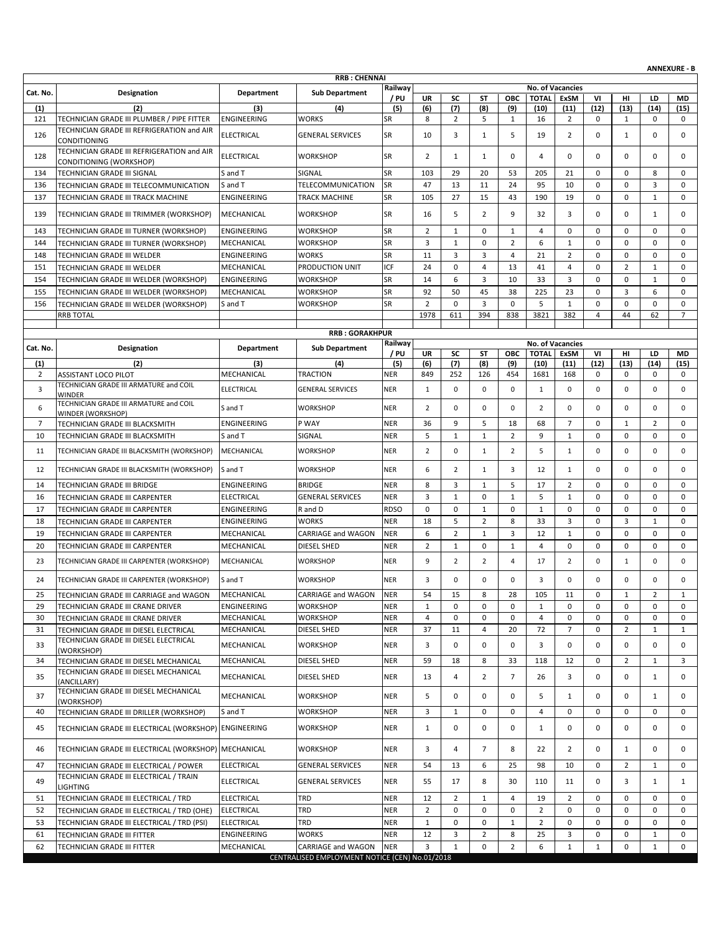|                     |                                                                                                   |                               |                                                |                          |                      |                |                |                |                      |                         |                |                   |                     | <b>ANNEXURE - B</b> |
|---------------------|---------------------------------------------------------------------------------------------------|-------------------------------|------------------------------------------------|--------------------------|----------------------|----------------|----------------|----------------|----------------------|-------------------------|----------------|-------------------|---------------------|---------------------|
|                     |                                                                                                   |                               | <b>RRB: CHENNAI</b>                            | Railway                  |                      |                |                |                |                      | No. of Vacancies        |                |                   |                     |                     |
| Cat. No.            | Designation                                                                                       | <b>Department</b>             | <b>Sub Department</b>                          | / PU                     | <b>UR</b>            | SC             | ST             | <b>OBC</b>     | <b>TOTAL</b>         | ExSM                    | VI             | нı                | LD                  | <b>MD</b>           |
| (1)                 | (2)                                                                                               | (3)                           | (4)                                            | (5)                      | (6)                  | (7)            | (8)            | (9)            | (10)                 | (11)                    | (12)           | (13)              | (14)                | (15)                |
| 121                 | TECHNICIAN GRADE III PLUMBER / PIPE FITTER                                                        | ENGINEERING                   | WORKS                                          | SR                       | 8                    | $\overline{2}$ | 5              | 1              | 16                   | 2                       | 0              | $\mathbf{1}$      | 0                   | 0                   |
| 126                 | TECHNICIAN GRADE III REFRIGERATION and AIR<br>CONDITIONING                                        | <b>ELECTRICAL</b>             | <b>GENERAL SERVICES</b>                        | SR                       | 10                   | 3              | 1              | 5              | 19                   | $\overline{2}$          | $\mathbf 0$    | $\mathbf{1}$      | $\mathbf 0$         | 0                   |
| 128                 | TECHNICIAN GRADE III REFRIGERATION and AIR<br>CONDITIONING (WORKSHOP)                             | <b>ELECTRICAL</b>             | <b>WORKSHOP</b>                                | <b>SR</b>                | $\overline{2}$       | $\mathbf{1}$   | $\mathbf{1}$   | $\mathbf 0$    | $\overline{4}$       | 0                       | $\mathbf 0$    | 0                 | $\mathbf 0$         | 0                   |
| 134                 | TECHNICIAN GRADE III SIGNAL                                                                       | S and T                       | SIGNAL                                         | SR                       | 103                  | 29             | 20             | 53             | 205                  | 21                      | $\mathbf 0$    | 0                 | 8                   | 0                   |
| 136                 | TECHNICIAN GRADE III TELECOMMUNICATION                                                            | S and T                       | TELECOMMUNICATION                              | SR                       | 47                   | 13             | 11             | 24             | 95                   | 10                      | $\mathbf 0$    | 0                 | 3                   | 0                   |
| 137                 | TECHNICIAN GRADE III TRACK MACHINE                                                                | ENGINEERING                   | TRACK MACHINE                                  | SR                       | 105                  | 27             | 15             | 43             | 190                  | 19                      | 0              | 0                 | $\mathbf{1}$        | 0                   |
| 139                 | TECHNICIAN GRADE III TRIMMER (WORKSHOP)                                                           | MECHANICAL                    | <b>WORKSHOP</b>                                | <b>SR</b>                | 16                   | 5              | 2              | 9              | 32                   | 3                       | $\mathbf 0$    | 0                 | $\mathbf{1}$        | 0                   |
| 143                 | TECHNICIAN GRADE III TURNER (WORKSHOP)                                                            | <b>ENGINEERING</b>            | <b>WORKSHOP</b>                                | <b>SR</b>                | $\overline{2}$       | $\mathbf{1}$   | $\mathbf 0$    | 1              | 4                    | 0                       | $\mathbf 0$    | 0                 | $\mathbf 0$         | 0                   |
| 144                 | TECHNICIAN GRADE III TURNER (WORKSHOP)                                                            | MECHANICAL                    | WORKSHOP                                       | SR                       | 3                    | $\mathbf 1$    | 0              | $\overline{2}$ | 6                    | $\mathbf{1}$            | 0              | 0                 | $\mathbf 0$         | $\mathbf 0$         |
| 148                 | TECHNICIAN GRADE III WELDER                                                                       | ENGINEERING                   | WORKS                                          | SR                       | 11                   | 3              | 3              | $\overline{4}$ | 21                   | $\overline{2}$          | $\mathbf 0$    | 0                 | $\mathbf 0$         | $\mathbf 0$         |
| 151                 | TECHNICIAN GRADE III WELDER                                                                       | MECHANICAL                    | PRODUCTION UNIT                                | ICF                      | 24                   | 0              | 4              | 13             | 41                   | 4                       | $\mathbf 0$    | $\overline{2}$    | $\mathbf{1}$        | $\mathbf 0$         |
| 154                 |                                                                                                   |                               | <b>WORKSHOP</b>                                | SR                       | 14                   | 6              | 3              | 10             | 33                   | 3                       | $\mathbf 0$    | 0                 | $\mathbf{1}$        | 0                   |
|                     | TECHNICIAN GRADE III WELDER (WORKSHOP)                                                            | ENGINEERING                   |                                                |                          |                      |                |                |                |                      |                         |                |                   |                     |                     |
| 155                 | TECHNICIAN GRADE III WELDER (WORKSHOP)                                                            | MECHANICAL                    | WORKSHOP                                       | SR                       | 92                   | 50             | 45             | 38             | 225                  | 23                      | $\mathbf 0$    | 3                 | 6                   | 0                   |
| 156                 | TECHNICIAN GRADE III WELDER (WORKSHOP)                                                            | S and T                       | <b>WORKSHOP</b>                                | SR                       | $\overline{2}$       | $\mathbf 0$    | 3              | $\mathbf 0$    | 5                    | $\mathbf{1}$            | $\mathbf 0$    | 0                 | 0                   | 0                   |
|                     | <b>RRB TOTAL</b>                                                                                  |                               |                                                |                          | 1978                 | 611            | 394            | 838            | 3821                 | 382                     | $\overline{4}$ | 44                | 62                  | $\overline{7}$      |
|                     |                                                                                                   |                               | <b>RRB: GORAKHPUR</b>                          |                          |                      |                |                |                |                      |                         |                |                   |                     |                     |
| Cat. No.            | Designation                                                                                       | Department                    | <b>Sub Department</b>                          | Railway                  |                      |                |                |                |                      | <b>No. of Vacancies</b> |                |                   |                     |                     |
|                     |                                                                                                   |                               |                                                | / PU                     | <b>UR</b>            | SC             | ST             | ОВС            | <b>TOTAL</b>         | ExSM                    | VI             | нı                | LD                  | MD                  |
| (1)                 | (2)                                                                                               | (3)                           | (4)                                            | (5)                      | (6)                  | (7)            | (8)            | (9)            | (10)                 | (11)                    | (12)           | (13)              | (14)                | (15)                |
| $\overline{2}$      | <b>ASSISTANT LOCO PILOT</b>                                                                       | MECHANICAL                    | <b>TRACTION</b>                                | <b>NER</b>               | 849                  | 252            | 126            | 454            | 1681                 | 168                     | 0              | 0                 | 0                   | 0                   |
| 3                   | TECHNICIAN GRADE III ARMATURE and COIL<br><b>WINDER</b><br>TECHNICIAN GRADE III ARMATURE and COIL | <b>ELECTRICAL</b>             | <b>GENERAL SERVICES</b>                        | <b>NER</b>               | $\mathbf{1}$         | 0              | 0              | $\mathbf 0$    | $\mathbf{1}$         | 0                       | $\mathbf 0$    | 0                 | 0                   | $\mathbf 0$         |
| 6<br>$\overline{7}$ | WINDER (WORKSHOP)                                                                                 | S and T<br><b>ENGINEERING</b> | <b>WORKSHOP</b><br>P WAY                       | <b>NER</b><br><b>NER</b> | $\overline{2}$<br>36 | 0<br>9         | 0<br>5         | 0<br>18        | $\overline{2}$<br>68 | 0<br>7                  | 0<br>0         | 0<br>$\mathbf{1}$ | 0<br>$\overline{2}$ | 0<br>0              |
|                     | TECHNICIAN GRADE III BLACKSMITH                                                                   |                               |                                                |                          | 5                    | $\mathbf{1}$   | $\mathbf{1}$   | $\overline{2}$ | 9                    |                         | $\mathbf 0$    | 0                 |                     | $\mathbf 0$         |
| 10                  | TECHNICIAN GRADE III BLACKSMITH                                                                   | S and T                       | SIGNAL                                         | <b>NER</b>               |                      |                |                |                |                      | $\mathbf{1}$            |                |                   | $\mathbf 0$         |                     |
| 11                  | TECHNICIAN GRADE III BLACKSMITH (WORKSHOP)                                                        | MECHANICAL                    | <b>WORKSHOP</b>                                | <b>NER</b>               | $\overline{2}$       | 0              | $\mathbf{1}$   | $\overline{2}$ | 5                    | 1                       | 0              | 0                 | 0                   | 0                   |
| 12                  | TECHNICIAN GRADE III BLACKSMITH (WORKSHOP)                                                        | S and T                       | <b>WORKSHOP</b>                                | <b>NER</b>               | 6                    | $\overline{2}$ | 1              | 3              | 12                   | $\mathbf{1}$            | 0              | 0                 | $\mathbf 0$         | $\mathbf 0$         |
| 14                  | TECHNICIAN GRADE III BRIDGE                                                                       | ENGINEERING                   | <b>BRIDGE</b>                                  | <b>NER</b>               | 8                    | 3              | $\mathbf{1}$   | 5              | 17                   | $\overline{2}$          | $\mathbf 0$    | 0                 | $\mathbf 0$         | $\mathbf 0$         |
| 16                  | TECHNICIAN GRADE III CARPENTER                                                                    | <b>ELECTRICAL</b>             | <b>GENERAL SERVICES</b>                        | <b>NER</b>               | 3                    | $\mathbf{1}$   | 0              | $\mathbf{1}$   | 5                    | $\mathbf{1}$            | $\mathbf 0$    | 0                 | $\mathbf 0$         | $\mathbf 0$         |
| 17                  | TECHNICIAN GRADE III CARPENTER                                                                    | ENGINEERING                   | R and D                                        | <b>RDSO</b>              | 0                    | 0              | $\mathbf{1}$   | 0              | $\mathbf{1}$         | 0                       | $\mathbf 0$    | 0                 | $\mathbf 0$         | 0                   |
| 18                  | TECHNICIAN GRADE III CARPENTER                                                                    | ENGINEERING                   | <b>WORKS</b>                                   | <b>NER</b>               | 18                   | 5              | $\overline{2}$ | 8              | 33                   | 3                       | $\mathbf 0$    | 3                 | 1                   | $\mathbf 0$         |
| 19                  | TECHNICIAN GRADE III CARPENTER                                                                    | MECHANICAL                    | CARRIAGE and WAGON                             | <b>NER</b>               | 6                    | $\overline{2}$ | $\mathbf{1}$   | 3              | 12                   | $\mathbf{1}$            | $\mathbf 0$    | 0                 | $\mathbf 0$         | 0                   |
| 20                  | TECHNICIAN GRADE III CARPENTER                                                                    | MECHANICAL                    | <b>DIESEL SHED</b>                             | <b>NER</b>               | $\overline{2}$       | $\mathbf{1}$   | 0              | $\mathbf{1}$   | 4                    | 0                       | 0              | 0                 | $\mathbf 0$         | 0                   |
| 23                  | TECHNICIAN GRADE III CARPENTER (WORKSHOP)                                                         | MECHANICAL                    | <b>WORKSHOP</b>                                | <b>NER</b>               | 9                    | $\overline{2}$ | $\overline{2}$ | 4              | 17                   | 2                       | 0              | $\mathbf{1}$      | 0                   | $\mathbf 0$         |
| 24                  | TECHNICIAN GRADE III CARPENTER (WORKSHOP)                                                         | S and T                       | <b>WORKSHOP</b>                                | NER                      | 3                    | $\mathbf 0$    | 0              | 0              | 3                    | 0                       | 0              | 0                 | 0                   | 0                   |
| 25                  | TECHNICIAN GRADE III CARRIAGE and WAGON                                                           | MECHANICAL                    | CARRIAGE and WAGON                             | <b>NER</b>               | 54                   | 15             | 8              | 28             | 105                  | 11                      | 0              | $\mathbf{1}$      | 2                   | 1                   |
| 29                  | TECHNICIAN GRADE III CRANE DRIVER                                                                 | ENGINEERING                   | <b>WORKSHOP</b>                                | <b>NER</b>               | 1                    | 0              | 0              | 0              | 1                    | 0                       | 0              | 0                 | $\mathbf 0$         | 0                   |
| 30                  | TECHNICIAN GRADE III CRANE DRIVER                                                                 | MECHANICAL                    | WORKSHOP                                       | <b>NER</b>               | 4                    | 0              | 0              | 0              | 4                    | 0                       | 0              | 0                 | 0                   | $\mathbf 0$         |
| 31                  | TECHNICIAN GRADE III DIESEL ELECTRICAL                                                            | MECHANICAL                    | DIESEL SHED                                    | <b>NER</b>               | 37                   | 11             | 4              | 20             | 72                   | $\overline{7}$          | 0              | $\overline{2}$    | $\mathbf{1}$        | 1                   |
| 33                  | TECHNICIAN GRADE III DIESEL ELECTRICAL<br>(WORKSHOP)                                              | MECHANICAL                    | <b>WORKSHOP</b>                                | <b>NER</b>               | 3                    | 0              | 0              | 0              | 3                    | 0                       | 0              | 0                 | 0                   | 0                   |
| 34                  | TECHNICIAN GRADE III DIESEL MECHANICAL                                                            | MECHANICAL                    | DIESEL SHED                                    | <b>NER</b>               | 59                   | 18             | 8              | 33             | 118                  | 12                      | 0              | $\overline{2}$    | $\mathbf{1}$        | 3                   |
| 35                  | TECHNICIAN GRADE III DIESEL MECHANICAL<br>(ANCILLARY)<br>TECHNICIAN GRADE III DIESEL MECHANICAL   | MECHANICAL                    | DIESEL SHED                                    | <b>NER</b>               | 13                   | 4              | 2              | $\overline{7}$ | 26                   | 3                       | 0              | 0                 | 1                   | 0                   |
| 37                  | (WORKSHOP)                                                                                        | MECHANICAL                    | <b>WORKSHOP</b>                                | <b>NER</b>               | 5                    | 0              | 0              | 0              | 5                    | 1                       | $\mathbf 0$    | 0                 | $\mathbf{1}$        | 0                   |
| 40                  | TECHNICIAN GRADE III DRILLER (WORKSHOP)                                                           | S and T                       | WORKSHOP                                       | <b>NER</b>               | 3                    | $\mathbf{1}$   | $\mathbf 0$    | $\mathbf{0}$   | 4                    | $\mathbf 0$             | 0              | 0                 | $\mathbf 0$         | 0                   |
| 45                  | TECHNICIAN GRADE III ELECTRICAL (WORKSHOP)                                                        | <b>ENGINEERING</b>            | <b>WORKSHOP</b>                                | <b>NER</b>               | $\mathbf{1}$         | 0              | 0              | 0              | 1                    | 0                       | $\mathbf 0$    | 0                 | 0                   | 0                   |
| 46                  | TECHNICIAN GRADE III ELECTRICAL (WORKSHOP)                                                        | MECHANICAL                    | <b>WORKSHOP</b>                                | <b>NER</b>               | 3                    | 4              | $\overline{7}$ | 8              | 22                   | $\overline{2}$          | 0              | 1                 | 0                   | 0                   |
| 47                  | TECHNICIAN GRADE III ELECTRICAL / POWER                                                           | <b>ELECTRICAL</b>             | <b>GENERAL SERVICES</b>                        | <b>NER</b>               | 54                   | 13             | 6              | 25             | 98                   | 10                      | 0              | $\overline{2}$    | 1                   | 0                   |
| 49                  | TECHNICIAN GRADE III ELECTRICAL / TRAIN<br>LIGHTING                                               | ELECTRICAL                    | <b>GENERAL SERVICES</b>                        | <b>NER</b>               | 55                   | 17             | 8              | 30             | 110                  | 11                      | $\mathbf 0$    | 3                 | $\mathbf{1}$        | $\mathbf{1}$        |
| 51                  | TECHNICIAN GRADE III ELECTRICAL / TRD                                                             | <b>ELECTRICAL</b>             | TRD                                            | <b>NER</b>               | 12                   | $\overline{2}$ | 1              | 4              | 19                   | 2                       | 0              | 0                 | 0                   | 0                   |
| 52                  | TECHNICIAN GRADE III ELECTRICAL / TRD (OHE)                                                       | <b>ELECTRICAL</b>             | TRD                                            | <b>NER</b>               | $\overline{2}$       | 0              | $\mathbf 0$    | 0              | $\overline{2}$       | $\mathbf 0$             | 0              | $\mathbf 0$       | $\mathbf 0$         | $\mathbf 0$         |
| 53                  | TECHNICIAN GRADE III ELECTRICAL / TRD (PSI)                                                       | <b>ELECTRICAL</b>             | TRD                                            | <b>NER</b>               | $\mathbf{1}$         | 0              | 0              | 1              | $\overline{2}$       | 0                       | 0              | 0                 | 0                   | 0                   |
| 61                  | TECHNICIAN GRADE III FITTER                                                                       | ENGINEERING                   | <b>WORKS</b>                                   | <b>NER</b>               | 12                   | 3              | $\overline{2}$ | 8              | 25                   | 3                       | 0              | 0                 | $\mathbf{1}$        | 0                   |
| 62                  | TECHNICIAN GRADE III FITTER                                                                       | MECHANICAL                    | CARRIAGE and WAGON                             | <b>NER</b>               | 3                    | $\mathbf{1}$   | 0              | $\overline{2}$ | 6                    | $\mathbf{1}$            | 1              | 0                 | 1                   | 0                   |
|                     |                                                                                                   |                               | CENTRALISED EMPLOYMENT NOTICE (CEN) No.01/2018 |                          |                      |                |                |                |                      |                         |                |                   |                     |                     |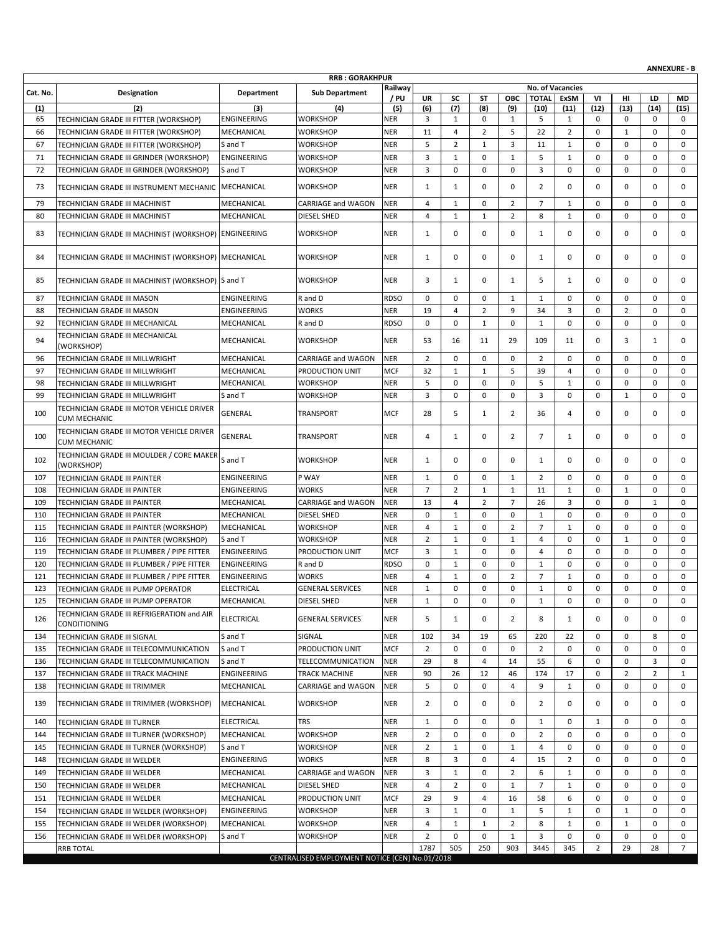|          |                                                                                  |                    |                                                |             |                |                |                |                |                |                  |             |                |                | <b>ANNEXURE - B</b> |
|----------|----------------------------------------------------------------------------------|--------------------|------------------------------------------------|-------------|----------------|----------------|----------------|----------------|----------------|------------------|-------------|----------------|----------------|---------------------|
|          |                                                                                  |                    | <b>RRB: GORAKHPUR</b>                          | Railway     |                |                |                |                |                | No. of Vacancies |             |                |                |                     |
| Cat. No. | <b>Designation</b>                                                               | Department         | <b>Sub Department</b>                          | / PU        | UR             | SC             | ST             | OBC            | <b>TOTAL</b>   | <b>ExSM</b>      | VI          | HI             | LD             | <b>MD</b>           |
| (1)      | (2)                                                                              | (3)                | (4)                                            | (5)         | (6)            | (7)            | (8)            | (9)            | (10)           | (11)             | (12)        | (13)           | (14)           | (15)                |
| 65       | TECHNICIAN GRADE III FITTER (WORKSHOP)                                           | <b>ENGINEERING</b> | <b>WORKSHOP</b>                                | <b>NER</b>  | 3              | $\mathbf{1}$   | 0              | 1              | 5              | 1                | 0           | 0              | 0              | 0                   |
| 66       | TECHNICIAN GRADE III FITTER (WORKSHOP)                                           | MECHANICAL         | <b>WORKSHOP</b>                                | <b>NER</b>  | 11             | 4              | $\overline{2}$ | 5              | 22             | $\overline{2}$   | 0           | $\mathbf{1}$   | $\mathbf 0$    | $\mathbf 0$         |
| 67       | TECHNICIAN GRADE III FITTER (WORKSHOP)                                           | S and T            | <b>WORKSHOP</b>                                | <b>NER</b>  | 5              | $\overline{2}$ | $\mathbf{1}$   | 3              | 11             | $\mathbf{1}$     | 0           | 0              | $\mathbf 0$    | 0                   |
| 71       | TECHNICIAN GRADE III GRINDER (WORKSHOP)                                          | <b>ENGINEERING</b> | <b>WORKSHOP</b>                                | <b>NER</b>  | 3              | $\mathbf{1}$   | 0              | $\mathbf{1}$   | 5              | $\mathbf{1}$     | 0           | 0              | 0              | 0                   |
| 72       | TECHNICIAN GRADE III GRINDER (WORKSHOP)                                          | S and T            | <b>WORKSHOP</b>                                | <b>NER</b>  | 3              | 0              | 0              | 0              | 3              | 0                | 0           | 0              | $\mathbf 0$    | 0                   |
| 73       | TECHNICIAN GRADE III INSTRUMENT MECHANIC MECHANICAL                              |                    | <b>WORKSHOP</b>                                | <b>NER</b>  | $\mathbf{1}$   | $\mathbf{1}$   | 0              | $\mathbf 0$    | 2              | 0                | 0           | 0              | 0              | 0                   |
| 79       | TECHNICIAN GRADE III MACHINIST                                                   | MECHANICAL         | CARRIAGE and WAGON                             | <b>NER</b>  | 4              | $\mathbf{1}$   | 0              | $\overline{2}$ | $\overline{7}$ | $\mathbf{1}$     | $\mathbf 0$ | 0              | $\mathbf 0$    | 0                   |
| 80       | TECHNICIAN GRADE III MACHINIST                                                   | MECHANICAL         | <b>DIESEL SHED</b>                             | <b>NER</b>  | 4              | $\mathbf{1}$   | $\mathbf{1}$   | $\overline{2}$ | 8              | $\mathbf{1}$     | 0           | 0              | $\mathbf 0$    | $\mathbf 0$         |
| 83       | TECHNICIAN GRADE III MACHINIST (WORKSHOP) ENGINEERING                            |                    | <b>WORKSHOP</b>                                | <b>NER</b>  | 1              | 0              | 0              | 0              | 1              | 0                | 0           | 0              | 0              | 0                   |
| 84       | TECHNICIAN GRADE III MACHINIST (WORKSHOP) MECHANICAL                             |                    | <b>WORKSHOP</b>                                | <b>NER</b>  | 1              | $\mathbf 0$    | 0              | $\mathbf 0$    | 1              | 0                | 0           | 0              | 0              | 0                   |
| 85       | TECHNICIAN GRADE III MACHINIST (WORKSHOP) S and T                                |                    | <b>WORKSHOP</b>                                | <b>NER</b>  | 3              | 1              | 0              | 1              | 5              | 1                | 0           | 0              | 0              | 0                   |
| 87       | TECHNICIAN GRADE III MASON                                                       | <b>ENGINEERING</b> | R and D                                        | <b>RDSO</b> | $\mathbf 0$    | 0              | 0              | $\mathbf{1}$   | $\mathbf{1}$   | 0                | 0           | 0              | 0              | 0                   |
| 88       | TECHNICIAN GRADE III MASON                                                       | <b>ENGINEERING</b> | <b>WORKS</b>                                   | <b>NER</b>  | 19             | 4              | $\overline{2}$ | 9              | 34             | 3                | 0           | $\overline{2}$ | $\mathbf 0$    | 0                   |
| 92       | TECHNICIAN GRADE III MECHANICAL                                                  | MECHANICAL         | R and D                                        | <b>RDSO</b> | $\mathbf 0$    | 0              | $\mathbf{1}$   | $\mathbf 0$    | $\mathbf{1}$   | 0                | 0           | 0              | 0              | $\mathbf 0$         |
| 94       | TECHNICIAN GRADE III MECHANICAL<br>(WORKSHOP)                                    | MECHANICAL         | <b>WORKSHOP</b>                                | <b>NER</b>  | 53             | 16             | 11             | 29             | 109            | 11               | 0           | 3              | $\mathbf{1}$   | 0                   |
| 96       | TECHNICIAN GRADE III MILLWRIGHT                                                  | MECHANICAL         | CARRIAGE and WAGON                             | <b>NER</b>  | $\overline{2}$ | $\mathbf 0$    | 0              | $\mathbf 0$    | $\overline{2}$ | 0                | 0           | 0              | $\mathbf 0$    | 0                   |
| 97       | TECHNICIAN GRADE III MILLWRIGHT                                                  | MECHANICAL         | PRODUCTION UNIT                                | <b>MCF</b>  | 32             | $\mathbf{1}$   | $\mathbf{1}$   | 5              | 39             | 4                | 0           | 0              | $\mathbf 0$    | 0                   |
| 98       | TECHNICIAN GRADE III MILLWRIGHT                                                  | MECHANICAL         | <b>WORKSHOP</b>                                | <b>NER</b>  | 5              | 0              | 0              | $\mathbf 0$    | 5              | $\mathbf{1}$     | 0           | 0              | 0              | 0                   |
| 99       | TECHNICIAN GRADE III MILLWRIGHT                                                  | S and T            | <b>WORKSHOP</b>                                | <b>NER</b>  | 3              | 0              | 0              | $\mathbf 0$    | 3              | 0                | 0           | $\mathbf{1}$   | $\mathbf 0$    | 0                   |
| 100      | TECHNICIAN GRADE III MOTOR VEHICLE DRIVER<br><b>CUM MECHANIC</b>                 | GENERAL            | <b>TRANSPORT</b>                               | <b>MCF</b>  | 28             | 5              | $\mathbf{1}$   | 2              | 36             | 4                | 0           | 0              | 0              | 0                   |
| 100      | TECHNICIAN GRADE III MOTOR VEHICLE DRIVER<br><b>CUM MECHANIC</b>                 | GENERAL            | TRANSPORT                                      | <b>NER</b>  | 4              | 1              | 0              | 2              | $\overline{7}$ | 1                | 0           | 0              | 0              | 0                   |
| 102      | TECHNICIAN GRADE III MOULDER / CORE MAKER<br>(WORKSHOP)                          | S and T            | <b>WORKSHOP</b>                                | <b>NER</b>  | 1              | 0              | 0              | 0              | 1              | 0                | 0           | 0              | 0              | 0                   |
| 107      | TECHNICIAN GRADE III PAINTER                                                     | <b>ENGINEERING</b> | P WAY                                          | <b>NER</b>  | $\mathbf{1}$   | 0              | 0              | $\mathbf{1}$   | $\overline{2}$ | $\mathbf 0$      | 0           | 0              | $\mathbf 0$    | 0                   |
| 108      | TECHNICIAN GRADE III PAINTER                                                     | <b>ENGINEERING</b> | <b>WORKS</b>                                   | <b>NER</b>  | $\overline{7}$ | $\overline{2}$ | $\mathbf{1}$   | $\mathbf{1}$   | 11             | $\mathbf{1}$     | $\mathbf 0$ | $\mathbf{1}$   | $\mathbf 0$    | $\mathbf 0$         |
| 109      | TECHNICIAN GRADE III PAINTER                                                     | MECHANICAL         | CARRIAGE and WAGON                             | <b>NER</b>  | 13             | $\overline{4}$ | $\overline{2}$ | $\overline{7}$ | 26             | 3                | 0           | 0              | $\mathbf{1}$   | $\mathbf 0$         |
| 110      | TECHNICIAN GRADE III PAINTER                                                     | MECHANICAL         | <b>DIESEL SHED</b>                             | <b>NER</b>  | $\mathbf 0$    | $\mathbf{1}$   | 0              | $\mathbf 0$    | $\mathbf{1}$   | 0                | 0           | 0              | $\mathbf 0$    | $\mathbf 0$         |
| 115      | TECHNICIAN GRADE III PAINTER (WORKSHOP)                                          | MECHANICAL         | <b>WORKSHOP</b>                                | <b>NER</b>  | 4              | 1              | 0              | $\overline{2}$ | $\overline{7}$ | $\mathbf{1}$     | 0           | 0              | 0              | 0                   |
| 116      | TECHNICIAN GRADE III PAINTER (WORKSHOP)                                          | S and T            | <b>WORKSHOP</b>                                | <b>NER</b>  | $\overline{2}$ | $\mathbf{1}$   | 0              | $\mathbf{1}$   | $\overline{4}$ | 0                | 0           | $\mathbf{1}$   | 0              | 0                   |
| 119      | TECHNICIAN GRADE III PLUMBER / PIPE FITTER                                       | <b>ENGINEERING</b> | PRODUCTION UNIT                                | <b>MCF</b>  | 3              | 1              | 0              | 0              | $\overline{4}$ | 0                | 0           | 0              | $\mathbf 0$    | 0                   |
| 120      | TECHNICIAN GRADE III PLUMBER / PIPE FITTER                                       | <b>ENGINEERING</b> | R and D                                        | <b>RDSO</b> | $\mathbf 0$    | $\mathbf{1}$   | 0              | 0              | $\mathbf{1}$   | 0                | 0           | 0              | $\mathbf 0$    | $\mathbf 0$         |
| 121      | TECHNICIAN GRADE III PLUMBER / PIPE FITTER                                       | <b>ENGINEERING</b> | <b>WORKS</b>                                   | <b>NER</b>  | $\overline{4}$ | $\mathbf{1}$   | 0              | $\overline{2}$ | $\overline{7}$ | $\mathbf{1}$     | 0           | 0              | 0              | 0                   |
| 123      | <b>TECHNICIAN GRADE III PUMP OPERATOR</b>                                        | <b>ELECTRICAL</b>  | <b>GENERAL SERVICES</b>                        | <b>NER</b>  | $\mathbf{1}$   | $\Omega$       | $\Omega$       | $\Omega$       | $\mathbf{1}$   | $\Omega$         | $\Omega$    | $\Omega$       | $\Omega$       | $\Omega$            |
| 125      | TECHNICIAN GRADE III PUMP OPERATOR                                               | MECHANICAL         | <b>DIESEL SHED</b>                             | <b>NER</b>  | $\mathbf{1}$   | 0              | 0              | 0              | 1              | 0                | 0           | 0              | $\mathbf 0$    | 0                   |
| 126      | TECHNICIAN GRADE III REFRIGERATION and AIR<br><b>CONDITIONING</b>                | <b>ELECTRICAL</b>  | <b>GENERAL SERVICES</b>                        | <b>NER</b>  | 5              | 1              | 0              | 2              | 8              | 1                | 0           | 0              | 0              | 0                   |
| 134      | TECHNICIAN GRADE III SIGNAL                                                      | S and T            | SIGNAL                                         | <b>NER</b>  | 102            | 34             | 19             | 65             | 220            | 22               | 0           | 0              | 8              | 0                   |
| 135      | TECHNICIAN GRADE III TELECOMMUNICATION                                           | S and T            | PRODUCTION UNIT                                | <b>MCF</b>  | $\overline{2}$ | 0              | 0              | $\mathbf 0$    | $\overline{2}$ | 0                | 0           | 0              | 0              | 0                   |
| 136      | TECHNICIAN GRADE III TELECOMMUNICATION                                           | S and T            | TELECOMMUNICATION                              | <b>NER</b>  | 29             | 8              | 4              | 14             | 55             | 6                | 0           | 0              | 3              | 0                   |
| 137      | TECHNICIAN GRADE III TRACK MACHINE                                               | <b>ENGINEERING</b> | TRACK MACHINE                                  | <b>NER</b>  | 90             | 26             | 12             | 46             | 174            | 17               | 0           | $\overline{2}$ | $\overline{2}$ | 1                   |
| 138      | TECHNICIAN GRADE III TRIMMER                                                     | MECHANICAL         | CARRIAGE and WAGON                             | <b>NER</b>  | 5              | 0              | 0              | 4              | 9              | 1                | 0           | 0              | 0              | 0                   |
| 139      | TECHNICIAN GRADE III TRIMMER (WORKSHOP)                                          | MECHANICAL         | <b>WORKSHOP</b>                                | <b>NER</b>  | 2              | 0              | 0              | 0              | 2              | 0                | 0           | 0              | 0              | 0                   |
| 140      | TECHNICIAN GRADE III TURNER                                                      | <b>ELECTRICAL</b>  | TRS                                            | <b>NER</b>  | 1              | 0              | 0              | 0              | 1              | 0                | 1           | 0              | 0              | 0                   |
| 144      | TECHNICIAN GRADE III TURNER (WORKSHOP)                                           | MECHANICAL         | <b>WORKSHOP</b>                                | <b>NER</b>  | $\overline{2}$ | 0              | $\mathbf 0$    | 0              | $\overline{2}$ | 0                | 0           | 0              | $\mathbf 0$    | 0                   |
| 145      | TECHNICIAN GRADE III TURNER (WORKSHOP)                                           | S and T            | <b>WORKSHOP</b>                                | <b>NER</b>  | $\overline{2}$ | 1              | 0              | $\mathbf{1}$   | 4              | 0                | 0           | 0              | 0              | 0                   |
| 148      | TECHNICIAN GRADE III WELDER                                                      | <b>ENGINEERING</b> | <b>WORKS</b>                                   | <b>NER</b>  | 8              | 3              | 0              | 4              | 15             | 2                | 0           | 0              | 0              | 0                   |
| 149      | TECHNICIAN GRADE III WELDER                                                      | MECHANICAL         | <b>CARRIAGE and WAGON</b>                      | <b>NER</b>  | 3              | $\mathbf{1}$   | 0              | $\overline{2}$ | 6              | 1                | 0           | 0              | 0              | 0                   |
| 150      | TECHNICIAN GRADE III WELDER                                                      | MECHANICAL         | <b>DIESEL SHED</b>                             | <b>NER</b>  | 4              | $\overline{2}$ | 0              | 1              | 7              | 1                | 0           | 0              | 0              | 0                   |
| 151      | TECHNICIAN GRADE III WELDER                                                      | MECHANICAL         | PRODUCTION UNIT                                | <b>MCF</b>  | 29             | 9              | 4              | 16             | 58             | 6                | 0           | 0              | 0              | 0                   |
| 154      |                                                                                  | ENGINEERING        | <b>WORKSHOP</b>                                | <b>NER</b>  | 3              | $\mathbf{1}$   | 0              | $\mathbf{1}$   | 5              | $\mathbf{1}$     | 0           | $\mathbf 1$    | 0              | 0                   |
| 155      | TECHNICIAN GRADE III WELDER (WORKSHOP)<br>TECHNICIAN GRADE III WELDER (WORKSHOP) | MECHANICAL         | <b>WORKSHOP</b>                                | <b>NER</b>  | 4              | $\mathbf{1}$   | $\mathbf{1}$   | 2              | 8              | $\mathbf{1}$     | 0           | $\mathbf{1}$   | 0              | 0                   |
| 156      | TECHNICIAN GRADE III WELDER (WORKSHOP)                                           | S and T            | <b>WORKSHOP</b>                                | <b>NER</b>  | $\overline{2}$ | 0              | 0              | $\mathbf{1}$   | 3              | 0                | 0           | 0              | 0              | $\mathbf 0$         |
|          | <b>RRB TOTAL</b>                                                                 |                    |                                                |             | 1787           | 505            | 250            | 903            | 3445           | 345              | 2           | 29             | 28             | $\overline{7}$      |
|          |                                                                                  |                    | CENTRALISED EMPLOYMENT NOTICE (CEN) No.01/2018 |             |                |                |                |                |                |                  |             |                |                |                     |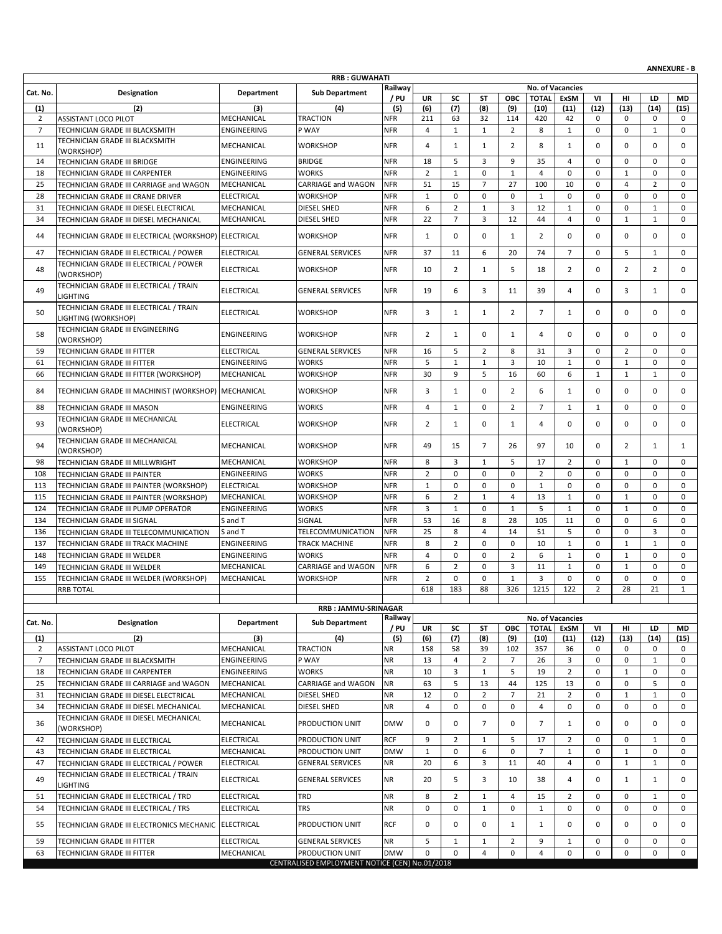| <b>RRB: GUWAHATI</b><br>Railway<br>No. of Vacancies<br>Cat. No.<br>Designation<br><b>Department</b><br><b>Sub Department</b><br>/ PU<br><b>UR</b><br>SC<br>ОВС<br><b>TOTAL</b><br>ExSM<br>VI<br>ST<br>HI<br>LD<br><b>MD</b><br>(5)<br>(6)<br>(7)<br>(12)<br>(1)<br>(2)<br>(3)<br>(4)<br>(8)<br>(9)<br>(10)<br>(11)<br>(13)<br>(14)<br>(15)<br>MECHANICAL<br><b>TRACTION</b><br>$\overline{2}$<br><b>NFR</b><br>211<br>420<br>42<br><b>ASSISTANT LOCO PILOT</b><br>63<br>32<br>114<br>0<br>0<br>0<br>0<br>$\overline{7}$<br>$\overline{4}$<br>$\mathbf{1}$<br>$\overline{2}$<br>8<br>$\mathbf{1}$<br>$\mathbf 0$<br>0<br>$\mathbf{1}$<br>$\mathbf 0$<br>TECHNICIAN GRADE III BLACKSMITH<br>ENGINEERING<br>P WAY<br><b>NFR</b><br>$\mathbf{1}$<br>TECHNICIAN GRADE III BLACKSMITH<br><b>NFR</b><br>$\overline{4}$<br>0<br>11<br>MECHANICAL<br><b>WORKSHOP</b><br>$\mathbf{1}$<br>$\mathbf{1}$<br>2<br>8<br>$\mathbf{1}$<br>0<br>$\mathbf 0$<br>0<br>(WORKSHOP)<br>14<br>ENGINEERING<br><b>BRIDGE</b><br><b>NFR</b><br>18<br>5<br>3<br>9<br>35<br>4<br>0<br>0<br>0<br>0<br>TECHNICIAN GRADE III BRIDGE<br>$\overline{2}$<br><b>WORKS</b><br>$\mathbf{1}$<br>$\mathbf 0$<br>$\mathbf{1}$<br>$\overline{4}$<br>$\mathbf 0$<br>$\mathbf 0$<br>$\mathbf{1}$<br>$\mathbf 0$<br>$\mathbf 0$<br>18<br>ENGINEERING<br><b>NFR</b><br>TECHNICIAN GRADE III CARPENTER<br>51<br>$\overline{7}$<br>27<br>100<br>10<br>$\overline{4}$<br>25<br>TECHNICIAN GRADE III CARRIAGE and WAGON<br>MECHANICAL<br>CARRIAGE and WAGON<br><b>NFR</b><br>15<br>0<br>$\overline{2}$<br>0<br>$\mathbf{1}$<br>$\mathbf 0$<br>$\mathbf 0$<br>$\mathbf 0$<br>$\mathbf{1}$<br>$\mathbf 0$<br>$\mathbf 0$<br>0<br>$\mathbf 0$<br>28<br><b>ELECTRICAL</b><br><b>WORKSHOP</b><br><b>NFR</b><br>$\mathbf 0$<br>TECHNICIAN GRADE III CRANE DRIVER<br>$\overline{2}$<br><b>NFR</b><br>6<br>3<br>12<br>$\mathbf 1$<br>$\mathbf 0$<br>0<br>$\mathbf{1}$<br>31<br>MECHANICAL<br><b>DIESEL SHED</b><br>$\mathbf{1}$<br>0<br>TECHNICIAN GRADE III DIESEL ELECTRICAL<br>34<br>22<br>$\overline{7}$<br>3<br>12<br>44<br>$\overline{4}$<br>$\mathbf 0$<br>$\mathbf 0$<br>MECHANICAL<br><b>DIESEL SHED</b><br><b>NFR</b><br>$\mathbf{1}$<br>1<br>TECHNICIAN GRADE III DIESEL MECHANICAL<br>0<br>44<br>TECHNICIAN GRADE III ELECTRICAL (WORKSHOP) ELECTRICAL<br><b>WORKSHOP</b><br><b>NFR</b><br>$\mathbf{1}$<br>0<br>0<br>$\mathbf{1}$<br>2<br>0<br>0<br>$\mathbf 0$<br>0<br>47<br>37<br>11<br>6<br>74<br>$\overline{7}$<br>$\mathbf 0$<br>5<br>$\mathbf{1}$<br>$\mathbf 0$<br>TECHNICIAN GRADE III ELECTRICAL / POWER<br><b>ELECTRICAL</b><br><b>GENERAL SERVICES</b><br><b>NFR</b><br>20<br>TECHNICIAN GRADE III ELECTRICAL / POWER<br>48<br><b>ELECTRICAL</b><br>WORKSHOP<br><b>NFR</b><br>10<br>2<br>5<br>18<br>$\overline{2}$<br>0<br>$\overline{2}$<br>$\overline{2}$<br>0<br>1<br>(WORKSHOP)<br>TECHNICIAN GRADE III ELECTRICAL / TRAIN<br>49<br><b>ELECTRICAL</b><br><b>NFR</b><br>19<br>6<br>3<br>39<br>0<br>3<br>$\mathbf{1}$<br>0<br><b>GENERAL SERVICES</b><br>11<br>4<br><b>LIGHTING</b><br>TECHNICIAN GRADE III ELECTRICAL / TRAIN<br>0<br>0<br>50<br><b>ELECTRICAL</b><br><b>WORKSHOP</b><br><b>NFR</b><br>3<br>$\mathbf{1}$<br>2<br>$\overline{7}$<br>0<br>0<br>$\mathbf{1}$<br>$\mathbf{1}$<br>LIGHTING (WORKSHOP)<br>TECHNICIAN GRADE III ENGINEERING<br><b>ENGINEERING</b><br><b>NFR</b><br>$\overline{2}$<br>0<br>0<br>0<br>0<br>$\mathbf 0$<br>0<br>58<br><b>WORKSHOP</b><br>1<br>1<br>$\overline{4}$<br>(WORKSHOP)<br>TECHNICIAN GRADE III FITTER<br><b>NFR</b><br>16<br>5<br>3<br>$\overline{2}$<br>59<br><b>ELECTRICAL</b><br><b>GENERAL SERVICES</b><br>2<br>8<br>31<br>0<br>$\mathbf 0$<br>0<br>5<br>$\mathbf{1}$<br>$\mathbf{1}$<br>3<br>10<br>$\mathbf{1}$<br>$\mathbf{1}$<br>$\mathbf 0$<br>$\mathbf 0$<br>61<br>ENGINEERING<br><b>WORKS</b><br><b>NFR</b><br>0<br>TECHNICIAN GRADE III FITTER<br>30<br>9<br>5<br>16<br>$\mathbf{1}$<br>$\mathbf{1}$<br>$\mathbf{1}$<br>66<br>WORKSHOP<br><b>NFR</b><br>60<br>6<br>0<br>MECHANICAL<br>TECHNICIAN GRADE III FITTER (WORKSHOP)<br>0<br>84<br>TECHNICIAN GRADE III MACHINIST (WORKSHOP)<br>MECHANICAL<br><b>NFR</b><br>3<br>$\mathbf{1}$<br>$\mathbf 0$<br>2<br>6<br>0<br>$\mathbf 0$<br>0<br>WORKSHOP<br>$\mathbf{1}$<br>ENGINEERING<br><b>WORKS</b><br><b>NFR</b><br>4<br>$\mathbf{1}$<br>0<br>2<br>$\overline{7}$<br>$\mathbf{1}$<br>$\mathbf{1}$<br>0<br>$\mathbf 0$<br>0<br>88<br>TECHNICIAN GRADE III MASON<br>TECHNICIAN GRADE III MECHANICAL<br>93<br>$\overline{2}$<br>$\mathbf 0$<br>0<br>0<br><b>ELECTRICAL</b><br><b>WORKSHOP</b><br><b>NFR</b><br>$\mathbf{1}$<br>0<br>$\mathbf{1}$<br>$\overline{4}$<br>0<br>0<br>(WORKSHOP)<br>TECHNICIAN GRADE III MECHANICAL<br>94<br>MECHANICAL<br><b>NFR</b><br>$\overline{7}$<br>WORKSHOP<br>49<br>15<br>26<br>97<br>10<br>0<br>$\overline{2}$<br>1<br>1<br>(WORKSHOP)<br>TECHNICIAN GRADE III MILLWRIGHT<br><b>NFR</b><br>8<br>3<br>5<br>17<br>$\overline{2}$<br>98<br>MECHANICAL<br><b>WORKSHOP</b><br>$\mathbf{1}$<br>0<br>$\mathbf{1}$<br>$\mathbf 0$<br>0<br>$\overline{2}$<br>$\mathbf 0$<br>$\mathbf 0$<br>$\overline{2}$<br>$\mathbf 0$<br>$\mathbf 0$<br>0<br>108<br>ENGINEERING<br><b>WORKS</b><br><b>NFR</b><br>$\mathbf 0$<br>$\mathbf 0$<br>$\mathbf 0$<br>TECHNICIAN GRADE III PAINTER<br><b>NFR</b><br>$\mathbf{1}$<br>0<br>$\mathbf 0$<br>$\mathbf 0$<br>$\mathbf{1}$<br>$\mathbf 0$<br>$\mathbf 0$<br>0<br>113<br><b>ELECTRICAL</b><br><b>WORKSHOP</b><br>$\mathbf 0$<br>0<br>TECHNICIAN GRADE III PAINTER (WORKSHOP)<br>$\overline{2}$<br>6<br>$\mathbf{1}$<br>$\overline{4}$<br>13<br>$\mathbf 1$<br>$\mathbf{1}$<br>$\mathbf 0$<br>115<br>MECHANICAL<br>WORKSHOP<br><b>NFR</b><br>0<br>$\mathbf 0$<br>TECHNICIAN GRADE III PAINTER (WORKSHOP)<br>3<br>$\mathbf{1}$<br>$\mathbf 0$<br>5<br>$\mathbf{1}$<br>$\mathbf 0$<br>124<br>TECHNICIAN GRADE III PUMP OPERATOR<br>ENGINEERING<br>WORKS<br><b>NFR</b><br>$\mathbf{1}$<br>$\mathbf{1}$<br>$\mathbf 0$<br>$\mathbf 0$<br>53<br>S and T<br>SIGNAL<br><b>NFR</b><br>16<br>8<br>28<br>105<br>11<br>0<br>0<br>6<br>0<br>134<br><b>TECHNICIAN GRADE III SIGNAL</b><br>25<br>8<br>14<br>51<br>5<br>0<br>3<br>136<br>S and T<br>TELECOMMUNICATION<br><b>NFR</b><br>4<br>0<br>0<br>TECHNICIAN GRADE III TELECOMMUNICATION<br>$\overline{2}$<br>8<br>137<br>ENGINEERING<br><b>TRACK MACHINE</b><br><b>NFR</b><br>$\mathbf 0$<br>$\mathbf 0$<br>10<br>$\mathbf{1}$<br>0<br>$\mathbf{1}$<br>$\mathbf{1}$<br>0<br>TECHNICIAN GRADE III TRACK MACHINE<br><b>NFR</b><br>$\overline{4}$<br>$\mathbf 0$<br>$\mathbf 0$<br>$\overline{2}$<br>6<br>$\mathbf 0$<br>TECHNICIAN GRADE III WELDER<br>ENGINEERING<br><b>WORKS</b><br>$\mathbf{1}$<br>$\mathbf{1}$<br>$\mathbf 0$<br>0<br>148<br>6<br>$\overline{2}$<br>$\mathbf 0$<br>3<br>11<br>149<br>MECHANICAL<br>CARRIAGE and WAGON<br><b>NFR</b><br>$\mathbf{1}$<br>0<br>$\mathbf{1}$<br>$\mathbf 0$<br>0<br>TECHNICIAN GRADE III WELDER<br>$\overline{2}$<br>$\mathbf 1$<br>155<br>$\mathbf 0$<br>$\mathbf 0$<br>3<br>$\mathbf 0$<br>$\mathbf 0$<br>$\mathbf 0$<br>$\mathbf 0$<br>$\mathbf 0$<br>MECHANICAL<br><b>WORKSHOP</b><br><b>NFR</b><br>TECHNICIAN GRADE III WELDER (WORKSHOP)<br>618<br>183<br>88<br>1215<br>122<br>$\mathbf{2}$<br>28<br>$\overline{21}$<br>326<br>$\mathbf{1}$<br><b>RRB TOTAL</b><br><b>RRB: JAMMU-SRINAGAR</b><br>Railway<br>No. of Vacancies<br>Cat. No.<br>Designation<br>Department<br><b>Sub Department</b><br>/ PU<br><b>TOTAL</b><br>VI<br>UR<br>SC<br>ST<br>ОВС<br>ExSM<br>HI<br>LD<br>MD<br>(2)<br>(3)<br>(4)<br>(5)<br>(6)<br>(7)<br>(12)<br>(1)<br>(8)<br>(9)<br>(10)<br>(11)<br>(13)<br>(14)<br>(15)<br>ASSISTANT LOCO PILOT<br>MECHANICAL<br><b>TRACTION</b><br>$\overline{2}$<br><b>NR</b><br>158<br>58<br>36<br>0<br>39<br>102<br>357<br>0<br>0<br>0<br>$\overline{2}$<br>$\overline{7}$<br>ENGINEERING<br>P WAY<br><b>NR</b><br>13<br>4<br>$\overline{7}$<br>26<br>3<br>0<br>0<br>$\mathbf{1}$<br>0<br>TECHNICIAN GRADE III BLACKSMITH<br><b>NR</b><br>10<br>3<br>19<br>$\overline{2}$<br>0<br>18<br>ENGINEERING<br><b>WORKS</b><br>$\mathbf{1}$<br>5<br>$\mathbf{1}$<br>$\mathbf 0$<br>$\mathbf 0$<br>TECHNICIAN GRADE III CARPENTER<br>5<br>MECHANICAL<br>CARRIAGE and WAGON<br><b>NR</b><br>63<br>13<br>44<br>125<br>13<br>0<br>5<br>25<br>TECHNICIAN GRADE III CARRIAGE and WAGON<br>0<br>0<br>0<br>$\overline{2}$<br>$\overline{7}$<br>$\overline{2}$<br>31<br>MECHANICAL<br><b>DIESEL SHED</b><br><b>NR</b><br>12<br>21<br>0<br>$\mathbf{1}$<br>$\mathbf{1}$<br>0<br>TECHNICIAN GRADE III DIESEL ELECTRICAL<br><b>NR</b><br>$\overline{4}$<br>0<br>$\mathbf 0$<br>0<br>34<br>MECHANICAL<br><b>DIESEL SHED</b><br>0<br>0<br>$\overline{4}$<br>0<br>$\mathbf 0$<br>0<br>TECHNICIAN GRADE III DIESEL MECHANICAL<br>TECHNICIAN GRADE III DIESEL MECHANICAL<br>$\overline{7}$<br>0<br>MECHANICAL<br>PRODUCTION UNIT<br><b>DMW</b><br>0<br>0<br>$\mathbf 0$<br>$\overline{7}$<br>0<br>36<br>$\mathbf{1}$<br>0<br>0<br>(WORKSHOP)<br><b>ELECTRICAL</b><br><b>RCF</b><br>9<br>TECHNICIAN GRADE III ELECTRICAL<br>PRODUCTION UNIT<br>$\overline{2}$<br>5<br>17<br>$\overline{2}$<br>0<br>0<br>42<br>1<br>1<br>0<br>MECHANICAL<br><b>DMW</b><br>$\mathbf{1}$<br>6<br>$\mathbf 0$<br>$\overline{7}$<br>$\mathbf{1}$<br>$\mathbf{1}$<br>$\mathbf 0$<br>43<br>TECHNICIAN GRADE III ELECTRICAL<br>PRODUCTION UNIT<br>0<br>0<br>0<br>20<br>6<br>3<br>0<br>47<br>TECHNICIAN GRADE III ELECTRICAL / POWER<br>ELECTRICAL<br>NR<br>11<br>40<br>4<br>$\mathbf{1}$<br>$\mathbf{1}$<br>0<br><b>GENERAL SERVICES</b><br>TECHNICIAN GRADE III ELECTRICAL / TRAIN<br>5<br>49<br><b>ELECTRICAL</b><br><b>NR</b><br>3<br><b>GENERAL SERVICES</b><br>20<br>10<br>38<br>4<br>0<br>$\mathbf{1}$<br>1<br>0<br>LIGHTING<br><b>ELECTRICAL</b><br>TRD<br><b>NR</b><br>TECHNICIAN GRADE III ELECTRICAL / TRD<br>8<br>$\overline{2}$<br>$\mathbf{1}$<br>15<br>$\overline{2}$<br>0<br>0<br>51<br>4<br>1<br>0<br><b>ELECTRICAL</b><br><b>TRS</b><br><b>NR</b><br>0<br>$\mathbf 0$<br>54<br>0<br>$\mathbf{1}$<br>$\mathbf{1}$<br>0<br>0<br>0<br>$\mathbf 0$<br>0<br>TECHNICIAN GRADE III ELECTRICAL / TRS<br>55<br>TECHNICIAN GRADE III ELECTRONICS MECHANIC ELECTRICAL<br>PRODUCTION UNIT<br><b>RCF</b><br>0<br>0<br>0<br>0<br>0<br>0<br>1<br>$\mathbf{1}$<br>0<br>0<br><b>ELECTRICAL</b><br><b>NR</b><br>5<br>9<br>59<br><b>GENERAL SERVICES</b><br>$\mathbf{1}$<br>$\mathbf{1}$<br>2<br>$\mathbf{1}$<br>0<br>0<br>0<br>0<br>TECHNICIAN GRADE III FITTER<br>0<br>0<br>TECHNICIAN GRADE III FITTER<br>MECHANICAL<br>PRODUCTION UNIT<br><b>DMW</b><br>$\mathbf 0$<br>4<br>0<br>4<br>0<br>0<br>0<br>0<br>63<br>CENTRALISED EMPLOYMENT NOTICE (CEN) No.01/2018 |  |  |  |  |  |  |  | <b>ANNEXURE - B</b> |
|---------------------------------------------------------------------------------------------------------------------------------------------------------------------------------------------------------------------------------------------------------------------------------------------------------------------------------------------------------------------------------------------------------------------------------------------------------------------------------------------------------------------------------------------------------------------------------------------------------------------------------------------------------------------------------------------------------------------------------------------------------------------------------------------------------------------------------------------------------------------------------------------------------------------------------------------------------------------------------------------------------------------------------------------------------------------------------------------------------------------------------------------------------------------------------------------------------------------------------------------------------------------------------------------------------------------------------------------------------------------------------------------------------------------------------------------------------------------------------------------------------------------------------------------------------------------------------------------------------------------------------------------------------------------------------------------------------------------------------------------------------------------------------------------------------------------------------------------------------------------------------------------------------------------------------------------------------------------------------------------------------------------------------------------------------------------------------------------------------------------------------------------------------------------------------------------------------------------------------------------------------------------------------------------------------------------------------------------------------------------------------------------------------------------------------------------------------------------------------------------------------------------------------------------------------------------------------------------------------------------------------------------------------------------------------------------------------------------------------------------------------------------------------------------------------------------------------------------------------------------------------------------------------------------------------------------------------------------------------------------------------------------------------------------------------------------------------------------------------------------------------------------------------------------------------------------------------------------------------------------------------------------------------------------------------------------------------------------------------------------------------------------------------------------------------------------------------------------------------------------------------------------------------------------------------------------------------------------------------------------------------------------------------------------------------------------------------------------------------------------------------------------------------------------------------------------------------------------------------------------------------------------------------------------------------------------------------------------------------------------------------------------------------------------------------------------------------------------------------------------------------------------------------------------------------------------------------------------------------------------------------------------------------------------------------------------------------------------------------------------------------------------------------------------------------------------------------------------------------------------------------------------------------------------------------------------------------------------------------------------------------------------------------------------------------------------------------------------------------------------------------------------------------------------------------------------------------------------------------------------------------------------------------------------------------------------------------------------------------------------------------------------------------------------------------------------------------------------------------------------------------------------------------------------------------------------------------------------------------------------------------------------------------------------------------------------------------------------------------------------------------------------------------------------------------------------------------------------------------------------------------------------------------------------------------------------------------------------------------------------------------------------------------------------------------------------------------------------------------------------------------------------------------------------------------------------------------------------------------------------------------------------------------------------------------------------------------------------------------------------------------------------------------------------------------------------------------------------------------------------------------------------------------------------------------------------------------------------------------------------------------------------------------------------------------------------------------------------------------------------------------------------------------------------------------------------------------------------------------------------------------------------------------------------------------------------------------------------------------------------------------------------------------------------------------------------------------------------------------------------------------------------------------------------------------------------------------------------------------------------------------------------------------------------------------------------------------------------------------------------------------------------------------------------------------------------------------------------------------------------------------------------------------------------------------------------------------------------------------------------------------------------------------------------------------------------------------------------------------------------------------------------------------------------------------------------------------------------------------------------------------------------------------------------------------------------------------------------------------------------------------------------------------------------------------------------------------------------------------------------------------------------------------------------------------------------------------------------------------------------------------------------------------------------------------------------------------------------------------------------------------------------------------------------------------------------------------------------------------------------------------------------------------------------------------------------------------------------------------------------------------------------------------------------------------------------------------------------------------------------------------------------------------------------------------------------------------------------------------------------------------------------------------------------------------------------------------------------------------------------------------------------------------------------------------------------------------------------------------------------------------------------------------------------------------------------------------------------------------------------------------------------------------------------------------------------------------------------------------------------------------------------------------------------------------------------------------------------------------------------------------------------------------------------------------------------------------------------------------------------------------------------------------------------------------------------------------------------------------------------------------------------------------------------------------------------------------------------------------------------------------------------------------------------------------------------------------------------------------------------------------------------------------------------------------------------------------------------------------------------------------------------------------------------------------------------------------------------------------------------------------------------------------------------------------------------------------------------------------------------------------------------------------------------------------------------------------------------------------------------------------------------------------------------------------------------------------------------------------------------------------------------------------------------------------------------------------------------------------------------------------------------------------------------------------------------------------------------------------------------------------------------------------------------------------------------------------------------------------------------------------------------------------|--|--|--|--|--|--|--|---------------------|
|                                                                                                                                                                                                                                                                                                                                                                                                                                                                                                                                                                                                                                                                                                                                                                                                                                                                                                                                                                                                                                                                                                                                                                                                                                                                                                                                                                                                                                                                                                                                                                                                                                                                                                                                                                                                                                                                                                                                                                                                                                                                                                                                                                                                                                                                                                                                                                                                                                                                                                                                                                                                                                                                                                                                                                                                                                                                                                                                                                                                                                                                                                                                                                                                                                                                                                                                                                                                                                                                                                                                                                                                                                                                                                                                                                                                                                                                                                                                                                                                                                                                                                                                                                                                                                                                                                                                                                                                                                                                                                                                                                                                                                                                                                                                                                                                                                                                                                                                                                                                                                                                                                                                                                                                                                                                                                                                                                                                                                                                                                                                                                                                                                                                                                                                                                                                                                                                                                                                                                                                                                                                                                                                                                                                                                                                                                                                                                                                                                                                                                                                                                                                                                                                                                                                                                                                                                                                                                                                                                                                                                                                                                                                                                                                                                                                                                                                                                                                                                                                                                                                                                                                                                                                                                                                                                                                                                                                                                                                                                                                                                                                                                                                                                                                                                                                                                                                                                                                                                                                                                                                                                                                                                                                                                                                                                                                                                                                                                                                                                                                                                                                                                                                                                                                                                                                                                                                                                                                                                                                                                                                                                                                                                                                                                                                                                                                                                                                                                                                                                                                                                                                                                                                                                                                                                                                                                                                                                                                                                                                                                                                                                                                                                                         |  |  |  |  |  |  |  |                     |
|                                                                                                                                                                                                                                                                                                                                                                                                                                                                                                                                                                                                                                                                                                                                                                                                                                                                                                                                                                                                                                                                                                                                                                                                                                                                                                                                                                                                                                                                                                                                                                                                                                                                                                                                                                                                                                                                                                                                                                                                                                                                                                                                                                                                                                                                                                                                                                                                                                                                                                                                                                                                                                                                                                                                                                                                                                                                                                                                                                                                                                                                                                                                                                                                                                                                                                                                                                                                                                                                                                                                                                                                                                                                                                                                                                                                                                                                                                                                                                                                                                                                                                                                                                                                                                                                                                                                                                                                                                                                                                                                                                                                                                                                                                                                                                                                                                                                                                                                                                                                                                                                                                                                                                                                                                                                                                                                                                                                                                                                                                                                                                                                                                                                                                                                                                                                                                                                                                                                                                                                                                                                                                                                                                                                                                                                                                                                                                                                                                                                                                                                                                                                                                                                                                                                                                                                                                                                                                                                                                                                                                                                                                                                                                                                                                                                                                                                                                                                                                                                                                                                                                                                                                                                                                                                                                                                                                                                                                                                                                                                                                                                                                                                                                                                                                                                                                                                                                                                                                                                                                                                                                                                                                                                                                                                                                                                                                                                                                                                                                                                                                                                                                                                                                                                                                                                                                                                                                                                                                                                                                                                                                                                                                                                                                                                                                                                                                                                                                                                                                                                                                                                                                                                                                                                                                                                                                                                                                                                                                                                                                                                                                                                                                                         |  |  |  |  |  |  |  |                     |
|                                                                                                                                                                                                                                                                                                                                                                                                                                                                                                                                                                                                                                                                                                                                                                                                                                                                                                                                                                                                                                                                                                                                                                                                                                                                                                                                                                                                                                                                                                                                                                                                                                                                                                                                                                                                                                                                                                                                                                                                                                                                                                                                                                                                                                                                                                                                                                                                                                                                                                                                                                                                                                                                                                                                                                                                                                                                                                                                                                                                                                                                                                                                                                                                                                                                                                                                                                                                                                                                                                                                                                                                                                                                                                                                                                                                                                                                                                                                                                                                                                                                                                                                                                                                                                                                                                                                                                                                                                                                                                                                                                                                                                                                                                                                                                                                                                                                                                                                                                                                                                                                                                                                                                                                                                                                                                                                                                                                                                                                                                                                                                                                                                                                                                                                                                                                                                                                                                                                                                                                                                                                                                                                                                                                                                                                                                                                                                                                                                                                                                                                                                                                                                                                                                                                                                                                                                                                                                                                                                                                                                                                                                                                                                                                                                                                                                                                                                                                                                                                                                                                                                                                                                                                                                                                                                                                                                                                                                                                                                                                                                                                                                                                                                                                                                                                                                                                                                                                                                                                                                                                                                                                                                                                                                                                                                                                                                                                                                                                                                                                                                                                                                                                                                                                                                                                                                                                                                                                                                                                                                                                                                                                                                                                                                                                                                                                                                                                                                                                                                                                                                                                                                                                                                                                                                                                                                                                                                                                                                                                                                                                                                                                                                                         |  |  |  |  |  |  |  |                     |
|                                                                                                                                                                                                                                                                                                                                                                                                                                                                                                                                                                                                                                                                                                                                                                                                                                                                                                                                                                                                                                                                                                                                                                                                                                                                                                                                                                                                                                                                                                                                                                                                                                                                                                                                                                                                                                                                                                                                                                                                                                                                                                                                                                                                                                                                                                                                                                                                                                                                                                                                                                                                                                                                                                                                                                                                                                                                                                                                                                                                                                                                                                                                                                                                                                                                                                                                                                                                                                                                                                                                                                                                                                                                                                                                                                                                                                                                                                                                                                                                                                                                                                                                                                                                                                                                                                                                                                                                                                                                                                                                                                                                                                                                                                                                                                                                                                                                                                                                                                                                                                                                                                                                                                                                                                                                                                                                                                                                                                                                                                                                                                                                                                                                                                                                                                                                                                                                                                                                                                                                                                                                                                                                                                                                                                                                                                                                                                                                                                                                                                                                                                                                                                                                                                                                                                                                                                                                                                                                                                                                                                                                                                                                                                                                                                                                                                                                                                                                                                                                                                                                                                                                                                                                                                                                                                                                                                                                                                                                                                                                                                                                                                                                                                                                                                                                                                                                                                                                                                                                                                                                                                                                                                                                                                                                                                                                                                                                                                                                                                                                                                                                                                                                                                                                                                                                                                                                                                                                                                                                                                                                                                                                                                                                                                                                                                                                                                                                                                                                                                                                                                                                                                                                                                                                                                                                                                                                                                                                                                                                                                                                                                                                                                                         |  |  |  |  |  |  |  |                     |
|                                                                                                                                                                                                                                                                                                                                                                                                                                                                                                                                                                                                                                                                                                                                                                                                                                                                                                                                                                                                                                                                                                                                                                                                                                                                                                                                                                                                                                                                                                                                                                                                                                                                                                                                                                                                                                                                                                                                                                                                                                                                                                                                                                                                                                                                                                                                                                                                                                                                                                                                                                                                                                                                                                                                                                                                                                                                                                                                                                                                                                                                                                                                                                                                                                                                                                                                                                                                                                                                                                                                                                                                                                                                                                                                                                                                                                                                                                                                                                                                                                                                                                                                                                                                                                                                                                                                                                                                                                                                                                                                                                                                                                                                                                                                                                                                                                                                                                                                                                                                                                                                                                                                                                                                                                                                                                                                                                                                                                                                                                                                                                                                                                                                                                                                                                                                                                                                                                                                                                                                                                                                                                                                                                                                                                                                                                                                                                                                                                                                                                                                                                                                                                                                                                                                                                                                                                                                                                                                                                                                                                                                                                                                                                                                                                                                                                                                                                                                                                                                                                                                                                                                                                                                                                                                                                                                                                                                                                                                                                                                                                                                                                                                                                                                                                                                                                                                                                                                                                                                                                                                                                                                                                                                                                                                                                                                                                                                                                                                                                                                                                                                                                                                                                                                                                                                                                                                                                                                                                                                                                                                                                                                                                                                                                                                                                                                                                                                                                                                                                                                                                                                                                                                                                                                                                                                                                                                                                                                                                                                                                                                                                                                                                                         |  |  |  |  |  |  |  |                     |
|                                                                                                                                                                                                                                                                                                                                                                                                                                                                                                                                                                                                                                                                                                                                                                                                                                                                                                                                                                                                                                                                                                                                                                                                                                                                                                                                                                                                                                                                                                                                                                                                                                                                                                                                                                                                                                                                                                                                                                                                                                                                                                                                                                                                                                                                                                                                                                                                                                                                                                                                                                                                                                                                                                                                                                                                                                                                                                                                                                                                                                                                                                                                                                                                                                                                                                                                                                                                                                                                                                                                                                                                                                                                                                                                                                                                                                                                                                                                                                                                                                                                                                                                                                                                                                                                                                                                                                                                                                                                                                                                                                                                                                                                                                                                                                                                                                                                                                                                                                                                                                                                                                                                                                                                                                                                                                                                                                                                                                                                                                                                                                                                                                                                                                                                                                                                                                                                                                                                                                                                                                                                                                                                                                                                                                                                                                                                                                                                                                                                                                                                                                                                                                                                                                                                                                                                                                                                                                                                                                                                                                                                                                                                                                                                                                                                                                                                                                                                                                                                                                                                                                                                                                                                                                                                                                                                                                                                                                                                                                                                                                                                                                                                                                                                                                                                                                                                                                                                                                                                                                                                                                                                                                                                                                                                                                                                                                                                                                                                                                                                                                                                                                                                                                                                                                                                                                                                                                                                                                                                                                                                                                                                                                                                                                                                                                                                                                                                                                                                                                                                                                                                                                                                                                                                                                                                                                                                                                                                                                                                                                                                                                                                                                                         |  |  |  |  |  |  |  |                     |
|                                                                                                                                                                                                                                                                                                                                                                                                                                                                                                                                                                                                                                                                                                                                                                                                                                                                                                                                                                                                                                                                                                                                                                                                                                                                                                                                                                                                                                                                                                                                                                                                                                                                                                                                                                                                                                                                                                                                                                                                                                                                                                                                                                                                                                                                                                                                                                                                                                                                                                                                                                                                                                                                                                                                                                                                                                                                                                                                                                                                                                                                                                                                                                                                                                                                                                                                                                                                                                                                                                                                                                                                                                                                                                                                                                                                                                                                                                                                                                                                                                                                                                                                                                                                                                                                                                                                                                                                                                                                                                                                                                                                                                                                                                                                                                                                                                                                                                                                                                                                                                                                                                                                                                                                                                                                                                                                                                                                                                                                                                                                                                                                                                                                                                                                                                                                                                                                                                                                                                                                                                                                                                                                                                                                                                                                                                                                                                                                                                                                                                                                                                                                                                                                                                                                                                                                                                                                                                                                                                                                                                                                                                                                                                                                                                                                                                                                                                                                                                                                                                                                                                                                                                                                                                                                                                                                                                                                                                                                                                                                                                                                                                                                                                                                                                                                                                                                                                                                                                                                                                                                                                                                                                                                                                                                                                                                                                                                                                                                                                                                                                                                                                                                                                                                                                                                                                                                                                                                                                                                                                                                                                                                                                                                                                                                                                                                                                                                                                                                                                                                                                                                                                                                                                                                                                                                                                                                                                                                                                                                                                                                                                                                                                                         |  |  |  |  |  |  |  |                     |
|                                                                                                                                                                                                                                                                                                                                                                                                                                                                                                                                                                                                                                                                                                                                                                                                                                                                                                                                                                                                                                                                                                                                                                                                                                                                                                                                                                                                                                                                                                                                                                                                                                                                                                                                                                                                                                                                                                                                                                                                                                                                                                                                                                                                                                                                                                                                                                                                                                                                                                                                                                                                                                                                                                                                                                                                                                                                                                                                                                                                                                                                                                                                                                                                                                                                                                                                                                                                                                                                                                                                                                                                                                                                                                                                                                                                                                                                                                                                                                                                                                                                                                                                                                                                                                                                                                                                                                                                                                                                                                                                                                                                                                                                                                                                                                                                                                                                                                                                                                                                                                                                                                                                                                                                                                                                                                                                                                                                                                                                                                                                                                                                                                                                                                                                                                                                                                                                                                                                                                                                                                                                                                                                                                                                                                                                                                                                                                                                                                                                                                                                                                                                                                                                                                                                                                                                                                                                                                                                                                                                                                                                                                                                                                                                                                                                                                                                                                                                                                                                                                                                                                                                                                                                                                                                                                                                                                                                                                                                                                                                                                                                                                                                                                                                                                                                                                                                                                                                                                                                                                                                                                                                                                                                                                                                                                                                                                                                                                                                                                                                                                                                                                                                                                                                                                                                                                                                                                                                                                                                                                                                                                                                                                                                                                                                                                                                                                                                                                                                                                                                                                                                                                                                                                                                                                                                                                                                                                                                                                                                                                                                                                                                                                                         |  |  |  |  |  |  |  |                     |
|                                                                                                                                                                                                                                                                                                                                                                                                                                                                                                                                                                                                                                                                                                                                                                                                                                                                                                                                                                                                                                                                                                                                                                                                                                                                                                                                                                                                                                                                                                                                                                                                                                                                                                                                                                                                                                                                                                                                                                                                                                                                                                                                                                                                                                                                                                                                                                                                                                                                                                                                                                                                                                                                                                                                                                                                                                                                                                                                                                                                                                                                                                                                                                                                                                                                                                                                                                                                                                                                                                                                                                                                                                                                                                                                                                                                                                                                                                                                                                                                                                                                                                                                                                                                                                                                                                                                                                                                                                                                                                                                                                                                                                                                                                                                                                                                                                                                                                                                                                                                                                                                                                                                                                                                                                                                                                                                                                                                                                                                                                                                                                                                                                                                                                                                                                                                                                                                                                                                                                                                                                                                                                                                                                                                                                                                                                                                                                                                                                                                                                                                                                                                                                                                                                                                                                                                                                                                                                                                                                                                                                                                                                                                                                                                                                                                                                                                                                                                                                                                                                                                                                                                                                                                                                                                                                                                                                                                                                                                                                                                                                                                                                                                                                                                                                                                                                                                                                                                                                                                                                                                                                                                                                                                                                                                                                                                                                                                                                                                                                                                                                                                                                                                                                                                                                                                                                                                                                                                                                                                                                                                                                                                                                                                                                                                                                                                                                                                                                                                                                                                                                                                                                                                                                                                                                                                                                                                                                                                                                                                                                                                                                                                                                                         |  |  |  |  |  |  |  |                     |
|                                                                                                                                                                                                                                                                                                                                                                                                                                                                                                                                                                                                                                                                                                                                                                                                                                                                                                                                                                                                                                                                                                                                                                                                                                                                                                                                                                                                                                                                                                                                                                                                                                                                                                                                                                                                                                                                                                                                                                                                                                                                                                                                                                                                                                                                                                                                                                                                                                                                                                                                                                                                                                                                                                                                                                                                                                                                                                                                                                                                                                                                                                                                                                                                                                                                                                                                                                                                                                                                                                                                                                                                                                                                                                                                                                                                                                                                                                                                                                                                                                                                                                                                                                                                                                                                                                                                                                                                                                                                                                                                                                                                                                                                                                                                                                                                                                                                                                                                                                                                                                                                                                                                                                                                                                                                                                                                                                                                                                                                                                                                                                                                                                                                                                                                                                                                                                                                                                                                                                                                                                                                                                                                                                                                                                                                                                                                                                                                                                                                                                                                                                                                                                                                                                                                                                                                                                                                                                                                                                                                                                                                                                                                                                                                                                                                                                                                                                                                                                                                                                                                                                                                                                                                                                                                                                                                                                                                                                                                                                                                                                                                                                                                                                                                                                                                                                                                                                                                                                                                                                                                                                                                                                                                                                                                                                                                                                                                                                                                                                                                                                                                                                                                                                                                                                                                                                                                                                                                                                                                                                                                                                                                                                                                                                                                                                                                                                                                                                                                                                                                                                                                                                                                                                                                                                                                                                                                                                                                                                                                                                                                                                                                                                                         |  |  |  |  |  |  |  |                     |
|                                                                                                                                                                                                                                                                                                                                                                                                                                                                                                                                                                                                                                                                                                                                                                                                                                                                                                                                                                                                                                                                                                                                                                                                                                                                                                                                                                                                                                                                                                                                                                                                                                                                                                                                                                                                                                                                                                                                                                                                                                                                                                                                                                                                                                                                                                                                                                                                                                                                                                                                                                                                                                                                                                                                                                                                                                                                                                                                                                                                                                                                                                                                                                                                                                                                                                                                                                                                                                                                                                                                                                                                                                                                                                                                                                                                                                                                                                                                                                                                                                                                                                                                                                                                                                                                                                                                                                                                                                                                                                                                                                                                                                                                                                                                                                                                                                                                                                                                                                                                                                                                                                                                                                                                                                                                                                                                                                                                                                                                                                                                                                                                                                                                                                                                                                                                                                                                                                                                                                                                                                                                                                                                                                                                                                                                                                                                                                                                                                                                                                                                                                                                                                                                                                                                                                                                                                                                                                                                                                                                                                                                                                                                                                                                                                                                                                                                                                                                                                                                                                                                                                                                                                                                                                                                                                                                                                                                                                                                                                                                                                                                                                                                                                                                                                                                                                                                                                                                                                                                                                                                                                                                                                                                                                                                                                                                                                                                                                                                                                                                                                                                                                                                                                                                                                                                                                                                                                                                                                                                                                                                                                                                                                                                                                                                                                                                                                                                                                                                                                                                                                                                                                                                                                                                                                                                                                                                                                                                                                                                                                                                                                                                                                                         |  |  |  |  |  |  |  |                     |
|                                                                                                                                                                                                                                                                                                                                                                                                                                                                                                                                                                                                                                                                                                                                                                                                                                                                                                                                                                                                                                                                                                                                                                                                                                                                                                                                                                                                                                                                                                                                                                                                                                                                                                                                                                                                                                                                                                                                                                                                                                                                                                                                                                                                                                                                                                                                                                                                                                                                                                                                                                                                                                                                                                                                                                                                                                                                                                                                                                                                                                                                                                                                                                                                                                                                                                                                                                                                                                                                                                                                                                                                                                                                                                                                                                                                                                                                                                                                                                                                                                                                                                                                                                                                                                                                                                                                                                                                                                                                                                                                                                                                                                                                                                                                                                                                                                                                                                                                                                                                                                                                                                                                                                                                                                                                                                                                                                                                                                                                                                                                                                                                                                                                                                                                                                                                                                                                                                                                                                                                                                                                                                                                                                                                                                                                                                                                                                                                                                                                                                                                                                                                                                                                                                                                                                                                                                                                                                                                                                                                                                                                                                                                                                                                                                                                                                                                                                                                                                                                                                                                                                                                                                                                                                                                                                                                                                                                                                                                                                                                                                                                                                                                                                                                                                                                                                                                                                                                                                                                                                                                                                                                                                                                                                                                                                                                                                                                                                                                                                                                                                                                                                                                                                                                                                                                                                                                                                                                                                                                                                                                                                                                                                                                                                                                                                                                                                                                                                                                                                                                                                                                                                                                                                                                                                                                                                                                                                                                                                                                                                                                                                                                                                                         |  |  |  |  |  |  |  |                     |
|                                                                                                                                                                                                                                                                                                                                                                                                                                                                                                                                                                                                                                                                                                                                                                                                                                                                                                                                                                                                                                                                                                                                                                                                                                                                                                                                                                                                                                                                                                                                                                                                                                                                                                                                                                                                                                                                                                                                                                                                                                                                                                                                                                                                                                                                                                                                                                                                                                                                                                                                                                                                                                                                                                                                                                                                                                                                                                                                                                                                                                                                                                                                                                                                                                                                                                                                                                                                                                                                                                                                                                                                                                                                                                                                                                                                                                                                                                                                                                                                                                                                                                                                                                                                                                                                                                                                                                                                                                                                                                                                                                                                                                                                                                                                                                                                                                                                                                                                                                                                                                                                                                                                                                                                                                                                                                                                                                                                                                                                                                                                                                                                                                                                                                                                                                                                                                                                                                                                                                                                                                                                                                                                                                                                                                                                                                                                                                                                                                                                                                                                                                                                                                                                                                                                                                                                                                                                                                                                                                                                                                                                                                                                                                                                                                                                                                                                                                                                                                                                                                                                                                                                                                                                                                                                                                                                                                                                                                                                                                                                                                                                                                                                                                                                                                                                                                                                                                                                                                                                                                                                                                                                                                                                                                                                                                                                                                                                                                                                                                                                                                                                                                                                                                                                                                                                                                                                                                                                                                                                                                                                                                                                                                                                                                                                                                                                                                                                                                                                                                                                                                                                                                                                                                                                                                                                                                                                                                                                                                                                                                                                                                                                                                                         |  |  |  |  |  |  |  |                     |
|                                                                                                                                                                                                                                                                                                                                                                                                                                                                                                                                                                                                                                                                                                                                                                                                                                                                                                                                                                                                                                                                                                                                                                                                                                                                                                                                                                                                                                                                                                                                                                                                                                                                                                                                                                                                                                                                                                                                                                                                                                                                                                                                                                                                                                                                                                                                                                                                                                                                                                                                                                                                                                                                                                                                                                                                                                                                                                                                                                                                                                                                                                                                                                                                                                                                                                                                                                                                                                                                                                                                                                                                                                                                                                                                                                                                                                                                                                                                                                                                                                                                                                                                                                                                                                                                                                                                                                                                                                                                                                                                                                                                                                                                                                                                                                                                                                                                                                                                                                                                                                                                                                                                                                                                                                                                                                                                                                                                                                                                                                                                                                                                                                                                                                                                                                                                                                                                                                                                                                                                                                                                                                                                                                                                                                                                                                                                                                                                                                                                                                                                                                                                                                                                                                                                                                                                                                                                                                                                                                                                                                                                                                                                                                                                                                                                                                                                                                                                                                                                                                                                                                                                                                                                                                                                                                                                                                                                                                                                                                                                                                                                                                                                                                                                                                                                                                                                                                                                                                                                                                                                                                                                                                                                                                                                                                                                                                                                                                                                                                                                                                                                                                                                                                                                                                                                                                                                                                                                                                                                                                                                                                                                                                                                                                                                                                                                                                                                                                                                                                                                                                                                                                                                                                                                                                                                                                                                                                                                                                                                                                                                                                                                                                                         |  |  |  |  |  |  |  |                     |
|                                                                                                                                                                                                                                                                                                                                                                                                                                                                                                                                                                                                                                                                                                                                                                                                                                                                                                                                                                                                                                                                                                                                                                                                                                                                                                                                                                                                                                                                                                                                                                                                                                                                                                                                                                                                                                                                                                                                                                                                                                                                                                                                                                                                                                                                                                                                                                                                                                                                                                                                                                                                                                                                                                                                                                                                                                                                                                                                                                                                                                                                                                                                                                                                                                                                                                                                                                                                                                                                                                                                                                                                                                                                                                                                                                                                                                                                                                                                                                                                                                                                                                                                                                                                                                                                                                                                                                                                                                                                                                                                                                                                                                                                                                                                                                                                                                                                                                                                                                                                                                                                                                                                                                                                                                                                                                                                                                                                                                                                                                                                                                                                                                                                                                                                                                                                                                                                                                                                                                                                                                                                                                                                                                                                                                                                                                                                                                                                                                                                                                                                                                                                                                                                                                                                                                                                                                                                                                                                                                                                                                                                                                                                                                                                                                                                                                                                                                                                                                                                                                                                                                                                                                                                                                                                                                                                                                                                                                                                                                                                                                                                                                                                                                                                                                                                                                                                                                                                                                                                                                                                                                                                                                                                                                                                                                                                                                                                                                                                                                                                                                                                                                                                                                                                                                                                                                                                                                                                                                                                                                                                                                                                                                                                                                                                                                                                                                                                                                                                                                                                                                                                                                                                                                                                                                                                                                                                                                                                                                                                                                                                                                                                                                                         |  |  |  |  |  |  |  |                     |
|                                                                                                                                                                                                                                                                                                                                                                                                                                                                                                                                                                                                                                                                                                                                                                                                                                                                                                                                                                                                                                                                                                                                                                                                                                                                                                                                                                                                                                                                                                                                                                                                                                                                                                                                                                                                                                                                                                                                                                                                                                                                                                                                                                                                                                                                                                                                                                                                                                                                                                                                                                                                                                                                                                                                                                                                                                                                                                                                                                                                                                                                                                                                                                                                                                                                                                                                                                                                                                                                                                                                                                                                                                                                                                                                                                                                                                                                                                                                                                                                                                                                                                                                                                                                                                                                                                                                                                                                                                                                                                                                                                                                                                                                                                                                                                                                                                                                                                                                                                                                                                                                                                                                                                                                                                                                                                                                                                                                                                                                                                                                                                                                                                                                                                                                                                                                                                                                                                                                                                                                                                                                                                                                                                                                                                                                                                                                                                                                                                                                                                                                                                                                                                                                                                                                                                                                                                                                                                                                                                                                                                                                                                                                                                                                                                                                                                                                                                                                                                                                                                                                                                                                                                                                                                                                                                                                                                                                                                                                                                                                                                                                                                                                                                                                                                                                                                                                                                                                                                                                                                                                                                                                                                                                                                                                                                                                                                                                                                                                                                                                                                                                                                                                                                                                                                                                                                                                                                                                                                                                                                                                                                                                                                                                                                                                                                                                                                                                                                                                                                                                                                                                                                                                                                                                                                                                                                                                                                                                                                                                                                                                                                                                                                                         |  |  |  |  |  |  |  |                     |
|                                                                                                                                                                                                                                                                                                                                                                                                                                                                                                                                                                                                                                                                                                                                                                                                                                                                                                                                                                                                                                                                                                                                                                                                                                                                                                                                                                                                                                                                                                                                                                                                                                                                                                                                                                                                                                                                                                                                                                                                                                                                                                                                                                                                                                                                                                                                                                                                                                                                                                                                                                                                                                                                                                                                                                                                                                                                                                                                                                                                                                                                                                                                                                                                                                                                                                                                                                                                                                                                                                                                                                                                                                                                                                                                                                                                                                                                                                                                                                                                                                                                                                                                                                                                                                                                                                                                                                                                                                                                                                                                                                                                                                                                                                                                                                                                                                                                                                                                                                                                                                                                                                                                                                                                                                                                                                                                                                                                                                                                                                                                                                                                                                                                                                                                                                                                                                                                                                                                                                                                                                                                                                                                                                                                                                                                                                                                                                                                                                                                                                                                                                                                                                                                                                                                                                                                                                                                                                                                                                                                                                                                                                                                                                                                                                                                                                                                                                                                                                                                                                                                                                                                                                                                                                                                                                                                                                                                                                                                                                                                                                                                                                                                                                                                                                                                                                                                                                                                                                                                                                                                                                                                                                                                                                                                                                                                                                                                                                                                                                                                                                                                                                                                                                                                                                                                                                                                                                                                                                                                                                                                                                                                                                                                                                                                                                                                                                                                                                                                                                                                                                                                                                                                                                                                                                                                                                                                                                                                                                                                                                                                                                                                                                                         |  |  |  |  |  |  |  |                     |
|                                                                                                                                                                                                                                                                                                                                                                                                                                                                                                                                                                                                                                                                                                                                                                                                                                                                                                                                                                                                                                                                                                                                                                                                                                                                                                                                                                                                                                                                                                                                                                                                                                                                                                                                                                                                                                                                                                                                                                                                                                                                                                                                                                                                                                                                                                                                                                                                                                                                                                                                                                                                                                                                                                                                                                                                                                                                                                                                                                                                                                                                                                                                                                                                                                                                                                                                                                                                                                                                                                                                                                                                                                                                                                                                                                                                                                                                                                                                                                                                                                                                                                                                                                                                                                                                                                                                                                                                                                                                                                                                                                                                                                                                                                                                                                                                                                                                                                                                                                                                                                                                                                                                                                                                                                                                                                                                                                                                                                                                                                                                                                                                                                                                                                                                                                                                                                                                                                                                                                                                                                                                                                                                                                                                                                                                                                                                                                                                                                                                                                                                                                                                                                                                                                                                                                                                                                                                                                                                                                                                                                                                                                                                                                                                                                                                                                                                                                                                                                                                                                                                                                                                                                                                                                                                                                                                                                                                                                                                                                                                                                                                                                                                                                                                                                                                                                                                                                                                                                                                                                                                                                                                                                                                                                                                                                                                                                                                                                                                                                                                                                                                                                                                                                                                                                                                                                                                                                                                                                                                                                                                                                                                                                                                                                                                                                                                                                                                                                                                                                                                                                                                                                                                                                                                                                                                                                                                                                                                                                                                                                                                                                                                                                                         |  |  |  |  |  |  |  |                     |
|                                                                                                                                                                                                                                                                                                                                                                                                                                                                                                                                                                                                                                                                                                                                                                                                                                                                                                                                                                                                                                                                                                                                                                                                                                                                                                                                                                                                                                                                                                                                                                                                                                                                                                                                                                                                                                                                                                                                                                                                                                                                                                                                                                                                                                                                                                                                                                                                                                                                                                                                                                                                                                                                                                                                                                                                                                                                                                                                                                                                                                                                                                                                                                                                                                                                                                                                                                                                                                                                                                                                                                                                                                                                                                                                                                                                                                                                                                                                                                                                                                                                                                                                                                                                                                                                                                                                                                                                                                                                                                                                                                                                                                                                                                                                                                                                                                                                                                                                                                                                                                                                                                                                                                                                                                                                                                                                                                                                                                                                                                                                                                                                                                                                                                                                                                                                                                                                                                                                                                                                                                                                                                                                                                                                                                                                                                                                                                                                                                                                                                                                                                                                                                                                                                                                                                                                                                                                                                                                                                                                                                                                                                                                                                                                                                                                                                                                                                                                                                                                                                                                                                                                                                                                                                                                                                                                                                                                                                                                                                                                                                                                                                                                                                                                                                                                                                                                                                                                                                                                                                                                                                                                                                                                                                                                                                                                                                                                                                                                                                                                                                                                                                                                                                                                                                                                                                                                                                                                                                                                                                                                                                                                                                                                                                                                                                                                                                                                                                                                                                                                                                                                                                                                                                                                                                                                                                                                                                                                                                                                                                                                                                                                                                                         |  |  |  |  |  |  |  |                     |
|                                                                                                                                                                                                                                                                                                                                                                                                                                                                                                                                                                                                                                                                                                                                                                                                                                                                                                                                                                                                                                                                                                                                                                                                                                                                                                                                                                                                                                                                                                                                                                                                                                                                                                                                                                                                                                                                                                                                                                                                                                                                                                                                                                                                                                                                                                                                                                                                                                                                                                                                                                                                                                                                                                                                                                                                                                                                                                                                                                                                                                                                                                                                                                                                                                                                                                                                                                                                                                                                                                                                                                                                                                                                                                                                                                                                                                                                                                                                                                                                                                                                                                                                                                                                                                                                                                                                                                                                                                                                                                                                                                                                                                                                                                                                                                                                                                                                                                                                                                                                                                                                                                                                                                                                                                                                                                                                                                                                                                                                                                                                                                                                                                                                                                                                                                                                                                                                                                                                                                                                                                                                                                                                                                                                                                                                                                                                                                                                                                                                                                                                                                                                                                                                                                                                                                                                                                                                                                                                                                                                                                                                                                                                                                                                                                                                                                                                                                                                                                                                                                                                                                                                                                                                                                                                                                                                                                                                                                                                                                                                                                                                                                                                                                                                                                                                                                                                                                                                                                                                                                                                                                                                                                                                                                                                                                                                                                                                                                                                                                                                                                                                                                                                                                                                                                                                                                                                                                                                                                                                                                                                                                                                                                                                                                                                                                                                                                                                                                                                                                                                                                                                                                                                                                                                                                                                                                                                                                                                                                                                                                                                                                                                                                                         |  |  |  |  |  |  |  |                     |
|                                                                                                                                                                                                                                                                                                                                                                                                                                                                                                                                                                                                                                                                                                                                                                                                                                                                                                                                                                                                                                                                                                                                                                                                                                                                                                                                                                                                                                                                                                                                                                                                                                                                                                                                                                                                                                                                                                                                                                                                                                                                                                                                                                                                                                                                                                                                                                                                                                                                                                                                                                                                                                                                                                                                                                                                                                                                                                                                                                                                                                                                                                                                                                                                                                                                                                                                                                                                                                                                                                                                                                                                                                                                                                                                                                                                                                                                                                                                                                                                                                                                                                                                                                                                                                                                                                                                                                                                                                                                                                                                                                                                                                                                                                                                                                                                                                                                                                                                                                                                                                                                                                                                                                                                                                                                                                                                                                                                                                                                                                                                                                                                                                                                                                                                                                                                                                                                                                                                                                                                                                                                                                                                                                                                                                                                                                                                                                                                                                                                                                                                                                                                                                                                                                                                                                                                                                                                                                                                                                                                                                                                                                                                                                                                                                                                                                                                                                                                                                                                                                                                                                                                                                                                                                                                                                                                                                                                                                                                                                                                                                                                                                                                                                                                                                                                                                                                                                                                                                                                                                                                                                                                                                                                                                                                                                                                                                                                                                                                                                                                                                                                                                                                                                                                                                                                                                                                                                                                                                                                                                                                                                                                                                                                                                                                                                                                                                                                                                                                                                                                                                                                                                                                                                                                                                                                                                                                                                                                                                                                                                                                                                                                                                                         |  |  |  |  |  |  |  |                     |
|                                                                                                                                                                                                                                                                                                                                                                                                                                                                                                                                                                                                                                                                                                                                                                                                                                                                                                                                                                                                                                                                                                                                                                                                                                                                                                                                                                                                                                                                                                                                                                                                                                                                                                                                                                                                                                                                                                                                                                                                                                                                                                                                                                                                                                                                                                                                                                                                                                                                                                                                                                                                                                                                                                                                                                                                                                                                                                                                                                                                                                                                                                                                                                                                                                                                                                                                                                                                                                                                                                                                                                                                                                                                                                                                                                                                                                                                                                                                                                                                                                                                                                                                                                                                                                                                                                                                                                                                                                                                                                                                                                                                                                                                                                                                                                                                                                                                                                                                                                                                                                                                                                                                                                                                                                                                                                                                                                                                                                                                                                                                                                                                                                                                                                                                                                                                                                                                                                                                                                                                                                                                                                                                                                                                                                                                                                                                                                                                                                                                                                                                                                                                                                                                                                                                                                                                                                                                                                                                                                                                                                                                                                                                                                                                                                                                                                                                                                                                                                                                                                                                                                                                                                                                                                                                                                                                                                                                                                                                                                                                                                                                                                                                                                                                                                                                                                                                                                                                                                                                                                                                                                                                                                                                                                                                                                                                                                                                                                                                                                                                                                                                                                                                                                                                                                                                                                                                                                                                                                                                                                                                                                                                                                                                                                                                                                                                                                                                                                                                                                                                                                                                                                                                                                                                                                                                                                                                                                                                                                                                                                                                                                                                                                                         |  |  |  |  |  |  |  |                     |
|                                                                                                                                                                                                                                                                                                                                                                                                                                                                                                                                                                                                                                                                                                                                                                                                                                                                                                                                                                                                                                                                                                                                                                                                                                                                                                                                                                                                                                                                                                                                                                                                                                                                                                                                                                                                                                                                                                                                                                                                                                                                                                                                                                                                                                                                                                                                                                                                                                                                                                                                                                                                                                                                                                                                                                                                                                                                                                                                                                                                                                                                                                                                                                                                                                                                                                                                                                                                                                                                                                                                                                                                                                                                                                                                                                                                                                                                                                                                                                                                                                                                                                                                                                                                                                                                                                                                                                                                                                                                                                                                                                                                                                                                                                                                                                                                                                                                                                                                                                                                                                                                                                                                                                                                                                                                                                                                                                                                                                                                                                                                                                                                                                                                                                                                                                                                                                                                                                                                                                                                                                                                                                                                                                                                                                                                                                                                                                                                                                                                                                                                                                                                                                                                                                                                                                                                                                                                                                                                                                                                                                                                                                                                                                                                                                                                                                                                                                                                                                                                                                                                                                                                                                                                                                                                                                                                                                                                                                                                                                                                                                                                                                                                                                                                                                                                                                                                                                                                                                                                                                                                                                                                                                                                                                                                                                                                                                                                                                                                                                                                                                                                                                                                                                                                                                                                                                                                                                                                                                                                                                                                                                                                                                                                                                                                                                                                                                                                                                                                                                                                                                                                                                                                                                                                                                                                                                                                                                                                                                                                                                                                                                                                                                                         |  |  |  |  |  |  |  |                     |
|                                                                                                                                                                                                                                                                                                                                                                                                                                                                                                                                                                                                                                                                                                                                                                                                                                                                                                                                                                                                                                                                                                                                                                                                                                                                                                                                                                                                                                                                                                                                                                                                                                                                                                                                                                                                                                                                                                                                                                                                                                                                                                                                                                                                                                                                                                                                                                                                                                                                                                                                                                                                                                                                                                                                                                                                                                                                                                                                                                                                                                                                                                                                                                                                                                                                                                                                                                                                                                                                                                                                                                                                                                                                                                                                                                                                                                                                                                                                                                                                                                                                                                                                                                                                                                                                                                                                                                                                                                                                                                                                                                                                                                                                                                                                                                                                                                                                                                                                                                                                                                                                                                                                                                                                                                                                                                                                                                                                                                                                                                                                                                                                                                                                                                                                                                                                                                                                                                                                                                                                                                                                                                                                                                                                                                                                                                                                                                                                                                                                                                                                                                                                                                                                                                                                                                                                                                                                                                                                                                                                                                                                                                                                                                                                                                                                                                                                                                                                                                                                                                                                                                                                                                                                                                                                                                                                                                                                                                                                                                                                                                                                                                                                                                                                                                                                                                                                                                                                                                                                                                                                                                                                                                                                                                                                                                                                                                                                                                                                                                                                                                                                                                                                                                                                                                                                                                                                                                                                                                                                                                                                                                                                                                                                                                                                                                                                                                                                                                                                                                                                                                                                                                                                                                                                                                                                                                                                                                                                                                                                                                                                                                                                                                                         |  |  |  |  |  |  |  |                     |
|                                                                                                                                                                                                                                                                                                                                                                                                                                                                                                                                                                                                                                                                                                                                                                                                                                                                                                                                                                                                                                                                                                                                                                                                                                                                                                                                                                                                                                                                                                                                                                                                                                                                                                                                                                                                                                                                                                                                                                                                                                                                                                                                                                                                                                                                                                                                                                                                                                                                                                                                                                                                                                                                                                                                                                                                                                                                                                                                                                                                                                                                                                                                                                                                                                                                                                                                                                                                                                                                                                                                                                                                                                                                                                                                                                                                                                                                                                                                                                                                                                                                                                                                                                                                                                                                                                                                                                                                                                                                                                                                                                                                                                                                                                                                                                                                                                                                                                                                                                                                                                                                                                                                                                                                                                                                                                                                                                                                                                                                                                                                                                                                                                                                                                                                                                                                                                                                                                                                                                                                                                                                                                                                                                                                                                                                                                                                                                                                                                                                                                                                                                                                                                                                                                                                                                                                                                                                                                                                                                                                                                                                                                                                                                                                                                                                                                                                                                                                                                                                                                                                                                                                                                                                                                                                                                                                                                                                                                                                                                                                                                                                                                                                                                                                                                                                                                                                                                                                                                                                                                                                                                                                                                                                                                                                                                                                                                                                                                                                                                                                                                                                                                                                                                                                                                                                                                                                                                                                                                                                                                                                                                                                                                                                                                                                                                                                                                                                                                                                                                                                                                                                                                                                                                                                                                                                                                                                                                                                                                                                                                                                                                                                                                                         |  |  |  |  |  |  |  |                     |
|                                                                                                                                                                                                                                                                                                                                                                                                                                                                                                                                                                                                                                                                                                                                                                                                                                                                                                                                                                                                                                                                                                                                                                                                                                                                                                                                                                                                                                                                                                                                                                                                                                                                                                                                                                                                                                                                                                                                                                                                                                                                                                                                                                                                                                                                                                                                                                                                                                                                                                                                                                                                                                                                                                                                                                                                                                                                                                                                                                                                                                                                                                                                                                                                                                                                                                                                                                                                                                                                                                                                                                                                                                                                                                                                                                                                                                                                                                                                                                                                                                                                                                                                                                                                                                                                                                                                                                                                                                                                                                                                                                                                                                                                                                                                                                                                                                                                                                                                                                                                                                                                                                                                                                                                                                                                                                                                                                                                                                                                                                                                                                                                                                                                                                                                                                                                                                                                                                                                                                                                                                                                                                                                                                                                                                                                                                                                                                                                                                                                                                                                                                                                                                                                                                                                                                                                                                                                                                                                                                                                                                                                                                                                                                                                                                                                                                                                                                                                                                                                                                                                                                                                                                                                                                                                                                                                                                                                                                                                                                                                                                                                                                                                                                                                                                                                                                                                                                                                                                                                                                                                                                                                                                                                                                                                                                                                                                                                                                                                                                                                                                                                                                                                                                                                                                                                                                                                                                                                                                                                                                                                                                                                                                                                                                                                                                                                                                                                                                                                                                                                                                                                                                                                                                                                                                                                                                                                                                                                                                                                                                                                                                                                                                                         |  |  |  |  |  |  |  |                     |
|                                                                                                                                                                                                                                                                                                                                                                                                                                                                                                                                                                                                                                                                                                                                                                                                                                                                                                                                                                                                                                                                                                                                                                                                                                                                                                                                                                                                                                                                                                                                                                                                                                                                                                                                                                                                                                                                                                                                                                                                                                                                                                                                                                                                                                                                                                                                                                                                                                                                                                                                                                                                                                                                                                                                                                                                                                                                                                                                                                                                                                                                                                                                                                                                                                                                                                                                                                                                                                                                                                                                                                                                                                                                                                                                                                                                                                                                                                                                                                                                                                                                                                                                                                                                                                                                                                                                                                                                                                                                                                                                                                                                                                                                                                                                                                                                                                                                                                                                                                                                                                                                                                                                                                                                                                                                                                                                                                                                                                                                                                                                                                                                                                                                                                                                                                                                                                                                                                                                                                                                                                                                                                                                                                                                                                                                                                                                                                                                                                                                                                                                                                                                                                                                                                                                                                                                                                                                                                                                                                                                                                                                                                                                                                                                                                                                                                                                                                                                                                                                                                                                                                                                                                                                                                                                                                                                                                                                                                                                                                                                                                                                                                                                                                                                                                                                                                                                                                                                                                                                                                                                                                                                                                                                                                                                                                                                                                                                                                                                                                                                                                                                                                                                                                                                                                                                                                                                                                                                                                                                                                                                                                                                                                                                                                                                                                                                                                                                                                                                                                                                                                                                                                                                                                                                                                                                                                                                                                                                                                                                                                                                                                                                                                                         |  |  |  |  |  |  |  |                     |
|                                                                                                                                                                                                                                                                                                                                                                                                                                                                                                                                                                                                                                                                                                                                                                                                                                                                                                                                                                                                                                                                                                                                                                                                                                                                                                                                                                                                                                                                                                                                                                                                                                                                                                                                                                                                                                                                                                                                                                                                                                                                                                                                                                                                                                                                                                                                                                                                                                                                                                                                                                                                                                                                                                                                                                                                                                                                                                                                                                                                                                                                                                                                                                                                                                                                                                                                                                                                                                                                                                                                                                                                                                                                                                                                                                                                                                                                                                                                                                                                                                                                                                                                                                                                                                                                                                                                                                                                                                                                                                                                                                                                                                                                                                                                                                                                                                                                                                                                                                                                                                                                                                                                                                                                                                                                                                                                                                                                                                                                                                                                                                                                                                                                                                                                                                                                                                                                                                                                                                                                                                                                                                                                                                                                                                                                                                                                                                                                                                                                                                                                                                                                                                                                                                                                                                                                                                                                                                                                                                                                                                                                                                                                                                                                                                                                                                                                                                                                                                                                                                                                                                                                                                                                                                                                                                                                                                                                                                                                                                                                                                                                                                                                                                                                                                                                                                                                                                                                                                                                                                                                                                                                                                                                                                                                                                                                                                                                                                                                                                                                                                                                                                                                                                                                                                                                                                                                                                                                                                                                                                                                                                                                                                                                                                                                                                                                                                                                                                                                                                                                                                                                                                                                                                                                                                                                                                                                                                                                                                                                                                                                                                                                                                                         |  |  |  |  |  |  |  |                     |
|                                                                                                                                                                                                                                                                                                                                                                                                                                                                                                                                                                                                                                                                                                                                                                                                                                                                                                                                                                                                                                                                                                                                                                                                                                                                                                                                                                                                                                                                                                                                                                                                                                                                                                                                                                                                                                                                                                                                                                                                                                                                                                                                                                                                                                                                                                                                                                                                                                                                                                                                                                                                                                                                                                                                                                                                                                                                                                                                                                                                                                                                                                                                                                                                                                                                                                                                                                                                                                                                                                                                                                                                                                                                                                                                                                                                                                                                                                                                                                                                                                                                                                                                                                                                                                                                                                                                                                                                                                                                                                                                                                                                                                                                                                                                                                                                                                                                                                                                                                                                                                                                                                                                                                                                                                                                                                                                                                                                                                                                                                                                                                                                                                                                                                                                                                                                                                                                                                                                                                                                                                                                                                                                                                                                                                                                                                                                                                                                                                                                                                                                                                                                                                                                                                                                                                                                                                                                                                                                                                                                                                                                                                                                                                                                                                                                                                                                                                                                                                                                                                                                                                                                                                                                                                                                                                                                                                                                                                                                                                                                                                                                                                                                                                                                                                                                                                                                                                                                                                                                                                                                                                                                                                                                                                                                                                                                                                                                                                                                                                                                                                                                                                                                                                                                                                                                                                                                                                                                                                                                                                                                                                                                                                                                                                                                                                                                                                                                                                                                                                                                                                                                                                                                                                                                                                                                                                                                                                                                                                                                                                                                                                                                                                                         |  |  |  |  |  |  |  |                     |
|                                                                                                                                                                                                                                                                                                                                                                                                                                                                                                                                                                                                                                                                                                                                                                                                                                                                                                                                                                                                                                                                                                                                                                                                                                                                                                                                                                                                                                                                                                                                                                                                                                                                                                                                                                                                                                                                                                                                                                                                                                                                                                                                                                                                                                                                                                                                                                                                                                                                                                                                                                                                                                                                                                                                                                                                                                                                                                                                                                                                                                                                                                                                                                                                                                                                                                                                                                                                                                                                                                                                                                                                                                                                                                                                                                                                                                                                                                                                                                                                                                                                                                                                                                                                                                                                                                                                                                                                                                                                                                                                                                                                                                                                                                                                                                                                                                                                                                                                                                                                                                                                                                                                                                                                                                                                                                                                                                                                                                                                                                                                                                                                                                                                                                                                                                                                                                                                                                                                                                                                                                                                                                                                                                                                                                                                                                                                                                                                                                                                                                                                                                                                                                                                                                                                                                                                                                                                                                                                                                                                                                                                                                                                                                                                                                                                                                                                                                                                                                                                                                                                                                                                                                                                                                                                                                                                                                                                                                                                                                                                                                                                                                                                                                                                                                                                                                                                                                                                                                                                                                                                                                                                                                                                                                                                                                                                                                                                                                                                                                                                                                                                                                                                                                                                                                                                                                                                                                                                                                                                                                                                                                                                                                                                                                                                                                                                                                                                                                                                                                                                                                                                                                                                                                                                                                                                                                                                                                                                                                                                                                                                                                                                                                                         |  |  |  |  |  |  |  |                     |
|                                                                                                                                                                                                                                                                                                                                                                                                                                                                                                                                                                                                                                                                                                                                                                                                                                                                                                                                                                                                                                                                                                                                                                                                                                                                                                                                                                                                                                                                                                                                                                                                                                                                                                                                                                                                                                                                                                                                                                                                                                                                                                                                                                                                                                                                                                                                                                                                                                                                                                                                                                                                                                                                                                                                                                                                                                                                                                                                                                                                                                                                                                                                                                                                                                                                                                                                                                                                                                                                                                                                                                                                                                                                                                                                                                                                                                                                                                                                                                                                                                                                                                                                                                                                                                                                                                                                                                                                                                                                                                                                                                                                                                                                                                                                                                                                                                                                                                                                                                                                                                                                                                                                                                                                                                                                                                                                                                                                                                                                                                                                                                                                                                                                                                                                                                                                                                                                                                                                                                                                                                                                                                                                                                                                                                                                                                                                                                                                                                                                                                                                                                                                                                                                                                                                                                                                                                                                                                                                                                                                                                                                                                                                                                                                                                                                                                                                                                                                                                                                                                                                                                                                                                                                                                                                                                                                                                                                                                                                                                                                                                                                                                                                                                                                                                                                                                                                                                                                                                                                                                                                                                                                                                                                                                                                                                                                                                                                                                                                                                                                                                                                                                                                                                                                                                                                                                                                                                                                                                                                                                                                                                                                                                                                                                                                                                                                                                                                                                                                                                                                                                                                                                                                                                                                                                                                                                                                                                                                                                                                                                                                                                                                                                                         |  |  |  |  |  |  |  |                     |
|                                                                                                                                                                                                                                                                                                                                                                                                                                                                                                                                                                                                                                                                                                                                                                                                                                                                                                                                                                                                                                                                                                                                                                                                                                                                                                                                                                                                                                                                                                                                                                                                                                                                                                                                                                                                                                                                                                                                                                                                                                                                                                                                                                                                                                                                                                                                                                                                                                                                                                                                                                                                                                                                                                                                                                                                                                                                                                                                                                                                                                                                                                                                                                                                                                                                                                                                                                                                                                                                                                                                                                                                                                                                                                                                                                                                                                                                                                                                                                                                                                                                                                                                                                                                                                                                                                                                                                                                                                                                                                                                                                                                                                                                                                                                                                                                                                                                                                                                                                                                                                                                                                                                                                                                                                                                                                                                                                                                                                                                                                                                                                                                                                                                                                                                                                                                                                                                                                                                                                                                                                                                                                                                                                                                                                                                                                                                                                                                                                                                                                                                                                                                                                                                                                                                                                                                                                                                                                                                                                                                                                                                                                                                                                                                                                                                                                                                                                                                                                                                                                                                                                                                                                                                                                                                                                                                                                                                                                                                                                                                                                                                                                                                                                                                                                                                                                                                                                                                                                                                                                                                                                                                                                                                                                                                                                                                                                                                                                                                                                                                                                                                                                                                                                                                                                                                                                                                                                                                                                                                                                                                                                                                                                                                                                                                                                                                                                                                                                                                                                                                                                                                                                                                                                                                                                                                                                                                                                                                                                                                                                                                                                                                                                                         |  |  |  |  |  |  |  |                     |
|                                                                                                                                                                                                                                                                                                                                                                                                                                                                                                                                                                                                                                                                                                                                                                                                                                                                                                                                                                                                                                                                                                                                                                                                                                                                                                                                                                                                                                                                                                                                                                                                                                                                                                                                                                                                                                                                                                                                                                                                                                                                                                                                                                                                                                                                                                                                                                                                                                                                                                                                                                                                                                                                                                                                                                                                                                                                                                                                                                                                                                                                                                                                                                                                                                                                                                                                                                                                                                                                                                                                                                                                                                                                                                                                                                                                                                                                                                                                                                                                                                                                                                                                                                                                                                                                                                                                                                                                                                                                                                                                                                                                                                                                                                                                                                                                                                                                                                                                                                                                                                                                                                                                                                                                                                                                                                                                                                                                                                                                                                                                                                                                                                                                                                                                                                                                                                                                                                                                                                                                                                                                                                                                                                                                                                                                                                                                                                                                                                                                                                                                                                                                                                                                                                                                                                                                                                                                                                                                                                                                                                                                                                                                                                                                                                                                                                                                                                                                                                                                                                                                                                                                                                                                                                                                                                                                                                                                                                                                                                                                                                                                                                                                                                                                                                                                                                                                                                                                                                                                                                                                                                                                                                                                                                                                                                                                                                                                                                                                                                                                                                                                                                                                                                                                                                                                                                                                                                                                                                                                                                                                                                                                                                                                                                                                                                                                                                                                                                                                                                                                                                                                                                                                                                                                                                                                                                                                                                                                                                                                                                                                                                                                                                                         |  |  |  |  |  |  |  |                     |
|                                                                                                                                                                                                                                                                                                                                                                                                                                                                                                                                                                                                                                                                                                                                                                                                                                                                                                                                                                                                                                                                                                                                                                                                                                                                                                                                                                                                                                                                                                                                                                                                                                                                                                                                                                                                                                                                                                                                                                                                                                                                                                                                                                                                                                                                                                                                                                                                                                                                                                                                                                                                                                                                                                                                                                                                                                                                                                                                                                                                                                                                                                                                                                                                                                                                                                                                                                                                                                                                                                                                                                                                                                                                                                                                                                                                                                                                                                                                                                                                                                                                                                                                                                                                                                                                                                                                                                                                                                                                                                                                                                                                                                                                                                                                                                                                                                                                                                                                                                                                                                                                                                                                                                                                                                                                                                                                                                                                                                                                                                                                                                                                                                                                                                                                                                                                                                                                                                                                                                                                                                                                                                                                                                                                                                                                                                                                                                                                                                                                                                                                                                                                                                                                                                                                                                                                                                                                                                                                                                                                                                                                                                                                                                                                                                                                                                                                                                                                                                                                                                                                                                                                                                                                                                                                                                                                                                                                                                                                                                                                                                                                                                                                                                                                                                                                                                                                                                                                                                                                                                                                                                                                                                                                                                                                                                                                                                                                                                                                                                                                                                                                                                                                                                                                                                                                                                                                                                                                                                                                                                                                                                                                                                                                                                                                                                                                                                                                                                                                                                                                                                                                                                                                                                                                                                                                                                                                                                                                                                                                                                                                                                                                                                                         |  |  |  |  |  |  |  |                     |
|                                                                                                                                                                                                                                                                                                                                                                                                                                                                                                                                                                                                                                                                                                                                                                                                                                                                                                                                                                                                                                                                                                                                                                                                                                                                                                                                                                                                                                                                                                                                                                                                                                                                                                                                                                                                                                                                                                                                                                                                                                                                                                                                                                                                                                                                                                                                                                                                                                                                                                                                                                                                                                                                                                                                                                                                                                                                                                                                                                                                                                                                                                                                                                                                                                                                                                                                                                                                                                                                                                                                                                                                                                                                                                                                                                                                                                                                                                                                                                                                                                                                                                                                                                                                                                                                                                                                                                                                                                                                                                                                                                                                                                                                                                                                                                                                                                                                                                                                                                                                                                                                                                                                                                                                                                                                                                                                                                                                                                                                                                                                                                                                                                                                                                                                                                                                                                                                                                                                                                                                                                                                                                                                                                                                                                                                                                                                                                                                                                                                                                                                                                                                                                                                                                                                                                                                                                                                                                                                                                                                                                                                                                                                                                                                                                                                                                                                                                                                                                                                                                                                                                                                                                                                                                                                                                                                                                                                                                                                                                                                                                                                                                                                                                                                                                                                                                                                                                                                                                                                                                                                                                                                                                                                                                                                                                                                                                                                                                                                                                                                                                                                                                                                                                                                                                                                                                                                                                                                                                                                                                                                                                                                                                                                                                                                                                                                                                                                                                                                                                                                                                                                                                                                                                                                                                                                                                                                                                                                                                                                                                                                                                                                                                                         |  |  |  |  |  |  |  |                     |
|                                                                                                                                                                                                                                                                                                                                                                                                                                                                                                                                                                                                                                                                                                                                                                                                                                                                                                                                                                                                                                                                                                                                                                                                                                                                                                                                                                                                                                                                                                                                                                                                                                                                                                                                                                                                                                                                                                                                                                                                                                                                                                                                                                                                                                                                                                                                                                                                                                                                                                                                                                                                                                                                                                                                                                                                                                                                                                                                                                                                                                                                                                                                                                                                                                                                                                                                                                                                                                                                                                                                                                                                                                                                                                                                                                                                                                                                                                                                                                                                                                                                                                                                                                                                                                                                                                                                                                                                                                                                                                                                                                                                                                                                                                                                                                                                                                                                                                                                                                                                                                                                                                                                                                                                                                                                                                                                                                                                                                                                                                                                                                                                                                                                                                                                                                                                                                                                                                                                                                                                                                                                                                                                                                                                                                                                                                                                                                                                                                                                                                                                                                                                                                                                                                                                                                                                                                                                                                                                                                                                                                                                                                                                                                                                                                                                                                                                                                                                                                                                                                                                                                                                                                                                                                                                                                                                                                                                                                                                                                                                                                                                                                                                                                                                                                                                                                                                                                                                                                                                                                                                                                                                                                                                                                                                                                                                                                                                                                                                                                                                                                                                                                                                                                                                                                                                                                                                                                                                                                                                                                                                                                                                                                                                                                                                                                                                                                                                                                                                                                                                                                                                                                                                                                                                                                                                                                                                                                                                                                                                                                                                                                                                                                                         |  |  |  |  |  |  |  |                     |
|                                                                                                                                                                                                                                                                                                                                                                                                                                                                                                                                                                                                                                                                                                                                                                                                                                                                                                                                                                                                                                                                                                                                                                                                                                                                                                                                                                                                                                                                                                                                                                                                                                                                                                                                                                                                                                                                                                                                                                                                                                                                                                                                                                                                                                                                                                                                                                                                                                                                                                                                                                                                                                                                                                                                                                                                                                                                                                                                                                                                                                                                                                                                                                                                                                                                                                                                                                                                                                                                                                                                                                                                                                                                                                                                                                                                                                                                                                                                                                                                                                                                                                                                                                                                                                                                                                                                                                                                                                                                                                                                                                                                                                                                                                                                                                                                                                                                                                                                                                                                                                                                                                                                                                                                                                                                                                                                                                                                                                                                                                                                                                                                                                                                                                                                                                                                                                                                                                                                                                                                                                                                                                                                                                                                                                                                                                                                                                                                                                                                                                                                                                                                                                                                                                                                                                                                                                                                                                                                                                                                                                                                                                                                                                                                                                                                                                                                                                                                                                                                                                                                                                                                                                                                                                                                                                                                                                                                                                                                                                                                                                                                                                                                                                                                                                                                                                                                                                                                                                                                                                                                                                                                                                                                                                                                                                                                                                                                                                                                                                                                                                                                                                                                                                                                                                                                                                                                                                                                                                                                                                                                                                                                                                                                                                                                                                                                                                                                                                                                                                                                                                                                                                                                                                                                                                                                                                                                                                                                                                                                                                                                                                                                                                                         |  |  |  |  |  |  |  |                     |
|                                                                                                                                                                                                                                                                                                                                                                                                                                                                                                                                                                                                                                                                                                                                                                                                                                                                                                                                                                                                                                                                                                                                                                                                                                                                                                                                                                                                                                                                                                                                                                                                                                                                                                                                                                                                                                                                                                                                                                                                                                                                                                                                                                                                                                                                                                                                                                                                                                                                                                                                                                                                                                                                                                                                                                                                                                                                                                                                                                                                                                                                                                                                                                                                                                                                                                                                                                                                                                                                                                                                                                                                                                                                                                                                                                                                                                                                                                                                                                                                                                                                                                                                                                                                                                                                                                                                                                                                                                                                                                                                                                                                                                                                                                                                                                                                                                                                                                                                                                                                                                                                                                                                                                                                                                                                                                                                                                                                                                                                                                                                                                                                                                                                                                                                                                                                                                                                                                                                                                                                                                                                                                                                                                                                                                                                                                                                                                                                                                                                                                                                                                                                                                                                                                                                                                                                                                                                                                                                                                                                                                                                                                                                                                                                                                                                                                                                                                                                                                                                                                                                                                                                                                                                                                                                                                                                                                                                                                                                                                                                                                                                                                                                                                                                                                                                                                                                                                                                                                                                                                                                                                                                                                                                                                                                                                                                                                                                                                                                                                                                                                                                                                                                                                                                                                                                                                                                                                                                                                                                                                                                                                                                                                                                                                                                                                                                                                                                                                                                                                                                                                                                                                                                                                                                                                                                                                                                                                                                                                                                                                                                                                                                                                                         |  |  |  |  |  |  |  |                     |
|                                                                                                                                                                                                                                                                                                                                                                                                                                                                                                                                                                                                                                                                                                                                                                                                                                                                                                                                                                                                                                                                                                                                                                                                                                                                                                                                                                                                                                                                                                                                                                                                                                                                                                                                                                                                                                                                                                                                                                                                                                                                                                                                                                                                                                                                                                                                                                                                                                                                                                                                                                                                                                                                                                                                                                                                                                                                                                                                                                                                                                                                                                                                                                                                                                                                                                                                                                                                                                                                                                                                                                                                                                                                                                                                                                                                                                                                                                                                                                                                                                                                                                                                                                                                                                                                                                                                                                                                                                                                                                                                                                                                                                                                                                                                                                                                                                                                                                                                                                                                                                                                                                                                                                                                                                                                                                                                                                                                                                                                                                                                                                                                                                                                                                                                                                                                                                                                                                                                                                                                                                                                                                                                                                                                                                                                                                                                                                                                                                                                                                                                                                                                                                                                                                                                                                                                                                                                                                                                                                                                                                                                                                                                                                                                                                                                                                                                                                                                                                                                                                                                                                                                                                                                                                                                                                                                                                                                                                                                                                                                                                                                                                                                                                                                                                                                                                                                                                                                                                                                                                                                                                                                                                                                                                                                                                                                                                                                                                                                                                                                                                                                                                                                                                                                                                                                                                                                                                                                                                                                                                                                                                                                                                                                                                                                                                                                                                                                                                                                                                                                                                                                                                                                                                                                                                                                                                                                                                                                                                                                                                                                                                                                                                                         |  |  |  |  |  |  |  |                     |
|                                                                                                                                                                                                                                                                                                                                                                                                                                                                                                                                                                                                                                                                                                                                                                                                                                                                                                                                                                                                                                                                                                                                                                                                                                                                                                                                                                                                                                                                                                                                                                                                                                                                                                                                                                                                                                                                                                                                                                                                                                                                                                                                                                                                                                                                                                                                                                                                                                                                                                                                                                                                                                                                                                                                                                                                                                                                                                                                                                                                                                                                                                                                                                                                                                                                                                                                                                                                                                                                                                                                                                                                                                                                                                                                                                                                                                                                                                                                                                                                                                                                                                                                                                                                                                                                                                                                                                                                                                                                                                                                                                                                                                                                                                                                                                                                                                                                                                                                                                                                                                                                                                                                                                                                                                                                                                                                                                                                                                                                                                                                                                                                                                                                                                                                                                                                                                                                                                                                                                                                                                                                                                                                                                                                                                                                                                                                                                                                                                                                                                                                                                                                                                                                                                                                                                                                                                                                                                                                                                                                                                                                                                                                                                                                                                                                                                                                                                                                                                                                                                                                                                                                                                                                                                                                                                                                                                                                                                                                                                                                                                                                                                                                                                                                                                                                                                                                                                                                                                                                                                                                                                                                                                                                                                                                                                                                                                                                                                                                                                                                                                                                                                                                                                                                                                                                                                                                                                                                                                                                                                                                                                                                                                                                                                                                                                                                                                                                                                                                                                                                                                                                                                                                                                                                                                                                                                                                                                                                                                                                                                                                                                                                                                                         |  |  |  |  |  |  |  |                     |
|                                                                                                                                                                                                                                                                                                                                                                                                                                                                                                                                                                                                                                                                                                                                                                                                                                                                                                                                                                                                                                                                                                                                                                                                                                                                                                                                                                                                                                                                                                                                                                                                                                                                                                                                                                                                                                                                                                                                                                                                                                                                                                                                                                                                                                                                                                                                                                                                                                                                                                                                                                                                                                                                                                                                                                                                                                                                                                                                                                                                                                                                                                                                                                                                                                                                                                                                                                                                                                                                                                                                                                                                                                                                                                                                                                                                                                                                                                                                                                                                                                                                                                                                                                                                                                                                                                                                                                                                                                                                                                                                                                                                                                                                                                                                                                                                                                                                                                                                                                                                                                                                                                                                                                                                                                                                                                                                                                                                                                                                                                                                                                                                                                                                                                                                                                                                                                                                                                                                                                                                                                                                                                                                                                                                                                                                                                                                                                                                                                                                                                                                                                                                                                                                                                                                                                                                                                                                                                                                                                                                                                                                                                                                                                                                                                                                                                                                                                                                                                                                                                                                                                                                                                                                                                                                                                                                                                                                                                                                                                                                                                                                                                                                                                                                                                                                                                                                                                                                                                                                                                                                                                                                                                                                                                                                                                                                                                                                                                                                                                                                                                                                                                                                                                                                                                                                                                                                                                                                                                                                                                                                                                                                                                                                                                                                                                                                                                                                                                                                                                                                                                                                                                                                                                                                                                                                                                                                                                                                                                                                                                                                                                                                                                                         |  |  |  |  |  |  |  |                     |
|                                                                                                                                                                                                                                                                                                                                                                                                                                                                                                                                                                                                                                                                                                                                                                                                                                                                                                                                                                                                                                                                                                                                                                                                                                                                                                                                                                                                                                                                                                                                                                                                                                                                                                                                                                                                                                                                                                                                                                                                                                                                                                                                                                                                                                                                                                                                                                                                                                                                                                                                                                                                                                                                                                                                                                                                                                                                                                                                                                                                                                                                                                                                                                                                                                                                                                                                                                                                                                                                                                                                                                                                                                                                                                                                                                                                                                                                                                                                                                                                                                                                                                                                                                                                                                                                                                                                                                                                                                                                                                                                                                                                                                                                                                                                                                                                                                                                                                                                                                                                                                                                                                                                                                                                                                                                                                                                                                                                                                                                                                                                                                                                                                                                                                                                                                                                                                                                                                                                                                                                                                                                                                                                                                                                                                                                                                                                                                                                                                                                                                                                                                                                                                                                                                                                                                                                                                                                                                                                                                                                                                                                                                                                                                                                                                                                                                                                                                                                                                                                                                                                                                                                                                                                                                                                                                                                                                                                                                                                                                                                                                                                                                                                                                                                                                                                                                                                                                                                                                                                                                                                                                                                                                                                                                                                                                                                                                                                                                                                                                                                                                                                                                                                                                                                                                                                                                                                                                                                                                                                                                                                                                                                                                                                                                                                                                                                                                                                                                                                                                                                                                                                                                                                                                                                                                                                                                                                                                                                                                                                                                                                                                                                                                                         |  |  |  |  |  |  |  |                     |
|                                                                                                                                                                                                                                                                                                                                                                                                                                                                                                                                                                                                                                                                                                                                                                                                                                                                                                                                                                                                                                                                                                                                                                                                                                                                                                                                                                                                                                                                                                                                                                                                                                                                                                                                                                                                                                                                                                                                                                                                                                                                                                                                                                                                                                                                                                                                                                                                                                                                                                                                                                                                                                                                                                                                                                                                                                                                                                                                                                                                                                                                                                                                                                                                                                                                                                                                                                                                                                                                                                                                                                                                                                                                                                                                                                                                                                                                                                                                                                                                                                                                                                                                                                                                                                                                                                                                                                                                                                                                                                                                                                                                                                                                                                                                                                                                                                                                                                                                                                                                                                                                                                                                                                                                                                                                                                                                                                                                                                                                                                                                                                                                                                                                                                                                                                                                                                                                                                                                                                                                                                                                                                                                                                                                                                                                                                                                                                                                                                                                                                                                                                                                                                                                                                                                                                                                                                                                                                                                                                                                                                                                                                                                                                                                                                                                                                                                                                                                                                                                                                                                                                                                                                                                                                                                                                                                                                                                                                                                                                                                                                                                                                                                                                                                                                                                                                                                                                                                                                                                                                                                                                                                                                                                                                                                                                                                                                                                                                                                                                                                                                                                                                                                                                                                                                                                                                                                                                                                                                                                                                                                                                                                                                                                                                                                                                                                                                                                                                                                                                                                                                                                                                                                                                                                                                                                                                                                                                                                                                                                                                                                                                                                                                                         |  |  |  |  |  |  |  |                     |
|                                                                                                                                                                                                                                                                                                                                                                                                                                                                                                                                                                                                                                                                                                                                                                                                                                                                                                                                                                                                                                                                                                                                                                                                                                                                                                                                                                                                                                                                                                                                                                                                                                                                                                                                                                                                                                                                                                                                                                                                                                                                                                                                                                                                                                                                                                                                                                                                                                                                                                                                                                                                                                                                                                                                                                                                                                                                                                                                                                                                                                                                                                                                                                                                                                                                                                                                                                                                                                                                                                                                                                                                                                                                                                                                                                                                                                                                                                                                                                                                                                                                                                                                                                                                                                                                                                                                                                                                                                                                                                                                                                                                                                                                                                                                                                                                                                                                                                                                                                                                                                                                                                                                                                                                                                                                                                                                                                                                                                                                                                                                                                                                                                                                                                                                                                                                                                                                                                                                                                                                                                                                                                                                                                                                                                                                                                                                                                                                                                                                                                                                                                                                                                                                                                                                                                                                                                                                                                                                                                                                                                                                                                                                                                                                                                                                                                                                                                                                                                                                                                                                                                                                                                                                                                                                                                                                                                                                                                                                                                                                                                                                                                                                                                                                                                                                                                                                                                                                                                                                                                                                                                                                                                                                                                                                                                                                                                                                                                                                                                                                                                                                                                                                                                                                                                                                                                                                                                                                                                                                                                                                                                                                                                                                                                                                                                                                                                                                                                                                                                                                                                                                                                                                                                                                                                                                                                                                                                                                                                                                                                                                                                                                                                                         |  |  |  |  |  |  |  |                     |
|                                                                                                                                                                                                                                                                                                                                                                                                                                                                                                                                                                                                                                                                                                                                                                                                                                                                                                                                                                                                                                                                                                                                                                                                                                                                                                                                                                                                                                                                                                                                                                                                                                                                                                                                                                                                                                                                                                                                                                                                                                                                                                                                                                                                                                                                                                                                                                                                                                                                                                                                                                                                                                                                                                                                                                                                                                                                                                                                                                                                                                                                                                                                                                                                                                                                                                                                                                                                                                                                                                                                                                                                                                                                                                                                                                                                                                                                                                                                                                                                                                                                                                                                                                                                                                                                                                                                                                                                                                                                                                                                                                                                                                                                                                                                                                                                                                                                                                                                                                                                                                                                                                                                                                                                                                                                                                                                                                                                                                                                                                                                                                                                                                                                                                                                                                                                                                                                                                                                                                                                                                                                                                                                                                                                                                                                                                                                                                                                                                                                                                                                                                                                                                                                                                                                                                                                                                                                                                                                                                                                                                                                                                                                                                                                                                                                                                                                                                                                                                                                                                                                                                                                                                                                                                                                                                                                                                                                                                                                                                                                                                                                                                                                                                                                                                                                                                                                                                                                                                                                                                                                                                                                                                                                                                                                                                                                                                                                                                                                                                                                                                                                                                                                                                                                                                                                                                                                                                                                                                                                                                                                                                                                                                                                                                                                                                                                                                                                                                                                                                                                                                                                                                                                                                                                                                                                                                                                                                                                                                                                                                                                                                                                                                                         |  |  |  |  |  |  |  |                     |
|                                                                                                                                                                                                                                                                                                                                                                                                                                                                                                                                                                                                                                                                                                                                                                                                                                                                                                                                                                                                                                                                                                                                                                                                                                                                                                                                                                                                                                                                                                                                                                                                                                                                                                                                                                                                                                                                                                                                                                                                                                                                                                                                                                                                                                                                                                                                                                                                                                                                                                                                                                                                                                                                                                                                                                                                                                                                                                                                                                                                                                                                                                                                                                                                                                                                                                                                                                                                                                                                                                                                                                                                                                                                                                                                                                                                                                                                                                                                                                                                                                                                                                                                                                                                                                                                                                                                                                                                                                                                                                                                                                                                                                                                                                                                                                                                                                                                                                                                                                                                                                                                                                                                                                                                                                                                                                                                                                                                                                                                                                                                                                                                                                                                                                                                                                                                                                                                                                                                                                                                                                                                                                                                                                                                                                                                                                                                                                                                                                                                                                                                                                                                                                                                                                                                                                                                                                                                                                                                                                                                                                                                                                                                                                                                                                                                                                                                                                                                                                                                                                                                                                                                                                                                                                                                                                                                                                                                                                                                                                                                                                                                                                                                                                                                                                                                                                                                                                                                                                                                                                                                                                                                                                                                                                                                                                                                                                                                                                                                                                                                                                                                                                                                                                                                                                                                                                                                                                                                                                                                                                                                                                                                                                                                                                                                                                                                                                                                                                                                                                                                                                                                                                                                                                                                                                                                                                                                                                                                                                                                                                                                                                                                                                                         |  |  |  |  |  |  |  |                     |
|                                                                                                                                                                                                                                                                                                                                                                                                                                                                                                                                                                                                                                                                                                                                                                                                                                                                                                                                                                                                                                                                                                                                                                                                                                                                                                                                                                                                                                                                                                                                                                                                                                                                                                                                                                                                                                                                                                                                                                                                                                                                                                                                                                                                                                                                                                                                                                                                                                                                                                                                                                                                                                                                                                                                                                                                                                                                                                                                                                                                                                                                                                                                                                                                                                                                                                                                                                                                                                                                                                                                                                                                                                                                                                                                                                                                                                                                                                                                                                                                                                                                                                                                                                                                                                                                                                                                                                                                                                                                                                                                                                                                                                                                                                                                                                                                                                                                                                                                                                                                                                                                                                                                                                                                                                                                                                                                                                                                                                                                                                                                                                                                                                                                                                                                                                                                                                                                                                                                                                                                                                                                                                                                                                                                                                                                                                                                                                                                                                                                                                                                                                                                                                                                                                                                                                                                                                                                                                                                                                                                                                                                                                                                                                                                                                                                                                                                                                                                                                                                                                                                                                                                                                                                                                                                                                                                                                                                                                                                                                                                                                                                                                                                                                                                                                                                                                                                                                                                                                                                                                                                                                                                                                                                                                                                                                                                                                                                                                                                                                                                                                                                                                                                                                                                                                                                                                                                                                                                                                                                                                                                                                                                                                                                                                                                                                                                                                                                                                                                                                                                                                                                                                                                                                                                                                                                                                                                                                                                                                                                                                                                                                                                                                                         |  |  |  |  |  |  |  |                     |
|                                                                                                                                                                                                                                                                                                                                                                                                                                                                                                                                                                                                                                                                                                                                                                                                                                                                                                                                                                                                                                                                                                                                                                                                                                                                                                                                                                                                                                                                                                                                                                                                                                                                                                                                                                                                                                                                                                                                                                                                                                                                                                                                                                                                                                                                                                                                                                                                                                                                                                                                                                                                                                                                                                                                                                                                                                                                                                                                                                                                                                                                                                                                                                                                                                                                                                                                                                                                                                                                                                                                                                                                                                                                                                                                                                                                                                                                                                                                                                                                                                                                                                                                                                                                                                                                                                                                                                                                                                                                                                                                                                                                                                                                                                                                                                                                                                                                                                                                                                                                                                                                                                                                                                                                                                                                                                                                                                                                                                                                                                                                                                                                                                                                                                                                                                                                                                                                                                                                                                                                                                                                                                                                                                                                                                                                                                                                                                                                                                                                                                                                                                                                                                                                                                                                                                                                                                                                                                                                                                                                                                                                                                                                                                                                                                                                                                                                                                                                                                                                                                                                                                                                                                                                                                                                                                                                                                                                                                                                                                                                                                                                                                                                                                                                                                                                                                                                                                                                                                                                                                                                                                                                                                                                                                                                                                                                                                                                                                                                                                                                                                                                                                                                                                                                                                                                                                                                                                                                                                                                                                                                                                                                                                                                                                                                                                                                                                                                                                                                                                                                                                                                                                                                                                                                                                                                                                                                                                                                                                                                                                                                                                                                                                                         |  |  |  |  |  |  |  |                     |
|                                                                                                                                                                                                                                                                                                                                                                                                                                                                                                                                                                                                                                                                                                                                                                                                                                                                                                                                                                                                                                                                                                                                                                                                                                                                                                                                                                                                                                                                                                                                                                                                                                                                                                                                                                                                                                                                                                                                                                                                                                                                                                                                                                                                                                                                                                                                                                                                                                                                                                                                                                                                                                                                                                                                                                                                                                                                                                                                                                                                                                                                                                                                                                                                                                                                                                                                                                                                                                                                                                                                                                                                                                                                                                                                                                                                                                                                                                                                                                                                                                                                                                                                                                                                                                                                                                                                                                                                                                                                                                                                                                                                                                                                                                                                                                                                                                                                                                                                                                                                                                                                                                                                                                                                                                                                                                                                                                                                                                                                                                                                                                                                                                                                                                                                                                                                                                                                                                                                                                                                                                                                                                                                                                                                                                                                                                                                                                                                                                                                                                                                                                                                                                                                                                                                                                                                                                                                                                                                                                                                                                                                                                                                                                                                                                                                                                                                                                                                                                                                                                                                                                                                                                                                                                                                                                                                                                                                                                                                                                                                                                                                                                                                                                                                                                                                                                                                                                                                                                                                                                                                                                                                                                                                                                                                                                                                                                                                                                                                                                                                                                                                                                                                                                                                                                                                                                                                                                                                                                                                                                                                                                                                                                                                                                                                                                                                                                                                                                                                                                                                                                                                                                                                                                                                                                                                                                                                                                                                                                                                                                                                                                                                                                                         |  |  |  |  |  |  |  |                     |
|                                                                                                                                                                                                                                                                                                                                                                                                                                                                                                                                                                                                                                                                                                                                                                                                                                                                                                                                                                                                                                                                                                                                                                                                                                                                                                                                                                                                                                                                                                                                                                                                                                                                                                                                                                                                                                                                                                                                                                                                                                                                                                                                                                                                                                                                                                                                                                                                                                                                                                                                                                                                                                                                                                                                                                                                                                                                                                                                                                                                                                                                                                                                                                                                                                                                                                                                                                                                                                                                                                                                                                                                                                                                                                                                                                                                                                                                                                                                                                                                                                                                                                                                                                                                                                                                                                                                                                                                                                                                                                                                                                                                                                                                                                                                                                                                                                                                                                                                                                                                                                                                                                                                                                                                                                                                                                                                                                                                                                                                                                                                                                                                                                                                                                                                                                                                                                                                                                                                                                                                                                                                                                                                                                                                                                                                                                                                                                                                                                                                                                                                                                                                                                                                                                                                                                                                                                                                                                                                                                                                                                                                                                                                                                                                                                                                                                                                                                                                                                                                                                                                                                                                                                                                                                                                                                                                                                                                                                                                                                                                                                                                                                                                                                                                                                                                                                                                                                                                                                                                                                                                                                                                                                                                                                                                                                                                                                                                                                                                                                                                                                                                                                                                                                                                                                                                                                                                                                                                                                                                                                                                                                                                                                                                                                                                                                                                                                                                                                                                                                                                                                                                                                                                                                                                                                                                                                                                                                                                                                                                                                                                                                                                                                                         |  |  |  |  |  |  |  |                     |
|                                                                                                                                                                                                                                                                                                                                                                                                                                                                                                                                                                                                                                                                                                                                                                                                                                                                                                                                                                                                                                                                                                                                                                                                                                                                                                                                                                                                                                                                                                                                                                                                                                                                                                                                                                                                                                                                                                                                                                                                                                                                                                                                                                                                                                                                                                                                                                                                                                                                                                                                                                                                                                                                                                                                                                                                                                                                                                                                                                                                                                                                                                                                                                                                                                                                                                                                                                                                                                                                                                                                                                                                                                                                                                                                                                                                                                                                                                                                                                                                                                                                                                                                                                                                                                                                                                                                                                                                                                                                                                                                                                                                                                                                                                                                                                                                                                                                                                                                                                                                                                                                                                                                                                                                                                                                                                                                                                                                                                                                                                                                                                                                                                                                                                                                                                                                                                                                                                                                                                                                                                                                                                                                                                                                                                                                                                                                                                                                                                                                                                                                                                                                                                                                                                                                                                                                                                                                                                                                                                                                                                                                                                                                                                                                                                                                                                                                                                                                                                                                                                                                                                                                                                                                                                                                                                                                                                                                                                                                                                                                                                                                                                                                                                                                                                                                                                                                                                                                                                                                                                                                                                                                                                                                                                                                                                                                                                                                                                                                                                                                                                                                                                                                                                                                                                                                                                                                                                                                                                                                                                                                                                                                                                                                                                                                                                                                                                                                                                                                                                                                                                                                                                                                                                                                                                                                                                                                                                                                                                                                                                                                                                                                                                                         |  |  |  |  |  |  |  |                     |
|                                                                                                                                                                                                                                                                                                                                                                                                                                                                                                                                                                                                                                                                                                                                                                                                                                                                                                                                                                                                                                                                                                                                                                                                                                                                                                                                                                                                                                                                                                                                                                                                                                                                                                                                                                                                                                                                                                                                                                                                                                                                                                                                                                                                                                                                                                                                                                                                                                                                                                                                                                                                                                                                                                                                                                                                                                                                                                                                                                                                                                                                                                                                                                                                                                                                                                                                                                                                                                                                                                                                                                                                                                                                                                                                                                                                                                                                                                                                                                                                                                                                                                                                                                                                                                                                                                                                                                                                                                                                                                                                                                                                                                                                                                                                                                                                                                                                                                                                                                                                                                                                                                                                                                                                                                                                                                                                                                                                                                                                                                                                                                                                                                                                                                                                                                                                                                                                                                                                                                                                                                                                                                                                                                                                                                                                                                                                                                                                                                                                                                                                                                                                                                                                                                                                                                                                                                                                                                                                                                                                                                                                                                                                                                                                                                                                                                                                                                                                                                                                                                                                                                                                                                                                                                                                                                                                                                                                                                                                                                                                                                                                                                                                                                                                                                                                                                                                                                                                                                                                                                                                                                                                                                                                                                                                                                                                                                                                                                                                                                                                                                                                                                                                                                                                                                                                                                                                                                                                                                                                                                                                                                                                                                                                                                                                                                                                                                                                                                                                                                                                                                                                                                                                                                                                                                                                                                                                                                                                                                                                                                                                                                                                                                                         |  |  |  |  |  |  |  |                     |
|                                                                                                                                                                                                                                                                                                                                                                                                                                                                                                                                                                                                                                                                                                                                                                                                                                                                                                                                                                                                                                                                                                                                                                                                                                                                                                                                                                                                                                                                                                                                                                                                                                                                                                                                                                                                                                                                                                                                                                                                                                                                                                                                                                                                                                                                                                                                                                                                                                                                                                                                                                                                                                                                                                                                                                                                                                                                                                                                                                                                                                                                                                                                                                                                                                                                                                                                                                                                                                                                                                                                                                                                                                                                                                                                                                                                                                                                                                                                                                                                                                                                                                                                                                                                                                                                                                                                                                                                                                                                                                                                                                                                                                                                                                                                                                                                                                                                                                                                                                                                                                                                                                                                                                                                                                                                                                                                                                                                                                                                                                                                                                                                                                                                                                                                                                                                                                                                                                                                                                                                                                                                                                                                                                                                                                                                                                                                                                                                                                                                                                                                                                                                                                                                                                                                                                                                                                                                                                                                                                                                                                                                                                                                                                                                                                                                                                                                                                                                                                                                                                                                                                                                                                                                                                                                                                                                                                                                                                                                                                                                                                                                                                                                                                                                                                                                                                                                                                                                                                                                                                                                                                                                                                                                                                                                                                                                                                                                                                                                                                                                                                                                                                                                                                                                                                                                                                                                                                                                                                                                                                                                                                                                                                                                                                                                                                                                                                                                                                                                                                                                                                                                                                                                                                                                                                                                                                                                                                                                                                                                                                                                                                                                                                                         |  |  |  |  |  |  |  |                     |
|                                                                                                                                                                                                                                                                                                                                                                                                                                                                                                                                                                                                                                                                                                                                                                                                                                                                                                                                                                                                                                                                                                                                                                                                                                                                                                                                                                                                                                                                                                                                                                                                                                                                                                                                                                                                                                                                                                                                                                                                                                                                                                                                                                                                                                                                                                                                                                                                                                                                                                                                                                                                                                                                                                                                                                                                                                                                                                                                                                                                                                                                                                                                                                                                                                                                                                                                                                                                                                                                                                                                                                                                                                                                                                                                                                                                                                                                                                                                                                                                                                                                                                                                                                                                                                                                                                                                                                                                                                                                                                                                                                                                                                                                                                                                                                                                                                                                                                                                                                                                                                                                                                                                                                                                                                                                                                                                                                                                                                                                                                                                                                                                                                                                                                                                                                                                                                                                                                                                                                                                                                                                                                                                                                                                                                                                                                                                                                                                                                                                                                                                                                                                                                                                                                                                                                                                                                                                                                                                                                                                                                                                                                                                                                                                                                                                                                                                                                                                                                                                                                                                                                                                                                                                                                                                                                                                                                                                                                                                                                                                                                                                                                                                                                                                                                                                                                                                                                                                                                                                                                                                                                                                                                                                                                                                                                                                                                                                                                                                                                                                                                                                                                                                                                                                                                                                                                                                                                                                                                                                                                                                                                                                                                                                                                                                                                                                                                                                                                                                                                                                                                                                                                                                                                                                                                                                                                                                                                                                                                                                                                                                                                                                                                                         |  |  |  |  |  |  |  |                     |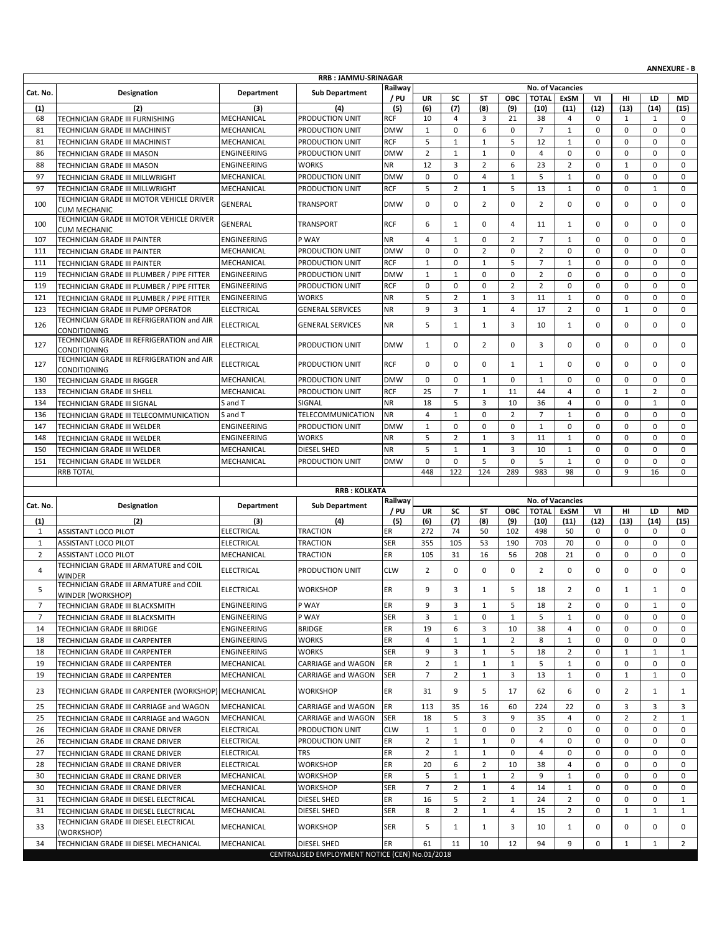|                |                                                                                          |                            |                           |            |                |                |                |                |                                  |                     |             |                     |                | <b>ANNEXURE - B</b>         |
|----------------|------------------------------------------------------------------------------------------|----------------------------|---------------------------|------------|----------------|----------------|----------------|----------------|----------------------------------|---------------------|-------------|---------------------|----------------|-----------------------------|
|                |                                                                                          |                            | RRB: JAMMU-SRINAGAR       | Railway    |                |                |                |                |                                  |                     |             |                     |                |                             |
| Cat. No.       | Designation                                                                              | Department                 | <b>Sub Department</b>     | / PU       | UR             | SC             | ST             | <b>OBC</b>     | No. of Vacancies<br><b>TOTAL</b> | <b>ExSM</b>         | VI          | нг                  | LD             | MD                          |
| (1)            | (2)                                                                                      | (3)                        | (4)                       | (5)        | (6)            | (7)            | (8)            | (9)            | (10)                             | (11)                | (12)        | (13)                | (14)           | (15)                        |
| 68             | TECHNICIAN GRADE III FURNISHING                                                          | MECHANICAL                 | PRODUCTION UNIT           | <b>RCF</b> | 10             | 4              | 3              | 21             | 38                               | $\overline{4}$      | 0           | $\mathbf{1}$        | 1              | 0                           |
| 81             | TECHNICIAN GRADE III MACHINIST                                                           | MECHANICAL                 | PRODUCTION UNIT           | <b>DMW</b> | $\mathbf{1}$   | $\mathbf 0$    | 6              | 0              | $\overline{7}$                   | $\mathbf{1}$        | 0           | 0                   | $\mathbf 0$    | $\mathbf 0$                 |
| 81             | TECHNICIAN GRADE III MACHINIST                                                           | MECHANICAL                 | PRODUCTION UNIT           | <b>RCF</b> | 5              | $\mathbf 1$    | $\mathbf{1}$   | 5              | 12                               | $\mathbf{1}$        | $\mathbf 0$ | 0                   | $\mathbf 0$    | $\mathbf 0$                 |
| 86             | TECHNICIAN GRADE III MASON                                                               | ENGINEERING                | PRODUCTION UNIT           | <b>DMW</b> | $\overline{2}$ | $\mathbf{1}$   | $\mathbf{1}$   | 0              | 4                                | 0                   | 0           | 0                   | $\mathbf 0$    | 0                           |
| 88             | TECHNICIAN GRADE III MASON                                                               | <b>ENGINEERING</b>         | <b>WORKS</b>              | <b>NR</b>  | 12             | 3              | $\overline{2}$ | 6              | 23                               | $\overline{2}$      | $\mathbf 0$ | $\mathbf 1$         | $\mathbf 0$    | $\mathbf 0$                 |
| 97             | TECHNICIAN GRADE III MILLWRIGHT                                                          | MECHANICAL                 | PRODUCTION UNIT           | <b>DMW</b> | 0              | 0              | 4              | $\mathbf{1}$   | 5                                | $\mathbf{1}$        | $\mathbf 0$ | 0                   | $\mathbf 0$    | $\mathbf 0$                 |
| 97             | TECHNICIAN GRADE III MILLWRIGHT                                                          | MECHANICAL                 | PRODUCTION UNIT           | <b>RCF</b> | 5              | $\overline{2}$ | $\mathbf{1}$   | 5              | 13                               | $\mathbf{1}$        | 0           | 0                   | $\mathbf{1}$   | $\mathbf 0$                 |
| 100            | TECHNICIAN GRADE III MOTOR VEHICLE DRIVER                                                | GENERAL                    | <b>TRANSPORT</b>          | <b>DMW</b> | 0              | 0              | $\overline{2}$ | 0              | $\overline{2}$                   | 0                   | 0           | 0                   | $\mathbf 0$    | 0                           |
|                | <b>CUM MECHANIC</b>                                                                      |                            |                           |            |                |                |                |                |                                  |                     |             |                     |                |                             |
| 100            | TECHNICIAN GRADE III MOTOR VEHICLE DRIVER                                                | GENERAL                    | <b>TRANSPORT</b>          | <b>RCF</b> | 6              | $\mathbf{1}$   | 0              | 4              | 11                               | 1                   | $\Omega$    | 0                   | $\mathbf 0$    | $\mathbf 0$                 |
| 107            | <b>CUM MECHANIC</b>                                                                      | ENGINEERING                | P WAY                     | <b>NR</b>  | $\overline{4}$ | $\mathbf{1}$   | $\mathbf 0$    | $\overline{2}$ | $\overline{7}$                   | $\mathbf{1}$        | $\mathbf 0$ | 0                   | $\mathbf 0$    | $\mathbf 0$                 |
| 111            | TECHNICIAN GRADE III PAINTER<br>TECHNICIAN GRADE III PAINTER                             | MECHANICAL                 | PRODUCTION UNIT           | <b>DMW</b> | 0              | $\mathbf 0$    | $\overline{2}$ | $\mathbf 0$    | $\overline{2}$                   | $\mathbf 0$         | $\mathbf 0$ | 0                   | $\mathbf 0$    | $\mathbf 0$                 |
| 111            |                                                                                          |                            | PRODUCTION UNIT           | <b>RCF</b> | $\mathbf{1}$   | 0              | $\mathbf{1}$   | 5              | $\overline{7}$                   | $\mathbf{1}$        | 0           | 0                   | $\mathbf 0$    | $\mathbf 0$                 |
| 119            | TECHNICIAN GRADE III PAINTER                                                             | MECHANICAL                 | PRODUCTION UNIT           | <b>DMW</b> | $\mathbf{1}$   | $\mathbf{1}$   | $\mathbf 0$    | $\mathbf 0$    | $\overline{2}$                   | $\mathbf 0$         | $\mathbf 0$ | 0                   | $\mathbf 0$    | $\mathbf 0$                 |
| 119            | TECHNICIAN GRADE III PLUMBER / PIPE FITTER                                               | ENGINEERING<br>ENGINEERING | PRODUCTION UNIT           | <b>RCF</b> | 0              | $\mathbf 0$    | 0              | $\overline{2}$ | $\overline{2}$                   | 0                   | $\mathbf 0$ | 0                   | $\mathbf 0$    | 0                           |
| 121            | TECHNICIAN GRADE III PLUMBER / PIPE FITTER<br>TECHNICIAN GRADE III PLUMBER / PIPE FITTER | ENGINEERING                | WORKS                     | <b>NR</b>  | 5              | $\overline{2}$ | $\mathbf{1}$   | 3              | 11                               | $\mathbf{1}$        | $\mathbf 0$ | 0                   | $\mathbf 0$    | $\mathbf 0$                 |
| 123            | TECHNICIAN GRADE III PUMP OPERATOR                                                       | <b>ELECTRICAL</b>          | <b>GENERAL SERVICES</b>   | <b>NR</b>  | 9              | 3              | $\mathbf{1}$   | $\overline{4}$ | 17                               | $\overline{2}$      | $\mathbf 0$ | $\mathbf{1}$        | $\mathbf 0$    | $\mathbf 0$                 |
|                | TECHNICIAN GRADE III REFRIGERATION and AIR                                               |                            |                           |            |                |                |                |                |                                  |                     |             |                     |                |                             |
| 126            | CONDITIONING                                                                             | ELECTRICAL                 | <b>GENERAL SERVICES</b>   | <b>NR</b>  | 5              | $\mathbf{1}$   | $\mathbf{1}$   | 3              | 10                               | 1                   | $\mathbf 0$ | 0                   | $\mathbf 0$    | 0                           |
|                | TECHNICIAN GRADE III REFRIGERATION and AIR                                               |                            |                           |            |                |                |                | 0              |                                  | 0                   | $\mathbf 0$ | 0                   | $\mathbf 0$    |                             |
| 127            | CONDITIONING                                                                             | <b>ELECTRICAL</b>          | PRODUCTION UNIT           | <b>DMW</b> | $\mathbf{1}$   | 0              | 2              |                | 3                                |                     |             |                     |                | 0                           |
| 127            | TECHNICIAN GRADE III REFRIGERATION and AIR                                               | <b>ELECTRICAL</b>          | PRODUCTION UNIT           | <b>RCF</b> | 0              | 0              | 0              | 1              | 1                                | 0                   | $\mathbf 0$ | 0                   | $\mathbf 0$    | 0                           |
| 130            | CONDITIONING<br>TECHNICIAN GRADE III RIGGER                                              | MECHANICAL                 | PRODUCTION UNIT           | <b>DMW</b> | 0              | 0              | $\mathbf{1}$   | $\mathbf{0}$   | $\mathbf{1}$                     | 0                   | $\mathbf 0$ | 0                   | $\mathbf 0$    | 0                           |
| 133            | <b>TECHNICIAN GRADE III SHELL</b>                                                        | MECHANICAL                 | PRODUCTION UNIT           | <b>RCF</b> | 25             | $\overline{7}$ | $\mathbf{1}$   | 11             | 44                               | 4                   | $\mathbf 0$ | $\mathbf{1}$        | $\overline{2}$ | $\mathbf 0$                 |
| 134            | TECHNICIAN GRADE III SIGNAL                                                              | S and T                    | SIGNAL                    | <b>NR</b>  | 18             | 5              | 3              | 10             | 36                               | 4                   | $\mathbf 0$ | 0                   | $\mathbf{1}$   | $\mathbf 0$                 |
| 136            | TECHNICIAN GRADE III TELECOMMUNICATION                                                   | S and T                    | TELECOMMUNICATION         | <b>NR</b>  | $\overline{4}$ | $\mathbf{1}$   | $\mathbf 0$    | $\overline{2}$ | $\overline{7}$                   | $\mathbf{1}$        | $\mathbf 0$ | 0                   | $\mathbf 0$    | $\mathbf 0$                 |
| 147            | TECHNICIAN GRADE III WELDER                                                              | ENGINEERING                | PRODUCTION UNIT           | <b>DMW</b> | $\mathbf{1}$   | 0              | $\mathbf 0$    | $\mathbf 0$    | $\mathbf{1}$                     | 0                   | $\mathbf 0$ | 0                   | $\mathbf 0$    | $\mathbf 0$                 |
| 148            | TECHNICIAN GRADE III WELDER                                                              | ENGINEERING                | <b>WORKS</b>              | <b>NR</b>  | 5              | $\overline{2}$ | 1              | 3              | 11                               | $\mathbf{1}$        | $\mathbf 0$ | 0                   | $\mathbf 0$    | $\mathbf 0$                 |
| 150            | TECHNICIAN GRADE III WELDER                                                              | MECHANICAL                 | DIESEL SHED               | <b>NR</b>  | 5              | $\mathbf 1$    | $\mathbf{1}$   | 3              | 10                               | $\mathbf{1}$        | $\mathbf 0$ | 0                   | $\mathbf 0$    | $\mathbf 0$                 |
| 151            |                                                                                          |                            |                           | <b>DMW</b> | 0              | $\mathbf 0$    | 5              | $\mathbf 0$    | 5                                | $\mathbf{1}$        | 0           | 0                   | $\mathbf 0$    | $\mathbf 0$                 |
|                | TECHNICIAN GRADE III WELDER<br><b>RRB TOTAL</b>                                          | MECHANICAL                 | PRODUCTION UNIT           |            | 448            | 122            | 124            | 289            | 983                              | 98                  | 0           | 9                   | 16             | 0                           |
|                |                                                                                          |                            |                           |            |                |                |                |                |                                  |                     |             |                     |                |                             |
|                |                                                                                          |                            | <b>RRB: KOLKATA</b>       |            |                |                |                |                |                                  |                     |             |                     |                |                             |
| Cat. No.       | Designation                                                                              | <b>Department</b>          | <b>Sub Department</b>     | Railway    |                |                |                |                | <b>No. of Vacancies</b>          |                     |             |                     |                |                             |
| (1)            |                                                                                          |                            |                           |            |                | SC             | ST             |                |                                  |                     |             |                     |                |                             |
|                |                                                                                          |                            |                           | / PU       | UR             |                |                | ОВС            | <b>TOTAL</b>                     | ExSM                | VI          | нı                  | LD             | MD                          |
|                | (2)                                                                                      | (3)                        | (4)                       | (5)        | (6)            | (7)            | (8)            | (9)            | (10)                             | (11)                | (12)        | (13)                | (14)           | (15)                        |
| $\mathbf{1}$   | <b>ASSISTANT LOCO PILOT</b>                                                              | ELECTRICAL                 | <b>TRACTION</b>           | ER         | 272            | 74             | 50             | 102            | 498                              | 50                  | 0           | 0                   | $\mathbf 0$    | $\mathbf 0$                 |
| $\mathbf{1}$   | ASSISTANT LOCO PILOT                                                                     | <b>ELECTRICAL</b>          | TRACTION                  | <b>SER</b> | 355            | 105            | 53             | 190            | 703                              | 70                  | $\mathbf 0$ | 0                   | $\mathbf 0$    | 0                           |
| $\overline{2}$ | <b>ASSISTANT LOCO PILOT</b>                                                              | MECHANICAL                 | <b>TRACTION</b>           | ER         | 105            | 31             | 16             | 56             | 208                              | 21                  | $\mathbf 0$ | 0                   | $\mathbf 0$    | $\mathbf 0$                 |
| $\overline{4}$ | TECHNICIAN GRADE III ARMATURE and COIL<br><b>WINDER</b>                                  | <b>ELECTRICAL</b>          | PRODUCTION UNIT           | <b>CLW</b> | $\overline{2}$ | $\mathbf 0$    | 0              | 0              | $\overline{2}$                   | 0                   | 0           | 0                   | $\mathbf 0$    | $\mathbf 0$                 |
|                | TECHNICIAN GRADE III ARMATURE and COIL                                                   |                            |                           |            |                |                |                |                |                                  |                     |             |                     |                |                             |
| 5              | WINDER (WORKSHOP)                                                                        | ELECTRICAL                 | WORKSHOP                  | ER         | 9              | 3              | $\mathbf{1}$   | 5              | 18                               | $\overline{2}$      | $\Omega$    | $\mathbf{1}$        | $\mathbf{1}$   | $\Omega$                    |
| $\overline{7}$ | TECHNICIAN GRADE III BLACKSMITH                                                          | ENGINEERING                | P WAY                     | ER         | 9              | 3              | 1              | 5              | 18                               | $\overline{2}$      | 0           | 0                   | 1              | 0                           |
| $\overline{7}$ | TECHNICIAN GRADE III BLACKSMITH                                                          | ENGINEERING                | P WAY                     | <b>SER</b> | 3              | $\mathbf{1}$   | 0              | $\mathbf{1}$   | 5                                | $\mathbf{1}$        | 0           | 0                   | 0              | $\mathbf 0$                 |
| 14             | TECHNICIAN GRADE III BRIDGE                                                              | ENGINEERING                | <b>BRIDGE</b>             | ER         | 19             | 6              | 3              | 10             | 38                               | 4                   | 0           | 0                   | 0              | 0                           |
| 18             | TECHNICIAN GRADE III CARPENTER                                                           | ENGINEERING                | <b>WORKS</b>              | ER         | $\overline{4}$ | $\mathbf{1}$   | $\mathbf{1}$   | $\overline{2}$ | 8                                | $\mathbf{1}$        | 0           | 0                   | 0              | 0                           |
| 18             | TECHNICIAN GRADE III CARPENTER                                                           | ENGINEERING                | <b>WORKS</b>              | <b>SER</b> | 9              | 3              | $\mathbf{1}$   | 5              | 18                               | $\overline{2}$      | 0           | $\mathbf{1}$        | $\mathbf{1}$   | 1                           |
| 19             | TECHNICIAN GRADE III CARPENTER                                                           | MECHANICAL                 | CARRIAGE and WAGON        | ER         | $\overline{2}$ | $\mathbf{1}$   | $\mathbf{1}$   | $\mathbf{1}$   | 5                                | $\mathbf{1}$        | 0           | 0                   | $\mathbf 0$    | $\mathbf 0$                 |
| 19             | TECHNICIAN GRADE III CARPENTER                                                           | MECHANICAL                 | <b>CARRIAGE and WAGON</b> | <b>SER</b> | $\overline{7}$ | $\overline{2}$ | 1              | 3              | 13                               | 1                   | 0           | $\mathbf{1}$        | 1              | 0                           |
| 23             | TECHNICIAN GRADE III CARPENTER (WORKSHOP) MECHANICAL                                     |                            | <b>WORKSHOP</b>           | ER         | 31             | 9              | 5              | 17             | 62                               | 6                   | $\mathbf 0$ | $\overline{2}$      | 1              | 1                           |
|                |                                                                                          | MECHANICAL                 | <b>CARRIAGE and WAGON</b> |            |                |                |                |                |                                  |                     |             |                     |                |                             |
| 25             | TECHNICIAN GRADE III CARRIAGE and WAGON                                                  |                            |                           | ER         | 113            | 35             | 16             | 60             | 224                              | 22                  | 0           | 3                   | 3              | 3                           |
| 25             | TECHNICIAN GRADE III CARRIAGE and WAGON                                                  | MECHANICAL                 | CARRIAGE and WAGON        | <b>SER</b> | 18             | 5              | 3              | 9<br>0         | 35                               | $\overline{4}$<br>0 | 0           | $\overline{2}$<br>0 | $\overline{2}$ | $\mathbf{1}$<br>$\mathbf 0$ |
| 26             | TECHNICIAN GRADE III CRANE DRIVER                                                        | <b>ELECTRICAL</b>          | PRODUCTION UNIT           | <b>CLW</b> | $\mathbf{1}$   | $\mathbf{1}$   | 0              |                | $\overline{2}$                   |                     | 0           |                     | 0              |                             |
| 26             | TECHNICIAN GRADE III CRANE DRIVER                                                        | <b>ELECTRICAL</b>          | PRODUCTION UNIT           | ER         | $\overline{2}$ | $\mathbf{1}$   | 1              | $\mathbf 0$    | 4                                | $\mathbf 0$         | $\mathbf 0$ | 0                   | $\mathbf 0$    | 0                           |
| 27             | TECHNICIAN GRADE III CRANE DRIVER                                                        | <b>ELECTRICAL</b>          | <b>TRS</b>                | ER         | $\overline{2}$ | $\mathbf{1}$   | 1              | 0              | 4                                | 0                   | 0           | 0                   | 0              | 0                           |
| 28             | TECHNICIAN GRADE III CRANE DRIVER                                                        | ELECTRICAL                 | <b>WORKSHOP</b>           | ER         | 20             | 6              | $\overline{2}$ | 10             | 38                               | 4                   | 0           | 0                   | 0              | $\mathbf 0$                 |
| 30             | TECHNICIAN GRADE III CRANE DRIVER                                                        | MECHANICAL                 | WORKSHOP                  | ER         | 5              | $\mathbf{1}$   | 1              | $\overline{2}$ | 9                                | $\mathbf{1}$        | 0           | 0                   | 0              | 0                           |
| 30             | TECHNICIAN GRADE III CRANE DRIVER                                                        | MECHANICAL                 | WORKSHOP                  | <b>SER</b> | $\overline{7}$ | $\overline{2}$ | $\mathbf{1}$   | $\overline{4}$ | 14                               | $\mathbf{1}$        | 0           | 0                   | $\mathbf 0$    | $\mathbf 0$                 |
| 31             | TECHNICIAN GRADE III DIESEL ELECTRICAL                                                   | MECHANICAL                 | DIESEL SHED               | ER         | 16             | 5              | 2              | 1              | 24                               | 2                   | 0           | 0                   | 0              | 1                           |
| 31             | TECHNICIAN GRADE III DIESEL ELECTRICAL                                                   | MECHANICAL                 | DIESEL SHED               | <b>SER</b> | 8              | $\overline{2}$ | $\mathbf{1}$   | 4              | 15                               | $\overline{2}$      | 0           | $\mathbf{1}$        | $\mathbf{1}$   | $\mathbf{1}$                |
| 33             | TECHNICIAN GRADE III DIESEL ELECTRICAL                                                   | MECHANICAL                 | <b>WORKSHOP</b>           | <b>SER</b> | 5              | $\mathbf{1}$   | 1              | 3              | 10                               | 1                   | 0           | 0                   | 0              | 0                           |
| 34             | (WORKSHOP)<br>TECHNICIAN GRADE III DIESEL MECHANICAL                                     | MECHANICAL                 | DIESEL SHED               | ER         | 61             | 11             | 10             | 12             | 94                               | 9                   | 0           | $\mathbf{1}$        | $\mathbf{1}$   | $\overline{2}$              |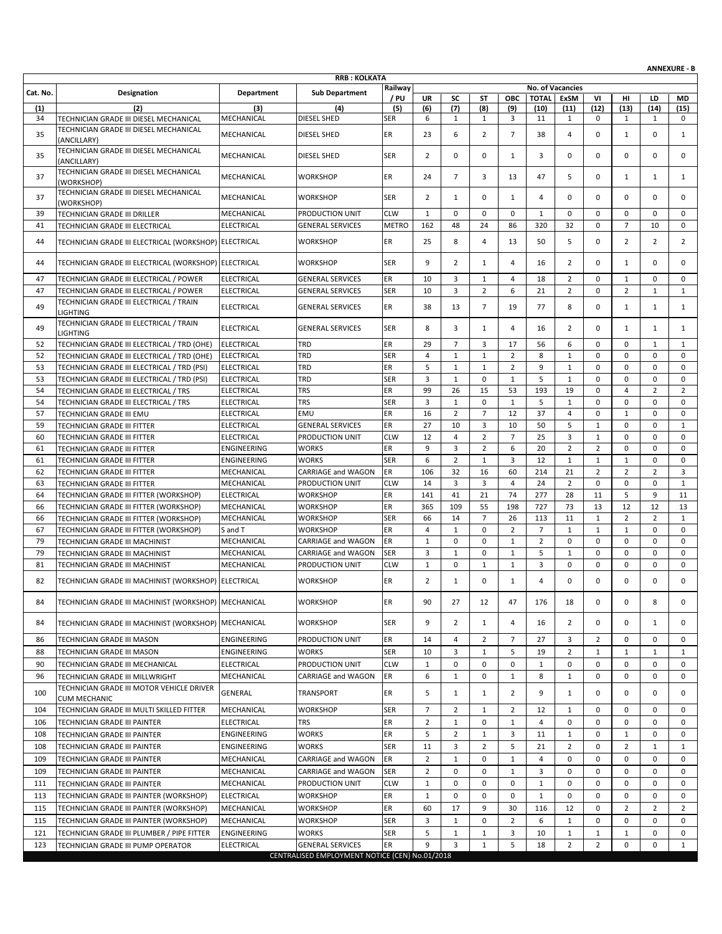|          |                                                                  |                          |                                                |                  |                |                      |                    |                |                |                         |                                |                                |                               | <b>ANNEXURE - B</b> |
|----------|------------------------------------------------------------------|--------------------------|------------------------------------------------|------------------|----------------|----------------------|--------------------|----------------|----------------|-------------------------|--------------------------------|--------------------------------|-------------------------------|---------------------|
|          |                                                                  |                          | <b>RRB: KOLKATA</b>                            | Railway          |                |                      |                    |                |                | <b>No. of Vacancies</b> |                                |                                |                               |                     |
| Cat. No. | Designation                                                      | Department               | <b>Sub Department</b>                          | / PU             | <b>UR</b>      | SC                   | ST                 | <b>OBC</b>     | <b>TOTAL</b>   | <b>ExSM</b>             | VI                             | HI                             | LD                            | MD                  |
| (1)      | (2)                                                              | (3)                      | (4)                                            | (5)              | (6)            | (7)                  | (8)                | (9)            | (10)           | (11)                    | (12)                           | (13)                           | (14)                          | (15)                |
| 34       | TECHNICIAN GRADE III DIESEL MECHANICAL                           | MECHANICAL               | DIESEL SHED                                    | <b>SER</b>       | 6              | $\mathbf{1}$         | $\mathbf{1}$       | 3              | 11             | $\mathbf{1}$            | 0                              | 1                              | 1                             | $\mathbf 0$         |
| 35       | TECHNICIAN GRADE III DIESEL MECHANICAL<br>(ANCILLARY)            | MECHANICAL               | <b>DIESEL SHED</b>                             | ER               | 23             | 6                    | $\overline{2}$     | $\overline{7}$ | 38             | 4                       | 0                              | $\mathbf{1}$                   | $\mathbf 0$                   | $\mathbf{1}$        |
| 35       | TECHNICIAN GRADE III DIESEL MECHANICAL<br>(ANCILLARY)            | MECHANICAL               | DIESEL SHED                                    | <b>SER</b>       | 2              | 0                    | 0                  | $\mathbf{1}$   | 3              | 0                       | 0                              | 0                              | $\mathbf 0$                   | 0                   |
| 37       | TECHNICIAN GRADE III DIESEL MECHANICAL<br>(WORKSHOP)             | MECHANICAL               | <b>WORKSHOP</b>                                | ER               | 24             | $\overline{7}$       | 3                  | 13             | 47             | 5                       | 0                              | $\mathbf{1}$                   | 1                             | $\mathbf{1}$        |
| 37       | TECHNICIAN GRADE III DIESEL MECHANICAL<br>(WORKSHOP)             | MECHANICAL               | <b>WORKSHOP</b>                                | <b>SER</b>       | $\overline{2}$ | $\mathbf{1}$         | 0                  | 1              | 4              | $\Omega$                | $\Omega$                       | 0                              | $\mathbf 0$                   | $\mathbf 0$         |
| 39       | TECHNICIAN GRADE III DRILLER                                     | MECHANICAL               | PRODUCTION UNIT                                | <b>CLW</b>       | $\mathbf{1}$   | 0                    | $\mathbf 0$        | $\mathbf 0$    | $\mathbf{1}$   | $\mathbf 0$             | 0                              | 0                              | $\mathbf 0$                   | 0                   |
| 41       | TECHNICIAN GRADE III ELECTRICAL                                  | <b>ELECTRICAL</b>        | <b>GENERAL SERVICES</b>                        | <b>METRO</b>     | 162            | 48                   | 24                 | 86             | 320            | 32                      | $\mathbf 0$                    | $\overline{7}$                 | 10                            | $\mathbf 0$         |
| 44       | TECHNICIAN GRADE III ELECTRICAL (WORKSHOP) ELECTRICAL            |                          | <b>WORKSHOP</b>                                | ER               | 25             | 8                    | 4                  | 13             | 50             | 5                       | 0                              | $\overline{2}$                 | $\overline{2}$                | $\overline{2}$      |
| 44       | TECHNICIAN GRADE III ELECTRICAL (WORKSHOP) ELECTRICAL            |                          | <b>WORKSHOP</b>                                | <b>SER</b>       | 9              | $\overline{2}$       | 1                  | 4              | 16             | $\overline{2}$          | 0                              | $\mathbf{1}$                   | 0                             | $\mathbf 0$         |
| 47       | TECHNICIAN GRADE III ELECTRICAL / POWER                          | <b>ELECTRICAL</b>        | <b>GENERAL SERVICES</b>                        | ER               | 10             | 3                    | $\mathbf{1}$       | 4              | 18             | $\overline{2}$          | 0                              | 1                              | $\mathbf 0$                   | 0                   |
| 47       | TECHNICIAN GRADE III ELECTRICAL / POWER                          | <b>ELECTRICAL</b>        | <b>GENERAL SERVICES</b>                        | <b>SER</b>       | 10             | 3                    | $\overline{2}$     | 6              | 21             | $\overline{2}$          | 0                              | $\overline{2}$                 | $\mathbf{1}$                  | $\mathbf{1}$        |
| 49       | TECHNICIAN GRADE III ELECTRICAL / TRAIN<br><b>LIGHTING</b>       | <b>ELECTRICAL</b>        | <b>GENERAL SERVICES</b>                        | ER               | 38             | 13                   | $\overline{7}$     | 19             | 77             | 8                       | 0                              | $\mathbf{1}$                   | 1                             | $\mathbf{1}$        |
| 49       | TECHNICIAN GRADE III ELECTRICAL / TRAIN<br><b>LIGHTING</b>       | <b>ELECTRICAL</b>        | <b>GENERAL SERVICES</b>                        | <b>SER</b>       | 8              | 3                    | $\mathbf{1}$       | 4              | 16             | $\overline{2}$          | 0                              | $\mathbf{1}$                   | 1                             | $\mathbf{1}$        |
| 52       | TECHNICIAN GRADE III ELECTRICAL / TRD (OHE)                      | <b>ELECTRICAL</b>        | <b>TRD</b>                                     | ER               | 29             | $\overline{7}$       | 3                  | 17             | 56             | 6                       | 0                              | 0                              | 1                             | $\mathbf{1}$        |
| 52       | TECHNICIAN GRADE III ELECTRICAL / TRD (OHE)                      | <b>ELECTRICAL</b>        | <b>TRD</b>                                     | <b>SER</b>       | $\overline{4}$ | $\mathbf{1}$         | $\mathbf{1}$       | $\overline{2}$ | 8              | $\mathbf{1}$            | 0                              | 0                              | $\mathbf 0$                   | $\mathbf 0$         |
| 53       | TECHNICIAN GRADE III ELECTRICAL / TRD (PSI)                      | <b>ELECTRICAL</b>        | <b>TRD</b>                                     | ER               | 5              | 1                    | 1                  | 2              | 9              | 1                       | 0                              | 0                              | $\mathbf 0$                   | $\mathbf 0$         |
| 53       | TECHNICIAN GRADE III ELECTRICAL / TRD (PSI)                      | <b>ELECTRICAL</b>        | <b>TRD</b>                                     | <b>SER</b>       | 3              | $\mathbf 1$          | $\mathbf 0$        | $1\,$          | 5              | $\mathbf{1}$            | 0                              | 0                              | $\mathbf 0$                   | $\mathbf 0$         |
| 54       | TECHNICIAN GRADE III ELECTRICAL / TRS                            | <b>ELECTRICAL</b>        | <b>TRS</b>                                     | ER               | 99             | 26                   | 15                 | 53             | 193            | 19                      | 0                              | 4                              | $\overline{2}$                | $\overline{2}$      |
| 54       | TECHNICIAN GRADE III ELECTRICAL / TRS                            | <b>ELECTRICAL</b>        | <b>TRS</b>                                     | <b>SER</b>       | 3              | $\mathbf{1}$         | $\mathbf 0$        | $\mathbf{1}$   | 5              | $\mathbf{1}$            | $\mathbf 0$                    | 0                              | $\mathbf 0$                   | $\mathbf 0$         |
| 57       | TECHNICIAN GRADE III EMU                                         | <b>ELECTRICAL</b>        | EMU                                            | ER               | 16             | $\overline{2}$       | $\overline{7}$     | 12             | 37             | $\overline{4}$          | $\mathbf 0$                    | $\mathbf 1$                    | $\mathbf 0$                   | 0                   |
| 59       | TECHNICIAN GRADE III FITTER                                      | <b>ELECTRICAL</b>        | <b>GENERAL SERVICES</b>                        | ER               | 27             | 10                   | 3                  | 10             | 50             | 5                       | $\mathbf{1}$                   | 0                              | $\mathbf 0$                   | $\mathbf{1}$        |
| 60       | TECHNICIAN GRADE III FITTER                                      | <b>ELECTRICAL</b>        | PRODUCTION UNIT                                | <b>CLW</b>       | 12             | $\overline{4}$       | $\overline{2}$     | $\overline{7}$ | 25             | 3                       | $\mathbf{1}$                   | 0                              | $\mathbf 0$                   | $\mathbf 0$         |
| 61       | TECHNICIAN GRADE III FITTER                                      | ENGINEERING              | <b>WORKS</b>                                   | ER               | 9              | 3                    | $\overline{2}$     | 6              | 20             | $\overline{2}$          | 2                              | 0                              | $\mathbf 0$                   | $\mathbf 0$         |
| 61       | TECHNICIAN GRADE III FITTER                                      | ENGINEERING              | <b>WORKS</b>                                   | <b>SER</b>       | 6<br>106       | $\overline{2}$<br>32 | $\mathbf{1}$<br>16 | 3<br>60        | 12<br>214      | $\mathbf{1}$            | $\mathbf{1}$<br>$\overline{2}$ | $\mathbf{1}$<br>$\overline{2}$ | $\mathbf 0$<br>$\overline{2}$ | $\mathbf 0$         |
| 62<br>63 | TECHNICIAN GRADE III FITTER<br>TECHNICIAN GRADE III FITTER       | MECHANICAL<br>MECHANICAL | CARRIAGE and WAGON<br>PRODUCTION UNIT          | ER<br><b>CLW</b> | 14             | 3                    | 3                  | $\overline{4}$ | 24             | 21<br>$\overline{2}$    | $\mathbf 0$                    | 0                              | $\mathbf 0$                   | 3<br>1              |
| 64       | TECHNICIAN GRADE III FITTER (WORKSHOP)                           | <b>ELECTRICAL</b>        | <b>WORKSHOP</b>                                | ER               | 141            | 41                   | 21                 | 74             | 277            | 28                      | 11                             | 5                              | 9                             | 11                  |
| 66       | TECHNICIAN GRADE III FITTER (WORKSHOP)                           | MECHANICAL               | <b>WORKSHOP</b>                                | ER               | 365            | 109                  | 55                 | 198            | 727            | 73                      | 13                             | 12                             | 12                            | 13                  |
| 66       | TECHNICIAN GRADE III FITTER (WORKSHOP)                           | MECHANICAL               | <b>WORKSHOP</b>                                | <b>SER</b>       | 66             | 14                   | $\overline{7}$     | 26             | 113            | 11                      | $\mathbf{1}$                   | $\overline{2}$                 | $\overline{2}$                | $\mathbf{1}$        |
| 67       | TECHNICIAN GRADE III FITTER (WORKSHOP)                           | S and T                  | <b>WORKSHOP</b>                                | ER               | 4              | $\mathbf{1}$         | $\mathbf 0$        | $\overline{2}$ | $\overline{7}$ | $\mathbf{1}$            | $\mathbf{1}$                   | $\mathbf{1}$                   | $\mathbf 0$                   | $\mathbf 0$         |
| 79       | TECHNICIAN GRADE III MACHINIST                                   | MECHANICAL               | <b>CARRIAGE and WAGON</b>                      | ER               | $\mathbf{1}$   | 0                    | 0                  | $\mathbf{1}$   | $\overline{2}$ | $\mathbf 0$             | $\mathbf 0$                    | 0                              | $\mathbf 0$                   | $\mathbf 0$         |
| 79       | TECHNICIAN GRADE III MACHINIST                                   | MECHANICAL               | CARRIAGE and WAGON                             | <b>SER</b>       | 3              | $\mathbf{1}$         | 0                  | $\mathbf{1}$   | 5              | $\mathbf{1}$            | 0                              | 0                              | $\mathbf 0$                   | 0                   |
| 81       | TECHNICIAN GRADE III MACHINIST                                   | MECHANICAL               | PRODUCTION UNIT                                | <b>CLW</b>       | $\mathbf{1}$   | 0                    | $\mathbf{1}$       | $\mathbf{1}$   | 3              | $\mathbf 0$             | 0                              | 0                              | $\mathbf 0$                   | $\mathbf 0$         |
| 82       | TECHNICIAN GRADE III MACHINIST (WORKSHOP) ELECTRICAL             |                          | <b>WORKSHOP</b>                                | ER               | $\overline{2}$ | $\mathbf{1}$         | 0                  | $\mathbf{1}$   | 4              | 0                       | 0                              | 0                              | $\mathbf 0$                   | 0                   |
| 84       | TECHNICIAN GRADE III MACHINIST (WORKSHOP) MECHANICAL             |                          | <b>WORKSHOP</b>                                | ER               | 90             | 27                   | 12                 | 47             | 176            | 18                      | 0                              | 0                              | 8                             | 0                   |
| 84       | TECHNICIAN GRADE III MACHINIST (WORKSHOP) MECHANICAL             |                          | <b>WORKSHOP</b>                                | <b>SER</b>       | 9              | $\overline{2}$       | $\mathbf{1}$       | 4              | 16             | 2                       | 0                              | 0                              | 1                             | 0                   |
| 86       | TECHNICIAN GRADE III MASON                                       | ENGINEERING              | PRODUCTION UNIT                                | ER               | 14             | 4                    | 2                  | $\overline{7}$ | 27             | 3                       | 2                              | 0                              | 0                             | 0                   |
| 88       | TECHNICIAN GRADE III MASON                                       | ENGINEERING              | <b>WORKS</b>                                   | <b>SER</b>       | 10             | 3                    | $\mathbf{1}$       | 5              | 19             | 2                       | $\mathbf{1}$                   | $\mathbf{1}$                   | $\mathbf{1}$                  | 1                   |
| 90       | TECHNICIAN GRADE III MECHANICAL                                  | <b>ELECTRICAL</b>        | PRODUCTION UNIT                                | <b>CLW</b>       | $\mathbf{1}$   | 0                    | $\mathbf 0$        | 0              | 1              | 0                       | 0                              | 0                              | 0                             | $\mathbf 0$         |
| 96       | TECHNICIAN GRADE III MILLWRIGHT                                  | MECHANICAL               | CARRIAGE and WAGON                             | ER               | 6              | $\mathbf{1}$         | 0                  | $\mathbf{1}$   | 8              | $\mathbf{1}$            | 0                              | 0                              | 0                             | 0                   |
| 100      | TECHNICIAN GRADE III MOTOR VEHICLE DRIVER<br><b>CUM MECHANIC</b> | GENERAL                  | <b>TRANSPORT</b>                               | ER               | 5              | $\mathbf{1}$         | 1                  | 2              | 9              | 1                       | 0                              | 0                              | 0                             | 0                   |
| 104      | TECHNICIAN GRADE III MULTI SKILLED FITTER                        | MECHANICAL               | <b>WORKSHOP</b>                                | <b>SER</b>       | $\overline{7}$ | $\overline{2}$       | $\mathbf{1}$       | $\overline{2}$ | 12             | $\mathbf{1}$            | 0                              | 0                              | 0                             | $\mathbf 0$         |
| 106      | TECHNICIAN GRADE III PAINTER                                     | <b>ELECTRICAL</b>        | <b>TRS</b>                                     | ER               | $\overline{2}$ | $\mathbf{1}$         | 0                  | $\mathbf{1}$   | 4              | 0                       | 0                              | 0                              | 0                             | $\mathbf 0$         |
| 108      | TECHNICIAN GRADE III PAINTER                                     | ENGINEERING              | <b>WORKS</b>                                   | ER               | 5              | $\overline{2}$       | 1                  | 3              | 11             | $\mathbf{1}$            | 0                              | $\mathbf{1}$                   | $\mathbf 0$                   | 0                   |
| 108      | TECHNICIAN GRADE III PAINTER                                     | ENGINEERING              | <b>WORKS</b>                                   | <b>SER</b>       | 11             | 3                    | $\overline{2}$     | 5              | 21             | $\overline{2}$          | 0                              | $\overline{2}$                 | 1                             | 1                   |
| 109      | TECHNICIAN GRADE III PAINTER                                     | MECHANICAL               | CARRIAGE and WAGON                             | ER               | $\overline{2}$ | $\mathbf{1}$         | 0                  | $\mathbf{1}$   | $\overline{4}$ | $\mathbf 0$             | 0                              | 0                              | 0                             | $\mathbf 0$         |
| 109      | TECHNICIAN GRADE III PAINTER                                     | MECHANICAL               | CARRIAGE and WAGON                             | <b>SER</b>       | 2              | 0                    | $\mathbf 0$        | 1              | 3              | 0                       | 0                              | 0                              | 0                             | 0                   |
| 111      | TECHNICIAN GRADE III PAINTER                                     | MECHANICAL               | PRODUCTION UNIT                                | <b>CLW</b>       | $\mathbf{1}$   | 0                    | 0                  | 0              | 1              | 0                       | 0                              | 0                              | 0                             | 0                   |
| 113      | TECHNICIAN GRADE III PAINTER (WORKSHOP)                          | <b>ELECTRICAL</b>        | <b>WORKSHOP</b>                                | ER               | 1              | 0                    | 0                  | 0              | 1              | 0                       | 0                              | 0                              | 0                             | 0                   |
| 115      | TECHNICIAN GRADE III PAINTER (WORKSHOP)                          | MECHANICAL               | <b>WORKSHOP</b>                                | ER               | 60             | 17                   | 9                  | 30             | 116            | 12                      | 0                              | $\overline{2}$                 | $\overline{2}$                | 2                   |
| 115      | TECHNICIAN GRADE III PAINTER (WORKSHOP)                          | MECHANICAL               | <b>WORKSHOP</b>                                | <b>SER</b>       | 3              | $\mathbf{1}$         | $\mathbf 0$        | 2              | 6              | 1                       | 0                              | 0                              | 0                             | 0                   |
| 121      | TECHNICIAN GRADE III PLUMBER / PIPE FITTER                       | ENGINEERING              | <b>WORKS</b>                                   | <b>SER</b>       | 5              | $\mathbf{1}$         | 1                  | 3              | 10             | $\mathbf{1}$            | $\mathbf{1}$                   | $\mathbf{1}$                   | 0                             | 0                   |
| 123      | TECHNICIAN GRADE III PUMP OPERATOR                               | <b>ELECTRICAL</b>        | <b>GENERAL SERVICES</b>                        | ER               | 9              | 3                    | $\mathbf{1}$       | 5              | 18             | $\overline{2}$          | $\overline{2}$                 | 0                              | 0                             | 1                   |
|          |                                                                  |                          | CENTRALISED EMPLOYMENT NOTICE (CEN) No.01/2018 |                  |                |                      |                    |                |                |                         |                                |                                |                               |                     |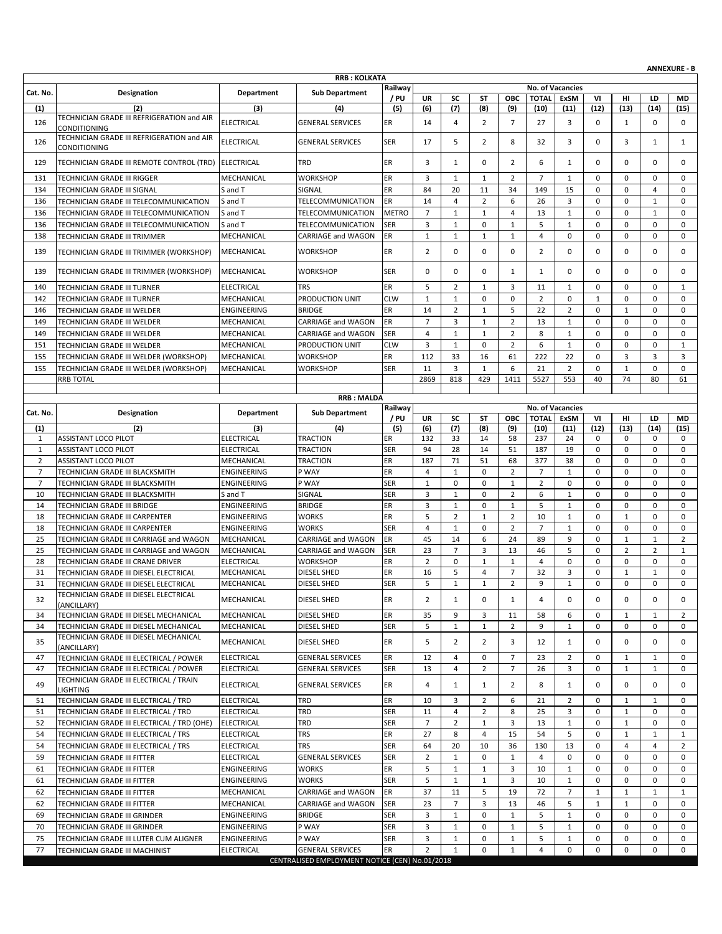|                |                                                                                  |                            |                                                |                  |                      |                                |                  |                                |                |                                 |                            |                     |                            | <b>ANNEXURE - B</b>        |
|----------------|----------------------------------------------------------------------------------|----------------------------|------------------------------------------------|------------------|----------------------|--------------------------------|------------------|--------------------------------|----------------|---------------------------------|----------------------------|---------------------|----------------------------|----------------------------|
|                |                                                                                  |                            | <b>RRB: KOLKATA</b>                            | Railway          |                      |                                |                  |                                |                | No. of Vacancies                |                            |                     |                            |                            |
| Cat. No.       | Designation                                                                      | Department                 | <b>Sub Department</b>                          | / PU             | UR                   | SC                             | ST               | ОВС                            | <b>TOTAL</b>   | <b>ExSM</b>                     | VI                         | нı                  | LD                         | MD                         |
| (1)            | (2)                                                                              | (3)                        | (4)                                            | (5)              | (6)                  | (7)                            | (8)              | (9)                            | (10)           | (11)                            | (12)                       | (13)                | (14)                       | (15)                       |
| 126            | TECHNICIAN GRADE III REFRIGERATION and AIR<br>CONDITIONING                       | ELECTRICAL                 | <b>GENERAL SERVICES</b>                        | ER               | 14                   | 4                              | $\overline{2}$   | $\overline{7}$                 | 27             | 3                               | 0                          | $\mathbf{1}$        | 0                          | 0                          |
| 126            | TECHNICIAN GRADE III REFRIGERATION and AIR<br>CONDITIONING                       | <b>ELECTRICAL</b>          | <b>GENERAL SERVICES</b>                        | <b>SER</b>       | 17                   | 5                              | $\overline{2}$   | 8                              | 32             | 3                               | 0                          | 3                   | $\mathbf{1}$               | $\mathbf{1}$               |
| 129            | TECHNICIAN GRADE III REMOTE CONTROL (TRD) ELECTRICAL                             |                            | <b>TRD</b>                                     | ER               | 3                    | $\mathbf{1}$                   | 0                | 2                              | 6              | 1                               | 0                          | 0                   | $\mathbf 0$                | 0                          |
| 131            | TECHNICIAN GRADE III RIGGER                                                      | MECHANICAL                 | <b>WORKSHOP</b>                                | ER               | 3                    | $\mathbf{1}$                   | 1                | $\overline{2}$                 | $\overline{7}$ | $\mathbf{1}$                    | 0                          | 0                   | $\mathbf 0$                | $\mathbf 0$                |
| 134            | TECHNICIAN GRADE III SIGNAL                                                      | S and T                    | SIGNAL                                         | ER               | 84                   | 20                             | 11               | 34                             | 149            | 15                              | 0                          | 0                   | $\overline{4}$             | $\mathbf 0$                |
| 136            | TECHNICIAN GRADE III TELECOMMUNICATION                                           | S and T                    | TELECOMMUNICATION                              | ER               | 14                   | $\overline{4}$                 | $\overline{2}$   | 6                              | 26             | 3                               | $\mathbf 0$                | 0                   | $\mathbf{1}$               | $\mathbf 0$                |
| 136            | TECHNICIAN GRADE III TELECOMMUNICATION                                           | S and T                    | <b>TELECOMMUNICATION</b>                       | <b>METRO</b>     | $\overline{7}$       | $\mathbf{1}$                   | $\mathbf{1}$     | $\overline{4}$                 | 13             | $\mathbf{1}$                    | 0                          | 0                   | $\mathbf{1}$               | 0                          |
| 136            | TECHNICIAN GRADE III TELECOMMUNICATION                                           | S and T                    | <b>TELECOMMUNICATION</b>                       | <b>SER</b>       | 3                    | $\mathbf{1}$                   | $\mathbf 0$      | $\mathbf{1}$                   | 5              | $\mathbf{1}$                    | $\mathbf 0$                | 0                   | $\mathbf 0$                | $\mathbf 0$                |
| 138            | TECHNICIAN GRADE III TRIMMER                                                     | MECHANICAL                 | <b>CARRIAGE and WAGON</b>                      | ER               | $\mathbf{1}$         | $\mathbf{1}$                   | $\mathbf{1}$     | $\mathbf{1}$                   | $\overline{4}$ | $\mathbf 0$                     | $\mathbf 0$                | 0                   | $\mathsf 0$                | 0                          |
| 139            | TECHNICIAN GRADE III TRIMMER (WORKSHOP)                                          | MECHANICAL                 | <b>WORKSHOP</b>                                | ER               | $\overline{2}$       | 0                              | 0                | 0                              | $\overline{2}$ | 0                               | 0                          | 0                   | $\mathbf 0$                | 0                          |
| 139            | TECHNICIAN GRADE III TRIMMER (WORKSHOP)                                          | MECHANICAL                 | <b>WORKSHOP</b>                                | <b>SER</b>       | 0                    | $\mathbf 0$                    | 0                | $\mathbf{1}$                   | 1              | 0                               | 0                          | 0                   | $\mathbf 0$                | 0                          |
| 140            | TECHNICIAN GRADE III TURNER                                                      | <b>ELECTRICAL</b>          | <b>TRS</b>                                     | ER               | 5                    | 2                              | $\mathbf{1}$     | 3                              | 11             | $\mathbf{1}$                    | 0                          | 0                   | $\mathbf 0$                | $\mathbf{1}$               |
| 142            | TECHNICIAN GRADE III TURNER                                                      | MECHANICAL                 | PRODUCTION UNIT                                | <b>CLW</b>       | $\mathbf{1}$         | $\mathbf{1}$                   | $\mathbf 0$      | $\mathbf 0$                    | $\overline{2}$ | $\mathbf 0$                     | $\mathbf{1}$               | 0                   | $\mathbf 0$                | $\mathbf 0$                |
| 146            | TECHNICIAN GRADE III WELDER                                                      | ENGINEERING                | <b>BRIDGE</b>                                  | ER               | 14                   | $\overline{2}$                 | $\mathbf{1}$     | 5                              | 22             | $\overline{2}$                  | 0                          | $\mathbf{1}$        | $\mathbf 0$                | 0                          |
| 149            | TECHNICIAN GRADE III WELDER                                                      | MECHANICAL                 | <b>CARRIAGE and WAGON</b>                      | ER               | $\overline{7}$       | 3                              | $\mathbf{1}$     | $\overline{2}$                 | 13             | $\mathbf{1}$                    | $\mathbf 0$                | 0                   | $\mathbf 0$                | $\mathbf 0$                |
| 149            | TECHNICIAN GRADE III WELDER                                                      | MECHANICAL                 | CARRIAGE and WAGON                             | <b>SER</b>       | $\overline{4}$       | $\mathbf{1}$                   | $\mathbf{1}$     | $\overline{2}$                 | 8              | $\mathbf 1$                     | $\mathbf 0$                | 0                   | $\mathbf 0$                | 0                          |
| 151<br>155     | TECHNICIAN GRADE III WELDER                                                      | MECHANICAL<br>MECHANICAL   | PRODUCTION UNIT<br><b>WORKSHOP</b>             | <b>CLW</b><br>ER | 3<br>112             | 1<br>33                        | 0<br>16          | 2<br>61                        | 6<br>222       | $\mathbf{1}$<br>22              | 0<br>$\mathbf 0$           | 0<br>3              | $\mathbf 0$<br>3           | 1<br>3                     |
| 155            | TECHNICIAN GRADE III WELDER (WORKSHOP)<br>TECHNICIAN GRADE III WELDER (WORKSHOP) | MECHANICAL                 | <b>WORKSHOP</b>                                | <b>SER</b>       | 11                   | 3                              | $\mathbf{1}$     | 6                              | 21             | $\overline{2}$                  | 0                          | $\mathbf 1$         | $\mathbf 0$                | 0                          |
|                | <b>RRB TOTAL</b>                                                                 |                            |                                                |                  | 2869                 | 818                            | 429              | 1411                           | 5527           | 553                             | 40                         | 74                  | 80                         | 61                         |
|                |                                                                                  |                            |                                                |                  |                      |                                |                  |                                |                |                                 |                            |                     |                            |                            |
|                |                                                                                  |                            | <b>RRB: MALDA</b>                              |                  |                      |                                |                  |                                |                |                                 |                            |                     |                            |                            |
| Cat. No.       | Designation                                                                      | Department                 | <b>Sub Department</b>                          | Railway<br>/ PU  | UR                   | SC                             | ST               | ОВС                            | <b>TOTAL</b>   | <b>No. of Vacancies</b><br>ExSM | VI                         | HI                  | LD                         | MD                         |
| (1)            | (2)                                                                              | (3)                        | (4)                                            | (5)              | (6)                  | (7)                            | (8)              | (9)                            | (10)           | (11)                            | (12)                       | (13)                | (14)                       | (15)                       |
| 1              | <b>ASSISTANT LOCO PILOT</b>                                                      | <b>ELECTRICAL</b>          | <b>TRACTION</b>                                | ER               | 132                  | 33                             | 14               | 58                             | 237            | 24                              | 0                          | 0                   | $\mathbf 0$                | $\mathbf 0$                |
| $\mathbf{1}$   | <b>ASSISTANT LOCO PILOT</b>                                                      | <b>ELECTRICAL</b>          | <b>TRACTION</b>                                | <b>SER</b>       | 94                   | 28                             | 14               | 51                             | 187            | 19                              | 0                          | 0                   | $\mathbf 0$                | 0                          |
| $\overline{2}$ | <b>ASSISTANT LOCO PILOT</b>                                                      | MECHANICAL                 | <b>TRACTION</b>                                | ER               | 187                  | 71                             | 51               | 68                             | 377            | 38                              | $\mathbf 0$                | 0                   | $\mathbf 0$                | $\mathbf 0$                |
| $\overline{7}$ | TECHNICIAN GRADE III BLACKSMITH                                                  | ENGINEERING                | P WAY                                          | ER               | 4                    | $\mathbf{1}$                   | $\mathbf 0$      | $\overline{2}$                 | $\overline{7}$ | $\mathbf{1}$                    | $\mathbf 0$                | 0                   | $\mathbf 0$                | $\mathbf 0$                |
| $\overline{7}$ | TECHNICIAN GRADE III BLACKSMITH                                                  | ENGINEERING                | P WAY                                          | <b>SER</b>       | $\mathbf{1}$         | 0                              | 0                | $\mathbf{1}$                   | $\overline{2}$ | 0                               | 0                          | 0                   | $\mathbf 0$                | 0                          |
| 10             | TECHNICIAN GRADE III BLACKSMITH                                                  | S and T                    | SIGNAL                                         | <b>SER</b>       | 3<br>3               | $\mathbf{1}$                   | 0<br>$\mathbf 0$ | $\overline{2}$                 | 6              | 1                               | $\mathbf 0$<br>$\mathbf 0$ | 0<br>0              | 0                          | $\mathbf 0$<br>$\mathbf 0$ |
| 14<br>18       | TECHNICIAN GRADE III BRIDGE<br>TECHNICIAN GRADE III CARPENTER                    | ENGINEERING<br>ENGINEERING | <b>BRIDGE</b><br><b>WORKS</b>                  | ER<br>ER         | 5                    | $\mathbf{1}$<br>$\overline{2}$ | $\mathbf 1$      | $\mathbf{1}$<br>$\overline{2}$ | 5<br>10        | $\mathbf{1}$<br>$\mathbf 1$     | 0                          | $\mathbf 1$         | $\mathbf 0$<br>$\mathbf 0$ | 0                          |
| 18             | TECHNICIAN GRADE III CARPENTER                                                   | ENGINEERING                | <b>WORKS</b>                                   | <b>SER</b>       | $\overline{4}$       | $\mathbf{1}$                   | 0                | $\overline{2}$                 | $\overline{7}$ | $\mathbf{1}$                    | 0                          | 0                   | $\mathbf 0$                | 0                          |
| 25             | TECHNICIAN GRADE III CARRIAGE and WAGON                                          | MECHANICAL                 | <b>CARRIAGE and WAGON</b>                      | ER               | 45                   | 14                             | 6                | 24                             | 89             | 9                               | $\mathbf 0$                | $\mathbf{1}$        | $\mathbf{1}$               | $\overline{2}$             |
| 25             | TECHNICIAN GRADE III CARRIAGE and WAGON                                          | MECHANICAL                 | <b>CARRIAGE and WAGON</b>                      | <b>SER</b>       | 23                   | $\overline{7}$                 | 3                | 13                             | 46             | 5                               | 0                          | $\overline{2}$      | $\overline{2}$             | 1                          |
| 28             | TECHNICIAN GRADE III CRANE DRIVER                                                | <b>ELECTRICAL</b>          | <b>WORKSHOP</b>                                | ER               | $\overline{2}$       | 0                              | $\mathbf{1}$     | $\mathbf{1}$                   | $\overline{4}$ | $\mathsf 0$                     | $\mathbf 0$                | 0                   | $\mathsf 0$                | $\mathbf 0$                |
| 31             | TECHNICIAN GRADE III DIESEL ELECTRICAL                                           | MECHANICAL                 | DIESEL SHED                                    | ER               | 16                   | 5                              | 4                | $\overline{7}$                 | 32             | 3                               | 0                          | $\mathbf 1$         | $\mathbf{1}$               | $\mathbf 0$                |
| 31             | TECHNICIAN GRADE III DIESEL ELECTRICAL                                           | MECHANICAL                 | DIESEL SHED                                    | <b>SER</b>       | 5                    | $\mathbf{1}$                   | $\mathbf{1}$     | $\overline{2}$                 | q              | $\mathbf{1}$                    | 0                          | 0                   | $\mathbf 0$                | 0                          |
| 32             | TECHNICIAN GRADE III DIESEL ELECTRICAL<br>(ANCILLARY)                            | MECHANICAL                 | DIESEL SHED                                    | ER               | 2                    | $\mathbf{1}$                   | 0                | 1                              | 4              | 0                               | 0                          | 0                   | $\mathbf 0$                | $\mathbf 0$                |
| 34             | TECHNICIAN GRADE III DIESEL MECHANICAL                                           | MECHANICAL                 | DIESEL SHED                                    | ER               | 35                   | 9                              | 3                | 11                             | 58             | 6                               | 0                          | $\mathbf{1}$        | 1                          | $\overline{2}$             |
| 34             | TECHNICIAN GRADE III DIESEL MECHANICAL                                           | MECHANICAL                 | DIESEL SHED                                    | <b>SER</b>       | 5                    | $\mathbf{1}$                   | $\mathbf{1}$     | 2                              | 9              | $\mathbf{1}$                    | 0                          | 0                   | $\mathbf 0$                | 0                          |
| 35             | TECHNICIAN GRADE III DIESEL MECHANICAL<br>(ANCILLARY)                            | MECHANICAL                 | DIESEL SHED                                    | ER               | 5                    | $\overline{2}$                 | $\overline{2}$   | 3                              | 12             | 1                               | 0                          | 0                   | $\mathbf 0$                | 0                          |
| 47             | TECHNICIAN GRADE III ELECTRICAL / POWER                                          | <b>ELECTRICAL</b>          | <b>GENERAL SERVICES</b>                        | ER               | 12                   | 4                              | 0                | $\overline{7}$                 | 23             | $\overline{2}$                  | 0                          | $\mathbf{1}$        | $\mathbf{1}$               | $\mathbf 0$                |
| 47             | TECHNICIAN GRADE III ELECTRICAL / POWER                                          | <b>ELECTRICAL</b>          | <b>GENERAL SERVICES</b>                        | <b>SER</b>       | 13                   | 4                              | $\overline{2}$   | $\overline{7}$                 | 26             | 3                               | 0                          | $\mathbf{1}$        | $\mathbf{1}$               | 0                          |
| 49             | TECHNICIAN GRADE III ELECTRICAL / TRAIN<br><b>LIGHTING</b>                       | ELECTRICAL                 | <b>GENERAL SERVICES</b>                        | ER               | 4                    | $\mathbf{1}$                   | $\mathbf{1}$     | 2                              | 8              | 1                               | 0                          | 0                   | $\mathbf 0$                | 0                          |
| 51             | TECHNICIAN GRADE III ELECTRICAL / TRD                                            | <b>ELECTRICAL</b>          | <b>TRD</b>                                     | ER               | 10                   | 3                              | $\overline{2}$   | 6                              | 21             | $\overline{2}$                  | 0                          | $\mathbf{1}$        | $\mathbf{1}$               | $\mathbf 0$                |
| 51             | TECHNICIAN GRADE III ELECTRICAL / TRD                                            | ELECTRICAL                 | TRD                                            | <b>SER</b>       | 11                   | 4                              | $\overline{2}$   | 8                              | 25             | 3                               | 0                          | $\mathbf{1}$        | $\mathbf 0$                | 0                          |
| 52             | TECHNICIAN GRADE III ELECTRICAL / TRD (OHE)                                      | <b>ELECTRICAL</b>          | TRD                                            | <b>SER</b>       | $\overline{7}$       | $\overline{2}$                 | $\mathbf{1}$     | 3                              | 13             | $\mathbf{1}$                    | 0                          | $\mathbf{1}$        | 0                          | $\mathbf{0}$               |
| 54             | TECHNICIAN GRADE III ELECTRICAL / TRS                                            | ELECTRICAL                 | <b>TRS</b>                                     | ER               | 27                   | 8                              | $\overline{4}$   | 15                             | 54             | 5                               | 0                          | $\mathbf{1}$        | 1                          | 1                          |
| 54             | TECHNICIAN GRADE III ELECTRICAL / TRS                                            | <b>ELECTRICAL</b>          | <b>TRS</b>                                     | <b>SER</b>       | 64<br>$\overline{2}$ | 20                             | 10               | 36                             | 130            | 13<br>0                         | $\mathbf 0$<br>0           | $\overline{4}$<br>0 | $\overline{4}$<br>0        | $\overline{2}$             |
| 59<br>61       | TECHNICIAN GRADE III FITTER                                                      | ELECTRICAL<br>ENGINEERING  | <b>GENERAL SERVICES</b><br><b>WORKS</b>        | <b>SER</b><br>ER | 5                    | $\mathbf{1}$<br>$\mathbf{1}$   | 0<br>1           | $\mathbf{1}$<br>3              | 4<br>10        | $\mathbf{1}$                    | 0                          | 0                   | $\mathbf 0$                | 0<br>$\mathbf{0}$          |
| 61             | TECHNICIAN GRADE III FITTER<br>TECHNICIAN GRADE III FITTER                       | ENGINEERING                | <b>WORKS</b>                                   | <b>SER</b>       | 5                    | $\mathbf{1}$                   | $\mathbf{1}$     | 3                              | 10             | 1                               | 0                          | 0                   | 0                          | 0                          |
| 62             | TECHNICIAN GRADE III FITTER                                                      | MECHANICAL                 | CARRIAGE and WAGON                             | ER               | 37                   | 11                             | 5                | 19                             | 72             | $\overline{7}$                  | $\mathbf{1}$               | $\mathbf{1}$        | 1                          | $\mathbf{1}$               |
| 62             | TECHNICIAN GRADE III FITTER                                                      | MECHANICAL                 | CARRIAGE and WAGON                             | <b>SER</b>       | 23                   | $\overline{7}$                 | 3                | 13                             | 46             | 5                               | 1                          | $\mathbf{1}$        | 0                          | 0                          |
| 69             | TECHNICIAN GRADE III GRINDER                                                     | ENGINEERING                | <b>BRIDGE</b>                                  | <b>SER</b>       | 3                    | $\mathbf{1}$                   | $\mathbf 0$      | $\mathbf{1}$                   | 5              | $\mathbf{1}$                    | 0                          | 0                   | $\mathbf 0$                | $\mathbf 0$                |
| 70             | TECHNICIAN GRADE III GRINDER                                                     | ENGINEERING                | P WAY                                          | <b>SER</b>       | 3                    | $\mathbf{1}$                   | $\mathbf 0$      | 1                              | 5              | $\mathbf{1}$                    | 0                          | 0                   | 0                          | 0                          |
| 75             | TECHNICIAN GRADE III LUTER CUM ALIGNER                                           | ENGINEERING                | P WAY                                          | <b>SER</b>       | 3                    | $\mathbf{1}$                   | 0                | $\mathbf{1}$                   | 5              | $\mathbf{1}$                    | 0                          | 0                   | 0                          | 0                          |
| 77             | TECHNICIAN GRADE III MACHINIST                                                   | ELECTRICAL                 | <b>GENERAL SERVICES</b>                        | ER               | $\overline{2}$       | $\mathbf{1}$                   | $\mathbf 0$      | $\mathbf{1}$                   | $\overline{4}$ | 0                               | 0                          | 0                   | 0                          | $\mathbf 0$                |
|                |                                                                                  |                            | CENTRALISED EMPLOYMENT NOTICE (CEN) No.01/2018 |                  |                      |                                |                  |                                |                |                                 |                            |                     |                            |                            |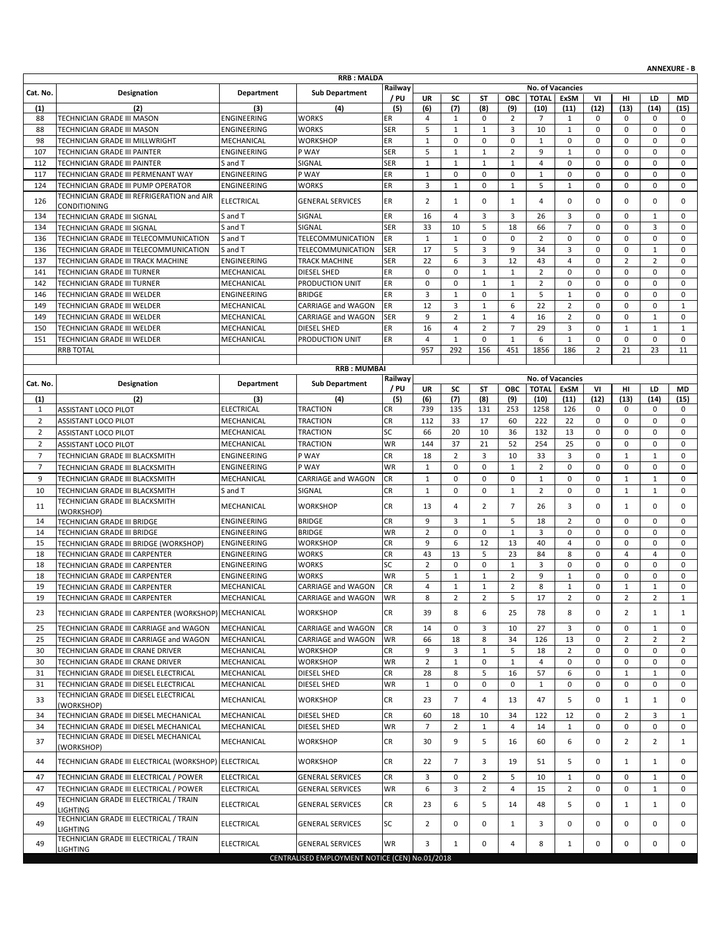|                |                                                            |                    |                                                |            |                |                |                |                |                |                         |                |                |                | <b>ANNEXURE - B</b> |
|----------------|------------------------------------------------------------|--------------------|------------------------------------------------|------------|----------------|----------------|----------------|----------------|----------------|-------------------------|----------------|----------------|----------------|---------------------|
|                |                                                            |                    | <b>RRB: MALDA</b>                              | Railway    |                |                |                |                |                | No. of Vacancies        |                |                |                |                     |
| Cat. No.       | Designation                                                | <b>Department</b>  | <b>Sub Department</b>                          | / PU       | UR             | SC             | <b>ST</b>      | ОВС            | <b>TOTAL</b>   | <b>ExSM</b>             | VI             | HI             | LD             | MD                  |
| (1)            | (2)                                                        | (3)                | (4)                                            | (5)        | (6)            | (7)            | (8)            | (9)            | (10)           | (11)                    | (12)           | (13)           | (14)           | (15)                |
| 88             | TECHNICIAN GRADE III MASON                                 | ENGINEERING        | <b>WORKS</b>                                   | ER         | 4              | $\mathbf{1}$   | $\mathbf 0$    | 2              | $\overline{7}$ | 1                       | 0              | 0              | $\mathbf 0$    | $\mathbf 0$         |
| 88             | TECHNICIAN GRADE III MASON                                 | ENGINEERING        | WORKS                                          | <b>SER</b> | 5              | $\mathbf{1}$   | $\mathbf 1$    | 3              | 10             | $\mathbf{1}$            | $\mathbf 0$    | 0              | $\mathbf 0$    | $\mathbf 0$         |
| 98             | TECHNICIAN GRADE III MILLWRIGHT                            | MECHANICAL         | <b>WORKSHOP</b>                                | ER         | $1\,$          | 0              | 0              | $\mathbf 0$    | $\mathbf{1}$   | 0                       | $\mathbf 0$    | 0              | $\mathbf 0$    | $\mathbf 0$         |
| 107            | TECHNICIAN GRADE III PAINTER                               | ENGINEERING        | P WAY                                          | <b>SER</b> | 5              | $\mathbf{1}$   | $\mathbf{1}$   | $\overline{2}$ | 9              | $\mathbf{1}$            | 0              | 0              | $\mathbf 0$    | $\mathbf 0$         |
| 112            | TECHNICIAN GRADE III PAINTER                               | S and T            | SIGNAL                                         | <b>SER</b> | $\mathbf{1}$   | $\mathbf{1}$   | $\mathbf{1}$   | $\mathbf{1}$   | 4              | 0                       | 0              | 0              | $\mathbf 0$    | $\mathbf 0$         |
| 117            | TECHNICIAN GRADE III PERMENANT WAY                         | ENGINEERING        | P WAY                                          | ER         | $\mathbf{1}$   | 0              | $\mathbf 0$    | 0              | $\mathbf{1}$   | $\mathsf 0$             | $\mathbf 0$    | 0              | 0              | 0                   |
| 124            | TECHNICIAN GRADE III PUMP OPERATOR                         | ENGINEERING        | <b>WORKS</b>                                   | <b>ER</b>  | 3              | $\mathbf{1}$   | 0              | $\mathbf{1}$   | 5              | $\mathbf{1}$            | $\mathbf 0$    | 0              | $\mathbf 0$    | $\mathbf 0$         |
| 126            | TECHNICIAN GRADE III REFRIGERATION and AIR                 | <b>ELECTRICAL</b>  | <b>GENERAL SERVICES</b>                        | ER         | $\overline{2}$ | $\mathbf{1}$   | $\mathbf 0$    | 1              | $\overline{4}$ | 0                       | $\mathbf 0$    | 0              | $\mathbf 0$    | $\mathbf 0$         |
| 134            | CONDITIONING<br>TECHNICIAN GRADE III SIGNAL                | S and T            | SIGNAL                                         | ER         | 16             | 4              | 3              | 3              | 26             | 3                       | $\mathbf 0$    | 0              | $\mathbf{1}$   | 0                   |
| 134            | TECHNICIAN GRADE III SIGNAL                                | S and T            | SIGNAL                                         | <b>SER</b> | 33             | 10             | 5              | 18             | 66             | $\overline{7}$          | $\mathbf 0$    | 0              | 3              | $\mathbf 0$         |
| 136            | TECHNICIAN GRADE III TELECOMMUNICATION                     | S and T            | TELECOMMUNICATION                              | ER         | $\mathbf{1}$   | $\mathbf{1}$   | $\mathbf 0$    | $\mathbf 0$    | $\overline{2}$ | $\mathbf 0$             | $\mathbf 0$    | 0              | $\mathbf 0$    | $\mathbf 0$         |
| 136            | TECHNICIAN GRADE III TELECOMMUNICATION                     | S and T            | TELECOMMUNICATION                              | <b>SER</b> | 17             | 5              | 3              | 9              | 34             | 3                       | $\mathbf 0$    | 0              | $\mathbf{1}$   | $\mathbf 0$         |
| 137            | TECHNICIAN GRADE III TRACK MACHINE                         | ENGINEERING        | TRACK MACHINE                                  | <b>SER</b> | 22             | 6              | 3              | 12             | 43             | 4                       | $\mathbf 0$    | $\overline{2}$ | $\overline{2}$ | $\mathbf 0$         |
| 141            | TECHNICIAN GRADE III TURNER                                | MECHANICAL         | DIESEL SHED                                    | ER         | 0              | 0              | $\mathbf{1}$   | $\mathbf{1}$   | $\overline{2}$ | $\mathbf 0$             | 0              | 0              | $\mathbf 0$    | $\mathbf 0$         |
| 142            | TECHNICIAN GRADE III TURNER                                | MECHANICAL         | PRODUCTION UNIT                                | ER         | 0              | $\mathbf 0$    | $\mathbf{1}$   | $\mathbf{1}$   | $\overline{2}$ | 0                       | 0              | 0              | $\mathbf 0$    | $\mathbf 0$         |
| 146            | TECHNICIAN GRADE III WELDER                                | ENGINEERING        | <b>BRIDGE</b>                                  | ER         | 3              | $\mathbf{1}$   | $\mathbf 0$    | $\mathbf{1}$   | 5              | $\mathbf{1}$            | $\mathbf 0$    | 0              | $\mathbf 0$    | 0                   |
| 149            | TECHNICIAN GRADE III WELDER                                | MECHANICAL         | CARRIAGE and WAGON                             | ER         | 12             | 3              | $\mathbf{1}$   | 6              | 22             | $\overline{2}$          | 0              | 0              | $\mathbf 0$    | $\mathbf{1}$        |
| 149            | TECHNICIAN GRADE III WELDER                                | MECHANICAL         | CARRIAGE and WAGON                             | <b>SER</b> | 9              | $\overline{2}$ | 1              | 4              | 16             | $\overline{2}$          | $\mathbf 0$    | 0              | 1              | 0                   |
| 150            | <b>TECHNICIAN GRADE III WELDER</b>                         | MECHANICAL         | DIESEL SHED                                    | ER         | 16             | $\overline{4}$ | $\overline{2}$ | $\overline{7}$ | 29             | 3                       | $\mathbf 0$    | $\mathbf 1$    | $\mathbf{1}$   | $\mathbf{1}$        |
| 151            | TECHNICIAN GRADE III WELDER                                | MECHANICAL         | PRODUCTION UNIT                                | ER         | 4              | $\mathbf{1}$   | $\mathbf 0$    | $\mathbf{1}$   | 6              | $\mathbf{1}$            | 0              | 0              | $\mathbf 0$    | $\mathbf 0$         |
|                | <b>RRB TOTAL</b>                                           |                    |                                                |            | 957            | 292            | 156            | 451            | 1856           | 186                     | $\overline{2}$ | 21             | 23             | 11                  |
|                |                                                            |                    | <b>RRB: MUMBAI</b>                             |            |                |                |                |                |                |                         |                |                |                |                     |
|                |                                                            |                    |                                                | Railway    |                |                |                |                |                | <b>No. of Vacancies</b> |                |                |                |                     |
| Cat. No.       | Designation                                                | <b>Department</b>  | <b>Sub Department</b>                          | / PU       | <b>UR</b>      | SC             | <b>ST</b>      | <b>OBC</b>     | <b>TOTAL</b>   | <b>ExSM</b>             | VI             | HI             | LD             | <b>MD</b>           |
| (1)            | (2)                                                        | (3)                | (4)                                            | (5)        | (6)            | (7)            | (8)            | (9)            | (10)           | (11)                    | (12)           | (13)           | (14)           | (15)                |
| $\mathbf{1}$   | ASSISTANT LOCO PILOT                                       | <b>ELECTRICAL</b>  | <b>TRACTION</b>                                | <b>CR</b>  | 739            | 135            | 131            | 253            | 1258           | 126                     | 0              | 0              | 0              | $\mathbf 0$         |
| $\overline{2}$ | ASSISTANT LOCO PILOT                                       | MECHANICAL         | <b>TRACTION</b>                                | <b>CR</b>  | 112            | 33             | 17             | 60             | 222            | 22                      | $\mathbf 0$    | 0              | $\mathbf 0$    | $\mathbf 0$         |
| $\overline{2}$ | ASSISTANT LOCO PILOT                                       | MECHANICAL         | TRACTION                                       | SC         | 66             | 20             | 10             | 36             | 132            | 13                      | $\mathbf 0$    | 0              | $\mathbf 0$    | $\mathbf 0$         |
| $\overline{2}$ | <b>ASSISTANT LOCO PILOT</b>                                | MECHANICAL         | <b>TRACTION</b>                                | <b>WR</b>  | 144            | 37             | 21             | 52             | 254            | 25                      | $\mathbf 0$    | 0              | $\mathbf 0$    | $\mathbf 0$         |
| $\overline{7}$ | TECHNICIAN GRADE III BLACKSMITH                            | ENGINEERING        | P WAY                                          | <b>CR</b>  | 18             | $\overline{2}$ | 3              | 10             | 33             | 3                       | $\mathbf 0$    | $\mathbf 1$    | $\mathbf{1}$   | $\mathbf 0$         |
| $\overline{7}$ | TECHNICIAN GRADE III BLACKSMITH                            | ENGINEERING        | P WAY                                          | <b>WR</b>  | $\mathbf{1}$   | $\mathbf 0$    | 0              | $\mathbf{1}$   | $\overline{2}$ | 0                       | 0              | 0              | $\mathbf 0$    | $\mathbf 0$         |
| 9              | TECHNICIAN GRADE III BLACKSMITH                            | MECHANICAL         | CARRIAGE and WAGON                             | CR         | $\mathbf{1}$   | 0              | $\mathbf 0$    | $\mathbf 0$    | $\mathbf{1}$   | $\mathbf 0$             | $\mathbf 0$    | $\mathbf{1}$   | $\mathbf{1}$   | $\mathbf 0$         |
| 10             | TECHNICIAN GRADE III BLACKSMITH                            | S and T            | SIGNAL                                         | <b>CR</b>  | $\mathbf{1}$   | $\pmb{0}$      | 0              | $\mathbf{1}$   | $\overline{2}$ | 0                       | 0              | $\mathbf{1}$   | $\mathbf{1}$   | 0                   |
| 11             | TECHNICIAN GRADE III BLACKSMITH                            | MECHANICAL         | <b>WORKSHOP</b>                                | CR         | 13             | $\overline{4}$ | $\overline{2}$ | $\overline{7}$ | 26             | 3                       | 0              | $\mathbf{1}$   | $\mathbf 0$    | $\mathbf 0$         |
| 14             | (WORKSHOP)<br>TECHNICIAN GRADE III BRIDGE                  | ENGINEERING        | <b>BRIDGE</b>                                  | CR         | 9              | 3              | $\mathbf{1}$   | 5              | 18             | $\overline{2}$          | $\mathbf 0$    | 0              | $\mathbf 0$    | 0                   |
| 14             | TECHNICIAN GRADE III BRIDGE                                | ENGINEERING        | <b>BRIDGE</b>                                  | <b>WR</b>  | $\overline{2}$ | 0              | 0              | $\mathbf{1}$   | 3              | 0                       | 0              | 0              | $\mathbf 0$    | $\mathbf 0$         |
| 15             | TECHNICIAN GRADE III BRIDGE (WORKSHOP)                     | ENGINEERING        | WORKSHOP                                       | CR         | 9              | 6              | 12             | 13             | 40             | 4                       | $\mathbf 0$    | 0              | $\mathbf 0$    | $\mathbf 0$         |
| 18             | TECHNICIAN GRADE III CARPENTER                             | ENGINEERING        | WORKS                                          | <b>CR</b>  | 43             | 13             | 5              | 23             | 84             | 8                       | $\mathbf 0$    | $\overline{4}$ | $\overline{4}$ | $\mathbf 0$         |
| 18             | TECHNICIAN GRADE III CARPENTER                             | <b>ENGINEERING</b> | <b>WORKS</b>                                   | SC         | $\overline{2}$ | $\pmb{0}$      | $\mathbf 0$    | $\mathbf{1}$   | 3              | 0                       | $\mathbf 0$    | 0              | 0              | $\mathbf 0$         |
| 18             | TECHNICIAN GRADE III CARPENTER                             | ENGINEERING        | WORKS                                          | WR         | 5              | $\mathbf 1$    | $1\,$          | $\overline{2}$ | 9              | 1                       | $\mathbf 0$    | 0              | $\mathbf 0$    | $\mathbf 0$         |
| 19             | TECHNICIAN GRADE III CARPENTER                             | MECHANICAL         | <b>CARRIAGE and WAGON</b>                      | <b>CR</b>  | $\overline{4}$ | $\mathbf{1}$   | $\mathbf{1}$   | $\overline{2}$ | 8              | $\mathbf{1}$            | $\mathbf 0$    | $\mathbf{1}$   | $\mathbf{1}$   | $\mathbf 0$         |
| 19             | TECHNICIAN GRADE III CARPENTER                             | MECHANICAL         | CARRIAGE and WAGON                             | <b>WR</b>  | 8              | $\overline{2}$ | 2              | 5              | 17             | 2                       | 0              | $\overline{2}$ | $\overline{2}$ | 1                   |
| 23             | TECHNICIAN GRADE III CARPENTER (WORKSHOP) MECHANICAL       |                    | <b>WORKSHOP</b>                                | <b>CR</b>  | 39             | 8              | 6              | 25             | 78             | 8                       | $\mathbf 0$    | $\overline{2}$ | $\mathbf{1}$   | $\mathbf{1}$        |
| 25             | TECHNICIAN GRADE III CARRIAGE and WAGON                    | MECHANICAL         | <b>CARRIAGE and WAGON</b>                      | <b>CR</b>  | 14             | 0              | 3              | 10             | 27             | 3                       | 0              | 0              | $\mathbf{1}$   | 0                   |
| 25             | TECHNICIAN GRADE III CARRIAGE and WAGON                    | MECHANICAL         | <b>CARRIAGE and WAGON</b>                      | <b>WR</b>  | 66             | 18             | 8              | 34             | 126            | 13                      | 0              | $\overline{2}$ | $\overline{2}$ | 2                   |
| 30             | TECHNICIAN GRADE III CRANE DRIVER                          | MECHANICAL         | WORKSHOP                                       | CR         | 9              | 3              | $\mathbf{1}$   | 5              | 18             | $\overline{2}$          | 0              | 0              | $\mathbf 0$    | $\mathbf 0$         |
| 30             | TECHNICIAN GRADE III CRANE DRIVER                          | MECHANICAL         | <b>WORKSHOP</b>                                | WR         | $\overline{2}$ | $\mathbf{1}$   | 0              | 1              | 4              | 0                       | 0              | 0              | $\mathbf 0$    | 0                   |
| 31             | TECHNICIAN GRADE III DIESEL ELECTRICAL                     | MECHANICAL         | DIESEL SHED                                    | CR         | 28             | 8              | 5              | 16             | 57             | 6                       | 0              | $\mathbf{1}$   | $\mathbf{1}$   | $\mathbf{0}$        |
| 31             | TECHNICIAN GRADE III DIESEL ELECTRICAL                     | MECHANICAL         | DIESEL SHED                                    | WR         | $\mathbf{1}$   | 0              | $\mathbf 0$    | $\mathbf 0$    | 1              | 0                       | $\mathbf 0$    | 0              | 0              | 0                   |
|                | TECHNICIAN GRADE III DIESEL ELECTRICAL                     |                    |                                                |            |                |                |                |                |                |                         |                |                |                |                     |
| 33             | (WORKSHOP)                                                 | MECHANICAL         | <b>WORKSHOP</b>                                | CR         | 23             | $\overline{7}$ | 4              | 13             | 47             | 5                       | 0              | $\mathbf{1}$   | 1              | 0                   |
| 34             | TECHNICIAN GRADE III DIESEL MECHANICAL                     | MECHANICAL         | DIESEL SHED                                    | CR         | 60             | 18             | 10             | 34             | 122            | 12                      | 0              | $\overline{2}$ | 3              | 1                   |
| 34             | TECHNICIAN GRADE III DIESEL MECHANICAL                     | MECHANICAL         | DIESEL SHED                                    | WR         | $\overline{7}$ | $\overline{2}$ | 1              | $\overline{4}$ | 14             | 1                       | 0              | 0              | 0              | 0                   |
| 37             | TECHNICIAN GRADE III DIESEL MECHANICAL                     | MECHANICAL         | <b>WORKSHOP</b>                                | CR         | 30             | 9              | 5              | 16             | 60             | 6                       | 0              | $\overline{2}$ | $\overline{2}$ | $\mathbf{1}$        |
|                | (WORKSHOP)                                                 |                    |                                                |            |                |                |                |                |                |                         |                |                |                |                     |
| 44             | TECHNICIAN GRADE III ELECTRICAL (WORKSHOP) ELECTRICAL      |                    | <b>WORKSHOP</b>                                | <b>CR</b>  | 22             | $\overline{7}$ | 3              | 19             | 51             | 5                       | $\mathbf 0$    | $\mathbf{1}$   | $\mathbf{1}$   | 0                   |
| 47             | TECHNICIAN GRADE III ELECTRICAL / POWER                    | <b>ELECTRICAL</b>  | <b>GENERAL SERVICES</b>                        | CR         | 3              | 0              | $\overline{2}$ | 5              | 10             | 1                       | 0              | 0              | 1              | 0                   |
| 47             | TECHNICIAN GRADE III ELECTRICAL / POWER                    | <b>ELECTRICAL</b>  | <b>GENERAL SERVICES</b>                        | <b>WR</b>  | 6              | 3              | $\overline{2}$ | 4              | 15             | $\overline{2}$          | 0              | 0              | $\mathbf{1}$   | 0                   |
| 49             | TECHNICIAN GRADE III ELECTRICAL / TRAIN                    | ELECTRICAL         | <b>GENERAL SERVICES</b>                        | <b>CR</b>  | 23             | 6              | 5              |                | 48             | 5                       | $\mathbf 0$    | $\mathbf{1}$   | 1              | 0                   |
|                | <b>LIGHTING</b>                                            |                    |                                                |            |                |                |                | 14             |                |                         |                |                |                |                     |
| 49             | TECHNICIAN GRADE III ELECTRICAL / TRAIN                    | <b>ELECTRICAL</b>  | <b>GENERAL SERVICES</b>                        | SC         | $\overline{2}$ | 0              | 0              | 1              | 3              | 0                       | $\mathbf 0$    | 0              | $\mathbf 0$    | 0                   |
|                | <b>LIGHTING</b><br>TECHNICIAN GRADE III ELECTRICAL / TRAIN |                    |                                                |            |                |                |                |                |                |                         |                |                |                |                     |
| 49             | LIGHTING                                                   | <b>ELECTRICAL</b>  | <b>GENERAL SERVICES</b>                        | WR         | 3              | $\mathbf{1}$   | 0              | 4              | 8              | $\mathbf{1}$            | 0              | 0              | 0              | 0                   |
|                |                                                            |                    | CENTRALISED EMPLOYMENT NOTICE (CEN) No.01/2018 |            |                |                |                |                |                |                         |                |                |                |                     |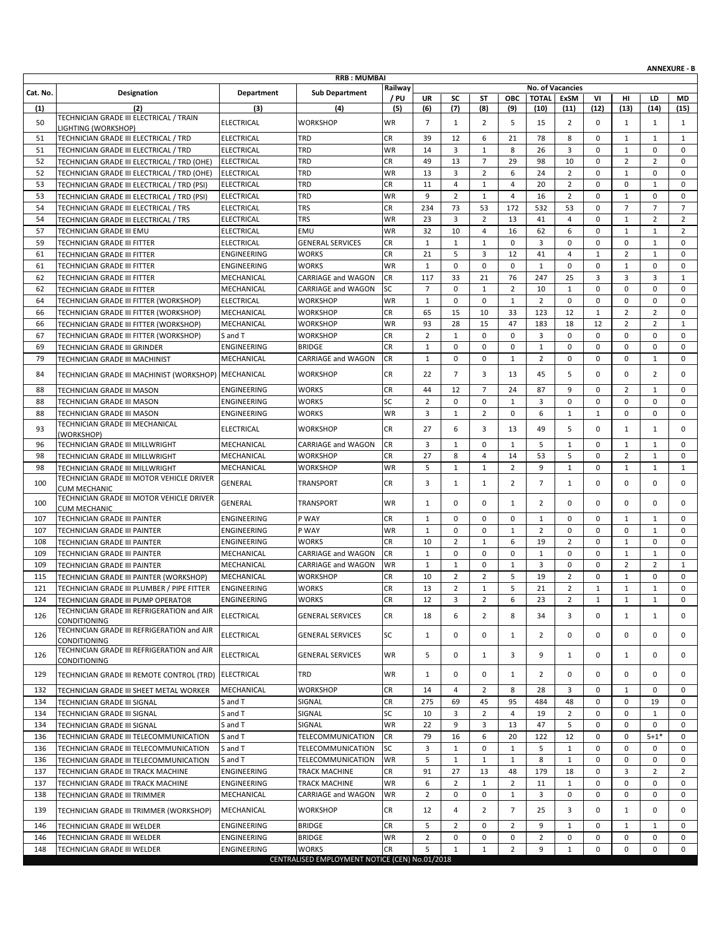| <b>RRB: MUMBAI</b><br>Railway<br>No. of Vacancies<br><b>Department</b><br><b>Sub Department</b><br>Cat. No.<br>Designation<br>/ PU<br>OBC<br><b>TOTAL</b><br><b>ExSM</b><br>UR<br>SC<br>ST<br>VI<br>HI<br>LD<br>MD<br>(6)<br>(7)<br>(12)<br>(2)<br>(3)<br>(4)<br>(5)<br>(8)<br>(9)<br>(10)<br>(11)<br>(13)<br>(14)<br>(15)<br>(1)<br>TECHNICIAN GRADE III ELECTRICAL / TRAIN<br><b>WR</b><br>$\overline{7}$<br>5<br>$\overline{2}$<br>50<br><b>ELECTRICAL</b><br><b>WORKSHOP</b><br>$\mathbf{1}$<br>2<br>15<br>0<br>$\mathbf{1}$<br>$\mathbf{1}$<br>1<br>LIGHTING (WORKSHOP)<br>TRD<br>CR<br>39<br>78<br>8<br>51<br>TECHNICIAN GRADE III ELECTRICAL / TRD<br><b>ELECTRICAL</b><br>12<br>6<br>21<br>0<br>$\mathbf{1}$<br>$\mathbf{1}$<br>$\mathbf{1}$<br>3<br>$\mathbf{1}$<br>51<br><b>ELECTRICAL</b><br>TRD<br>WR<br>14<br>$\mathbf{1}$<br>8<br>26<br>3<br>0<br>0<br>0<br>TECHNICIAN GRADE III ELECTRICAL / TRD<br>49<br>$\overline{7}$<br>29<br>98<br>10<br>$\mathbf 0$<br>$\overline{2}$<br>$\overline{2}$<br>52<br><b>ELECTRICAL</b><br>TRD<br>CR<br>13<br>$\mathbf 0$<br>TECHNICIAN GRADE III ELECTRICAL / TRD (OHE)<br>3<br>52<br><b>ELECTRICAL</b><br>TRD<br><b>WR</b><br>13<br>$\overline{2}$<br>6<br>24<br>$\overline{2}$<br>0<br>$\mathbf 0$<br>TECHNICIAN GRADE III ELECTRICAL / TRD (OHE)<br>1<br>0<br>53<br>11<br>$\overline{4}$<br>$\mathbf{1}$<br>20<br>$\overline{2}$<br>0<br>$\mathbf{1}$<br>$\mathbf 0$<br>TECHNICIAN GRADE III ELECTRICAL / TRD (PSI)<br><b>ELECTRICAL</b><br>TRD<br>CR<br>4<br>0<br>9<br>$\overline{2}$<br>16<br>$\overline{2}$<br>$\mathbf 0$<br>53<br><b>ELECTRICAL</b><br>TRD<br>WR<br>$\mathbf{1}$<br>4<br>$\mathbf{1}$<br>$\mathbf 0$<br>0<br>TECHNICIAN GRADE III ELECTRICAL / TRD (PSI)<br><b>TRS</b><br><b>CR</b><br>234<br>73<br>53<br>172<br>532<br>53<br>$\mathbf 0$<br>$\overline{7}$<br>$\overline{7}$<br>$\overline{7}$<br>54<br><b>ELECTRICAL</b><br>TECHNICIAN GRADE III ELECTRICAL / TRS<br><b>TRS</b><br>WR<br>23<br>3<br>$\overline{2}$<br>13<br>$\overline{2}$<br>$\overline{2}$<br>54<br><b>ELECTRICAL</b><br>41<br>4<br>0<br>$\mathbf{1}$<br>TECHNICIAN GRADE III ELECTRICAL / TRS<br>32<br>57<br>TECHNICIAN GRADE III EMU<br><b>ELECTRICAL</b><br>EMU<br>WR<br>10<br>16<br>62<br>6<br>0<br>$\mathbf{1}$<br>$\mathbf{1}$<br>2<br>4<br><b>ELECTRICAL</b><br>CR<br>$\mathbf{1}$<br>$\mathbf{1}$<br>$\mathbf 0$<br>3<br>$\mathbf 0$<br>0<br>$\mathbf{1}$<br>59<br><b>GENERAL SERVICES</b><br>$\mathbf{1}$<br>0<br>$\mathbf 0$<br>TECHNICIAN GRADE III FITTER<br>ENGINEERING<br><b>WORKS</b><br><b>CR</b><br>21<br>5<br>3<br>12<br>41<br>4<br>$\overline{2}$<br>0<br>61<br>TECHNICIAN GRADE III FITTER<br>1<br>1<br><b>WORKS</b><br><b>WR</b><br>$\mathbf{1}$<br>$\mathbf 0$<br>$\mathbf 0$<br>61<br>ENGINEERING<br>$\mathbf 0$<br>$\mathbf 0$<br>$\mathbf{1}$<br>0<br>$\mathbf{1}$<br>$\mathbf 0$<br>0<br>TECHNICIAN GRADE III FITTER<br>117<br>33<br>21<br>76<br>247<br>3<br>3<br>62<br>TECHNICIAN GRADE III FITTER<br>MECHANICAL<br>CARRIAGE and WAGON<br><b>CR</b><br>25<br>3<br>$\mathbf{1}$<br>$\overline{7}$<br><b>SC</b><br>$\mathbf 0$<br>$\overline{2}$<br>10<br>$\mathbf 0$<br>0<br>62<br>MECHANICAL<br>CARRIAGE and WAGON<br>$\mathbf{1}$<br>$\mathbf{1}$<br>$\mathbf 0$<br>$\mathbf 0$<br>TECHNICIAN GRADE III FITTER<br>WR<br>$\mathbf{1}$<br>0<br>$\mathbf{1}$<br>$\overline{2}$<br>$\mathbf 0$<br>0<br>0<br>64<br><b>ELECTRICAL</b><br><b>WORKSHOP</b><br>$\mathbf 0$<br>$\mathbf 0$<br>0<br>TECHNICIAN GRADE III FITTER (WORKSHOP)<br><b>CR</b><br>65<br>15<br>10<br>33<br>12<br>$\mathbf{1}$<br>$\overline{2}$<br>$\overline{2}$<br>66<br>MECHANICAL<br><b>WORKSHOP</b><br>123<br>0<br>TECHNICIAN GRADE III FITTER (WORKSHOP)<br>93<br>47<br>183<br>12<br>TECHNICIAN GRADE III FITTER (WORKSHOP)<br>MECHANICAL<br>WR<br>28<br>15<br>18<br>$\overline{2}$<br>$\overline{2}$<br>$\mathbf{1}$<br>66<br><b>WORKSHOP</b><br><b>CR</b><br>$\overline{2}$<br>WORKSHOP<br>$\mathbf 0$<br>$\mathbf 0$<br>3<br>0<br>0<br>0<br>$\mathbf 0$<br>0<br>67<br>TECHNICIAN GRADE III FITTER (WORKSHOP)<br>S and T<br>1<br><b>CR</b><br>$\mathbf 1$<br>$\mathbf 0$<br>$\mathbf 0$<br>0<br>69<br><b>ENGINEERING</b><br><b>BRIDGE</b><br>$\mathbf 0$<br>$\mathbf{1}$<br>0<br>0<br>$\mathbf 0$<br>0<br>TECHNICIAN GRADE III GRINDER<br>$\mathbf{1}$<br>$\overline{2}$<br>0<br>79<br>MECHANICAL<br>CARRIAGE and WAGON<br>CR<br>$\mathbf 0$<br>$\mathbf 0$<br>$\mathbf{1}$<br>0<br>0<br>$\mathbf{1}$<br>0<br>TECHNICIAN GRADE III MACHINIST<br>$\overline{7}$<br>84<br>TECHNICIAN GRADE III MACHINIST (WORKSHOP) MECHANICAL<br>WORKSHOP<br>CR.<br>22<br>3<br>13<br>45<br>5<br>$\Omega$<br>0<br>2<br>0<br>CR<br>44<br>12<br>$\overline{7}$<br>87<br>9<br>$\overline{2}$<br>$\mathbf{1}$<br>88<br><b>ENGINEERING</b><br><b>WORKS</b><br>24<br>0<br>0<br>TECHNICIAN GRADE III MASON<br>SC<br>$\overline{2}$<br>$\mathbf 0$<br>0<br>$\mathbf 0$<br>0<br>88<br>ENGINEERING<br><b>WORKS</b><br>0<br>$\mathbf{1}$<br>3<br>$\mathbf 0$<br>0<br>TECHNICIAN GRADE III MASON<br>TECHNICIAN GRADE III MASON<br>ENGINEERING<br><b>WORKS</b><br>WR<br>3<br>2<br>0<br>6<br>0<br>0<br>0<br>88<br>1<br>$\mathbf{1}$<br>1<br>TECHNICIAN GRADE III MECHANICAL<br><b>CR</b><br>27<br>6<br>3<br>5<br>93<br><b>ELECTRICAL</b><br>13<br>49<br>0<br>$\mathbf{1}$<br>$\mathbf{1}$<br>0<br><b>WORKSHOP</b><br>(WORKSHOP)<br>3<br>$\mathbf 0$<br>5<br>96<br>MECHANICAL<br><b>CR</b><br>$\mathbf{1}$<br>$\mathbf{1}$<br>$\mathbf{1}$<br>0<br>$\mathbf{1}$<br>$\mathbf{1}$<br>$\mathbf 0$<br>TECHNICIAN GRADE III MILLWRIGHT<br>CARRIAGE and WAGON<br><b>CR</b><br>27<br>8<br>5<br>0<br>$\overline{2}$<br>$\mathbf{1}$<br>98<br>TECHNICIAN GRADE III MILLWRIGHT<br>MECHANICAL<br><b>WORKSHOP</b><br>4<br>14<br>53<br>0<br><b>WR</b><br>5<br>$\mathbf{1}$<br>$\overline{2}$<br>9<br>$\mathbf{1}$<br>$\mathbf{1}$<br>$\mathbf{1}$<br>$\mathbf{1}$<br>98<br>TECHNICIAN GRADE III MILLWRIGHT<br>MECHANICAL<br><b>WORKSHOP</b><br>$\mathbf{1}$<br>0<br>TECHNICIAN GRADE III MOTOR VEHICLE DRIVER<br>CR<br>3<br>$\overline{2}$<br>$\overline{7}$<br>$\mathbf 0$<br>0<br>0<br>100<br>GENERAL<br>TRANSPORT<br>$\mathbf{1}$<br>$\mathbf{1}$<br>0<br>$\mathbf{1}$<br><b>CUM MECHANIC</b><br>TECHNICIAN GRADE III MOTOR VEHICLE DRIVER<br>0<br><b>TRANSPORT</b><br>WR<br>$\mathbf{1}$<br>$\mathbf 0$<br>0<br>$\overline{2}$<br>0<br>0<br>0<br>0<br>100<br>GENERAL<br>1<br><b>CUM MECHANIC</b><br>P WAY<br><b>CR</b><br>$\mathbf{1}$<br>$\mathbf 0$<br>$\mathbf 0$<br>$\mathbf{1}$<br><b>ENGINEERING</b><br>$\mathbf 0$<br>$\mathbf{1}$<br>0<br>0<br>$\mathbf{1}$<br>$\mathbf 0$<br>107<br>TECHNICIAN GRADE III PAINTER<br>ENGINEERING<br>P WAY<br><b>WR</b><br>$\mathbf 0$<br>$\mathbf 0$<br>2<br>0<br>0<br>0<br>0<br>107<br>TECHNICIAN GRADE III PAINTER<br>1<br>1<br>1<br><b>CR</b><br>10<br>$\overline{2}$<br>6<br>$\overline{2}$<br>$\mathbf{1}$<br>108<br>ENGINEERING<br><b>WORKS</b><br>$\mathbf{1}$<br>19<br>0<br>$\mathbf 0$<br>0<br>TECHNICIAN GRADE III PAINTER<br>$\mathbf{1}$<br>$\mathbf 0$<br>$\mathbf{1}$<br>$\mathbf{1}$<br>$\mathbf{1}$<br>109<br>TECHNICIAN GRADE III PAINTER<br>MECHANICAL<br><b>CARRIAGE and WAGON</b><br><b>CR</b><br>$\mathbf 0$<br>$\mathbf 0$<br>0<br>0<br>0<br>$\mathbf 0$<br>3<br>0<br>$\mathbf 0$<br>$\overline{2}$<br>109<br>MECHANICAL<br><b>WR</b><br>$\mathbf{1}$<br>$\mathbf{1}$<br>$\overline{2}$<br>$\mathbf{1}$<br>TECHNICIAN GRADE III PAINTER<br>CARRIAGE and WAGON<br>1<br>$\overline{2}$<br>CR<br>10<br>$\overline{2}$<br>5<br>19<br>$\overline{2}$<br>0<br>$\mathbf 1$<br>0<br>115<br>TECHNICIAN GRADE III PAINTER (WORKSHOP)<br>MECHANICAL<br><b>WORKSHOP</b><br>0<br>$\mathbf 2$<br><b>CR</b><br>13<br>5<br>21<br>$\mathbf 2$<br><b>ENGINEERING</b><br><b>WORKS</b><br>$\mathbf{1}$<br>$\mathbf{1}$<br>$\mathbf{1}$<br>$\mathbf 1$<br>$\Omega$<br>121<br>TECHNICIAN GRADE III PLUMBER / PIPE FITTER<br>CR<br>$\overline{2}$<br>$\overline{2}$<br>TECHNICIAN GRADE III PUMP OPERATOR<br>ENGINEERING<br><b>WORKS</b><br>12<br>3<br>6<br>23<br>$\mathbf{1}$<br>124<br>1<br>$\mathbf{1}$<br>0<br>TECHNICIAN GRADE III REFRIGERATION and AIR<br>126<br>ELECTRICAL<br>CR<br>6<br>$\overline{2}$<br>8<br>0<br><b>GENERAL SERVICES</b><br>18<br>34<br>3<br>$\mathbf{1}$<br>1<br>0<br>CONDITIONING<br>TECHNICIAN GRADE III REFRIGERATION and AIR<br><b>ELECTRICAL</b><br>SC<br>0<br>0<br>0<br>0<br>0<br>126<br><b>GENERAL SERVICES</b><br>1<br>1<br>2<br>0<br>0<br>CONDITIONING<br>TECHNICIAN GRADE III REFRIGERATION and AIR<br>126<br>WR<br>5<br>0<br>3<br>9<br>0<br>0<br><b>ELECTRICAL</b><br><b>GENERAL SERVICES</b><br>1<br>$\mathbf{1}$<br>0<br>1<br>CONDITIONING<br>TECHNICIAN GRADE III REMOTE CONTROL (TRD) ELECTRICAL<br>TRD<br>WR<br>0<br>$\mathbf{1}$<br>2<br>0<br>0<br>129<br>$\mathbf{1}$<br>0<br>0<br>0<br>0<br><b>CR</b><br>MECHANICAL<br>WORKSHOP<br>$\overline{2}$<br>8<br>28<br>3<br>132<br>14<br>4<br>0<br>1<br>0<br>0<br>TECHNICIAN GRADE III SHEET METAL WORKER<br>SIGNAL<br>CR<br>275<br>45<br>95<br>484<br>48<br>0<br>0<br>134<br>TECHNICIAN GRADE III SIGNAL<br>S and T<br>69<br>19<br>0<br>SC<br>$\overline{2}$<br>$\overline{2}$<br>SIGNAL<br>10<br>3<br>$\overline{4}$<br>19<br>0<br>0<br>$\mathbf{1}$<br>134<br>TECHNICIAN GRADE III SIGNAL<br>S and T<br>0<br>WR<br>22<br>9<br>5<br>134<br>TECHNICIAN GRADE III SIGNAL<br>S and T<br>SIGNAL<br>3<br>13<br>47<br>0<br>0<br>0<br>0<br>6<br>TELECOMMUNICATION<br><b>CR</b><br>79<br>16<br>20<br>122<br>12<br>0<br>0<br>$5 + 1*$<br>0<br>136<br>TECHNICIAN GRADE III TELECOMMUNICATION<br>S and T<br>SC<br>3<br>$\mathbf{1}$<br>0<br>5<br>$\mathbf{1}$<br>0<br>0<br>136<br>TECHNICIAN GRADE III TELECOMMUNICATION<br>S and T<br>TELECOMMUNICATION<br>1<br>0<br>0<br>5<br>8<br><b>WR</b><br>$\mathbf{1}$<br>$\mathbf{1}$<br>$\mathbf{1}$<br>0<br>0<br>136<br>TECHNICIAN GRADE III TELECOMMUNICATION<br>S and T<br>TELECOMMUNICATION<br>1<br>0<br>0<br>137<br>TECHNICIAN GRADE III TRACK MACHINE<br>ENGINEERING<br>TRACK MACHINE<br><b>CR</b><br>91<br>27<br>13<br>48<br>179<br>18<br>3<br>$\overline{2}$<br>2<br>0<br>6<br>WR<br>$\overline{2}$<br>2<br>11<br>$\mathbf{1}$<br>0<br>0<br>137<br>TECHNICIAN GRADE III TRACK MACHINE<br>ENGINEERING<br>TRACK MACHINE<br>1<br>0<br>0<br>$\overline{2}$<br>0<br>$\mathbf{1}$<br>3<br>0<br>138<br>MECHANICAL<br>WR<br>0<br>0<br>0<br>0<br>0<br>CARRIAGE and WAGON<br>TECHNICIAN GRADE III TRIMMER<br>139<br>TECHNICIAN GRADE III TRIMMER (WORKSHOP)<br><b>WORKSHOP</b><br>CR<br>12<br>$\overline{2}$<br>$\overline{7}$<br>3<br>0<br>MECHANICAL<br>4<br>25<br>0<br>$\mathbf{1}$<br>0<br>TECHNICIAN GRADE III WELDER<br>ENGINEERING<br><b>BRIDGE</b><br><b>CR</b><br>5<br>$\overline{2}$<br>0<br>$\overline{2}$<br>9<br>$\mathbf{1}$<br>0<br>146<br>1<br>1<br>0<br>ENGINEERING<br>$\overline{2}$<br>0<br>$\overline{2}$<br>0<br><b>BRIDGE</b><br>WR<br>0<br>0<br>0<br>0<br>0<br>146<br>TECHNICIAN GRADE III WELDER<br>0<br>$\overline{2}$<br>9<br>0<br>0<br>148<br>TECHNICIAN GRADE III WELDER<br>ENGINEERING<br><b>WORKS</b><br><b>CR</b><br>5<br>$\mathbf{1}$<br>$\mathbf{1}$<br>0<br>0<br>1<br>CENTRALISED EMPLOYMENT NOTICE (CEN) No.01/2018 |  |  |  |  |  |  |  | <b>ANNEXURE - B</b> |
|---------------------------------------------------------------------------------------------------------------------------------------------------------------------------------------------------------------------------------------------------------------------------------------------------------------------------------------------------------------------------------------------------------------------------------------------------------------------------------------------------------------------------------------------------------------------------------------------------------------------------------------------------------------------------------------------------------------------------------------------------------------------------------------------------------------------------------------------------------------------------------------------------------------------------------------------------------------------------------------------------------------------------------------------------------------------------------------------------------------------------------------------------------------------------------------------------------------------------------------------------------------------------------------------------------------------------------------------------------------------------------------------------------------------------------------------------------------------------------------------------------------------------------------------------------------------------------------------------------------------------------------------------------------------------------------------------------------------------------------------------------------------------------------------------------------------------------------------------------------------------------------------------------------------------------------------------------------------------------------------------------------------------------------------------------------------------------------------------------------------------------------------------------------------------------------------------------------------------------------------------------------------------------------------------------------------------------------------------------------------------------------------------------------------------------------------------------------------------------------------------------------------------------------------------------------------------------------------------------------------------------------------------------------------------------------------------------------------------------------------------------------------------------------------------------------------------------------------------------------------------------------------------------------------------------------------------------------------------------------------------------------------------------------------------------------------------------------------------------------------------------------------------------------------------------------------------------------------------------------------------------------------------------------------------------------------------------------------------------------------------------------------------------------------------------------------------------------------------------------------------------------------------------------------------------------------------------------------------------------------------------------------------------------------------------------------------------------------------------------------------------------------------------------------------------------------------------------------------------------------------------------------------------------------------------------------------------------------------------------------------------------------------------------------------------------------------------------------------------------------------------------------------------------------------------------------------------------------------------------------------------------------------------------------------------------------------------------------------------------------------------------------------------------------------------------------------------------------------------------------------------------------------------------------------------------------------------------------------------------------------------------------------------------------------------------------------------------------------------------------------------------------------------------------------------------------------------------------------------------------------------------------------------------------------------------------------------------------------------------------------------------------------------------------------------------------------------------------------------------------------------------------------------------------------------------------------------------------------------------------------------------------------------------------------------------------------------------------------------------------------------------------------------------------------------------------------------------------------------------------------------------------------------------------------------------------------------------------------------------------------------------------------------------------------------------------------------------------------------------------------------------------------------------------------------------------------------------------------------------------------------------------------------------------------------------------------------------------------------------------------------------------------------------------------------------------------------------------------------------------------------------------------------------------------------------------------------------------------------------------------------------------------------------------------------------------------------------------------------------------------------------------------------------------------------------------------------------------------------------------------------------------------------------------------------------------------------------------------------------------------------------------------------------------------------------------------------------------------------------------------------------------------------------------------------------------------------------------------------------------------------------------------------------------------------------------------------------------------------------------------------------------------------------------------------------------------------------------------------------------------------------------------------------------------------------------------------------------------------------------------------------------------------------------------------------------------------------------------------------------------------------------------------------------------------------------------------------------------------------------------------------------------------------------------------------------------------------------------------------------------------------------------------------------------------------------------------------------------------------------------------------------------------------------------------------------------------------------------------------------------------------------------------------------------------------------------------------------------------------------------------------------------------------------------------------------------------------------------------------------------------------------------------------------------------------------------------------------------------------------------------------------------------------------------------------------------------------------------------------------------------------------------------------------------------------------------------------------------------------------------------------------------------------------------------------------------------------------------------------------------------------------------------------------------------------------------------------------------------------------------------------------------------------------------------------------------------------------------------------------------------------------------------------------------------------------------------------------------------------------------------------------------------------------------------------------------------------------------------------------------------------------------------------------------------------------------------------------------------------------------------------------------------------------------------------------------------------------------------------------------------------------------------------------------------------------------------------------------------------------------------------------------------------------------------------------------------------------------------------------------------------------------------------------------------------------------------------------------------------------------------------------------------------------------------------------------------------------------------------------------------------------------------------------------------------------------------------------------------------------------------------------------------------------------------------------------------------------------------------------------------------------------------------------------------------------------------------------------------------------------------------------------------------------------------------------------------------------------------------------------------------------------------------------------------------------------------------------------------------------------------------------------------------------------------------------------------------------------------------------------------------------------------------------------------------------------------------------------------------------------------------------------------------------------------------------------------------------------------------------------------------------------------------------------------------------------------------------------------------------------------------------------------------------------------------------------------------------------------------------------|--|--|--|--|--|--|--|---------------------|
|                                                                                                                                                                                                                                                                                                                                                                                                                                                                                                                                                                                                                                                                                                                                                                                                                                                                                                                                                                                                                                                                                                                                                                                                                                                                                                                                                                                                                                                                                                                                                                                                                                                                                                                                                                                                                                                                                                                                                                                                                                                                                                                                                                                                                                                                                                                                                                                                                                                                                                                                                                                                                                                                                                                                                                                                                                                                                                                                                                                                                                                                                                                                                                                                                                                                                                                                                                                                                                                                                                                                                                                                                                                                                                                                                                                                                                                                                                                                                                                                                                                                                                                                                                                                                                                                                                                                                                                                                                                                                                                                                                                                                                                                                                                                                                                                                                                                                                                                                                                                                                                                                                                                                                                                                                                                                                                                                                                                                                                                                                                                                                                                                                                                                                                                                                                                                                                                                                                                                                                                                                                                                                                                                                                                                                                                                                                                                                                                                                                                                                                                                                                                                                                                                                                                                                                                                                                                                                                                                                                                                                                                                                                                                                                                                                                                                                                                                                                                                                                                                                                                                                                                                                                                                                                                                                                                                                                                                                                                                                                                                                                                                                                                                                                                                                                                                                                                                                                                                                                                                                                                                                                                                                                                                                                                                                                                                                                                                                                                                                                                                                                                                                                                                                                                                                                                                                                                                                                                                                                                                                                                                                                                                                                                                                                                                                                                                                                                                                                                                                                                                                                                                                                                                                                                                                                                                                                                                                                                                                                                                                                                                                                                                                                                                                                                                                                                                                                                                                                                                                                                                                                                                                                           |  |  |  |  |  |  |  |                     |
|                                                                                                                                                                                                                                                                                                                                                                                                                                                                                                                                                                                                                                                                                                                                                                                                                                                                                                                                                                                                                                                                                                                                                                                                                                                                                                                                                                                                                                                                                                                                                                                                                                                                                                                                                                                                                                                                                                                                                                                                                                                                                                                                                                                                                                                                                                                                                                                                                                                                                                                                                                                                                                                                                                                                                                                                                                                                                                                                                                                                                                                                                                                                                                                                                                                                                                                                                                                                                                                                                                                                                                                                                                                                                                                                                                                                                                                                                                                                                                                                                                                                                                                                                                                                                                                                                                                                                                                                                                                                                                                                                                                                                                                                                                                                                                                                                                                                                                                                                                                                                                                                                                                                                                                                                                                                                                                                                                                                                                                                                                                                                                                                                                                                                                                                                                                                                                                                                                                                                                                                                                                                                                                                                                                                                                                                                                                                                                                                                                                                                                                                                                                                                                                                                                                                                                                                                                                                                                                                                                                                                                                                                                                                                                                                                                                                                                                                                                                                                                                                                                                                                                                                                                                                                                                                                                                                                                                                                                                                                                                                                                                                                                                                                                                                                                                                                                                                                                                                                                                                                                                                                                                                                                                                                                                                                                                                                                                                                                                                                                                                                                                                                                                                                                                                                                                                                                                                                                                                                                                                                                                                                                                                                                                                                                                                                                                                                                                                                                                                                                                                                                                                                                                                                                                                                                                                                                                                                                                                                                                                                                                                                                                                                                                                                                                                                                                                                                                                                                                                                                                                                                                                                                                           |  |  |  |  |  |  |  |                     |
|                                                                                                                                                                                                                                                                                                                                                                                                                                                                                                                                                                                                                                                                                                                                                                                                                                                                                                                                                                                                                                                                                                                                                                                                                                                                                                                                                                                                                                                                                                                                                                                                                                                                                                                                                                                                                                                                                                                                                                                                                                                                                                                                                                                                                                                                                                                                                                                                                                                                                                                                                                                                                                                                                                                                                                                                                                                                                                                                                                                                                                                                                                                                                                                                                                                                                                                                                                                                                                                                                                                                                                                                                                                                                                                                                                                                                                                                                                                                                                                                                                                                                                                                                                                                                                                                                                                                                                                                                                                                                                                                                                                                                                                                                                                                                                                                                                                                                                                                                                                                                                                                                                                                                                                                                                                                                                                                                                                                                                                                                                                                                                                                                                                                                                                                                                                                                                                                                                                                                                                                                                                                                                                                                                                                                                                                                                                                                                                                                                                                                                                                                                                                                                                                                                                                                                                                                                                                                                                                                                                                                                                                                                                                                                                                                                                                                                                                                                                                                                                                                                                                                                                                                                                                                                                                                                                                                                                                                                                                                                                                                                                                                                                                                                                                                                                                                                                                                                                                                                                                                                                                                                                                                                                                                                                                                                                                                                                                                                                                                                                                                                                                                                                                                                                                                                                                                                                                                                                                                                                                                                                                                                                                                                                                                                                                                                                                                                                                                                                                                                                                                                                                                                                                                                                                                                                                                                                                                                                                                                                                                                                                                                                                                                                                                                                                                                                                                                                                                                                                                                                                                                                                                                                           |  |  |  |  |  |  |  |                     |
|                                                                                                                                                                                                                                                                                                                                                                                                                                                                                                                                                                                                                                                                                                                                                                                                                                                                                                                                                                                                                                                                                                                                                                                                                                                                                                                                                                                                                                                                                                                                                                                                                                                                                                                                                                                                                                                                                                                                                                                                                                                                                                                                                                                                                                                                                                                                                                                                                                                                                                                                                                                                                                                                                                                                                                                                                                                                                                                                                                                                                                                                                                                                                                                                                                                                                                                                                                                                                                                                                                                                                                                                                                                                                                                                                                                                                                                                                                                                                                                                                                                                                                                                                                                                                                                                                                                                                                                                                                                                                                                                                                                                                                                                                                                                                                                                                                                                                                                                                                                                                                                                                                                                                                                                                                                                                                                                                                                                                                                                                                                                                                                                                                                                                                                                                                                                                                                                                                                                                                                                                                                                                                                                                                                                                                                                                                                                                                                                                                                                                                                                                                                                                                                                                                                                                                                                                                                                                                                                                                                                                                                                                                                                                                                                                                                                                                                                                                                                                                                                                                                                                                                                                                                                                                                                                                                                                                                                                                                                                                                                                                                                                                                                                                                                                                                                                                                                                                                                                                                                                                                                                                                                                                                                                                                                                                                                                                                                                                                                                                                                                                                                                                                                                                                                                                                                                                                                                                                                                                                                                                                                                                                                                                                                                                                                                                                                                                                                                                                                                                                                                                                                                                                                                                                                                                                                                                                                                                                                                                                                                                                                                                                                                                                                                                                                                                                                                                                                                                                                                                                                                                                                                                                           |  |  |  |  |  |  |  |                     |
|                                                                                                                                                                                                                                                                                                                                                                                                                                                                                                                                                                                                                                                                                                                                                                                                                                                                                                                                                                                                                                                                                                                                                                                                                                                                                                                                                                                                                                                                                                                                                                                                                                                                                                                                                                                                                                                                                                                                                                                                                                                                                                                                                                                                                                                                                                                                                                                                                                                                                                                                                                                                                                                                                                                                                                                                                                                                                                                                                                                                                                                                                                                                                                                                                                                                                                                                                                                                                                                                                                                                                                                                                                                                                                                                                                                                                                                                                                                                                                                                                                                                                                                                                                                                                                                                                                                                                                                                                                                                                                                                                                                                                                                                                                                                                                                                                                                                                                                                                                                                                                                                                                                                                                                                                                                                                                                                                                                                                                                                                                                                                                                                                                                                                                                                                                                                                                                                                                                                                                                                                                                                                                                                                                                                                                                                                                                                                                                                                                                                                                                                                                                                                                                                                                                                                                                                                                                                                                                                                                                                                                                                                                                                                                                                                                                                                                                                                                                                                                                                                                                                                                                                                                                                                                                                                                                                                                                                                                                                                                                                                                                                                                                                                                                                                                                                                                                                                                                                                                                                                                                                                                                                                                                                                                                                                                                                                                                                                                                                                                                                                                                                                                                                                                                                                                                                                                                                                                                                                                                                                                                                                                                                                                                                                                                                                                                                                                                                                                                                                                                                                                                                                                                                                                                                                                                                                                                                                                                                                                                                                                                                                                                                                                                                                                                                                                                                                                                                                                                                                                                                                                                                                                                           |  |  |  |  |  |  |  |                     |
|                                                                                                                                                                                                                                                                                                                                                                                                                                                                                                                                                                                                                                                                                                                                                                                                                                                                                                                                                                                                                                                                                                                                                                                                                                                                                                                                                                                                                                                                                                                                                                                                                                                                                                                                                                                                                                                                                                                                                                                                                                                                                                                                                                                                                                                                                                                                                                                                                                                                                                                                                                                                                                                                                                                                                                                                                                                                                                                                                                                                                                                                                                                                                                                                                                                                                                                                                                                                                                                                                                                                                                                                                                                                                                                                                                                                                                                                                                                                                                                                                                                                                                                                                                                                                                                                                                                                                                                                                                                                                                                                                                                                                                                                                                                                                                                                                                                                                                                                                                                                                                                                                                                                                                                                                                                                                                                                                                                                                                                                                                                                                                                                                                                                                                                                                                                                                                                                                                                                                                                                                                                                                                                                                                                                                                                                                                                                                                                                                                                                                                                                                                                                                                                                                                                                                                                                                                                                                                                                                                                                                                                                                                                                                                                                                                                                                                                                                                                                                                                                                                                                                                                                                                                                                                                                                                                                                                                                                                                                                                                                                                                                                                                                                                                                                                                                                                                                                                                                                                                                                                                                                                                                                                                                                                                                                                                                                                                                                                                                                                                                                                                                                                                                                                                                                                                                                                                                                                                                                                                                                                                                                                                                                                                                                                                                                                                                                                                                                                                                                                                                                                                                                                                                                                                                                                                                                                                                                                                                                                                                                                                                                                                                                                                                                                                                                                                                                                                                                                                                                                                                                                                                                                                           |  |  |  |  |  |  |  |                     |
|                                                                                                                                                                                                                                                                                                                                                                                                                                                                                                                                                                                                                                                                                                                                                                                                                                                                                                                                                                                                                                                                                                                                                                                                                                                                                                                                                                                                                                                                                                                                                                                                                                                                                                                                                                                                                                                                                                                                                                                                                                                                                                                                                                                                                                                                                                                                                                                                                                                                                                                                                                                                                                                                                                                                                                                                                                                                                                                                                                                                                                                                                                                                                                                                                                                                                                                                                                                                                                                                                                                                                                                                                                                                                                                                                                                                                                                                                                                                                                                                                                                                                                                                                                                                                                                                                                                                                                                                                                                                                                                                                                                                                                                                                                                                                                                                                                                                                                                                                                                                                                                                                                                                                                                                                                                                                                                                                                                                                                                                                                                                                                                                                                                                                                                                                                                                                                                                                                                                                                                                                                                                                                                                                                                                                                                                                                                                                                                                                                                                                                                                                                                                                                                                                                                                                                                                                                                                                                                                                                                                                                                                                                                                                                                                                                                                                                                                                                                                                                                                                                                                                                                                                                                                                                                                                                                                                                                                                                                                                                                                                                                                                                                                                                                                                                                                                                                                                                                                                                                                                                                                                                                                                                                                                                                                                                                                                                                                                                                                                                                                                                                                                                                                                                                                                                                                                                                                                                                                                                                                                                                                                                                                                                                                                                                                                                                                                                                                                                                                                                                                                                                                                                                                                                                                                                                                                                                                                                                                                                                                                                                                                                                                                                                                                                                                                                                                                                                                                                                                                                                                                                                                                                                           |  |  |  |  |  |  |  |                     |
|                                                                                                                                                                                                                                                                                                                                                                                                                                                                                                                                                                                                                                                                                                                                                                                                                                                                                                                                                                                                                                                                                                                                                                                                                                                                                                                                                                                                                                                                                                                                                                                                                                                                                                                                                                                                                                                                                                                                                                                                                                                                                                                                                                                                                                                                                                                                                                                                                                                                                                                                                                                                                                                                                                                                                                                                                                                                                                                                                                                                                                                                                                                                                                                                                                                                                                                                                                                                                                                                                                                                                                                                                                                                                                                                                                                                                                                                                                                                                                                                                                                                                                                                                                                                                                                                                                                                                                                                                                                                                                                                                                                                                                                                                                                                                                                                                                                                                                                                                                                                                                                                                                                                                                                                                                                                                                                                                                                                                                                                                                                                                                                                                                                                                                                                                                                                                                                                                                                                                                                                                                                                                                                                                                                                                                                                                                                                                                                                                                                                                                                                                                                                                                                                                                                                                                                                                                                                                                                                                                                                                                                                                                                                                                                                                                                                                                                                                                                                                                                                                                                                                                                                                                                                                                                                                                                                                                                                                                                                                                                                                                                                                                                                                                                                                                                                                                                                                                                                                                                                                                                                                                                                                                                                                                                                                                                                                                                                                                                                                                                                                                                                                                                                                                                                                                                                                                                                                                                                                                                                                                                                                                                                                                                                                                                                                                                                                                                                                                                                                                                                                                                                                                                                                                                                                                                                                                                                                                                                                                                                                                                                                                                                                                                                                                                                                                                                                                                                                                                                                                                                                                                                                                                           |  |  |  |  |  |  |  |                     |
|                                                                                                                                                                                                                                                                                                                                                                                                                                                                                                                                                                                                                                                                                                                                                                                                                                                                                                                                                                                                                                                                                                                                                                                                                                                                                                                                                                                                                                                                                                                                                                                                                                                                                                                                                                                                                                                                                                                                                                                                                                                                                                                                                                                                                                                                                                                                                                                                                                                                                                                                                                                                                                                                                                                                                                                                                                                                                                                                                                                                                                                                                                                                                                                                                                                                                                                                                                                                                                                                                                                                                                                                                                                                                                                                                                                                                                                                                                                                                                                                                                                                                                                                                                                                                                                                                                                                                                                                                                                                                                                                                                                                                                                                                                                                                                                                                                                                                                                                                                                                                                                                                                                                                                                                                                                                                                                                                                                                                                                                                                                                                                                                                                                                                                                                                                                                                                                                                                                                                                                                                                                                                                                                                                                                                                                                                                                                                                                                                                                                                                                                                                                                                                                                                                                                                                                                                                                                                                                                                                                                                                                                                                                                                                                                                                                                                                                                                                                                                                                                                                                                                                                                                                                                                                                                                                                                                                                                                                                                                                                                                                                                                                                                                                                                                                                                                                                                                                                                                                                                                                                                                                                                                                                                                                                                                                                                                                                                                                                                                                                                                                                                                                                                                                                                                                                                                                                                                                                                                                                                                                                                                                                                                                                                                                                                                                                                                                                                                                                                                                                                                                                                                                                                                                                                                                                                                                                                                                                                                                                                                                                                                                                                                                                                                                                                                                                                                                                                                                                                                                                                                                                                                                                           |  |  |  |  |  |  |  |                     |
|                                                                                                                                                                                                                                                                                                                                                                                                                                                                                                                                                                                                                                                                                                                                                                                                                                                                                                                                                                                                                                                                                                                                                                                                                                                                                                                                                                                                                                                                                                                                                                                                                                                                                                                                                                                                                                                                                                                                                                                                                                                                                                                                                                                                                                                                                                                                                                                                                                                                                                                                                                                                                                                                                                                                                                                                                                                                                                                                                                                                                                                                                                                                                                                                                                                                                                                                                                                                                                                                                                                                                                                                                                                                                                                                                                                                                                                                                                                                                                                                                                                                                                                                                                                                                                                                                                                                                                                                                                                                                                                                                                                                                                                                                                                                                                                                                                                                                                                                                                                                                                                                                                                                                                                                                                                                                                                                                                                                                                                                                                                                                                                                                                                                                                                                                                                                                                                                                                                                                                                                                                                                                                                                                                                                                                                                                                                                                                                                                                                                                                                                                                                                                                                                                                                                                                                                                                                                                                                                                                                                                                                                                                                                                                                                                                                                                                                                                                                                                                                                                                                                                                                                                                                                                                                                                                                                                                                                                                                                                                                                                                                                                                                                                                                                                                                                                                                                                                                                                                                                                                                                                                                                                                                                                                                                                                                                                                                                                                                                                                                                                                                                                                                                                                                                                                                                                                                                                                                                                                                                                                                                                                                                                                                                                                                                                                                                                                                                                                                                                                                                                                                                                                                                                                                                                                                                                                                                                                                                                                                                                                                                                                                                                                                                                                                                                                                                                                                                                                                                                                                                                                                                                                                           |  |  |  |  |  |  |  |                     |
|                                                                                                                                                                                                                                                                                                                                                                                                                                                                                                                                                                                                                                                                                                                                                                                                                                                                                                                                                                                                                                                                                                                                                                                                                                                                                                                                                                                                                                                                                                                                                                                                                                                                                                                                                                                                                                                                                                                                                                                                                                                                                                                                                                                                                                                                                                                                                                                                                                                                                                                                                                                                                                                                                                                                                                                                                                                                                                                                                                                                                                                                                                                                                                                                                                                                                                                                                                                                                                                                                                                                                                                                                                                                                                                                                                                                                                                                                                                                                                                                                                                                                                                                                                                                                                                                                                                                                                                                                                                                                                                                                                                                                                                                                                                                                                                                                                                                                                                                                                                                                                                                                                                                                                                                                                                                                                                                                                                                                                                                                                                                                                                                                                                                                                                                                                                                                                                                                                                                                                                                                                                                                                                                                                                                                                                                                                                                                                                                                                                                                                                                                                                                                                                                                                                                                                                                                                                                                                                                                                                                                                                                                                                                                                                                                                                                                                                                                                                                                                                                                                                                                                                                                                                                                                                                                                                                                                                                                                                                                                                                                                                                                                                                                                                                                                                                                                                                                                                                                                                                                                                                                                                                                                                                                                                                                                                                                                                                                                                                                                                                                                                                                                                                                                                                                                                                                                                                                                                                                                                                                                                                                                                                                                                                                                                                                                                                                                                                                                                                                                                                                                                                                                                                                                                                                                                                                                                                                                                                                                                                                                                                                                                                                                                                                                                                                                                                                                                                                                                                                                                                                                                                                                                           |  |  |  |  |  |  |  |                     |
|                                                                                                                                                                                                                                                                                                                                                                                                                                                                                                                                                                                                                                                                                                                                                                                                                                                                                                                                                                                                                                                                                                                                                                                                                                                                                                                                                                                                                                                                                                                                                                                                                                                                                                                                                                                                                                                                                                                                                                                                                                                                                                                                                                                                                                                                                                                                                                                                                                                                                                                                                                                                                                                                                                                                                                                                                                                                                                                                                                                                                                                                                                                                                                                                                                                                                                                                                                                                                                                                                                                                                                                                                                                                                                                                                                                                                                                                                                                                                                                                                                                                                                                                                                                                                                                                                                                                                                                                                                                                                                                                                                                                                                                                                                                                                                                                                                                                                                                                                                                                                                                                                                                                                                                                                                                                                                                                                                                                                                                                                                                                                                                                                                                                                                                                                                                                                                                                                                                                                                                                                                                                                                                                                                                                                                                                                                                                                                                                                                                                                                                                                                                                                                                                                                                                                                                                                                                                                                                                                                                                                                                                                                                                                                                                                                                                                                                                                                                                                                                                                                                                                                                                                                                                                                                                                                                                                                                                                                                                                                                                                                                                                                                                                                                                                                                                                                                                                                                                                                                                                                                                                                                                                                                                                                                                                                                                                                                                                                                                                                                                                                                                                                                                                                                                                                                                                                                                                                                                                                                                                                                                                                                                                                                                                                                                                                                                                                                                                                                                                                                                                                                                                                                                                                                                                                                                                                                                                                                                                                                                                                                                                                                                                                                                                                                                                                                                                                                                                                                                                                                                                                                                                                                           |  |  |  |  |  |  |  |                     |
|                                                                                                                                                                                                                                                                                                                                                                                                                                                                                                                                                                                                                                                                                                                                                                                                                                                                                                                                                                                                                                                                                                                                                                                                                                                                                                                                                                                                                                                                                                                                                                                                                                                                                                                                                                                                                                                                                                                                                                                                                                                                                                                                                                                                                                                                                                                                                                                                                                                                                                                                                                                                                                                                                                                                                                                                                                                                                                                                                                                                                                                                                                                                                                                                                                                                                                                                                                                                                                                                                                                                                                                                                                                                                                                                                                                                                                                                                                                                                                                                                                                                                                                                                                                                                                                                                                                                                                                                                                                                                                                                                                                                                                                                                                                                                                                                                                                                                                                                                                                                                                                                                                                                                                                                                                                                                                                                                                                                                                                                                                                                                                                                                                                                                                                                                                                                                                                                                                                                                                                                                                                                                                                                                                                                                                                                                                                                                                                                                                                                                                                                                                                                                                                                                                                                                                                                                                                                                                                                                                                                                                                                                                                                                                                                                                                                                                                                                                                                                                                                                                                                                                                                                                                                                                                                                                                                                                                                                                                                                                                                                                                                                                                                                                                                                                                                                                                                                                                                                                                                                                                                                                                                                                                                                                                                                                                                                                                                                                                                                                                                                                                                                                                                                                                                                                                                                                                                                                                                                                                                                                                                                                                                                                                                                                                                                                                                                                                                                                                                                                                                                                                                                                                                                                                                                                                                                                                                                                                                                                                                                                                                                                                                                                                                                                                                                                                                                                                                                                                                                                                                                                                                                                                           |  |  |  |  |  |  |  |                     |
|                                                                                                                                                                                                                                                                                                                                                                                                                                                                                                                                                                                                                                                                                                                                                                                                                                                                                                                                                                                                                                                                                                                                                                                                                                                                                                                                                                                                                                                                                                                                                                                                                                                                                                                                                                                                                                                                                                                                                                                                                                                                                                                                                                                                                                                                                                                                                                                                                                                                                                                                                                                                                                                                                                                                                                                                                                                                                                                                                                                                                                                                                                                                                                                                                                                                                                                                                                                                                                                                                                                                                                                                                                                                                                                                                                                                                                                                                                                                                                                                                                                                                                                                                                                                                                                                                                                                                                                                                                                                                                                                                                                                                                                                                                                                                                                                                                                                                                                                                                                                                                                                                                                                                                                                                                                                                                                                                                                                                                                                                                                                                                                                                                                                                                                                                                                                                                                                                                                                                                                                                                                                                                                                                                                                                                                                                                                                                                                                                                                                                                                                                                                                                                                                                                                                                                                                                                                                                                                                                                                                                                                                                                                                                                                                                                                                                                                                                                                                                                                                                                                                                                                                                                                                                                                                                                                                                                                                                                                                                                                                                                                                                                                                                                                                                                                                                                                                                                                                                                                                                                                                                                                                                                                                                                                                                                                                                                                                                                                                                                                                                                                                                                                                                                                                                                                                                                                                                                                                                                                                                                                                                                                                                                                                                                                                                                                                                                                                                                                                                                                                                                                                                                                                                                                                                                                                                                                                                                                                                                                                                                                                                                                                                                                                                                                                                                                                                                                                                                                                                                                                                                                                                                                           |  |  |  |  |  |  |  |                     |
|                                                                                                                                                                                                                                                                                                                                                                                                                                                                                                                                                                                                                                                                                                                                                                                                                                                                                                                                                                                                                                                                                                                                                                                                                                                                                                                                                                                                                                                                                                                                                                                                                                                                                                                                                                                                                                                                                                                                                                                                                                                                                                                                                                                                                                                                                                                                                                                                                                                                                                                                                                                                                                                                                                                                                                                                                                                                                                                                                                                                                                                                                                                                                                                                                                                                                                                                                                                                                                                                                                                                                                                                                                                                                                                                                                                                                                                                                                                                                                                                                                                                                                                                                                                                                                                                                                                                                                                                                                                                                                                                                                                                                                                                                                                                                                                                                                                                                                                                                                                                                                                                                                                                                                                                                                                                                                                                                                                                                                                                                                                                                                                                                                                                                                                                                                                                                                                                                                                                                                                                                                                                                                                                                                                                                                                                                                                                                                                                                                                                                                                                                                                                                                                                                                                                                                                                                                                                                                                                                                                                                                                                                                                                                                                                                                                                                                                                                                                                                                                                                                                                                                                                                                                                                                                                                                                                                                                                                                                                                                                                                                                                                                                                                                                                                                                                                                                                                                                                                                                                                                                                                                                                                                                                                                                                                                                                                                                                                                                                                                                                                                                                                                                                                                                                                                                                                                                                                                                                                                                                                                                                                                                                                                                                                                                                                                                                                                                                                                                                                                                                                                                                                                                                                                                                                                                                                                                                                                                                                                                                                                                                                                                                                                                                                                                                                                                                                                                                                                                                                                                                                                                                                                                           |  |  |  |  |  |  |  |                     |
|                                                                                                                                                                                                                                                                                                                                                                                                                                                                                                                                                                                                                                                                                                                                                                                                                                                                                                                                                                                                                                                                                                                                                                                                                                                                                                                                                                                                                                                                                                                                                                                                                                                                                                                                                                                                                                                                                                                                                                                                                                                                                                                                                                                                                                                                                                                                                                                                                                                                                                                                                                                                                                                                                                                                                                                                                                                                                                                                                                                                                                                                                                                                                                                                                                                                                                                                                                                                                                                                                                                                                                                                                                                                                                                                                                                                                                                                                                                                                                                                                                                                                                                                                                                                                                                                                                                                                                                                                                                                                                                                                                                                                                                                                                                                                                                                                                                                                                                                                                                                                                                                                                                                                                                                                                                                                                                                                                                                                                                                                                                                                                                                                                                                                                                                                                                                                                                                                                                                                                                                                                                                                                                                                                                                                                                                                                                                                                                                                                                                                                                                                                                                                                                                                                                                                                                                                                                                                                                                                                                                                                                                                                                                                                                                                                                                                                                                                                                                                                                                                                                                                                                                                                                                                                                                                                                                                                                                                                                                                                                                                                                                                                                                                                                                                                                                                                                                                                                                                                                                                                                                                                                                                                                                                                                                                                                                                                                                                                                                                                                                                                                                                                                                                                                                                                                                                                                                                                                                                                                                                                                                                                                                                                                                                                                                                                                                                                                                                                                                                                                                                                                                                                                                                                                                                                                                                                                                                                                                                                                                                                                                                                                                                                                                                                                                                                                                                                                                                                                                                                                                                                                                                                                           |  |  |  |  |  |  |  |                     |
|                                                                                                                                                                                                                                                                                                                                                                                                                                                                                                                                                                                                                                                                                                                                                                                                                                                                                                                                                                                                                                                                                                                                                                                                                                                                                                                                                                                                                                                                                                                                                                                                                                                                                                                                                                                                                                                                                                                                                                                                                                                                                                                                                                                                                                                                                                                                                                                                                                                                                                                                                                                                                                                                                                                                                                                                                                                                                                                                                                                                                                                                                                                                                                                                                                                                                                                                                                                                                                                                                                                                                                                                                                                                                                                                                                                                                                                                                                                                                                                                                                                                                                                                                                                                                                                                                                                                                                                                                                                                                                                                                                                                                                                                                                                                                                                                                                                                                                                                                                                                                                                                                                                                                                                                                                                                                                                                                                                                                                                                                                                                                                                                                                                                                                                                                                                                                                                                                                                                                                                                                                                                                                                                                                                                                                                                                                                                                                                                                                                                                                                                                                                                                                                                                                                                                                                                                                                                                                                                                                                                                                                                                                                                                                                                                                                                                                                                                                                                                                                                                                                                                                                                                                                                                                                                                                                                                                                                                                                                                                                                                                                                                                                                                                                                                                                                                                                                                                                                                                                                                                                                                                                                                                                                                                                                                                                                                                                                                                                                                                                                                                                                                                                                                                                                                                                                                                                                                                                                                                                                                                                                                                                                                                                                                                                                                                                                                                                                                                                                                                                                                                                                                                                                                                                                                                                                                                                                                                                                                                                                                                                                                                                                                                                                                                                                                                                                                                                                                                                                                                                                                                                                                                                           |  |  |  |  |  |  |  |                     |
|                                                                                                                                                                                                                                                                                                                                                                                                                                                                                                                                                                                                                                                                                                                                                                                                                                                                                                                                                                                                                                                                                                                                                                                                                                                                                                                                                                                                                                                                                                                                                                                                                                                                                                                                                                                                                                                                                                                                                                                                                                                                                                                                                                                                                                                                                                                                                                                                                                                                                                                                                                                                                                                                                                                                                                                                                                                                                                                                                                                                                                                                                                                                                                                                                                                                                                                                                                                                                                                                                                                                                                                                                                                                                                                                                                                                                                                                                                                                                                                                                                                                                                                                                                                                                                                                                                                                                                                                                                                                                                                                                                                                                                                                                                                                                                                                                                                                                                                                                                                                                                                                                                                                                                                                                                                                                                                                                                                                                                                                                                                                                                                                                                                                                                                                                                                                                                                                                                                                                                                                                                                                                                                                                                                                                                                                                                                                                                                                                                                                                                                                                                                                                                                                                                                                                                                                                                                                                                                                                                                                                                                                                                                                                                                                                                                                                                                                                                                                                                                                                                                                                                                                                                                                                                                                                                                                                                                                                                                                                                                                                                                                                                                                                                                                                                                                                                                                                                                                                                                                                                                                                                                                                                                                                                                                                                                                                                                                                                                                                                                                                                                                                                                                                                                                                                                                                                                                                                                                                                                                                                                                                                                                                                                                                                                                                                                                                                                                                                                                                                                                                                                                                                                                                                                                                                                                                                                                                                                                                                                                                                                                                                                                                                                                                                                                                                                                                                                                                                                                                                                                                                                                                                                           |  |  |  |  |  |  |  |                     |
|                                                                                                                                                                                                                                                                                                                                                                                                                                                                                                                                                                                                                                                                                                                                                                                                                                                                                                                                                                                                                                                                                                                                                                                                                                                                                                                                                                                                                                                                                                                                                                                                                                                                                                                                                                                                                                                                                                                                                                                                                                                                                                                                                                                                                                                                                                                                                                                                                                                                                                                                                                                                                                                                                                                                                                                                                                                                                                                                                                                                                                                                                                                                                                                                                                                                                                                                                                                                                                                                                                                                                                                                                                                                                                                                                                                                                                                                                                                                                                                                                                                                                                                                                                                                                                                                                                                                                                                                                                                                                                                                                                                                                                                                                                                                                                                                                                                                                                                                                                                                                                                                                                                                                                                                                                                                                                                                                                                                                                                                                                                                                                                                                                                                                                                                                                                                                                                                                                                                                                                                                                                                                                                                                                                                                                                                                                                                                                                                                                                                                                                                                                                                                                                                                                                                                                                                                                                                                                                                                                                                                                                                                                                                                                                                                                                                                                                                                                                                                                                                                                                                                                                                                                                                                                                                                                                                                                                                                                                                                                                                                                                                                                                                                                                                                                                                                                                                                                                                                                                                                                                                                                                                                                                                                                                                                                                                                                                                                                                                                                                                                                                                                                                                                                                                                                                                                                                                                                                                                                                                                                                                                                                                                                                                                                                                                                                                                                                                                                                                                                                                                                                                                                                                                                                                                                                                                                                                                                                                                                                                                                                                                                                                                                                                                                                                                                                                                                                                                                                                                                                                                                                                                                                           |  |  |  |  |  |  |  |                     |
|                                                                                                                                                                                                                                                                                                                                                                                                                                                                                                                                                                                                                                                                                                                                                                                                                                                                                                                                                                                                                                                                                                                                                                                                                                                                                                                                                                                                                                                                                                                                                                                                                                                                                                                                                                                                                                                                                                                                                                                                                                                                                                                                                                                                                                                                                                                                                                                                                                                                                                                                                                                                                                                                                                                                                                                                                                                                                                                                                                                                                                                                                                                                                                                                                                                                                                                                                                                                                                                                                                                                                                                                                                                                                                                                                                                                                                                                                                                                                                                                                                                                                                                                                                                                                                                                                                                                                                                                                                                                                                                                                                                                                                                                                                                                                                                                                                                                                                                                                                                                                                                                                                                                                                                                                                                                                                                                                                                                                                                                                                                                                                                                                                                                                                                                                                                                                                                                                                                                                                                                                                                                                                                                                                                                                                                                                                                                                                                                                                                                                                                                                                                                                                                                                                                                                                                                                                                                                                                                                                                                                                                                                                                                                                                                                                                                                                                                                                                                                                                                                                                                                                                                                                                                                                                                                                                                                                                                                                                                                                                                                                                                                                                                                                                                                                                                                                                                                                                                                                                                                                                                                                                                                                                                                                                                                                                                                                                                                                                                                                                                                                                                                                                                                                                                                                                                                                                                                                                                                                                                                                                                                                                                                                                                                                                                                                                                                                                                                                                                                                                                                                                                                                                                                                                                                                                                                                                                                                                                                                                                                                                                                                                                                                                                                                                                                                                                                                                                                                                                                                                                                                                                                                                           |  |  |  |  |  |  |  |                     |
|                                                                                                                                                                                                                                                                                                                                                                                                                                                                                                                                                                                                                                                                                                                                                                                                                                                                                                                                                                                                                                                                                                                                                                                                                                                                                                                                                                                                                                                                                                                                                                                                                                                                                                                                                                                                                                                                                                                                                                                                                                                                                                                                                                                                                                                                                                                                                                                                                                                                                                                                                                                                                                                                                                                                                                                                                                                                                                                                                                                                                                                                                                                                                                                                                                                                                                                                                                                                                                                                                                                                                                                                                                                                                                                                                                                                                                                                                                                                                                                                                                                                                                                                                                                                                                                                                                                                                                                                                                                                                                                                                                                                                                                                                                                                                                                                                                                                                                                                                                                                                                                                                                                                                                                                                                                                                                                                                                                                                                                                                                                                                                                                                                                                                                                                                                                                                                                                                                                                                                                                                                                                                                                                                                                                                                                                                                                                                                                                                                                                                                                                                                                                                                                                                                                                                                                                                                                                                                                                                                                                                                                                                                                                                                                                                                                                                                                                                                                                                                                                                                                                                                                                                                                                                                                                                                                                                                                                                                                                                                                                                                                                                                                                                                                                                                                                                                                                                                                                                                                                                                                                                                                                                                                                                                                                                                                                                                                                                                                                                                                                                                                                                                                                                                                                                                                                                                                                                                                                                                                                                                                                                                                                                                                                                                                                                                                                                                                                                                                                                                                                                                                                                                                                                                                                                                                                                                                                                                                                                                                                                                                                                                                                                                                                                                                                                                                                                                                                                                                                                                                                                                                                                                                           |  |  |  |  |  |  |  |                     |
|                                                                                                                                                                                                                                                                                                                                                                                                                                                                                                                                                                                                                                                                                                                                                                                                                                                                                                                                                                                                                                                                                                                                                                                                                                                                                                                                                                                                                                                                                                                                                                                                                                                                                                                                                                                                                                                                                                                                                                                                                                                                                                                                                                                                                                                                                                                                                                                                                                                                                                                                                                                                                                                                                                                                                                                                                                                                                                                                                                                                                                                                                                                                                                                                                                                                                                                                                                                                                                                                                                                                                                                                                                                                                                                                                                                                                                                                                                                                                                                                                                                                                                                                                                                                                                                                                                                                                                                                                                                                                                                                                                                                                                                                                                                                                                                                                                                                                                                                                                                                                                                                                                                                                                                                                                                                                                                                                                                                                                                                                                                                                                                                                                                                                                                                                                                                                                                                                                                                                                                                                                                                                                                                                                                                                                                                                                                                                                                                                                                                                                                                                                                                                                                                                                                                                                                                                                                                                                                                                                                                                                                                                                                                                                                                                                                                                                                                                                                                                                                                                                                                                                                                                                                                                                                                                                                                                                                                                                                                                                                                                                                                                                                                                                                                                                                                                                                                                                                                                                                                                                                                                                                                                                                                                                                                                                                                                                                                                                                                                                                                                                                                                                                                                                                                                                                                                                                                                                                                                                                                                                                                                                                                                                                                                                                                                                                                                                                                                                                                                                                                                                                                                                                                                                                                                                                                                                                                                                                                                                                                                                                                                                                                                                                                                                                                                                                                                                                                                                                                                                                                                                                                                                                           |  |  |  |  |  |  |  |                     |
|                                                                                                                                                                                                                                                                                                                                                                                                                                                                                                                                                                                                                                                                                                                                                                                                                                                                                                                                                                                                                                                                                                                                                                                                                                                                                                                                                                                                                                                                                                                                                                                                                                                                                                                                                                                                                                                                                                                                                                                                                                                                                                                                                                                                                                                                                                                                                                                                                                                                                                                                                                                                                                                                                                                                                                                                                                                                                                                                                                                                                                                                                                                                                                                                                                                                                                                                                                                                                                                                                                                                                                                                                                                                                                                                                                                                                                                                                                                                                                                                                                                                                                                                                                                                                                                                                                                                                                                                                                                                                                                                                                                                                                                                                                                                                                                                                                                                                                                                                                                                                                                                                                                                                                                                                                                                                                                                                                                                                                                                                                                                                                                                                                                                                                                                                                                                                                                                                                                                                                                                                                                                                                                                                                                                                                                                                                                                                                                                                                                                                                                                                                                                                                                                                                                                                                                                                                                                                                                                                                                                                                                                                                                                                                                                                                                                                                                                                                                                                                                                                                                                                                                                                                                                                                                                                                                                                                                                                                                                                                                                                                                                                                                                                                                                                                                                                                                                                                                                                                                                                                                                                                                                                                                                                                                                                                                                                                                                                                                                                                                                                                                                                                                                                                                                                                                                                                                                                                                                                                                                                                                                                                                                                                                                                                                                                                                                                                                                                                                                                                                                                                                                                                                                                                                                                                                                                                                                                                                                                                                                                                                                                                                                                                                                                                                                                                                                                                                                                                                                                                                                                                                                                                                           |  |  |  |  |  |  |  |                     |
|                                                                                                                                                                                                                                                                                                                                                                                                                                                                                                                                                                                                                                                                                                                                                                                                                                                                                                                                                                                                                                                                                                                                                                                                                                                                                                                                                                                                                                                                                                                                                                                                                                                                                                                                                                                                                                                                                                                                                                                                                                                                                                                                                                                                                                                                                                                                                                                                                                                                                                                                                                                                                                                                                                                                                                                                                                                                                                                                                                                                                                                                                                                                                                                                                                                                                                                                                                                                                                                                                                                                                                                                                                                                                                                                                                                                                                                                                                                                                                                                                                                                                                                                                                                                                                                                                                                                                                                                                                                                                                                                                                                                                                                                                                                                                                                                                                                                                                                                                                                                                                                                                                                                                                                                                                                                                                                                                                                                                                                                                                                                                                                                                                                                                                                                                                                                                                                                                                                                                                                                                                                                                                                                                                                                                                                                                                                                                                                                                                                                                                                                                                                                                                                                                                                                                                                                                                                                                                                                                                                                                                                                                                                                                                                                                                                                                                                                                                                                                                                                                                                                                                                                                                                                                                                                                                                                                                                                                                                                                                                                                                                                                                                                                                                                                                                                                                                                                                                                                                                                                                                                                                                                                                                                                                                                                                                                                                                                                                                                                                                                                                                                                                                                                                                                                                                                                                                                                                                                                                                                                                                                                                                                                                                                                                                                                                                                                                                                                                                                                                                                                                                                                                                                                                                                                                                                                                                                                                                                                                                                                                                                                                                                                                                                                                                                                                                                                                                                                                                                                                                                                                                                                                                           |  |  |  |  |  |  |  |                     |
|                                                                                                                                                                                                                                                                                                                                                                                                                                                                                                                                                                                                                                                                                                                                                                                                                                                                                                                                                                                                                                                                                                                                                                                                                                                                                                                                                                                                                                                                                                                                                                                                                                                                                                                                                                                                                                                                                                                                                                                                                                                                                                                                                                                                                                                                                                                                                                                                                                                                                                                                                                                                                                                                                                                                                                                                                                                                                                                                                                                                                                                                                                                                                                                                                                                                                                                                                                                                                                                                                                                                                                                                                                                                                                                                                                                                                                                                                                                                                                                                                                                                                                                                                                                                                                                                                                                                                                                                                                                                                                                                                                                                                                                                                                                                                                                                                                                                                                                                                                                                                                                                                                                                                                                                                                                                                                                                                                                                                                                                                                                                                                                                                                                                                                                                                                                                                                                                                                                                                                                                                                                                                                                                                                                                                                                                                                                                                                                                                                                                                                                                                                                                                                                                                                                                                                                                                                                                                                                                                                                                                                                                                                                                                                                                                                                                                                                                                                                                                                                                                                                                                                                                                                                                                                                                                                                                                                                                                                                                                                                                                                                                                                                                                                                                                                                                                                                                                                                                                                                                                                                                                                                                                                                                                                                                                                                                                                                                                                                                                                                                                                                                                                                                                                                                                                                                                                                                                                                                                                                                                                                                                                                                                                                                                                                                                                                                                                                                                                                                                                                                                                                                                                                                                                                                                                                                                                                                                                                                                                                                                                                                                                                                                                                                                                                                                                                                                                                                                                                                                                                                                                                                                                                           |  |  |  |  |  |  |  |                     |
|                                                                                                                                                                                                                                                                                                                                                                                                                                                                                                                                                                                                                                                                                                                                                                                                                                                                                                                                                                                                                                                                                                                                                                                                                                                                                                                                                                                                                                                                                                                                                                                                                                                                                                                                                                                                                                                                                                                                                                                                                                                                                                                                                                                                                                                                                                                                                                                                                                                                                                                                                                                                                                                                                                                                                                                                                                                                                                                                                                                                                                                                                                                                                                                                                                                                                                                                                                                                                                                                                                                                                                                                                                                                                                                                                                                                                                                                                                                                                                                                                                                                                                                                                                                                                                                                                                                                                                                                                                                                                                                                                                                                                                                                                                                                                                                                                                                                                                                                                                                                                                                                                                                                                                                                                                                                                                                                                                                                                                                                                                                                                                                                                                                                                                                                                                                                                                                                                                                                                                                                                                                                                                                                                                                                                                                                                                                                                                                                                                                                                                                                                                                                                                                                                                                                                                                                                                                                                                                                                                                                                                                                                                                                                                                                                                                                                                                                                                                                                                                                                                                                                                                                                                                                                                                                                                                                                                                                                                                                                                                                                                                                                                                                                                                                                                                                                                                                                                                                                                                                                                                                                                                                                                                                                                                                                                                                                                                                                                                                                                                                                                                                                                                                                                                                                                                                                                                                                                                                                                                                                                                                                                                                                                                                                                                                                                                                                                                                                                                                                                                                                                                                                                                                                                                                                                                                                                                                                                                                                                                                                                                                                                                                                                                                                                                                                                                                                                                                                                                                                                                                                                                                                                                           |  |  |  |  |  |  |  |                     |
|                                                                                                                                                                                                                                                                                                                                                                                                                                                                                                                                                                                                                                                                                                                                                                                                                                                                                                                                                                                                                                                                                                                                                                                                                                                                                                                                                                                                                                                                                                                                                                                                                                                                                                                                                                                                                                                                                                                                                                                                                                                                                                                                                                                                                                                                                                                                                                                                                                                                                                                                                                                                                                                                                                                                                                                                                                                                                                                                                                                                                                                                                                                                                                                                                                                                                                                                                                                                                                                                                                                                                                                                                                                                                                                                                                                                                                                                                                                                                                                                                                                                                                                                                                                                                                                                                                                                                                                                                                                                                                                                                                                                                                                                                                                                                                                                                                                                                                                                                                                                                                                                                                                                                                                                                                                                                                                                                                                                                                                                                                                                                                                                                                                                                                                                                                                                                                                                                                                                                                                                                                                                                                                                                                                                                                                                                                                                                                                                                                                                                                                                                                                                                                                                                                                                                                                                                                                                                                                                                                                                                                                                                                                                                                                                                                                                                                                                                                                                                                                                                                                                                                                                                                                                                                                                                                                                                                                                                                                                                                                                                                                                                                                                                                                                                                                                                                                                                                                                                                                                                                                                                                                                                                                                                                                                                                                                                                                                                                                                                                                                                                                                                                                                                                                                                                                                                                                                                                                                                                                                                                                                                                                                                                                                                                                                                                                                                                                                                                                                                                                                                                                                                                                                                                                                                                                                                                                                                                                                                                                                                                                                                                                                                                                                                                                                                                                                                                                                                                                                                                                                                                                                                                                           |  |  |  |  |  |  |  |                     |
|                                                                                                                                                                                                                                                                                                                                                                                                                                                                                                                                                                                                                                                                                                                                                                                                                                                                                                                                                                                                                                                                                                                                                                                                                                                                                                                                                                                                                                                                                                                                                                                                                                                                                                                                                                                                                                                                                                                                                                                                                                                                                                                                                                                                                                                                                                                                                                                                                                                                                                                                                                                                                                                                                                                                                                                                                                                                                                                                                                                                                                                                                                                                                                                                                                                                                                                                                                                                                                                                                                                                                                                                                                                                                                                                                                                                                                                                                                                                                                                                                                                                                                                                                                                                                                                                                                                                                                                                                                                                                                                                                                                                                                                                                                                                                                                                                                                                                                                                                                                                                                                                                                                                                                                                                                                                                                                                                                                                                                                                                                                                                                                                                                                                                                                                                                                                                                                                                                                                                                                                                                                                                                                                                                                                                                                                                                                                                                                                                                                                                                                                                                                                                                                                                                                                                                                                                                                                                                                                                                                                                                                                                                                                                                                                                                                                                                                                                                                                                                                                                                                                                                                                                                                                                                                                                                                                                                                                                                                                                                                                                                                                                                                                                                                                                                                                                                                                                                                                                                                                                                                                                                                                                                                                                                                                                                                                                                                                                                                                                                                                                                                                                                                                                                                                                                                                                                                                                                                                                                                                                                                                                                                                                                                                                                                                                                                                                                                                                                                                                                                                                                                                                                                                                                                                                                                                                                                                                                                                                                                                                                                                                                                                                                                                                                                                                                                                                                                                                                                                                                                                                                                                                                                           |  |  |  |  |  |  |  |                     |
|                                                                                                                                                                                                                                                                                                                                                                                                                                                                                                                                                                                                                                                                                                                                                                                                                                                                                                                                                                                                                                                                                                                                                                                                                                                                                                                                                                                                                                                                                                                                                                                                                                                                                                                                                                                                                                                                                                                                                                                                                                                                                                                                                                                                                                                                                                                                                                                                                                                                                                                                                                                                                                                                                                                                                                                                                                                                                                                                                                                                                                                                                                                                                                                                                                                                                                                                                                                                                                                                                                                                                                                                                                                                                                                                                                                                                                                                                                                                                                                                                                                                                                                                                                                                                                                                                                                                                                                                                                                                                                                                                                                                                                                                                                                                                                                                                                                                                                                                                                                                                                                                                                                                                                                                                                                                                                                                                                                                                                                                                                                                                                                                                                                                                                                                                                                                                                                                                                                                                                                                                                                                                                                                                                                                                                                                                                                                                                                                                                                                                                                                                                                                                                                                                                                                                                                                                                                                                                                                                                                                                                                                                                                                                                                                                                                                                                                                                                                                                                                                                                                                                                                                                                                                                                                                                                                                                                                                                                                                                                                                                                                                                                                                                                                                                                                                                                                                                                                                                                                                                                                                                                                                                                                                                                                                                                                                                                                                                                                                                                                                                                                                                                                                                                                                                                                                                                                                                                                                                                                                                                                                                                                                                                                                                                                                                                                                                                                                                                                                                                                                                                                                                                                                                                                                                                                                                                                                                                                                                                                                                                                                                                                                                                                                                                                                                                                                                                                                                                                                                                                                                                                                                                                           |  |  |  |  |  |  |  |                     |
|                                                                                                                                                                                                                                                                                                                                                                                                                                                                                                                                                                                                                                                                                                                                                                                                                                                                                                                                                                                                                                                                                                                                                                                                                                                                                                                                                                                                                                                                                                                                                                                                                                                                                                                                                                                                                                                                                                                                                                                                                                                                                                                                                                                                                                                                                                                                                                                                                                                                                                                                                                                                                                                                                                                                                                                                                                                                                                                                                                                                                                                                                                                                                                                                                                                                                                                                                                                                                                                                                                                                                                                                                                                                                                                                                                                                                                                                                                                                                                                                                                                                                                                                                                                                                                                                                                                                                                                                                                                                                                                                                                                                                                                                                                                                                                                                                                                                                                                                                                                                                                                                                                                                                                                                                                                                                                                                                                                                                                                                                                                                                                                                                                                                                                                                                                                                                                                                                                                                                                                                                                                                                                                                                                                                                                                                                                                                                                                                                                                                                                                                                                                                                                                                                                                                                                                                                                                                                                                                                                                                                                                                                                                                                                                                                                                                                                                                                                                                                                                                                                                                                                                                                                                                                                                                                                                                                                                                                                                                                                                                                                                                                                                                                                                                                                                                                                                                                                                                                                                                                                                                                                                                                                                                                                                                                                                                                                                                                                                                                                                                                                                                                                                                                                                                                                                                                                                                                                                                                                                                                                                                                                                                                                                                                                                                                                                                                                                                                                                                                                                                                                                                                                                                                                                                                                                                                                                                                                                                                                                                                                                                                                                                                                                                                                                                                                                                                                                                                                                                                                                                                                                                                                                           |  |  |  |  |  |  |  |                     |
|                                                                                                                                                                                                                                                                                                                                                                                                                                                                                                                                                                                                                                                                                                                                                                                                                                                                                                                                                                                                                                                                                                                                                                                                                                                                                                                                                                                                                                                                                                                                                                                                                                                                                                                                                                                                                                                                                                                                                                                                                                                                                                                                                                                                                                                                                                                                                                                                                                                                                                                                                                                                                                                                                                                                                                                                                                                                                                                                                                                                                                                                                                                                                                                                                                                                                                                                                                                                                                                                                                                                                                                                                                                                                                                                                                                                                                                                                                                                                                                                                                                                                                                                                                                                                                                                                                                                                                                                                                                                                                                                                                                                                                                                                                                                                                                                                                                                                                                                                                                                                                                                                                                                                                                                                                                                                                                                                                                                                                                                                                                                                                                                                                                                                                                                                                                                                                                                                                                                                                                                                                                                                                                                                                                                                                                                                                                                                                                                                                                                                                                                                                                                                                                                                                                                                                                                                                                                                                                                                                                                                                                                                                                                                                                                                                                                                                                                                                                                                                                                                                                                                                                                                                                                                                                                                                                                                                                                                                                                                                                                                                                                                                                                                                                                                                                                                                                                                                                                                                                                                                                                                                                                                                                                                                                                                                                                                                                                                                                                                                                                                                                                                                                                                                                                                                                                                                                                                                                                                                                                                                                                                                                                                                                                                                                                                                                                                                                                                                                                                                                                                                                                                                                                                                                                                                                                                                                                                                                                                                                                                                                                                                                                                                                                                                                                                                                                                                                                                                                                                                                                                                                                                                                           |  |  |  |  |  |  |  |                     |
|                                                                                                                                                                                                                                                                                                                                                                                                                                                                                                                                                                                                                                                                                                                                                                                                                                                                                                                                                                                                                                                                                                                                                                                                                                                                                                                                                                                                                                                                                                                                                                                                                                                                                                                                                                                                                                                                                                                                                                                                                                                                                                                                                                                                                                                                                                                                                                                                                                                                                                                                                                                                                                                                                                                                                                                                                                                                                                                                                                                                                                                                                                                                                                                                                                                                                                                                                                                                                                                                                                                                                                                                                                                                                                                                                                                                                                                                                                                                                                                                                                                                                                                                                                                                                                                                                                                                                                                                                                                                                                                                                                                                                                                                                                                                                                                                                                                                                                                                                                                                                                                                                                                                                                                                                                                                                                                                                                                                                                                                                                                                                                                                                                                                                                                                                                                                                                                                                                                                                                                                                                                                                                                                                                                                                                                                                                                                                                                                                                                                                                                                                                                                                                                                                                                                                                                                                                                                                                                                                                                                                                                                                                                                                                                                                                                                                                                                                                                                                                                                                                                                                                                                                                                                                                                                                                                                                                                                                                                                                                                                                                                                                                                                                                                                                                                                                                                                                                                                                                                                                                                                                                                                                                                                                                                                                                                                                                                                                                                                                                                                                                                                                                                                                                                                                                                                                                                                                                                                                                                                                                                                                                                                                                                                                                                                                                                                                                                                                                                                                                                                                                                                                                                                                                                                                                                                                                                                                                                                                                                                                                                                                                                                                                                                                                                                                                                                                                                                                                                                                                                                                                                                                                                           |  |  |  |  |  |  |  |                     |
|                                                                                                                                                                                                                                                                                                                                                                                                                                                                                                                                                                                                                                                                                                                                                                                                                                                                                                                                                                                                                                                                                                                                                                                                                                                                                                                                                                                                                                                                                                                                                                                                                                                                                                                                                                                                                                                                                                                                                                                                                                                                                                                                                                                                                                                                                                                                                                                                                                                                                                                                                                                                                                                                                                                                                                                                                                                                                                                                                                                                                                                                                                                                                                                                                                                                                                                                                                                                                                                                                                                                                                                                                                                                                                                                                                                                                                                                                                                                                                                                                                                                                                                                                                                                                                                                                                                                                                                                                                                                                                                                                                                                                                                                                                                                                                                                                                                                                                                                                                                                                                                                                                                                                                                                                                                                                                                                                                                                                                                                                                                                                                                                                                                                                                                                                                                                                                                                                                                                                                                                                                                                                                                                                                                                                                                                                                                                                                                                                                                                                                                                                                                                                                                                                                                                                                                                                                                                                                                                                                                                                                                                                                                                                                                                                                                                                                                                                                                                                                                                                                                                                                                                                                                                                                                                                                                                                                                                                                                                                                                                                                                                                                                                                                                                                                                                                                                                                                                                                                                                                                                                                                                                                                                                                                                                                                                                                                                                                                                                                                                                                                                                                                                                                                                                                                                                                                                                                                                                                                                                                                                                                                                                                                                                                                                                                                                                                                                                                                                                                                                                                                                                                                                                                                                                                                                                                                                                                                                                                                                                                                                                                                                                                                                                                                                                                                                                                                                                                                                                                                                                                                                                                                                           |  |  |  |  |  |  |  |                     |
|                                                                                                                                                                                                                                                                                                                                                                                                                                                                                                                                                                                                                                                                                                                                                                                                                                                                                                                                                                                                                                                                                                                                                                                                                                                                                                                                                                                                                                                                                                                                                                                                                                                                                                                                                                                                                                                                                                                                                                                                                                                                                                                                                                                                                                                                                                                                                                                                                                                                                                                                                                                                                                                                                                                                                                                                                                                                                                                                                                                                                                                                                                                                                                                                                                                                                                                                                                                                                                                                                                                                                                                                                                                                                                                                                                                                                                                                                                                                                                                                                                                                                                                                                                                                                                                                                                                                                                                                                                                                                                                                                                                                                                                                                                                                                                                                                                                                                                                                                                                                                                                                                                                                                                                                                                                                                                                                                                                                                                                                                                                                                                                                                                                                                                                                                                                                                                                                                                                                                                                                                                                                                                                                                                                                                                                                                                                                                                                                                                                                                                                                                                                                                                                                                                                                                                                                                                                                                                                                                                                                                                                                                                                                                                                                                                                                                                                                                                                                                                                                                                                                                                                                                                                                                                                                                                                                                                                                                                                                                                                                                                                                                                                                                                                                                                                                                                                                                                                                                                                                                                                                                                                                                                                                                                                                                                                                                                                                                                                                                                                                                                                                                                                                                                                                                                                                                                                                                                                                                                                                                                                                                                                                                                                                                                                                                                                                                                                                                                                                                                                                                                                                                                                                                                                                                                                                                                                                                                                                                                                                                                                                                                                                                                                                                                                                                                                                                                                                                                                                                                                                                                                                                                                           |  |  |  |  |  |  |  |                     |
|                                                                                                                                                                                                                                                                                                                                                                                                                                                                                                                                                                                                                                                                                                                                                                                                                                                                                                                                                                                                                                                                                                                                                                                                                                                                                                                                                                                                                                                                                                                                                                                                                                                                                                                                                                                                                                                                                                                                                                                                                                                                                                                                                                                                                                                                                                                                                                                                                                                                                                                                                                                                                                                                                                                                                                                                                                                                                                                                                                                                                                                                                                                                                                                                                                                                                                                                                                                                                                                                                                                                                                                                                                                                                                                                                                                                                                                                                                                                                                                                                                                                                                                                                                                                                                                                                                                                                                                                                                                                                                                                                                                                                                                                                                                                                                                                                                                                                                                                                                                                                                                                                                                                                                                                                                                                                                                                                                                                                                                                                                                                                                                                                                                                                                                                                                                                                                                                                                                                                                                                                                                                                                                                                                                                                                                                                                                                                                                                                                                                                                                                                                                                                                                                                                                                                                                                                                                                                                                                                                                                                                                                                                                                                                                                                                                                                                                                                                                                                                                                                                                                                                                                                                                                                                                                                                                                                                                                                                                                                                                                                                                                                                                                                                                                                                                                                                                                                                                                                                                                                                                                                                                                                                                                                                                                                                                                                                                                                                                                                                                                                                                                                                                                                                                                                                                                                                                                                                                                                                                                                                                                                                                                                                                                                                                                                                                                                                                                                                                                                                                                                                                                                                                                                                                                                                                                                                                                                                                                                                                                                                                                                                                                                                                                                                                                                                                                                                                                                                                                                                                                                                                                                                                           |  |  |  |  |  |  |  |                     |
|                                                                                                                                                                                                                                                                                                                                                                                                                                                                                                                                                                                                                                                                                                                                                                                                                                                                                                                                                                                                                                                                                                                                                                                                                                                                                                                                                                                                                                                                                                                                                                                                                                                                                                                                                                                                                                                                                                                                                                                                                                                                                                                                                                                                                                                                                                                                                                                                                                                                                                                                                                                                                                                                                                                                                                                                                                                                                                                                                                                                                                                                                                                                                                                                                                                                                                                                                                                                                                                                                                                                                                                                                                                                                                                                                                                                                                                                                                                                                                                                                                                                                                                                                                                                                                                                                                                                                                                                                                                                                                                                                                                                                                                                                                                                                                                                                                                                                                                                                                                                                                                                                                                                                                                                                                                                                                                                                                                                                                                                                                                                                                                                                                                                                                                                                                                                                                                                                                                                                                                                                                                                                                                                                                                                                                                                                                                                                                                                                                                                                                                                                                                                                                                                                                                                                                                                                                                                                                                                                                                                                                                                                                                                                                                                                                                                                                                                                                                                                                                                                                                                                                                                                                                                                                                                                                                                                                                                                                                                                                                                                                                                                                                                                                                                                                                                                                                                                                                                                                                                                                                                                                                                                                                                                                                                                                                                                                                                                                                                                                                                                                                                                                                                                                                                                                                                                                                                                                                                                                                                                                                                                                                                                                                                                                                                                                                                                                                                                                                                                                                                                                                                                                                                                                                                                                                                                                                                                                                                                                                                                                                                                                                                                                                                                                                                                                                                                                                                                                                                                                                                                                                                                                                           |  |  |  |  |  |  |  |                     |
|                                                                                                                                                                                                                                                                                                                                                                                                                                                                                                                                                                                                                                                                                                                                                                                                                                                                                                                                                                                                                                                                                                                                                                                                                                                                                                                                                                                                                                                                                                                                                                                                                                                                                                                                                                                                                                                                                                                                                                                                                                                                                                                                                                                                                                                                                                                                                                                                                                                                                                                                                                                                                                                                                                                                                                                                                                                                                                                                                                                                                                                                                                                                                                                                                                                                                                                                                                                                                                                                                                                                                                                                                                                                                                                                                                                                                                                                                                                                                                                                                                                                                                                                                                                                                                                                                                                                                                                                                                                                                                                                                                                                                                                                                                                                                                                                                                                                                                                                                                                                                                                                                                                                                                                                                                                                                                                                                                                                                                                                                                                                                                                                                                                                                                                                                                                                                                                                                                                                                                                                                                                                                                                                                                                                                                                                                                                                                                                                                                                                                                                                                                                                                                                                                                                                                                                                                                                                                                                                                                                                                                                                                                                                                                                                                                                                                                                                                                                                                                                                                                                                                                                                                                                                                                                                                                                                                                                                                                                                                                                                                                                                                                                                                                                                                                                                                                                                                                                                                                                                                                                                                                                                                                                                                                                                                                                                                                                                                                                                                                                                                                                                                                                                                                                                                                                                                                                                                                                                                                                                                                                                                                                                                                                                                                                                                                                                                                                                                                                                                                                                                                                                                                                                                                                                                                                                                                                                                                                                                                                                                                                                                                                                                                                                                                                                                                                                                                                                                                                                                                                                                                                                                                                           |  |  |  |  |  |  |  |                     |
|                                                                                                                                                                                                                                                                                                                                                                                                                                                                                                                                                                                                                                                                                                                                                                                                                                                                                                                                                                                                                                                                                                                                                                                                                                                                                                                                                                                                                                                                                                                                                                                                                                                                                                                                                                                                                                                                                                                                                                                                                                                                                                                                                                                                                                                                                                                                                                                                                                                                                                                                                                                                                                                                                                                                                                                                                                                                                                                                                                                                                                                                                                                                                                                                                                                                                                                                                                                                                                                                                                                                                                                                                                                                                                                                                                                                                                                                                                                                                                                                                                                                                                                                                                                                                                                                                                                                                                                                                                                                                                                                                                                                                                                                                                                                                                                                                                                                                                                                                                                                                                                                                                                                                                                                                                                                                                                                                                                                                                                                                                                                                                                                                                                                                                                                                                                                                                                                                                                                                                                                                                                                                                                                                                                                                                                                                                                                                                                                                                                                                                                                                                                                                                                                                                                                                                                                                                                                                                                                                                                                                                                                                                                                                                                                                                                                                                                                                                                                                                                                                                                                                                                                                                                                                                                                                                                                                                                                                                                                                                                                                                                                                                                                                                                                                                                                                                                                                                                                                                                                                                                                                                                                                                                                                                                                                                                                                                                                                                                                                                                                                                                                                                                                                                                                                                                                                                                                                                                                                                                                                                                                                                                                                                                                                                                                                                                                                                                                                                                                                                                                                                                                                                                                                                                                                                                                                                                                                                                                                                                                                                                                                                                                                                                                                                                                                                                                                                                                                                                                                                                                                                                                                                                           |  |  |  |  |  |  |  |                     |
|                                                                                                                                                                                                                                                                                                                                                                                                                                                                                                                                                                                                                                                                                                                                                                                                                                                                                                                                                                                                                                                                                                                                                                                                                                                                                                                                                                                                                                                                                                                                                                                                                                                                                                                                                                                                                                                                                                                                                                                                                                                                                                                                                                                                                                                                                                                                                                                                                                                                                                                                                                                                                                                                                                                                                                                                                                                                                                                                                                                                                                                                                                                                                                                                                                                                                                                                                                                                                                                                                                                                                                                                                                                                                                                                                                                                                                                                                                                                                                                                                                                                                                                                                                                                                                                                                                                                                                                                                                                                                                                                                                                                                                                                                                                                                                                                                                                                                                                                                                                                                                                                                                                                                                                                                                                                                                                                                                                                                                                                                                                                                                                                                                                                                                                                                                                                                                                                                                                                                                                                                                                                                                                                                                                                                                                                                                                                                                                                                                                                                                                                                                                                                                                                                                                                                                                                                                                                                                                                                                                                                                                                                                                                                                                                                                                                                                                                                                                                                                                                                                                                                                                                                                                                                                                                                                                                                                                                                                                                                                                                                                                                                                                                                                                                                                                                                                                                                                                                                                                                                                                                                                                                                                                                                                                                                                                                                                                                                                                                                                                                                                                                                                                                                                                                                                                                                                                                                                                                                                                                                                                                                                                                                                                                                                                                                                                                                                                                                                                                                                                                                                                                                                                                                                                                                                                                                                                                                                                                                                                                                                                                                                                                                                                                                                                                                                                                                                                                                                                                                                                                                                                                                                                           |  |  |  |  |  |  |  |                     |
|                                                                                                                                                                                                                                                                                                                                                                                                                                                                                                                                                                                                                                                                                                                                                                                                                                                                                                                                                                                                                                                                                                                                                                                                                                                                                                                                                                                                                                                                                                                                                                                                                                                                                                                                                                                                                                                                                                                                                                                                                                                                                                                                                                                                                                                                                                                                                                                                                                                                                                                                                                                                                                                                                                                                                                                                                                                                                                                                                                                                                                                                                                                                                                                                                                                                                                                                                                                                                                                                                                                                                                                                                                                                                                                                                                                                                                                                                                                                                                                                                                                                                                                                                                                                                                                                                                                                                                                                                                                                                                                                                                                                                                                                                                                                                                                                                                                                                                                                                                                                                                                                                                                                                                                                                                                                                                                                                                                                                                                                                                                                                                                                                                                                                                                                                                                                                                                                                                                                                                                                                                                                                                                                                                                                                                                                                                                                                                                                                                                                                                                                                                                                                                                                                                                                                                                                                                                                                                                                                                                                                                                                                                                                                                                                                                                                                                                                                                                                                                                                                                                                                                                                                                                                                                                                                                                                                                                                                                                                                                                                                                                                                                                                                                                                                                                                                                                                                                                                                                                                                                                                                                                                                                                                                                                                                                                                                                                                                                                                                                                                                                                                                                                                                                                                                                                                                                                                                                                                                                                                                                                                                                                                                                                                                                                                                                                                                                                                                                                                                                                                                                                                                                                                                                                                                                                                                                                                                                                                                                                                                                                                                                                                                                                                                                                                                                                                                                                                                                                                                                                                                                                                                                                           |  |  |  |  |  |  |  |                     |
|                                                                                                                                                                                                                                                                                                                                                                                                                                                                                                                                                                                                                                                                                                                                                                                                                                                                                                                                                                                                                                                                                                                                                                                                                                                                                                                                                                                                                                                                                                                                                                                                                                                                                                                                                                                                                                                                                                                                                                                                                                                                                                                                                                                                                                                                                                                                                                                                                                                                                                                                                                                                                                                                                                                                                                                                                                                                                                                                                                                                                                                                                                                                                                                                                                                                                                                                                                                                                                                                                                                                                                                                                                                                                                                                                                                                                                                                                                                                                                                                                                                                                                                                                                                                                                                                                                                                                                                                                                                                                                                                                                                                                                                                                                                                                                                                                                                                                                                                                                                                                                                                                                                                                                                                                                                                                                                                                                                                                                                                                                                                                                                                                                                                                                                                                                                                                                                                                                                                                                                                                                                                                                                                                                                                                                                                                                                                                                                                                                                                                                                                                                                                                                                                                                                                                                                                                                                                                                                                                                                                                                                                                                                                                                                                                                                                                                                                                                                                                                                                                                                                                                                                                                                                                                                                                                                                                                                                                                                                                                                                                                                                                                                                                                                                                                                                                                                                                                                                                                                                                                                                                                                                                                                                                                                                                                                                                                                                                                                                                                                                                                                                                                                                                                                                                                                                                                                                                                                                                                                                                                                                                                                                                                                                                                                                                                                                                                                                                                                                                                                                                                                                                                                                                                                                                                                                                                                                                                                                                                                                                                                                                                                                                                                                                                                                                                                                                                                                                                                                                                                                                                                                                                                           |  |  |  |  |  |  |  |                     |
|                                                                                                                                                                                                                                                                                                                                                                                                                                                                                                                                                                                                                                                                                                                                                                                                                                                                                                                                                                                                                                                                                                                                                                                                                                                                                                                                                                                                                                                                                                                                                                                                                                                                                                                                                                                                                                                                                                                                                                                                                                                                                                                                                                                                                                                                                                                                                                                                                                                                                                                                                                                                                                                                                                                                                                                                                                                                                                                                                                                                                                                                                                                                                                                                                                                                                                                                                                                                                                                                                                                                                                                                                                                                                                                                                                                                                                                                                                                                                                                                                                                                                                                                                                                                                                                                                                                                                                                                                                                                                                                                                                                                                                                                                                                                                                                                                                                                                                                                                                                                                                                                                                                                                                                                                                                                                                                                                                                                                                                                                                                                                                                                                                                                                                                                                                                                                                                                                                                                                                                                                                                                                                                                                                                                                                                                                                                                                                                                                                                                                                                                                                                                                                                                                                                                                                                                                                                                                                                                                                                                                                                                                                                                                                                                                                                                                                                                                                                                                                                                                                                                                                                                                                                                                                                                                                                                                                                                                                                                                                                                                                                                                                                                                                                                                                                                                                                                                                                                                                                                                                                                                                                                                                                                                                                                                                                                                                                                                                                                                                                                                                                                                                                                                                                                                                                                                                                                                                                                                                                                                                                                                                                                                                                                                                                                                                                                                                                                                                                                                                                                                                                                                                                                                                                                                                                                                                                                                                                                                                                                                                                                                                                                                                                                                                                                                                                                                                                                                                                                                                                                                                                                                                                           |  |  |  |  |  |  |  |                     |
|                                                                                                                                                                                                                                                                                                                                                                                                                                                                                                                                                                                                                                                                                                                                                                                                                                                                                                                                                                                                                                                                                                                                                                                                                                                                                                                                                                                                                                                                                                                                                                                                                                                                                                                                                                                                                                                                                                                                                                                                                                                                                                                                                                                                                                                                                                                                                                                                                                                                                                                                                                                                                                                                                                                                                                                                                                                                                                                                                                                                                                                                                                                                                                                                                                                                                                                                                                                                                                                                                                                                                                                                                                                                                                                                                                                                                                                                                                                                                                                                                                                                                                                                                                                                                                                                                                                                                                                                                                                                                                                                                                                                                                                                                                                                                                                                                                                                                                                                                                                                                                                                                                                                                                                                                                                                                                                                                                                                                                                                                                                                                                                                                                                                                                                                                                                                                                                                                                                                                                                                                                                                                                                                                                                                                                                                                                                                                                                                                                                                                                                                                                                                                                                                                                                                                                                                                                                                                                                                                                                                                                                                                                                                                                                                                                                                                                                                                                                                                                                                                                                                                                                                                                                                                                                                                                                                                                                                                                                                                                                                                                                                                                                                                                                                                                                                                                                                                                                                                                                                                                                                                                                                                                                                                                                                                                                                                                                                                                                                                                                                                                                                                                                                                                                                                                                                                                                                                                                                                                                                                                                                                                                                                                                                                                                                                                                                                                                                                                                                                                                                                                                                                                                                                                                                                                                                                                                                                                                                                                                                                                                                                                                                                                                                                                                                                                                                                                                                                                                                                                                                                                                                                                                           |  |  |  |  |  |  |  |                     |
|                                                                                                                                                                                                                                                                                                                                                                                                                                                                                                                                                                                                                                                                                                                                                                                                                                                                                                                                                                                                                                                                                                                                                                                                                                                                                                                                                                                                                                                                                                                                                                                                                                                                                                                                                                                                                                                                                                                                                                                                                                                                                                                                                                                                                                                                                                                                                                                                                                                                                                                                                                                                                                                                                                                                                                                                                                                                                                                                                                                                                                                                                                                                                                                                                                                                                                                                                                                                                                                                                                                                                                                                                                                                                                                                                                                                                                                                                                                                                                                                                                                                                                                                                                                                                                                                                                                                                                                                                                                                                                                                                                                                                                                                                                                                                                                                                                                                                                                                                                                                                                                                                                                                                                                                                                                                                                                                                                                                                                                                                                                                                                                                                                                                                                                                                                                                                                                                                                                                                                                                                                                                                                                                                                                                                                                                                                                                                                                                                                                                                                                                                                                                                                                                                                                                                                                                                                                                                                                                                                                                                                                                                                                                                                                                                                                                                                                                                                                                                                                                                                                                                                                                                                                                                                                                                                                                                                                                                                                                                                                                                                                                                                                                                                                                                                                                                                                                                                                                                                                                                                                                                                                                                                                                                                                                                                                                                                                                                                                                                                                                                                                                                                                                                                                                                                                                                                                                                                                                                                                                                                                                                                                                                                                                                                                                                                                                                                                                                                                                                                                                                                                                                                                                                                                                                                                                                                                                                                                                                                                                                                                                                                                                                                                                                                                                                                                                                                                                                                                                                                                                                                                                                                                           |  |  |  |  |  |  |  |                     |
|                                                                                                                                                                                                                                                                                                                                                                                                                                                                                                                                                                                                                                                                                                                                                                                                                                                                                                                                                                                                                                                                                                                                                                                                                                                                                                                                                                                                                                                                                                                                                                                                                                                                                                                                                                                                                                                                                                                                                                                                                                                                                                                                                                                                                                                                                                                                                                                                                                                                                                                                                                                                                                                                                                                                                                                                                                                                                                                                                                                                                                                                                                                                                                                                                                                                                                                                                                                                                                                                                                                                                                                                                                                                                                                                                                                                                                                                                                                                                                                                                                                                                                                                                                                                                                                                                                                                                                                                                                                                                                                                                                                                                                                                                                                                                                                                                                                                                                                                                                                                                                                                                                                                                                                                                                                                                                                                                                                                                                                                                                                                                                                                                                                                                                                                                                                                                                                                                                                                                                                                                                                                                                                                                                                                                                                                                                                                                                                                                                                                                                                                                                                                                                                                                                                                                                                                                                                                                                                                                                                                                                                                                                                                                                                                                                                                                                                                                                                                                                                                                                                                                                                                                                                                                                                                                                                                                                                                                                                                                                                                                                                                                                                                                                                                                                                                                                                                                                                                                                                                                                                                                                                                                                                                                                                                                                                                                                                                                                                                                                                                                                                                                                                                                                                                                                                                                                                                                                                                                                                                                                                                                                                                                                                                                                                                                                                                                                                                                                                                                                                                                                                                                                                                                                                                                                                                                                                                                                                                                                                                                                                                                                                                                                                                                                                                                                                                                                                                                                                                                                                                                                                                                                                           |  |  |  |  |  |  |  |                     |
|                                                                                                                                                                                                                                                                                                                                                                                                                                                                                                                                                                                                                                                                                                                                                                                                                                                                                                                                                                                                                                                                                                                                                                                                                                                                                                                                                                                                                                                                                                                                                                                                                                                                                                                                                                                                                                                                                                                                                                                                                                                                                                                                                                                                                                                                                                                                                                                                                                                                                                                                                                                                                                                                                                                                                                                                                                                                                                                                                                                                                                                                                                                                                                                                                                                                                                                                                                                                                                                                                                                                                                                                                                                                                                                                                                                                                                                                                                                                                                                                                                                                                                                                                                                                                                                                                                                                                                                                                                                                                                                                                                                                                                                                                                                                                                                                                                                                                                                                                                                                                                                                                                                                                                                                                                                                                                                                                                                                                                                                                                                                                                                                                                                                                                                                                                                                                                                                                                                                                                                                                                                                                                                                                                                                                                                                                                                                                                                                                                                                                                                                                                                                                                                                                                                                                                                                                                                                                                                                                                                                                                                                                                                                                                                                                                                                                                                                                                                                                                                                                                                                                                                                                                                                                                                                                                                                                                                                                                                                                                                                                                                                                                                                                                                                                                                                                                                                                                                                                                                                                                                                                                                                                                                                                                                                                                                                                                                                                                                                                                                                                                                                                                                                                                                                                                                                                                                                                                                                                                                                                                                                                                                                                                                                                                                                                                                                                                                                                                                                                                                                                                                                                                                                                                                                                                                                                                                                                                                                                                                                                                                                                                                                                                                                                                                                                                                                                                                                                                                                                                                                                                                                                                                           |  |  |  |  |  |  |  |                     |
|                                                                                                                                                                                                                                                                                                                                                                                                                                                                                                                                                                                                                                                                                                                                                                                                                                                                                                                                                                                                                                                                                                                                                                                                                                                                                                                                                                                                                                                                                                                                                                                                                                                                                                                                                                                                                                                                                                                                                                                                                                                                                                                                                                                                                                                                                                                                                                                                                                                                                                                                                                                                                                                                                                                                                                                                                                                                                                                                                                                                                                                                                                                                                                                                                                                                                                                                                                                                                                                                                                                                                                                                                                                                                                                                                                                                                                                                                                                                                                                                                                                                                                                                                                                                                                                                                                                                                                                                                                                                                                                                                                                                                                                                                                                                                                                                                                                                                                                                                                                                                                                                                                                                                                                                                                                                                                                                                                                                                                                                                                                                                                                                                                                                                                                                                                                                                                                                                                                                                                                                                                                                                                                                                                                                                                                                                                                                                                                                                                                                                                                                                                                                                                                                                                                                                                                                                                                                                                                                                                                                                                                                                                                                                                                                                                                                                                                                                                                                                                                                                                                                                                                                                                                                                                                                                                                                                                                                                                                                                                                                                                                                                                                                                                                                                                                                                                                                                                                                                                                                                                                                                                                                                                                                                                                                                                                                                                                                                                                                                                                                                                                                                                                                                                                                                                                                                                                                                                                                                                                                                                                                                                                                                                                                                                                                                                                                                                                                                                                                                                                                                                                                                                                                                                                                                                                                                                                                                                                                                                                                                                                                                                                                                                                                                                                                                                                                                                                                                                                                                                                                                                                                                                                           |  |  |  |  |  |  |  |                     |
|                                                                                                                                                                                                                                                                                                                                                                                                                                                                                                                                                                                                                                                                                                                                                                                                                                                                                                                                                                                                                                                                                                                                                                                                                                                                                                                                                                                                                                                                                                                                                                                                                                                                                                                                                                                                                                                                                                                                                                                                                                                                                                                                                                                                                                                                                                                                                                                                                                                                                                                                                                                                                                                                                                                                                                                                                                                                                                                                                                                                                                                                                                                                                                                                                                                                                                                                                                                                                                                                                                                                                                                                                                                                                                                                                                                                                                                                                                                                                                                                                                                                                                                                                                                                                                                                                                                                                                                                                                                                                                                                                                                                                                                                                                                                                                                                                                                                                                                                                                                                                                                                                                                                                                                                                                                                                                                                                                                                                                                                                                                                                                                                                                                                                                                                                                                                                                                                                                                                                                                                                                                                                                                                                                                                                                                                                                                                                                                                                                                                                                                                                                                                                                                                                                                                                                                                                                                                                                                                                                                                                                                                                                                                                                                                                                                                                                                                                                                                                                                                                                                                                                                                                                                                                                                                                                                                                                                                                                                                                                                                                                                                                                                                                                                                                                                                                                                                                                                                                                                                                                                                                                                                                                                                                                                                                                                                                                                                                                                                                                                                                                                                                                                                                                                                                                                                                                                                                                                                                                                                                                                                                                                                                                                                                                                                                                                                                                                                                                                                                                                                                                                                                                                                                                                                                                                                                                                                                                                                                                                                                                                                                                                                                                                                                                                                                                                                                                                                                                                                                                                                                                                                                                                           |  |  |  |  |  |  |  |                     |
|                                                                                                                                                                                                                                                                                                                                                                                                                                                                                                                                                                                                                                                                                                                                                                                                                                                                                                                                                                                                                                                                                                                                                                                                                                                                                                                                                                                                                                                                                                                                                                                                                                                                                                                                                                                                                                                                                                                                                                                                                                                                                                                                                                                                                                                                                                                                                                                                                                                                                                                                                                                                                                                                                                                                                                                                                                                                                                                                                                                                                                                                                                                                                                                                                                                                                                                                                                                                                                                                                                                                                                                                                                                                                                                                                                                                                                                                                                                                                                                                                                                                                                                                                                                                                                                                                                                                                                                                                                                                                                                                                                                                                                                                                                                                                                                                                                                                                                                                                                                                                                                                                                                                                                                                                                                                                                                                                                                                                                                                                                                                                                                                                                                                                                                                                                                                                                                                                                                                                                                                                                                                                                                                                                                                                                                                                                                                                                                                                                                                                                                                                                                                                                                                                                                                                                                                                                                                                                                                                                                                                                                                                                                                                                                                                                                                                                                                                                                                                                                                                                                                                                                                                                                                                                                                                                                                                                                                                                                                                                                                                                                                                                                                                                                                                                                                                                                                                                                                                                                                                                                                                                                                                                                                                                                                                                                                                                                                                                                                                                                                                                                                                                                                                                                                                                                                                                                                                                                                                                                                                                                                                                                                                                                                                                                                                                                                                                                                                                                                                                                                                                                                                                                                                                                                                                                                                                                                                                                                                                                                                                                                                                                                                                                                                                                                                                                                                                                                                                                                                                                                                                                                                                                           |  |  |  |  |  |  |  |                     |
|                                                                                                                                                                                                                                                                                                                                                                                                                                                                                                                                                                                                                                                                                                                                                                                                                                                                                                                                                                                                                                                                                                                                                                                                                                                                                                                                                                                                                                                                                                                                                                                                                                                                                                                                                                                                                                                                                                                                                                                                                                                                                                                                                                                                                                                                                                                                                                                                                                                                                                                                                                                                                                                                                                                                                                                                                                                                                                                                                                                                                                                                                                                                                                                                                                                                                                                                                                                                                                                                                                                                                                                                                                                                                                                                                                                                                                                                                                                                                                                                                                                                                                                                                                                                                                                                                                                                                                                                                                                                                                                                                                                                                                                                                                                                                                                                                                                                                                                                                                                                                                                                                                                                                                                                                                                                                                                                                                                                                                                                                                                                                                                                                                                                                                                                                                                                                                                                                                                                                                                                                                                                                                                                                                                                                                                                                                                                                                                                                                                                                                                                                                                                                                                                                                                                                                                                                                                                                                                                                                                                                                                                                                                                                                                                                                                                                                                                                                                                                                                                                                                                                                                                                                                                                                                                                                                                                                                                                                                                                                                                                                                                                                                                                                                                                                                                                                                                                                                                                                                                                                                                                                                                                                                                                                                                                                                                                                                                                                                                                                                                                                                                                                                                                                                                                                                                                                                                                                                                                                                                                                                                                                                                                                                                                                                                                                                                                                                                                                                                                                                                                                                                                                                                                                                                                                                                                                                                                                                                                                                                                                                                                                                                                                                                                                                                                                                                                                                                                                                                                                                                                                                                                                                           |  |  |  |  |  |  |  |                     |
|                                                                                                                                                                                                                                                                                                                                                                                                                                                                                                                                                                                                                                                                                                                                                                                                                                                                                                                                                                                                                                                                                                                                                                                                                                                                                                                                                                                                                                                                                                                                                                                                                                                                                                                                                                                                                                                                                                                                                                                                                                                                                                                                                                                                                                                                                                                                                                                                                                                                                                                                                                                                                                                                                                                                                                                                                                                                                                                                                                                                                                                                                                                                                                                                                                                                                                                                                                                                                                                                                                                                                                                                                                                                                                                                                                                                                                                                                                                                                                                                                                                                                                                                                                                                                                                                                                                                                                                                                                                                                                                                                                                                                                                                                                                                                                                                                                                                                                                                                                                                                                                                                                                                                                                                                                                                                                                                                                                                                                                                                                                                                                                                                                                                                                                                                                                                                                                                                                                                                                                                                                                                                                                                                                                                                                                                                                                                                                                                                                                                                                                                                                                                                                                                                                                                                                                                                                                                                                                                                                                                                                                                                                                                                                                                                                                                                                                                                                                                                                                                                                                                                                                                                                                                                                                                                                                                                                                                                                                                                                                                                                                                                                                                                                                                                                                                                                                                                                                                                                                                                                                                                                                                                                                                                                                                                                                                                                                                                                                                                                                                                                                                                                                                                                                                                                                                                                                                                                                                                                                                                                                                                                                                                                                                                                                                                                                                                                                                                                                                                                                                                                                                                                                                                                                                                                                                                                                                                                                                                                                                                                                                                                                                                                                                                                                                                                                                                                                                                                                                                                                                                                                                                                                           |  |  |  |  |  |  |  |                     |
|                                                                                                                                                                                                                                                                                                                                                                                                                                                                                                                                                                                                                                                                                                                                                                                                                                                                                                                                                                                                                                                                                                                                                                                                                                                                                                                                                                                                                                                                                                                                                                                                                                                                                                                                                                                                                                                                                                                                                                                                                                                                                                                                                                                                                                                                                                                                                                                                                                                                                                                                                                                                                                                                                                                                                                                                                                                                                                                                                                                                                                                                                                                                                                                                                                                                                                                                                                                                                                                                                                                                                                                                                                                                                                                                                                                                                                                                                                                                                                                                                                                                                                                                                                                                                                                                                                                                                                                                                                                                                                                                                                                                                                                                                                                                                                                                                                                                                                                                                                                                                                                                                                                                                                                                                                                                                                                                                                                                                                                                                                                                                                                                                                                                                                                                                                                                                                                                                                                                                                                                                                                                                                                                                                                                                                                                                                                                                                                                                                                                                                                                                                                                                                                                                                                                                                                                                                                                                                                                                                                                                                                                                                                                                                                                                                                                                                                                                                                                                                                                                                                                                                                                                                                                                                                                                                                                                                                                                                                                                                                                                                                                                                                                                                                                                                                                                                                                                                                                                                                                                                                                                                                                                                                                                                                                                                                                                                                                                                                                                                                                                                                                                                                                                                                                                                                                                                                                                                                                                                                                                                                                                                                                                                                                                                                                                                                                                                                                                                                                                                                                                                                                                                                                                                                                                                                                                                                                                                                                                                                                                                                                                                                                                                                                                                                                                                                                                                                                                                                                                                                                                                                                                                                           |  |  |  |  |  |  |  |                     |
|                                                                                                                                                                                                                                                                                                                                                                                                                                                                                                                                                                                                                                                                                                                                                                                                                                                                                                                                                                                                                                                                                                                                                                                                                                                                                                                                                                                                                                                                                                                                                                                                                                                                                                                                                                                                                                                                                                                                                                                                                                                                                                                                                                                                                                                                                                                                                                                                                                                                                                                                                                                                                                                                                                                                                                                                                                                                                                                                                                                                                                                                                                                                                                                                                                                                                                                                                                                                                                                                                                                                                                                                                                                                                                                                                                                                                                                                                                                                                                                                                                                                                                                                                                                                                                                                                                                                                                                                                                                                                                                                                                                                                                                                                                                                                                                                                                                                                                                                                                                                                                                                                                                                                                                                                                                                                                                                                                                                                                                                                                                                                                                                                                                                                                                                                                                                                                                                                                                                                                                                                                                                                                                                                                                                                                                                                                                                                                                                                                                                                                                                                                                                                                                                                                                                                                                                                                                                                                                                                                                                                                                                                                                                                                                                                                                                                                                                                                                                                                                                                                                                                                                                                                                                                                                                                                                                                                                                                                                                                                                                                                                                                                                                                                                                                                                                                                                                                                                                                                                                                                                                                                                                                                                                                                                                                                                                                                                                                                                                                                                                                                                                                                                                                                                                                                                                                                                                                                                                                                                                                                                                                                                                                                                                                                                                                                                                                                                                                                                                                                                                                                                                                                                                                                                                                                                                                                                                                                                                                                                                                                                                                                                                                                                                                                                                                                                                                                                                                                                                                                                                                                                                                                                           |  |  |  |  |  |  |  |                     |
|                                                                                                                                                                                                                                                                                                                                                                                                                                                                                                                                                                                                                                                                                                                                                                                                                                                                                                                                                                                                                                                                                                                                                                                                                                                                                                                                                                                                                                                                                                                                                                                                                                                                                                                                                                                                                                                                                                                                                                                                                                                                                                                                                                                                                                                                                                                                                                                                                                                                                                                                                                                                                                                                                                                                                                                                                                                                                                                                                                                                                                                                                                                                                                                                                                                                                                                                                                                                                                                                                                                                                                                                                                                                                                                                                                                                                                                                                                                                                                                                                                                                                                                                                                                                                                                                                                                                                                                                                                                                                                                                                                                                                                                                                                                                                                                                                                                                                                                                                                                                                                                                                                                                                                                                                                                                                                                                                                                                                                                                                                                                                                                                                                                                                                                                                                                                                                                                                                                                                                                                                                                                                                                                                                                                                                                                                                                                                                                                                                                                                                                                                                                                                                                                                                                                                                                                                                                                                                                                                                                                                                                                                                                                                                                                                                                                                                                                                                                                                                                                                                                                                                                                                                                                                                                                                                                                                                                                                                                                                                                                                                                                                                                                                                                                                                                                                                                                                                                                                                                                                                                                                                                                                                                                                                                                                                                                                                                                                                                                                                                                                                                                                                                                                                                                                                                                                                                                                                                                                                                                                                                                                                                                                                                                                                                                                                                                                                                                                                                                                                                                                                                                                                                                                                                                                                                                                                                                                                                                                                                                                                                                                                                                                                                                                                                                                                                                                                                                                                                                                                                                                                                                                                                           |  |  |  |  |  |  |  |                     |
|                                                                                                                                                                                                                                                                                                                                                                                                                                                                                                                                                                                                                                                                                                                                                                                                                                                                                                                                                                                                                                                                                                                                                                                                                                                                                                                                                                                                                                                                                                                                                                                                                                                                                                                                                                                                                                                                                                                                                                                                                                                                                                                                                                                                                                                                                                                                                                                                                                                                                                                                                                                                                                                                                                                                                                                                                                                                                                                                                                                                                                                                                                                                                                                                                                                                                                                                                                                                                                                                                                                                                                                                                                                                                                                                                                                                                                                                                                                                                                                                                                                                                                                                                                                                                                                                                                                                                                                                                                                                                                                                                                                                                                                                                                                                                                                                                                                                                                                                                                                                                                                                                                                                                                                                                                                                                                                                                                                                                                                                                                                                                                                                                                                                                                                                                                                                                                                                                                                                                                                                                                                                                                                                                                                                                                                                                                                                                                                                                                                                                                                                                                                                                                                                                                                                                                                                                                                                                                                                                                                                                                                                                                                                                                                                                                                                                                                                                                                                                                                                                                                                                                                                                                                                                                                                                                                                                                                                                                                                                                                                                                                                                                                                                                                                                                                                                                                                                                                                                                                                                                                                                                                                                                                                                                                                                                                                                                                                                                                                                                                                                                                                                                                                                                                                                                                                                                                                                                                                                                                                                                                                                                                                                                                                                                                                                                                                                                                                                                                                                                                                                                                                                                                                                                                                                                                                                                                                                                                                                                                                                                                                                                                                                                                                                                                                                                                                                                                                                                                                                                                                                                                                                                                           |  |  |  |  |  |  |  |                     |
|                                                                                                                                                                                                                                                                                                                                                                                                                                                                                                                                                                                                                                                                                                                                                                                                                                                                                                                                                                                                                                                                                                                                                                                                                                                                                                                                                                                                                                                                                                                                                                                                                                                                                                                                                                                                                                                                                                                                                                                                                                                                                                                                                                                                                                                                                                                                                                                                                                                                                                                                                                                                                                                                                                                                                                                                                                                                                                                                                                                                                                                                                                                                                                                                                                                                                                                                                                                                                                                                                                                                                                                                                                                                                                                                                                                                                                                                                                                                                                                                                                                                                                                                                                                                                                                                                                                                                                                                                                                                                                                                                                                                                                                                                                                                                                                                                                                                                                                                                                                                                                                                                                                                                                                                                                                                                                                                                                                                                                                                                                                                                                                                                                                                                                                                                                                                                                                                                                                                                                                                                                                                                                                                                                                                                                                                                                                                                                                                                                                                                                                                                                                                                                                                                                                                                                                                                                                                                                                                                                                                                                                                                                                                                                                                                                                                                                                                                                                                                                                                                                                                                                                                                                                                                                                                                                                                                                                                                                                                                                                                                                                                                                                                                                                                                                                                                                                                                                                                                                                                                                                                                                                                                                                                                                                                                                                                                                                                                                                                                                                                                                                                                                                                                                                                                                                                                                                                                                                                                                                                                                                                                                                                                                                                                                                                                                                                                                                                                                                                                                                                                                                                                                                                                                                                                                                                                                                                                                                                                                                                                                                                                                                                                                                                                                                                                                                                                                                                                                                                                                                                                                                                                                                           |  |  |  |  |  |  |  |                     |
|                                                                                                                                                                                                                                                                                                                                                                                                                                                                                                                                                                                                                                                                                                                                                                                                                                                                                                                                                                                                                                                                                                                                                                                                                                                                                                                                                                                                                                                                                                                                                                                                                                                                                                                                                                                                                                                                                                                                                                                                                                                                                                                                                                                                                                                                                                                                                                                                                                                                                                                                                                                                                                                                                                                                                                                                                                                                                                                                                                                                                                                                                                                                                                                                                                                                                                                                                                                                                                                                                                                                                                                                                                                                                                                                                                                                                                                                                                                                                                                                                                                                                                                                                                                                                                                                                                                                                                                                                                                                                                                                                                                                                                                                                                                                                                                                                                                                                                                                                                                                                                                                                                                                                                                                                                                                                                                                                                                                                                                                                                                                                                                                                                                                                                                                                                                                                                                                                                                                                                                                                                                                                                                                                                                                                                                                                                                                                                                                                                                                                                                                                                                                                                                                                                                                                                                                                                                                                                                                                                                                                                                                                                                                                                                                                                                                                                                                                                                                                                                                                                                                                                                                                                                                                                                                                                                                                                                                                                                                                                                                                                                                                                                                                                                                                                                                                                                                                                                                                                                                                                                                                                                                                                                                                                                                                                                                                                                                                                                                                                                                                                                                                                                                                                                                                                                                                                                                                                                                                                                                                                                                                                                                                                                                                                                                                                                                                                                                                                                                                                                                                                                                                                                                                                                                                                                                                                                                                                                                                                                                                                                                                                                                                                                                                                                                                                                                                                                                                                                                                                                                                                                                                                                           |  |  |  |  |  |  |  |                     |
|                                                                                                                                                                                                                                                                                                                                                                                                                                                                                                                                                                                                                                                                                                                                                                                                                                                                                                                                                                                                                                                                                                                                                                                                                                                                                                                                                                                                                                                                                                                                                                                                                                                                                                                                                                                                                                                                                                                                                                                                                                                                                                                                                                                                                                                                                                                                                                                                                                                                                                                                                                                                                                                                                                                                                                                                                                                                                                                                                                                                                                                                                                                                                                                                                                                                                                                                                                                                                                                                                                                                                                                                                                                                                                                                                                                                                                                                                                                                                                                                                                                                                                                                                                                                                                                                                                                                                                                                                                                                                                                                                                                                                                                                                                                                                                                                                                                                                                                                                                                                                                                                                                                                                                                                                                                                                                                                                                                                                                                                                                                                                                                                                                                                                                                                                                                                                                                                                                                                                                                                                                                                                                                                                                                                                                                                                                                                                                                                                                                                                                                                                                                                                                                                                                                                                                                                                                                                                                                                                                                                                                                                                                                                                                                                                                                                                                                                                                                                                                                                                                                                                                                                                                                                                                                                                                                                                                                                                                                                                                                                                                                                                                                                                                                                                                                                                                                                                                                                                                                                                                                                                                                                                                                                                                                                                                                                                                                                                                                                                                                                                                                                                                                                                                                                                                                                                                                                                                                                                                                                                                                                                                                                                                                                                                                                                                                                                                                                                                                                                                                                                                                                                                                                                                                                                                                                                                                                                                                                                                                                                                                                                                                                                                                                                                                                                                                                                                                                                                                                                                                                                                                                                                                           |  |  |  |  |  |  |  |                     |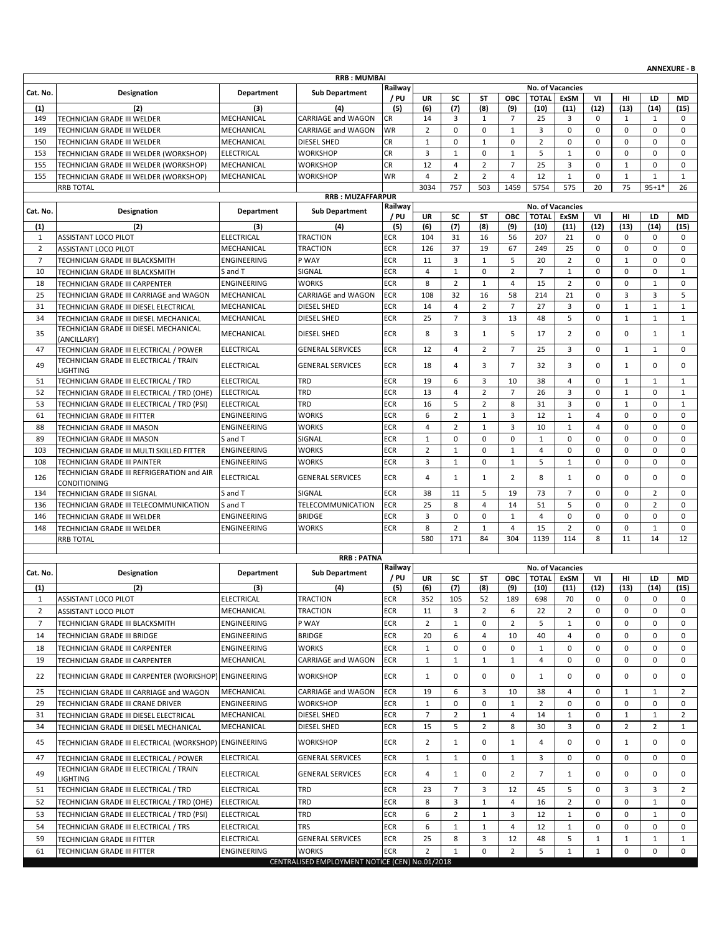|                |                                                                       |                                 |                                                |             |                |                                |                |                   |                         |                         |                |                |                   | <b>ANNEXURE - B</b> |
|----------------|-----------------------------------------------------------------------|---------------------------------|------------------------------------------------|-------------|----------------|--------------------------------|----------------|-------------------|-------------------------|-------------------------|----------------|----------------|-------------------|---------------------|
|                |                                                                       |                                 | <b>RRB: MUMBAI</b>                             | Railway     |                |                                |                |                   | <b>No. of Vacancies</b> |                         |                |                |                   |                     |
| Cat. No.       | Designation                                                           | <b>Department</b>               | <b>Sub Department</b>                          | / PU        | <b>UR</b>      | SC                             | ST             | ОВС               | <b>TOTAL</b>            | <b>ExSM</b>             | VI             | HI             | LD                | MD                  |
| (1)            | (2)                                                                   | (3)                             | (4)                                            | (5)         | (6)            | (7)                            | (8)            | (9)               | (10)                    | (11)                    | (12)           | (13)           | (14)              | (15)                |
| 149            | TECHNICIAN GRADE III WELDER                                           | MECHANICAL                      | CARRIAGE and WAGON                             | CR          | 14             | 3                              | 1              | $\overline{7}$    | 25                      | 3                       | 0              | 1              | 1                 | $\mathbf 0$         |
| 149            | TECHNICIAN GRADE III WELDER                                           | MECHANICAL                      | CARRIAGE and WAGON                             | WR          | $\overline{2}$ | $\mathbf 0$                    | $\mathbf 0$    | $\mathbf{1}$      | 3                       | $\mathbf 0$             | $\mathbf 0$    | 0              | $\mathbf 0$       | $\mathbf 0$         |
| 150            | TECHNICIAN GRADE III WELDER                                           | MECHANICAL                      | DIESEL SHED                                    | <b>CR</b>   | $\mathbf{1}$   | $\pmb{0}$                      | $\mathbf{1}$   | $\mathbf 0$       | $\overline{2}$          | 0                       | 0              | 0              | $\mathbf 0$       | $\mathbf 0$         |
| 153            | TECHNICIAN GRADE III WELDER (WORKSHOP)                                | <b>ELECTRICAL</b>               | WORKSHOP                                       | <b>CR</b>   | 3              | $\mathbf{1}$                   | 0              | $\mathbf{1}$      | 5                       | $\mathbf{1}$            | $\mathbf 0$    | 0              | $\mathbf 0$       | $\mathbf 0$         |
| 155            | TECHNICIAN GRADE III WELDER (WORKSHOP)                                | MECHANICAL                      | WORKSHOP                                       | <b>CR</b>   | 12             | $\overline{4}$                 | $\overline{2}$ | $\overline{7}$    | 25                      | 3                       | 0              | $\mathbf{1}$   | $\mathbf 0$       | $\mathbf 0$         |
| 155            | TECHNICIAN GRADE III WELDER (WORKSHOP)                                | MECHANICAL                      | WORKSHOP                                       | WR          | 4              | $\overline{2}$                 | $\overline{2}$ | $\overline{4}$    | 12                      | $\mathbf{1}$            | $\mathbf 0$    | $\mathbf 1$    | $\mathbf{1}$      | $\mathbf{1}$        |
|                | <b>RRB TOTAL</b>                                                      |                                 |                                                |             | 3034           | 757                            | 503            | 1459              | 5754                    | 575                     | 20             | 75             | $95 + 1*$         | 26                  |
|                |                                                                       |                                 | <b>RRB: MUZAFFARPUR</b>                        | Railway     |                |                                |                |                   | No. of Vacancies        |                         |                |                |                   |                     |
| Cat. No.       | <b>Designation</b>                                                    | <b>Department</b>               | <b>Sub Department</b>                          | / PU        | UR             | SC                             | ST             | ОВС               | <b>TOTAL</b>            | ExSM                    | VI             | нı             | LD                | MD                  |
| (1)            | (2)                                                                   | (3)                             | (4)                                            | (5)         | (6)            | (7)                            | (8)            | (9)               | (10)                    | (11)                    | (12)           | (13)           | (14)              | (15)                |
| 1              | <b>ASSISTANT LOCO PILOT</b>                                           | <b>ELECTRICAL</b>               | <b>TRACTION</b>                                | <b>ECR</b>  | 104            | 31                             | 16             | 56                | 207                     | 21                      | 0              | 0              | 0                 | 0                   |
| $\overline{2}$ | <b>ASSISTANT LOCO PILOT</b>                                           | MECHANICAL                      | TRACTION                                       | ECR         | 126            | 37                             | 19             | 67                | 249                     | 25                      | $\mathbf 0$    | 0              | $\mathbf 0$       | $\mathbf 0$         |
| $\overline{7}$ | TECHNICIAN GRADE III BLACKSMITH                                       | ENGINEERING                     | P WAY                                          | <b>ECR</b>  | 11             | 3                              | 1              | 5                 | 20                      | $\overline{2}$          | $\mathbf 0$    | 1              | $\mathbf 0$       | $\mathbf 0$         |
| 10             | TECHNICIAN GRADE III BLACKSMITH                                       | S and T                         | SIGNAL                                         | <b>ECR</b>  | $\overline{4}$ | $\mathbf 1$                    | $\mathbf 0$    | $\overline{2}$    | $\overline{7}$          | $\mathbf{1}$            | $\mathbf 0$    | 0              | $\mathbf 0$       | $\mathbf{1}$        |
| 18             | TECHNICIAN GRADE III CARPENTER                                        | ENGINEERING                     | <b>WORKS</b>                                   | <b>ECR</b>  | 8              | $\overline{2}$                 | $\mathbf{1}$   | 4                 | 15                      | $\overline{2}$          | 0              | 0              | $\mathbf{1}$      | $\mathbf 0$         |
| 25             | TECHNICIAN GRADE III CARRIAGE and WAGON                               | MECHANICAL                      | <b>CARRIAGE and WAGON</b>                      | <b>ECR</b>  | 108            | 32                             | 16             | 58                | 214                     | 21                      | $\mathbf 0$    | 3              | 3                 | 5                   |
| 31             | TECHNICIAN GRADE III DIESEL ELECTRICAL                                | MECHANICAL                      | DIESEL SHED                                    | <b>ECR</b>  | 14             | $\overline{4}$                 | $\overline{2}$ | $\overline{7}$    | 27                      | 3                       | $\mathbf 0$    | $\mathbf 1$    | $\mathbf{1}$      | $\mathbf{1}$        |
| 34             | TECHNICIAN GRADE III DIESEL MECHANICAL                                | MECHANICAL                      | <b>DIESEL SHED</b>                             | <b>ECR</b>  | 25             | $\overline{7}$                 | 3              | 13                | 48                      | 5                       | 0              | $\mathbf{1}$   | $\mathbf{1}$      | $\mathbf{1}$        |
| 35             | TECHNICIAN GRADE III DIESEL MECHANICAL<br>(ANCILLARY)                 | MECHANICAL                      | DIESEL SHED                                    | ECR         | 8              | 3                              | $\mathbf{1}$   | 5                 | 17                      | $\overline{2}$          | $\mathbf 0$    | 0              | 1                 | $\mathbf{1}$        |
| 47             | TECHNICIAN GRADE III ELECTRICAL / POWER                               | <b>ELECTRICAL</b>               | <b>GENERAL SERVICES</b>                        | <b>ECR</b>  | 12             | $\overline{4}$                 | $\overline{2}$ | $\overline{7}$    | 25                      | 3                       | $\mathbf 0$    | $\mathbf{1}$   | $\mathbf{1}$      | $\mathbf 0$         |
|                | TECHNICIAN GRADE III ELECTRICAL / TRAIN                               |                                 |                                                |             |                |                                |                |                   |                         |                         |                |                |                   |                     |
| 49             | <b>LIGHTING</b>                                                       | <b>ELECTRICAL</b>               | <b>GENERAL SERVICES</b>                        | ECR         | 18             | $\overline{4}$                 | 3              | $\overline{7}$    | 32                      | 3                       | $\mathbf 0$    | $\mathbf{1}$   | $\mathbf 0$       | 0                   |
| 51             | TECHNICIAN GRADE III ELECTRICAL / TRD                                 | <b>ELECTRICAL</b>               | TRD                                            | <b>ECR</b>  | 19             | 6                              | 3              | 10                | 38                      | 4                       | $\mathbf 0$    | 1              | 1                 | 1                   |
| 52             | TECHNICIAN GRADE III ELECTRICAL / TRD (OHE)                           | <b>ELECTRICAL</b>               | TRD                                            | <b>ECR</b>  | 13             | $\overline{4}$                 | $\overline{2}$ | $\overline{7}$    | 26                      | 3                       | $\mathbf 0$    | $\mathbf{1}$   | $\mathbf 0$       | $\mathbf{1}$        |
| 53             | TECHNICIAN GRADE III ELECTRICAL / TRD (PSI)                           | <b>ELECTRICAL</b>               | TRD                                            | ECR         | 16             | 5                              | $\overline{2}$ | 8                 | 31                      | 3                       | $\mathbf 0$    | $\mathbf{1}$   | $\mathbf 0$       | $\mathbf{1}$        |
| 61             | TECHNICIAN GRADE III FITTER                                           | ENGINEERING                     | <b>WORKS</b>                                   | <b>ECR</b>  | 6              | $\overline{2}$                 | $\mathbf{1}$   | 3                 | 12                      | $\mathbf{1}$            | $\overline{4}$ | 0              | $\mathbf 0$       | $\mathbf 0$         |
| 88             | TECHNICIAN GRADE III MASON                                            | ENGINEERING                     | WORKS                                          | <b>ECR</b>  | $\overline{4}$ | $\overline{2}$                 | $\mathbf{1}$   | 3                 | 10                      | $\mathbf{1}$            | $\overline{4}$ | 0              | $\mathbf 0$       | $\mathbf 0$         |
| 89             | TECHNICIAN GRADE III MASON                                            | S and T                         | SIGNAL                                         | ECR         | $\mathbf{1}$   | $\mathbf 0$                    | $\mathbf 0$    | $\mathbf 0$       | $\mathbf{1}$            | 0                       | 0              | 0              | $\mathbf 0$       | $\mathbf 0$         |
| 103            | TECHNICIAN GRADE III MULTI SKILLED FITTER                             | ENGINEERING                     | WORKS                                          | ECR         | $\overline{2}$ | $\mathbf{1}$                   | $\mathbf 0$    | $\mathbf{1}$      | $\overline{4}$          | 0                       | $\mathbf 0$    | 0              | $\mathbf 0$       | $\mathbf 0$         |
| 108            | TECHNICIAN GRADE III PAINTER                                          | ENGINEERING                     | <b>WORKS</b>                                   | <b>ECR</b>  | 3              | $\mathbf{1}$                   | 0              | $\mathbf{1}$      | 5                       | $\mathbf{1}$            | 0              | 0              | 0                 | 0                   |
| 126            | TECHNICIAN GRADE III REFRIGERATION and AIR                            | <b>ELECTRICAL</b>               | <b>GENERAL SERVICES</b>                        | <b>ECR</b>  | 4              | $\mathbf{1}$                   | $\mathbf{1}$   | 2                 | 8                       | 1                       | $\Omega$       | 0              | $\mathbf 0$       | $\mathbf 0$         |
|                | CONDITIONING                                                          |                                 | SIGNAL                                         | <b>ECR</b>  |                |                                | 5              | 19                | 73                      | $\overline{7}$          | $\mathbf 0$    | 0              | $\overline{2}$    | $\mathbf 0$         |
| 134<br>136     | TECHNICIAN GRADE III SIGNAL                                           | S and T<br>S and T              |                                                | <b>ECR</b>  | 38<br>25       | 11<br>8                        | $\overline{4}$ | 14                | 51                      | 5                       | $\mathbf 0$    | 0              | $\overline{2}$    | $\mathbf 0$         |
| 146            | TECHNICIAN GRADE III TELECOMMUNICATION<br>TECHNICIAN GRADE III WELDER | ENGINEERING                     | TELECOMMUNICATION<br><b>BRIDGE</b>             | ECR         | 3              | $\mathbf 0$                    | $\mathbf 0$    | $\mathbf{1}$      | $\overline{4}$          | $\mathbf 0$             | 0              | 0              | $\mathbf 0$       | $\mathbf 0$         |
| 148            | TECHNICIAN GRADE III WELDER                                           | ENGINEERING                     | WORKS                                          | ECR         | 8              | $\overline{2}$                 | $\mathbf{1}$   | $\overline{4}$    | 15                      | $\overline{2}$          | $\mathbf 0$    | 0              | $\mathbf{1}$      | $\mathbf 0$         |
|                | <b>RRB TOTAL</b>                                                      |                                 |                                                |             | 580            | 171                            | 84             | 304               | 1139                    | 114                     | 8              | 11             | 14                | 12                  |
|                |                                                                       |                                 |                                                |             |                |                                |                |                   |                         |                         |                |                |                   |                     |
|                |                                                                       |                                 | <b>RRB: PATNA</b>                              |             |                |                                |                |                   |                         |                         |                |                |                   |                     |
| Cat. No.       | Designation                                                           | <b>Department</b>               | <b>Sub Department</b>                          | Railway     |                |                                |                |                   |                         | <b>No. of Vacancies</b> |                |                |                   |                     |
| (1)            | (2)                                                                   | (3)                             | (4)                                            | / PU<br>(5) | UR<br>(6)      | SC<br>(7)                      | SΤ<br>(8)      | <b>OBC</b><br>(9) | <b>TOTAL</b><br>(10)    | ExSM<br>(11)            | VI<br>(12)     | нı<br>(13)     | LD<br>(14)        | MD<br>(15)          |
| 1              | ASSISTANT LOCO PILOT                                                  | <b>ELECTRICAL</b>               | <b>TRACTION</b>                                | ECR         | 352            | 105                            | 52             | 189               | 698                     | 70                      | 0              | 0              | 0                 | 0                   |
| $\overline{2}$ | ASSISTANT LOCO PILOT                                                  | MECHANICAL                      | TRACTION                                       | ECR         | 11             | 3                              | $\overline{2}$ | 6                 | 22                      | $\overline{2}$          | 0              | 0              | 0                 | 0                   |
| $\overline{7}$ | TECHNICIAN GRADE III BLACKSMITH                                       | ENGINEERING                     | P WAY                                          | <b>ECR</b>  | $\overline{2}$ | $\mathbf{1}$                   | 0              | $\overline{2}$    | 5                       | $\mathbf{1}$            | 0              | 0              | 0                 | 0                   |
|                | TECHNICIAN GRADE III BRIDGE                                           | ENGINEERING                     | <b>BRIDGE</b>                                  | ECR         | 20             | 6                              | 4              | 10                | 40                      | 4                       | 0              | 0              | 0                 | 0                   |
| 14             |                                                                       |                                 |                                                |             | $\mathbf{1}$   | 0                              | 0              |                   |                         | 0                       | 0              | 0              |                   |                     |
| 18<br>19       | TECHNICIAN GRADE III CARPENTER<br>TECHNICIAN GRADE III CARPENTER      | ENGINEERING<br>MECHANICAL       | WORKS<br>CARRIAGE and WAGON                    | ECR<br>ECR  | $\mathbf{1}$   | $\mathbf{1}$                   | $\mathbf{1}$   | 0<br>1            | 1<br>4                  | 0                       | 0              | 0              | 0<br>0            | 0<br>0              |
| 22             | TECHNICIAN GRADE III CARPENTER (WORKSHOP) ENGINEERING                 |                                 | <b>WORKSHOP</b>                                | ECR         | $\mathbf{1}$   | 0                              | 0              | 0                 | 1                       | 0                       | 0              | 0              | 0                 | 0                   |
| 25             | TECHNICIAN GRADE III CARRIAGE and WAGON                               | MECHANICAL                      | <b>CARRIAGE and WAGON</b>                      | <b>ECR</b>  | 19             | 6                              | 3              | 10                | 38                      | 4                       | 0              | 1              | 1                 | 2                   |
| 29             | TECHNICIAN GRADE III CRANE DRIVER                                     | ENGINEERING                     | <b>WORKSHOP</b>                                | ECR         | $\mathbf{1}$   | 0                              | 0              | 1                 | $\overline{2}$          | 0                       | 0              | 0              | $\mathbf 0$       | $\mathbf 0$         |
| 31             | TECHNICIAN GRADE III DIESEL ELECTRICAL                                | MECHANICAL                      | DIESEL SHED                                    | ECR         | $\overline{7}$ | $\overline{2}$                 | $\mathbf{1}$   | 4                 | 14                      | 1                       | 0              | $\mathbf{1}$   | $\mathbf{1}$      | 2                   |
| 34             | TECHNICIAN GRADE III DIESEL MECHANICAL                                | MECHANICAL                      | DIESEL SHED                                    | <b>ECR</b>  | 15             | 5                              | 2              | 8                 | 30                      | 3                       | 0              | $\overline{2}$ | $\overline{2}$    | 1                   |
| 45             | TECHNICIAN GRADE III ELECTRICAL (WORKSHOP)                            | <b>ENGINEERING</b>              | WORKSHOP                                       | ECR         | $\overline{2}$ | $\mathbf{1}$                   | 0              | 1                 | 4                       | 0                       | 0              | $\mathbf{1}$   | 0                 | 0                   |
| 47             | TECHNICIAN GRADE III ELECTRICAL / POWER                               | <b>ELECTRICAL</b>               | <b>GENERAL SERVICES</b>                        | ECR         | 1              | $\mathbf{1}$                   | 0              | $\mathbf{1}$      | 3                       | 0                       | 0              | 0              | 0                 | 0                   |
| 49             | TECHNICIAN GRADE III ELECTRICAL / TRAIN<br>LIGHTING                   | ELECTRICAL                      | <b>GENERAL SERVICES</b>                        | <b>ECR</b>  | 4              | $\mathbf{1}$                   | 0              | $\overline{2}$    | $\overline{7}$          | $\mathbf{1}$            | 0              | 0              | 0                 | 0                   |
| 51             | TECHNICIAN GRADE III ELECTRICAL / TRD                                 | ELECTRICAL                      | TRD                                            | <b>ECR</b>  | 23             | $\overline{7}$                 | 3              | 12                | 45                      | 5                       | 0              | 3              | 3                 | 2                   |
| 52             | TECHNICIAN GRADE III ELECTRICAL / TRD (OHE)                           | <b>ELECTRICAL</b>               | TRD                                            | ECR         | 8              | 3                              | $\mathbf{1}$   | 4                 | 16                      | $\overline{2}$          | 0              | 0              | 1                 | 0                   |
|                |                                                                       |                                 | TRD                                            | ECR         | 6              |                                | $\mathbf{1}$   | 3                 |                         | $\mathbf{1}$            | 0              | 0              |                   |                     |
| 53<br>54       | TECHNICIAN GRADE III ELECTRICAL / TRD (PSI)                           | <b>ELECTRICAL</b><br>ELECTRICAL | TRS                                            | ECR         | 6              | $\overline{2}$<br>$\mathbf{1}$ | 1              | 4                 | 12<br>12                | 1                       | 0              | 0              | $\mathbf{1}$<br>0 | 0<br>$\mathbf 0$    |
| 59             | TECHNICIAN GRADE III ELECTRICAL / TRS                                 | ELECTRICAL                      | <b>GENERAL SERVICES</b>                        | ECR         | 25             | 8                              | 3              | 12                | 48                      | 5                       | $\mathbf{1}$   | $\mathbf{1}$   | $\mathbf{1}$      | 1                   |
| 61             | TECHNICIAN GRADE III FITTER<br>TECHNICIAN GRADE III FITTER            | ENGINEERING                     | <b>WORKS</b>                                   | ECR         | $\overline{2}$ | $\mathbf{1}$                   | 0              | $\overline{2}$    | 5                       | $\mathbf{1}$            | $\mathbf{1}$   | 0              | 0                 | 0                   |
|                |                                                                       |                                 | CENTRALISED EMPLOYMENT NOTICE (CEN) No.01/2018 |             |                |                                |                |                   |                         |                         |                |                |                   |                     |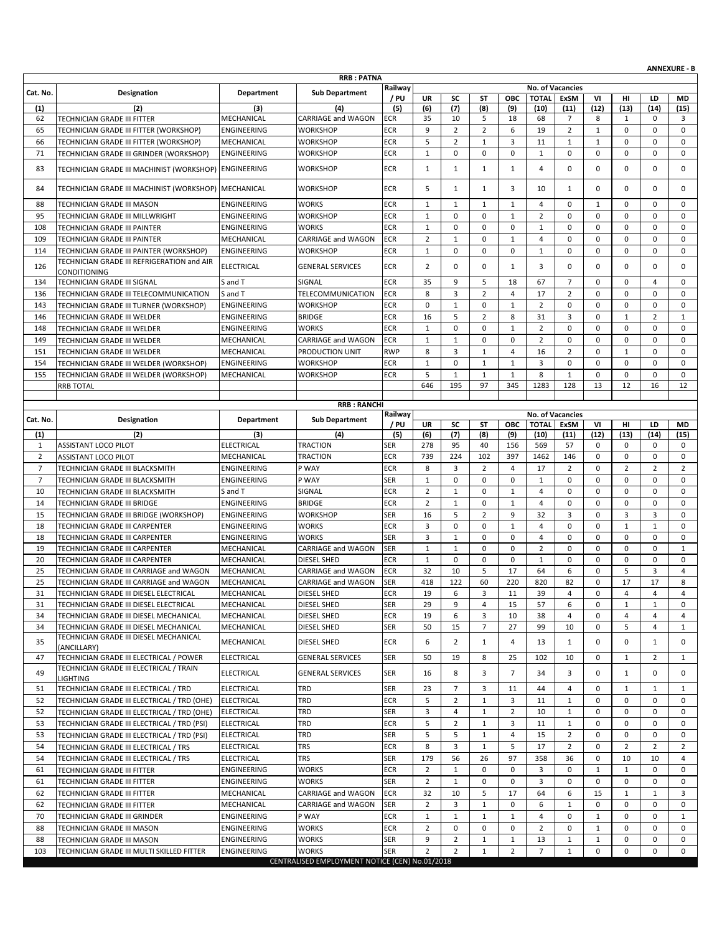|                |                                                                                      |                            |                                                |                          |                     |                             |                            |                             |                                  |                     |                              |                  |                             | <b>ANNEXURE - B</b> |
|----------------|--------------------------------------------------------------------------------------|----------------------------|------------------------------------------------|--------------------------|---------------------|-----------------------------|----------------------------|-----------------------------|----------------------------------|---------------------|------------------------------|------------------|-----------------------------|---------------------|
|                |                                                                                      |                            | <b>RRB: PATNA</b>                              | Railway                  |                     |                             |                            |                             |                                  | No. of Vacancies    |                              |                  |                             |                     |
| Cat. No.       | Designation                                                                          | Department                 | <b>Sub Department</b>                          | / PU                     | <b>UR</b>           | SC                          | ST                         | ОВС                         | <b>TOTAL</b>                     | ExSM                | VI                           | HI               | LD                          | MD                  |
| (1)            | (2)                                                                                  | (3)                        | (4)                                            | (5)                      | (6)                 | (7)                         | (8)                        | (9)                         | (10)                             | (11)                | (12)                         | (13)             | (14)                        | (15)                |
| 62             | TECHNICIAN GRADE III FITTER<br>TECHNICIAN GRADE III FITTER (WORKSHOP)                | MECHANICAL                 | CARRIAGE and WAGON                             | ECR                      | 35<br>9             | 10<br>$\overline{2}$        | 5<br>$\overline{2}$        | 18<br>6                     | 68<br>19                         | 7<br>$\overline{2}$ | 8<br>$\mathbf{1}$            | 1<br>0           | 0<br>$\mathbf 0$            | 3<br>$\mathbf 0$    |
| 65<br>66       | TECHNICIAN GRADE III FITTER (WORKSHOP)                                               | ENGINEERING<br>MECHANICAL  | WORKSHOP<br><b>WORKSHOP</b>                    | <b>ECR</b><br><b>ECR</b> | 5                   | $\overline{2}$              | 1                          | 3                           | 11                               | 1                   | 1                            | 0                | $\mathbf 0$                 | 0                   |
| 71             | TECHNICIAN GRADE III GRINDER (WORKSHOP)                                              | <b>ENGINEERING</b>         | WORKSHOP                                       | <b>ECR</b>               | $\mathbf{1}$        | $\mathbf 0$                 | $\mathbf 0$                | $\mathbf 0$                 | $\mathbf{1}$                     | 0                   | $\mathbf 0$                  | 0                | $\mathbf 0$                 | 0                   |
|                |                                                                                      |                            |                                                |                          |                     |                             |                            |                             |                                  |                     |                              |                  |                             |                     |
| 83             | TECHNICIAN GRADE III MACHINIST (WORKSHOP) ENGINEERING                                |                            | WORKSHOP                                       | <b>ECR</b>               | $\mathbf{1}$        | $\mathbf{1}$                | 1                          | 1                           | $\overline{4}$                   | 0                   | 0                            | 0                | $\mathbf 0$                 | 0                   |
| 84             | TECHNICIAN GRADE III MACHINIST (WORKSHOP)   MECHANICAL                               |                            | <b>WORKSHOP</b>                                | ECR                      | 5                   | $\mathbf{1}$                | 1                          | 3                           | 10                               | $\mathbf{1}$        | 0                            | 0                | $\mathbf 0$                 | 0                   |
| 88             | TECHNICIAN GRADE III MASON                                                           | ENGINEERING                | <b>WORKS</b>                                   | <b>ECR</b>               | $\mathbf{1}$        | $\mathbf{1}$                | 1                          | $\mathbf{1}$                | $\overline{4}$                   | $\mathbf 0$         | $\mathbf{1}$                 | 0                | $\mathbf 0$                 | 0                   |
| 95             | TECHNICIAN GRADE III MILLWRIGHT                                                      | ENGINEERING                | <b>WORKSHOP</b>                                | ECR                      | $\mathbf{1}$        | $\mathbf 0$                 | $\mathbf 0$                | $\mathbf{1}$                | $\overline{2}$                   | $\mathbf 0$         | $\mathbf 0$                  | 0                | $\mathbf 0$                 | 0                   |
| 108            | TECHNICIAN GRADE III PAINTER                                                         | ENGINEERING                | WORKS                                          | <b>ECR</b>               | $\mathbf{1}$        | 0                           | $\mathbf 0$                | $\mathbf 0$                 | $\mathbf{1}$                     | 0                   | 0                            | 0                | $\mathbf 0$                 | 0                   |
| 109            | TECHNICIAN GRADE III PAINTER                                                         | MECHANICAL                 | CARRIAGE and WAGON                             | <b>ECR</b>               | $\overline{2}$      | $\mathbf{1}$                | 0                          | $\mathbf{1}$                | 4                                | 0                   | $\mathbf 0$                  | 0                | 0                           | 0                   |
| 114            | TECHNICIAN GRADE III PAINTER (WORKSHOP)                                              | ENGINEERING                | <b>WORKSHOP</b>                                | ECR                      | $\mathbf{1}$        | 0                           | $\mathbf 0$                | $\mathbf 0$                 | $\mathbf 1$                      | $\mathbf 0$         | $\mathbf 0$                  | 0                | 0                           | 0                   |
| 126            | TECHNICIAN GRADE III REFRIGERATION and AIR                                           | <b>ELECTRICAL</b>          | <b>GENERAL SERVICES</b>                        | ECR                      | $\overline{2}$      | $\mathbf 0$                 | 0                          | $\mathbf{1}$                | 3                                | 0                   | 0                            | 0                | $\mathbf 0$                 | 0                   |
| 134            | CONDITIONING<br>TECHNICIAN GRADE III SIGNAL                                          | S and T                    | SIGNAL                                         | <b>ECR</b>               | 35                  | 9                           | 5                          | 18                          | 67                               | $\overline{7}$      | 0                            | 0                | 4                           | 0                   |
| 136            | TECHNICIAN GRADE III TELECOMMUNICATION                                               | S and T                    | TELECOMMUNICATION                              | <b>ECR</b>               | 8                   | 3                           | $\overline{2}$             | $\overline{4}$              | 17                               | $\overline{2}$      | $\mathbf 0$                  | 0                | $\mathbf 0$                 | $\mathbf 0$         |
| 143            | TECHNICIAN GRADE III TURNER (WORKSHOP)                                               | ENGINEERING                | <b>WORKSHOP</b>                                | ECR                      | 0                   | $\mathbf{1}$                | 0                          | $\mathbf{1}$                | $\overline{2}$                   | 0                   | 0                            | 0                | 0                           | $\mathbf 0$         |
| 146            | TECHNICIAN GRADE III WELDER                                                          | ENGINEERING                | <b>BRIDGE</b>                                  | <b>ECR</b>               | 16                  | 5                           | $\overline{2}$             | 8                           | 31                               | 3                   | 0                            | $\mathbf{1}$     | $\overline{2}$              | $\mathbf{1}$        |
| 148            | TECHNICIAN GRADE III WELDER                                                          | <b>ENGINEERING</b>         | <b>WORKS</b>                                   | <b>ECR</b>               | $\mathbf{1}$        | 0                           | $\mathbf 0$                | $\mathbf{1}$                | $\overline{2}$                   | $\mathbf 0$         | $\mathbf 0$                  | $\mathbf 0$      | $\mathbf 0$                 | $\mathbf 0$         |
| 149            | TECHNICIAN GRADE III WELDER                                                          | MECHANICAL                 | <b>CARRIAGE and WAGON</b>                      | <b>ECR</b>               | $\mathbf{1}$        | $\mathbf{1}$                | 0                          | $\mathbf 0$                 | 2                                | 0                   | 0                            | 0                | 0                           | 0                   |
| 151            | TECHNICIAN GRADE III WELDER                                                          | MECHANICAL                 | PRODUCTION UNIT                                | <b>RWP</b>               | 8                   | 3                           | $\mathbf{1}$               | 4                           | 16                               | $\overline{2}$      | 0                            | $\mathbf{1}$     | 0                           | 0                   |
| 154            | TECHNICIAN GRADE III WELDER (WORKSHOP)                                               | ENGINEERING                | WORKSHOP                                       | ECR                      | $\mathbf{1}$        | 0                           | $\mathbf{1}$               | $\mathbf{1}$                | 3                                | 0                   | $\mathbf 0$                  | 0                | 0                           | $\mathbf 0$         |
| 155            | TECHNICIAN GRADE III WELDER (WORKSHOP)                                               | MECHANICAL                 | WORKSHOP                                       | ECR                      | 5                   | $\mathbf{1}$                | $\mathbf{1}$               | $\mathbf{1}$                | 8                                | $\mathbf{1}$        | $\mathbf 0$                  | $\mathbf 0$      | $\mathbf 0$                 | $\mathbf 0$         |
|                | <b>RRB TOTAL</b>                                                                     |                            |                                                |                          | 646                 | 195                         | 97                         | 345                         | 1283                             | 128                 | 13                           | 12               | 16                          | 12                  |
|                |                                                                                      |                            | <b>RRB: RANCHI</b>                             |                          |                     |                             |                            |                             |                                  |                     |                              |                  |                             |                     |
| Cat. No.       | Designation                                                                          | Department                 | <b>Sub Department</b>                          | Railway                  |                     |                             |                            |                             | <b>No. of Vacancies</b>          |                     |                              |                  |                             |                     |
| (1)            | (2)                                                                                  | (3)                        | (4)                                            | / PU<br>(5)              | UR<br>(6)           | SC<br>(7)                   | ST<br>(8)                  | ОВС<br>(9)                  | <b>TOTAL</b><br>(10)             | <b>ExSM</b><br>(11) | VI<br>(12)                   | HI<br>(13)       | LD<br>(14)                  | <b>MD</b><br>(15)   |
| 1              | <b>ASSISTANT LOCO PILOT</b>                                                          | <b>ELECTRICAL</b>          | <b>TRACTION</b>                                | SER                      | 278                 | 95                          | 40                         | 156                         | 569                              | 57                  | 0                            | 0                | $\mathbf 0$                 | 0                   |
| 2              | <b>ASSISTANT LOCO PILOT</b>                                                          | MECHANICAL                 | <b>TRACTION</b>                                | <b>ECR</b>               | 739                 | 224                         | 102                        | 397                         | 1462                             | 146                 | 0                            | 0                | 0                           | 0                   |
| $\overline{7}$ | TECHNICIAN GRADE III BLACKSMITH                                                      | ENGINEERING                | P WAY                                          | <b>ECR</b>               | 8                   | 3                           | $\overline{2}$             | $\overline{4}$              | 17                               | $\overline{2}$      | 0                            | $\overline{2}$   | $\overline{2}$              | $\overline{2}$      |
| $\overline{7}$ | TECHNICIAN GRADE III BLACKSMITH                                                      | ENGINEERING                | P WAY                                          | <b>SER</b>               | $\mathbf{1}$        | 0                           | 0                          | 0                           | $\mathbf{1}$                     | 0                   | 0                            | 0                | $\mathbf 0$                 | 0                   |
| 10             | TECHNICIAN GRADE III BLACKSMITH                                                      | S and T                    | SIGNAL                                         | <b>ECR</b>               | $\overline{2}$      | $\mathbf{1}$                | $\mathbf 0$                | $\mathbf{1}$                | $\overline{4}$                   | $\mathbf 0$         | $\mathbf 0$                  | 0                | $\mathbf 0$                 | $\mathbf 0$         |
| 14             | TECHNICIAN GRADE III BRIDGE                                                          | ENGINEERING                | <b>BRIDGE</b>                                  | <b>ECR</b>               | $\overline{2}$      | $\mathbf{1}$                | $\mathbf 0$                | $\mathbf{1}$                | $\overline{4}$                   | 0                   | 0                            | 0                | 0                           | $\mathbf 0$         |
| 15             | TECHNICIAN GRADE III BRIDGE (WORKSHOP)                                               | ENGINEERING                | WORKSHOP                                       | <b>SER</b>               | 16                  | 5                           | $\overline{2}$             | 9                           | 32                               | 3                   | $\mathbf 0$                  | 3                | 3                           | 0                   |
| 18<br>18       | TECHNICIAN GRADE III CARPENTER                                                       | ENGINEERING<br>ENGINEERING | <b>WORKS</b><br><b>WORKS</b>                   | <b>ECR</b><br><b>SER</b> | 3<br>3              | $\mathbf 0$<br>$\mathbf{1}$ | $\mathbf 0$<br>$\mathbf 0$ | $\mathbf{1}$<br>$\mathbf 0$ | $\overline{4}$<br>$\overline{4}$ | 0<br>$\mathbf 0$    | $\mathbf 0$<br>0             | $\mathbf 1$<br>0 | $\mathbf{1}$<br>$\mathbf 0$ | 0<br>0              |
| 19             | TECHNICIAN GRADE III CARPENTER<br>TECHNICIAN GRADE III CARPENTER                     | MECHANICAL                 | CARRIAGE and WAGON                             | <b>SER</b>               | $\mathbf{1}$        | $\mathbf{1}$                | 0                          | 0                           | $\overline{2}$                   | 0                   | 0                            | 0                | 0                           | $\mathbf{1}$        |
| 20             | TECHNICIAN GRADE III CARPENTER                                                       | MECHANICAL                 | DIESEL SHED                                    | <b>ECR</b>               | $\mathbf{1}$        | 0                           | $\mathbf 0$                | $\mathbf 0$                 | $\mathbf{1}$                     | 0                   | 0                            | 0                | 0                           | 0                   |
| 25             | TECHNICIAN GRADE III CARRIAGE and WAGON                                              | MECHANICAL                 | CARRIAGE and WAGON                             | <b>ECR</b>               | 32                  | 10                          | 5                          | 17                          | 64                               | 6                   | $\mathbf 0$                  | 5                | 3                           | 4                   |
| 25             | TECHNICIAN GRADE III CARRIAGE and WAGON                                              | MECHANICAL                 | CARRIAGE and WAGON                             | <b>SER</b>               | 418                 | 122                         | 60                         | 220                         | 820                              | 82                  | 0                            | 17               | 17                          | 8                   |
| 31             | TECHNICIAN GRADE III DIESEL ELECTRICAL                                               | MECHANICAL                 | DIESEL SHED                                    | ECR                      | 19                  | 6                           | 3.                         | 11                          | 39                               | 4                   | 0                            | 4                | 4                           |                     |
| 31             | TECHNICIAN GRADE III DIESEL ELECTRICAL                                               | MECHANICAL                 | DIESEL SHED                                    | <b>SER</b>               | 29                  | 9                           | 4                          | 15                          | 57                               | 6                   | $\mathbf 0$                  | $\mathbf{1}$     | $\mathbf{1}$                | $\mathbf 0$         |
| 34             | TECHNICIAN GRADE III DIESEL MECHANICAL                                               | MECHANICAL                 | DIESEL SHED                                    | <b>ECR</b>               | 19                  | 6                           | 3                          | 10                          | 38                               | 4                   | 0                            | 4                | 4                           | 4                   |
| 34             | TECHNICIAN GRADE III DIESEL MECHANICAL<br>TECHNICIAN GRADE III DIESEL MECHANICAL     | MECHANICAL                 | DIESEL SHED                                    | <b>SER</b>               | 50                  | 15                          | $\overline{7}$             | 27                          | 99                               | 10                  | 0                            | 5                | 4                           | $\mathbf{1}$        |
| 35             | (ANCILLARY)                                                                          | MECHANICAL                 | DIESEL SHED                                    | <b>ECR</b>               | 6                   | $\overline{2}$              | $\mathbf{1}$               | 4                           | 13                               | $\mathbf{1}$        | 0                            | 0                | $\mathbf{1}$                | 0                   |
| 47             | TECHNICIAN GRADE III ELECTRICAL / POWER                                              | <b>ELECTRICAL</b>          | <b>GENERAL SERVICES</b>                        | <b>SER</b>               | 50                  | 19                          | 8                          | 25                          | 102                              | 10                  | 0                            | $\mathbf{1}$     | $\overline{2}$              | $\mathbf{1}$        |
| 49             | TECHNICIAN GRADE III ELECTRICAL / TRAIN                                              | <b>ELECTRICAL</b>          | <b>GENERAL SERVICES</b>                        | <b>SER</b>               | 16                  | 8                           | 3                          | $\overline{7}$              | 34                               | 3                   | 0                            | 1                | 0                           | 0                   |
| 51             | <b>LIGHTING</b>                                                                      | <b>ELECTRICAL</b>          | TRD                                            | <b>SER</b>               | 23                  | $\overline{7}$              | 3                          | 11                          | 44                               | 4                   | 0                            | 1                | 1                           | 1                   |
| 52             | TECHNICIAN GRADE III ELECTRICAL / TRD<br>TECHNICIAN GRADE III ELECTRICAL / TRD (OHE) | <b>ELECTRICAL</b>          | TRD                                            | <b>ECR</b>               | 5                   | $\overline{2}$              | 1                          | 3                           | 11                               | 1                   | 0                            | 0                | $\mathbf 0$                 | $\mathbf 0$         |
| 52             | TECHNICIAN GRADE III ELECTRICAL / TRD (OHE)                                          | <b>ELECTRICAL</b>          | TRD                                            | <b>SER</b>               | 3                   | $\overline{4}$              | $\mathbf{1}$               | $\overline{2}$              | 10                               | $\mathbf{1}$        | 0                            | 0                | 0                           | 0                   |
| 53             | TECHNICIAN GRADE III ELECTRICAL / TRD (PSI)                                          | <b>ELECTRICAL</b>          | TRD                                            | ECR                      | 5                   | $\overline{2}$              | $\mathbf{1}$               | 3                           | 11                               | $\mathbf{1}$        | 0                            | 0                | 0                           | 0                   |
| 53             | TECHNICIAN GRADE III ELECTRICAL / TRD (PSI)                                          | <b>ELECTRICAL</b>          | TRD                                            | <b>SER</b>               | 5                   | 5                           | $\mathbf{1}$               | $\overline{4}$              | 15                               | $\overline{2}$      | $\mathbf 0$                  | 0                | $\mathbf 0$                 | 0                   |
| 54             | TECHNICIAN GRADE III ELECTRICAL / TRS                                                | <b>ELECTRICAL</b>          | <b>TRS</b>                                     | ECR                      | 8                   | 3                           | 1                          | 5                           | 17                               | 2                   | 0                            | $\overline{2}$   | 2                           | 2                   |
| 54             | TECHNICIAN GRADE III ELECTRICAL / TRS                                                | <b>ELECTRICAL</b>          | <b>TRS</b>                                     | <b>SER</b>               | 179                 | 56                          | 26                         | 97                          | 358                              | 36                  | 0                            | 10               | 10                          | 4                   |
| 61             | TECHNICIAN GRADE III FITTER                                                          | ENGINEERING                | WORKS                                          | <b>ECR</b>               | 2                   | $\mathbf{1}$                | 0                          | 0                           | 3                                | 0                   | $\mathbf{1}$                 | $\mathbf{1}$     | 0                           | 0                   |
| 61             | TECHNICIAN GRADE III FITTER                                                          | ENGINEERING                | <b>WORKS</b>                                   | <b>SER</b>               | $\overline{2}$      | $\mathbf{1}$                | 0                          | $\mathbf 0$                 | 3                                | $\mathbf 0$         | 0                            | 0                | 0                           | 0                   |
| 62             | TECHNICIAN GRADE III FITTER                                                          | MECHANICAL                 | CARRIAGE and WAGON                             | <b>ECR</b>               | 32                  | 10                          | 5                          | 17                          | 64                               | 6                   | 15                           | $\mathbf{1}$     | $\mathbf{1}$                | 3                   |
| 62             | TECHNICIAN GRADE III FITTER                                                          | MECHANICAL                 | CARRIAGE and WAGON                             | <b>SER</b>               | $\overline{2}$      | 3                           | $\mathbf{1}$               | $\mathbf 0$                 | 6                                | $\mathbf{1}$        | 0                            | 0                | 0                           | 0                   |
| 70             | TECHNICIAN GRADE III GRINDER                                                         | ENGINEERING                | P WAY                                          | ECR                      | $\mathbf{1}$        | $\mathbf{1}$                | $\mathbf{1}$               | $\mathbf{1}$                | $\overline{4}$                   | $\mathbf 0$         | $\mathbf{1}$                 | 0                | 0                           | 1                   |
| 88<br>88       | TECHNICIAN GRADE III MASON<br>TECHNICIAN GRADE III MASON                             | ENGINEERING<br>ENGINEERING | <b>WORKS</b><br><b>WORKS</b>                   | <b>ECR</b><br><b>SER</b> | $\overline{2}$<br>9 | 0<br>$\overline{2}$         | 0<br>$\mathbf{1}$          | 0<br>$\mathbf{1}$           | 2<br>13                          | 0<br>$\mathbf{1}$   | $\mathbf{1}$<br>$\mathbf{1}$ | 0<br>0           | 0<br>$\mathbf 0$            | $\mathbf 0$<br>0    |
| 103            | TECHNICIAN GRADE III MULTI SKILLED FITTER                                            | ENGINEERING                | <b>WORKS</b>                                   | SER                      | $\overline{2}$      | $\overline{2}$              | $\mathbf{1}$               | $\overline{2}$              | $\overline{7}$                   | $\mathbf{1}$        | 0                            | 0                | 0                           | 0                   |
|                |                                                                                      |                            | CENTRALISED EMPLOYMENT NOTICE (CEN) No.01/2018 |                          |                     |                             |                            |                             |                                  |                     |                              |                  |                             |                     |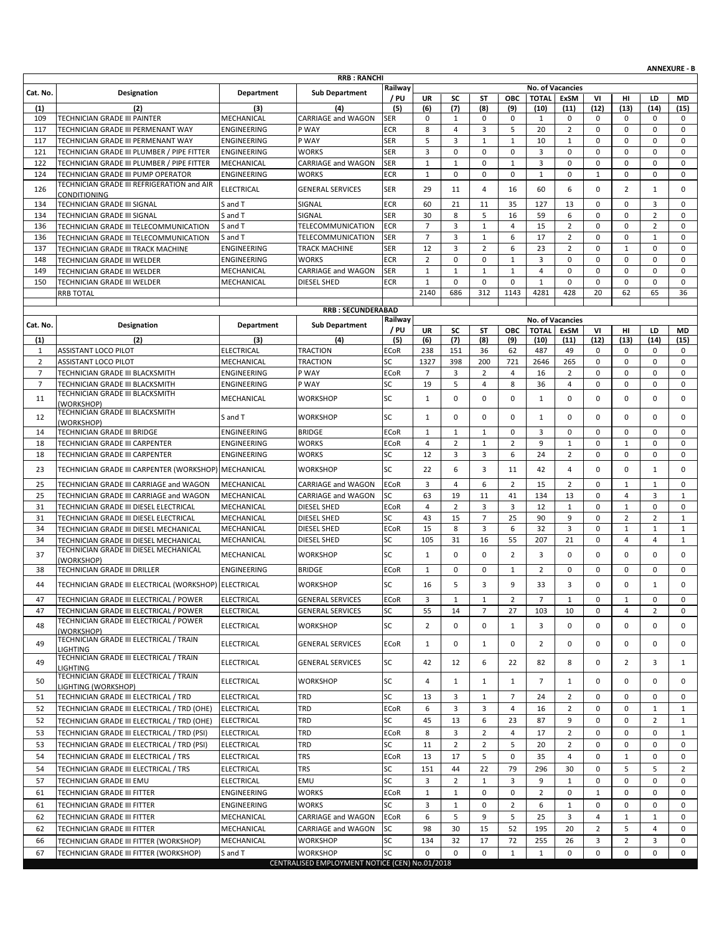|                |                                                                                  |                          | <b>RRB: RANCHI</b>                             |                   |                      |                      |                             |                              |                      |                     |                  |                               |                               | AIVIVLAUNL - D              |
|----------------|----------------------------------------------------------------------------------|--------------------------|------------------------------------------------|-------------------|----------------------|----------------------|-----------------------------|------------------------------|----------------------|---------------------|------------------|-------------------------------|-------------------------------|-----------------------------|
| Cat. No.       | Designation                                                                      | Department               | <b>Sub Department</b>                          | Railway           |                      |                      |                             |                              |                      | No. of Vacancies    |                  |                               |                               |                             |
|                |                                                                                  |                          |                                                | / PU              | UR                   | SC                   | <b>ST</b>                   | ОВС                          | <b>TOTAL</b>         | ExSM                | VI               | HI                            | LD                            | MD                          |
| (1)<br>109     | (2)<br>TECHNICIAN GRADE III PAINTER                                              | (3)<br>MECHANICAL        | (4)<br>CARRIAGE and WAGON                      | (5)               | (6)<br>$\mathbf 0$   | (7)<br>$\mathbf{1}$  | (8)<br>0                    | (9)<br>0                     | (10)                 | (11)<br>$\mathbf 0$ | (12)<br>0        | (13)<br>$\mathbf 0$           | (14)<br>0                     | (15)<br>0                   |
| 117            | TECHNICIAN GRADE III PERMENANT WAY                                               | ENGINEERING              | P WAY                                          | <b>SER</b><br>ECR | 8                    | $\overline{4}$       | 3                           | 5                            | 1<br>20              | $\overline{2}$      | $\mathbf 0$      | 0                             | $\mathbf 0$                   | $\mathbf 0$                 |
| 117            | TECHNICIAN GRADE III PERMENANT WAY                                               | ENGINEERING              | P WAY                                          | <b>SER</b>        | 5                    | 3                    | $\mathbf{1}$                | $\mathbf{1}$                 | 10                   | $\mathbf{1}$        | $\mathbf 0$      | 0                             | 0                             | $\mathbf 0$                 |
| 121            | TECHNICIAN GRADE III PLUMBER / PIPE FITTER                                       | ENGINEERING              | <b>WORKS</b>                                   | <b>SER</b>        | 3                    | $\mathbf 0$          | $\mathbf 0$                 | $\mathbf 0$                  | $\overline{3}$       | $\mathbf 0$         | $\mathbf 0$      | 0                             | $\mathbf 0$                   | $\mathbf 0$                 |
| 122            | TECHNICIAN GRADE III PLUMBER / PIPE FITTER                                       | MECHANICAL               | <b>CARRIAGE and WAGON</b>                      | <b>SER</b>        | $\mathbf{1}$         | $\mathbf{1}$         | 0                           | $\mathbf{1}$                 | 3                    | 0                   | 0                | 0                             | 0                             | 0                           |
| 124            | TECHNICIAN GRADE III PUMP OPERATOR                                               | ENGINEERING              | <b>WORKS</b>                                   | <b>ECR</b>        | $\mathbf{1}$         | 0                    | $\mathbf 0$                 | 0                            | $1\,$                | $\mathbf 0$         | $\mathbf{1}$     | 0                             | $\mathsf 0$                   | 0                           |
|                | TECHNICIAN GRADE III REFRIGERATION and AIR                                       |                          |                                                |                   |                      |                      |                             |                              |                      |                     |                  |                               |                               |                             |
| 126            | <b>CONDITIONING</b>                                                              | <b>ELECTRICAL</b>        | <b>GENERAL SERVICES</b>                        | <b>SER</b>        | 29                   | 11                   | 4                           | 16                           | 60                   | 6                   | $\mathbf 0$      | $\overline{2}$                | $\mathbf{1}$                  | $\mathbf 0$                 |
| 134            | TECHNICIAN GRADE III SIGNAL                                                      | S and T                  | SIGNAL                                         | <b>ECR</b>        | 60                   | 21                   | 11                          | 35                           | 127                  | 13                  | $\mathbf 0$      | 0                             | 3                             | 0                           |
| 134            | TECHNICIAN GRADE III SIGNAL                                                      | S and T                  | SIGNAL                                         | <b>SER</b>        | 30                   | 8                    | 5                           | 16                           | 59                   | 6                   | $\mathbf 0$      | 0                             | $\overline{2}$                | $\mathbf 0$                 |
| 136            | TECHNICIAN GRADE III TELECOMMUNICATION                                           | S and T                  | <b>TELECOMMUNICATION</b>                       | <b>ECR</b>        | $\overline{7}$       | 3                    | $\mathbf{1}$                | 4                            | 15                   | $\overline{2}$      | $\mathbf 0$      | 0                             | $\overline{2}$                | $\mathbf 0$                 |
| 136            | TECHNICIAN GRADE III TELECOMMUNICATION                                           | S and T                  | <b>TELECOMMUNICATION</b>                       | <b>SER</b>        | $\overline{7}$       | 3                    | $\mathbf 1$                 | 6                            | 17                   | $\overline{2}$      | $\mathbf 0$      | 0                             | $\mathbf 1$                   | $\mathbf 0$                 |
| 137            | TECHNICIAN GRADE III TRACK MACHINE                                               | ENGINEERING              | <b>TRACK MACHINE</b>                           | <b>SER</b>        | 12                   | 3                    | $\overline{2}$              | 6                            | 23                   | $\overline{2}$      | 0                | $\mathbf{1}$                  | $\mathsf 0$                   | $\mathbf 0$                 |
| 148            | TECHNICIAN GRADE III WELDER                                                      | ENGINEERING              | <b>WORKS</b>                                   | <b>ECR</b>        | $\overline{2}$       | $\mathbf 0$          | $\mathbf 0$<br>$\mathbf{1}$ | $\mathbf{1}$<br>$\mathbf{1}$ | 3                    | $\mathbf 0$         | $\mathbf 0$      | 0<br>0                        | $\mathbf 0$<br>$\mathbf 0$    | $\mathbf 0$                 |
| 149            | TECHNICIAN GRADE III WELDER                                                      | MECHANICAL               | CARRIAGE and WAGON                             | <b>SER</b>        | $\mathbf{1}$         | $\mathbf{1}$         | $\mathbf 0$                 | $\mathbf 0$                  | 4                    | 0                   | $\mathbf 0$      | 0                             |                               | $\mathbf 0$                 |
| 150            | TECHNICIAN GRADE III WELDER<br><b>RRB TOTAL</b>                                  | MECHANICAL               | DIESEL SHED                                    | <b>ECR</b>        | $\mathbf{1}$<br>2140 | 0<br>686             | 312                         | 1143                         | $\mathbf{1}$<br>4281 | $\mathsf 0$<br>428  | 0<br>20          | 62                            | $\mathsf 0$<br>65             | $\mathsf 0$<br>36           |
|                |                                                                                  |                          |                                                |                   |                      |                      |                             |                              |                      |                     |                  |                               |                               |                             |
|                |                                                                                  |                          | <b>RRB: SECUNDERABAD</b>                       |                   |                      |                      |                             |                              |                      |                     |                  |                               |                               |                             |
| Cat. No.       | Designation                                                                      | Department               | <b>Sub Department</b>                          | Railway           |                      |                      |                             |                              |                      | No. of Vacancies    |                  |                               |                               |                             |
| (1)            | (2)                                                                              | (3)                      | (4)                                            | / PU<br>(5)       | UR<br>(6)            | SC<br>(7)            | <b>ST</b><br>(8)            | ОВС<br>(9)                   | <b>TOTAL</b><br>(10) | <b>ExSM</b><br>(11) | VI<br>(12)       | HI<br>(13)                    | LD<br>(14)                    | MD<br>(15)                  |
| 1              | ASSISTANT LOCO PILOT                                                             | <b>ELECTRICAL</b>        | <b>TRACTION</b>                                | <b>ECoR</b>       | 238                  | 151                  | 36                          | 62                           | 487                  | 49                  | 0                | 0                             | 0                             | 0                           |
| $\overline{2}$ | <b>ASSISTANT LOCO PILOT</b>                                                      | MECHANICAL               | <b>TRACTION</b>                                | SC                | 1327                 | 398                  | 200                         | 721                          | 2646                 | 265                 | $\mathbf 0$      | 0                             | $\mathsf 0$                   | $\mathbf 0$                 |
| $\overline{7}$ | TECHNICIAN GRADE III BLACKSMITH                                                  | ENGINEERING              | P WAY                                          | <b>ECoR</b>       | $\overline{7}$       | 3                    | $\overline{2}$              | $\overline{4}$               | 16                   | $\overline{2}$      | $\mathbf 0$      | 0                             | $\mathbf 0$                   | $\mathbf 0$                 |
| $\overline{7}$ | TECHNICIAN GRADE III BLACKSMITH                                                  | <b>ENGINEERING</b>       | P WAY                                          | SC                | 19                   | 5                    | $\overline{4}$              | 8                            | 36                   | 4                   | 0                | 0                             | $\mathbf 0$                   | $\pmb{0}$                   |
| 11             | TECHNICIAN GRADE III BLACKSMITH                                                  | MECHANICAL               | <b>WORKSHOP</b>                                | SC                | $\mathbf{1}$         | 0                    | $\mathbf 0$                 | 0                            | 1                    | $\mathbf 0$         | $\mathbf 0$      | 0                             | $\mathsf 0$                   | 0                           |
|                | (WORKSHOP)                                                                       |                          |                                                |                   |                      |                      |                             |                              |                      |                     |                  |                               |                               |                             |
| 12             | TECHNICIAN GRADE III BLACKSMITH<br>(WORKSHOP)                                    | S and T                  | <b>WORKSHOP</b>                                | SC                | $\mathbf{1}$         | $\mathbf 0$          | $\mathbf 0$                 | $\mathbf 0$                  | 1                    | $\mathbf 0$         | 0                | 0                             | $\mathbf 0$                   | $\mathbf 0$                 |
| 14             | TECHNICIAN GRADE III BRIDGE                                                      | ENGINEERING              | <b>BRIDGE</b>                                  | <b>ECoR</b>       | $\mathbf{1}$         | $\mathbf{1}$         | $\mathbf{1}$                | $\mathbf 0$                  | 3                    | $\mathbf 0$         | 0                | 0                             | $\mathbf 0$                   | 0                           |
| 18             | TECHNICIAN GRADE III CARPENTER                                                   | ENGINEERING              | <b>WORKS</b>                                   | <b>ECoR</b>       | $\overline{4}$       | $\overline{2}$       | $\mathbf{1}$                | $\overline{2}$               | 9                    | $\mathbf{1}$        | $\mathbf 0$      | $\mathbf 1$                   | $\mathbf 0$                   | $\mathbf 0$                 |
| 18             | TECHNICIAN GRADE III CARPENTER                                                   | ENGINEERING              | <b>WORKS</b>                                   | SC                | 12                   | 3                    | 3                           | 6                            | 24                   | $\overline{2}$      | $\mathbf 0$      | 0                             | $\mathbf 0$                   | $\mathbf 0$                 |
| 23             | TECHNICIAN GRADE III CARPENTER (WORKSHOP) MECHANICAL                             |                          | <b>WORKSHOP</b>                                | SC                | 22                   | 6                    | 3                           | 11                           | 42                   | 4                   | $\mathbf 0$      | 0                             | $\mathbf{1}$                  | 0                           |
|                |                                                                                  |                          |                                                |                   |                      |                      |                             |                              |                      |                     |                  |                               |                               |                             |
| 25             | TECHNICIAN GRADE III CARRIAGE and WAGON                                          | MECHANICAL               | CARRIAGE and WAGON                             | <b>ECoR</b>       | 3                    | $\overline{4}$       | 6                           | $\overline{2}$               | 15                   | $\overline{2}$      | $\mathbf 0$      | $\mathbf{1}$                  | $\mathbf{1}$                  | $\mathbf 0$                 |
| 25             | TECHNICIAN GRADE III CARRIAGE and WAGON                                          | MECHANICAL               | CARRIAGE and WAGON                             | SC                | 63                   | 19                   | 11                          | 41                           | 134                  | 13                  | 0                | 4                             | 3                             | 1                           |
| 31<br>31       | TECHNICIAN GRADE III DIESEL ELECTRICAL<br>TECHNICIAN GRADE III DIESEL ELECTRICAL | MECHANICAL<br>MECHANICAL | <b>DIESEL SHED</b><br><b>DIESEL SHED</b>       | <b>ECoR</b><br>SC | $\overline{4}$<br>43 | $\overline{2}$<br>15 | 3<br>$\overline{7}$         | 3<br>25                      | 12<br>90             | $\mathbf 1$<br>9    | $\mathbf 0$<br>0 | $\mathbf 1$<br>$\overline{2}$ | $\mathbf 0$<br>$\overline{2}$ | $\mathbf 0$<br>$\mathbf{1}$ |
| 34             | TECHNICIAN GRADE III DIESEL MECHANICAL                                           | MECHANICAL               | DIESEL SHED                                    | <b>ECoR</b>       | 15                   | 8                    | 3                           | 6                            | 32                   | 3                   | 0                | $\mathbf{1}$                  | $\mathbf{1}$                  | $\mathbf{1}$                |
| 34             | TECHNICIAN GRADE III DIESEL MECHANICAL                                           | MECHANICAL               | DIESEL SHED                                    | SC                | 105                  | 31                   | 16                          | 55                           | 207                  | 21                  | $\mathbf 0$      | 4                             | $\overline{4}$                | $\mathbf{1}$                |
|                | TECHNICIAN GRADE III DIESEL MECHANICAL                                           |                          |                                                |                   |                      |                      |                             |                              |                      |                     |                  |                               |                               |                             |
| 37             | (WORKSHOP)                                                                       | MECHANICAL               | <b>WORKSHOP</b>                                | SC                | $\mathbf{1}$         | 0                    | $\mathbf 0$                 | $\overline{2}$               | 3                    | $\mathbf 0$         | 0                | 0                             | $\mathbf 0$                   | $\mathbf 0$                 |
| 38             | TECHNICIAN GRADE III DRILLER                                                     | <b>ENGINEERING</b>       | <b>BRIDGE</b>                                  | <b>ECoR</b>       | $\mathbf{1}$         | 0                    | $\mathbf 0$                 | $\mathbf{1}$                 | $\overline{2}$       | $\mathbf 0$         | 0                | 0                             | 0                             | 0                           |
| 44             | TECHNICIAN GRADE III ELECTRICAL (WORKSHOP) ELECTRICAL                            |                          | <b>WORKSHOP</b>                                | SC                | 16                   | 5                    | 3                           | 9                            | 33                   | 3                   | $\mathbf 0$      | 0                             | $\mathbf{1}$                  | $\mathbf 0$                 |
| 47             | TECHNICIAN GRADE III ELECTRICAL / POWER                                          | <b>ELECTRICAL</b>        | <b>GENERAL SERVICES</b>                        | ECoR              | 3                    | $\mathbf 1$          | $\mathbf 1$                 | $\overline{2}$               | $\overline{7}$       | $\,$ 1              | 0                | $\mathbf 1$                   | $\mathsf{O}\xspace$           | $\mathbf 0$                 |
| 47             | TECHNICIAN GRADE III ELECTRICAL / POWER                                          | <b>ELECTRICAL</b>        | <b>GENERAL SERVICES</b>                        | SC                | 55                   | 14                   | $\overline{7}$              | 27                           | 103                  | 10                  | 0                | 4                             | $\overline{2}$                | 0                           |
|                | TECHNICIAN GRADE III ELECTRICAL / POWER                                          |                          |                                                |                   |                      |                      |                             |                              |                      |                     |                  |                               |                               |                             |
| 48             | (WORKSHOP)                                                                       | <b>ELECTRICAL</b>        | <b>WORKSHOP</b>                                | SC                | $\overline{2}$       | 0                    | 0                           | $\mathbf{1}$                 | 3                    | 0                   | 0                | 0                             | $\mathbf 0$                   | $\mathbf 0$                 |
| 49             | TECHNICIAN GRADE III ELECTRICAL / TRAIN                                          | ELECTRICAL               | <b>GENERAL SERVICES</b>                        | <b>ECoR</b>       | $\mathbf{1}$         | 0                    | $\mathbf{1}$                | $\mathbf 0$                  | $\overline{2}$       | 0                   | 0                | 0                             | 0                             | 0                           |
|                | LIGHTING<br>TECHNICIAN GRADE III ELECTRICAL / TRAIN                              |                          |                                                |                   |                      |                      |                             |                              |                      |                     |                  |                               |                               |                             |
| 49             | <b>LIGHTING</b>                                                                  | <b>ELECTRICAL</b>        | <b>GENERAL SERVICES</b>                        | SC                | 42                   | 12                   | 6                           | 22                           | 82                   | 8                   | 0                | $\overline{2}$                | 3                             | $\mathbf{1}$                |
| 50             | TECHNICIAN GRADE III ELECTRICAL / TRAIN                                          | ELECTRICAL               | <b>WORKSHOP</b>                                | SC                | 4                    | $\mathbf{1}$         | $\mathbf{1}$                | 1                            | 7                    | 1                   | 0                | 0                             | 0                             | 0                           |
|                | LIGHTING (WORKSHOP)                                                              |                          |                                                |                   |                      |                      |                             |                              |                      |                     |                  |                               |                               |                             |
| 51             | TECHNICIAN GRADE III ELECTRICAL / TRD                                            | <b>ELECTRICAL</b>        | <b>TRD</b>                                     | SC                | 13                   | 3                    | $\mathbf{1}$                | $\overline{7}$               | 24                   | $\overline{2}$      | 0                | 0                             | $\mathbf 0$                   | $\mathbf 0$                 |
| 52             | TECHNICIAN GRADE III ELECTRICAL / TRD (OHE)                                      | <b>ELECTRICAL</b>        | <b>TRD</b>                                     | <b>ECoR</b>       | 6                    | 3                    | 3                           | 4                            | 16                   | $\overline{2}$      | 0                | 0                             | 1                             | $\mathbf{1}$                |
| 52             | TECHNICIAN GRADE III ELECTRICAL / TRD (OHE)                                      | <b>ELECTRICAL</b>        | <b>TRD</b>                                     | SC                | 45                   | 13                   | 6                           | 23                           | 87                   | 9                   | 0                | 0                             | $\overline{2}$                | 1                           |
| 53             | TECHNICIAN GRADE III ELECTRICAL / TRD (PSI)                                      | <b>ELECTRICAL</b>        | <b>TRD</b>                                     | <b>ECoR</b>       | 8                    | 3                    | 2                           | 4                            | 17                   | $\overline{2}$      | 0                | 0                             | 0                             | 1                           |
| 53             | TECHNICIAN GRADE III ELECTRICAL / TRD (PSI)                                      | <b>ELECTRICAL</b>        | <b>TRD</b>                                     | SC                | 11                   | $\overline{2}$       | $\overline{2}$              | 5                            | 20                   | 2                   | 0                | 0                             | 0                             | $\mathbf 0$                 |
| 54             | TECHNICIAN GRADE III ELECTRICAL / TRS                                            | ELECTRICAL               | <b>TRS</b>                                     | <b>ECoR</b>       | 13                   | 17                   | 5                           | $\mathbf 0$                  | 35                   | $\overline{4}$      | 0                | $\mathbf{1}$                  | $\mathbf 0$                   | $\mathbf 0$                 |
| 54             | TECHNICIAN GRADE III ELECTRICAL / TRS                                            | <b>ELECTRICAL</b>        | <b>TRS</b>                                     | SC                | 151                  | 44                   | 22                          | 79                           | 296                  | 30                  | 0                | 5                             | 5                             | 2                           |
| 57             | TECHNICIAN GRADE III EMU                                                         | <b>ELECTRICAL</b>        | EMU                                            | SC                | 3                    | $\overline{2}$       | $\mathbf{1}$                | 3                            | 9                    | $\mathbf{1}$        | 0                | 0                             | 0                             | 0                           |
| 61             | TECHNICIAN GRADE III FITTER                                                      | ENGINEERING              | <b>WORKS</b>                                   | <b>ECoR</b>       | $\mathbf{1}$         | $\mathbf{1}$         | 0                           | 0                            | $\overline{2}$       | 0                   | $\mathbf{1}$     | 0                             | 0                             | 0                           |
| 61             | TECHNICIAN GRADE III FITTER                                                      | ENGINEERING              | <b>WORKS</b>                                   | SC                | 3                    | $\mathbf{1}$         | 0                           | $\overline{2}$               | 6                    | $\mathbf{1}$        | 0                | 0                             | 0                             | 0                           |
| 62             | TECHNICIAN GRADE III FITTER                                                      | MECHANICAL               | CARRIAGE and WAGON                             | <b>ECoR</b>       | 6                    | 5                    | 9                           | 5                            | 25                   | 3                   | 4                | $\mathbf{1}$                  | $\mathbf{1}$                  | $\mathbf 0$                 |
| 62             | TECHNICIAN GRADE III FITTER                                                      | MECHANICAL               | CARRIAGE and WAGON                             | SC                | 98                   | 30                   | 15                          | 52                           | 195                  | 20                  | $\overline{2}$   | 5                             | 4                             | $\mathbf 0$                 |
| 66             | TECHNICIAN GRADE III FITTER (WORKSHOP)                                           | MECHANICAL               | <b>WORKSHOP</b>                                | SC                | 134                  | 32                   | 17                          | 72                           | 255                  | 26                  | 3                | $\overline{2}$                | 3                             | 0                           |
| 67             | TECHNICIAN GRADE III FITTER (WORKSHOP)                                           | S and T                  | <b>WORKSHOP</b>                                | SC                | 0                    | $\mathbf 0$          | $\mathbf 0$                 | $\mathbf{1}$                 | $\mathbf{1}$         | 0                   | 0                | 0                             | 0                             | 0                           |
|                |                                                                                  |                          | CENTRALISED EMPLOYMENT NOTICE (CEN) No.01/2018 |                   |                      |                      |                             |                              |                      |                     |                  |                               |                               |                             |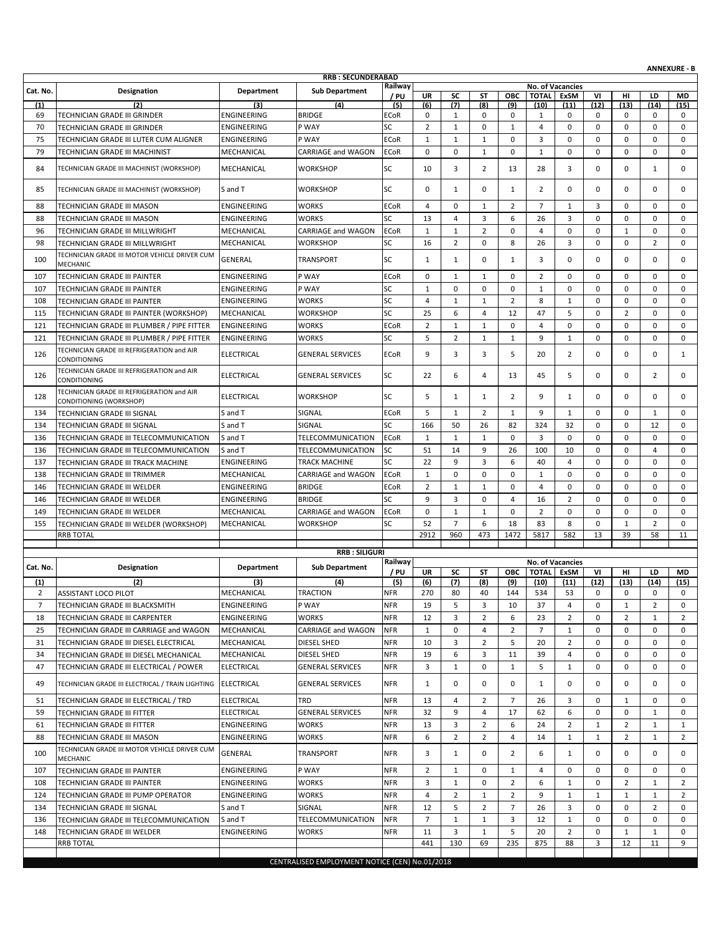|                |                                                                       |                    |                                                |                   |                     |                |                  |                |                |                         |                |                |                  | <b>ANNEXURE - B</b> |
|----------------|-----------------------------------------------------------------------|--------------------|------------------------------------------------|-------------------|---------------------|----------------|------------------|----------------|----------------|-------------------------|----------------|----------------|------------------|---------------------|
|                |                                                                       |                    | <b>RRB: SECUNDERABAD</b>                       | Railway           |                     |                |                  |                |                | <b>No. of Vacancies</b> |                |                |                  |                     |
| Cat. No.       | Designation                                                           | Department         | <b>Sub Department</b>                          | / PU              | <b>UR</b>           | SC             | ST               | <b>OBC</b>     | <b>TOTAL</b>   | <b>ExSM</b>             | V <sub>1</sub> | HI             | LD               | <b>MD</b>           |
| (1)            | (2)                                                                   | (3)                | (4)                                            | (5)               | (6)                 | (7)            | (8)              | (9)            | (10)           | (11)                    | (12)           | (13)           | (14)             | (15)                |
| 69             | TECHNICIAN GRADE III GRINDER                                          | ENGINEERING        | <b>BRIDGE</b>                                  | <b>ECoR</b><br>SC | 0<br>$\overline{2}$ | $\mathbf{1}$   | 0<br>$\mathbf 0$ | 0              | 1<br>4         | 0<br>$\mathbf 0$        | 0<br>0         | 0<br>0         | 0<br>$\mathbf 0$ | 0<br>$\mathbf 0$    |
| 70             | TECHNICIAN GRADE III GRINDER                                          | ENGINEERING        | P WAY                                          |                   |                     | $\mathbf{1}$   |                  | $\mathbf{1}$   |                |                         |                |                |                  |                     |
| 75             | TECHNICIAN GRADE III LUTER CUM ALIGNER                                | ENGINEERING        | P WAY                                          | <b>ECoR</b>       | $\mathbf{1}$        | $\mathbf{1}$   | $\mathbf{1}$     | 0              | 3              | $\mathbf 0$             | 0              | 0              | $\mathbf 0$      | $\mathbf 0$         |
| 79             | TECHNICIAN GRADE III MACHINIST                                        | MECHANICAL         | CARRIAGE and WAGON                             | <b>ECoR</b>       | $\mathbf 0$         | 0              | $\mathbf{1}$     | $\mathbf 0$    | $\mathbf{1}$   | $\mathbf 0$             | 0              | 0              | $\mathbf 0$      | $\mathbf 0$         |
| 84             | TECHNICIAN GRADE III MACHINIST (WORKSHOP)                             | MECHANICAL         | <b>WORKSHOP</b>                                | SC                | 10                  | 3              | $\overline{2}$   | 13             | 28             | 3                       | 0              | 0              | 1                | 0                   |
| 85             | TECHNICIAN GRADE III MACHINIST (WORKSHOP)                             | S and T            | <b>WORKSHOP</b>                                | SC                | 0                   | $\mathbf{1}$   | 0                | 1              | $\overline{2}$ | 0                       | 0              | 0              | $\mathbf 0$      | 0                   |
| 88             | TECHNICIAN GRADE III MASON                                            | <b>ENGINEERING</b> | <b>WORKS</b>                                   | <b>ECoR</b>       | 4                   | 0              | $\mathbf{1}$     | $\overline{2}$ | $\overline{7}$ | $\mathbf{1}$            | 3              | 0              | $\mathbf 0$      | $\mathbf 0$         |
| 88             | TECHNICIAN GRADE III MASON                                            | <b>ENGINEERING</b> | <b>WORKS</b>                                   | SC                | 13                  | 4              | 3                | 6              | 26             | 3                       | 0              | 0              | $\mathbf 0$      | $\mathbf 0$         |
| 96             | TECHNICIAN GRADE III MILLWRIGHT                                       | MECHANICAL         | <b>CARRIAGE and WAGON</b>                      | <b>ECoR</b>       | $\mathbf{1}$        | $\mathbf{1}$   | $\overline{2}$   | $\mathbf 0$    | $\overline{4}$ | $\mathbf 0$             | 0              | $\mathbf{1}$   | $\mathbf 0$      | $\mathbf 0$         |
| 98             | TECHNICIAN GRADE III MILLWRIGHT                                       | MECHANICAL         | <b>WORKSHOP</b>                                | SC                | 16                  | $\overline{2}$ | 0                | 8              | 26             | 3                       | 0              | 0              | $\overline{2}$   | $\mathbf 0$         |
| 100            | TECHNICIAN GRADE III MOTOR VEHICLE DRIVER CUM<br>MECHANIC             | GENERAL            | <b>TRANSPORT</b>                               | SC                | 1                   | 1              | 0                | 1              | 3              | $\Omega$                | 0              | 0              | $\mathbf 0$      | 0                   |
| 107            | TECHNICIAN GRADE III PAINTER                                          | ENGINEERING        | P WAY                                          | <b>ECoR</b>       | $\mathbf 0$         | $\mathbf{1}$   | $\mathbf{1}$     | $\mathbf 0$    | $\overline{2}$ | $\mathbf 0$             | 0              | 0              | $\mathbf 0$      | $\mathbf 0$         |
| 107            | TECHNICIAN GRADE III PAINTER                                          | ENGINEERING        | P WAY                                          | SC                | $\mathbf{1}$        | 0              | $\mathbf 0$      | $\mathbf 0$    | $\mathbf{1}$   | $\mathbf 0$             | 0              | 0              | $\mathbf 0$      | $\mathbf 0$         |
| 108            | TECHNICIAN GRADE III PAINTER                                          | ENGINEERING        | <b>WORKS</b>                                   | SC                | $\overline{4}$      | $\mathbf{1}$   | $\mathbf{1}$     | $\overline{2}$ | 8              | $\mathbf{1}$            | $\mathbf 0$    | 0              | $\mathbf 0$      | $\mathbf 0$         |
| 115            | TECHNICIAN GRADE III PAINTER (WORKSHOP)                               | MECHANICAL         | <b>WORKSHOP</b>                                | SC                | 25                  | 6              | 4                | 12             | 47             | 5                       | $\mathbf 0$    | $\overline{2}$ | $\mathbf 0$      | $\mathbf 0$         |
| 121            | TECHNICIAN GRADE III PLUMBER / PIPE FITTER                            | ENGINEERING        | <b>WORKS</b>                                   | <b>ECoR</b>       | $\overline{2}$      | $\mathbf{1}$   | $\mathbf{1}$     | $\mathbf 0$    | $\overline{4}$ | $\mathbf 0$             | 0              | 0              | $\mathbf 0$      | $\mathbf 0$         |
| 121            | TECHNICIAN GRADE III PLUMBER / PIPE FITTER                            | ENGINEERING        | <b>WORKS</b>                                   | SC                | 5                   | 2              | 1                | $\mathbf{1}$   | 9              | $\mathbf{1}$            | 0              | 0              | 0                | $\mathbf 0$         |
| 126            | TECHNICIAN GRADE III REFRIGERATION and AIR<br><b>CONDITIONING</b>     | <b>ELECTRICAL</b>  | <b>GENERAL SERVICES</b>                        | <b>ECoR</b>       | 9                   | 3              | 3                | 5              | 20             | $\overline{2}$          | 0              | 0              | $\mathbf 0$      | 1                   |
| 126            | TECHNICIAN GRADE III REFRIGERATION and AIR<br>CONDITIONING            | <b>ELECTRICAL</b>  | <b>GENERAL SERVICES</b>                        | SC                | 22                  | 6              | 4                | 13             | 45             | 5                       | 0              | 0              | $\overline{2}$   | 0                   |
| 128            | TECHNICIAN GRADE III REFRIGERATION and AIR<br>CONDITIONING (WORKSHOP) | <b>ELECTRICAL</b>  | <b>WORKSHOP</b>                                | SC                | 5                   | $\mathbf{1}$   | $\mathbf{1}$     | 2              | 9              | $\mathbf{1}$            | 0              | 0              | $\mathbf 0$      | 0                   |
| 134            | TECHNICIAN GRADE III SIGNAL                                           | S and T            | SIGNAL                                         | <b>ECoR</b>       | 5                   | $\mathbf{1}$   | $\overline{2}$   | 1              | 9              | 1                       | 0              | 0              | 1                | $\mathbf 0$         |
| 134            | TECHNICIAN GRADE III SIGNAL                                           | S and T            | SIGNAL                                         | SC                | 166                 | 50             | 26               | 82             | 324            | 32                      | 0              | 0              | 12               | $\mathbf 0$         |
| 136            | TECHNICIAN GRADE III TELECOMMUNICATION                                | S and T            | TELECOMMUNICATION                              | <b>ECoR</b>       | $\mathbf{1}$        | $\mathbf{1}$   | 1                | $\mathbf 0$    | 3              | 0                       | 0              | 0              | 0                | 0                   |
| 136            | TECHNICIAN GRADE III TELECOMMUNICATION                                | S and T            | TELECOMMUNICATION                              | <b>SC</b>         | 51                  | 14             | 9                | 26             | 100            | 10                      | 0              | 0              | $\overline{4}$   | $\mathbf 0$         |
| 137            | TECHNICIAN GRADE III TRACK MACHINE                                    | ENGINEERING        | <b>TRACK MACHINE</b>                           | SC                | 22                  | 9              | 3                | 6              | 40             | 4                       | 0              | 0              | 0                | $\mathbf 0$         |
| 138            | TECHNICIAN GRADE III TRIMMER                                          | MECHANICAL         | CARRIAGE and WAGON                             | <b>ECoR</b>       | $\mathbf{1}$        | 0              | 0                | $\mathbf 0$    | $\mathbf{1}$   | $\mathbf 0$             | 0              | 0              | $\mathbf 0$      | $\mathbf 0$         |
| 146            | TECHNICIAN GRADE III WELDER                                           | ENGINEERING        | <b>BRIDGE</b>                                  | <b>ECoR</b>       | $\overline{2}$      | $\mathbf{1}$   | $\mathbf{1}$     | $\mathbf 0$    | $\overline{4}$ | 0                       | 0              | 0              | $\mathbf 0$      | $\mathbf 0$         |
| 146            | TECHNICIAN GRADE III WELDER                                           | ENGINEERING        | <b>BRIDGE</b>                                  | SC                | 9                   | 3              | $\mathbf 0$      | 4              | 16             | $\overline{2}$          | 0              | 0              | $\mathbf 0$      | $\mathbf 0$         |
| 149            | TECHNICIAN GRADE III WELDER                                           | MECHANICAL         | CARRIAGE and WAGON                             | <b>ECoR</b>       | $\mathbf 0$         | $\mathbf{1}$   | $\mathbf{1}$     | $\mathbf 0$    | $\overline{2}$ | $\mathbf 0$             | 0              | 0              | $\mathbf 0$      | $\mathbf 0$         |
| 155            | TECHNICIAN GRADE III WELDER (WORKSHOP)                                | MECHANICAL         | <b>WORKSHOP</b>                                | SC                | 52                  | $\overline{7}$ | 6                | 18             | 83             | 8                       | $\mathbf 0$    | $\mathbf{1}$   | $\overline{2}$   | $\mathbf 0$         |
|                | <b>RRB TOTAL</b>                                                      |                    |                                                |                   | 2912                | 960            | 473              | 1472           | 5817           | 582                     | 13             | 39             | 58               | 11                  |
|                |                                                                       |                    |                                                |                   |                     |                |                  |                |                |                         |                |                |                  |                     |
|                |                                                                       |                    | <b>RRB: SILIGURI</b>                           | Railway           |                     |                |                  |                |                | <b>No. of Vacancies</b> |                |                |                  |                     |
| Cat. No.       | <b>Designation</b>                                                    | Department         | <b>Sub Department</b>                          | / PU              | UR                  | SC             | ST               | <b>OBC</b>     | <b>TOTAL</b>   | <b>ExSM</b>             | VI             | HI             | LD               | MD                  |
| (1)            | (2)                                                                   | (3)                | (4)                                            | (5)               | (6)                 | (7)            | (8)              | (9)            | (10)           | (11)                    | (12)           | (13)           | (14)             | (15)                |
| $\overline{2}$ | ASSISTANT LOCO PILOT                                                  | MECHANICAL         | TRACTION                                       | <b>NFR</b>        | 270                 | 80             | 40               | 144            | 534            | 53                      | 0              | 0              | 0                | 0                   |
| $\overline{7}$ | TECHNICIAN GRADE III BLACKSMITH                                       | ENGINEERING        | P WAY                                          | <b>NFR</b>        | 19                  | 5              | 3                | 10             | 37             | 4                       | 0              | $\mathbf{1}$   | $\overline{2}$   | 0                   |
| 18             | TECHNICIAN GRADE III CARPENTER                                        | ENGINEERING        | <b>WORKS</b>                                   | <b>NFR</b>        | 12                  | 3              | $\overline{2}$   | 6              | 23             | $\overline{2}$          | 0              | $\overline{2}$ | 1                | 2                   |
| 25             | TECHNICIAN GRADE III CARRIAGE and WAGON                               | MECHANICAL         | <b>CARRIAGE and WAGON</b>                      | <b>NFR</b>        | $\mathbf{1}$        | 0              | $\overline{4}$   | $\overline{2}$ | $\overline{7}$ | $\mathbf{1}$            | 0              | 0              | $\mathbf 0$      | $\mathbf 0$         |
| 31             | TECHNICIAN GRADE III DIESEL ELECTRICAL                                | MECHANICAL         | DIESEL SHED                                    | <b>NFR</b>        | 10                  | 3              | $\overline{2}$   | 5              | 20             | $\overline{2}$          | 0              | 0              | 0                | $\mathbf 0$         |
| 34             | TECHNICIAN GRADE III DIESEL MECHANICAL                                | MECHANICAL         | DIESEL SHED                                    | <b>NFR</b>        | 19                  | 6              | 3                | 11             | 39             | 4                       | 0              | 0              | $\mathbf 0$      | 0                   |
| 47             | TECHNICIAN GRADE III ELECTRICAL / POWER                               | <b>ELECTRICAL</b>  | <b>GENERAL SERVICES</b>                        | <b>NFR</b>        | 3                   | $\mathbf{1}$   | 0                | 1              | 5              | $\mathbf{1}$            | 0              | 0              | 0                | 0                   |
| 49             | TECHNICIAN GRADE III ELECTRICAL / TRAIN LIGHTING                      | <b>ELECTRICAL</b>  | <b>GENERAL SERVICES</b>                        | <b>NFR</b>        | 1                   | 0              | 0                | 0              | 1              | 0                       | 0              | 0              | 0                | 0                   |
| 51             | TECHNICIAN GRADE III ELECTRICAL / TRD                                 | <b>ELECTRICAL</b>  | <b>TRD</b>                                     | <b>NFR</b>        | 13                  | 4              | $\overline{2}$   | $\overline{7}$ | 26             | 3                       | 0              | $\mathbf{1}$   | 0                | 0                   |
| 59             | TECHNICIAN GRADE III FITTER                                           | <b>ELECTRICAL</b>  | <b>GENERAL SERVICES</b>                        | <b>NFR</b>        | 32                  | 9              | 4                | 17             | 62             | 6                       | 0              | 0              | 1                | 0                   |
| 61             | TECHNICIAN GRADE III FITTER                                           | ENGINEERING        | <b>WORKS</b>                                   | <b>NFR</b>        | 13                  | 3              | $\overline{2}$   | 6              | 24             | $\overline{2}$          | $\mathbf{1}$   | $\overline{2}$ | 1                | 1                   |
| 88             | TECHNICIAN GRADE III MASON                                            | ENGINEERING        | <b>WORKS</b>                                   | <b>NFR</b>        | 6                   | $\overline{2}$ | $\overline{2}$   | 4              | 14             | $\mathbf{1}$            | $\mathbf{1}$   | $\overline{2}$ | $\mathbf{1}$     | $\overline{2}$      |
| 100            | TECHNICIAN GRADE III MOTOR VEHICLE DRIVER CUM<br>MECHANIC             | GENERAL            | <b>TRANSPORT</b>                               | <b>NFR</b>        | 3                   | $\mathbf{1}$   | 0                | 2              | 6              | 1                       | 0              | 0              | 0                | 0                   |
| 107            | TECHNICIAN GRADE III PAINTER                                          | ENGINEERING        | P WAY                                          | <b>NFR</b>        | 2                   | $\mathbf{1}$   | 0                | $\mathbf{1}$   | 4              | 0                       | 0              | 0              | 0                | 0                   |
| 108            | TECHNICIAN GRADE III PAINTER                                          | ENGINEERING        | <b>WORKS</b>                                   | <b>NFR</b>        | 3                   | $\mathbf{1}$   | $\mathbf 0$      | 2              | 6              | 1                       | 0              | $\overline{2}$ | 1                | 2                   |
| 124            | TECHNICIAN GRADE III PUMP OPERATOR                                    | ENGINEERING        | <b>WORKS</b>                                   | <b>NFR</b>        | 4                   | $\overline{2}$ | $\mathbf{1}$     | $\overline{2}$ | 9              | $\mathbf{1}$            | 1              | $\mathbf{1}$   | 1                | 2                   |
| 134            | TECHNICIAN GRADE III SIGNAL                                           | S and T            | SIGNAL                                         | <b>NFR</b>        | 12                  | 5              | $\overline{2}$   | $\overline{7}$ | 26             | 3                       | 0              | 0              | $\overline{2}$   | 0                   |
| 136            | TECHNICIAN GRADE III TELECOMMUNICATION                                | S and T            | TELECOMMUNICATION                              | <b>NFR</b>        | $\overline{7}$      | $\mathbf{1}$   | $\mathbf{1}$     | 3              | 12             | $\mathbf{1}$            | 0              | 0              | 0                | 0                   |
| 148            | TECHNICIAN GRADE III WELDER                                           | ENGINEERING        | <b>WORKS</b>                                   | <b>NFR</b>        | 11                  | 3              | 1                | 5              | 20             | $\overline{2}$          | 0              | 1              | 1                | 0                   |
|                | <b>RRB TOTAL</b>                                                      |                    |                                                |                   | 441                 | 130            | 69               | 235            | 875            | 88                      | 3              | 12             | 11               | 9                   |
|                |                                                                       |                    |                                                |                   |                     |                |                  |                |                |                         |                |                |                  |                     |
|                |                                                                       |                    | CENTRALISED EMPLOYMENT NOTICE (CEN) No.01/2018 |                   |                     |                |                  |                |                |                         |                |                |                  |                     |